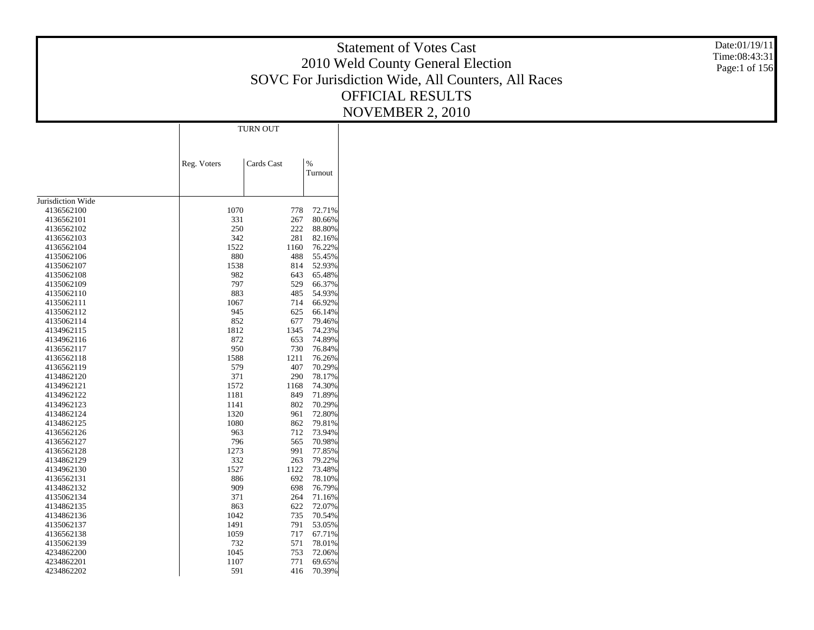|                          | SOVC For Jurisdiction Wide, All Counters, All Races | Date:01/19/11<br>Time:08:43:31<br>Page:1 of 156 |  |  |
|--------------------------|-----------------------------------------------------|-------------------------------------------------|--|--|
|                          | TURN OUT                                            |                                                 |  |  |
|                          | Cards Cast<br>Reg. Voters                           | $\%$<br>Turnout                                 |  |  |
| Jurisdiction Wide        |                                                     |                                                 |  |  |
| 4136562100               | 1070                                                | 72.71%<br>778                                   |  |  |
| 4136562101               | 331                                                 | 267<br>80.66%                                   |  |  |
| 4136562102               | 250                                                 | 222<br>88.80%                                   |  |  |
| 4136562103<br>4136562104 | 342<br>1522                                         | 281<br>82.16%<br>76.22%<br>1160                 |  |  |
| 4135062106               | 880                                                 | 488<br>55.45%                                   |  |  |
| 4135062107               | 1538                                                | 814<br>52.93%                                   |  |  |
| 4135062108               | 982                                                 | 643<br>65.48%                                   |  |  |
| 4135062109               | 797                                                 | 529<br>66.37%                                   |  |  |
| 4135062110               | 883                                                 | 54.93%<br>485                                   |  |  |
| 4135062111               | 1067                                                | 714<br>66.92%                                   |  |  |
| 4135062112               | 945                                                 | 625<br>66.14%                                   |  |  |
| 4135062114               | 852                                                 | 677<br>79.46%                                   |  |  |
| 4134962115               | 1812                                                | 1345<br>74.23%                                  |  |  |
| 4134962116               | 872                                                 | 74.89%<br>653                                   |  |  |
| 4136562117               | 950                                                 | 730<br>76.84%                                   |  |  |
| 4136562118<br>4136562119 | 1588<br>579                                         | 1211<br>76.26%<br>407<br>70.29%                 |  |  |
| 4134862120               | 371                                                 | 290<br>78.17%                                   |  |  |
| 4134962121               | 1572                                                | 1168<br>74.30%                                  |  |  |
| 4134962122               | 1181                                                | 71.89%<br>849                                   |  |  |
| 4134962123               | 1141                                                | 802<br>70.29%                                   |  |  |
| 4134862124               | 1320                                                | 961<br>72.80%                                   |  |  |
| 4134862125               | 1080                                                | 862<br>79.81%                                   |  |  |
| 4136562126               | 963                                                 | 73.94%<br>712                                   |  |  |
| 4136562127               | 796                                                 | 70.98%<br>565                                   |  |  |
| 4136562128               | 1273                                                | 991<br>77.85%                                   |  |  |
| 4134862129               | 332                                                 | 263<br>79.22%                                   |  |  |
| 4134962130               | 1527                                                | 1122<br>73.48%                                  |  |  |
| 4136562131               | 886<br>909                                          | 692<br>78.10%<br>698                            |  |  |
| 4134862132<br>4135062134 | 371                                                 | 76.79%<br>264<br>71.16%                         |  |  |
| 4134862135               | 863                                                 | 622<br>72.07%                                   |  |  |
| 4134862136               | 1042                                                | 735<br>70.54%                                   |  |  |
| 4135062137               | 1491                                                | 53.05%<br>791                                   |  |  |
| 4136562138               | 1059                                                | 717<br>67.71%                                   |  |  |
| 4135062139               | 732                                                 | 571<br>78.01%                                   |  |  |
| 4234862200               | 1045                                                | 72.06%<br>753                                   |  |  |
| 4234862201               | 1107                                                | 69.65%<br>771                                   |  |  |
| 4234862202               | 591                                                 | 416<br>70.39%                                   |  |  |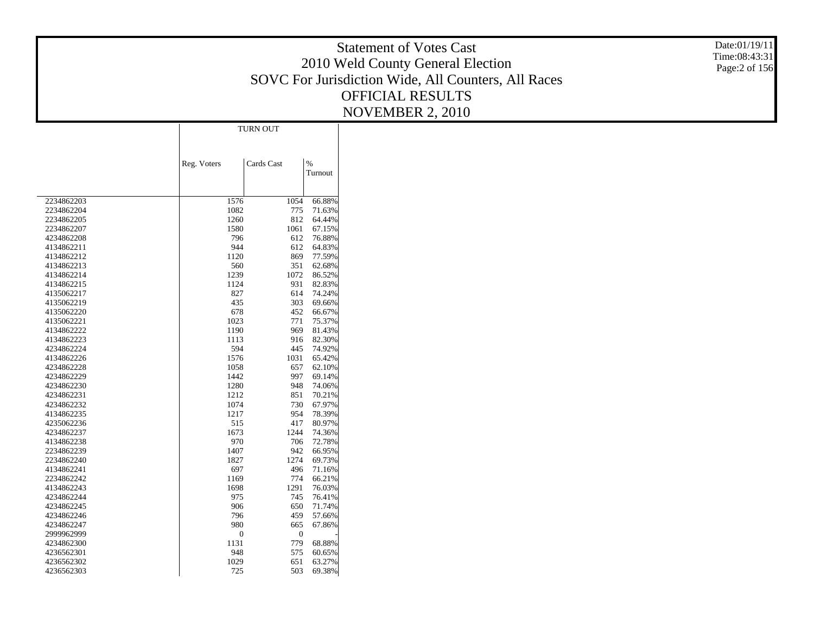Statement of Votes Cast 2010 Weld County General Election SOVC For Jurisdiction Wide, All Counters, All Races OFFICIAL RESULTS NOVEMBER 2, 2010

|                          |             | <b>TURN OUT</b> |                  |
|--------------------------|-------------|-----------------|------------------|
|                          |             |                 |                  |
|                          | Reg. Voters | Cards Cast      | $\frac{9}{6}$    |
|                          |             |                 | Turnout          |
|                          |             |                 |                  |
|                          |             |                 |                  |
| 2234862203               | 1576        | 1054            | 66.88%           |
| 2234862204               | 1082        | 775             | 71.63%           |
| 2234862205               | 1260        | 812             | 64.44%           |
| 2234862207               | 1580        | 1061            | 67.15%           |
| 4234862208               | 796         | 612             | 76.88%           |
| 4134862211               | 944         | 612             | 64.83%           |
| 4134862212<br>4134862213 | 1120<br>560 | 869<br>351      | 77.59%<br>62.68% |
| 4134862214               | 1239        | 1072            | 86.52%           |
| 4134862215               | 1124        | 931             | 82.83%           |
| 4135062217               | 827         | 614             | 74.24%           |
| 4135062219               | 435         | 303             | 69.66%           |
| 4135062220               | 678         | 452             | 66.67%           |
| 4135062221               | 1023        | 771             | 75.37%           |
| 4134862222               | 1190        | 969             | 81.43%           |
| 4134862223               | 1113        | 916             | 82.30%           |
| 4234862224               | 594         | 445             | 74.92%           |
| 4134862226               | 1576        | 1031            | 65.42%           |
| 4234862228               | 1058        | 657             | 62.10%           |
| 4234862229               | 1442        | 997             | 69.14%           |
| 4234862230               | 1280        | 948             | 74.06%           |
| 4234862231               | 1212        | 851             | 70.21%           |
| 4234862232               | 1074        | 730             | 67.97%           |
| 4134862235               | 1217        | 954             | 78.39%           |
| 4235062236               | 515         | 417             | 80.97%           |
| 4234862237               | 1673        | 1244            | 74.36%           |
| 4134862238               | 970         | 706             | 72.78%           |
| 2234862239               | 1407        | 942             | 66.95%           |
| 2234862240               | 1827        | 1274            | 69.73%           |
| 4134862241               | 697         | 496             | 71.16%           |
| 2234862242               | 1169        | 774             | 66.21%           |
| 4134862243               | 1698        | 1291            | 76.03%           |
| 4234862244               | 975         | 745             | 76.41%           |
| 4234862245               | 906         | 650             | 71.74%           |
| 4234862246               | 796         | 459             | 57.66%           |
| 4234862247               | 980         | 665             | 67.86%           |
| 2999962999               | 0           | 0               |                  |
| 4234862300               | 1131        | 779             | 68.88%           |
| 4236562301               | 948         | 575             | 60.65%           |
| 4236562302               | 1029        | 651             | 63.27%           |
| 4236562303               | 725         | 503             | 69.38%           |

Date:01/19/11 Time:08:43:31 Page:2 of 156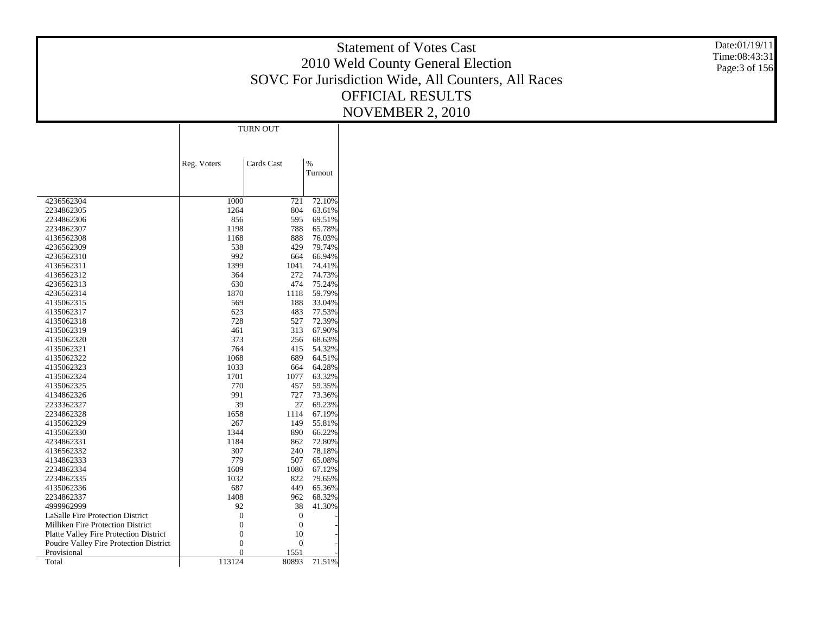Statement of Votes Cast 2010 Weld County General Election SOVC For Jurisdiction Wide, All Counters, All Races OFFICIAL RESULTS NOVEMBER 2, 2010

Date:01/19/11 Time:08:43:31 Page:3 of 156

|                                          |                | TURN OUT         |               |
|------------------------------------------|----------------|------------------|---------------|
|                                          |                |                  |               |
|                                          |                |                  |               |
|                                          | Reg. Voters    | Cards Cast       | $\frac{9}{6}$ |
|                                          |                |                  | Turnout       |
|                                          |                |                  |               |
| 4236562304                               | 1000           | 721              | 72.10%        |
| 2234862305                               | 1264           | 804              | 63.61%        |
| 2234862306                               | 856            | 595              | 69.51%        |
| 2234862307                               | 1198           | 788              | 65.78%        |
| 4136562308                               | 1168           | 888              | 76.03%        |
| 4236562309                               | 538            | 429              | 79.74%        |
| 4236562310                               | 992            | 664              | 66.94%        |
| 4136562311                               | 1399           | 1041             | 74.41%        |
| 4136562312                               | 364            | 272              | 74.73%        |
| 4236562313                               | 630            | 474              | 75.24%        |
| 4236562314                               | 1870           | 1118             | 59.79%        |
| 4135062315                               | 569            | 188              | 33.04%        |
| 4135062317                               | 623            | 483              | 77.53%        |
| 4135062318                               | 728            | 527              | 72.39%        |
| 4135062319                               | 461            | 313              | 67.90%        |
| 4135062320                               | 373            | 256              | 68.63%        |
| 4135062321                               | 764            | 415              | 54.32%        |
| 4135062322                               | 1068           | 689              | 64.51%        |
| 4135062323                               | 1033           | 664              | 64.28%        |
| 4135062324                               | 1701           | 1077             | 63.32%        |
| 4135062325                               | 770            | 457              | 59.35%        |
| 4134862326                               | 991            | 727              | 73.36%        |
| 2233362327                               | 39             | 27               | 69.23%        |
| 2234862328                               | 1658           | 1114             | 67.19%        |
| 4135062329                               | 267            | 149              | 55.81%        |
| 4135062330                               | 1344           | 890              | 66.22%        |
| 4234862331                               | 1184           | 862              | 72.80%        |
| 4136562332                               | 307            | 240              | 78.18%        |
| 4134862333                               | 779            | 507              | 65.08%        |
| 2234862334                               | 1609           | 1080             | 67.12%        |
| 2234862335                               | 1032           | 822              | 79.65%        |
| 4135062336                               | 687            | 449              | 65.36%        |
| 2234862337                               | 1408           | 962              | 68.32%        |
| 4999962999                               | 92             | 38               | 41.30%        |
| <b>LaSalle Fire Protection District</b>  | 0              | 0                |               |
| <b>Milliken Fire Protection District</b> | 0              | 0                |               |
| Platte Valley Fire Protection District   | $\mathbf{0}$   | 10               |               |
| Poudre Valley Fire Protection District   | $\mathbf{0}$   | $\boldsymbol{0}$ |               |
| Provisional                              | $\overline{0}$ | 1551             |               |
| Total                                    | 113124         | 80893            | 71.51%        |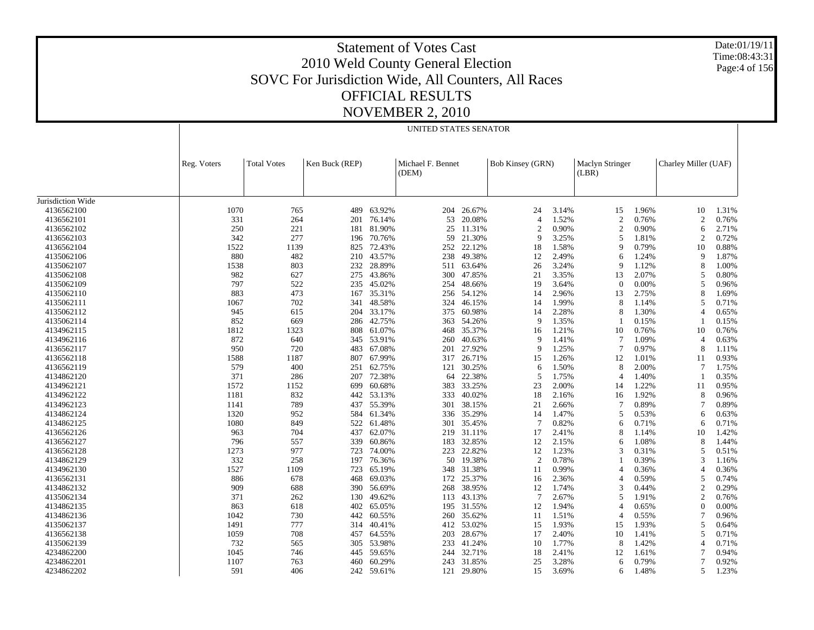Date:01/19/11 Time:08:43:31 Page:4 of 156

|                   |             |                    |                |        | UNITED STATES SENATOR      |        |                  |       |                                 |                |                      |       |
|-------------------|-------------|--------------------|----------------|--------|----------------------------|--------|------------------|-------|---------------------------------|----------------|----------------------|-------|
|                   | Reg. Voters | <b>Total Votes</b> | Ken Buck (REP) |        | Michael F. Bennet<br>(DEM) |        | Bob Kinsey (GRN) |       | <b>Maclyn Stringer</b><br>(LBR) |                | Charley Miller (UAF) |       |
| Jurisdiction Wide |             |                    |                |        |                            |        |                  |       |                                 |                |                      |       |
| 4136562100        | 1070        | 765                | 489            | 63.92% | 204                        | 26.67% | 24               | 3.14% | 15                              | 1.96%          | 10                   | 1.31% |
| 4136562101        | 331         | 264                | 201            | 76.14% | 53                         | 20.08% | $\overline{4}$   | 1.52% | $\overline{2}$                  | 0.76%          | $\overline{2}$       | 0.76% |
| 4136562102        | 250         | 221                | 181            | 81.90% | 25                         | 11.31% | $\mathfrak{2}$   | 0.90% | $\overline{2}$                  | 0.90%          | 6                    | 2.71% |
| 4136562103        | 342         | 277                | 196            | 70.76% | 59                         | 21.30% | 9                | 3.25% | 5                               | 1.81%          | $\mathfrak{D}$       | 0.72% |
| 4136562104        | 1522        | 1139               | 825            | 72.43% | 252                        | 22.12% | 18               | 1.58% | 9                               | 0.79%          | 10                   | 0.88% |
| 4135062106        | 880         | 482                | 210            | 43.57% | 238                        | 49.38% | 12               | 2.49% | 6                               | 1.24%          | 9                    | 1.87% |
| 4135062107        | 1538        | 803                | 232            | 28.89% | 511                        | 63.64% | 26               | 3.24% | 9                               | 1.12%          | 8                    | 1.00% |
| 4135062108        | 982         | 627                | 275            | 43.86% | 300                        | 47.85% | 21               | 3.35% | 13                              | 2.07%          | 5                    | 0.80% |
| 4135062109        | 797         | 522                | 235            | 45.02% | 254                        | 48.66% | 19               | 3.64% | $\Omega$                        | 0.00%          | 5                    | 0.96% |
|                   | 883         | 473                | 167            | 35.31% | 256                        | 54.12% | 14               | 2.96% |                                 |                | 8                    | 1.69% |
| 4135062110        | 1067        | 702                |                | 48.58% |                            | 46.15% | 14               | 1.99% | 13<br>8                         | 2.75%          | 5                    | 0.71% |
| 4135062111        | 945         |                    | 341            | 33.17% | 324                        | 60.98% |                  | 2.28% | 8                               | 1.14%<br>1.30% | 4                    |       |
| 4135062112        |             | 615                | 204            |        | 375                        |        | 14<br>9          |       |                                 |                |                      | 0.65% |
| 4135062114        | 852         | 669                | 286            | 42.75% | 363                        | 54.26% |                  | 1.35% |                                 | 0.15%          | 1                    | 0.15% |
| 4134962115        | 1812        | 1323               | 808            | 61.07% | 468                        | 35.37% | 16               | 1.21% | 10                              | 0.76%          | 10                   | 0.76% |
| 4134962116        | 872         | 640                | 345            | 53.91% | 260                        | 40.63% | 9                | 1.41% | $\overline{7}$                  | 1.09%          | $\overline{4}$       | 0.63% |
| 4136562117        | 950         | 720                | 483            | 67.08% | 201                        | 27.92% | 9                | 1.25% | $\overline{7}$                  | 0.97%          | 8                    | 1.11% |
| 4136562118        | 1588        | 1187               | 807            | 67.99% | 317                        | 26.71% | 15               | 1.26% | 12                              | 1.01%          | 11                   | 0.93% |
| 4136562119        | 579         | 400                | 251            | 62.75% | 121                        | 30.25% | 6                | 1.50% | 8                               | 2.00%          | $7\phantom{.0}$      | 1.75% |
| 4134862120        | 371         | 286                | 207            | 72.38% | 64                         | 22.38% | 5                | 1.75% | $\overline{4}$                  | 1.40%          | 1                    | 0.35% |
| 4134962121        | 1572        | 1152               | 699            | 60.68% | 383                        | 33.25% | 23               | 2.00% | 14                              | 1.22%          | 11                   | 0.95% |
| 4134962122        | 1181        | 832                | 442            | 53.13% | 333                        | 40.02% | 18               | 2.16% | 16                              | 1.92%          | 8                    | 0.96% |
| 4134962123        | 1141        | 789                | 437            | 55.39% | 301                        | 38.15% | 21               | 2.66% | $\overline{7}$                  | 0.89%          | 7                    | 0.89% |
| 4134862124        | 1320        | 952                | 584            | 61.34% | 336                        | 35.29% | 14               | 1.47% | 5                               | 0.53%          | 6                    | 0.63% |
| 4134862125        | 1080        | 849                | 522            | 61.48% | 301                        | 35.45% | $\tau$           | 0.82% | 6                               | 0.71%          | 6                    | 0.71% |
| 4136562126        | 963         | 704                | 437            | 62.07% | 219                        | 31.11% | 17               | 2.41% | 8                               | 1.14%          | 10                   | 1.42% |
| 4136562127        | 796         | 557                | 339            | 60.86% | 183                        | 32.85% | 12               | 2.15% | 6                               | 1.08%          | 8                    | 1.44% |
| 4136562128        | 1273        | 977                | 723            | 74.00% | 223                        | 22.82% | 12               | 1.23% | 3                               | 0.31%          | 5                    | 0.51% |
| 4134862129        | 332         | 258                | 197            | 76.36% | 50                         | 19.38% | $\mathfrak{2}$   | 0.78% |                                 | 0.39%          | 3                    | 1.16% |
| 4134962130        | 1527        | 1109               | 723            | 65.19% | 348                        | 31.38% | 11               | 0.99% | $\overline{\mathcal{L}}$        | 0.36%          | 4                    | 0.36% |
| 4136562131        | 886         | 678                | 468            | 69.03% | 172                        | 25.37% | 16               | 2.36% | $\overline{4}$                  | 0.59%          | 5                    | 0.74% |
| 4134862132        | 909         | 688                | 390            | 56.69% | 268                        | 38.95% | 12               | 1.74% | 3                               | 0.44%          | $\overline{c}$       | 0.29% |
| 4135062134        | 371         | 262                | 130            | 49.62% | 113                        | 43.13% | $\overline{7}$   | 2.67% | 5                               | 1.91%          | $\overline{c}$       | 0.76% |
| 4134862135        | 863         | 618                | 402            | 65.05% | 195                        | 31.55% | 12               | 1.94% | $\overline{4}$                  | 0.65%          | $\theta$             | 0.00% |
| 4134862136        | 1042        | 730                | 442            | 60.55% | 260                        | 35.62% | 11               | 1.51% | $\overline{\mathcal{L}}$        | 0.55%          | 7                    | 0.96% |
| 4135062137        | 1491        | 777                | 314            | 40.41% | 412                        | 53.02% | 15               | 1.93% | 15                              | 1.93%          | 5                    | 0.64% |
| 4136562138        | 1059        | 708                | 457            | 64.55% | 203                        | 28.67% | 17               | 2.40% | 10                              | 1.41%          | 5                    | 0.71% |
| 4135062139        | 732         | 565                | 305            | 53.98% | 233                        | 41.24% | 10               | 1.77% | 8                               | 1.42%          | 4                    | 0.71% |
| 4234862200        | 1045        | 746                | 445            | 59.65% | 244                        | 32.71% | 18               | 2.41% | 12                              | 1.61%          | 7                    | 0.94% |
| 4234862201        | 1107        | 763                | 460            | 60.29% | 243                        | 31.85% | 25               | 3.28% | 6                               | 0.79%          | 7                    | 0.92% |
| 4234862202        | 591         | 406                | 242            | 59.61% | 121                        | 29.80% | 15               | 3.69% | 6                               | 1.48%          | 5                    | 1.23% |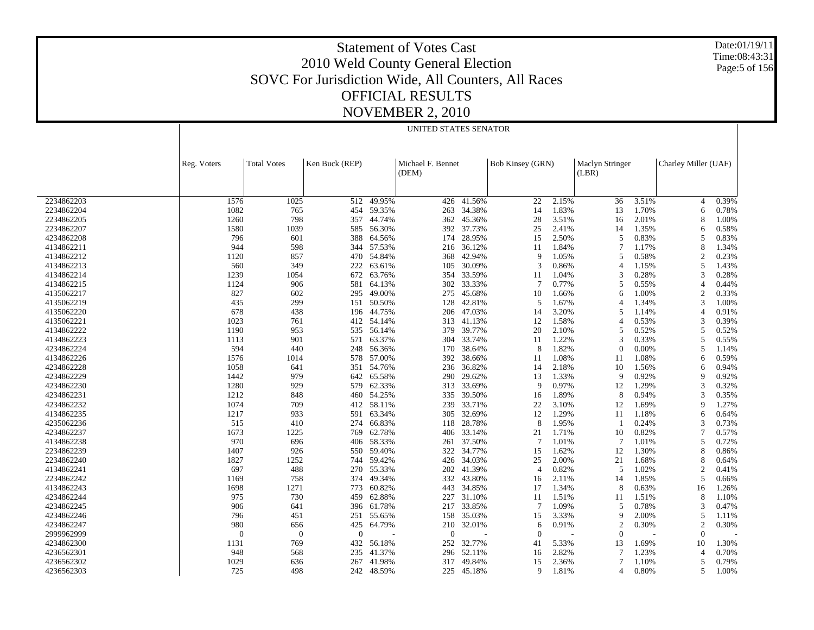Date:01/19/11 Time:08:43:31 Page:5 of 156

|            |                |                    |                |        | UNITED STATES SENATOR      |            |                  |       |                                 |       |                      |       |
|------------|----------------|--------------------|----------------|--------|----------------------------|------------|------------------|-------|---------------------------------|-------|----------------------|-------|
|            | Reg. Voters    | <b>Total Votes</b> | Ken Buck (REP) |        | Michael F. Bennet<br>(DEM) |            | Bob Kinsey (GRN) |       | <b>Maclyn Stringer</b><br>(LBR) |       | Charley Miller (UAF) |       |
|            |                |                    |                |        |                            |            |                  |       |                                 |       |                      |       |
| 2234862203 | 1576           | 1025               | 512            | 49.95% | 426                        | 41.56%     | 22               | 2.15% | 36                              | 3.51% | $\overline{4}$       | 0.39% |
| 2234862204 | 1082           | 765                | 454            | 59.35% | 263                        | 34.38%     | 14               | 1.83% | 13                              | 1.70% | 6                    | 0.78% |
| 2234862205 | 1260           | 798                | 357            | 44.74% | 362                        | 45.36%     | 28               | 3.51% | 16                              | 2.01% | 8                    | 1.00% |
| 2234862207 | 1580           | 1039               | 585            | 56.30% | 392                        | 37.73%     | 25               | 2.41% | 14                              | 1.35% | 6                    | 0.58% |
| 4234862208 | 796            | 601                | 388            | 64.56% | 174                        | 28.95%     | 15               | 2.50% | 5                               | 0.83% | 5                    | 0.83% |
| 4134862211 | 944            | 598                | 344            | 57.53% | 216                        | 36.12%     | 11               | 1.84% | 7                               | 1.17% | 8                    | 1.34% |
| 4134862212 | 1120           | 857                | 470            | 54.84% | 368                        | 42.94%     | 9                | 1.05% | 5                               | 0.58% | $\overline{c}$       | 0.23% |
| 4134862213 | 560            | 349                | 222            | 63.61% | 105                        | 30.09%     | 3                | 0.86% | $\overline{4}$                  | 1.15% | 5                    | 1.43% |
| 4134862214 | 1239           | 1054               | 672            | 63.76% | 354                        | 33.59%     | 11               | 1.04% | 3                               | 0.28% | 3                    | 0.28% |
| 4134862215 | 1124           | 906                | 581            | 64.13% | 302                        | 33.33%     | 7                | 0.77% | 5                               | 0.55% | $\overline{4}$       | 0.44% |
| 4135062217 | 827            | 602                | 295            | 49.00% | 275                        | 45.68%     | 10               | 1.66% | 6                               | 1.00% | $\overline{2}$       | 0.33% |
| 4135062219 | 435            | 299                | 151            | 50.50% | 128                        | 42.81%     | 5                | 1.67% | 4                               | 1.34% | 3                    | 1.00% |
| 4135062220 | 678            | 438                | 196            | 44.75% | 206                        | 47.03%     | 14               | 3.20% | 5                               | 1.14% | $\overline{4}$       | 0.91% |
| 4135062221 | 1023           | 761                | 412            | 54.14% |                            | 313 41.13% | 12               | 1.58% | $\overline{4}$                  | 0.53% | 3                    | 0.39% |
| 4134862222 | 1190           | 953                | 535            | 56.14% | 379                        | 39.77%     | 20               | 2.10% | 5                               | 0.52% | 5                    | 0.52% |
| 4134862223 | 1113           | 901                | 571            | 63.37% | 304                        | 33.74%     | 11               | 1.22% | 3                               | 0.33% | 5                    | 0.55% |
| 4234862224 | 594            | 440                | 248            | 56.36% | 170                        | 38.64%     | 8                | 1.82% | $\mathbf{0}$                    | 0.00% | 5                    | 1.14% |
| 4134862226 | 1576           | 1014               | 578            | 57.00% | 392                        | 38.66%     | 11               | 1.08% | 11                              | 1.08% | 6                    | 0.59% |
| 4234862228 | 1058           | 641                | 351            | 54.76% | 236                        | 36.82%     | 14               | 2.18% | 10                              | 1.56% | 6                    | 0.94% |
| 4234862229 | 1442           | 979                | 642            | 65.58% | 290                        | 29.62%     | 13               | 1.33% | 9                               | 0.92% | $\mathbf Q$          | 0.92% |
| 4234862230 | 1280           | 929                | 579            | 62.33% | 313                        | 33.69%     | <sup>Q</sup>     | 0.97% | 12                              | 1.29% | 3                    | 0.32% |
| 4234862231 | 1212           | 848                | 460            | 54.25% | 335                        | 39.50%     | 16               | 1.89% | 8                               | 0.94% | 3                    | 0.35% |
| 4234862232 | 1074           | 709                | 412            | 58.11% | 239                        | 33.71%     | 22               | 3.10% | 12                              | 1.69% | 9                    | 1.27% |
| 4134862235 | 1217           | 933                | 591            | 63.34% | 305                        | 32.69%     | 12               | 1.29% | 11                              | 1.18% | 6                    | 0.64% |
| 4235062236 | 515            | 410                | 274            | 66.83% | 118                        | 28.78%     | 8                | 1.95% | -1                              | 0.24% | 3                    | 0.73% |
| 4234862237 | 1673           | 1225               | 769            | 62.78% | 406                        | 33.14%     | 21               | 1.71% | 10                              | 0.82% | 7                    | 0.57% |
| 4134862238 | 970            | 696                | 406            | 58.33% | 261                        | 37.50%     | 7                | 1.01% | 7                               | 1.01% | 5                    | 0.72% |
| 2234862239 | 1407           | 926                | 550            | 59.40% | 322                        | 34.77%     | 15               | 1.62% | 12                              | 1.30% | 8                    | 0.86% |
| 2234862240 | 1827           | 1252               | 744            | 59.42% | 426                        | 34.03%     | 25               | 2.00% | 21                              | 1.68% | 8                    | 0.64% |
| 4134862241 | 697            | 488                | 270            | 55.33% | 202                        | 41.39%     | $\overline{4}$   | 0.82% | 5                               | 1.02% | $\overline{2}$       | 0.41% |
| 2234862242 | 1169           | 758                | 374            | 49.34% | 332                        | 43.80%     | 16               | 2.11% | 14                              | 1.85% | 5                    | 0.66% |
| 4134862243 | 1698           | 1271               | 773            | 60.82% | 443                        | 34.85%     | 17               | 1.34% | 8                               | 0.63% | 16                   | 1.26% |
| 4234862244 | 975            | 730                | 459            | 62.88% | 227                        | 31.10%     | 11               | 1.51% | 11                              | 1.51% | 8                    | 1.10% |
| 4234862245 | 906            | 641                | 396            | 61.78% | 217                        | 33.85%     | 7                | 1.09% | 5                               | 0.78% | 3                    | 0.47% |
| 4234862246 | 796            | 451                | 251            | 55.65% | 158                        | 35.03%     | 15               | 3.33% | 9                               | 2.00% | 5                    | 1.11% |
| 4234862247 | 980            | 656                | 425            | 64.79% | 210                        | 32.01%     | 6                | 0.91% | $\overline{2}$                  | 0.30% | $\overline{2}$       | 0.30% |
| 2999962999 | $\overline{0}$ | $\mathbf{0}$       | $\overline{0}$ |        | $\Omega$                   |            | $\Omega$         |       | $\overline{0}$                  |       | $\overline{0}$       |       |
| 4234862300 | 1131           | 769                | 432            | 56.18% | 252                        | 32.77%     | 41               | 5.33% | 13                              | 1.69% | 10                   | 1.30% |
| 4236562301 | 948            | 568                | 235            | 41.37% | 296                        | 52.11%     | 16               | 2.82% | 7                               | 1.23% | $\overline{4}$       | 0.70% |
| 4236562302 | 1029           | 636                | 267            | 41.98% | 317                        | 49.84%     | 15               | 2.36% | 7                               | 1.10% | 5                    | 0.79% |
| 4236562303 | 725            | 498                | 242            | 48.59% | 225                        | 45.18%     | 9                | 1.81% | 4                               | 0.80% | 5                    | 1.00% |
|            |                |                    |                |        |                            |            |                  |       |                                 |       |                      |       |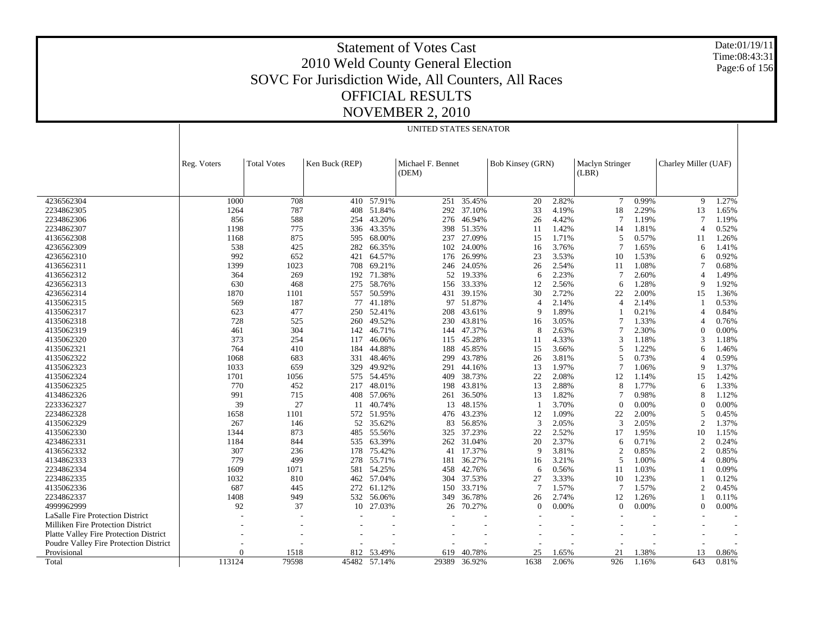Date:01/19/11 Time:08:43:31 Page:6 of 156

|                                          |             | UNITED STATES SENATOR                                                                                                                             |       |        |       |        |                |                |                 |       |                            |       |
|------------------------------------------|-------------|---------------------------------------------------------------------------------------------------------------------------------------------------|-------|--------|-------|--------|----------------|----------------|-----------------|-------|----------------------------|-------|
|                                          | Reg. Voters | Michael F. Bennet<br>Bob Kinsey (GRN)<br><b>Total Votes</b><br>Ken Buck (REP)<br><b>Maclyn Stringer</b><br>Charley Miller (UAF)<br>(DEM)<br>(LBR) |       |        |       |        |                |                |                 |       |                            |       |
| 4236562304                               | 1000        | 708                                                                                                                                               | 410   | 57.91% | 251   | 35.45% | 20             | 2.82%          | $7\phantom{.0}$ | 0.99% | 9                          | 1.27% |
| 2234862305                               | 1264        | 787                                                                                                                                               | 408   | 51.84% | 292   | 37.10% | 33             | 4.19%          | 18              | 2.29% | 13                         | 1.65% |
| 2234862306                               | 856         | 588                                                                                                                                               | 254   | 43.20% | 276   | 46.94% | 26             | 4.42%          | 7               | 1.19% | 7                          | 1.19% |
| 2234862307                               | 1198        | 775                                                                                                                                               | 336   | 43.35% | 398   | 51.35% | 11             | 1.42%          | 14              | 1.81% | $\overline{4}$             | 0.52% |
| 4136562308                               | 1168        | 875                                                                                                                                               | 595   | 68.00% | 237   | 27.09% | 15             | 1.71%          | 5               | 0.57% | 11                         | 1.26% |
| 4236562309                               | 538         | 425                                                                                                                                               | 282   | 66.35% | 102   | 24.00% | 16             | 3.76%          | 7               | 1.65% | 6                          | 1.41% |
| 4236562310                               | 992         | 652                                                                                                                                               | 421   | 64.57% | 176   | 26.99% | 23             | 3.53%          | 10              | 1.53% | 6                          | 0.92% |
| 4136562311                               | 1399        | 1023                                                                                                                                              | 708   | 69.21% | 246   | 24.05% | 26             | 2.54%          | 11              | 1.08% | 7                          | 0.68% |
| 4136562312                               | 364         | 269                                                                                                                                               | 192   | 71.38% | 52    | 19.33% | 6              | 2.23%          | 7               | 2.60% | $\overline{4}$             | 1.49% |
| 4236562313                               | 630         | 468                                                                                                                                               | 275   | 58.76% | 156   | 33.33% | 12             | 2.56%          | 6               | 1.28% | 9                          | 1.92% |
| 4236562314                               | 1870        | 1101                                                                                                                                              | 557   | 50.59% | 431   | 39.15% | 30             | 2.72%          | 22              | 2.00% | 15                         | 1.36% |
|                                          | 569         | 187                                                                                                                                               | 77    | 41.18% | 97    |        | $\overline{4}$ |                | $\overline{4}$  | 2.14% |                            |       |
| 4135062315                               | 623         |                                                                                                                                                   |       |        |       | 51.87% | 9              | 2.14%<br>1.89% |                 | 0.21% | 4                          | 0.53% |
| 4135062317                               |             | 477                                                                                                                                               | 250   | 52.41% | 208   | 43.61% |                |                | 7               |       |                            | 0.84% |
| 4135062318                               | 728         | 525                                                                                                                                               | 260   | 49.52% | 230   | 43.81% | 16             | 3.05%          | 7               | 1.33% | $\overline{4}$<br>$\theta$ | 0.76% |
| 4135062319                               | 461<br>373  | 304                                                                                                                                               | 142   | 46.71% | 144   | 47.37% | 8              | 2.63%          |                 | 2.30% |                            | 0.00% |
| 4135062320                               |             | 254                                                                                                                                               | 117   | 46.06% | 115   | 45.28% | 11             | 4.33%          | 3               | 1.18% | 3                          | 1.18% |
| 4135062321                               | 764         | 410                                                                                                                                               | 184   | 44.88% | 188   | 45.85% | 15             | 3.66%          | 5               | 1.22% | 6                          | 1.46% |
| 4135062322                               | 1068        | 683                                                                                                                                               | 331   | 48.46% | 299   | 43.78% | 26             | 3.81%          | 5               | 0.73% | $\overline{4}$             | 0.59% |
| 4135062323                               | 1033        | 659                                                                                                                                               | 329   | 49.92% | 291   | 44.16% | 13             | 1.97%          | 7               | 1.06% | 9                          | 1.37% |
| 4135062324                               | 1701        | 1056                                                                                                                                              | 575   | 54.45% | 409   | 38.73% | 22             | 2.08%          | 12              | 1.14% | 15                         | 1.42% |
| 4135062325                               | 770         | 452                                                                                                                                               | 217   | 48.01% | 198   | 43.81% | 13             | 2.88%          | 8               | 1.77% | 6                          | 1.33% |
| 4134862326                               | 991         | 715                                                                                                                                               | 408   | 57.06% | 261   | 36.50% | 13             | 1.82%          |                 | 0.98% | 8                          | 1.12% |
| 2233362327                               | 39          | 27                                                                                                                                                | 11    | 40.74% | 13    | 48.15% |                | 3.70%          | $\Omega$        | 0.00% | $\theta$                   | 0.00% |
| 2234862328                               | 1658        | 1101                                                                                                                                              | 572   | 51.95% | 476   | 43.23% | 12             | 1.09%          | 22              | 2.00% | 5                          | 0.45% |
| 4135062329                               | 267         | 146                                                                                                                                               | 52    | 35.62% | 83    | 56.85% | 3              | 2.05%          | 3               | 2.05% | $\overline{2}$             | 1.37% |
| 4135062330                               | 1344        | 873                                                                                                                                               | 485   | 55.56% | 325   | 37.23% | 22             | 2.52%          | 17              | 1.95% | 10                         | 1.15% |
| 4234862331                               | 1184        | 844                                                                                                                                               | 535   | 63.39% | 262   | 31.04% | 20             | 2.37%          | 6               | 0.71% | $\overline{2}$             | 0.24% |
| 4136562332                               | 307         | 236                                                                                                                                               | 178   | 75.42% | 41    | 17.37% | 9              | 3.81%          | $\overline{c}$  | 0.85% | $\overline{2}$             | 0.85% |
| 4134862333                               | 779         | 499                                                                                                                                               | 278   | 55.71% | 181   | 36.27% | 16             | 3.21%          | 5               | 1.00% | $\overline{4}$             | 0.80% |
| 2234862334                               | 1609        | 1071                                                                                                                                              | 581   | 54.25% | 458   | 42.76% | 6              | 0.56%          | 11              | 1.03% |                            | 0.09% |
| 2234862335                               | 1032        | 810                                                                                                                                               | 462   | 57.04% | 304   | 37.53% | 27             | 3.33%          | 10              | 1.23% |                            | 0.12% |
| 4135062336                               | 687         | 445                                                                                                                                               | 272   | 61.12% | 150   | 33.71% | $\tau$         | 1.57%          | 7               | 1.57% | $\overline{2}$             | 0.45% |
| 2234862337                               | 1408        | 949                                                                                                                                               | 532   | 56.06% | 349   | 36.78% | 26             | 2.74%          | 12              | 1.26% |                            | 0.11% |
| 4999962999                               | 92          | 37                                                                                                                                                | 10    | 27.03% | 26    | 70.27% | $\theta$       | 0.00%          | $\mathbf{0}$    | 0.00% | $\theta$                   | 0.00% |
| <b>LaSalle Fire Protection District</b>  | ÷           |                                                                                                                                                   |       |        |       |        |                |                |                 |       |                            |       |
| <b>Milliken Fire Protection District</b> |             | ٠                                                                                                                                                 |       |        |       |        |                |                |                 |       |                            |       |
| Platte Valley Fire Protection District   |             |                                                                                                                                                   |       |        |       |        |                |                |                 |       |                            |       |
| Poudre Valley Fire Protection District   |             |                                                                                                                                                   |       |        |       |        |                |                |                 |       |                            |       |
| Provisional                              |             | 1518                                                                                                                                              | 812   | 53.49% | 619   | 40.78% | 25             | 1.65%          | 21              | 1.38% | 13                         | 0.86% |
| Total                                    | 113124      | 79598                                                                                                                                             | 45482 | 57.14% | 29389 | 36.92% | 1638           | 2.06%          | 926             | 1.16% | 643                        | 0.81% |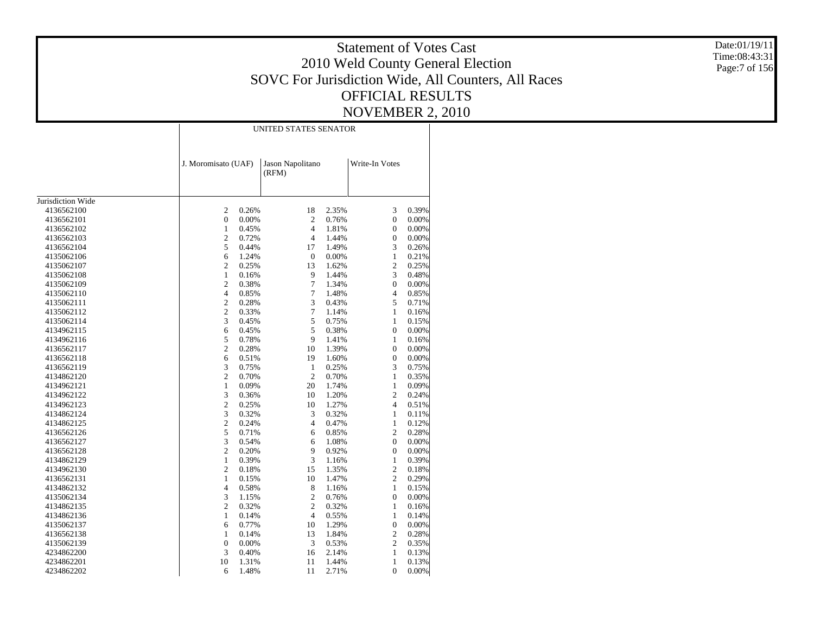Date:01/19/11 Time:08:43:31 Page:7 of 156

|                   |                         |       | UNITED STATES SENATOR     |       |                  |       |
|-------------------|-------------------------|-------|---------------------------|-------|------------------|-------|
|                   | J. Moromisato (UAF)     |       | Jason Napolitano<br>(RFM) |       | Write-In Votes   |       |
| Jurisdiction Wide |                         |       |                           |       |                  |       |
| 4136562100        | 2                       | 0.26% | 18                        | 2.35% | 3                | 0.39% |
| 4136562101        | $\boldsymbol{0}$        | 0.00% | $\overline{c}$            | 0.76% | $\overline{0}$   | 0.00% |
| 4136562102        | $\mathbf{1}$            | 0.45% | $\overline{4}$            | 1.81% | $\boldsymbol{0}$ | 0.00% |
| 4136562103        | $\mathfrak{2}$          | 0.72% | $\overline{4}$            | 1.44% | $\mathbf{0}$     | 0.00% |
| 4136562104        | 5                       | 0.44% | 17                        | 1.49% | 3                | 0.26% |
| 4135062106        | 6                       | 1.24% | $\mathbf{0}$              | 0.00% | 1                | 0.21% |
| 4135062107        | $\overline{c}$          | 0.25% | 13                        | 1.62% | $\overline{c}$   | 0.25% |
| 4135062108        | $\mathbf{1}$            | 0.16% | 9                         | 1.44% | 3                | 0.48% |
| 4135062109        | $\overline{c}$          | 0.38% | $\overline{7}$            | 1.34% | $\overline{0}$   | 0.00% |
| 4135062110        | $\overline{\mathbf{4}}$ | 0.85% | 7                         | 1.48% | $\overline{4}$   | 0.85% |
| 4135062111        | $\overline{c}$          | 0.28% | 3                         | 0.43% | 5                | 0.71% |
| 4135062112        | $\overline{c}$          | 0.33% | $\tau$                    | 1.14% | $\mathbf{1}$     | 0.16% |
| 4135062114        | 3                       | 0.45% | 5                         | 0.75% | $\mathbf{1}$     | 0.15% |
| 4134962115        | 6                       | 0.45% | 5                         | 0.38% | $\overline{0}$   | 0.00% |
| 4134962116        | 5                       | 0.78% | 9                         | 1.41% | $\mathbf{1}$     | 0.16% |
| 4136562117        | $\overline{c}$          | 0.28% | 10                        | 1.39% | $\overline{0}$   | 0.00% |
| 4136562118        | 6                       | 0.51% | 19                        | 1.60% | $\boldsymbol{0}$ | 0.00% |
| 4136562119        | 3                       | 0.75% | $\mathbf{1}$              | 0.25% | 3                | 0.75% |
| 4134862120        | $\overline{c}$          | 0.70% | $\overline{2}$            | 0.70% | $\mathbf{1}$     | 0.35% |
| 4134962121        | $\mathbf{1}$            | 0.09% | 20                        | 1.74% | $\mathbf{1}$     | 0.09% |
| 4134962122        | 3                       | 0.36% | 10                        | 1.20% | $\overline{c}$   | 0.24% |
| 4134962123        | $\overline{c}$          | 0.25% | 10                        | 1.27% | $\overline{4}$   | 0.51% |
| 4134862124        | 3                       | 0.32% | 3                         | 0.32% | 1                | 0.11% |
| 4134862125        | $\overline{c}$          | 0.24% | $\overline{4}$            | 0.47% | $\mathbf{1}$     | 0.12% |
| 4136562126        | 5                       | 0.71% | 6                         | 0.85% | $\overline{c}$   | 0.28% |
| 4136562127        | 3                       | 0.54% | 6                         | 1.08% | $\mathbf{0}$     | 0.00% |
| 4136562128        | $\overline{c}$          | 0.20% | 9                         | 0.92% | $\overline{0}$   | 0.00% |
| 4134862129        | $\mathbf{1}$            | 0.39% | 3                         | 1.16% | 1                | 0.39% |
| 4134962130        | $\overline{c}$          | 0.18% | 15                        | 1.35% | $\overline{c}$   | 0.18% |
| 4136562131        | $\mathbf{1}$            | 0.15% | 10                        | 1.47% | $\overline{c}$   | 0.29% |
| 4134862132        | $\overline{4}$          | 0.58% | 8                         | 1.16% | 1                | 0.15% |
| 4135062134        | 3                       | 1.15% | $\overline{c}$            | 0.76% | $\overline{0}$   | 0.00% |
| 4134862135        | $\overline{c}$          | 0.32% | $\overline{c}$            | 0.32% | $\mathbf{1}$     | 0.16% |
| 4134862136        | $\mathbf{1}$            | 0.14% | $\overline{4}$            | 0.55% | $\mathbf{1}$     | 0.14% |
| 4135062137        | 6                       | 0.77% | 10                        | 1.29% | $\boldsymbol{0}$ | 0.00% |
| 4136562138        | $\mathbf{1}$            | 0.14% | 13                        | 1.84% | $\mathfrak{2}$   | 0.28% |
| 4135062139        | $\boldsymbol{0}$        | 0.00% | 3                         | 0.53% | $\overline{c}$   | 0.35% |
| 4234862200        | 3                       | 0.40% | 16                        | 2.14% | 1                | 0.13% |
| 4234862201        | 10                      | 1.31% | 11                        | 1.44% | $\mathbf{1}$     | 0.13% |
| 4234862202        | 6                       | 1.48% | 11                        | 2.71% | $\overline{0}$   | 0.00% |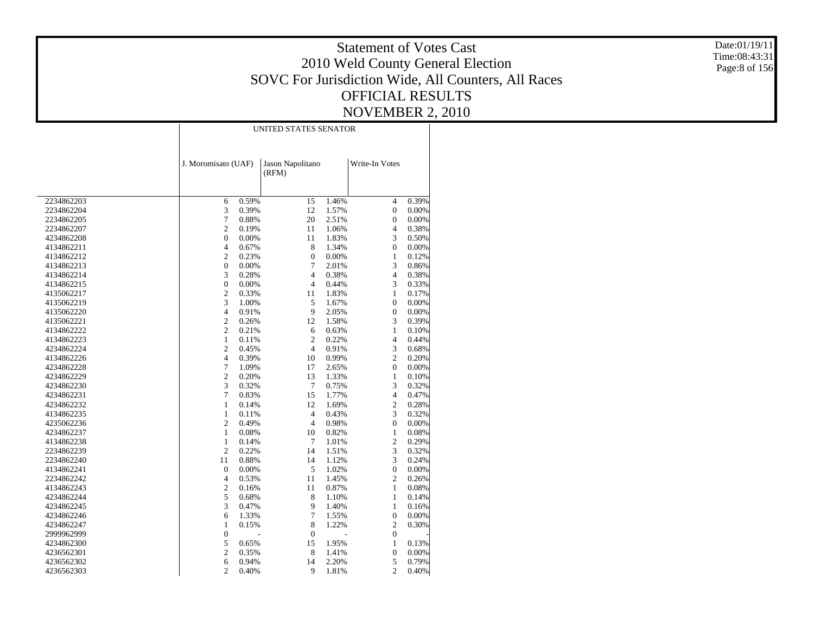Date:01/19/11 Time:08:43:31 Page:8 of 156

|            |                     |       | UNITED STATES SENATOR     |       |                  |       |
|------------|---------------------|-------|---------------------------|-------|------------------|-------|
|            | J. Moromisato (UAF) |       | Jason Napolitano<br>(RFM) |       | Write-In Votes   |       |
|            |                     |       |                           |       |                  |       |
| 2234862203 | 6                   | 0.59% | 15                        | 1.46% | $\overline{4}$   | 0.39% |
| 2234862204 | $\sqrt{3}$          | 0.39% | 12                        | 1.57% | $\boldsymbol{0}$ | 0.00% |
| 2234862205 | 7                   | 0.88% | 20                        | 2.51% | $\boldsymbol{0}$ | 0.00% |
| 2234862207 | $\sqrt{2}$          | 0.19% | 11                        | 1.06% | 4                | 0.38% |
| 4234862208 | $\boldsymbol{0}$    | 0.00% | 11                        | 1.83% | 3                | 0.50% |
| 4134862211 | 4                   | 0.67% | 8                         | 1.34% | $\mathbf{0}$     | 0.00% |
| 4134862212 | $\mathfrak{2}$      | 0.23% | $\boldsymbol{0}$          | 0.00% | $\mathbf{1}$     | 0.12% |
| 4134862213 | 0                   | 0.00% | 7                         | 2.01% | 3                | 0.86% |
| 4134862214 | 3                   | 0.28% | $\overline{4}$            | 0.38% | $\overline{4}$   | 0.38% |
| 4134862215 | $\boldsymbol{0}$    | 0.00% | $\overline{4}$            | 0.44% | 3                | 0.33% |
| 4135062217 | $\mathfrak{2}$      | 0.33% | 11                        | 1.83% | 1                | 0.17% |
| 4135062219 | 3                   | 1.00% | 5                         | 1.67% | $\boldsymbol{0}$ | 0.00% |
| 4135062220 | 4                   | 0.91% | 9                         | 2.05% | 0                | 0.00% |
| 4135062221 | $\sqrt{2}$          | 0.26% | 12                        | 1.58% | 3                | 0.39% |
| 4134862222 | $\sqrt{2}$          | 0.21% | 6                         | 0.63% | $\mathbf{1}$     | 0.10% |
| 4134862223 | $\mathbf{1}$        | 0.11% | $\overline{2}$            | 0.22% | 4                | 0.44% |
| 4234862224 | $\sqrt{2}$          | 0.45% | $\overline{4}$            | 0.91% | 3                | 0.68% |
| 4134862226 | $\overline{4}$      | 0.39% | 10                        | 0.99% | $\overline{2}$   | 0.20% |
| 4234862228 | $\boldsymbol{7}$    | 1.09% | 17                        | 2.65% | $\boldsymbol{0}$ | 0.00% |
| 4234862229 | $\sqrt{2}$          | 0.20% | 13                        | 1.33% | $\mathbf{1}$     | 0.10% |
| 4234862230 | 3                   | 0.32% | 7                         | 0.75% | 3                | 0.32% |
| 4234862231 | 7                   | 0.83% | 15                        | 1.77% | $\overline{4}$   | 0.47% |
| 4234862232 | 1                   | 0.14% | 12                        | 1.69% | $\overline{2}$   | 0.28% |
| 4134862235 | $\mathbf{1}$        | 0.11% | $\overline{4}$            | 0.43% | 3                | 0.32% |
| 4235062236 | $\overline{c}$      | 0.49% | $\overline{4}$            | 0.98% | $\boldsymbol{0}$ | 0.00% |
| 4234862237 | 1                   | 0.08% | 10                        | 0.82% | $\mathbf{1}$     | 0.08% |
| 4134862238 | $\mathbf{1}$        | 0.14% | 7                         | 1.01% | $\mathbf{2}$     | 0.29% |
| 2234862239 | $\overline{c}$      | 0.22% | 14                        | 1.51% | 3                | 0.32% |
| 2234862240 | 11                  | 0.88% | 14                        | 1.12% | 3                | 0.24% |
| 4134862241 | $\boldsymbol{0}$    | 0.00% | 5                         | 1.02% | $\boldsymbol{0}$ | 0.00% |
| 2234862242 | 4                   | 0.53% | 11                        | 1.45% | $\overline{2}$   | 0.26% |
| 4134862243 | $\sqrt{2}$          | 0.16% | 11                        | 0.87% | $\mathbf{1}$     | 0.08% |
| 4234862244 | 5                   | 0.68% | 8                         | 1.10% | 1                | 0.14% |
| 4234862245 | 3                   | 0.47% | 9                         | 1.40% | $\mathbf{1}$     | 0.16% |
| 4234862246 | 6                   | 1.33% | $\tau$                    | 1.55% | $\boldsymbol{0}$ | 0.00% |
| 4234862247 | 1                   | 0.15% | 8                         | 1.22% | $\mathfrak{2}$   | 0.30% |
| 2999962999 | $\boldsymbol{0}$    |       | $\boldsymbol{0}$          |       | $\boldsymbol{0}$ |       |
| 4234862300 | 5                   | 0.65% | 15                        | 1.95% | $\mathbf{1}$     | 0.13% |
| 4236562301 | $\sqrt{2}$          | 0.35% | 8                         | 1.41% | $\boldsymbol{0}$ | 0.00% |
| 4236562302 | 6                   | 0.94% | 14                        | 2.20% | 5                | 0.79% |
| 4236562303 | $\overline{2}$      | 0.40% | 9                         | 1.81% | $\overline{2}$   | 0.40% |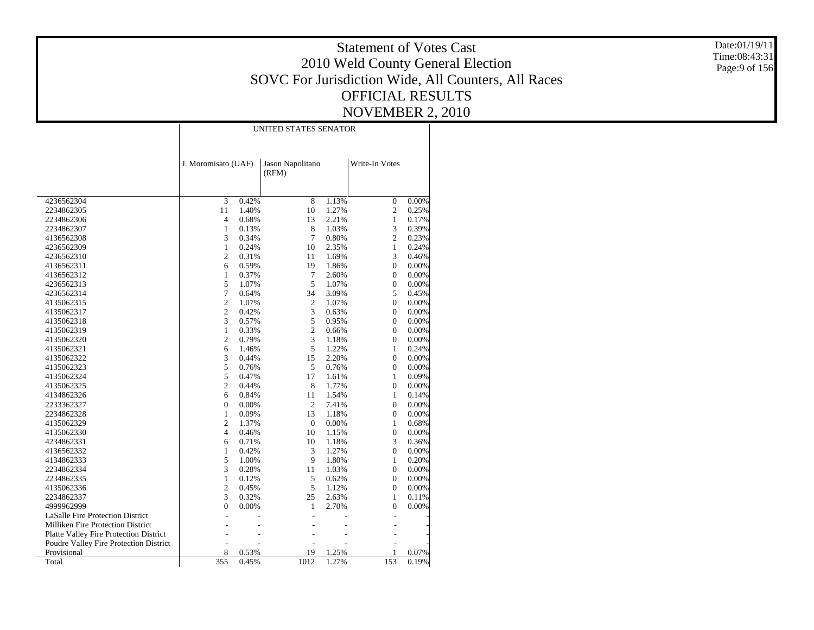Date:01/19/11 Time:08:43:31 Page:9 of 156

|                                        |                     |       | UNITED STATES SENATOR     |       |                  |          |
|----------------------------------------|---------------------|-------|---------------------------|-------|------------------|----------|
|                                        |                     |       |                           |       |                  |          |
|                                        | J. Moromisato (UAF) |       | Jason Napolitano<br>(RFM) |       | Write-In Votes   |          |
| 4236562304                             | 3                   | 0.42% | $\overline{8}$            | 1.13% | 0                | 0.00%    |
| 2234862305                             | 11                  | 1.40% | 10                        | 1.27% | $\overline{c}$   | 0.25%    |
| 2234862306                             | 4                   | 0.68% | 13                        | 2.21% | 1                | 0.17%    |
| 2234862307                             | $\mathbf{1}$        | 0.13% | 8                         | 1.03% | 3                | 0.39%    |
| 4136562308                             | 3                   | 0.34% | 7                         | 0.80% | $\overline{c}$   | 0.23%    |
| 4236562309                             | $1\,$               | 0.24% | 10                        | 2.35% | $\mathbf{1}$     | 0.24%    |
| 4236562310                             | $\overline{c}$      | 0.31% | 11                        | 1.69% | 3                | 0.46%    |
| 4136562311                             | 6                   | 0.59% | 19                        | 1.86% | $\overline{0}$   | 0.00%    |
| 4136562312                             | 1                   | 0.37% | 7                         | 2.60% | 0                | 0.00%    |
| 4236562313                             | 5                   | 1.07% | 5                         | 1.07% | $\overline{0}$   | 0.00%    |
| 4236562314                             | 7                   | 0.64% | 34                        | 3.09% | 5                | 0.45%    |
| 4135062315                             | $\mathbf{2}$        | 1.07% | $\overline{2}$            | 1.07% | 0                | 0.00%    |
| 4135062317                             | $\overline{c}$      | 0.42% | 3                         | 0.63% | 0                | 0.00%    |
| 4135062318                             | 3                   | 0.57% | 5                         | 0.95% | 0                | 0.00%    |
| 4135062319                             | $\mathbf{1}$        | 0.33% | $\overline{c}$            | 0.66% | 0                | 0.00%    |
| 4135062320                             | $\overline{c}$      | 0.79% | 3                         | 1.18% | $\boldsymbol{0}$ | 0.00%    |
| 4135062321                             | 6                   | 1.46% | 5                         | 1.22% | 1                | 0.24%    |
| 4135062322                             | 3                   | 0.44% | 15                        | 2.20% | $\boldsymbol{0}$ | 0.00%    |
| 4135062323                             | 5                   | 0.76% | 5                         | 0.76% | 0                | 0.00%    |
| 4135062324                             | 5                   | 0.47% | 17                        | 1.61% | 1                | 0.09%    |
| 4135062325                             | $\overline{c}$      | 0.44% | 8                         | 1.77% | $\overline{0}$   | 0.00%    |
| 4134862326                             | 6                   | 0.84% | 11                        | 1.54% | 1                | 0.14%    |
| 2233362327                             | $\mathbf{0}$        | 0.00% | $\overline{2}$            | 7.41% | 0                | 0.00%    |
| 2234862328                             | 1                   | 0.09% | 13                        | 1.18% | 0                | 0.00%    |
| 4135062329                             | $\mathfrak{2}$      | 1.37% | $\mathbf{0}$              | 0.00% | 1                | 0.68%    |
| 4135062330                             | 4                   | 0.46% | 10                        | 1.15% | 0                | $0.00\%$ |
| 4234862331                             | 6                   | 0.71% | 10                        | 1.18% | 3                | 0.36%    |
| 4136562332                             | $\mathbf{1}$        | 0.42% | 3                         | 1.27% | $\overline{0}$   | 0.00%    |
| 4134862333                             | 5                   | 1.00% | 9                         | 1.80% | $\mathbf{1}$     | 0.20%    |
| 2234862334                             | 3                   | 0.28% | 11                        | 1.03% | $\boldsymbol{0}$ | 0.00%    |
| 2234862335                             | $\mathbf{1}$        | 0.12% | 5                         | 0.62% | 0                | 0.00%    |
| 4135062336                             | $\overline{c}$      | 0.45% | 5                         | 1.12% | 0                | 0.00%    |
| 2234862337                             | 3                   | 0.32% | 25                        | 2.63% | 1                | 0.11%    |
| 4999962999                             | $\boldsymbol{0}$    | 0.00% | 1                         | 2.70% | 0                | 0.00%    |
| LaSalle Fire Protection District       |                     |       |                           |       |                  |          |
| Milliken Fire Protection District      |                     |       |                           |       |                  |          |
| Platte Valley Fire Protection District |                     |       |                           |       |                  |          |
| Poudre Valley Fire Protection District |                     |       |                           |       |                  |          |
| Provisional                            | 8                   | 0.53% | 19                        | 1.25% | 1                | 0.07%    |
| Total                                  | 355                 | 0.45% | 1012                      | 1.27% | 153              | 0.19%    |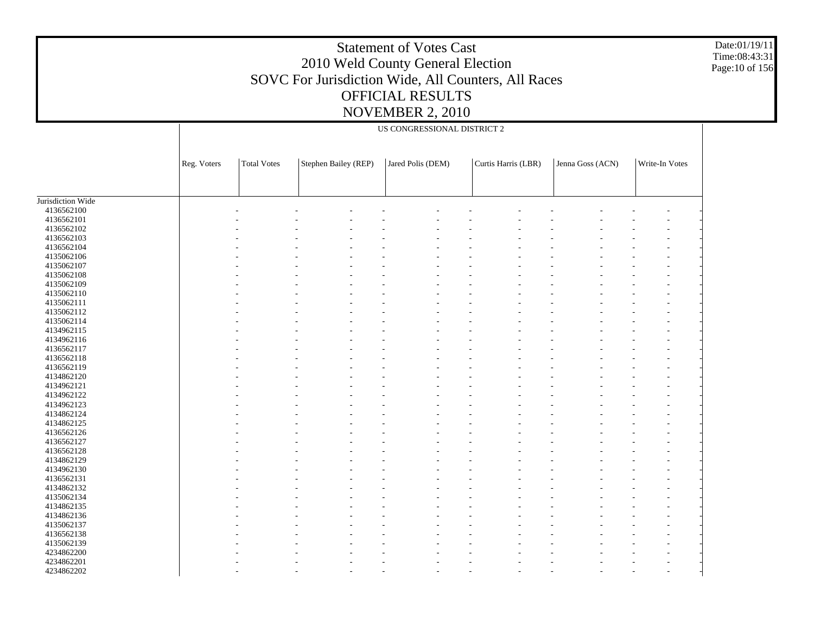Date:01/19/11 Time:08:43:31 Page:10 of 156

|                   |             |                    |                      | US CONGRESSIONAL DISTRICT 2 |                     |                  |                |
|-------------------|-------------|--------------------|----------------------|-----------------------------|---------------------|------------------|----------------|
|                   | Reg. Voters | <b>Total Votes</b> | Stephen Bailey (REP) | Jared Polis (DEM)           | Curtis Harris (LBR) | Jenna Goss (ACN) | Write-In Votes |
|                   |             |                    |                      |                             |                     |                  |                |
|                   |             |                    |                      |                             |                     |                  |                |
| Jurisdiction Wide |             |                    |                      |                             |                     |                  |                |
| 4136562100        |             |                    |                      |                             |                     |                  |                |
| 4136562101        |             |                    |                      |                             |                     |                  |                |
| 4136562102        |             |                    |                      |                             |                     |                  |                |
| 4136562103        |             |                    |                      |                             |                     |                  |                |
| 4136562104        |             |                    |                      |                             |                     |                  |                |
| 4135062106        |             |                    |                      |                             |                     |                  |                |
| 4135062107        |             |                    |                      |                             |                     |                  |                |
| 4135062108        |             |                    |                      |                             |                     |                  |                |
| 4135062109        |             |                    |                      |                             |                     |                  |                |
| 4135062110        |             |                    |                      |                             |                     |                  |                |
|                   |             |                    |                      |                             |                     |                  |                |
| 4135062111        |             |                    |                      |                             |                     |                  |                |
| 4135062112        |             |                    |                      |                             |                     |                  |                |
| 4135062114        |             |                    |                      |                             |                     |                  |                |
| 4134962115        |             |                    |                      |                             |                     |                  |                |
| 4134962116        |             |                    |                      |                             |                     |                  |                |
| 4136562117        |             |                    |                      |                             |                     |                  |                |
| 4136562118        |             |                    |                      |                             |                     |                  |                |
| 4136562119        |             |                    |                      |                             |                     |                  |                |
| 4134862120        |             |                    |                      |                             |                     |                  |                |
| 4134962121        |             |                    |                      |                             |                     |                  |                |
| 4134962122        |             |                    |                      |                             |                     |                  |                |
| 4134962123        |             |                    |                      |                             |                     |                  |                |
| 4134862124        |             |                    |                      |                             |                     |                  |                |
| 4134862125        |             |                    |                      |                             |                     |                  |                |
| 4136562126        |             |                    |                      |                             |                     |                  |                |
| 4136562127        |             |                    |                      |                             |                     |                  |                |
| 4136562128        |             |                    |                      |                             |                     |                  |                |
| 4134862129        |             |                    |                      |                             |                     |                  |                |
| 4134962130        |             |                    |                      |                             |                     |                  |                |
| 4136562131        |             |                    |                      |                             |                     |                  |                |
| 4134862132        |             |                    |                      |                             |                     |                  |                |
| 4135062134        |             |                    |                      |                             |                     |                  |                |
| 4134862135        |             |                    |                      |                             |                     |                  |                |
| 4134862136        |             |                    |                      |                             |                     |                  |                |
| 4135062137        |             |                    |                      |                             |                     |                  |                |
| 4136562138        |             |                    |                      |                             |                     |                  |                |
| 4135062139        |             |                    |                      |                             |                     |                  |                |
| 4234862200        |             |                    |                      |                             |                     |                  |                |
| 4234862201        |             |                    |                      |                             |                     |                  |                |
| 4234862202        |             |                    |                      |                             |                     |                  |                |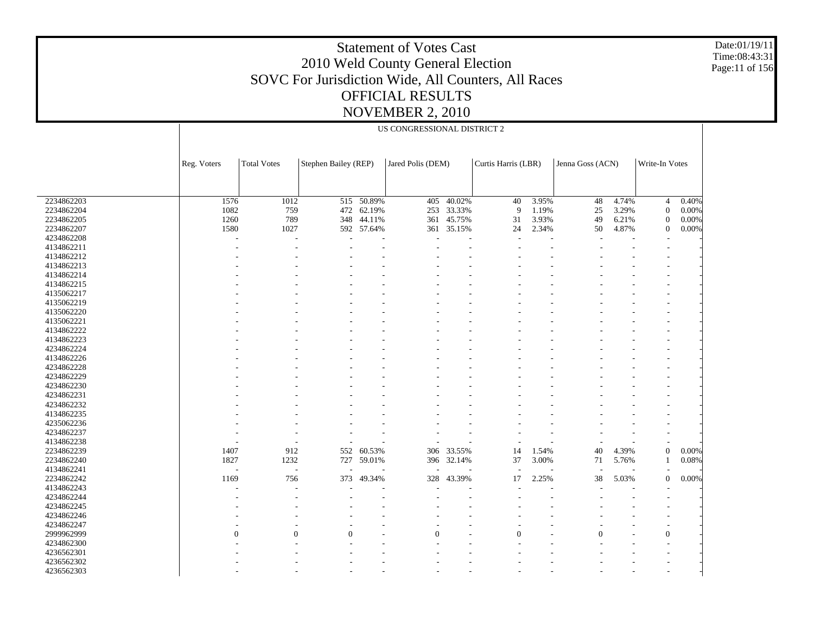Date:01/19/11 Time:08:43:31 Page:11 of 156

|            |                | US CONGRESSIONAL DISTRICT 2 |                      |                   |          |                     |          |                  |    |                |                   |       |  |
|------------|----------------|-----------------------------|----------------------|-------------------|----------|---------------------|----------|------------------|----|----------------|-------------------|-------|--|
|            | Reg. Voters    | <b>Total Votes</b>          | Stephen Bailey (REP) | Jared Polis (DEM) |          | Curtis Harris (LBR) |          | Jenna Goss (ACN) |    | Write-In Votes |                   |       |  |
|            |                |                             |                      |                   |          |                     |          |                  |    |                |                   |       |  |
| 2234862203 | 1576           | 1012                        |                      | 515 50.89%        | 405      | $-40.02%$           | 40       | 3.95%            | 48 | 4.74%          | $\overline{4}$    | 0.40% |  |
| 2234862204 | 1082           | 759                         |                      | 472 62.19%        | 253      | 33.33%              | 9        | 1.19%            | 25 | 3.29%          | $\theta$          | 0.00% |  |
| 2234862205 | 1260           | 789                         | 348                  | 44.11%            | 361      | 45.75%              | 31       | 3.93%            | 49 | 6.21%          | $\theta$          | 0.00% |  |
| 2234862207 | 1580           | 1027                        |                      | 592 57.64%        |          | 361 35.15%          | 24       | 2.34%            | 50 | 4.87%          | $\Omega$          | 0.00% |  |
| 4234862208 |                | $\overline{\phantom{a}}$    |                      |                   |          |                     |          |                  |    |                |                   |       |  |
| 4134862211 |                |                             |                      |                   |          |                     |          |                  |    |                |                   |       |  |
| 4134862212 |                |                             |                      |                   |          |                     |          |                  |    |                |                   |       |  |
| 4134862213 |                |                             |                      |                   |          |                     |          |                  |    |                |                   |       |  |
| 4134862214 |                |                             |                      |                   |          |                     |          |                  |    |                |                   |       |  |
| 4134862215 |                |                             |                      |                   |          |                     |          |                  |    |                |                   |       |  |
| 4135062217 |                |                             |                      |                   |          |                     |          |                  |    |                |                   |       |  |
| 4135062219 |                |                             |                      |                   |          |                     |          |                  |    |                |                   |       |  |
| 4135062220 |                |                             |                      |                   |          |                     |          |                  |    |                |                   |       |  |
| 4135062221 |                |                             |                      |                   |          |                     |          |                  |    |                |                   |       |  |
| 4134862222 |                |                             |                      |                   |          |                     |          |                  |    |                |                   |       |  |
| 4134862223 |                |                             |                      |                   |          |                     |          |                  |    |                |                   |       |  |
| 4234862224 |                |                             |                      |                   |          |                     |          |                  |    |                |                   |       |  |
|            |                |                             |                      |                   |          |                     |          |                  |    |                |                   |       |  |
| 4134862226 |                |                             |                      |                   |          |                     |          |                  |    |                |                   |       |  |
| 4234862228 |                |                             |                      |                   |          |                     |          |                  |    |                | $\qquad \qquad -$ |       |  |
| 4234862229 |                |                             |                      |                   |          |                     |          |                  |    |                |                   |       |  |
| 4234862230 |                |                             |                      |                   |          |                     |          |                  |    |                |                   |       |  |
| 4234862231 |                |                             |                      |                   |          |                     |          |                  |    |                |                   |       |  |
| 4234862232 |                |                             |                      |                   |          |                     |          |                  |    |                |                   |       |  |
| 4134862235 |                |                             |                      |                   |          |                     |          |                  |    |                |                   |       |  |
| 4235062236 |                |                             |                      |                   |          |                     |          |                  |    |                |                   |       |  |
| 4234862237 |                |                             |                      |                   |          |                     |          |                  |    |                | $\overline{a}$    |       |  |
| 4134862238 |                |                             |                      |                   |          |                     |          |                  |    |                | ÷,                |       |  |
| 2234862239 | 1407           | 912                         | 552                  | 60.53%            | 306      | 33.55%              | 14       | 1.54%            | 40 | 4.39%          | $\boldsymbol{0}$  | 0.00% |  |
| 2234862240 | 1827           | 1232                        | 727                  | 59.01%            | 396      | 32.14%              | 37       | 3.00%            | 71 | 5.76%          |                   | 0.08% |  |
| 4134862241 | Ĭ.             |                             |                      |                   |          |                     |          |                  |    |                |                   |       |  |
| 2234862242 | 1169           | 756                         | 373                  | 49.34%            | 328      | 43.39%              | 17       | 2.25%            | 38 | 5.03%          | $\overline{0}$    | 0.00% |  |
| 4134862243 |                |                             |                      |                   |          |                     |          |                  |    |                |                   |       |  |
| 4234862244 |                |                             |                      |                   |          |                     |          |                  |    |                |                   |       |  |
| 4234862245 |                |                             |                      |                   |          |                     |          |                  |    |                | $\qquad \qquad -$ |       |  |
| 4234862246 |                |                             |                      |                   |          |                     |          |                  |    |                |                   |       |  |
| 4234862247 |                |                             |                      |                   |          |                     |          |                  |    |                | ٠                 |       |  |
| 2999962999 | $\overline{0}$ | $\Omega$                    | $\Omega$             |                   | $\Omega$ |                     | $\theta$ |                  |    |                | $\boldsymbol{0}$  |       |  |
| 4234862300 |                |                             |                      |                   |          |                     |          |                  |    |                |                   |       |  |
| 4236562301 |                |                             |                      |                   |          |                     |          |                  |    |                |                   |       |  |
|            |                |                             |                      |                   |          |                     |          |                  |    |                |                   |       |  |
| 4236562302 |                |                             |                      |                   |          |                     |          |                  |    |                |                   |       |  |
| 4236562303 |                |                             |                      |                   |          |                     |          |                  |    |                |                   |       |  |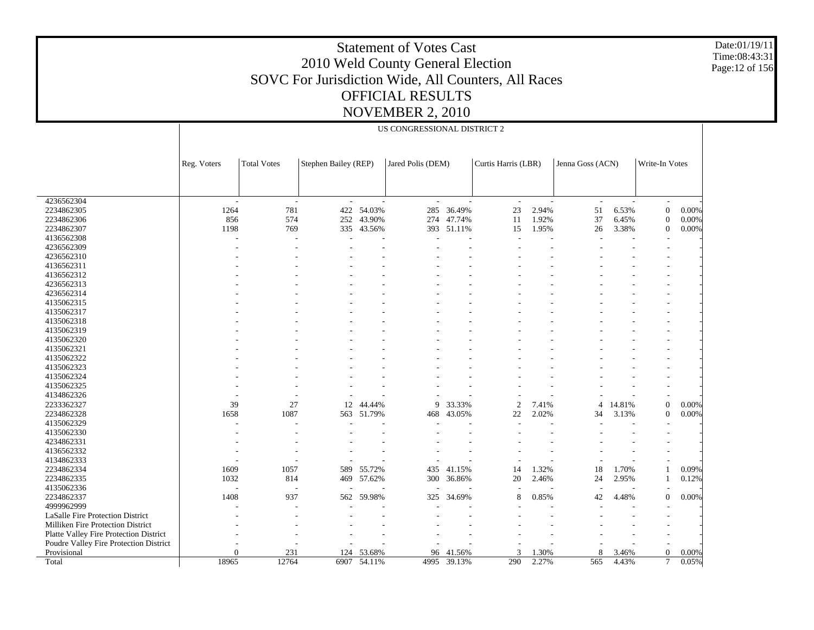Date:01/19/11 Time:08:43:31 Page:12 of 156

| <b>Total Votes</b><br>Stephen Bailey (REP)<br>Jared Polis (DEM)<br>Curtis Harris (LBR)<br>Jenna Goss (ACN)<br>Write-In Votes<br>Reg. Voters<br>4236562304<br>÷<br>$\sim$<br>$\overline{\phantom{a}}$<br>285<br>2234862305<br>1264<br>781<br>422 54.03%<br>36.49%<br>23<br>2.94%<br>51<br>6.53%<br>$\overline{0}$<br>0.00%<br>574<br>2234862306<br>856<br>43.90%<br>47.74%<br>1.92%<br>37<br>6.45%<br>0.00%<br>252<br>274<br>11<br>$\boldsymbol{0}$<br>1198<br>51.11%<br>2234862307<br>769<br>335 43.56%<br>393<br>15<br>1.95%<br>26<br>3.38%<br>$\overline{0}$<br>0.00%<br>4136562308<br>4236562309<br>4236562310<br>4136562311<br>4136562312<br>4236562313<br>4236562314<br>4135062315<br>4135062317<br>4135062318<br>4135062319<br>4135062320<br>4135062321<br>4135062322<br>4135062323<br>4135062324<br>4135062325<br>4134862326<br>2233362327<br>39<br>27<br>$\mathbf{0}$<br>0.00%<br>12<br>44.44%<br>9<br>33.33%<br>2<br>7.41%<br>14.81%<br>4<br>2234862328<br>1658<br>1087<br>51.79%<br>43.05%<br>22<br>2.02%<br>34<br>3.13%<br>0.00%<br>563<br>468<br>$\theta$<br>4135062329<br>4135062330<br>4234862331<br>4136562332<br>4134862333<br>2234862334<br>1609<br>589 55.72%<br>18<br>0.09%<br>1057<br>435 41.15%<br>14<br>1.32%<br>1.70%<br>2234862335<br>1032<br>20<br>0.12%<br>814<br>469<br>57.62%<br>300<br>36.86%<br>2.46%<br>24<br>2.95%<br>1<br>4135062336<br>2234862337<br>1408<br>937<br>59.98%<br>34.69%<br>0.85%<br>4.48%<br>$\Omega$<br>0.00%<br>562<br>325<br>8<br>42<br>4999962999<br>LaSalle Fire Protection District<br>Milliken Fire Protection District<br>Platte Valley Fire Protection District<br>Poudre Valley Fire Protection District<br>231<br>53.68%<br>1.30%<br>$\theta$<br>Provisional<br>0<br>124<br>96<br>41.56%<br>3<br>3.46%<br>0.00%<br>8<br>18965<br>12764<br>39.13%<br>6907 54.11%<br>4995<br>290<br>2.27%<br>565<br>4.43%<br>7<br>0.05%<br>Total |  |  | US CONGRESSIONAL DISTRICT 2 |  |  |  |  |  |  |
|------------------------------------------------------------------------------------------------------------------------------------------------------------------------------------------------------------------------------------------------------------------------------------------------------------------------------------------------------------------------------------------------------------------------------------------------------------------------------------------------------------------------------------------------------------------------------------------------------------------------------------------------------------------------------------------------------------------------------------------------------------------------------------------------------------------------------------------------------------------------------------------------------------------------------------------------------------------------------------------------------------------------------------------------------------------------------------------------------------------------------------------------------------------------------------------------------------------------------------------------------------------------------------------------------------------------------------------------------------------------------------------------------------------------------------------------------------------------------------------------------------------------------------------------------------------------------------------------------------------------------------------------------------------------------------------------------------------------------------------------------------------------------------------------------------------------------------------------------------------------------------------|--|--|-----------------------------|--|--|--|--|--|--|
|                                                                                                                                                                                                                                                                                                                                                                                                                                                                                                                                                                                                                                                                                                                                                                                                                                                                                                                                                                                                                                                                                                                                                                                                                                                                                                                                                                                                                                                                                                                                                                                                                                                                                                                                                                                                                                                                                          |  |  |                             |  |  |  |  |  |  |
|                                                                                                                                                                                                                                                                                                                                                                                                                                                                                                                                                                                                                                                                                                                                                                                                                                                                                                                                                                                                                                                                                                                                                                                                                                                                                                                                                                                                                                                                                                                                                                                                                                                                                                                                                                                                                                                                                          |  |  |                             |  |  |  |  |  |  |
|                                                                                                                                                                                                                                                                                                                                                                                                                                                                                                                                                                                                                                                                                                                                                                                                                                                                                                                                                                                                                                                                                                                                                                                                                                                                                                                                                                                                                                                                                                                                                                                                                                                                                                                                                                                                                                                                                          |  |  |                             |  |  |  |  |  |  |
|                                                                                                                                                                                                                                                                                                                                                                                                                                                                                                                                                                                                                                                                                                                                                                                                                                                                                                                                                                                                                                                                                                                                                                                                                                                                                                                                                                                                                                                                                                                                                                                                                                                                                                                                                                                                                                                                                          |  |  |                             |  |  |  |  |  |  |
|                                                                                                                                                                                                                                                                                                                                                                                                                                                                                                                                                                                                                                                                                                                                                                                                                                                                                                                                                                                                                                                                                                                                                                                                                                                                                                                                                                                                                                                                                                                                                                                                                                                                                                                                                                                                                                                                                          |  |  |                             |  |  |  |  |  |  |
|                                                                                                                                                                                                                                                                                                                                                                                                                                                                                                                                                                                                                                                                                                                                                                                                                                                                                                                                                                                                                                                                                                                                                                                                                                                                                                                                                                                                                                                                                                                                                                                                                                                                                                                                                                                                                                                                                          |  |  |                             |  |  |  |  |  |  |
|                                                                                                                                                                                                                                                                                                                                                                                                                                                                                                                                                                                                                                                                                                                                                                                                                                                                                                                                                                                                                                                                                                                                                                                                                                                                                                                                                                                                                                                                                                                                                                                                                                                                                                                                                                                                                                                                                          |  |  |                             |  |  |  |  |  |  |
|                                                                                                                                                                                                                                                                                                                                                                                                                                                                                                                                                                                                                                                                                                                                                                                                                                                                                                                                                                                                                                                                                                                                                                                                                                                                                                                                                                                                                                                                                                                                                                                                                                                                                                                                                                                                                                                                                          |  |  |                             |  |  |  |  |  |  |
|                                                                                                                                                                                                                                                                                                                                                                                                                                                                                                                                                                                                                                                                                                                                                                                                                                                                                                                                                                                                                                                                                                                                                                                                                                                                                                                                                                                                                                                                                                                                                                                                                                                                                                                                                                                                                                                                                          |  |  |                             |  |  |  |  |  |  |
|                                                                                                                                                                                                                                                                                                                                                                                                                                                                                                                                                                                                                                                                                                                                                                                                                                                                                                                                                                                                                                                                                                                                                                                                                                                                                                                                                                                                                                                                                                                                                                                                                                                                                                                                                                                                                                                                                          |  |  |                             |  |  |  |  |  |  |
|                                                                                                                                                                                                                                                                                                                                                                                                                                                                                                                                                                                                                                                                                                                                                                                                                                                                                                                                                                                                                                                                                                                                                                                                                                                                                                                                                                                                                                                                                                                                                                                                                                                                                                                                                                                                                                                                                          |  |  |                             |  |  |  |  |  |  |
|                                                                                                                                                                                                                                                                                                                                                                                                                                                                                                                                                                                                                                                                                                                                                                                                                                                                                                                                                                                                                                                                                                                                                                                                                                                                                                                                                                                                                                                                                                                                                                                                                                                                                                                                                                                                                                                                                          |  |  |                             |  |  |  |  |  |  |
|                                                                                                                                                                                                                                                                                                                                                                                                                                                                                                                                                                                                                                                                                                                                                                                                                                                                                                                                                                                                                                                                                                                                                                                                                                                                                                                                                                                                                                                                                                                                                                                                                                                                                                                                                                                                                                                                                          |  |  |                             |  |  |  |  |  |  |
|                                                                                                                                                                                                                                                                                                                                                                                                                                                                                                                                                                                                                                                                                                                                                                                                                                                                                                                                                                                                                                                                                                                                                                                                                                                                                                                                                                                                                                                                                                                                                                                                                                                                                                                                                                                                                                                                                          |  |  |                             |  |  |  |  |  |  |
|                                                                                                                                                                                                                                                                                                                                                                                                                                                                                                                                                                                                                                                                                                                                                                                                                                                                                                                                                                                                                                                                                                                                                                                                                                                                                                                                                                                                                                                                                                                                                                                                                                                                                                                                                                                                                                                                                          |  |  |                             |  |  |  |  |  |  |
|                                                                                                                                                                                                                                                                                                                                                                                                                                                                                                                                                                                                                                                                                                                                                                                                                                                                                                                                                                                                                                                                                                                                                                                                                                                                                                                                                                                                                                                                                                                                                                                                                                                                                                                                                                                                                                                                                          |  |  |                             |  |  |  |  |  |  |
|                                                                                                                                                                                                                                                                                                                                                                                                                                                                                                                                                                                                                                                                                                                                                                                                                                                                                                                                                                                                                                                                                                                                                                                                                                                                                                                                                                                                                                                                                                                                                                                                                                                                                                                                                                                                                                                                                          |  |  |                             |  |  |  |  |  |  |
|                                                                                                                                                                                                                                                                                                                                                                                                                                                                                                                                                                                                                                                                                                                                                                                                                                                                                                                                                                                                                                                                                                                                                                                                                                                                                                                                                                                                                                                                                                                                                                                                                                                                                                                                                                                                                                                                                          |  |  |                             |  |  |  |  |  |  |
|                                                                                                                                                                                                                                                                                                                                                                                                                                                                                                                                                                                                                                                                                                                                                                                                                                                                                                                                                                                                                                                                                                                                                                                                                                                                                                                                                                                                                                                                                                                                                                                                                                                                                                                                                                                                                                                                                          |  |  |                             |  |  |  |  |  |  |
|                                                                                                                                                                                                                                                                                                                                                                                                                                                                                                                                                                                                                                                                                                                                                                                                                                                                                                                                                                                                                                                                                                                                                                                                                                                                                                                                                                                                                                                                                                                                                                                                                                                                                                                                                                                                                                                                                          |  |  |                             |  |  |  |  |  |  |
|                                                                                                                                                                                                                                                                                                                                                                                                                                                                                                                                                                                                                                                                                                                                                                                                                                                                                                                                                                                                                                                                                                                                                                                                                                                                                                                                                                                                                                                                                                                                                                                                                                                                                                                                                                                                                                                                                          |  |  |                             |  |  |  |  |  |  |
|                                                                                                                                                                                                                                                                                                                                                                                                                                                                                                                                                                                                                                                                                                                                                                                                                                                                                                                                                                                                                                                                                                                                                                                                                                                                                                                                                                                                                                                                                                                                                                                                                                                                                                                                                                                                                                                                                          |  |  |                             |  |  |  |  |  |  |
|                                                                                                                                                                                                                                                                                                                                                                                                                                                                                                                                                                                                                                                                                                                                                                                                                                                                                                                                                                                                                                                                                                                                                                                                                                                                                                                                                                                                                                                                                                                                                                                                                                                                                                                                                                                                                                                                                          |  |  |                             |  |  |  |  |  |  |
|                                                                                                                                                                                                                                                                                                                                                                                                                                                                                                                                                                                                                                                                                                                                                                                                                                                                                                                                                                                                                                                                                                                                                                                                                                                                                                                                                                                                                                                                                                                                                                                                                                                                                                                                                                                                                                                                                          |  |  |                             |  |  |  |  |  |  |
|                                                                                                                                                                                                                                                                                                                                                                                                                                                                                                                                                                                                                                                                                                                                                                                                                                                                                                                                                                                                                                                                                                                                                                                                                                                                                                                                                                                                                                                                                                                                                                                                                                                                                                                                                                                                                                                                                          |  |  |                             |  |  |  |  |  |  |
|                                                                                                                                                                                                                                                                                                                                                                                                                                                                                                                                                                                                                                                                                                                                                                                                                                                                                                                                                                                                                                                                                                                                                                                                                                                                                                                                                                                                                                                                                                                                                                                                                                                                                                                                                                                                                                                                                          |  |  |                             |  |  |  |  |  |  |
|                                                                                                                                                                                                                                                                                                                                                                                                                                                                                                                                                                                                                                                                                                                                                                                                                                                                                                                                                                                                                                                                                                                                                                                                                                                                                                                                                                                                                                                                                                                                                                                                                                                                                                                                                                                                                                                                                          |  |  |                             |  |  |  |  |  |  |
|                                                                                                                                                                                                                                                                                                                                                                                                                                                                                                                                                                                                                                                                                                                                                                                                                                                                                                                                                                                                                                                                                                                                                                                                                                                                                                                                                                                                                                                                                                                                                                                                                                                                                                                                                                                                                                                                                          |  |  |                             |  |  |  |  |  |  |
|                                                                                                                                                                                                                                                                                                                                                                                                                                                                                                                                                                                                                                                                                                                                                                                                                                                                                                                                                                                                                                                                                                                                                                                                                                                                                                                                                                                                                                                                                                                                                                                                                                                                                                                                                                                                                                                                                          |  |  |                             |  |  |  |  |  |  |
|                                                                                                                                                                                                                                                                                                                                                                                                                                                                                                                                                                                                                                                                                                                                                                                                                                                                                                                                                                                                                                                                                                                                                                                                                                                                                                                                                                                                                                                                                                                                                                                                                                                                                                                                                                                                                                                                                          |  |  |                             |  |  |  |  |  |  |
|                                                                                                                                                                                                                                                                                                                                                                                                                                                                                                                                                                                                                                                                                                                                                                                                                                                                                                                                                                                                                                                                                                                                                                                                                                                                                                                                                                                                                                                                                                                                                                                                                                                                                                                                                                                                                                                                                          |  |  |                             |  |  |  |  |  |  |
|                                                                                                                                                                                                                                                                                                                                                                                                                                                                                                                                                                                                                                                                                                                                                                                                                                                                                                                                                                                                                                                                                                                                                                                                                                                                                                                                                                                                                                                                                                                                                                                                                                                                                                                                                                                                                                                                                          |  |  |                             |  |  |  |  |  |  |
|                                                                                                                                                                                                                                                                                                                                                                                                                                                                                                                                                                                                                                                                                                                                                                                                                                                                                                                                                                                                                                                                                                                                                                                                                                                                                                                                                                                                                                                                                                                                                                                                                                                                                                                                                                                                                                                                                          |  |  |                             |  |  |  |  |  |  |
|                                                                                                                                                                                                                                                                                                                                                                                                                                                                                                                                                                                                                                                                                                                                                                                                                                                                                                                                                                                                                                                                                                                                                                                                                                                                                                                                                                                                                                                                                                                                                                                                                                                                                                                                                                                                                                                                                          |  |  |                             |  |  |  |  |  |  |
|                                                                                                                                                                                                                                                                                                                                                                                                                                                                                                                                                                                                                                                                                                                                                                                                                                                                                                                                                                                                                                                                                                                                                                                                                                                                                                                                                                                                                                                                                                                                                                                                                                                                                                                                                                                                                                                                                          |  |  |                             |  |  |  |  |  |  |
|                                                                                                                                                                                                                                                                                                                                                                                                                                                                                                                                                                                                                                                                                                                                                                                                                                                                                                                                                                                                                                                                                                                                                                                                                                                                                                                                                                                                                                                                                                                                                                                                                                                                                                                                                                                                                                                                                          |  |  |                             |  |  |  |  |  |  |
|                                                                                                                                                                                                                                                                                                                                                                                                                                                                                                                                                                                                                                                                                                                                                                                                                                                                                                                                                                                                                                                                                                                                                                                                                                                                                                                                                                                                                                                                                                                                                                                                                                                                                                                                                                                                                                                                                          |  |  |                             |  |  |  |  |  |  |
|                                                                                                                                                                                                                                                                                                                                                                                                                                                                                                                                                                                                                                                                                                                                                                                                                                                                                                                                                                                                                                                                                                                                                                                                                                                                                                                                                                                                                                                                                                                                                                                                                                                                                                                                                                                                                                                                                          |  |  |                             |  |  |  |  |  |  |
|                                                                                                                                                                                                                                                                                                                                                                                                                                                                                                                                                                                                                                                                                                                                                                                                                                                                                                                                                                                                                                                                                                                                                                                                                                                                                                                                                                                                                                                                                                                                                                                                                                                                                                                                                                                                                                                                                          |  |  |                             |  |  |  |  |  |  |
|                                                                                                                                                                                                                                                                                                                                                                                                                                                                                                                                                                                                                                                                                                                                                                                                                                                                                                                                                                                                                                                                                                                                                                                                                                                                                                                                                                                                                                                                                                                                                                                                                                                                                                                                                                                                                                                                                          |  |  |                             |  |  |  |  |  |  |
|                                                                                                                                                                                                                                                                                                                                                                                                                                                                                                                                                                                                                                                                                                                                                                                                                                                                                                                                                                                                                                                                                                                                                                                                                                                                                                                                                                                                                                                                                                                                                                                                                                                                                                                                                                                                                                                                                          |  |  |                             |  |  |  |  |  |  |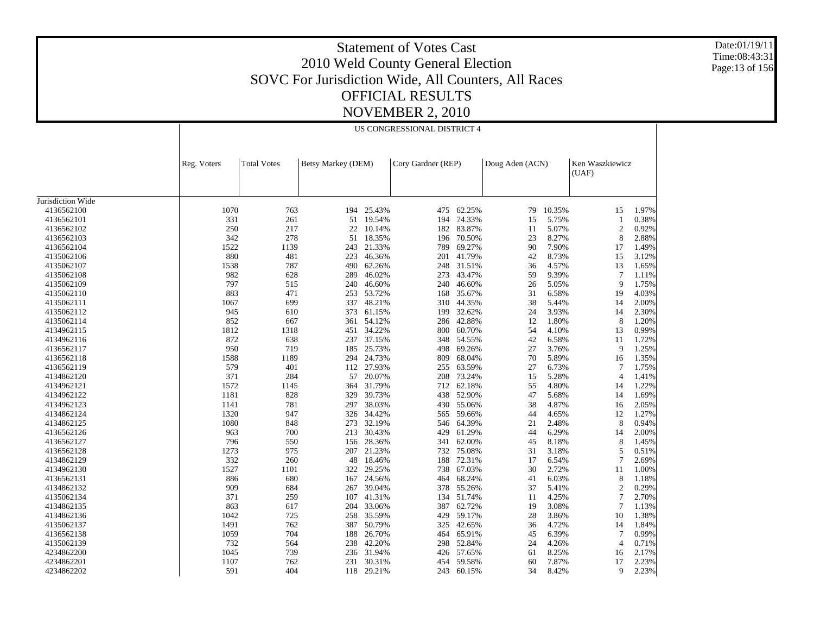Date:01/19/11 Time:08:43:31 Page:13 of 156

|                   |             |                    |                    |            | US CONGRESSIONAL DISTRICT 4 |            |                 |        |                          |       |
|-------------------|-------------|--------------------|--------------------|------------|-----------------------------|------------|-----------------|--------|--------------------------|-------|
|                   | Reg. Voters | <b>Total Votes</b> | Betsy Markey (DEM) |            | Cory Gardner (REP)          |            | Doug Aden (ACN) |        | Ken Waszkiewicz<br>(UAF) |       |
| Jurisdiction Wide |             |                    |                    |            |                             |            |                 |        |                          |       |
| 4136562100        | 1070        | 763                | 194                | 25.43%     | 475                         | 62.25%     | 79              | 10.35% | 15                       | 1.97% |
| 4136562101        | 331         | 261                | 51                 | 19.54%     | 194                         | 74.33%     | 15              | 5.75%  | $\mathbf{1}$             | 0.38% |
| 4136562102        | 250         | 217                | 22                 | 10.14%     | 182                         | 83.87%     | 11              | 5.07%  | $\mathfrak{2}$           | 0.92% |
| 4136562103        | 342         | 278                | 51                 | 18.35%     | 196                         | 70.50%     | 23              | 8.27%  | $\,$ 8 $\,$              | 2.88% |
| 4136562104        | 1522        | 1139               | 243                | 21.33%     | 789                         | 69.27%     | 90              | 7.90%  | 17                       | 1.49% |
| 4135062106        | 880         | 481                | 223                | 46.36%     | 201                         | 41.79%     | 42              | 8.73%  | 15                       | 3.12% |
| 4135062107        | 1538        | 787                | 490                | 62.26%     | 248                         | 31.51%     | 36              | 4.57%  | 13                       | 1.65% |
| 4135062108        | 982         | 628                | 289                | 46.02%     | 273                         | 43.47%     | 59              | 9.39%  | $7\phantom{.0}$          | 1.11% |
| 4135062109        | 797         | 515                | 240                | 46.60%     | 240                         | 46.60%     | 26              | 5.05%  | 9                        | 1.75% |
| 4135062110        | 883         | 471                | 253                | 53.72%     | 168                         | 35.67%     | 31              | 6.58%  | 19                       | 4.03% |
| 4135062111        | 1067        | 699                | 337                | 48.21%     | 310                         | 44.35%     | 38              | 5.44%  | 14                       | 2.00% |
| 4135062112        | 945         | 610                | 373                | 61.15%     | 199                         | 32.62%     | 24              | 3.93%  | 14                       | 2.30% |
| 4135062114        | 852         | 667                | 361                | 54.12%     | 286                         | 42.88%     | 12              | 1.80%  | 8                        | 1.20% |
| 4134962115        | 1812        | 1318               | 451                | 34.22%     | 800                         | 60.70%     | 54              | 4.10%  | 13                       | 0.99% |
| 4134962116        | 872         | 638                | 237                | 37.15%     | 348                         | 54.55%     | 42              | 6.58%  | 11                       | 1.72% |
| 4136562117        | 950         | 719                | 185                | 25.73%     | 498                         | 69.26%     | 27              | 3.76%  | 9                        | 1.25% |
| 4136562118        | 1588        | 1189               | 294                | 24.73%     | 809                         | 68.04%     | 70              | 5.89%  | 16                       | 1.35% |
| 4136562119        | 579         | 401                | 112                | 27.93%     | 255                         | 63.59%     | 27              | 6.73%  | 7                        | 1.75% |
| 4134862120        | 371         | 284                | 57                 | 20.07%     | 208                         | 73.24%     | 15              | 5.28%  | $\overline{4}$           | 1.41% |
| 4134962121        | 1572        | 1145               | 364                | 31.79%     | 712                         | 62.18%     | 55              | 4.80%  | 14                       | 1.22% |
| 4134962122        | 1181        | 828                | 329                | 39.73%     | 438                         | 52.90%     | 47              | 5.68%  | 14                       | 1.69% |
| 4134962123        | 1141        | 781                | 297                | 38.03%     | 430                         | 55.06%     | 38              | 4.87%  | 16                       | 2.05% |
| 4134862124        | 1320        | 947                | 326                | 34.42%     | 565                         | 59.66%     | 44              | 4.65%  | 12                       | 1.27% |
| 4134862125        | 1080        | 848                |                    | 273 32.19% | 546                         | 64.39%     | 21              | 2.48%  | 8                        | 0.94% |
| 4136562126        | 963         | 700                | 213                | 30.43%     | 429                         | 61.29%     | 44              | 6.29%  | 14                       | 2.00% |
| 4136562127        | 796         | 550                | 156                | 28.36%     | 341                         | 62.00%     | 45              | 8.18%  | 8                        | 1.45% |
| 4136562128        | 1273        | 975                | 207                | 21.23%     | 732                         | 75.08%     | 31              | 3.18%  | 5                        | 0.51% |
| 4134862129        | 332         | 260                | 48                 | 18.46%     | 188                         | 72.31%     | 17              | 6.54%  | 7                        | 2.69% |
| 4134962130        | 1527        | 1101               | 322                | 29.25%     | 738                         | 67.03%     | 30              | 2.72%  | 11                       | 1.00% |
| 4136562131        | 886         | 680                | 167                | 24.56%     | 464                         | 68.24%     | 41              | 6.03%  | 8                        | 1.18% |
| 4134862132        | 909         | 684                | 267                | 39.04%     | 378                         | 55.26%     | 37              | 5.41%  | $\mathfrak{2}$           | 0.29% |
| 4135062134        | 371         | 259                | 107                | 41.31%     | 134                         | 51.74%     | 11              | 4.25%  | $\overline{7}$           | 2.70% |
| 4134862135        | 863         | 617                | 204                | 33.06%     | 387                         | 62.72%     | 19              | 3.08%  | 7                        | 1.13% |
| 4134862136        | 1042        | 725                | 258                | 35.59%     | 429                         | 59.17%     | 28              | 3.86%  | 10                       | 1.38% |
| 4135062137        | 1491        | 762                | 387                | 50.79%     | 325                         | 42.65%     | 36              | 4.72%  | 14                       | 1.84% |
| 4136562138        | 1059        | 704                | 188                | 26.70%     | 464                         | 65.91%     | 45              | 6.39%  | 7                        | 0.99% |
| 4135062139        | 732         | 564                | 238                | 42.20%     | 298                         | 52.84%     | 24              | 4.26%  | $\overline{4}$           | 0.71% |
| 4234862200        | 1045        | 739                | 236                | 31.94%     | 426                         | 57.65%     | 61              | 8.25%  | 16                       | 2.17% |
| 4234862201        | 1107        | 762                | 231                | 30.31%     | 454                         | 59.58%     | 60              | 7.87%  | 17                       | 2.23% |
| 4234862202        | 591         | 404                |                    | 118 29.21% |                             | 243 60.15% | 34              | 8.42%  | 9                        | 2.23% |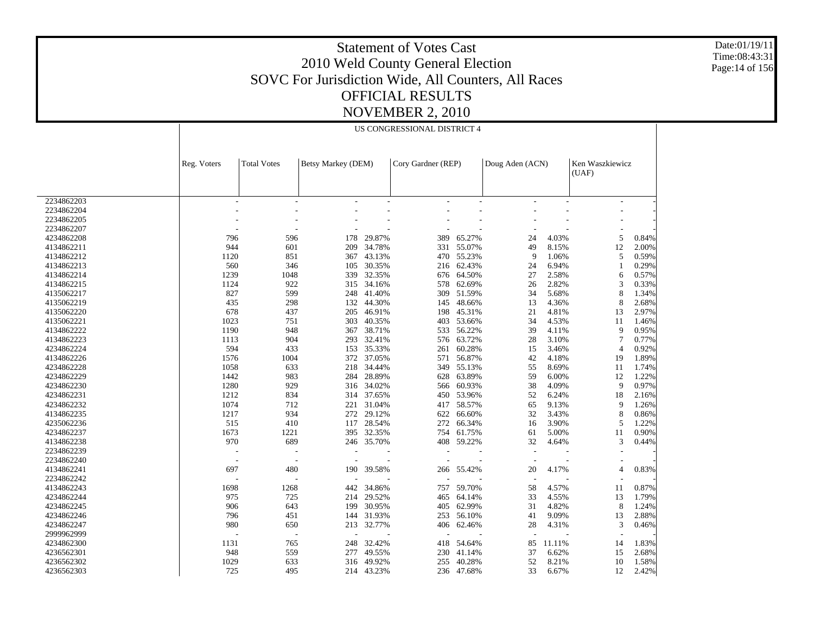Date:01/19/11 Time:08:43:31 Page:14 of 156

|            |                          |                          |                    |                          | US CONGRESSIONAL DISTRICT 4 |                          |                          |        |                          |       |
|------------|--------------------------|--------------------------|--------------------|--------------------------|-----------------------------|--------------------------|--------------------------|--------|--------------------------|-------|
|            | Reg. Voters              | <b>Total Votes</b>       | Betsy Markey (DEM) |                          | Cory Gardner (REP)          |                          | Doug Aden (ACN)          |        | Ken Waszkiewicz<br>(UAF) |       |
| 2234862203 | $\overline{\phantom{a}}$ | $\overline{\phantom{a}}$ |                    | $\overline{\phantom{a}}$ |                             | $\overline{\phantom{a}}$ |                          |        | $\overline{\phantom{a}}$ |       |
| 2234862204 |                          |                          |                    |                          |                             |                          |                          |        |                          |       |
| 2234862205 |                          |                          |                    |                          |                             |                          |                          |        |                          |       |
| 2234862207 |                          |                          |                    |                          |                             |                          |                          |        |                          |       |
| 4234862208 | 796                      | 596                      | 178                | 29.87%                   | 389                         | 65.27%                   | 24                       | 4.03%  | 5                        | 0.84% |
| 4134862211 | 944                      | 601                      | 209                | 34.78%                   | 331                         | 55.07%                   | 49                       | 8.15%  | 12                       | 2.00% |
| 4134862212 | 1120                     | 851                      | 367                | 43.13%                   | 470                         | 55.23%                   | 9                        | 1.06%  | 5                        | 0.59% |
| 4134862213 | 560                      | 346                      | 105                | 30.35%                   | 216                         | 62.43%                   | 24                       | 6.94%  | -1                       | 0.29% |
| 4134862214 | 1239                     | 1048                     | 339                | 32.35%                   | 676                         | 64.50%                   | 27                       | 2.58%  | 6                        | 0.57% |
| 4134862215 | 1124                     | 922                      | 315                | 34.16%                   | 578                         | 62.69%                   | 26                       | 2.82%  | 3                        | 0.33% |
| 4135062217 | 827                      | 599                      | 248                | 41.40%                   | 309                         | 51.59%                   | 34                       | 5.68%  | 8                        | 1.34% |
|            | 435                      | 298                      |                    | 44.30%                   |                             | 48.66%                   | 13                       | 4.36%  | 8                        | 2.68% |
| 4135062219 | 678                      |                          | 132                | 46.91%                   | 145                         | 45.31%                   | 21                       | 4.81%  |                          | 2.97% |
| 4135062220 |                          | 437                      | 205                |                          | 198                         |                          |                          |        | 13                       |       |
| 4135062221 | 1023                     | 751                      | 303                | 40.35%                   | 403                         | 53.66%                   | 34                       | 4.53%  | 11                       | 1.46% |
| 4134862222 | 1190                     | 948                      | 367                | 38.71%                   | 533                         | 56.22%                   | 39                       | 4.11%  | 9                        | 0.95% |
| 4134862223 | 1113                     | 904                      | 293                | 32.41%                   | 576                         | 63.72%                   | 28                       | 3.10%  | 7                        | 0.77% |
| 4234862224 | 594                      | 433                      | 153                | 35.33%                   | 261                         | 60.28%                   | 15                       | 3.46%  | $\overline{4}$           | 0.92% |
| 4134862226 | 1576                     | 1004                     | 372                | 37.05%                   | 571                         | 56.87%                   | 42                       | 4.18%  | 19                       | 1.89% |
| 4234862228 | 1058                     | 633                      | 218                | 34.44%                   | 349                         | 55.13%                   | 55                       | 8.69%  | 11                       | 1.74% |
| 4234862229 | 1442                     | 983                      | 284                | 28.89%                   | 628                         | 63.89%                   | 59                       | 6.00%  | 12                       | 1.22% |
| 4234862230 | 1280                     | 929                      | 316                | 34.02%                   | 566                         | 60.93%                   | 38                       | 4.09%  | 9                        | 0.97% |
| 4234862231 | 1212                     | 834                      | 314                | 37.65%                   | 450                         | 53.96%                   | 52                       | 6.24%  | 18                       | 2.16% |
| 4234862232 | 1074                     | 712                      | 221                | 31.04%                   | 417                         | 58.57%                   | 65                       | 9.13%  | 9                        | 1.26% |
| 4134862235 | 1217                     | 934                      | 272                | 29.12%                   | 622                         | 66.60%                   | 32                       | 3.43%  | 8                        | 0.86% |
| 4235062236 | 515                      | 410                      | 117                | 28.54%                   | 272                         | 66.34%                   | 16                       | 3.90%  | 5                        | 1.22% |
| 4234862237 | 1673                     | 1221                     | 395                | 32.35%                   | 754                         | 61.75%                   | 61                       | 5.00%  | 11                       | 0.90% |
| 4134862238 | 970                      | 689                      |                    | 246 35.70%               | 408                         | 59.22%                   | 32                       | 4.64%  | 3                        | 0.44% |
| 2234862239 |                          | ٠                        |                    |                          |                             |                          | $\overline{a}$           |        |                          |       |
| 2234862240 | $\overline{\phantom{a}}$ | $\sim$                   |                    |                          |                             |                          | $\overline{a}$           |        |                          |       |
| 4134862241 | 697                      | 480                      | 190                | 39.58%                   | 266                         | 55.42%                   | 20                       | 4.17%  | $\overline{4}$           | 0.83% |
| 2234862242 |                          |                          |                    |                          |                             |                          | $\overline{\phantom{a}}$ |        |                          |       |
| 4134862243 | 1698                     | 1268                     | 442                | 34.86%                   | 757                         | 59.70%                   | 58                       | 4.57%  | 11                       | 0.87% |
| 4234862244 | 975                      | 725                      | 214                | 29.52%                   | 465                         | 64.14%                   | 33                       | 4.55%  | 13                       | 1.79% |
| 4234862245 | 906                      | 643                      | 199                | 30.95%                   | 405                         | 62.99%                   | 31                       | 4.82%  | 8                        | 1.24% |
| 4234862246 | 796                      | 451                      | 144                | 31.93%                   | 253                         | 56.10%                   | 41                       | 9.09%  | 13                       | 2.88% |
| 4234862247 | 980                      | 650                      | 213                | 32.77%                   | 406                         | 62.46%                   | 28                       | 4.31%  | 3                        | 0.46% |
| 2999962999 |                          |                          |                    |                          |                             |                          |                          |        |                          |       |
| 4234862300 | 1131                     | 765                      | 248                | 32.42%                   | 418                         | 54.64%                   | 85                       | 11.11% | 14                       | 1.83% |
| 4236562301 | 948                      | 559                      | 277                | 49.55%                   | 230                         | 41.14%                   | 37                       | 6.62%  | 15                       | 2.68% |
|            | 1029                     | 633                      |                    |                          |                             |                          | 52                       | 8.21%  |                          |       |
| 4236562302 |                          |                          | 316                | 49.92%                   | 255                         | 40.28%                   |                          |        | 10                       | 1.58% |
| 4236562303 | 725                      | 495                      |                    | 214 43.23%               | 236                         | 47.68%                   | 33                       | 6.67%  | 12                       | 2.42% |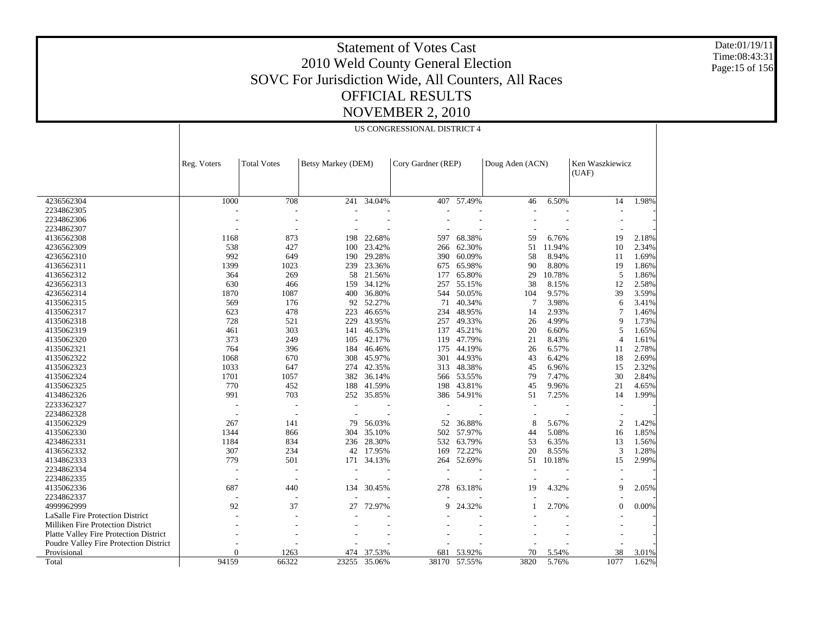Date:01/19/11 Time:08:43:31 Page:15 of 156

|                                               |                          |                          |                    |        | US CONGRESSIONAL DISTRICT 4 |        |                 |        |                          |       |
|-----------------------------------------------|--------------------------|--------------------------|--------------------|--------|-----------------------------|--------|-----------------|--------|--------------------------|-------|
|                                               | Reg. Voters              | <b>Total Votes</b>       | Betsy Markey (DEM) |        | Cory Gardner (REP)          |        | Doug Aden (ACN) |        | Ken Waszkiewicz<br>(UAF) |       |
| 4236562304                                    | 1000                     | 708                      | 241                | 34.04% | 407                         | 57.49% | 46              | 6.50%  | 14                       | 1.98% |
| 2234862305                                    |                          |                          |                    |        |                             |        |                 |        |                          |       |
| 2234862306                                    |                          |                          |                    |        |                             |        |                 |        |                          |       |
| 2234862307                                    |                          | ٠                        |                    |        |                             |        |                 |        |                          |       |
| 4136562308                                    | 1168                     | 873                      | 198                | 22.68% | 597                         | 68.38% | 59              | 6.76%  | 19                       | 2.18% |
| 4236562309                                    | 538                      | 427                      | 100                | 23.42% | 266                         | 62.30% | 51              | 11.94% | 10                       | 2.34% |
| 4236562310                                    | 992                      | 649                      | 190                | 29.28% | 390                         | 60.09% | 58              | 8.94%  | 11                       | 1.69% |
| 4136562311                                    | 1399                     | 1023                     | 239                | 23.36% | 675                         | 65.98% | 90              | 8.80%  | 19                       | 1.86% |
| 4136562312                                    | 364                      | 269                      | 58                 | 21.56% | 177                         | 65.80% | 29              | 10.78% | 5                        | 1.86% |
| 4236562313                                    | 630                      | 466                      | 159                | 34.12% | 257                         | 55.15% | 38              | 8.15%  | 12                       | 2.58% |
| 4236562314                                    | 1870                     | 1087                     |                    | 36.80% | 544                         | 50.05% | 104             | 9.57%  | 39                       |       |
|                                               | 569                      | 176                      | 400                | 52.27% | 71                          | 40.34% | 7               | 3.98%  |                          | 3.59% |
| 4135062315                                    |                          |                          | 92                 |        |                             |        |                 |        | 6                        | 3.41% |
| 4135062317                                    | 623                      | 478                      | 223                | 46.65% | 234                         | 48.95% | 14              | 2.93%  | 7                        | 1.46% |
| 4135062318                                    | 728                      | 521                      | 229                | 43.95% | 257                         | 49.33% | 26              | 4.99%  | 9                        | 1.73% |
| 4135062319                                    | 461                      | 303                      | 141                | 46.53% | 137                         | 45.21% | 20              | 6.60%  | 5                        | 1.65% |
| 4135062320                                    | 373                      | 249                      | 105                | 42.17% | 119                         | 47.79% | 21              | 8.43%  | $\overline{4}$           | 1.61% |
| 4135062321                                    | 764                      | 396                      | 184                | 46.46% | 175                         | 44.19% | 26              | 6.57%  | 11                       | 2.78% |
| 4135062322                                    | 1068                     | 670                      | 308                | 45.97% | 301                         | 44.93% | 43              | 6.42%  | 18                       | 2.69% |
| 4135062323                                    | 1033                     | 647                      | 274                | 42.35% | 313                         | 48.38% | 45              | 6.96%  | 15                       | 2.32% |
| 4135062324                                    | 1701                     | 1057                     | 382                | 36.14% | 566                         | 53.55% | 79              | 7.47%  | 30                       | 2.84% |
| 4135062325                                    | 770                      | 452                      | 188                | 41.59% | 198                         | 43.81% | 45              | 9.96%  | 21                       | 4.65% |
| 4134862326                                    | 991                      | 703                      | 252                | 35.85% | 386                         | 54.91% | 51              | 7.25%  | 14                       | 1.99% |
| 2233362327                                    | J.                       | $\overline{\phantom{a}}$ |                    |        |                             |        |                 |        |                          |       |
| 2234862328                                    | $\overline{\phantom{a}}$ | $\overline{\phantom{a}}$ |                    |        |                             |        |                 |        |                          |       |
| 4135062329                                    | 267                      | 141                      | 79                 | 56.03% | 52                          | 36.88% | 8               | 5.67%  | $\overline{2}$           | 1.42% |
| 4135062330                                    | 1344                     | 866                      | 304                | 35.10% | 502                         | 57.97% | 44              | 5.08%  | 16                       | 1.85% |
| 4234862331                                    | 1184                     | 834                      | 236                | 28.30% | 532                         | 63.79% | 53              | 6.35%  | 13                       | 1.56% |
| 4136562332                                    | 307                      | 234                      | 42                 | 17.95% | 169                         | 72.22% | 20              | 8.55%  | 3                        | 1.28% |
| 4134862333                                    | 779                      | 501                      | 171                | 34.13% | 264                         | 52.69% | 51              | 10.18% | 15                       | 2.99% |
| 2234862334                                    | ٠                        |                          |                    |        |                             |        |                 |        |                          |       |
| 2234862335                                    |                          |                          |                    |        |                             |        |                 |        |                          |       |
| 4135062336                                    | 687                      | 440                      | 134                | 30.45% | 278                         | 63.18% | 19              | 4.32%  | 9                        | 2.05% |
| 2234862337                                    |                          |                          |                    |        |                             |        |                 |        |                          |       |
| 4999962999                                    | 92                       | 37                       | 27                 | 72.97% | q                           | 24.32% |                 | 2.70%  | $\mathbf{0}$             | 0.00% |
| LaSalle Fire Protection District              |                          |                          |                    |        |                             |        |                 |        |                          |       |
| Milliken Fire Protection District             |                          |                          |                    |        |                             |        |                 |        |                          |       |
| <b>Platte Valley Fire Protection District</b> |                          |                          |                    |        |                             |        |                 |        |                          |       |
| Poudre Valley Fire Protection District        |                          |                          |                    |        |                             |        |                 |        |                          |       |
| Provisional                                   | $\Omega$                 | 1263                     | 474                | 37.53% | 681                         | 53.92% | 70              | 5.54%  | 38                       | 3.01% |
| Total                                         | 94159                    | 66322                    | 23255              | 35.06% | 38170                       | 57.55% | 3820            | 5.76%  | 1077                     | 1.62% |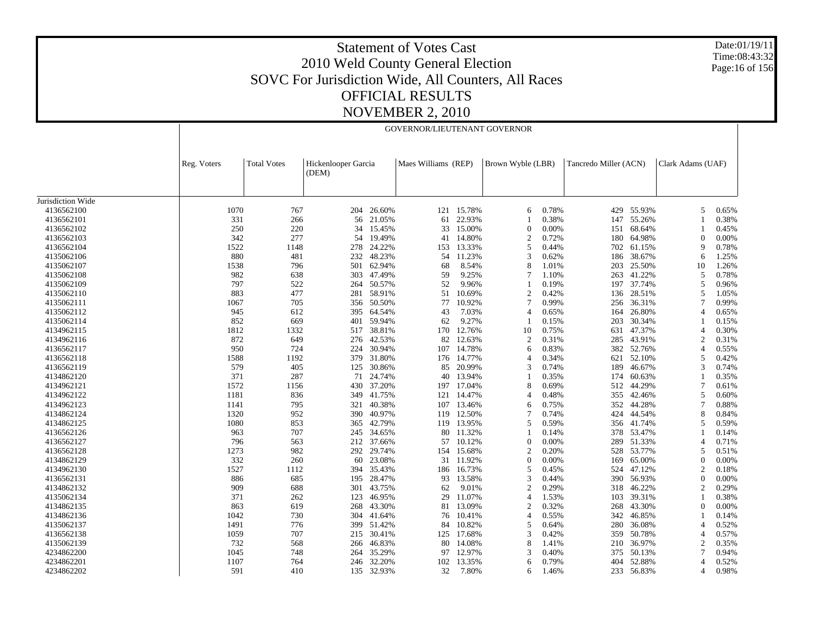Date:01/19/11 Time:08:43:32 Page:16 of 156

|                   |             | GOVERNOR/LIEUTENANT GOVERNOR |                              |        |                     |            |                   |       |                       |            |                   |       |  |  |
|-------------------|-------------|------------------------------|------------------------------|--------|---------------------|------------|-------------------|-------|-----------------------|------------|-------------------|-------|--|--|
|                   | Reg. Voters | <b>Total Votes</b>           | Hickenlooper Garcia<br>(DEM) |        | Maes Williams (REP) |            | Brown Wyble (LBR) |       | Tancredo Miller (ACN) |            | Clark Adams (UAF) |       |  |  |
| Jurisdiction Wide |             |                              |                              |        |                     |            |                   |       |                       |            |                   |       |  |  |
| 4136562100        | 1070        | 767                          | 204                          | 26.60% | 121                 | 15.78%     | 6                 | 0.78% | 429                   | 55.93%     | 5                 | 0.65% |  |  |
| 4136562101        | 331         | 266                          | 56                           | 21.05% | 61                  | 22.93%     |                   | 0.38% | 147                   | 55.26%     |                   | 0.38% |  |  |
| 4136562102        | 250         | 220                          | 34                           | 15.45% | 33                  | 15.00%     | $\Omega$          | 0.00% | 151                   | 68.64%     |                   | 0.45% |  |  |
| 4136562103        | 342         | 277                          | 54                           | 19.49% | 41                  | 14.80%     | 2                 | 0.72% | 180                   | 64.98%     | $\Omega$          | 0.00% |  |  |
| 4136562104        | 1522        | 1148                         | 278                          | 24.22% | 153                 | 13.33%     | 5                 | 0.44% | 702                   | 61.15%     | 9                 | 0.78% |  |  |
| 4135062106        | 880         | 481                          | 232                          | 48.23% | 54                  | 11.23%     | $\mathcal{R}$     | 0.62% | 186                   | 38.67%     | 6                 | 1.25% |  |  |
| 4135062107        | 1538        | 796                          | 501                          | 62.94% | 68                  | 8.54%      | 8                 | 1.01% | 203                   | 25.50%     | 10                | 1.26% |  |  |
| 4135062108        | 982         | 638                          | 303                          | 47.49% | 59                  | 9.25%      |                   | 1.10% | 263                   | 41.22%     | 5                 | 0.78% |  |  |
|                   | 797         | 522                          |                              |        | 52                  | 9.96%      |                   |       |                       | 37.74%     | 5                 |       |  |  |
| 4135062109        |             |                              | 264                          | 50.57% |                     |            |                   | 0.19% | 197                   |            | 5                 | 0.96% |  |  |
| 4135062110        | 883<br>1067 | 477                          | 281                          | 58.91% | 51                  | 10.69%     | 2                 | 0.42% | 136                   | 28.51%     | $\overline{7}$    | 1.05% |  |  |
| 4135062111        |             | 705                          | 356                          | 50.50% | 77                  | 10.92%     |                   | 0.99% | 256                   | 36.31%     |                   | 0.99% |  |  |
| 4135062112        | 945         | 612                          | 395                          | 64.54% | 43                  | 7.03%      | 4                 | 0.65% | 164                   | 26.80%     | 4                 | 0.65% |  |  |
| 4135062114        | 852         | 669                          | 401                          | 59.94% | 62                  | 9.27%      |                   | 0.15% | 203                   | 30.34%     |                   | 0.15% |  |  |
| 4134962115        | 1812        | 1332                         | 517                          | 38.81% | 170                 | 12.76%     | 10                | 0.75% | 631                   | 47.37%     | $\overline{4}$    | 0.30% |  |  |
| 4134962116        | 872         | 649                          | 276                          | 42.53% | 82                  | 12.63%     | $\overline{2}$    | 0.31% | 285                   | 43.91%     | $\overline{2}$    | 0.31% |  |  |
| 4136562117        | 950         | 724                          | 224                          | 30.94% | 107                 | 14.78%     | 6                 | 0.83% | 382                   | 52.76%     | $\overline{4}$    | 0.55% |  |  |
| 4136562118        | 1588        | 1192                         | 379                          | 31.80% |                     | 176 14.77% |                   | 0.34% | 621                   | 52.10%     | 5                 | 0.42% |  |  |
| 4136562119        | 579         | 405                          | 125                          | 30.86% | 85                  | 20.99%     | 3                 | 0.74% | 189                   | 46.67%     | 3                 | 0.74% |  |  |
| 4134862120        | 371         | 287                          | 71                           | 24.74% | 40                  | 13.94%     |                   | 0.35% | 174                   | 60.63%     |                   | 0.35% |  |  |
| 4134962121        | 1572        | 1156                         | 430                          | 37.20% | 197                 | 17.04%     | 8                 | 0.69% | 512                   | 44.29%     | 7                 | 0.61% |  |  |
| 4134962122        | 1181        | 836                          | 349                          | 41.75% | 121                 | 14.47%     | $\overline{4}$    | 0.48% | 355                   | 42.46%     | 5                 | 0.60% |  |  |
| 4134962123        | 1141        | 795                          | 321                          | 40.38% | 107                 | 13.46%     | 6                 | 0.75% | 352                   | 44.28%     | 7                 | 0.88% |  |  |
| 4134862124        | 1320        | 952                          | 390                          | 40.97% | 119                 | 12.50%     |                   | 0.74% | 424                   | 44.54%     | 8                 | 0.84% |  |  |
| 4134862125        | 1080        | 853                          | 365                          | 42.79% | 119                 | 13.95%     | 5                 | 0.59% |                       | 356 41.74% | 5                 | 0.59% |  |  |
| 4136562126        | 963         | 707                          | 245                          | 34.65% | 80                  | 11.32%     |                   | 0.14% | 378                   | 53.47%     |                   | 0.14% |  |  |
| 4136562127        | 796         | 563                          | 212                          | 37.66% | 57                  | 10.12%     | $\Omega$          | 0.00% | 289                   | 51.33%     | $\overline{4}$    | 0.71% |  |  |
| 4136562128        | 1273        | 982                          | 292                          | 29.74% | 154                 | 15.68%     | $\mathcal{D}$     | 0.20% | 528                   | 53.77%     | 5                 | 0.51% |  |  |
| 4134862129        | 332         | 260                          | 60                           | 23.08% | 31                  | 11.92%     | $\Omega$          | 0.00% | 169                   | 65.00%     | $\Omega$          | 0.00% |  |  |
| 4134962130        | 1527        | 1112                         | 394                          | 35.43% | 186                 | 16.73%     | 5                 | 0.45% | 524                   | 47.12%     | $\overline{c}$    | 0.18% |  |  |
| 4136562131        | 886         | 685                          | 195                          | 28.47% | 93                  | 13.58%     | 3                 | 0.44% | 390                   | 56.93%     | $\Omega$          | 0.00% |  |  |
| 4134862132        | 909         | 688                          | 301                          | 43.75% | 62                  | 9.01%      | $\overline{c}$    | 0.29% | 318                   | 46.22%     | $\overline{c}$    | 0.29% |  |  |
| 4135062134        | 371         | 262                          | 123                          | 46.95% | 29                  | 11.07%     | 4                 | 1.53% | 103                   | 39.31%     |                   | 0.38% |  |  |
| 4134862135        | 863         | 619                          | 268                          | 43.30% | 81                  | 13.09%     | $\overline{c}$    | 0.32% | 268                   | 43.30%     | $\boldsymbol{0}$  | 0.00% |  |  |
| 4134862136        | 1042        | 730                          | 304                          | 41.64% | 76                  | 10.41%     | $\overline{4}$    | 0.55% | 342                   | 46.85%     |                   | 0.14% |  |  |
| 4135062137        | 1491        | 776                          | 399                          | 51.42% | 84                  | 10.82%     | 5                 | 0.64% | 280                   | 36.08%     | $\overline{4}$    | 0.52% |  |  |
| 4136562138        | 1059        | 707                          | 215                          | 30.41% | 125                 | 17.68%     | 3                 | 0.42% | 359                   | 50.78%     | $\overline{4}$    | 0.57% |  |  |
| 4135062139        | 732         | 568                          | 266                          | 46.83% | 80                  | 14.08%     | 8                 | 1.41% | 210                   | 36.97%     | $\overline{c}$    | 0.35% |  |  |
| 4234862200        | 1045        | 748                          | 264                          | 35.29% | 97                  | 12.97%     | $\mathcal{R}$     | 0.40% | 375                   | 50.13%     | $\overline{7}$    | 0.94% |  |  |
| 4234862201        | 1107        | 764                          | 246                          | 32.20% | 102                 | 13.35%     | 6                 | 0.79% | 404                   | 52.88%     | $\overline{4}$    | 0.52% |  |  |
| 4234862202        | 591         | 410                          | 135                          | 32.93% | 32                  | 7.80%      | 6                 | 1.46% | 233                   | 56.83%     | $\overline{4}$    | 0.98% |  |  |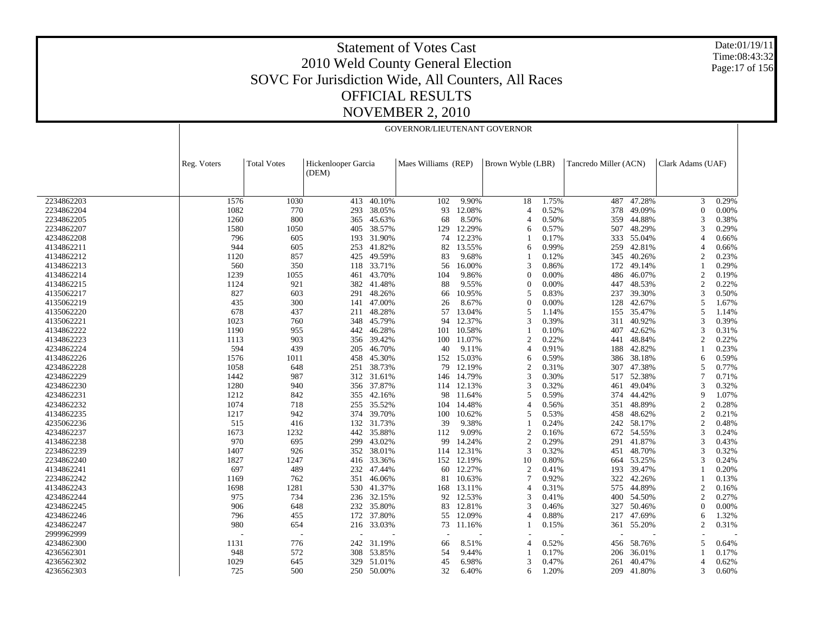Date:01/19/11 Time:08:43:32 Page:17 of 156

|                    | GOVERNOR/LIEUTENANT GOVERNOR |                              |        |                          |            |                   |       |                       |        |                   |       |  |
|--------------------|------------------------------|------------------------------|--------|--------------------------|------------|-------------------|-------|-----------------------|--------|-------------------|-------|--|
|                    |                              |                              |        |                          |            |                   |       |                       |        |                   |       |  |
| Reg. Voters        | <b>Total Votes</b>           | Hickenlooper Garcia<br>(DEM) |        | Maes Williams (REP)      |            | Brown Wyble (LBR) |       | Tancredo Miller (ACN) |        | Clark Adams (UAF) |       |  |
|                    |                              |                              |        |                          |            |                   |       |                       |        |                   |       |  |
| 2234862203<br>1576 | 1030                         | 413                          | 40.10% | 102                      | 9.90%      | 18                | 1.75% | 487                   | 47.28% | 3                 | 0.29% |  |
| 2234862204<br>1082 | 770                          | 293                          | 38.05% | 93                       | 12.08%     | 4                 | 0.52% | 378                   | 49.09% | $\overline{0}$    | 0.00% |  |
| 2234862205<br>1260 | 800                          | 365                          | 45.63% | 68                       | 8.50%      | 4                 | 0.50% | 359                   | 44.88% | 3                 | 0.38% |  |
| 2234862207<br>1580 | 1050                         | 405                          | 38.57% | 129                      | 12.29%     | 6                 | 0.57% | 507                   | 48.29% | 3                 | 0.29% |  |
| 796<br>4234862208  | 605                          | 193                          | 31.90% | 74                       | 12.23%     |                   | 0.17% | 333                   | 55.04% | $\overline{4}$    | 0.66% |  |
| 4134862211<br>944  | 605                          | 253                          | 41.82% | 82                       | 13.55%     | 6                 | 0.99% | 259                   | 42.81% | $\overline{4}$    | 0.66% |  |
| 4134862212<br>1120 | 857                          | 425                          | 49.59% | 83                       | 9.68%      |                   | 0.12% | 345                   | 40.26% | $\overline{2}$    | 0.23% |  |
| 4134862213<br>560  | 350                          | 118                          | 33.71% | 56                       | 16.00%     | 3                 | 0.86% | 172                   | 49.14% |                   | 0.29% |  |
| 4134862214<br>1239 | 1055                         | 461                          | 43.70% | 104                      | 9.86%      | $\Omega$          | 0.00% | 486                   | 46.07% | $\overline{2}$    | 0.19% |  |
| 4134862215<br>1124 | 921                          | 382                          | 41.48% | 88                       | 9.55%      | $\theta$          | 0.00% | 447                   | 48.53% | $\overline{2}$    | 0.22% |  |
| 827<br>4135062217  | 603                          | 291                          | 48.26% | 66                       | 10.95%     | 5                 | 0.83% | 237                   | 39.30% | 3                 | 0.50% |  |
| 435<br>4135062219  | 300                          | 141                          | 47.00% | 26                       | 8.67%      | $\theta$          | 0.00% | 128                   | 42.67% | 5                 | 1.67% |  |
| 678<br>4135062220  | 437                          | 211                          | 48.28% | 57                       | 13.04%     | 5                 | 1.14% | 155                   | 35.47% | 5                 | 1.14% |  |
| 1023<br>4135062221 | 760                          | 348                          | 45.79% | 94                       | 12.37%     | 3                 | 0.39% | 311                   | 40.92% | 3                 | 0.39% |  |
| 4134862222<br>1190 | 955                          | 442                          | 46.28% | 101                      | 10.58%     |                   | 0.10% | 407                   | 42.62% | 3                 | 0.31% |  |
| 4134862223<br>1113 | 903                          | 356                          | 39.42% | 100                      | 11.07%     | $\mathfrak{D}$    | 0.22% | 441                   | 48.84% | $\overline{c}$    | 0.22% |  |
| 594<br>4234862224  | 439                          | 205                          | 46.70% | 40                       | 9.11%      | 4                 | 0.91% | 188                   | 42.82% |                   | 0.23% |  |
| 4134862226<br>1576 | 1011                         | 458                          | 45.30% | 152                      | 15.03%     | 6                 | 0.59% | 386                   | 38.18% | 6                 | 0.59% |  |
| 4234862228<br>1058 | 648                          | 251                          | 38.73% | 79                       | 12.19%     | $\overline{c}$    | 0.31% | 307                   | 47.38% | 5                 | 0.77% |  |
| 4234862229<br>1442 | 987                          | 312                          | 31.61% | 146                      | 14.79%     | 3                 | 0.30% | 517                   | 52.38% | 7                 | 0.71% |  |
|                    |                              |                              |        |                          |            | 3                 |       |                       |        | 3                 |       |  |
| 4234862230<br>1280 | 940                          | 356                          | 37.87% |                          | 114 12.13% |                   | 0.32% | 461                   | 49.04% | 9                 | 0.32% |  |
| 4234862231<br>1212 | 842                          | 355                          | 42.16% | 98                       | 11.64%     | 5                 | 0.59% | 374                   | 44.42% |                   | 1.07% |  |
| 4234862232<br>1074 | 718                          | 255                          | 35.52% | 104                      | 14.48%     | 4                 | 0.56% | 351                   | 48.89% | $\overline{2}$    | 0.28% |  |
| 4134862235<br>1217 | 942                          | 374                          | 39.70% | 100                      | 10.62%     | 5                 | 0.53% | 458                   | 48.62% | $\overline{2}$    | 0.21% |  |
| 4235062236<br>515  | 416                          | 132                          | 31.73% | 39                       | 9.38%      |                   | 0.24% | 242                   | 58.17% | $\overline{2}$    | 0.48% |  |
| 4234862237<br>1673 | 1232                         | 442                          | 35.88% | 112                      | 9.09%      | $\overline{2}$    | 0.16% | 672                   | 54.55% | 3                 | 0.24% |  |
| 970<br>4134862238  | 695                          | 299                          | 43.02% | 99                       | 14.24%     | $\overline{2}$    | 0.29% | 291                   | 41.87% | 3                 | 0.43% |  |
| 2234862239<br>1407 | 926                          | 352                          | 38.01% | 114                      | 12.31%     | 3                 | 0.32% | 451                   | 48.70% | 3                 | 0.32% |  |
| 2234862240<br>1827 | 1247                         | 416                          | 33.36% |                          | 152 12.19% | 10                | 0.80% | 664                   | 53.25% | 3                 | 0.24% |  |
| 4134862241<br>697  | 489                          | 232                          | 47.44% | 60                       | 12.27%     | $\boldsymbol{2}$  | 0.41% | 193                   | 39.47% |                   | 0.20% |  |
| 2234862242<br>1169 | 762                          | 351                          | 46.06% | 81                       | 10.63%     |                   | 0.92% | 322                   | 42.26% |                   | 0.13% |  |
| 4134862243<br>1698 | 1281                         | 530                          | 41.37% | 168                      | 13.11%     | 4                 | 0.31% | 575                   | 44.89% | $\overline{2}$    | 0.16% |  |
| 4234862244<br>975  | 734                          | 236                          | 32.15% | 92                       | 12.53%     | 3                 | 0.41% | 400                   | 54.50% | $\overline{2}$    | 0.27% |  |
| 4234862245<br>906  | 648                          | 232                          | 35.80% | 83                       | 12.81%     | 3                 | 0.46% | 327                   | 50.46% | $\theta$          | 0.00% |  |
| 4234862246<br>796  | 455                          | 172                          | 37.80% | 55                       | 12.09%     | 4                 | 0.88% | 217                   | 47.69% | 6                 | 1.32% |  |
| 4234862247<br>980  | 654                          | 216                          | 33.03% | 73                       | 11.16%     |                   | 0.15% | 361                   | 55.20% | $\overline{c}$    | 0.31% |  |
| 2999962999         | $\overline{\phantom{a}}$     |                              |        | $\overline{\phantom{a}}$ |            |                   |       |                       |        |                   |       |  |
| 4234862300<br>1131 | 776                          | 242                          | 31.19% | 66                       | 8.51%      | 4                 | 0.52% | 456                   | 58.76% | 5                 | 0.64% |  |
| 4236562301<br>948  | 572                          | 308                          | 53.85% | 54                       | 9.44%      |                   | 0.17% | 206                   | 36.01% |                   | 0.17% |  |
| 4236562302<br>1029 | 645                          | 329                          | 51.01% | 45                       | 6.98%      | 3                 | 0.47% | 261                   | 40.47% | 4                 | 0.62% |  |
| 4236562303<br>725  | 500                          | 250                          | 50.00% | 32                       | 6.40%      | 6                 | 1.20% | 209                   | 41.80% | 3                 | 0.60% |  |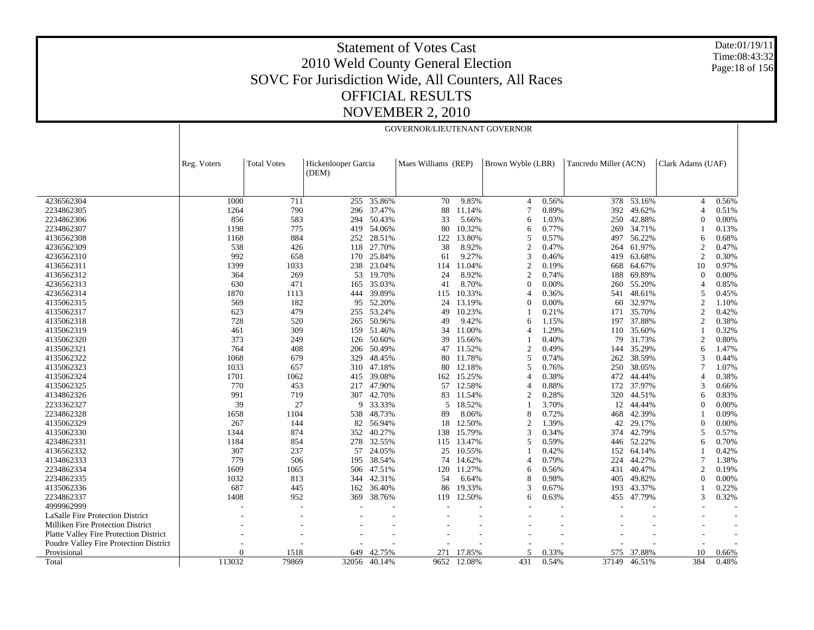Date:01/19/11 Time:08:43:32 Page:18 of 156

|                                          |             |                    |                              |        | GOVERNOR/LIEUTENANT GOVERNOR |        |                   |       |                       |        |                   |       |
|------------------------------------------|-------------|--------------------|------------------------------|--------|------------------------------|--------|-------------------|-------|-----------------------|--------|-------------------|-------|
|                                          |             |                    |                              |        |                              |        |                   |       |                       |        |                   |       |
|                                          | Reg. Voters | <b>Total Votes</b> | Hickenlooper Garcia<br>(DEM) |        | Maes Williams (REP)          |        | Brown Wyble (LBR) |       | Tancredo Miller (ACN) |        | Clark Adams (UAF) |       |
|                                          |             |                    |                              |        |                              |        |                   |       |                       |        |                   |       |
|                                          |             |                    |                              |        |                              |        |                   |       |                       |        |                   |       |
| 4236562304                               | 1000        | 711                | 255                          | 35.86% | 70                           | 9.85%  | $\overline{4}$    | 0.56% | 378                   | 53.16% | $\overline{4}$    | 0.56% |
| 2234862305                               | 1264        | 790                | 296                          | 37.47% | 88                           | 11.14% |                   | 0.89% | 392                   | 49.62% | $\overline{4}$    | 0.51% |
| 2234862306                               | 856         | 583                | 294                          | 50.43% | 33                           | 5.66%  | 6                 | 1.03% | 250                   | 42.88% | $\theta$          | 0.00% |
| 2234862307                               | 1198        | 775                | 419                          | 54.06% | 80                           | 10.32% | 6                 | 0.77% | 269                   | 34.71% |                   | 0.13% |
| 4136562308                               | 1168        | 884                | 252                          | 28.51% | 122                          | 13.80% | 5                 | 0.57% | 497                   | 56.22% | 6                 | 0.68% |
| 4236562309                               | 538         | 426                | 118                          | 27.70% | 38                           | 8.92%  | $\overline{2}$    | 0.47% | 264                   | 61.97% | $\overline{2}$    | 0.47% |
| 4236562310                               | 992         | 658                | 170                          | 25.84% | 61                           | 9.27%  | 3                 | 0.46% | 419                   | 63.68% | $\overline{2}$    | 0.30% |
| 4136562311                               | 1399        | 1033               | 238                          | 23.04% | 114                          | 11.04% | $\overline{2}$    | 0.19% | 668                   | 64.67% | 10                | 0.97% |
| 4136562312                               | 364         | 269                | 53                           | 19.70% | 24                           | 8.92%  | $\overline{c}$    | 0.74% | 188                   | 69.89% | $\overline{0}$    | 0.00% |
| 4236562313                               | 630         | 471                | 165                          | 35.03% | 41                           | 8.70%  | $\Omega$          | 0.00% | 260                   | 55.20% | $\overline{4}$    | 0.85% |
| 4236562314                               | 1870        | 1113               | 444                          | 39.89% | 115                          | 10.33% | $\overline{A}$    | 0.36% | 541                   | 48.61% | 5                 | 0.45% |
| 4135062315                               | 569         | 182                | 95                           | 52.20% | 24                           | 13.19% | $\Omega$          | 0.00% | 60                    | 32.97% | $\overline{2}$    | 1.10% |
| 4135062317                               | 623         | 479                | 255                          | 53.24% | 49                           | 10.23% |                   | 0.21% | 171                   | 35.70% | $\overline{2}$    | 0.42% |
| 4135062318                               | 728         | 520                | 265                          | 50.96% | 49                           | 9.42%  | 6                 | 1.15% | 197                   | 37.88% | $\overline{2}$    | 0.38% |
| 4135062319                               | 461         | 309                | 159                          | 51.46% | 34                           | 11.00% | $\overline{A}$    | 1.29% | 110                   | 35.60% |                   | 0.32% |
| 4135062320                               | 373         | 249                | 126                          | 50.60% | 39                           | 15.66% |                   | 0.40% | 79                    | 31.73% | $\overline{2}$    | 0.80% |
| 4135062321                               | 764         | 408                | 206                          | 50.49% | 47                           | 11.52% | $\overline{2}$    | 0.49% | 144                   | 35.29% | 6                 | 1.47% |
| 4135062322                               | 1068        | 679                | 329                          | 48.45% | 80                           | 11.78% | 5                 | 0.74% | 262                   | 38.59% | 3                 | 0.44% |
| 4135062323                               | 1033        | 657                | 310                          | 47.18% | 80                           | 12.18% | 5                 | 0.76% | 250                   | 38.05% | 7                 | 1.07% |
| 4135062324                               | 1701        | 1062               | 415                          | 39.08% | 162                          | 15.25% | 4                 | 0.38% | 472                   | 44.44% | $\overline{4}$    | 0.38% |
| 4135062325                               | 770         | 453                | 217                          | 47.90% | 57                           | 12.58% | $\overline{A}$    | 0.88% | 172                   | 37.97% | 3                 | 0.66% |
| 4134862326                               | 991         | 719                | 307                          | 42.70% | 83                           | 11.54% | $\overline{c}$    | 0.28% | 320                   | 44.51% | 6                 | 0.83% |
| 2233362327                               | 39          | 27                 | 9                            | 33.33% | 5                            | 18.52% |                   | 3.70% | 12                    | 44.44% | $\Omega$          | 0.00% |
| 2234862328                               | 1658        | 1104               | 538                          | 48.73% | 89                           | 8.06%  | 8                 | 0.72% | 468                   | 42.39% |                   | 0.09% |
| 4135062329                               | 267         | 144                | 82                           | 56.94% | 18                           | 12.50% | $\overline{2}$    | 1.39% | 42                    | 29.17% | $\theta$          | 0.00% |
| 4135062330                               | 1344        | 874                | 352                          | 40.27% | 138                          | 15.79% | 3                 | 0.34% | 374                   | 42.79% | 5                 | 0.57% |
| 4234862331                               | 1184        | 854                | 278                          | 32.55% | 115                          | 13.47% | 5                 | 0.59% | 446                   | 52.22% | 6                 | 0.70% |
| 4136562332                               | 307         | 237                | 57                           | 24.05% | 25                           | 10.55% |                   | 0.42% | 152                   | 64.14% |                   | 0.42% |
| 4134862333                               | 779         | 506                | 195                          | 38.54% | 74                           | 14.62% | $\overline{4}$    | 0.79% | 224                   | 44.27% | 7                 | 1.38% |
| 2234862334                               | 1609        | 1065               | 506                          | 47.51% | 120                          | 11.27% | 6                 | 0.56% | 431                   | 40.47% | $\overline{c}$    | 0.19% |
| 2234862335                               | 1032        | 813                | 344                          | 42.31% | 54                           | 6.64%  | 8                 | 0.98% | 405                   | 49.82% | $\theta$          | 0.00% |
| 4135062336                               | 687         | 445                | 162                          | 36.40% | 86                           | 19.33% | 3                 | 0.67% | 193                   | 43.37% |                   | 0.22% |
| 2234862337                               | 1408        | 952                | 369                          | 38.76% | 119                          | 12.50% | 6                 | 0.63% | 455                   | 47.79% | 3                 | 0.32% |
| 4999962999                               |             |                    |                              |        | ÷                            |        |                   |       |                       |        |                   |       |
| LaSalle Fire Protection District         |             |                    |                              |        |                              |        |                   |       |                       |        |                   |       |
| <b>Milliken Fire Protection District</b> |             |                    |                              |        |                              |        |                   |       |                       |        |                   |       |
| Platte Valley Fire Protection District   |             |                    |                              |        |                              |        |                   |       |                       |        |                   |       |
| Poudre Valley Fire Protection District   |             |                    |                              |        |                              |        |                   |       |                       |        |                   |       |
| Provisional                              | $\Omega$    | 1518               | 649                          | 42.75% | 271                          | 17.85% | 5                 | 0.33% | 575                   | 37.88% | 10                | 0.66% |
| Total                                    | 113032      | 79869              | 32056                        | 40.14% | 9652                         | 12.08% | 431               | 0.54% | 37149                 | 46.51% | 384               | 0.48% |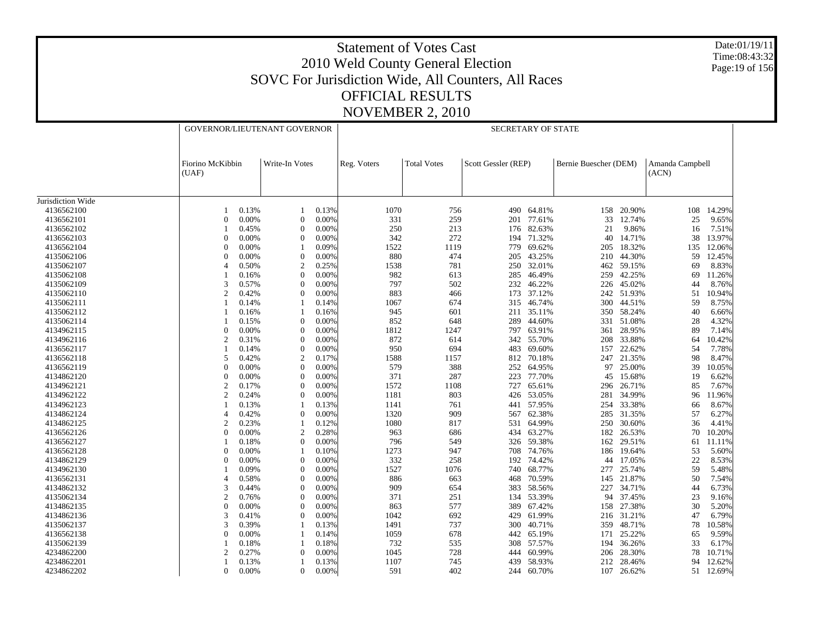Date:01/19/11 Time:08:43:32 Page:19 of 156

| Fiorino McKibbin<br>Write-In Votes<br>Reg. Voters<br><b>Total Votes</b><br>Scott Gessler (REP)<br>Bernie Buescher (DEM)<br>Amanda Campbell<br>(ACN)<br>(UAF)<br>Jurisdiction Wide<br>4136562100<br>0.13%<br>0.13%<br>1070<br>756<br>490<br>64.81%<br>158<br>20.90%<br>108<br>14.29%<br>1<br>$\overline{0}$<br>0.00%<br>0.00%<br>259<br>77.61%<br>4136562101<br>$\Omega$<br>331<br>201<br>33<br>12.74%<br>25<br>9.65%<br>250<br>82.63%<br>4136562102<br>0.45%<br>0.00%<br>213<br>21<br>9.86%<br>7.51%<br>$\theta$<br>176<br>16<br>4136562103<br>342<br>272<br>194 71.32%<br>40<br>14.71%<br>38<br>13.97%<br>$\Omega$<br>0.00%<br>$\theta$<br>0.00%<br>4136562104<br>$\mathbf{0}$<br>0.00%<br>0.09%<br>1522<br>1119<br>69.62%<br>18.32%<br>135<br>12.06%<br>779<br>205<br>880<br>474<br>43.25%<br>44.30%<br>4135062106<br>$\Omega$<br>0.00%<br>$\theta$<br>0.00%<br>205<br>210<br>59<br>12.45%<br>$\overline{2}$<br>0.25%<br>1538<br>781<br>32.01%<br>59.15%<br>8.83%<br>4135062107<br>$\overline{4}$<br>0.50%<br>250<br>462<br>69<br>46.49%<br>42.25%<br>4135062108<br>$\theta$<br>0.00%<br>982<br>613<br>285<br>259<br>0.16%<br>69<br>797<br>3<br>502<br>4135062109<br>0.57%<br>$\mathbf{0}$<br>0.00%<br>232<br>46.22%<br>226<br>45.02%<br>44<br>$\overline{2}$<br>0.00%<br>883<br>37.12%<br>51.93%<br>4135062110<br>0.42%<br>$\Omega$<br>466<br>173<br>242<br>51<br>4135062111<br>1067<br>674<br>315<br>46.74%<br>300 44.51%<br>59<br>8.75%<br>0.14%<br>0.14%<br>4135062112<br>601<br>0.16%<br>0.16%<br>945<br>211<br>35.11%<br>350<br>58.24%<br>40<br>6.66%<br>4135062114<br>$\Omega$<br>0.00%<br>852<br>648<br>289<br>44.60%<br>331 51.08%<br>28<br>4.32%<br>0.15%<br>1812<br>1247<br>4134962115<br>$\mathbf{0}$<br>0.00%<br>$\theta$<br>0.00%<br>797<br>63.91%<br>28.95%<br>89<br>7.14%<br>361<br>$\overline{2}$<br>872<br>55.70%<br>33.88%<br>4134962116<br>0.31%<br>$\Omega$<br>0.00%<br>614<br>342<br>208<br>10.42%<br>64<br>950<br>4136562117<br>694<br>69.60%<br>22.62%<br>7.78%<br>0.14%<br>$\theta$<br>0.00%<br>483<br>157<br>54<br>21.35%<br>4136562118<br>5<br>0.42%<br>$\overline{2}$<br>0.17%<br>1588<br>1157<br>812<br>70.18%<br>98<br>8.47%<br>247<br>579<br>388<br>64.95%<br>25.00%<br>39<br>10.05%<br>4136562119<br>$\theta$<br>0.00%<br>$\theta$<br>0.00%<br>252<br>97<br>4134862120<br>$\mathbf{0}$<br>0.00%<br>$\theta$<br>0.00%<br>371<br>287<br>223<br>77.70%<br>15.68%<br>19<br>6.62%<br>45<br>$\overline{2}$<br>1572<br>4134962121<br>$\theta$<br>0.00%<br>1108<br>727<br>65.61%<br>296<br>26.71%<br>85<br>0.17%<br>$\overline{2}$<br>$\mathbf{0}$<br>1181<br>53.05%<br>34.99%<br>4134962122<br>0.24%<br>0.00%<br>803<br>426<br>281<br>96<br>33.38%<br>4134962123<br>0.13%<br>0.13%<br>1141<br>761<br>441 57.95%<br>254<br>66<br>4134862124<br>0.42%<br>$\mathbf{0}$<br>0.00%<br>1320<br>909<br>62.38%<br>31.35%<br>57<br>4<br>567<br>285<br>4134862125<br>$\overline{2}$<br>0.23%<br>1080<br>817<br>64.99%<br>250 30.60%<br>0.12%<br>531<br>36<br>4.41%<br>$\overline{0}$<br>63.27%<br>4136562126<br>0.00%<br>$\overline{2}$<br>0.28%<br>963<br>686<br>434<br>182<br>26.53%<br>70<br>10.20%<br>0.00%<br>549<br>59.38%<br>4136562127<br>0.18%<br>$\Omega$<br>796<br>326<br>162<br>29.51%<br>61<br>11.11%<br>4136562128<br>$\mathbf{0}$<br>1273<br>947<br>74.76%<br>53<br>0.00%<br>0.10%<br>708<br>186<br>19.64%<br>5.60%<br>4134862129<br>$\theta$<br>0.00%<br>332<br>258<br>74.42%<br>17.05%<br>22<br>8.53%<br>0.00%<br>$\theta$<br>192<br>44<br>1527<br>4134962130<br>0.09%<br>$\theta$<br>0.00%<br>1076<br>740<br>68.77%<br>277<br>25.74%<br>59<br>5.48%<br>4136562131<br>886<br>70.59%<br>21.87%<br>$\overline{4}$<br>0.58%<br>$\theta$<br>0.00%<br>663<br>468<br>145<br>50<br>7.54%<br>3<br>$\theta$<br>0.00%<br>909<br>654<br>383<br>58.56%<br>227<br>34.71%<br>6.73%<br>4134862132<br>0.44%<br>44<br>$\overline{2}$<br>371<br>251<br>53.39%<br>94<br>37.45%<br>23<br>4135062134<br>0.76%<br>$\theta$<br>0.00%<br>134<br>9.16%<br>$\mathbf{0}$<br>$\Omega$<br>863<br>577<br>158 27.38%<br>30<br>4134862135<br>0.00%<br>0.00%<br>389<br>67.42%<br>3<br>61.99%<br>4134862136<br>$\mathbf{0}$<br>0.00%<br>1042<br>692<br>429<br>31.21%<br>0.41%<br>216<br>47<br>4135062137<br>3<br>0.39%<br>0.13%<br>1491<br>737<br>300<br>40.71%<br>359<br>48.71%<br>78<br>$\Omega$<br>1059<br>65.19%<br>25.22%<br>4136562138<br>0.00%<br>0.14%<br>678<br>442<br>171<br>65<br>4135062139<br>0.18%<br>0.18%<br>732<br>535<br>57.57%<br>36.26%<br>33<br>308<br>194<br>4234862200<br>$\overline{2}$<br>0.27%<br>0.00%<br>728<br>60.99%<br>28.30%<br>$\theta$<br>1045<br>444<br>206<br>78<br>10.71%<br>4234862201<br>1107<br>58.93%<br>28.46%<br>12.62%<br>0.13%<br>0.13%<br>745<br>439<br>212<br>94<br>244 60.70% |            |              | GOVERNOR/LIEUTENANT GOVERNOR |              |       |     | <b>SECRETARY OF STATE</b> |  |  |     |        |    |        |  |
|------------------------------------------------------------------------------------------------------------------------------------------------------------------------------------------------------------------------------------------------------------------------------------------------------------------------------------------------------------------------------------------------------------------------------------------------------------------------------------------------------------------------------------------------------------------------------------------------------------------------------------------------------------------------------------------------------------------------------------------------------------------------------------------------------------------------------------------------------------------------------------------------------------------------------------------------------------------------------------------------------------------------------------------------------------------------------------------------------------------------------------------------------------------------------------------------------------------------------------------------------------------------------------------------------------------------------------------------------------------------------------------------------------------------------------------------------------------------------------------------------------------------------------------------------------------------------------------------------------------------------------------------------------------------------------------------------------------------------------------------------------------------------------------------------------------------------------------------------------------------------------------------------------------------------------------------------------------------------------------------------------------------------------------------------------------------------------------------------------------------------------------------------------------------------------------------------------------------------------------------------------------------------------------------------------------------------------------------------------------------------------------------------------------------------------------------------------------------------------------------------------------------------------------------------------------------------------------------------------------------------------------------------------------------------------------------------------------------------------------------------------------------------------------------------------------------------------------------------------------------------------------------------------------------------------------------------------------------------------------------------------------------------------------------------------------------------------------------------------------------------------------------------------------------------------------------------------------------------------------------------------------------------------------------------------------------------------------------------------------------------------------------------------------------------------------------------------------------------------------------------------------------------------------------------------------------------------------------------------------------------------------------------------------------------------------------------------------------------------------------------------------------------------------------------------------------------------------------------------------------------------------------------------------------------------------------------------------------------------------------------------------------------------------------------------------------------------------------------------------------------------------------------------------------------------------------------------------------------------------------------------------------------------------------------------------------------------------------------------------------------------------------------------------------------------------------------------------------------------------------------------------------------------------------------------------------------------------------------------------------------------------------------------------------------------------------------------------------------|------------|--------------|------------------------------|--------------|-------|-----|---------------------------|--|--|-----|--------|----|--------|--|
|                                                                                                                                                                                                                                                                                                                                                                                                                                                                                                                                                                                                                                                                                                                                                                                                                                                                                                                                                                                                                                                                                                                                                                                                                                                                                                                                                                                                                                                                                                                                                                                                                                                                                                                                                                                                                                                                                                                                                                                                                                                                                                                                                                                                                                                                                                                                                                                                                                                                                                                                                                                                                                                                                                                                                                                                                                                                                                                                                                                                                                                                                                                                                                                                                                                                                                                                                                                                                                                                                                                                                                                                                                                                                                                                                                                                                                                                                                                                                                                                                                                                                                                                                                                                                                                                                                                                                                                                                                                                                                                                                                                                                                                                                                                              |            |              |                              |              |       |     |                           |  |  |     |        |    |        |  |
|                                                                                                                                                                                                                                                                                                                                                                                                                                                                                                                                                                                                                                                                                                                                                                                                                                                                                                                                                                                                                                                                                                                                                                                                                                                                                                                                                                                                                                                                                                                                                                                                                                                                                                                                                                                                                                                                                                                                                                                                                                                                                                                                                                                                                                                                                                                                                                                                                                                                                                                                                                                                                                                                                                                                                                                                                                                                                                                                                                                                                                                                                                                                                                                                                                                                                                                                                                                                                                                                                                                                                                                                                                                                                                                                                                                                                                                                                                                                                                                                                                                                                                                                                                                                                                                                                                                                                                                                                                                                                                                                                                                                                                                                                                                              |            |              |                              |              |       |     |                           |  |  |     |        |    |        |  |
|                                                                                                                                                                                                                                                                                                                                                                                                                                                                                                                                                                                                                                                                                                                                                                                                                                                                                                                                                                                                                                                                                                                                                                                                                                                                                                                                                                                                                                                                                                                                                                                                                                                                                                                                                                                                                                                                                                                                                                                                                                                                                                                                                                                                                                                                                                                                                                                                                                                                                                                                                                                                                                                                                                                                                                                                                                                                                                                                                                                                                                                                                                                                                                                                                                                                                                                                                                                                                                                                                                                                                                                                                                                                                                                                                                                                                                                                                                                                                                                                                                                                                                                                                                                                                                                                                                                                                                                                                                                                                                                                                                                                                                                                                                                              |            |              |                              |              |       |     |                           |  |  |     |        |    |        |  |
|                                                                                                                                                                                                                                                                                                                                                                                                                                                                                                                                                                                                                                                                                                                                                                                                                                                                                                                                                                                                                                                                                                                                                                                                                                                                                                                                                                                                                                                                                                                                                                                                                                                                                                                                                                                                                                                                                                                                                                                                                                                                                                                                                                                                                                                                                                                                                                                                                                                                                                                                                                                                                                                                                                                                                                                                                                                                                                                                                                                                                                                                                                                                                                                                                                                                                                                                                                                                                                                                                                                                                                                                                                                                                                                                                                                                                                                                                                                                                                                                                                                                                                                                                                                                                                                                                                                                                                                                                                                                                                                                                                                                                                                                                                                              |            |              |                              |              |       |     |                           |  |  |     |        |    |        |  |
|                                                                                                                                                                                                                                                                                                                                                                                                                                                                                                                                                                                                                                                                                                                                                                                                                                                                                                                                                                                                                                                                                                                                                                                                                                                                                                                                                                                                                                                                                                                                                                                                                                                                                                                                                                                                                                                                                                                                                                                                                                                                                                                                                                                                                                                                                                                                                                                                                                                                                                                                                                                                                                                                                                                                                                                                                                                                                                                                                                                                                                                                                                                                                                                                                                                                                                                                                                                                                                                                                                                                                                                                                                                                                                                                                                                                                                                                                                                                                                                                                                                                                                                                                                                                                                                                                                                                                                                                                                                                                                                                                                                                                                                                                                                              |            |              |                              |              |       |     |                           |  |  |     |        |    |        |  |
|                                                                                                                                                                                                                                                                                                                                                                                                                                                                                                                                                                                                                                                                                                                                                                                                                                                                                                                                                                                                                                                                                                                                                                                                                                                                                                                                                                                                                                                                                                                                                                                                                                                                                                                                                                                                                                                                                                                                                                                                                                                                                                                                                                                                                                                                                                                                                                                                                                                                                                                                                                                                                                                                                                                                                                                                                                                                                                                                                                                                                                                                                                                                                                                                                                                                                                                                                                                                                                                                                                                                                                                                                                                                                                                                                                                                                                                                                                                                                                                                                                                                                                                                                                                                                                                                                                                                                                                                                                                                                                                                                                                                                                                                                                                              |            |              |                              |              |       |     |                           |  |  |     |        |    |        |  |
|                                                                                                                                                                                                                                                                                                                                                                                                                                                                                                                                                                                                                                                                                                                                                                                                                                                                                                                                                                                                                                                                                                                                                                                                                                                                                                                                                                                                                                                                                                                                                                                                                                                                                                                                                                                                                                                                                                                                                                                                                                                                                                                                                                                                                                                                                                                                                                                                                                                                                                                                                                                                                                                                                                                                                                                                                                                                                                                                                                                                                                                                                                                                                                                                                                                                                                                                                                                                                                                                                                                                                                                                                                                                                                                                                                                                                                                                                                                                                                                                                                                                                                                                                                                                                                                                                                                                                                                                                                                                                                                                                                                                                                                                                                                              |            |              |                              |              |       |     |                           |  |  |     |        |    |        |  |
|                                                                                                                                                                                                                                                                                                                                                                                                                                                                                                                                                                                                                                                                                                                                                                                                                                                                                                                                                                                                                                                                                                                                                                                                                                                                                                                                                                                                                                                                                                                                                                                                                                                                                                                                                                                                                                                                                                                                                                                                                                                                                                                                                                                                                                                                                                                                                                                                                                                                                                                                                                                                                                                                                                                                                                                                                                                                                                                                                                                                                                                                                                                                                                                                                                                                                                                                                                                                                                                                                                                                                                                                                                                                                                                                                                                                                                                                                                                                                                                                                                                                                                                                                                                                                                                                                                                                                                                                                                                                                                                                                                                                                                                                                                                              |            |              |                              |              |       |     |                           |  |  |     |        |    |        |  |
|                                                                                                                                                                                                                                                                                                                                                                                                                                                                                                                                                                                                                                                                                                                                                                                                                                                                                                                                                                                                                                                                                                                                                                                                                                                                                                                                                                                                                                                                                                                                                                                                                                                                                                                                                                                                                                                                                                                                                                                                                                                                                                                                                                                                                                                                                                                                                                                                                                                                                                                                                                                                                                                                                                                                                                                                                                                                                                                                                                                                                                                                                                                                                                                                                                                                                                                                                                                                                                                                                                                                                                                                                                                                                                                                                                                                                                                                                                                                                                                                                                                                                                                                                                                                                                                                                                                                                                                                                                                                                                                                                                                                                                                                                                                              |            |              |                              |              |       |     |                           |  |  |     |        |    |        |  |
|                                                                                                                                                                                                                                                                                                                                                                                                                                                                                                                                                                                                                                                                                                                                                                                                                                                                                                                                                                                                                                                                                                                                                                                                                                                                                                                                                                                                                                                                                                                                                                                                                                                                                                                                                                                                                                                                                                                                                                                                                                                                                                                                                                                                                                                                                                                                                                                                                                                                                                                                                                                                                                                                                                                                                                                                                                                                                                                                                                                                                                                                                                                                                                                                                                                                                                                                                                                                                                                                                                                                                                                                                                                                                                                                                                                                                                                                                                                                                                                                                                                                                                                                                                                                                                                                                                                                                                                                                                                                                                                                                                                                                                                                                                                              |            |              |                              |              |       |     |                           |  |  |     |        |    |        |  |
|                                                                                                                                                                                                                                                                                                                                                                                                                                                                                                                                                                                                                                                                                                                                                                                                                                                                                                                                                                                                                                                                                                                                                                                                                                                                                                                                                                                                                                                                                                                                                                                                                                                                                                                                                                                                                                                                                                                                                                                                                                                                                                                                                                                                                                                                                                                                                                                                                                                                                                                                                                                                                                                                                                                                                                                                                                                                                                                                                                                                                                                                                                                                                                                                                                                                                                                                                                                                                                                                                                                                                                                                                                                                                                                                                                                                                                                                                                                                                                                                                                                                                                                                                                                                                                                                                                                                                                                                                                                                                                                                                                                                                                                                                                                              |            |              |                              |              |       |     |                           |  |  |     |        |    | 11.26% |  |
|                                                                                                                                                                                                                                                                                                                                                                                                                                                                                                                                                                                                                                                                                                                                                                                                                                                                                                                                                                                                                                                                                                                                                                                                                                                                                                                                                                                                                                                                                                                                                                                                                                                                                                                                                                                                                                                                                                                                                                                                                                                                                                                                                                                                                                                                                                                                                                                                                                                                                                                                                                                                                                                                                                                                                                                                                                                                                                                                                                                                                                                                                                                                                                                                                                                                                                                                                                                                                                                                                                                                                                                                                                                                                                                                                                                                                                                                                                                                                                                                                                                                                                                                                                                                                                                                                                                                                                                                                                                                                                                                                                                                                                                                                                                              |            |              |                              |              |       |     |                           |  |  |     |        |    | 8.76%  |  |
|                                                                                                                                                                                                                                                                                                                                                                                                                                                                                                                                                                                                                                                                                                                                                                                                                                                                                                                                                                                                                                                                                                                                                                                                                                                                                                                                                                                                                                                                                                                                                                                                                                                                                                                                                                                                                                                                                                                                                                                                                                                                                                                                                                                                                                                                                                                                                                                                                                                                                                                                                                                                                                                                                                                                                                                                                                                                                                                                                                                                                                                                                                                                                                                                                                                                                                                                                                                                                                                                                                                                                                                                                                                                                                                                                                                                                                                                                                                                                                                                                                                                                                                                                                                                                                                                                                                                                                                                                                                                                                                                                                                                                                                                                                                              |            |              |                              |              |       |     |                           |  |  |     |        |    | 10.94% |  |
|                                                                                                                                                                                                                                                                                                                                                                                                                                                                                                                                                                                                                                                                                                                                                                                                                                                                                                                                                                                                                                                                                                                                                                                                                                                                                                                                                                                                                                                                                                                                                                                                                                                                                                                                                                                                                                                                                                                                                                                                                                                                                                                                                                                                                                                                                                                                                                                                                                                                                                                                                                                                                                                                                                                                                                                                                                                                                                                                                                                                                                                                                                                                                                                                                                                                                                                                                                                                                                                                                                                                                                                                                                                                                                                                                                                                                                                                                                                                                                                                                                                                                                                                                                                                                                                                                                                                                                                                                                                                                                                                                                                                                                                                                                                              |            |              |                              |              |       |     |                           |  |  |     |        |    |        |  |
|                                                                                                                                                                                                                                                                                                                                                                                                                                                                                                                                                                                                                                                                                                                                                                                                                                                                                                                                                                                                                                                                                                                                                                                                                                                                                                                                                                                                                                                                                                                                                                                                                                                                                                                                                                                                                                                                                                                                                                                                                                                                                                                                                                                                                                                                                                                                                                                                                                                                                                                                                                                                                                                                                                                                                                                                                                                                                                                                                                                                                                                                                                                                                                                                                                                                                                                                                                                                                                                                                                                                                                                                                                                                                                                                                                                                                                                                                                                                                                                                                                                                                                                                                                                                                                                                                                                                                                                                                                                                                                                                                                                                                                                                                                                              |            |              |                              |              |       |     |                           |  |  |     |        |    |        |  |
|                                                                                                                                                                                                                                                                                                                                                                                                                                                                                                                                                                                                                                                                                                                                                                                                                                                                                                                                                                                                                                                                                                                                                                                                                                                                                                                                                                                                                                                                                                                                                                                                                                                                                                                                                                                                                                                                                                                                                                                                                                                                                                                                                                                                                                                                                                                                                                                                                                                                                                                                                                                                                                                                                                                                                                                                                                                                                                                                                                                                                                                                                                                                                                                                                                                                                                                                                                                                                                                                                                                                                                                                                                                                                                                                                                                                                                                                                                                                                                                                                                                                                                                                                                                                                                                                                                                                                                                                                                                                                                                                                                                                                                                                                                                              |            |              |                              |              |       |     |                           |  |  |     |        |    |        |  |
|                                                                                                                                                                                                                                                                                                                                                                                                                                                                                                                                                                                                                                                                                                                                                                                                                                                                                                                                                                                                                                                                                                                                                                                                                                                                                                                                                                                                                                                                                                                                                                                                                                                                                                                                                                                                                                                                                                                                                                                                                                                                                                                                                                                                                                                                                                                                                                                                                                                                                                                                                                                                                                                                                                                                                                                                                                                                                                                                                                                                                                                                                                                                                                                                                                                                                                                                                                                                                                                                                                                                                                                                                                                                                                                                                                                                                                                                                                                                                                                                                                                                                                                                                                                                                                                                                                                                                                                                                                                                                                                                                                                                                                                                                                                              |            |              |                              |              |       |     |                           |  |  |     |        |    |        |  |
|                                                                                                                                                                                                                                                                                                                                                                                                                                                                                                                                                                                                                                                                                                                                                                                                                                                                                                                                                                                                                                                                                                                                                                                                                                                                                                                                                                                                                                                                                                                                                                                                                                                                                                                                                                                                                                                                                                                                                                                                                                                                                                                                                                                                                                                                                                                                                                                                                                                                                                                                                                                                                                                                                                                                                                                                                                                                                                                                                                                                                                                                                                                                                                                                                                                                                                                                                                                                                                                                                                                                                                                                                                                                                                                                                                                                                                                                                                                                                                                                                                                                                                                                                                                                                                                                                                                                                                                                                                                                                                                                                                                                                                                                                                                              |            |              |                              |              |       |     |                           |  |  |     |        |    |        |  |
|                                                                                                                                                                                                                                                                                                                                                                                                                                                                                                                                                                                                                                                                                                                                                                                                                                                                                                                                                                                                                                                                                                                                                                                                                                                                                                                                                                                                                                                                                                                                                                                                                                                                                                                                                                                                                                                                                                                                                                                                                                                                                                                                                                                                                                                                                                                                                                                                                                                                                                                                                                                                                                                                                                                                                                                                                                                                                                                                                                                                                                                                                                                                                                                                                                                                                                                                                                                                                                                                                                                                                                                                                                                                                                                                                                                                                                                                                                                                                                                                                                                                                                                                                                                                                                                                                                                                                                                                                                                                                                                                                                                                                                                                                                                              |            |              |                              |              |       |     |                           |  |  |     |        |    |        |  |
|                                                                                                                                                                                                                                                                                                                                                                                                                                                                                                                                                                                                                                                                                                                                                                                                                                                                                                                                                                                                                                                                                                                                                                                                                                                                                                                                                                                                                                                                                                                                                                                                                                                                                                                                                                                                                                                                                                                                                                                                                                                                                                                                                                                                                                                                                                                                                                                                                                                                                                                                                                                                                                                                                                                                                                                                                                                                                                                                                                                                                                                                                                                                                                                                                                                                                                                                                                                                                                                                                                                                                                                                                                                                                                                                                                                                                                                                                                                                                                                                                                                                                                                                                                                                                                                                                                                                                                                                                                                                                                                                                                                                                                                                                                                              |            |              |                              |              |       |     |                           |  |  |     |        |    |        |  |
|                                                                                                                                                                                                                                                                                                                                                                                                                                                                                                                                                                                                                                                                                                                                                                                                                                                                                                                                                                                                                                                                                                                                                                                                                                                                                                                                                                                                                                                                                                                                                                                                                                                                                                                                                                                                                                                                                                                                                                                                                                                                                                                                                                                                                                                                                                                                                                                                                                                                                                                                                                                                                                                                                                                                                                                                                                                                                                                                                                                                                                                                                                                                                                                                                                                                                                                                                                                                                                                                                                                                                                                                                                                                                                                                                                                                                                                                                                                                                                                                                                                                                                                                                                                                                                                                                                                                                                                                                                                                                                                                                                                                                                                                                                                              |            |              |                              |              |       |     |                           |  |  |     |        |    |        |  |
|                                                                                                                                                                                                                                                                                                                                                                                                                                                                                                                                                                                                                                                                                                                                                                                                                                                                                                                                                                                                                                                                                                                                                                                                                                                                                                                                                                                                                                                                                                                                                                                                                                                                                                                                                                                                                                                                                                                                                                                                                                                                                                                                                                                                                                                                                                                                                                                                                                                                                                                                                                                                                                                                                                                                                                                                                                                                                                                                                                                                                                                                                                                                                                                                                                                                                                                                                                                                                                                                                                                                                                                                                                                                                                                                                                                                                                                                                                                                                                                                                                                                                                                                                                                                                                                                                                                                                                                                                                                                                                                                                                                                                                                                                                                              |            |              |                              |              |       |     |                           |  |  |     |        |    |        |  |
|                                                                                                                                                                                                                                                                                                                                                                                                                                                                                                                                                                                                                                                                                                                                                                                                                                                                                                                                                                                                                                                                                                                                                                                                                                                                                                                                                                                                                                                                                                                                                                                                                                                                                                                                                                                                                                                                                                                                                                                                                                                                                                                                                                                                                                                                                                                                                                                                                                                                                                                                                                                                                                                                                                                                                                                                                                                                                                                                                                                                                                                                                                                                                                                                                                                                                                                                                                                                                                                                                                                                                                                                                                                                                                                                                                                                                                                                                                                                                                                                                                                                                                                                                                                                                                                                                                                                                                                                                                                                                                                                                                                                                                                                                                                              |            |              |                              |              |       |     |                           |  |  |     |        |    |        |  |
|                                                                                                                                                                                                                                                                                                                                                                                                                                                                                                                                                                                                                                                                                                                                                                                                                                                                                                                                                                                                                                                                                                                                                                                                                                                                                                                                                                                                                                                                                                                                                                                                                                                                                                                                                                                                                                                                                                                                                                                                                                                                                                                                                                                                                                                                                                                                                                                                                                                                                                                                                                                                                                                                                                                                                                                                                                                                                                                                                                                                                                                                                                                                                                                                                                                                                                                                                                                                                                                                                                                                                                                                                                                                                                                                                                                                                                                                                                                                                                                                                                                                                                                                                                                                                                                                                                                                                                                                                                                                                                                                                                                                                                                                                                                              |            |              |                              |              |       |     |                           |  |  |     |        |    | 7.67%  |  |
|                                                                                                                                                                                                                                                                                                                                                                                                                                                                                                                                                                                                                                                                                                                                                                                                                                                                                                                                                                                                                                                                                                                                                                                                                                                                                                                                                                                                                                                                                                                                                                                                                                                                                                                                                                                                                                                                                                                                                                                                                                                                                                                                                                                                                                                                                                                                                                                                                                                                                                                                                                                                                                                                                                                                                                                                                                                                                                                                                                                                                                                                                                                                                                                                                                                                                                                                                                                                                                                                                                                                                                                                                                                                                                                                                                                                                                                                                                                                                                                                                                                                                                                                                                                                                                                                                                                                                                                                                                                                                                                                                                                                                                                                                                                              |            |              |                              |              |       |     |                           |  |  |     |        |    | 11.96% |  |
|                                                                                                                                                                                                                                                                                                                                                                                                                                                                                                                                                                                                                                                                                                                                                                                                                                                                                                                                                                                                                                                                                                                                                                                                                                                                                                                                                                                                                                                                                                                                                                                                                                                                                                                                                                                                                                                                                                                                                                                                                                                                                                                                                                                                                                                                                                                                                                                                                                                                                                                                                                                                                                                                                                                                                                                                                                                                                                                                                                                                                                                                                                                                                                                                                                                                                                                                                                                                                                                                                                                                                                                                                                                                                                                                                                                                                                                                                                                                                                                                                                                                                                                                                                                                                                                                                                                                                                                                                                                                                                                                                                                                                                                                                                                              |            |              |                              |              |       |     |                           |  |  |     |        |    | 8.67%  |  |
|                                                                                                                                                                                                                                                                                                                                                                                                                                                                                                                                                                                                                                                                                                                                                                                                                                                                                                                                                                                                                                                                                                                                                                                                                                                                                                                                                                                                                                                                                                                                                                                                                                                                                                                                                                                                                                                                                                                                                                                                                                                                                                                                                                                                                                                                                                                                                                                                                                                                                                                                                                                                                                                                                                                                                                                                                                                                                                                                                                                                                                                                                                                                                                                                                                                                                                                                                                                                                                                                                                                                                                                                                                                                                                                                                                                                                                                                                                                                                                                                                                                                                                                                                                                                                                                                                                                                                                                                                                                                                                                                                                                                                                                                                                                              |            |              |                              |              |       |     |                           |  |  |     |        |    | 6.27%  |  |
|                                                                                                                                                                                                                                                                                                                                                                                                                                                                                                                                                                                                                                                                                                                                                                                                                                                                                                                                                                                                                                                                                                                                                                                                                                                                                                                                                                                                                                                                                                                                                                                                                                                                                                                                                                                                                                                                                                                                                                                                                                                                                                                                                                                                                                                                                                                                                                                                                                                                                                                                                                                                                                                                                                                                                                                                                                                                                                                                                                                                                                                                                                                                                                                                                                                                                                                                                                                                                                                                                                                                                                                                                                                                                                                                                                                                                                                                                                                                                                                                                                                                                                                                                                                                                                                                                                                                                                                                                                                                                                                                                                                                                                                                                                                              |            |              |                              |              |       |     |                           |  |  |     |        |    |        |  |
|                                                                                                                                                                                                                                                                                                                                                                                                                                                                                                                                                                                                                                                                                                                                                                                                                                                                                                                                                                                                                                                                                                                                                                                                                                                                                                                                                                                                                                                                                                                                                                                                                                                                                                                                                                                                                                                                                                                                                                                                                                                                                                                                                                                                                                                                                                                                                                                                                                                                                                                                                                                                                                                                                                                                                                                                                                                                                                                                                                                                                                                                                                                                                                                                                                                                                                                                                                                                                                                                                                                                                                                                                                                                                                                                                                                                                                                                                                                                                                                                                                                                                                                                                                                                                                                                                                                                                                                                                                                                                                                                                                                                                                                                                                                              |            |              |                              |              |       |     |                           |  |  |     |        |    |        |  |
|                                                                                                                                                                                                                                                                                                                                                                                                                                                                                                                                                                                                                                                                                                                                                                                                                                                                                                                                                                                                                                                                                                                                                                                                                                                                                                                                                                                                                                                                                                                                                                                                                                                                                                                                                                                                                                                                                                                                                                                                                                                                                                                                                                                                                                                                                                                                                                                                                                                                                                                                                                                                                                                                                                                                                                                                                                                                                                                                                                                                                                                                                                                                                                                                                                                                                                                                                                                                                                                                                                                                                                                                                                                                                                                                                                                                                                                                                                                                                                                                                                                                                                                                                                                                                                                                                                                                                                                                                                                                                                                                                                                                                                                                                                                              |            |              |                              |              |       |     |                           |  |  |     |        |    |        |  |
|                                                                                                                                                                                                                                                                                                                                                                                                                                                                                                                                                                                                                                                                                                                                                                                                                                                                                                                                                                                                                                                                                                                                                                                                                                                                                                                                                                                                                                                                                                                                                                                                                                                                                                                                                                                                                                                                                                                                                                                                                                                                                                                                                                                                                                                                                                                                                                                                                                                                                                                                                                                                                                                                                                                                                                                                                                                                                                                                                                                                                                                                                                                                                                                                                                                                                                                                                                                                                                                                                                                                                                                                                                                                                                                                                                                                                                                                                                                                                                                                                                                                                                                                                                                                                                                                                                                                                                                                                                                                                                                                                                                                                                                                                                                              |            |              |                              |              |       |     |                           |  |  |     |        |    |        |  |
|                                                                                                                                                                                                                                                                                                                                                                                                                                                                                                                                                                                                                                                                                                                                                                                                                                                                                                                                                                                                                                                                                                                                                                                                                                                                                                                                                                                                                                                                                                                                                                                                                                                                                                                                                                                                                                                                                                                                                                                                                                                                                                                                                                                                                                                                                                                                                                                                                                                                                                                                                                                                                                                                                                                                                                                                                                                                                                                                                                                                                                                                                                                                                                                                                                                                                                                                                                                                                                                                                                                                                                                                                                                                                                                                                                                                                                                                                                                                                                                                                                                                                                                                                                                                                                                                                                                                                                                                                                                                                                                                                                                                                                                                                                                              |            |              |                              |              |       |     |                           |  |  |     |        |    |        |  |
|                                                                                                                                                                                                                                                                                                                                                                                                                                                                                                                                                                                                                                                                                                                                                                                                                                                                                                                                                                                                                                                                                                                                                                                                                                                                                                                                                                                                                                                                                                                                                                                                                                                                                                                                                                                                                                                                                                                                                                                                                                                                                                                                                                                                                                                                                                                                                                                                                                                                                                                                                                                                                                                                                                                                                                                                                                                                                                                                                                                                                                                                                                                                                                                                                                                                                                                                                                                                                                                                                                                                                                                                                                                                                                                                                                                                                                                                                                                                                                                                                                                                                                                                                                                                                                                                                                                                                                                                                                                                                                                                                                                                                                                                                                                              |            |              |                              |              |       |     |                           |  |  |     |        |    |        |  |
|                                                                                                                                                                                                                                                                                                                                                                                                                                                                                                                                                                                                                                                                                                                                                                                                                                                                                                                                                                                                                                                                                                                                                                                                                                                                                                                                                                                                                                                                                                                                                                                                                                                                                                                                                                                                                                                                                                                                                                                                                                                                                                                                                                                                                                                                                                                                                                                                                                                                                                                                                                                                                                                                                                                                                                                                                                                                                                                                                                                                                                                                                                                                                                                                                                                                                                                                                                                                                                                                                                                                                                                                                                                                                                                                                                                                                                                                                                                                                                                                                                                                                                                                                                                                                                                                                                                                                                                                                                                                                                                                                                                                                                                                                                                              |            |              |                              |              |       |     |                           |  |  |     |        |    |        |  |
|                                                                                                                                                                                                                                                                                                                                                                                                                                                                                                                                                                                                                                                                                                                                                                                                                                                                                                                                                                                                                                                                                                                                                                                                                                                                                                                                                                                                                                                                                                                                                                                                                                                                                                                                                                                                                                                                                                                                                                                                                                                                                                                                                                                                                                                                                                                                                                                                                                                                                                                                                                                                                                                                                                                                                                                                                                                                                                                                                                                                                                                                                                                                                                                                                                                                                                                                                                                                                                                                                                                                                                                                                                                                                                                                                                                                                                                                                                                                                                                                                                                                                                                                                                                                                                                                                                                                                                                                                                                                                                                                                                                                                                                                                                                              |            |              |                              |              |       |     |                           |  |  |     |        |    |        |  |
|                                                                                                                                                                                                                                                                                                                                                                                                                                                                                                                                                                                                                                                                                                                                                                                                                                                                                                                                                                                                                                                                                                                                                                                                                                                                                                                                                                                                                                                                                                                                                                                                                                                                                                                                                                                                                                                                                                                                                                                                                                                                                                                                                                                                                                                                                                                                                                                                                                                                                                                                                                                                                                                                                                                                                                                                                                                                                                                                                                                                                                                                                                                                                                                                                                                                                                                                                                                                                                                                                                                                                                                                                                                                                                                                                                                                                                                                                                                                                                                                                                                                                                                                                                                                                                                                                                                                                                                                                                                                                                                                                                                                                                                                                                                              |            |              |                              |              |       |     |                           |  |  |     |        |    |        |  |
|                                                                                                                                                                                                                                                                                                                                                                                                                                                                                                                                                                                                                                                                                                                                                                                                                                                                                                                                                                                                                                                                                                                                                                                                                                                                                                                                                                                                                                                                                                                                                                                                                                                                                                                                                                                                                                                                                                                                                                                                                                                                                                                                                                                                                                                                                                                                                                                                                                                                                                                                                                                                                                                                                                                                                                                                                                                                                                                                                                                                                                                                                                                                                                                                                                                                                                                                                                                                                                                                                                                                                                                                                                                                                                                                                                                                                                                                                                                                                                                                                                                                                                                                                                                                                                                                                                                                                                                                                                                                                                                                                                                                                                                                                                                              |            |              |                              |              |       |     |                           |  |  |     |        |    |        |  |
|                                                                                                                                                                                                                                                                                                                                                                                                                                                                                                                                                                                                                                                                                                                                                                                                                                                                                                                                                                                                                                                                                                                                                                                                                                                                                                                                                                                                                                                                                                                                                                                                                                                                                                                                                                                                                                                                                                                                                                                                                                                                                                                                                                                                                                                                                                                                                                                                                                                                                                                                                                                                                                                                                                                                                                                                                                                                                                                                                                                                                                                                                                                                                                                                                                                                                                                                                                                                                                                                                                                                                                                                                                                                                                                                                                                                                                                                                                                                                                                                                                                                                                                                                                                                                                                                                                                                                                                                                                                                                                                                                                                                                                                                                                                              |            |              |                              |              |       |     |                           |  |  |     |        |    | 5.20%  |  |
|                                                                                                                                                                                                                                                                                                                                                                                                                                                                                                                                                                                                                                                                                                                                                                                                                                                                                                                                                                                                                                                                                                                                                                                                                                                                                                                                                                                                                                                                                                                                                                                                                                                                                                                                                                                                                                                                                                                                                                                                                                                                                                                                                                                                                                                                                                                                                                                                                                                                                                                                                                                                                                                                                                                                                                                                                                                                                                                                                                                                                                                                                                                                                                                                                                                                                                                                                                                                                                                                                                                                                                                                                                                                                                                                                                                                                                                                                                                                                                                                                                                                                                                                                                                                                                                                                                                                                                                                                                                                                                                                                                                                                                                                                                                              |            |              |                              |              |       |     |                           |  |  |     |        |    | 6.79%  |  |
|                                                                                                                                                                                                                                                                                                                                                                                                                                                                                                                                                                                                                                                                                                                                                                                                                                                                                                                                                                                                                                                                                                                                                                                                                                                                                                                                                                                                                                                                                                                                                                                                                                                                                                                                                                                                                                                                                                                                                                                                                                                                                                                                                                                                                                                                                                                                                                                                                                                                                                                                                                                                                                                                                                                                                                                                                                                                                                                                                                                                                                                                                                                                                                                                                                                                                                                                                                                                                                                                                                                                                                                                                                                                                                                                                                                                                                                                                                                                                                                                                                                                                                                                                                                                                                                                                                                                                                                                                                                                                                                                                                                                                                                                                                                              |            |              |                              |              |       |     |                           |  |  |     |        |    | 10.58% |  |
|                                                                                                                                                                                                                                                                                                                                                                                                                                                                                                                                                                                                                                                                                                                                                                                                                                                                                                                                                                                                                                                                                                                                                                                                                                                                                                                                                                                                                                                                                                                                                                                                                                                                                                                                                                                                                                                                                                                                                                                                                                                                                                                                                                                                                                                                                                                                                                                                                                                                                                                                                                                                                                                                                                                                                                                                                                                                                                                                                                                                                                                                                                                                                                                                                                                                                                                                                                                                                                                                                                                                                                                                                                                                                                                                                                                                                                                                                                                                                                                                                                                                                                                                                                                                                                                                                                                                                                                                                                                                                                                                                                                                                                                                                                                              |            |              |                              |              |       |     |                           |  |  |     |        |    | 9.59%  |  |
|                                                                                                                                                                                                                                                                                                                                                                                                                                                                                                                                                                                                                                                                                                                                                                                                                                                                                                                                                                                                                                                                                                                                                                                                                                                                                                                                                                                                                                                                                                                                                                                                                                                                                                                                                                                                                                                                                                                                                                                                                                                                                                                                                                                                                                                                                                                                                                                                                                                                                                                                                                                                                                                                                                                                                                                                                                                                                                                                                                                                                                                                                                                                                                                                                                                                                                                                                                                                                                                                                                                                                                                                                                                                                                                                                                                                                                                                                                                                                                                                                                                                                                                                                                                                                                                                                                                                                                                                                                                                                                                                                                                                                                                                                                                              |            |              |                              |              |       |     |                           |  |  |     |        |    | 6.17%  |  |
|                                                                                                                                                                                                                                                                                                                                                                                                                                                                                                                                                                                                                                                                                                                                                                                                                                                                                                                                                                                                                                                                                                                                                                                                                                                                                                                                                                                                                                                                                                                                                                                                                                                                                                                                                                                                                                                                                                                                                                                                                                                                                                                                                                                                                                                                                                                                                                                                                                                                                                                                                                                                                                                                                                                                                                                                                                                                                                                                                                                                                                                                                                                                                                                                                                                                                                                                                                                                                                                                                                                                                                                                                                                                                                                                                                                                                                                                                                                                                                                                                                                                                                                                                                                                                                                                                                                                                                                                                                                                                                                                                                                                                                                                                                                              |            |              |                              |              |       |     |                           |  |  |     |        |    |        |  |
|                                                                                                                                                                                                                                                                                                                                                                                                                                                                                                                                                                                                                                                                                                                                                                                                                                                                                                                                                                                                                                                                                                                                                                                                                                                                                                                                                                                                                                                                                                                                                                                                                                                                                                                                                                                                                                                                                                                                                                                                                                                                                                                                                                                                                                                                                                                                                                                                                                                                                                                                                                                                                                                                                                                                                                                                                                                                                                                                                                                                                                                                                                                                                                                                                                                                                                                                                                                                                                                                                                                                                                                                                                                                                                                                                                                                                                                                                                                                                                                                                                                                                                                                                                                                                                                                                                                                                                                                                                                                                                                                                                                                                                                                                                                              |            |              |                              |              |       |     |                           |  |  |     |        |    |        |  |
|                                                                                                                                                                                                                                                                                                                                                                                                                                                                                                                                                                                                                                                                                                                                                                                                                                                                                                                                                                                                                                                                                                                                                                                                                                                                                                                                                                                                                                                                                                                                                                                                                                                                                                                                                                                                                                                                                                                                                                                                                                                                                                                                                                                                                                                                                                                                                                                                                                                                                                                                                                                                                                                                                                                                                                                                                                                                                                                                                                                                                                                                                                                                                                                                                                                                                                                                                                                                                                                                                                                                                                                                                                                                                                                                                                                                                                                                                                                                                                                                                                                                                                                                                                                                                                                                                                                                                                                                                                                                                                                                                                                                                                                                                                                              | 4234862202 | $\mathbf{0}$ | 0.00%                        | $\mathbf{0}$ | 0.00% | 591 | 402                       |  |  | 107 | 26.62% | 51 | 12.69% |  |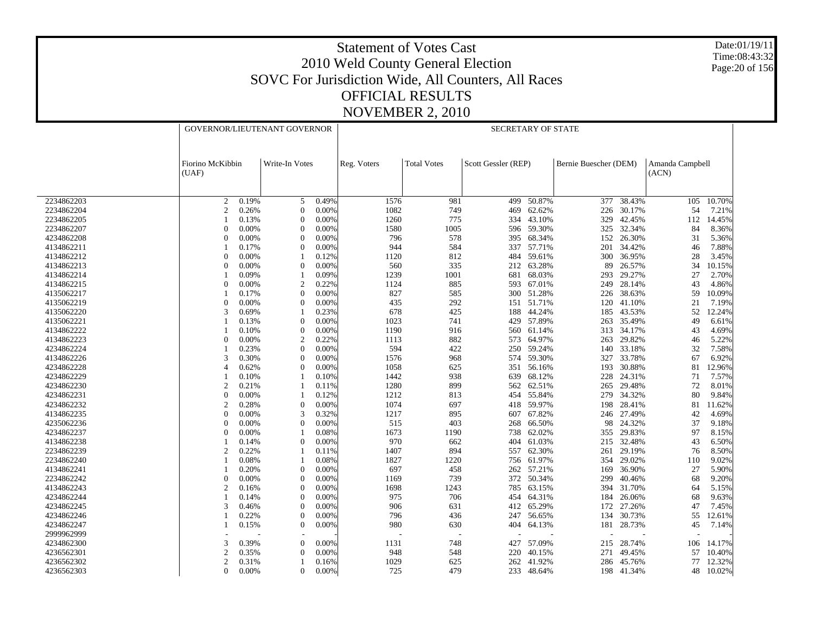Date:01/19/11 Time:08:43:32 Page:20 of 156

|            | GOVERNOR/LIEUTENANT GOVERNOR |       |                  |       | <b>SECRETARY OF STATE</b> |                    |                     |            |                       |                 |                          |            |  |
|------------|------------------------------|-------|------------------|-------|---------------------------|--------------------|---------------------|------------|-----------------------|-----------------|--------------------------|------------|--|
|            | Fiorino McKibbin<br>(UAF)    |       | Write-In Votes   |       | Reg. Voters               | <b>Total Votes</b> | Scott Gessler (REP) |            | Bernie Buescher (DEM) |                 | Amanda Campbell<br>(ACN) |            |  |
|            |                              |       |                  |       |                           |                    |                     |            |                       |                 |                          |            |  |
| 2234862203 | 2                            | 0.19% | 5                | 0.49% | 1576                      | 981                | 499                 | 50.87%     |                       | $377 - 38.43\%$ |                          | 105 10.70% |  |
| 2234862204 | $\overline{c}$               | 0.26% | $\mathbf{0}$     | 0.00% | 1082                      | 749                | 469                 | 62.62%     | 226                   | 30.17%          | 54                       | 7.21%      |  |
| 2234862205 |                              | 0.13% | $\Omega$         | 0.00% | 1260                      | 775                | 334                 | 43.10%     | 329                   | 42.45%          | 112                      | 14.45%     |  |
| 2234862207 | $\Omega$                     | 0.00% | $\mathbf{0}$     | 0.00% | 1580                      | 1005               | 596                 | 59.30%     | 325                   | 32.34%          | 84                       | 8.36%      |  |
| 4234862208 | $\Omega$                     | 0.00% | $\mathbf{0}$     | 0.00% | 796                       | 578                | 395                 | 68.34%     | 152                   | 26.30%          | 31                       | 5.36%      |  |
| 4134862211 |                              | 0.17% | $\theta$         | 0.00% | 944                       | 584                | 337                 | 57.71%     | 201                   | 34.42%          | 46                       | 7.88%      |  |
| 4134862212 | $\Omega$                     | 0.00% | $\mathbf{1}$     | 0.12% | 1120                      | 812                | 484                 | 59.61%     | 300                   | 36.95%          | 28                       | 3.45%      |  |
| 4134862213 | $\Omega$                     | 0.00% | $\theta$         | 0.00% | 560                       | 335                | 212                 | 63.28%     | 89                    | 26.57%          | 34                       | 10.15%     |  |
| 4134862214 |                              | 0.09% |                  | 0.09% | 1239                      | 1001               | 681                 | 68.03%     | 293                   | 29.27%          | 27                       | 2.70%      |  |
| 4134862215 | $\Omega$                     | 0.00% | $\overline{2}$   | 0.22% | 1124                      | 885                |                     | 593 67.01% | 249                   | 28.14%          | 43                       | 4.86%      |  |
| 4135062217 |                              | 0.17% | $\boldsymbol{0}$ | 0.00% | 827                       | 585                | 300                 | 51.28%     | 226                   | 38.63%          | 59                       | 10.09%     |  |
| 4135062219 | $\Omega$                     | 0.00% | $\mathbf{0}$     | 0.00% | 435                       | 292                |                     | 151 51.71% | 120                   | 41.10%          | 21                       | 7.19%      |  |
| 4135062220 | 3                            | 0.69% |                  | 0.23% | 678                       | 425                | 188                 | 44.24%     | 185                   | 43.53%          | 52                       | 12.24%     |  |
| 4135062221 |                              | 0.13% | $\mathbf{0}$     | 0.00% | 1023                      | 741                | 429                 | 57.89%     | 263                   | 35.49%          | 49                       | 6.61%      |  |
| 4134862222 |                              | 0.10% | $\theta$         | 0.00% | 1190                      | 916                | 560                 | 61.14%     | 313                   | 34.17%          | 43                       | 4.69%      |  |
| 4134862223 | $\Omega$                     | 0.00% | $\mathfrak{2}$   | 0.22% | 1113                      | 882                | 573                 | 64.97%     | 263                   | 29.82%          | 46                       | 5.22%      |  |
| 4234862224 |                              | 0.23% | $\overline{0}$   | 0.00% | 594                       | 422                | 250                 | 59.24%     | 140                   | 33.18%          | 32                       | 7.58%      |  |
| 4134862226 | 3                            | 0.30% | $\Omega$         | 0.00% | 1576                      | 968                |                     | 574 59.30% | 327                   | 33.78%          | 67                       | 6.92%      |  |
| 4234862228 |                              | 0.62% | $\mathbf{0}$     | 0.00% | 1058                      | 625                | 351                 | 56.16%     | 193                   | 30.88%          | 81                       | 12.96%     |  |
| 4234862229 |                              | 0.10% |                  | 0.10% | 1442                      | 938                | 639                 | 68.12%     | 228                   | 24.31%          | 71                       | 7.57%      |  |
| 4234862230 | $\overline{2}$               | 0.21% | $\mathbf{1}$     | 0.11% | 1280                      | 899                | 562                 | 62.51%     | 265                   | 29.48%          | 72                       | 8.01%      |  |
| 4234862231 | $\Omega$                     | 0.00% | $\overline{1}$   | 0.12% | 1212                      | 813                | 454                 | 55.84%     | 279                   | 34.32%          | 80                       | 9.84%      |  |
| 4234862232 | $\mathcal{P}$                | 0.28% | $\mathbf{0}$     | 0.00% | 1074                      | 697                | 418                 | 59.97%     | 198                   | 28.41%          | 81                       | 11.62%     |  |
| 4134862235 | $\Omega$                     | 0.00% | 3                | 0.32% | 1217                      | 895                | 607                 | 67.82%     | 246                   | 27.49%          | 42                       | 4.69%      |  |
| 4235062236 | $\Omega$                     | 0.00% | $\mathbf{0}$     | 0.00% | 515                       | 403                | 268                 | 66.50%     | 98                    | 24.32%          | 37                       | 9.18%      |  |
| 4234862237 | $\Omega$                     | 0.00% |                  | 0.08% | 1673                      | 1190               | 738                 | 62.02%     | 355                   | 29.83%          | 97                       | 8.15%      |  |
| 4134862238 |                              | 0.14% | $\mathbf{0}$     | 0.00% | 970                       | 662                | 404                 | 61.03%     | 215                   | 32.48%          | 43                       | 6.50%      |  |
| 2234862239 | $\mathfrak{D}$               | 0.22% | 1                | 0.11% | 1407                      | 894                | 557                 | 62.30%     | 261                   | 29.19%          | 76                       | 8.50%      |  |
| 2234862240 |                              | 0.08% | $\overline{1}$   | 0.08% | 1827                      | 1220               |                     | 756 61.97% | 354                   | 29.02%          | 110                      | 9.02%      |  |
| 4134862241 |                              | 0.20% | $\mathbf{0}$     | 0.00% | 697                       |                    |                     |            | 169                   | 36.90%          | 27                       | 5.90%      |  |
|            | $\Omega$                     |       |                  |       |                           | 458                | 262                 | 57.21%     |                       |                 |                          |            |  |
| 2234862242 |                              | 0.00% | $\mathbf{0}$     | 0.00% | 1169                      | 739                |                     | 372 50.34% | 299                   | 40.46%          | 68                       | 9.20%      |  |
| 4134862243 | $\overline{c}$               | 0.16% | $\mathbf{0}$     | 0.00% | 1698                      | 1243               | 785                 | 63.15%     | 394                   | 31.70%          | 64                       | 5.15%      |  |
| 4234862244 |                              | 0.14% | $\theta$         | 0.00% | 975                       | 706                |                     | 454 64.31% | 184                   | 26.06%          | 68                       | 9.63%      |  |
| 4234862245 | $\mathcal{R}$                | 0.46% | $\mathbf{0}$     | 0.00% | 906                       | 631                | 412                 | 65.29%     | 172                   | 27.26%          | 47                       | 7.45%      |  |
| 4234862246 |                              | 0.22% | $\Omega$         | 0.00% | 796                       | 436                | 247                 | 56.65%     | 134                   | 30.73%          | 55                       | 12.61%     |  |
| 4234862247 |                              | 0.15% | $\mathbf{0}$     | 0.00% | 980                       | 630                | 404                 | 64.13%     | 181                   | 28.73%          | 45                       | 7.14%      |  |
| 2999962999 |                              |       |                  |       |                           |                    |                     |            |                       |                 |                          |            |  |
| 4234862300 | 3                            | 0.39% | $\mathbf{0}$     | 0.00% | 1131                      | 748                | 427                 | 57.09%     | 215                   | 28.74%          | 106                      | 14.17%     |  |
| 4236562301 | $\overline{c}$               | 0.35% | $\mathbf{0}$     | 0.00% | 948                       | 548                | 220                 | 40.15%     | 271                   | 49.45%          | 57                       | 10.40%     |  |
| 4236562302 | $\mathfrak{D}$               | 0.31% |                  | 0.16% | 1029                      | 625                | 262                 | 41.92%     | 286                   | 45.76%          | 77                       | 12.32%     |  |
| 4236562303 | $\mathbf{0}$                 | 0.00% | $\mathbf{0}$     | 0.00% | 725                       | 479                | 233                 | 48.64%     |                       | 198 41.34%      | 48                       | 10.02%     |  |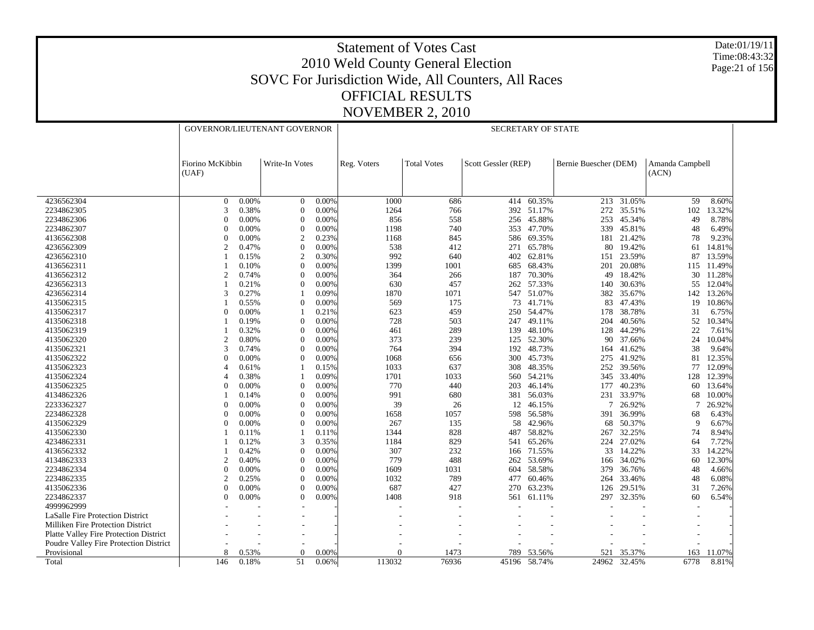Date:01/19/11 Time:08:43:32 Page:21 of 156

|                                          |                                             |       | GOVERNOR/LIEUTENANT GOVERNOR |       |             |                    | <b>SECRETARY OF STATE</b> |            |                       |            |                          |        |
|------------------------------------------|---------------------------------------------|-------|------------------------------|-------|-------------|--------------------|---------------------------|------------|-----------------------|------------|--------------------------|--------|
|                                          | Fiorino McKibbin<br>Write-In Votes<br>(UAF) |       |                              |       | Reg. Voters | <b>Total Votes</b> | Scott Gessler (REP)       |            | Bernie Buescher (DEM) |            | Amanda Campbell<br>(ACN) |        |
| 4236562304                               | $\overline{0}$                              | 0.00% | $\overline{0}$               | 0.00% | 1000        | 686                | 414                       | 60.35%     | 213                   | 31.05%     | 59                       | 8.60%  |
| 2234862305                               | 3                                           | 0.38% | $\mathbf{0}$                 | 0.00% | 1264        | 766                |                           | 392 51.17% | 272                   | 35.51%     | 102                      | 13.32% |
| 2234862306                               | $\theta$                                    | 0.00% | $\overline{0}$               | 0.00% | 856         | 558                | 256                       | 45.88%     | 253                   | 45.34%     | 49                       | 8.78%  |
| 2234862307                               | $\Omega$                                    | 0.00% | $\overline{0}$               | 0.00% | 1198        | 740                |                           | 353 47.70% | 339                   | 45.81%     | 48                       | 6.49%  |
| 4136562308                               | $\Omega$                                    | 0.00% | $\overline{2}$               | 0.23% | 1168        | 845                | 586                       | 69.35%     | 181                   | 21.42%     | 78                       | 9.23%  |
| 4236562309                               | $\overline{c}$                              | 0.47% | $\Omega$                     | 0.00% | 538         | 412                | 271                       | 65.78%     | 80                    | 19.42%     | 61                       | 14.81% |
| 4236562310                               |                                             | 0.15% | $\overline{2}$               | 0.30% | 992         | 640                | 402                       | 62.81%     | 151                   | 23.59%     | 87                       | 13.59% |
| 4136562311                               |                                             | 0.10% | $\Omega$                     | 0.00% | 1399        | 1001               | 685                       | 68.43%     | 201                   | 20.08%     | 115                      | 11.49% |
| 4136562312                               | $\overline{c}$                              | 0.74% | $\overline{0}$               | 0.00% | 364         | 266                | 187                       | 70.30%     | 49                    | 18.42%     | 30                       | 11.28% |
| 4236562313                               |                                             | 0.21% | $\overline{0}$               | 0.00% | 630         | 457                | 262                       | 57.33%     | 140                   | 30.63%     | 55                       | 12.04% |
| 4236562314                               | 3                                           | 0.27% |                              | 0.09% | 1870        | 1071               |                           | 547 51.07% | 382                   | 35.67%     | 142                      | 13.26% |
| 4135062315                               |                                             | 0.55% | $\overline{0}$               | 0.00% | 569         | 175                | 73                        | 41.71%     | 83                    | 47.43%     | 19                       | 10.86% |
| 4135062317                               | $\Omega$                                    | 0.00% |                              | 0.21% | 623         | 459                |                           | 250 54.47% | 178                   | 38.78%     | 31                       | 6.75%  |
| 4135062318                               |                                             | 0.19% | $\overline{0}$               | 0.00% | 728         | 503                | 247                       | 49.11%     | 204                   | 40.56%     | 52                       | 10.34% |
| 4135062319                               |                                             | 0.32% | $\Omega$                     | 0.00% | 461         | 289                | 139                       | 48.10%     | 128                   | 44.29%     | 22                       | 7.61%  |
| 4135062320                               | $\overline{c}$                              | 0.80% | $\overline{0}$               | 0.00% | 373         | 239                | 125                       | 52.30%     | 90                    | 37.66%     | 24                       | 10.04% |
| 4135062321                               | 3                                           | 0.74% | $\overline{0}$               | 0.00% | 764         | 394                | 192                       | 48.73%     | 164                   | 41.62%     | 38                       | 9.64%  |
| 4135062322                               | $\Omega$                                    | 0.00% | $\Omega$                     | 0.00% | 1068        | 656                |                           | 300 45.73% | 275                   | 41.92%     | 81                       | 12.35% |
| 4135062323                               | $\Delta$                                    | 0.61% |                              | 0.15% | 1033        | 637                | 308                       | 48.35%     | 252                   | 39.56%     | 77                       | 12.09% |
| 4135062324                               | Δ                                           | 0.38% |                              | 0.09% | 1701        | 1033               |                           | 560 54.21% | 345                   | 33.40%     | 128                      | 12.39% |
| 4135062325                               | 0                                           | 0.00% | $\overline{0}$               | 0.00% | 770         | 440                | 203                       | 46.14%     | 177                   | 40.23%     | 60                       | 13.64% |
| 4134862326                               |                                             | 0.14% | $\Omega$                     | 0.00% | 991         | 680                | 381                       | 56.03%     | 231                   | 33.97%     | 68                       | 10.00% |
| 2233362327                               | $\theta$                                    | 0.00% | $\overline{0}$               | 0.00% | 39          | 26                 | 12                        | 46.15%     | 7                     | 26.92%     | 7                        | 26.92% |
| 2234862328                               | $\theta$                                    | 0.00% | $\overline{0}$               | 0.00% | 1658        | 1057               | 598                       | 56.58%     | 391                   | 36.99%     | 68                       | 6.43%  |
| 4135062329                               | 0                                           | 0.00% | $\overline{0}$               | 0.00% | 267         | 135                | 58                        | 42.96%     | 68                    | 50.37%     | 9                        | 6.67%  |
| 4135062330                               |                                             | 0.11% |                              | 0.11% | 1344        | 828                | 487                       | 58.82%     | 267                   | 32.25%     | 74                       | 8.94%  |
| 4234862331                               |                                             | 0.12% | 3                            | 0.35% | 1184        | 829                |                           | 541 65.26% |                       | 224 27.02% | 64                       | 7.72%  |
| 4136562332                               |                                             | 0.42% | $\overline{0}$               | 0.00% | 307         | 232                | 166                       | 71.55%     | 33                    | 14.22%     | 33                       | 14.22% |
| 4134862333                               | $\overline{c}$                              | 0.40% | $\Omega$                     | 0.00% | 779         | 488                | 262                       | 53.69%     | 166                   | 34.02%     | 60                       | 12.30% |
| 2234862334                               | $\theta$                                    | 0.00% | $\overline{0}$               | 0.00% | 1609        | 1031               | 604                       | 58.58%     | 379                   | 36.76%     | 48                       | 4.66%  |
| 2234862335                               | $\overline{2}$                              | 0.25% | $\Omega$                     | 0.00% | 1032        | 789                | 477                       | 60.46%     | 264                   | 33.46%     | 48                       | 6.08%  |
| 4135062336                               | $\Omega$                                    | 0.00% | $\Omega$                     | 0.00% | 687         | 427                | 270                       | 63.23%     | 126                   | 29.51%     | 31                       | 7.26%  |
| 2234862337                               | $\Omega$                                    | 0.00% | $\overline{0}$               | 0.00% | 1408        | 918                | 561                       | 61.11%     | 297                   | 32.35%     | 60                       | 6.54%  |
| 4999962999                               |                                             |       |                              |       |             |                    |                           |            |                       |            |                          |        |
| LaSalle Fire Protection District         |                                             |       |                              |       |             |                    |                           |            |                       |            |                          |        |
| <b>Milliken Fire Protection District</b> |                                             |       |                              |       |             |                    |                           |            |                       |            |                          |        |
| Platte Valley Fire Protection District   |                                             |       |                              |       |             |                    |                           |            |                       |            |                          |        |
| Poudre Valley Fire Protection District   |                                             |       |                              |       |             |                    |                           |            |                       |            |                          |        |
| Provisional                              | 8                                           | 0.53% | $\Omega$                     | 0.00% | $\Omega$    | 1473               | 789                       | 53.56%     | 521                   | 35.37%     | 163                      | 11.07% |
| Total                                    | 146                                         | 0.18% | 51                           | 0.06% | 113032      | 76936              | 45196                     | 58.74%     | 24962                 | 32.45%     | 6778                     | 8.81%  |
|                                          |                                             |       |                              |       |             |                    |                           |            |                       |            |                          |        |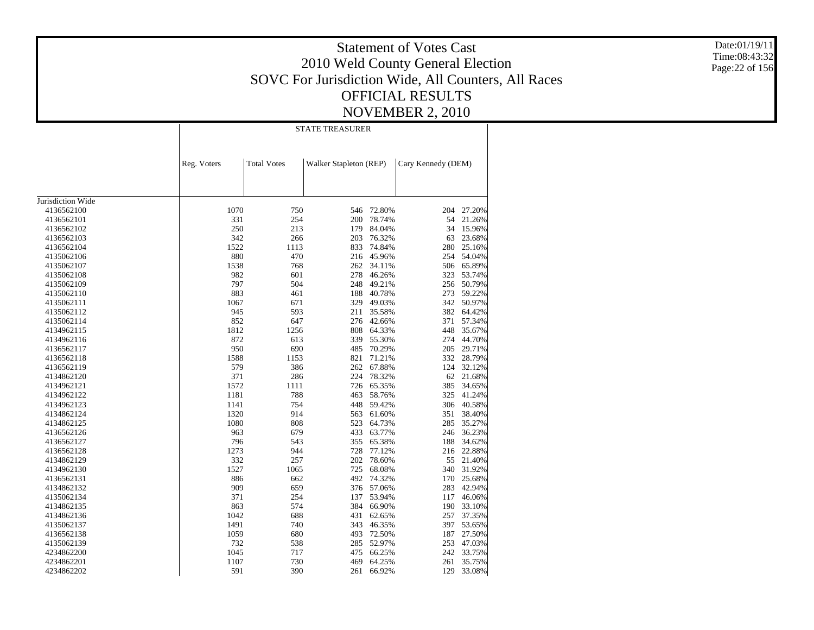Date:01/19/11 Time:08:43:32 Page:22 of 156

|                   |             |                    | <b>STATE TREASURER</b> |            |                    |        |
|-------------------|-------------|--------------------|------------------------|------------|--------------------|--------|
|                   | Reg. Voters | <b>Total Votes</b> | Walker Stapleton (REP) |            | Cary Kennedy (DEM) |        |
|                   |             |                    |                        |            |                    |        |
| Jurisdiction Wide |             |                    |                        |            |                    |        |
| 4136562100        | 1070        | 750                | 546                    | 72.80%     | 204                | 27.20% |
| 4136562101        | 331         | 254                | 200                    | 78.74%     | 54                 | 21.26% |
| 4136562102        | 250         | 213                | 179                    | 84.04%     | 34                 | 15.96% |
| 4136562103        | 342         | 266                | 203                    | 76.32%     | 63                 | 23.68% |
| 4136562104        | 1522        | 1113               | 833                    | 74.84%     | 280                | 25.16% |
| 4135062106        | 880         | 470                | 216                    | 45.96%     | 254                | 54.04% |
| 4135062107        | 1538        | 768                | 262                    | 34.11%     | 506                | 65.89% |
| 4135062108        | 982         | 601                | 278                    | 46.26%     | 323                | 53.74% |
| 4135062109        | 797         | 504                | 248                    | 49.21%     | 256                | 50.79% |
| 4135062110        | 883         | 461                | 188                    | 40.78%     | 273                | 59.22% |
| 4135062111        | 1067        | 671                | 329                    | 49.03%     | 342                | 50.97% |
| 4135062112        | 945         | 593                | 211                    | 35.58%     | 382                | 64.42% |
| 4135062114        | 852         | 647                | 276                    | 42.66%     | 371                | 57.34% |
| 4134962115        | 1812        | 1256               | 808                    | 64.33%     | 448                | 35.67% |
| 4134962116        | 872         | 613                | 339                    | 55.30%     | 274                | 44.70% |
| 4136562117        | 950         | 690                | 485                    | 70.29%     | 205                | 29.71% |
| 4136562118        | 1588        | 1153               | 821                    | 71.21%     | 332                | 28.79% |
| 4136562119        | 579         | 386                | 262                    | 67.88%     | 124                | 32.12% |
| 4134862120        | 371         | 286                | 224                    | 78.32%     | 62                 | 21.68% |
| 4134962121        | 1572        | 1111               | 726                    | 65.35%     | 385                | 34.65% |
| 4134962122        | 1181        | 788                | 463                    | 58.76%     | 325                | 41.24% |
| 4134962123        | 1141        | 754                | 448                    | 59.42%     | 306                | 40.58% |
| 4134862124        | 1320        | 914                | 563                    | 61.60%     | 351                | 38.40% |
| 4134862125        | 1080        | 808                | 523                    | 64.73%     | 285                | 35.27% |
| 4136562126        | 963         | 679                | 433                    | 63.77%     | 246                | 36.23% |
| 4136562127        | 796         | 543                | 355                    | 65.38%     | 188                | 34.62% |
| 4136562128        | 1273        | 944                | 728                    | 77.12%     | 216                | 22.88% |
| 4134862129        | 332         | 257                | 202                    | 78.60%     | 55                 | 21.40% |
| 4134962130        | 1527        | 1065               | 725                    | 68.08%     | 340                | 31.92% |
| 4136562131        | 886         | 662                | 492                    | 74.32%     | 170                | 25.68% |
| 4134862132        | 909         | 659                |                        | 376 57.06% | 283                | 42.94% |
| 4135062134        | 371         | 254                | 137                    | 53.94%     | 117                | 46.06% |
| 4134862135        | 863         | 574                | 384                    | 66.90%     | 190                | 33.10% |
| 4134862136        | 1042        | 688                | 431                    | 62.65%     | 257                | 37.35% |
| 4135062137        | 1491        | 740                | 343                    | 46.35%     | 397                | 53.65% |
| 4136562138        | 1059        | 680                | 493                    | 72.50%     | 187                | 27.50% |
| 4135062139        | 732         | 538                | 285                    | 52.97%     | 253                | 47.03% |
| 4234862200        | 1045        | 717                | 475                    | 66.25%     | 242                | 33.75% |
| 4234862201        | 1107        | 730                | 469                    | 64.25%     | 261                | 35.75% |
|                   | 591         | 390                |                        | 66.92%     | 129                | 33.08% |
| 4234862202        |             |                    | 261                    |            |                    |        |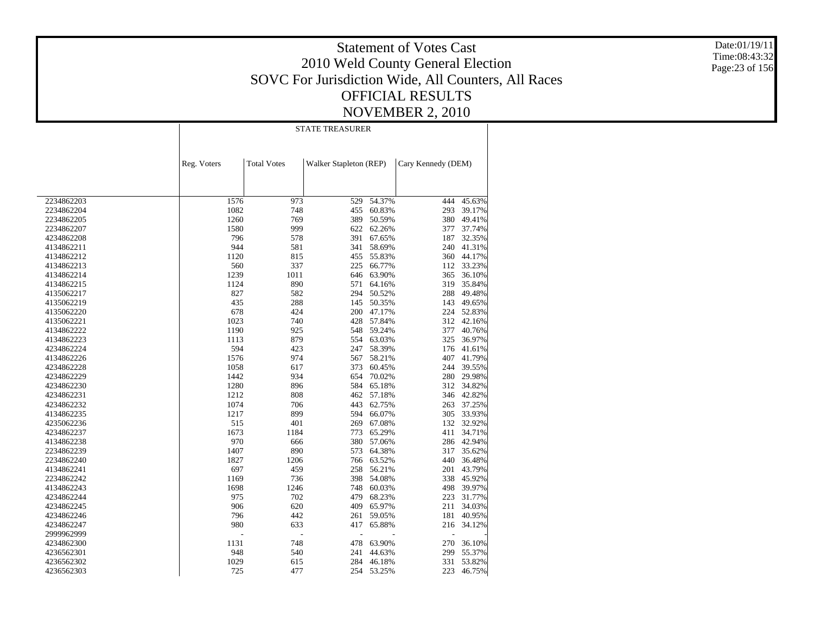Date:01/19/11 Time:08:43:32 Page:23 of 156

|            |             |                    | <b>STATE TREASURER</b> |                  |                    |                      |
|------------|-------------|--------------------|------------------------|------------------|--------------------|----------------------|
|            | Reg. Voters | <b>Total Votes</b> | Walker Stapleton (REP) |                  | Cary Kennedy (DEM) |                      |
|            |             |                    |                        |                  |                    |                      |
| 2234862203 | 1576        | 973                | 529                    | 54.37%           | 444                | 45.63%               |
| 2234862204 | 1082        | 748                | 455                    | 60.83%           | 293                | 39.17%               |
| 2234862205 | 1260        | 769                | 389                    | 50.59%           | 380                | 49.41%               |
| 2234862207 | 1580        | 999                | 622                    | 62.26%           | 377                | 37.74%               |
| 4234862208 | 796         | 578                | 391                    | 67.65%           | 187                | 32.35%               |
| 4134862211 | 944         | 581                | 341                    | 58.69%           |                    | 240 41.31%           |
| 4134862212 | 1120        | 815                | 455                    | 55.83%           |                    | 360 44.17%           |
| 4134862213 | 560         | 337                | 225                    | 66.77%           | 112                | 33.23%               |
| 4134862214 | 1239        | 1011               | 646                    | 63.90%           | 365                | 36.10%               |
| 4134862215 | 1124        | 890                | 571                    | 64.16%           | 319                | 35.84%               |
| 4135062217 | 827         | 582                | 294                    | 50.52%           | 288                | 49.48%               |
| 4135062219 | 435         | 288                | 145                    | 50.35%           | 143                | 49.65%               |
| 4135062220 | 678         | 424                | 200                    | 47.17%           | 224                | 52.83%               |
| 4135062221 | 1023        | 740                | 428                    | 57.84%           | 312                | 42.16%               |
| 4134862222 | 1190        | 925                | 548                    | 59.24%           | 377                | 40.76%               |
| 4134862223 | 1113        | 879                | 554                    | 63.03%           | 325                | 36.97%               |
| 4234862224 | 594         | 423                | 247                    | 58.39%           | 176                | 41.61%               |
| 4134862226 | 1576        | 974                | 567                    | 58.21%           | 407                | 41.79%               |
| 4234862228 | 1058        | 617                | 373                    | 60.45%           | 244                | 39.55%               |
| 4234862229 | 1442        | 934                | 654                    | 70.02%           | 280                | 29.98%               |
| 4234862230 | 1280        | 896                | 584                    | 65.18%           |                    | 312 34.82%           |
| 4234862231 | 1212        | 808                | 462                    | 57.18%           |                    | 346 42.82%           |
| 4234862232 | 1074        | 706                | 443                    | 62.75%           | 263                | 37.25%               |
| 4134862235 | 1217        | 899                | 594                    | 66.07%           | 305                | 33.93%               |
|            | 515         | 401                | 269                    | 67.08%           |                    | 132 32.92%           |
| 4235062236 | 1673        |                    | 773                    |                  |                    |                      |
| 4234862237 | 970         | 1184<br>666        | 380                    | 65.29%<br>57.06% | 411                | 34.71%<br>286 42.94% |
| 4134862238 | 1407        | 890                | 573                    | 64.38%           | 317                | 35.62%               |
| 2234862239 |             |                    |                        |                  | 440                |                      |
| 2234862240 | 1827        | 1206               | 766                    | 63.52%           |                    | 36.48%               |
| 4134862241 | 697         | 459                | 258                    | 56.21%           | 201                | 43.79%               |
| 2234862242 | 1169        | 736                | 398                    | 54.08%           | 338                | 45.92%               |
| 4134862243 | 1698        | 1246               | 748                    | 60.03%           | 498                | 39.97%               |
| 4234862244 | 975         | 702                | 479                    | 68.23%           | 223                | 31.77%               |
| 4234862245 | 906         | 620                | 409                    | 65.97%           | 211                | 34.03%               |
| 4234862246 | 796         | 442                | 261                    | 59.05%           | 181                | 40.95%               |
| 4234862247 | 980         | 633                | 417                    | 65.88%           |                    | 216 34.12%           |
| 2999962999 |             |                    | $\overline{a}$         |                  |                    |                      |
| 4234862300 | 1131        | 748                | 478                    | 63.90%           | 270                | 36.10%               |
| 4236562301 | 948         | 540                | 241                    | 44.63%           | 299                | 55.37%               |
| 4236562302 | 1029        | 615                | 284                    | 46.18%           | 331                | 53.82%               |
| 4236562303 | 725         | 477                | 254                    | 53.25%           | 223                | 46.75%               |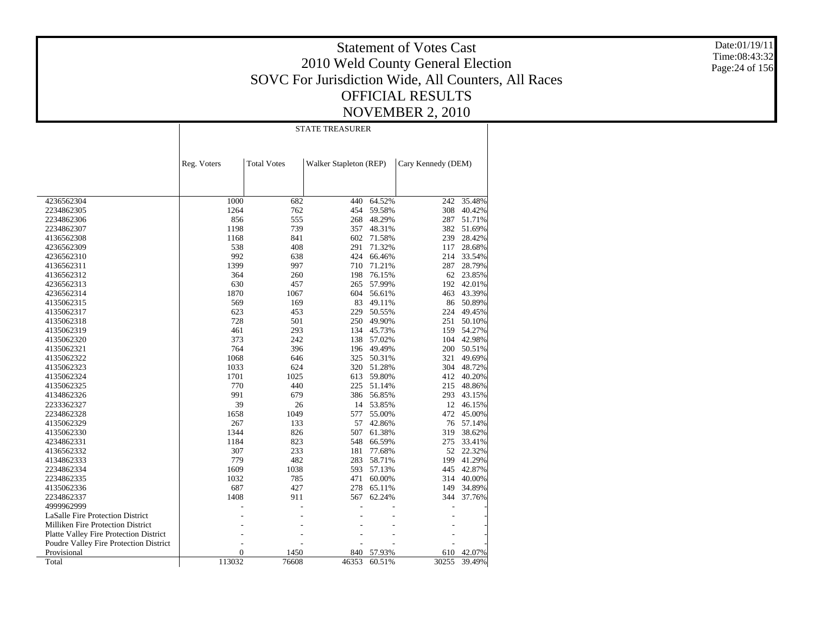Date:01/19/11 Time:08:43:32 Page:24 of 156

|                                               |             |                    | <b>STATE TREASURER</b> |        |                    |        |
|-----------------------------------------------|-------------|--------------------|------------------------|--------|--------------------|--------|
|                                               | Reg. Voters | <b>Total Votes</b> | Walker Stapleton (REP) |        | Cary Kennedy (DEM) |        |
|                                               |             |                    |                        |        |                    |        |
| 4236562304                                    | 1000        | 682                | 440                    | 64.52% | 242                | 35.48% |
| 2234862305                                    | 1264        | 762                | 454                    | 59.58% | 308                | 40.42% |
| 2234862306                                    | 856         | 555                | 268                    | 48.29% | 287                | 51.71% |
| 2234862307                                    | 1198        | 739                | 357                    | 48.31% | 382                | 51.69% |
| 4136562308                                    | 1168        | 841                | 602                    | 71.58% | 239                | 28.42% |
| 4236562309                                    | 538         | 408                | 291                    | 71.32% | 117                | 28.68% |
| 4236562310                                    | 992         | 638                | 424                    | 66.46% | 214                | 33.54% |
| 4136562311                                    | 1399        | 997                | 710                    | 71.21% | 287                | 28.79% |
| 4136562312                                    | 364         | 260                | 198                    | 76.15% | 62                 | 23.85% |
| 4236562313                                    | 630         | 457                | 265                    | 57.99% | 192                | 42.01% |
| 4236562314                                    | 1870        | 1067               | 604                    | 56.61% | 463                | 43.39% |
| 4135062315                                    | 569         | 169                | 83                     | 49.11% | 86                 | 50.89% |
| 4135062317                                    | 623         | 453                | 229                    | 50.55% | 224                | 49.45% |
| 4135062318                                    | 728         | 501                | 250                    | 49.90% | 251                | 50.10% |
| 4135062319                                    | 461         | 293                | 134                    | 45.73% | 159                | 54.27% |
| 4135062320                                    | 373         | 242                | 138                    | 57.02% | 104                | 42.98% |
| 4135062321                                    | 764         | 396                | 196                    | 49.49% | 200                | 50.51% |
| 4135062322                                    | 1068        | 646                | 325                    | 50.31% | 321                | 49.69% |
| 4135062323                                    | 1033        | 624                | 320                    | 51.28% | 304                | 48.72% |
| 4135062324                                    | 1701        | 1025               | 613                    | 59.80% | 412                | 40.20% |
| 4135062325                                    | 770         | 440                | 225                    | 51.14% | 215                | 48.86% |
| 4134862326                                    | 991         | 679                | 386                    | 56.85% | 293                | 43.15% |
| 2233362327                                    | 39          | 26                 | 14                     | 53.85% | 12                 | 46.15% |
| 2234862328                                    | 1658        | 1049               | 577                    | 55.00% | 472                | 45.00% |
| 4135062329                                    | 267         | 133                | 57                     | 42.86% | 76                 | 57.14% |
| 4135062330                                    | 1344        | 826                | 507                    | 61.38% | 319                | 38.62% |
| 4234862331                                    | 1184        | 823                | 548                    | 66.59% | 275                | 33.41% |
| 4136562332                                    | 307         | 233                | 181                    | 77.68% | 52                 | 22.32% |
| 4134862333                                    | 779         | 482                | 283                    | 58.71% | 199                | 41.29% |
| 2234862334                                    | 1609        | 1038               | 593                    | 57.13% | 445                | 42.87% |
| 2234862335                                    | 1032        | 785                | 471                    | 60.00% | 314                | 40.00% |
| 4135062336                                    | 687         | 427                | 278                    | 65.11% | 149                | 34.89% |
| 2234862337                                    | 1408        | 911                | 567                    | 62.24% | 344                | 37.76% |
| 4999962999                                    |             |                    |                        |        |                    |        |
| LaSalle Fire Protection District              |             |                    |                        |        |                    |        |
| <b>Milliken Fire Protection District</b>      |             |                    |                        |        |                    |        |
| <b>Platte Valley Fire Protection District</b> |             |                    |                        |        |                    |        |
| Poudre Valley Fire Protection District        |             |                    |                        |        |                    |        |
| Provisional                                   | 0           | 1450               | 840                    | 57.93% | 610                | 42.07% |
| Total                                         | 113032      | 76608              | 46353                  | 60.51% | 30255              | 39.49% |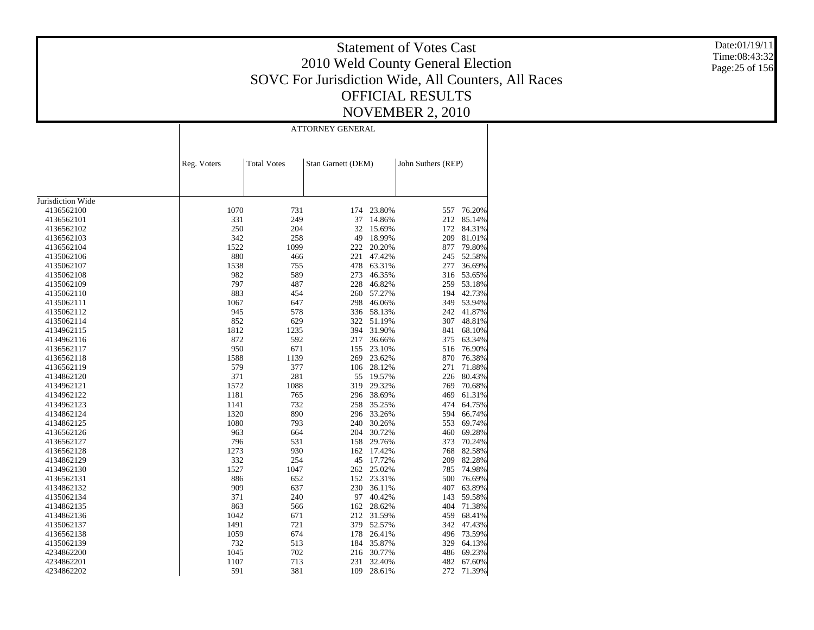Date:01/19/11 Time:08:43:32 Page:25 of 156

|                   |             |                    | <b>ATTORNEY GENERAL</b> |        |                    |        |
|-------------------|-------------|--------------------|-------------------------|--------|--------------------|--------|
|                   | Reg. Voters | <b>Total Votes</b> | Stan Garnett (DEM)      |        | John Suthers (REP) |        |
|                   |             |                    |                         |        |                    |        |
| Jurisdiction Wide |             |                    |                         |        |                    |        |
| 4136562100        | 1070        | 731                | 174                     | 23.80% | 557                | 76.20% |
| 4136562101        | 331         | 249                | 37                      | 14.86% | 212                | 85.14% |
| 4136562102        | 250         | 204                | 32                      | 15.69% | 172                | 84.31% |
| 4136562103        | 342         | 258                | 49                      | 18.99% | 209                | 81.01% |
| 4136562104        | 1522        | 1099               | 222                     | 20.20% | 877                | 79.80% |
| 4135062106        | 880         | 466                | 221                     | 47.42% | 245                | 52.58% |
| 4135062107        | 1538        | 755                | 478                     | 63.31% | 277                | 36.69% |
| 4135062108        | 982         | 589                | 273                     | 46.35% | 316                | 53.65% |
| 4135062109        | 797         | 487                | 228                     | 46.82% | 259                | 53.18% |
| 4135062110        | 883         | 454                | 260                     | 57.27% | 194                | 42.73% |
| 4135062111        | 1067        | 647                | 298                     | 46.06% | 349                | 53.94% |
| 4135062112        | 945         | 578                | 336                     | 58.13% | 242                | 41.87% |
| 4135062114        | 852         | 629                | 322                     | 51.19% | 307                | 48.81% |
| 4134962115        | 1812        | 1235               | 394                     | 31.90% | 841                | 68.10% |
| 4134962116        | 872         | 592                | 217                     | 36.66% | 375                | 63.34% |
| 4136562117        | 950         | 671                | 155                     | 23.10% | 516                | 76.90% |
| 4136562118        | 1588        | 1139               | 269                     | 23.62% | 870                | 76.38% |
| 4136562119        | 579         | 377                | 106                     | 28.12% | 271                | 71.88% |
| 4134862120        | 371         | 281                | 55                      | 19.57% | 226                | 80.43% |
| 4134962121        | 1572        | 1088               | 319                     | 29.32% | 769                | 70.68% |
| 4134962122        | 1181        | 765                | 296                     | 38.69% | 469                | 61.31% |
| 4134962123        | 1141        | 732                | 258                     | 35.25% | 474                | 64.75% |
| 4134862124        | 1320        | 890                | 296                     | 33.26% | 594                | 66.74% |
| 4134862125        | 1080        | 793                | 240                     | 30.26% | 553                | 69.74% |
| 4136562126        | 963         | 664                | 204                     | 30.72% | 460                | 69.28% |
| 4136562127        | 796         | 531                | 158                     | 29.76% | 373                | 70.24% |
| 4136562128        | 1273        | 930                | 162                     | 17.42% | 768                | 82.58% |
| 4134862129        | 332         | 254                | 45                      | 17.72% | 209                | 82.28% |
| 4134962130        | 1527        | 1047               | 262                     | 25.02% | 785                | 74.98% |
| 4136562131        | 886         | 652                | 152                     | 23.31% | 500                | 76.69% |
| 4134862132        | 909         | 637                | 230                     | 36.11% | 407                | 63.89% |
| 4135062134        | 371         | 240                | 97                      | 40.42% | 143                | 59.58% |
| 4134862135        | 863         | 566                | 162                     | 28.62% | 404                | 71.38% |
| 4134862136        | 1042        | 671                | 212                     | 31.59% | 459                | 68.41% |
| 4135062137        | 1491        | 721                | 379                     | 52.57% | 342                | 47.43% |
| 4136562138        | 1059        | 674                | 178                     | 26.41% | 496                | 73.59% |
| 4135062139        | 732         | 513                | 184                     | 35.87% | 329                | 64.13% |
| 4234862200        | 1045        | 702                | 216                     | 30.77% | 486                | 69.23% |
| 4234862201        | 1107        | 713                | 231                     | 32.40% | 482                | 67.60% |
| 4234862202        | 591         | 381                | 109                     | 28.61% | 272                | 71.39% |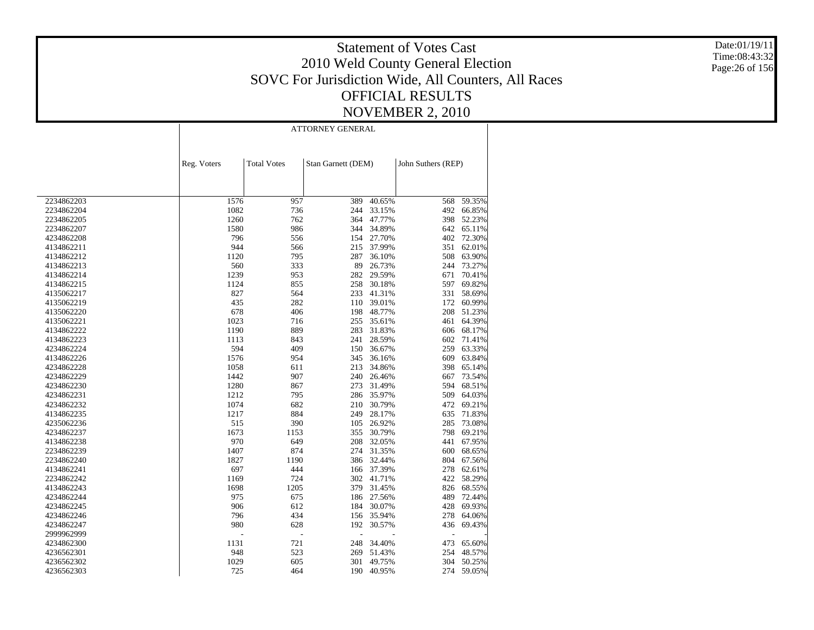Date:01/19/11 Time:08:43:32 Page:26 of 156

|            | <b>ATTORNEY GENERAL</b> |                    |                    |        |                    |        |  |
|------------|-------------------------|--------------------|--------------------|--------|--------------------|--------|--|
|            | Reg. Voters             | <b>Total Votes</b> | Stan Garnett (DEM) |        | John Suthers (REP) |        |  |
|            |                         |                    |                    |        |                    |        |  |
| 2234862203 | 1576                    | 957                | 389                | 40.65% | 568                | 59.35% |  |
| 2234862204 | 1082                    | 736                | 244                | 33.15% | 492                | 66.85% |  |
| 2234862205 | 1260                    | 762                | 364                | 47.77% | 398                | 52.23% |  |
| 2234862207 | 1580                    | 986                | 344                | 34.89% | 642                | 65.11% |  |
| 4234862208 | 796                     | 556                | 154                | 27.70% | 402                | 72.30% |  |
| 4134862211 | 944                     | 566                | 215                | 37.99% | 351                | 62.01% |  |
| 4134862212 | 1120                    | 795                | 287                | 36.10% | 508                | 63.90% |  |
| 4134862213 | 560                     | 333                | 89                 | 26.73% | 244                | 73.27% |  |
| 4134862214 | 1239                    | 953                | 282                | 29.59% | 671                | 70.41% |  |
| 4134862215 | 1124                    | 855                | 258                | 30.18% | 597                | 69.82% |  |
| 4135062217 | 827                     | 564                | 233                | 41.31% | 331                | 58.69% |  |
| 4135062219 | 435                     | 282                | 110                | 39.01% | 172                | 60.99% |  |
| 4135062220 | 678                     | 406                | 198                | 48.77% | 208                | 51.23% |  |
| 4135062221 | 1023                    | 716                | 255                | 35.61% | 461                | 64.39% |  |
| 4134862222 | 1190                    | 889                | 283                | 31.83% | 606                | 68.17% |  |
| 4134862223 | 1113                    | 843                | 241                | 28.59% | 602                | 71.41% |  |
| 4234862224 | 594                     | 409                | 150                | 36.67% | 259                | 63.33% |  |
| 4134862226 | 1576                    | 954                | 345                | 36.16% | 609                | 63.84% |  |
| 4234862228 | 1058                    | 611                | 213                | 34.86% | 398                | 65.14% |  |
| 4234862229 | 1442                    | 907                | 240                | 26.46% | 667                | 73.54% |  |
| 4234862230 | 1280                    | 867                | 273                | 31.49% | 594                | 68.51% |  |
| 4234862231 | 1212                    | 795                | 286                | 35.97% | 509                | 64.03% |  |
| 4234862232 | 1074                    | 682                | 210                | 30.79% | 472                | 69.21% |  |
| 4134862235 | 1217                    | 884                | 249                | 28.17% | 635                | 71.83% |  |
| 4235062236 | 515                     | 390                | 105                | 26.92% | 285                | 73.08% |  |
| 4234862237 | 1673                    | 1153               | 355                | 30.79% | 798                | 69.21% |  |
| 4134862238 | 970                     | 649                | 208                | 32.05% | 441                | 67.95% |  |
| 2234862239 | 1407                    | 874                | 274                | 31.35% | 600                | 68.65% |  |
| 2234862240 | 1827                    | 1190               | 386                | 32.44% | 804                | 67.56% |  |
| 4134862241 | 697                     | 444                | 166                | 37.39% | 278                | 62.61% |  |
| 2234862242 | 1169                    | 724                | 302                | 41.71% | 422                | 58.29% |  |
| 4134862243 | 1698                    | 1205               | 379                | 31.45% | 826                | 68.55% |  |
| 4234862244 | 975                     | 675                | 186                | 27.56% | 489                | 72.44% |  |
| 4234862245 | 906                     | 612                | 184                | 30.07% | 428                | 69.93% |  |
| 4234862246 | 796                     | 434                | 156                | 35.94% | 278                | 64.06% |  |
| 4234862247 | 980                     | 628                | 192                | 30.57% | 436                | 69.43% |  |
| 2999962999 | L,                      | L,                 | L,                 |        | Ĭ.                 |        |  |
| 4234862300 | 1131                    | 721                | 248                | 34.40% | 473                | 65.60% |  |
| 4236562301 | 948                     | 523                | 269                | 51.43% | 254                | 48.57% |  |
| 4236562302 | 1029                    | 605                | 301                | 49.75% | 304                | 50.25% |  |
|            | 725                     | 464                | 190                |        | 274                |        |  |
| 4236562303 |                         |                    |                    | 40.95% |                    | 59.05% |  |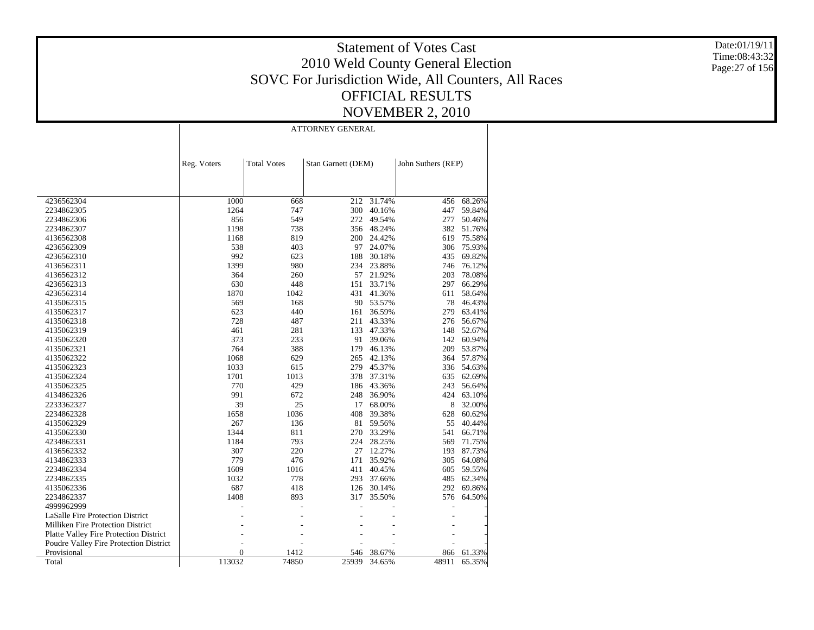Date:01/19/11 Time:08:43:32 Page:27 of 156

|                                               |             | <b>ATTORNEY GENERAL</b> |                    |        |                    |        |  |  |  |  |
|-----------------------------------------------|-------------|-------------------------|--------------------|--------|--------------------|--------|--|--|--|--|
|                                               |             |                         |                    |        |                    |        |  |  |  |  |
|                                               | Reg. Voters | <b>Total Votes</b>      | Stan Garnett (DEM) |        | John Suthers (REP) |        |  |  |  |  |
|                                               |             |                         |                    |        |                    |        |  |  |  |  |
| 4236562304                                    | 1000        | 668                     | 212                | 31.74% | 456                | 68.26% |  |  |  |  |
| 2234862305                                    | 1264        | 747                     | 300                | 40.16% | 447                | 59.84% |  |  |  |  |
| 2234862306                                    | 856         | 549                     | 272                | 49.54% | 277                | 50.46% |  |  |  |  |
| 2234862307                                    | 1198        | 738                     | 356                | 48.24% | 382                | 51.76% |  |  |  |  |
| 4136562308                                    | 1168        | 819                     | 200                | 24.42% | 619                | 75.58% |  |  |  |  |
| 4236562309                                    | 538         | 403                     | 97                 | 24.07% | 306                | 75.93% |  |  |  |  |
| 4236562310                                    | 992         | 623                     | 188                | 30.18% | 435                | 69.82% |  |  |  |  |
| 4136562311                                    | 1399        | 980                     | 234                | 23.88% | 746                | 76.12% |  |  |  |  |
| 4136562312                                    | 364         | 260                     | 57                 | 21.92% | 203                | 78.08% |  |  |  |  |
| 4236562313                                    | 630         | 448                     | 151                | 33.71% | 297                | 66.29% |  |  |  |  |
| 4236562314                                    | 1870        | 1042                    | 431                | 41.36% | 611                | 58.64% |  |  |  |  |
| 4135062315                                    | 569         | 168                     | 90                 | 53.57% | 78                 | 46.43% |  |  |  |  |
| 4135062317                                    | 623         | 440                     | 161                | 36.59% | 279                | 63.41% |  |  |  |  |
| 4135062318                                    | 728         | 487                     | 211                | 43.33% | 276                | 56.67% |  |  |  |  |
| 4135062319                                    | 461         | 281                     | 133                | 47.33% | 148                | 52.67% |  |  |  |  |
| 4135062320                                    | 373         | 233                     | 91                 | 39.06% | 142                | 60.94% |  |  |  |  |
| 4135062321                                    | 764         | 388                     | 179                | 46.13% | 209                | 53.87% |  |  |  |  |
| 4135062322                                    | 1068        | 629                     | 265                | 42.13% | 364                | 57.87% |  |  |  |  |
| 4135062323                                    | 1033        | 615                     | 279                | 45.37% | 336                | 54.63% |  |  |  |  |
| 4135062324                                    | 1701        | 1013                    | 378                | 37.31% | 635                | 62.69% |  |  |  |  |
| 4135062325                                    | 770         | 429                     | 186                | 43.36% | 243                | 56.64% |  |  |  |  |
| 4134862326                                    | 991         | 672                     | 248                | 36.90% | 424                | 63.10% |  |  |  |  |
| 2233362327                                    | 39          | 25                      | 17                 | 68.00% | 8                  | 32.00% |  |  |  |  |
| 2234862328                                    | 1658        | 1036                    | 408                | 39.38% | 628                | 60.62% |  |  |  |  |
| 4135062329                                    | 267         | 136                     | 81                 | 59.56% | 55                 | 40.44% |  |  |  |  |
| 4135062330                                    | 1344        | 811                     | 270                | 33.29% | 541                | 66.71% |  |  |  |  |
| 4234862331                                    | 1184        | 793                     | 224                | 28.25% | 569                | 71.75% |  |  |  |  |
| 4136562332                                    | 307         | 220                     | 27                 | 12.27% | 193                | 87.73% |  |  |  |  |
| 4134862333                                    | 779         | 476                     | 171                | 35.92% | 305                | 64.08% |  |  |  |  |
| 2234862334                                    | 1609        | 1016                    | 411                | 40.45% | 605                | 59.55% |  |  |  |  |
| 2234862335                                    | 1032        | 778                     | 293                | 37.66% | 485                | 62.34% |  |  |  |  |
| 4135062336                                    | 687         | 418                     | 126                | 30.14% | 292                | 69.86% |  |  |  |  |
| 2234862337                                    | 1408        | 893                     | 317                | 35.50% | 576                | 64.50% |  |  |  |  |
| 4999962999                                    |             |                         |                    |        |                    |        |  |  |  |  |
| <b>LaSalle Fire Protection District</b>       |             |                         |                    |        |                    |        |  |  |  |  |
| Milliken Fire Protection District             |             |                         |                    |        |                    |        |  |  |  |  |
| <b>Platte Valley Fire Protection District</b> |             |                         |                    |        |                    |        |  |  |  |  |
| Poudre Valley Fire Protection District        |             |                         |                    |        |                    |        |  |  |  |  |
| Provisional                                   | 0           | 1412                    | 546                | 38.67% | 866                | 61.33% |  |  |  |  |
| Total                                         | 113032      | 74850                   | 25939              | 34.65% | 48911              | 65.35% |  |  |  |  |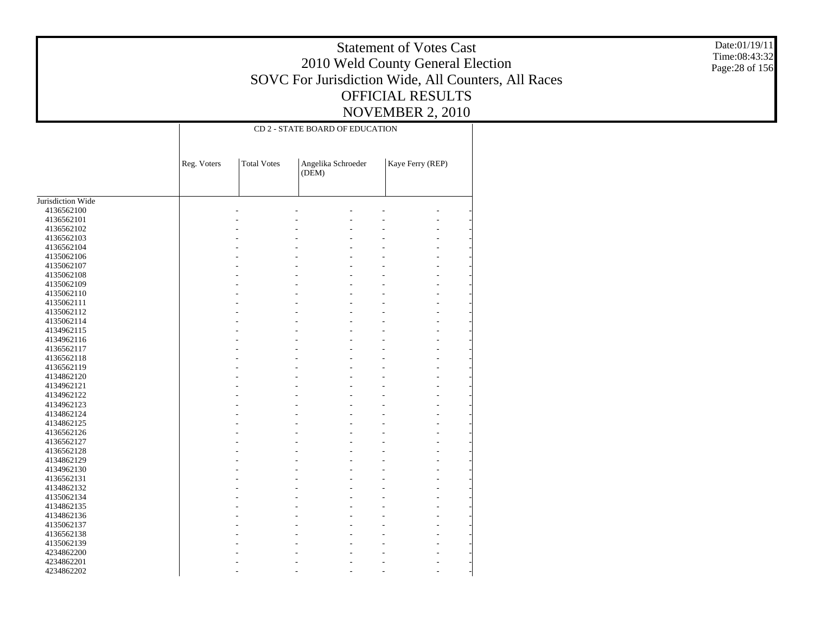Date:01/19/11 Time:08:43:32 Page:28 of 156

|                   |             |                    | CD 2 - STATE BOARD OF EDUCATION |                  |
|-------------------|-------------|--------------------|---------------------------------|------------------|
|                   | Reg. Voters | <b>Total Votes</b> | Angelika Schroeder<br>(DEM)     | Kaye Ferry (REP) |
| Jurisdiction Wide |             |                    |                                 |                  |
| 4136562100        |             |                    |                                 |                  |
| 4136562101        |             |                    |                                 |                  |
| 4136562102        |             |                    |                                 |                  |
| 4136562103        |             |                    |                                 |                  |
| 4136562104        |             |                    |                                 |                  |
| 4135062106        |             |                    |                                 |                  |
| 4135062107        |             |                    |                                 |                  |
| 4135062108        |             |                    |                                 |                  |
| 4135062109        |             |                    |                                 |                  |
| 4135062110        |             |                    |                                 |                  |
| 4135062111        |             |                    |                                 |                  |
| 4135062112        |             |                    |                                 |                  |
| 4135062114        |             |                    |                                 |                  |
| 4134962115        |             |                    |                                 |                  |
| 4134962116        |             |                    |                                 |                  |
| 4136562117        |             |                    |                                 |                  |
| 4136562118        |             |                    |                                 |                  |
| 4136562119        |             |                    |                                 |                  |
| 4134862120        |             |                    |                                 |                  |
| 4134962121        |             |                    |                                 |                  |
| 4134962122        |             |                    |                                 |                  |
| 4134962123        |             |                    |                                 |                  |
| 4134862124        |             |                    |                                 |                  |
| 4134862125        |             |                    |                                 |                  |
| 4136562126        |             |                    |                                 |                  |
| 4136562127        |             |                    |                                 |                  |
| 4136562128        |             |                    |                                 |                  |
| 4134862129        |             |                    |                                 |                  |
| 4134962130        |             |                    |                                 |                  |
| 4136562131        |             |                    |                                 |                  |
| 4134862132        |             |                    |                                 |                  |
| 4135062134        |             |                    |                                 |                  |
| 4134862135        |             |                    |                                 |                  |
| 4134862136        |             |                    |                                 |                  |
| 4135062137        |             |                    |                                 |                  |
| 4136562138        |             |                    |                                 |                  |
| 4135062139        |             |                    |                                 |                  |
| 4234862200        |             |                    |                                 |                  |
| 4234862201        |             |                    |                                 |                  |
| 4234862202        |             |                    |                                 |                  |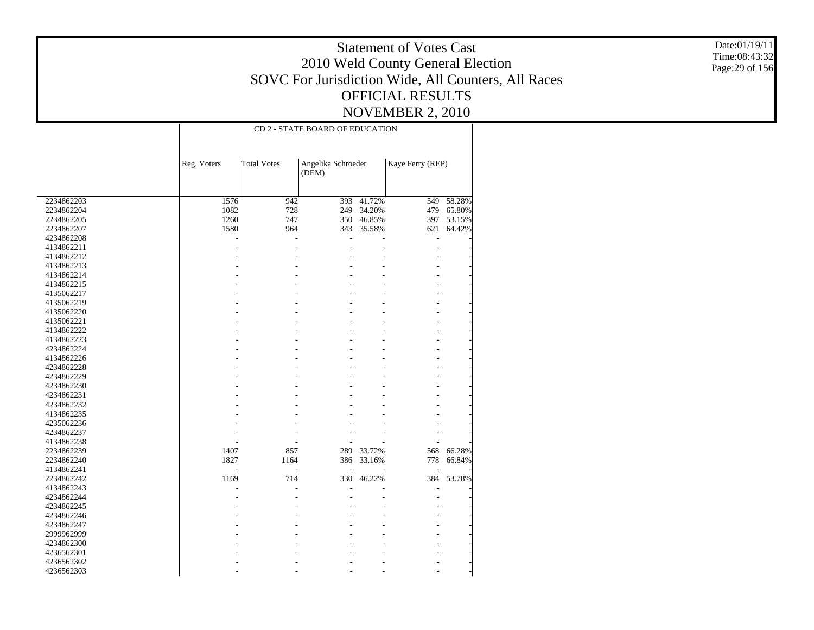Date:01/19/11 Time:08:43:32 Page:29 of 156

|            | CD 2 - STATE BOARD OF EDUCATION |                    |                             |        |                  |        |  |  |  |
|------------|---------------------------------|--------------------|-----------------------------|--------|------------------|--------|--|--|--|
|            | Reg. Voters                     | <b>Total Votes</b> | Angelika Schroeder<br>(DEM) |        | Kaye Ferry (REP) |        |  |  |  |
|            |                                 |                    |                             |        |                  |        |  |  |  |
| 2234862203 | 1576                            | 942                | 393                         | 41.72% | 549              | 58.28% |  |  |  |
| 2234862204 | 1082                            | 728                | 249                         | 34.20% | 479              | 65.80% |  |  |  |
| 2234862205 | 1260                            | 747                | 350                         | 46.85% | 397              | 53.15% |  |  |  |
| 2234862207 | 1580                            | 964                | 343                         | 35.58% | 621              | 64.42% |  |  |  |
| 4234862208 | L,                              | L,                 | L                           |        | $\overline{a}$   |        |  |  |  |
| 4134862211 |                                 |                    |                             |        |                  |        |  |  |  |
| 4134862212 |                                 |                    |                             |        |                  |        |  |  |  |
| 4134862213 |                                 |                    |                             |        |                  |        |  |  |  |
| 4134862214 |                                 |                    |                             |        |                  |        |  |  |  |
| 4134862215 |                                 |                    |                             |        |                  |        |  |  |  |
| 4135062217 |                                 |                    |                             |        |                  |        |  |  |  |
| 4135062219 |                                 |                    |                             |        |                  |        |  |  |  |
| 4135062220 |                                 |                    |                             |        | L,               |        |  |  |  |
| 4135062221 |                                 |                    |                             |        | ÷                |        |  |  |  |
| 4134862222 |                                 |                    |                             |        | L,               |        |  |  |  |
| 4134862223 |                                 |                    |                             |        | ÷                |        |  |  |  |
| 4234862224 |                                 |                    |                             |        | ÷                |        |  |  |  |
| 4134862226 |                                 |                    |                             |        | ÷                |        |  |  |  |
| 4234862228 |                                 |                    |                             |        |                  |        |  |  |  |
| 4234862229 |                                 |                    |                             |        |                  |        |  |  |  |
| 4234862230 |                                 |                    |                             |        |                  |        |  |  |  |
| 4234862231 |                                 |                    |                             |        |                  |        |  |  |  |
| 4234862232 |                                 |                    |                             |        |                  |        |  |  |  |
| 4134862235 |                                 |                    |                             |        |                  |        |  |  |  |
| 4235062236 |                                 |                    |                             |        |                  |        |  |  |  |
| 4234862237 |                                 |                    |                             |        |                  |        |  |  |  |
| 4134862238 |                                 |                    |                             |        |                  |        |  |  |  |
| 2234862239 | 1407                            | 857                | 289                         | 33.72% | 568              | 66.28% |  |  |  |
| 2234862240 | 1827                            | 1164               | 386                         | 33.16% | 778              | 66.84% |  |  |  |
| 4134862241 |                                 |                    |                             |        |                  |        |  |  |  |
| 2234862242 | 1169                            | 714                | 330                         | 46.22% | 384              | 53.78% |  |  |  |
| 4134862243 |                                 |                    |                             |        |                  |        |  |  |  |
| 4234862244 |                                 |                    |                             |        |                  |        |  |  |  |
| 4234862245 |                                 |                    |                             |        |                  |        |  |  |  |
| 4234862246 |                                 |                    |                             |        |                  |        |  |  |  |
| 4234862247 |                                 |                    |                             |        |                  |        |  |  |  |
| 2999962999 |                                 |                    |                             |        |                  |        |  |  |  |
| 4234862300 |                                 |                    |                             |        |                  |        |  |  |  |
| 4236562301 |                                 |                    |                             |        |                  |        |  |  |  |
| 4236562302 |                                 |                    |                             |        |                  |        |  |  |  |
| 4236562303 |                                 |                    |                             |        |                  |        |  |  |  |
|            |                                 |                    |                             |        |                  |        |  |  |  |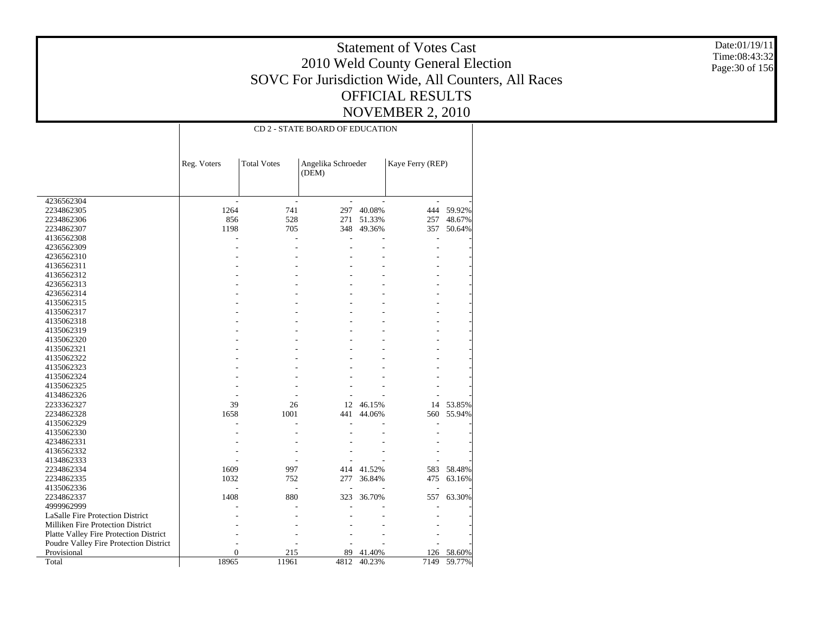Date:01/19/11 Time:08:43:32 Page:30 of 156

|                                        | CD 2 - STATE BOARD OF EDUCATION |                    |                             |        |                  |        |  |  |
|----------------------------------------|---------------------------------|--------------------|-----------------------------|--------|------------------|--------|--|--|
|                                        | Reg. Voters                     | <b>Total Votes</b> | Angelika Schroeder<br>(DEM) |        | Kaye Ferry (REP) |        |  |  |
| 4236562304                             |                                 |                    |                             |        |                  |        |  |  |
| 2234862305                             | 1264                            | 741                | 297                         | 40.08% | 444              | 59.92% |  |  |
| 2234862306                             | 856                             | 528                | 271                         | 51.33% | 257              | 48.67% |  |  |
| 2234862307                             | 1198                            | 705                | 348                         | 49.36% | 357              | 50.64% |  |  |
| 4136562308                             |                                 |                    |                             |        |                  |        |  |  |
| 4236562309                             |                                 |                    |                             |        |                  |        |  |  |
| 4236562310                             |                                 |                    |                             |        |                  |        |  |  |
| 4136562311                             |                                 |                    |                             |        |                  |        |  |  |
| 4136562312                             |                                 |                    |                             |        |                  |        |  |  |
| 4236562313                             |                                 |                    |                             |        |                  |        |  |  |
| 4236562314                             |                                 |                    |                             |        |                  |        |  |  |
| 4135062315                             |                                 |                    |                             |        |                  |        |  |  |
| 4135062317                             |                                 |                    |                             |        |                  |        |  |  |
| 4135062318                             |                                 |                    |                             |        |                  |        |  |  |
| 4135062319                             |                                 |                    |                             |        |                  |        |  |  |
| 4135062320                             |                                 |                    |                             |        |                  |        |  |  |
| 4135062321                             |                                 |                    |                             |        |                  |        |  |  |
| 4135062322                             |                                 |                    |                             |        |                  |        |  |  |
| 4135062323                             |                                 |                    |                             |        |                  |        |  |  |
| 4135062324                             |                                 |                    |                             |        |                  |        |  |  |
| 4135062325                             |                                 |                    |                             |        |                  |        |  |  |
| 4134862326                             |                                 |                    |                             |        |                  |        |  |  |
| 2233362327                             | 39                              | 26                 | 12                          | 46.15% | 14               | 53.85% |  |  |
| 2234862328                             | 1658                            | 1001               | 441                         | 44.06% | 560              | 55.94% |  |  |
| 4135062329                             |                                 |                    |                             |        |                  |        |  |  |
| 4135062330                             |                                 |                    |                             |        |                  |        |  |  |
| 4234862331                             |                                 |                    |                             |        |                  |        |  |  |
| 4136562332                             |                                 |                    |                             |        |                  |        |  |  |
| 4134862333                             |                                 |                    |                             |        |                  |        |  |  |
| 2234862334                             | 1609                            | 997                | 414                         | 41.52% | 583              | 58.48% |  |  |
| 2234862335                             | 1032                            | 752                | 277                         | 36.84% | 475              | 63.16% |  |  |
| 4135062336                             |                                 |                    |                             |        |                  |        |  |  |
| 2234862337                             | 1408                            | 880                | 323                         | 36.70% | 557              | 63.30% |  |  |
| 4999962999                             |                                 |                    |                             |        |                  |        |  |  |
| LaSalle Fire Protection District       |                                 |                    |                             |        |                  |        |  |  |
| Milliken Fire Protection District      |                                 |                    |                             |        |                  |        |  |  |
| Platte Valley Fire Protection District |                                 |                    |                             |        |                  |        |  |  |
| Poudre Valley Fire Protection District |                                 |                    |                             |        |                  |        |  |  |
| Provisional                            | $\mathbf{0}$                    | 215                | 89                          | 41.40% | 126              | 58.60% |  |  |
| Total                                  | 18965                           | 11961              | 4812                        | 40.23% | 7149             | 59.77% |  |  |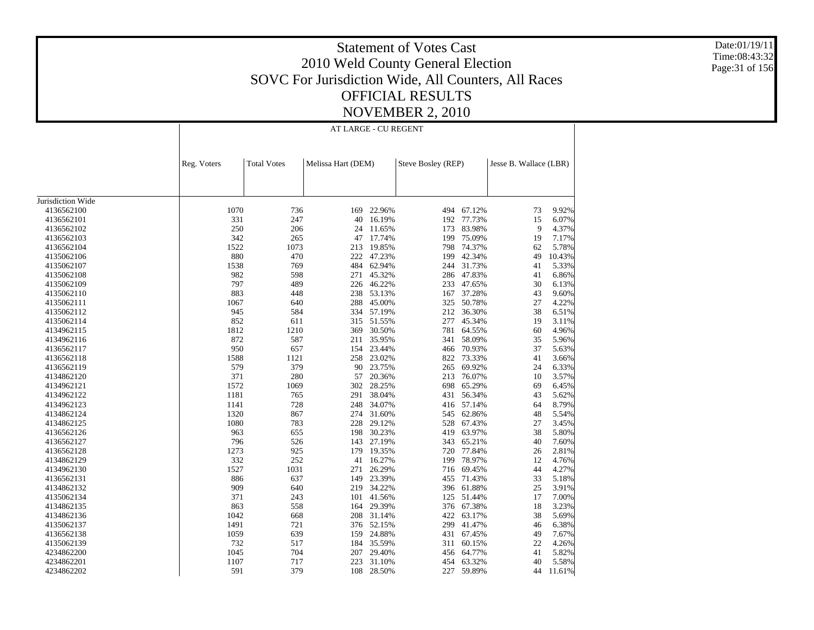Date:01/19/11 Time:08:43:32 Page:31 of 156

### Statement of Votes Cast 2010 Weld County General Election SOVC For Jurisdiction Wide, All Counters, All Races OFFICIAL RESULTS NOVEMBER 2, 2010

AT LARGE - CU REGENT

|                          | Reg. Voters | <b>Total Votes</b> | Melissa Hart (DEM) |            | Steve Bosley (REP) |            | Jesse B. Wallace (LBR) |        |
|--------------------------|-------------|--------------------|--------------------|------------|--------------------|------------|------------------------|--------|
|                          |             |                    |                    |            |                    |            |                        |        |
|                          |             |                    |                    |            |                    |            |                        |        |
|                          |             |                    |                    |            |                    |            |                        |        |
| Jurisdiction Wide        | 1070        | 736                | 169                | 22.96%     | 494                | 67.12%     |                        | 9.92%  |
| 4136562100               | 331         | 247                |                    | 16.19%     |                    | 192 77.73% | 73<br>15               | 6.07%  |
| 4136562101<br>4136562102 | 250         | 206                | 40<br>24           | 11.65%     | 173                | 83.98%     | 9                      | 4.37%  |
| 4136562103               | 342         | 265                | 47                 | 17.74%     | 199                | 75.09%     | 19                     | 7.17%  |
| 4136562104               | 1522        | 1073               | 213                | 19.85%     | 798                | 74.37%     | 62                     | 5.78%  |
| 4135062106               | 880         | 470                | 222                | 47.23%     | 199                | 42.34%     | 49                     | 10.43% |
| 4135062107               | 1538        | 769                | 484                | 62.94%     |                    | 244 31.73% | 41                     | 5.33%  |
| 4135062108               | 982         | 598                | 271                | 45.32%     | 286                | 47.83%     | 41                     | 6.86%  |
| 4135062109               | 797         | 489                | 226                | 46.22%     | 233                | 47.65%     | 30                     | 6.13%  |
| 4135062110               | 883         | 448                | 238                | 53.13%     | 167                | 37.28%     | 43                     | 9.60%  |
| 4135062111               | 1067        | 640                | 288                | 45.00%     | 325                | 50.78%     | 27                     | 4.22%  |
| 4135062112               | 945         | 584                | 334                | 57.19%     | 212                | 36.30%     | 38                     | 6.51%  |
| 4135062114               | 852         | 611                | 315                | 51.55%     | 277                | 45.34%     | 19                     | 3.11%  |
| 4134962115               | 1812        | 1210               | 369                | 30.50%     | 781                | 64.55%     | 60                     | 4.96%  |
| 4134962116               | 872         | 587                | 211                | 35.95%     | 341                | 58.09%     | 35                     | 5.96%  |
| 4136562117               | 950         | 657                | 154                | 23.44%     | 466                | 70.93%     | 37                     | 5.63%  |
| 4136562118               | 1588        | 1121               | 258                | 23.02%     |                    | 822 73.33% | 41                     | 3.66%  |
| 4136562119               | 579         | 379                | 90                 | 23.75%     | 265                | 69.92%     | 24                     | 6.33%  |
| 4134862120               | 371         | 280                | 57                 | 20.36%     |                    | 213 76.07% | 10                     | 3.57%  |
| 4134962121               | 1572        | 1069               | 302                | 28.25%     | 698                | 65.29%     | 69                     | 6.45%  |
| 4134962122               | 1181        | 765                | 291                | 38.04%     | 431                | 56.34%     | 43                     | 5.62%  |
| 4134962123               | 1141        | 728                | 248                | 34.07%     |                    | 416 57.14% | 64                     | 8.79%  |
| 4134862124               | 1320        | 867                | 274                | 31.60%     | 545                | 62.86%     | 48                     | 5.54%  |
| 4134862125               | 1080        | 783                | 228                | 29.12%     |                    | 528 67.43% | 27                     | 3.45%  |
| 4136562126               | 963         | 655                | 198                | 30.23%     | 419                | 63.97%     | 38                     | 5.80%  |
| 4136562127               | 796         | 526                | 143                | 27.19%     | 343                | 65.21%     | 40                     | 7.60%  |
| 4136562128               | 1273        | 925                | 179                | 19.35%     |                    | 720 77.84% | 26                     | 2.81%  |
| 4134862129               | 332         | 252                | 41                 | 16.27%     | 199                | 78.97%     | 12                     | 4.76%  |
| 4134962130               | 1527        | 1031               | 271                | 26.29%     | 716                | 69.45%     | 44                     | 4.27%  |
| 4136562131               | 886         | 637                | 149                | 23.39%     | 455                | 71.43%     | 33                     | 5.18%  |
| 4134862132               | 909         | 640                | 219                | 34.22%     | 396                | 61.88%     | 25                     | 3.91%  |
| 4135062134               | 371         | 243                | 101                | 41.56%     | 125                | 51.44%     | 17                     | 7.00%  |
| 4134862135               | 863         | 558                | 164                | 29.39%     | 376                | 67.38%     | 18                     | 3.23%  |
| 4134862136               | 1042        | 668                |                    | 208 31.14% |                    | 422 63.17% | 38                     | 5.69%  |
| 4135062137               | 1491        | 721                | 376                | 52.15%     | 299                | 41.47%     | 46                     | 6.38%  |
| 4136562138               | 1059        | 639                | 159                | 24.88%     | 431                | 67.45%     | 49                     | 7.67%  |
| 4135062139               | 732         | 517                | 184                | 35.59%     | 311                | 60.15%     | 22                     | 4.26%  |
| 4234862200               | 1045        | 704                | 207                | 29.40%     | 456                | 64.77%     | 41                     | 5.82%  |
| 4234862201               | 1107        | 717                | 223                | 31.10%     |                    | 454 63.32% | 40                     | 5.58%  |
| 4234862202               | 591         | 379                |                    | 108 28.50% | 227                | 59.89%     | 44                     | 11.61% |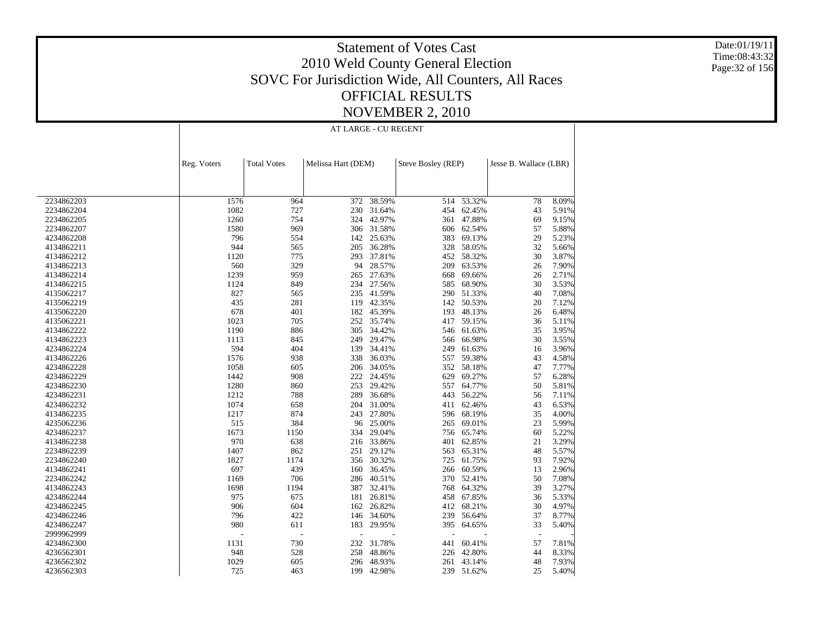Date:01/19/11 Time:08:43:32 Page:32 of 156

### Statement of Votes Cast 2010 Weld County General Election SOVC For Jurisdiction Wide, All Counters, All Races OFFICIAL RESULTS NOVEMBER 2, 2010

AT LARGE - CU REGENT

|            | Reg. Voters | <b>Total Votes</b> | Melissa Hart (DEM) |        | Steve Bosley (REP) |            | Jesse B. Wallace (LBR) |       |
|------------|-------------|--------------------|--------------------|--------|--------------------|------------|------------------------|-------|
|            |             |                    |                    |        |                    |            |                        |       |
|            |             |                    |                    |        |                    |            |                        |       |
| 2234862203 | 1576        | 964                | 372                | 38.59% |                    | 514 53.32% | 78                     | 8.09% |
| 2234862204 | 1082        | 727                | 230                | 31.64% | 454                | 62.45%     | 43                     | 5.91% |
| 2234862205 | 1260        | 754                | 324                | 42.97% |                    | 361 47.88% | 69                     | 9.15% |
| 2234862207 | 1580        | 969                | 306                | 31.58% | 606                | 62.54%     | 57                     | 5.88% |
| 4234862208 | 796         | 554                | 142                | 25.63% | 383                | 69.13%     | 29                     | 5.23% |
| 4134862211 | 944         | 565                | 205                | 36.28% | 328                | 58.05%     | 32                     | 5.66% |
| 4134862212 | 1120        | 775                | 293                | 37.81% | 452                | 58.32%     | 30                     | 3.87% |
| 4134862213 | 560         | 329                | 94                 | 28.57% | 209                | 63.53%     | 26                     | 7.90% |
| 4134862214 | 1239        | 959                | 265                | 27.63% | 668                | 69.66%     | 26                     | 2.71% |
| 4134862215 | 1124        | 849                | 234                | 27.56% | 585                | 68.90%     | 30                     | 3.53% |
| 4135062217 | 827         | 565                | 235                | 41.59% |                    | 290 51.33% | 40                     | 7.08% |
| 4135062219 | 435         | 281                | 119                | 42.35% | 142                | 50.53%     | 20                     | 7.12% |
| 4135062220 | 678         | 401                | 182                | 45.39% | 193                | 48.13%     | 26                     | 6.48% |
| 4135062221 | 1023        | 705                | 252                | 35.74% | 417                | 59.15%     | 36                     | 5.11% |
| 4134862222 | 1190        | 886                | 305                | 34.42% | 546                | 61.63%     | 35                     | 3.95% |
| 4134862223 | 1113        | 845                | 249                | 29.47% | 566                | 66.98%     | 30                     | 3.55% |
| 4234862224 | 594         | 404                | 139                | 34.41% | 249                | 61.63%     | 16                     | 3.96% |
| 4134862226 | 1576        | 938                | 338                | 36.03% |                    | 557 59.38% | 43                     | 4.58% |
| 4234862228 | 1058        | 605                | 206                | 34.05% | 352                | 58.18%     | 47                     | 7.77% |
| 4234862229 | 1442        | 908                | 222                | 24.45% | 629                | 69.27%     | 57                     | 6.28% |
| 4234862230 | 1280        | 860                | 253                | 29.42% | 557                | 64.77%     | 50                     | 5.81% |
| 4234862231 | 1212        | 788                | 289                | 36.68% | 443                | 56.22%     | 56                     | 7.11% |
| 4234862232 | 1074        | 658                | 204                | 31.00% | 411                | 62.46%     | 43                     | 6.53% |
| 4134862235 | 1217        | 874                | 243                | 27.80% | 596                | 68.19%     | 35                     | 4.00% |
| 4235062236 | 515         | 384                | 96                 | 25.00% | 265                | 69.01%     | 23                     | 5.99% |
| 4234862237 | 1673        | 1150               | 334                | 29.04% | 756                | 65.74%     | 60                     | 5.22% |
| 4134862238 | 970         | 638                | 216                | 33.86% | 401                | 62.85%     | 21                     | 3.29% |
| 2234862239 | 1407        | 862                | 251                | 29.12% | 563                | 65.31%     | 48                     | 5.57% |
| 2234862240 | 1827        | 1174               | 356                | 30.32% | 725                | 61.75%     | 93                     | 7.92% |
| 4134862241 | 697         | 439                | 160                | 36.45% | 266                | 60.59%     | 13                     | 2.96% |
| 2234862242 | 1169        | 706                | 286                | 40.51% |                    | 370 52.41% | 50                     | 7.08% |
| 4134862243 | 1698        | 1194               | 387                | 32.41% | 768                | 64.32%     | 39                     | 3.27% |
| 4234862244 | 975         | 675                | 181                | 26.81% | 458                | 67.85%     | 36                     | 5.33% |
| 4234862245 | 906         | 604                | 162                | 26.82% | 412                | 68.21%     | 30                     | 4.97% |
| 4234862246 | 796         | 422                | 146                | 34.60% | 239                | 56.64%     | 37                     | 8.77% |
| 4234862247 | 980         | 611                | 183                | 29.95% | 395                | 64.65%     | 33                     | 5.40% |
| 2999962999 |             | Ĭ.                 |                    |        | L,                 |            |                        |       |
| 4234862300 | 1131        | 730                | 232                | 31.78% | 441                | 60.41%     | 57                     | 7.81% |
| 4236562301 | 948         | 528                | 258                | 48.86% | 226                | 42.80%     | 44                     | 8.33% |
| 4236562302 | 1029        | 605                | 296                | 48.93% | 261                | 43.14%     | 48                     | 7.93% |
| 4236562303 | 725         | 463                | 199                | 42.98% | 239                | 51.62%     | 25                     | 5.40% |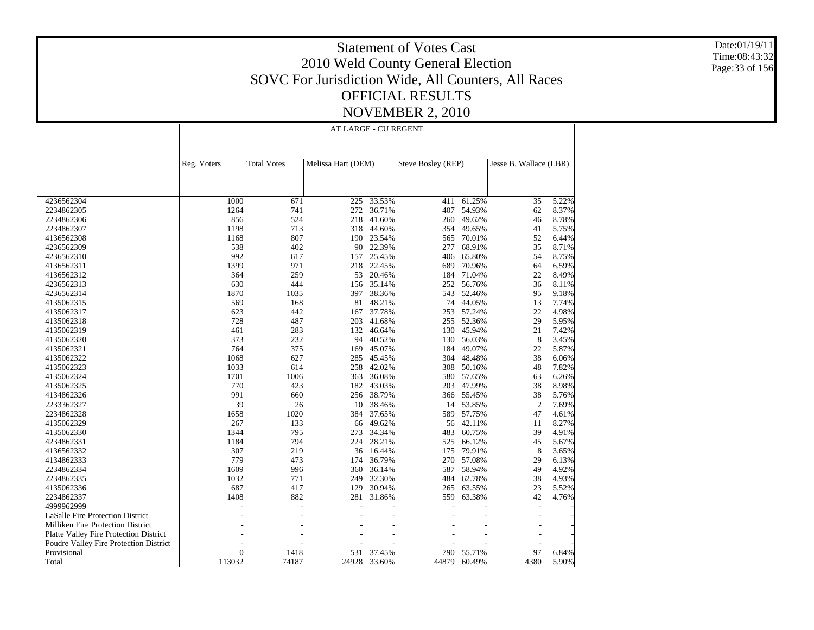Date:01/19/11 Time:08:43:32 Page:33 of 156

### Statement of Votes Cast 2010 Weld County General Election SOVC For Jurisdiction Wide, All Counters, All Races OFFICIAL RESULTS NOVEMBER 2, 2010

AT LARGE - CU REGENT

|                                          | Reg. Voters | <b>Total Votes</b> | Melissa Hart (DEM) |        | Steve Bosley (REP) |            | Jesse B. Wallace (LBR) |       |
|------------------------------------------|-------------|--------------------|--------------------|--------|--------------------|------------|------------------------|-------|
|                                          |             |                    |                    |        |                    |            |                        |       |
|                                          |             |                    |                    |        |                    |            |                        |       |
|                                          |             |                    |                    |        |                    |            |                        |       |
| 4236562304                               | 1000        | 671                | 225                | 33.53% | 411                | 61.25%     | 35                     | 5.22% |
| 2234862305                               | 1264        | 741                | 272                | 36.71% | 407                | 54.93%     | 62                     | 8.37% |
| 2234862306                               | 856         | 524                | 218                | 41.60% | 260                | 49.62%     | 46                     | 8.78% |
| 2234862307                               | 1198        | 713                | 318                | 44.60% | 354                | 49.65%     | 41                     | 5.75% |
| 4136562308                               | 1168        | 807                | 190                | 23.54% | 565                | 70.01%     | 52                     | 6.44% |
| 4236562309                               | 538         | 402                | 90                 | 22.39% | 277                | 68.91%     | 35                     | 8.71% |
| 4236562310                               | 992         | 617                | 157                | 25.45% | 406                | 65.80%     | 54                     | 8.75% |
| 4136562311                               | 1399        | 971                | 218                | 22.45% | 689                | 70.96%     | 64                     | 6.59% |
| 4136562312                               | 364         | 259                | 53                 | 20.46% | 184                | 71.04%     | 22                     | 8.49% |
| 4236562313                               | 630         | 444                | 156                | 35.14% | 252                | 56.76%     | 36                     | 8.11% |
| 4236562314                               | 1870        | 1035               | 397                | 38.36% | 543                | 52.46%     | 95                     | 9.18% |
| 4135062315                               | 569         | 168                | 81                 | 48.21% | 74                 | 44.05%     | 13                     | 7.74% |
| 4135062317                               | 623         | 442                | 167                | 37.78% | 253                | 57.24%     | 22                     | 4.98% |
| 4135062318                               | 728         | 487                | 203                | 41.68% | 255                | 52.36%     | 29                     | 5.95% |
| 4135062319                               | 461         | 283                | 132                | 46.64% | 130                | 45.94%     | 21                     | 7.42% |
| 4135062320                               | 373         | 232                | 94                 | 40.52% | 130                | 56.03%     | 8                      | 3.45% |
| 4135062321                               | 764         | 375                | 169                | 45.07% | 184                | 49.07%     | 22                     | 5.87% |
| 4135062322                               | 1068        | 627                | 285                | 45.45% | 304                | 48.48%     | 38                     | 6.06% |
| 4135062323                               | 1033        | 614                | 258                | 42.02% | 308                | 50.16%     | 48                     | 7.82% |
| 4135062324                               | 1701        | 1006               | 363                | 36.08% |                    | 580 57.65% | 63                     | 6.26% |
| 4135062325                               | 770         | 423                | 182                | 43.03% | 203                | 47.99%     | 38                     | 8.98% |
| 4134862326                               | 991         | 660                | 256                | 38.79% | 366                | 55.45%     | 38                     | 5.76% |
| 2233362327                               | 39          | 26                 | 10                 | 38.46% | 14                 | 53.85%     | $\mathfrak{2}$         | 7.69% |
| 2234862328                               | 1658        | 1020               | 384                | 37.65% | 589                | 57.75%     | 47                     | 4.61% |
| 4135062329                               | 267         | 133                | 66                 | 49.62% | 56                 | 42.11%     | 11                     | 8.27% |
| 4135062330                               | 1344        | 795                | 273                | 34.34% | 483                | 60.75%     | 39                     | 4.91% |
| 4234862331                               | 1184        | 794                | 224                | 28.21% |                    | 66.12%     | 45                     | 5.67% |
|                                          | 307         | 219                |                    |        | 525                |            |                        |       |
| 4136562332                               | 779         |                    | 36                 | 16.44% | 175                | 79.91%     | 8                      | 3.65% |
| 4134862333                               |             | 473                | 174                | 36.79% | 270                | 57.08%     | 29                     | 6.13% |
| 2234862334                               | 1609        | 996                | 360                | 36.14% | 587                | 58.94%     | 49                     | 4.92% |
| 2234862335                               | 1032        | 771                | 249                | 32.30% | 484                | 62.78%     | 38                     | 4.93% |
| 4135062336                               | 687         | 417                | 129                | 30.94% | 265                | 63.55%     | 23                     | 5.52% |
| 2234862337                               | 1408        | 882                | 281                | 31.86% | 559                | 63.38%     | 42                     | 4.76% |
| 4999962999                               |             |                    |                    |        |                    |            | $\overline{a}$         |       |
| <b>LaSalle Fire Protection District</b>  |             |                    |                    |        |                    |            |                        |       |
| <b>Milliken Fire Protection District</b> |             |                    |                    |        |                    |            |                        |       |
| Platte Valley Fire Protection District   |             |                    |                    |        |                    |            |                        |       |
| Poudre Valley Fire Protection District   |             |                    |                    |        |                    |            |                        |       |
| Provisional                              | $\Omega$    | 1418               | 531                | 37.45% | 790                | 55.71%     | 97                     | 6.84% |
| Total                                    | 113032      | 74187              | 24928              | 33.60% | 44879              | 60.49%     | 4380                   | 5.90% |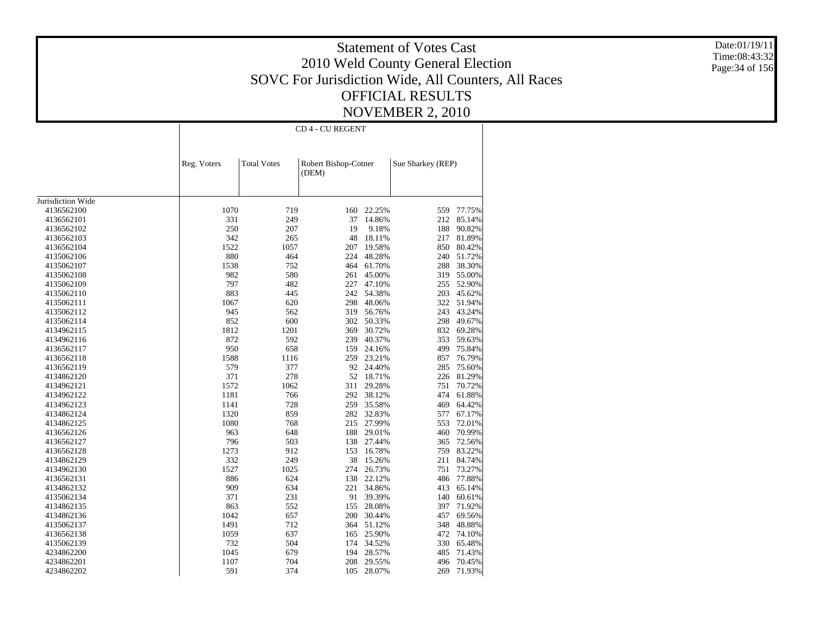Date:01/19/11 Time:08:43:32 Page:34 of 156

|                   |             | CD 4 - CU REGENT   |                               |            |                   |            |  |  |  |  |
|-------------------|-------------|--------------------|-------------------------------|------------|-------------------|------------|--|--|--|--|
|                   | Reg. Voters | <b>Total Votes</b> | Robert Bishop-Cotner<br>(DEM) |            | Sue Sharkey (REP) |            |  |  |  |  |
|                   |             |                    |                               |            |                   |            |  |  |  |  |
| Jurisdiction Wide |             |                    |                               |            |                   |            |  |  |  |  |
| 4136562100        | 1070        | 719                | 160                           | 22.25%     | 559               | 77.75%     |  |  |  |  |
| 4136562101        | 331         | 249                | 37                            | 14.86%     | 212               | 85.14%     |  |  |  |  |
| 4136562102        | 250         | 207                | 19                            | 9.18%      | 188               | 90.82%     |  |  |  |  |
| 4136562103        | 342         | 265                | 48                            | 18.11%     | 217               | 81.89%     |  |  |  |  |
| 4136562104        | 1522        | 1057               | 207                           | 19.58%     | 850               | 80.42%     |  |  |  |  |
| 4135062106        | 880         | 464                | 224                           | 48.28%     | 240               | 51.72%     |  |  |  |  |
| 4135062107        | 1538        | 752                | 464                           | 61.70%     | 288               | 38.30%     |  |  |  |  |
| 4135062108        | 982         | 580                | 261                           | 45.00%     | 319               | 55.00%     |  |  |  |  |
| 4135062109        | 797         | 482                | 227                           | 47.10%     | 255               | 52.90%     |  |  |  |  |
| 4135062110        | 883         | 445                | 242                           | 54.38%     | 203               | 45.62%     |  |  |  |  |
| 4135062111        | 1067        | 620                | 298                           | 48.06%     |                   | 322 51.94% |  |  |  |  |
| 4135062112        | 945         | 562                | 319                           | 56.76%     | 243               | 43.24%     |  |  |  |  |
| 4135062114        | 852         | 600                | 302                           | 50.33%     | 298               | 49.67%     |  |  |  |  |
| 4134962115        | 1812        | 1201               | 369                           | 30.72%     | 832               | 69.28%     |  |  |  |  |
| 4134962116        | 872         | 592                | 239                           | 40.37%     | 353               | 59.63%     |  |  |  |  |
| 4136562117        | 950         | 658                | 159                           | 24.16%     | 499               | 75.84%     |  |  |  |  |
| 4136562118        | 1588        | 1116               | 259                           | 23.21%     | 857               | 76.79%     |  |  |  |  |
| 4136562119        | 579         | 377                | 92                            | 24.40%     | 285               | 75.60%     |  |  |  |  |
| 4134862120        | 371         | 278                | 52                            | 18.71%     | 226               | 81.29%     |  |  |  |  |
| 4134962121        | 1572        | 1062               | 311                           | 29.28%     | 751               | 70.72%     |  |  |  |  |
| 4134962122        | 1181        | 766                | 292                           | 38.12%     | 474               | 61.88%     |  |  |  |  |
| 4134962123        | 1141        | 728                | 259                           | 35.58%     | 469               | 64.42%     |  |  |  |  |
| 4134862124        | 1320        | 859                | 282                           | 32.83%     | 577               | 67.17%     |  |  |  |  |
| 4134862125        | 1080        | 768                | 215                           | 27.99%     | 553               | 72.01%     |  |  |  |  |
| 4136562126        | 963         | 648                | 188                           | 29.01%     | 460               | 70.99%     |  |  |  |  |
| 4136562127        | 796         | 503                | 138                           | 27.44%     | 365               | 72.56%     |  |  |  |  |
| 4136562128        | 1273        | 912                | 153                           | 16.78%     | 759               | 83.22%     |  |  |  |  |
| 4134862129        | 332         | 249                | 38                            | 15.26%     | 211               | 84.74%     |  |  |  |  |
| 4134962130        | 1527        | 1025               | 274                           | 26.73%     | 751               | 73.27%     |  |  |  |  |
| 4136562131        | 886         | 624                | 138                           | 22.12%     | 486               | 77.88%     |  |  |  |  |
| 4134862132        | 909         | 634                | 221                           | 34.86%     | 413               | 65.14%     |  |  |  |  |
| 4135062134        | 371         | 231                | 91                            | 39.39%     | 140               | 60.61%     |  |  |  |  |
| 4134862135        | 863         | 552                | 155                           | 28.08%     | 397               | 71.92%     |  |  |  |  |
| 4134862136        | 1042        | 657                | 200                           | 30.44%     | 457               | 69.56%     |  |  |  |  |
| 4135062137        | 1491        | 712                | 364                           | 51.12%     | 348               | 48.88%     |  |  |  |  |
|                   | 1059        | 637                |                               | 25.90%     | 472               | 74.10%     |  |  |  |  |
| 4136562138        | 732         | 504                | 165                           | 34.52%     |                   | 65.48%     |  |  |  |  |
| 4135062139        |             |                    | 174                           |            | 330               |            |  |  |  |  |
| 4234862200        | 1045        | 679                | 194                           | 28.57%     | 485               | 71.43%     |  |  |  |  |
| 4234862201        | 1107        | 704                | 208                           | 29.55%     | 496               | 70.45%     |  |  |  |  |
| 4234862202        | 591         | 374                |                               | 105 28.07% | 269               | 71.93%     |  |  |  |  |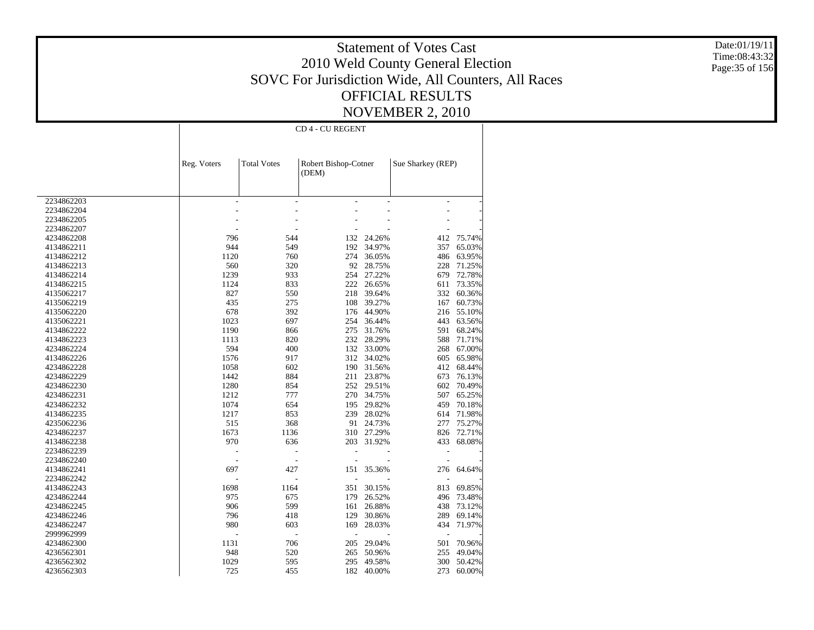Date:01/19/11 Time:08:43:32 Page:35 of 156

|            | CD 4 - CU REGENT |                    |                               |            |                   |        |  |  |
|------------|------------------|--------------------|-------------------------------|------------|-------------------|--------|--|--|
|            | Reg. Voters      | <b>Total Votes</b> | Robert Bishop-Cotner<br>(DEM) |            | Sue Sharkey (REP) |        |  |  |
|            |                  |                    |                               |            |                   |        |  |  |
| 2234862203 | L,               | ÷,                 |                               | L,         | ÷,                |        |  |  |
| 2234862204 |                  |                    |                               |            |                   |        |  |  |
| 2234862205 |                  |                    |                               |            |                   |        |  |  |
| 2234862207 |                  |                    |                               |            |                   |        |  |  |
| 4234862208 | 796              | 544                | 132                           | 24.26%     | 412               | 75.74% |  |  |
| 4134862211 | 944              | 549                | 192                           | 34.97%     | 357               | 65.03% |  |  |
| 4134862212 | 1120             | 760                | 274                           | 36.05%     | 486               | 63.95% |  |  |
| 4134862213 | 560              | 320                | 92                            | 28.75%     | 228               | 71.25% |  |  |
| 4134862214 | 1239             | 933                | 254                           | 27.22%     | 679               | 72.78% |  |  |
| 4134862215 | 1124             | 833                | 222                           | 26.65%     | 611               | 73.35% |  |  |
| 4135062217 | 827              | 550                | 218                           | 39.64%     | 332               | 60.36% |  |  |
| 4135062219 | 435              | 275                | 108                           | 39.27%     | 167               | 60.73% |  |  |
| 4135062220 | 678              | 392                | 176                           | 44.90%     | 216               | 55.10% |  |  |
| 4135062221 | 1023             | 697                | 254                           | 36.44%     | 443               | 63.56% |  |  |
| 4134862222 | 1190             | 866                | 275                           | 31.76%     | 591               | 68.24% |  |  |
| 4134862223 | 1113             | 820                |                               | 232 28.29% | 588               | 71.71% |  |  |
| 4234862224 | 594              | 400                | 132                           | 33.00%     | 268               | 67.00% |  |  |
| 4134862226 | 1576             | 917                | 312                           | 34.02%     | 605               | 65.98% |  |  |
|            |                  |                    |                               |            |                   |        |  |  |
| 4234862228 | 1058             | 602                | 190                           | 31.56%     | 412               | 68.44% |  |  |
| 4234862229 | 1442             | 884                | 211                           | 23.87%     | 673               | 76.13% |  |  |
| 4234862230 | 1280             | 854                | 252                           | 29.51%     | 602               | 70.49% |  |  |
| 4234862231 | 1212             | 777                | 270                           | 34.75%     | 507               | 65.25% |  |  |
| 4234862232 | 1074             | 654                | 195                           | 29.82%     | 459               | 70.18% |  |  |
| 4134862235 | 1217             | 853                | 239                           | 28.02%     | 614               | 71.98% |  |  |
| 4235062236 | 515              | 368                | 91                            | 24.73%     | 277               | 75.27% |  |  |
| 4234862237 | 1673             | 1136               | 310                           | 27.29%     | 826               | 72.71% |  |  |
| 4134862238 | 970              | 636                | 203                           | 31.92%     | 433               | 68.08% |  |  |
| 2234862239 |                  |                    |                               |            |                   |        |  |  |
| 2234862240 |                  |                    |                               |            |                   |        |  |  |
| 4134862241 | 697              | 427                | 151                           | 35.36%     | 276               | 64.64% |  |  |
| 2234862242 |                  |                    |                               |            |                   |        |  |  |
| 4134862243 | 1698             | 1164               | 351                           | 30.15%     | 813               | 69.85% |  |  |
| 4234862244 | 975              | 675                | 179                           | 26.52%     | 496               | 73.48% |  |  |
| 4234862245 | 906              | 599                | 161                           | 26.88%     | 438               | 73.12% |  |  |
| 4234862246 | 796              | 418                | 129                           | 30.86%     | 289               | 69.14% |  |  |
| 4234862247 | 980              | 603                | 169                           | 28.03%     | 434               | 71.97% |  |  |
| 2999962999 |                  |                    | ÷                             |            |                   |        |  |  |
| 4234862300 | 1131             | 706                | 205                           | 29.04%     | 501               | 70.96% |  |  |
| 4236562301 | 948              | 520                | 265                           | 50.96%     | 255               | 49.04% |  |  |
| 4236562302 | 1029             | 595                | 295                           | 49.58%     | 300               | 50.42% |  |  |
| 4236562303 | 725              | 455                | 182                           | 40.00%     | 273               | 60.00% |  |  |
|            |                  |                    |                               |            |                   |        |  |  |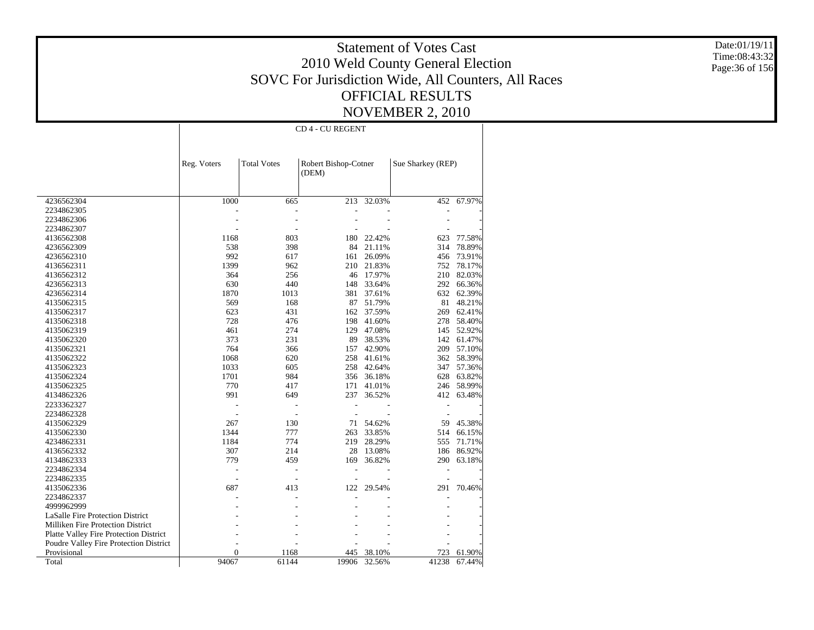Date:01/19/11 Time:08:43:32 Page:36 of 156

| <b>Total Votes</b><br>Robert Bishop-Cotner<br>Sue Sharkey (REP)<br>Reg. Voters<br>(DEM)<br>1000<br>32.03%<br>67.97%<br>4236562304<br>665<br>213<br>452<br>2234862305<br>2234862306<br>2234862307<br>1168<br>803<br>22.42%<br>4136562308<br>180<br>623<br>77.58%<br>538<br>398<br>84<br>21.11%<br>78.89%<br>4236562309<br>314<br>992<br>617<br>26.09%<br>161<br>456<br>73.91%<br>4236562310<br>4136562311<br>1399<br>962<br>210<br>21.83%<br>752<br>78.17%<br>256<br>82.03%<br>4136562312<br>364<br>46<br>17.97%<br>210<br>630<br>440<br>148<br>33.64%<br>292<br>66.36%<br>4236562313<br>1870<br>1013<br>381<br>37.61%<br>632<br>62.39%<br>4236562314<br>569<br>168<br>87<br>51.79%<br>48.21%<br>4135062315<br>81<br>623<br>431<br>162<br>37.59%<br>269<br>62.41%<br>4135062317<br>728<br>476<br>198<br>41.60%<br>278<br>58.40%<br>4135062318<br>274<br>461<br>129<br>145<br>52.92%<br>4135062319<br>47.08%<br>373<br>231<br>89<br>38.53%<br>142<br>61.47%<br>4135062320<br>764<br>366<br>42.90%<br>209<br>57.10%<br>4135062321<br>157<br>1068<br>620<br>258<br>41.61%<br>362<br>58.39%<br>4135062322<br>258<br>4135062323<br>1033<br>605<br>42.64%<br>347<br>57.36%<br>1701<br>984<br>4135062324<br>356<br>36.18%<br>628<br>63.82%<br>770<br>58.99%<br>4135062325<br>417<br>171<br>41.01%<br>246<br>991<br>649<br>237<br>36.52%<br>63.48%<br>4134862326<br>412<br>2233362327<br>L,<br>2234862328<br>L,<br>54.62%<br>4135062329<br>267<br>130<br>71<br>59<br>45.38%<br>1344<br>777<br>33.85%<br>4135062330<br>263<br>514<br>66.15%<br>1184<br>774<br>219<br>28.29%<br>71.71%<br>4234862331<br>555<br>307<br>214<br>28<br>13.08%<br>186<br>86.92%<br>4136562332<br>779<br>459<br>36.82%<br>290<br>63.18%<br>4134862333<br>169<br>2234862334<br>L,<br>2234862335<br>687<br>122<br>29.54%<br>70.46%<br>413<br>291<br>4135062336<br>2234862337<br>4999962999<br>LaSalle Fire Protection District<br>Milliken Fire Protection District<br>Platte Valley Fire Protection District<br>Poudre Valley Fire Protection District<br>$\overline{0}$<br>Provisional<br>1168<br>445<br>38.10%<br>723<br>61.90%<br>61144 |       |       |  | <b>CD 4 - CU REGENT</b> |        |       |        |
|----------------------------------------------------------------------------------------------------------------------------------------------------------------------------------------------------------------------------------------------------------------------------------------------------------------------------------------------------------------------------------------------------------------------------------------------------------------------------------------------------------------------------------------------------------------------------------------------------------------------------------------------------------------------------------------------------------------------------------------------------------------------------------------------------------------------------------------------------------------------------------------------------------------------------------------------------------------------------------------------------------------------------------------------------------------------------------------------------------------------------------------------------------------------------------------------------------------------------------------------------------------------------------------------------------------------------------------------------------------------------------------------------------------------------------------------------------------------------------------------------------------------------------------------------------------------------------------------------------------------------------------------------------------------------------------------------------------------------------------------------------------------------------------------------------------------------------------------------------------------------------------------------------------------------------------------------------------------------------------------------------------------------------------------------------------------------------------------------------|-------|-------|--|-------------------------|--------|-------|--------|
|                                                                                                                                                                                                                                                                                                                                                                                                                                                                                                                                                                                                                                                                                                                                                                                                                                                                                                                                                                                                                                                                                                                                                                                                                                                                                                                                                                                                                                                                                                                                                                                                                                                                                                                                                                                                                                                                                                                                                                                                                                                                                                          |       |       |  |                         |        |       |        |
|                                                                                                                                                                                                                                                                                                                                                                                                                                                                                                                                                                                                                                                                                                                                                                                                                                                                                                                                                                                                                                                                                                                                                                                                                                                                                                                                                                                                                                                                                                                                                                                                                                                                                                                                                                                                                                                                                                                                                                                                                                                                                                          |       |       |  |                         |        |       |        |
|                                                                                                                                                                                                                                                                                                                                                                                                                                                                                                                                                                                                                                                                                                                                                                                                                                                                                                                                                                                                                                                                                                                                                                                                                                                                                                                                                                                                                                                                                                                                                                                                                                                                                                                                                                                                                                                                                                                                                                                                                                                                                                          |       |       |  |                         |        |       |        |
|                                                                                                                                                                                                                                                                                                                                                                                                                                                                                                                                                                                                                                                                                                                                                                                                                                                                                                                                                                                                                                                                                                                                                                                                                                                                                                                                                                                                                                                                                                                                                                                                                                                                                                                                                                                                                                                                                                                                                                                                                                                                                                          |       |       |  |                         |        |       |        |
|                                                                                                                                                                                                                                                                                                                                                                                                                                                                                                                                                                                                                                                                                                                                                                                                                                                                                                                                                                                                                                                                                                                                                                                                                                                                                                                                                                                                                                                                                                                                                                                                                                                                                                                                                                                                                                                                                                                                                                                                                                                                                                          |       |       |  |                         |        |       |        |
|                                                                                                                                                                                                                                                                                                                                                                                                                                                                                                                                                                                                                                                                                                                                                                                                                                                                                                                                                                                                                                                                                                                                                                                                                                                                                                                                                                                                                                                                                                                                                                                                                                                                                                                                                                                                                                                                                                                                                                                                                                                                                                          |       |       |  |                         |        |       |        |
|                                                                                                                                                                                                                                                                                                                                                                                                                                                                                                                                                                                                                                                                                                                                                                                                                                                                                                                                                                                                                                                                                                                                                                                                                                                                                                                                                                                                                                                                                                                                                                                                                                                                                                                                                                                                                                                                                                                                                                                                                                                                                                          |       |       |  |                         |        |       |        |
|                                                                                                                                                                                                                                                                                                                                                                                                                                                                                                                                                                                                                                                                                                                                                                                                                                                                                                                                                                                                                                                                                                                                                                                                                                                                                                                                                                                                                                                                                                                                                                                                                                                                                                                                                                                                                                                                                                                                                                                                                                                                                                          |       |       |  |                         |        |       |        |
|                                                                                                                                                                                                                                                                                                                                                                                                                                                                                                                                                                                                                                                                                                                                                                                                                                                                                                                                                                                                                                                                                                                                                                                                                                                                                                                                                                                                                                                                                                                                                                                                                                                                                                                                                                                                                                                                                                                                                                                                                                                                                                          |       |       |  |                         |        |       |        |
|                                                                                                                                                                                                                                                                                                                                                                                                                                                                                                                                                                                                                                                                                                                                                                                                                                                                                                                                                                                                                                                                                                                                                                                                                                                                                                                                                                                                                                                                                                                                                                                                                                                                                                                                                                                                                                                                                                                                                                                                                                                                                                          |       |       |  |                         |        |       |        |
|                                                                                                                                                                                                                                                                                                                                                                                                                                                                                                                                                                                                                                                                                                                                                                                                                                                                                                                                                                                                                                                                                                                                                                                                                                                                                                                                                                                                                                                                                                                                                                                                                                                                                                                                                                                                                                                                                                                                                                                                                                                                                                          |       |       |  |                         |        |       |        |
|                                                                                                                                                                                                                                                                                                                                                                                                                                                                                                                                                                                                                                                                                                                                                                                                                                                                                                                                                                                                                                                                                                                                                                                                                                                                                                                                                                                                                                                                                                                                                                                                                                                                                                                                                                                                                                                                                                                                                                                                                                                                                                          |       |       |  |                         |        |       |        |
|                                                                                                                                                                                                                                                                                                                                                                                                                                                                                                                                                                                                                                                                                                                                                                                                                                                                                                                                                                                                                                                                                                                                                                                                                                                                                                                                                                                                                                                                                                                                                                                                                                                                                                                                                                                                                                                                                                                                                                                                                                                                                                          |       |       |  |                         |        |       |        |
|                                                                                                                                                                                                                                                                                                                                                                                                                                                                                                                                                                                                                                                                                                                                                                                                                                                                                                                                                                                                                                                                                                                                                                                                                                                                                                                                                                                                                                                                                                                                                                                                                                                                                                                                                                                                                                                                                                                                                                                                                                                                                                          |       |       |  |                         |        |       |        |
|                                                                                                                                                                                                                                                                                                                                                                                                                                                                                                                                                                                                                                                                                                                                                                                                                                                                                                                                                                                                                                                                                                                                                                                                                                                                                                                                                                                                                                                                                                                                                                                                                                                                                                                                                                                                                                                                                                                                                                                                                                                                                                          |       |       |  |                         |        |       |        |
|                                                                                                                                                                                                                                                                                                                                                                                                                                                                                                                                                                                                                                                                                                                                                                                                                                                                                                                                                                                                                                                                                                                                                                                                                                                                                                                                                                                                                                                                                                                                                                                                                                                                                                                                                                                                                                                                                                                                                                                                                                                                                                          |       |       |  |                         |        |       |        |
|                                                                                                                                                                                                                                                                                                                                                                                                                                                                                                                                                                                                                                                                                                                                                                                                                                                                                                                                                                                                                                                                                                                                                                                                                                                                                                                                                                                                                                                                                                                                                                                                                                                                                                                                                                                                                                                                                                                                                                                                                                                                                                          |       |       |  |                         |        |       |        |
|                                                                                                                                                                                                                                                                                                                                                                                                                                                                                                                                                                                                                                                                                                                                                                                                                                                                                                                                                                                                                                                                                                                                                                                                                                                                                                                                                                                                                                                                                                                                                                                                                                                                                                                                                                                                                                                                                                                                                                                                                                                                                                          |       |       |  |                         |        |       |        |
|                                                                                                                                                                                                                                                                                                                                                                                                                                                                                                                                                                                                                                                                                                                                                                                                                                                                                                                                                                                                                                                                                                                                                                                                                                                                                                                                                                                                                                                                                                                                                                                                                                                                                                                                                                                                                                                                                                                                                                                                                                                                                                          |       |       |  |                         |        |       |        |
|                                                                                                                                                                                                                                                                                                                                                                                                                                                                                                                                                                                                                                                                                                                                                                                                                                                                                                                                                                                                                                                                                                                                                                                                                                                                                                                                                                                                                                                                                                                                                                                                                                                                                                                                                                                                                                                                                                                                                                                                                                                                                                          |       |       |  |                         |        |       |        |
|                                                                                                                                                                                                                                                                                                                                                                                                                                                                                                                                                                                                                                                                                                                                                                                                                                                                                                                                                                                                                                                                                                                                                                                                                                                                                                                                                                                                                                                                                                                                                                                                                                                                                                                                                                                                                                                                                                                                                                                                                                                                                                          |       |       |  |                         |        |       |        |
|                                                                                                                                                                                                                                                                                                                                                                                                                                                                                                                                                                                                                                                                                                                                                                                                                                                                                                                                                                                                                                                                                                                                                                                                                                                                                                                                                                                                                                                                                                                                                                                                                                                                                                                                                                                                                                                                                                                                                                                                                                                                                                          |       |       |  |                         |        |       |        |
|                                                                                                                                                                                                                                                                                                                                                                                                                                                                                                                                                                                                                                                                                                                                                                                                                                                                                                                                                                                                                                                                                                                                                                                                                                                                                                                                                                                                                                                                                                                                                                                                                                                                                                                                                                                                                                                                                                                                                                                                                                                                                                          |       |       |  |                         |        |       |        |
|                                                                                                                                                                                                                                                                                                                                                                                                                                                                                                                                                                                                                                                                                                                                                                                                                                                                                                                                                                                                                                                                                                                                                                                                                                                                                                                                                                                                                                                                                                                                                                                                                                                                                                                                                                                                                                                                                                                                                                                                                                                                                                          |       |       |  |                         |        |       |        |
|                                                                                                                                                                                                                                                                                                                                                                                                                                                                                                                                                                                                                                                                                                                                                                                                                                                                                                                                                                                                                                                                                                                                                                                                                                                                                                                                                                                                                                                                                                                                                                                                                                                                                                                                                                                                                                                                                                                                                                                                                                                                                                          |       |       |  |                         |        |       |        |
|                                                                                                                                                                                                                                                                                                                                                                                                                                                                                                                                                                                                                                                                                                                                                                                                                                                                                                                                                                                                                                                                                                                                                                                                                                                                                                                                                                                                                                                                                                                                                                                                                                                                                                                                                                                                                                                                                                                                                                                                                                                                                                          |       |       |  |                         |        |       |        |
|                                                                                                                                                                                                                                                                                                                                                                                                                                                                                                                                                                                                                                                                                                                                                                                                                                                                                                                                                                                                                                                                                                                                                                                                                                                                                                                                                                                                                                                                                                                                                                                                                                                                                                                                                                                                                                                                                                                                                                                                                                                                                                          |       |       |  |                         |        |       |        |
|                                                                                                                                                                                                                                                                                                                                                                                                                                                                                                                                                                                                                                                                                                                                                                                                                                                                                                                                                                                                                                                                                                                                                                                                                                                                                                                                                                                                                                                                                                                                                                                                                                                                                                                                                                                                                                                                                                                                                                                                                                                                                                          |       |       |  |                         |        |       |        |
|                                                                                                                                                                                                                                                                                                                                                                                                                                                                                                                                                                                                                                                                                                                                                                                                                                                                                                                                                                                                                                                                                                                                                                                                                                                                                                                                                                                                                                                                                                                                                                                                                                                                                                                                                                                                                                                                                                                                                                                                                                                                                                          |       |       |  |                         |        |       |        |
|                                                                                                                                                                                                                                                                                                                                                                                                                                                                                                                                                                                                                                                                                                                                                                                                                                                                                                                                                                                                                                                                                                                                                                                                                                                                                                                                                                                                                                                                                                                                                                                                                                                                                                                                                                                                                                                                                                                                                                                                                                                                                                          |       |       |  |                         |        |       |        |
|                                                                                                                                                                                                                                                                                                                                                                                                                                                                                                                                                                                                                                                                                                                                                                                                                                                                                                                                                                                                                                                                                                                                                                                                                                                                                                                                                                                                                                                                                                                                                                                                                                                                                                                                                                                                                                                                                                                                                                                                                                                                                                          |       |       |  |                         |        |       |        |
|                                                                                                                                                                                                                                                                                                                                                                                                                                                                                                                                                                                                                                                                                                                                                                                                                                                                                                                                                                                                                                                                                                                                                                                                                                                                                                                                                                                                                                                                                                                                                                                                                                                                                                                                                                                                                                                                                                                                                                                                                                                                                                          |       |       |  |                         |        |       |        |
|                                                                                                                                                                                                                                                                                                                                                                                                                                                                                                                                                                                                                                                                                                                                                                                                                                                                                                                                                                                                                                                                                                                                                                                                                                                                                                                                                                                                                                                                                                                                                                                                                                                                                                                                                                                                                                                                                                                                                                                                                                                                                                          |       |       |  |                         |        |       |        |
|                                                                                                                                                                                                                                                                                                                                                                                                                                                                                                                                                                                                                                                                                                                                                                                                                                                                                                                                                                                                                                                                                                                                                                                                                                                                                                                                                                                                                                                                                                                                                                                                                                                                                                                                                                                                                                                                                                                                                                                                                                                                                                          |       |       |  |                         |        |       |        |
|                                                                                                                                                                                                                                                                                                                                                                                                                                                                                                                                                                                                                                                                                                                                                                                                                                                                                                                                                                                                                                                                                                                                                                                                                                                                                                                                                                                                                                                                                                                                                                                                                                                                                                                                                                                                                                                                                                                                                                                                                                                                                                          |       |       |  |                         |        |       |        |
|                                                                                                                                                                                                                                                                                                                                                                                                                                                                                                                                                                                                                                                                                                                                                                                                                                                                                                                                                                                                                                                                                                                                                                                                                                                                                                                                                                                                                                                                                                                                                                                                                                                                                                                                                                                                                                                                                                                                                                                                                                                                                                          |       |       |  |                         |        |       |        |
|                                                                                                                                                                                                                                                                                                                                                                                                                                                                                                                                                                                                                                                                                                                                                                                                                                                                                                                                                                                                                                                                                                                                                                                                                                                                                                                                                                                                                                                                                                                                                                                                                                                                                                                                                                                                                                                                                                                                                                                                                                                                                                          |       |       |  |                         |        |       |        |
|                                                                                                                                                                                                                                                                                                                                                                                                                                                                                                                                                                                                                                                                                                                                                                                                                                                                                                                                                                                                                                                                                                                                                                                                                                                                                                                                                                                                                                                                                                                                                                                                                                                                                                                                                                                                                                                                                                                                                                                                                                                                                                          |       |       |  |                         |        |       |        |
|                                                                                                                                                                                                                                                                                                                                                                                                                                                                                                                                                                                                                                                                                                                                                                                                                                                                                                                                                                                                                                                                                                                                                                                                                                                                                                                                                                                                                                                                                                                                                                                                                                                                                                                                                                                                                                                                                                                                                                                                                                                                                                          |       |       |  |                         |        |       |        |
|                                                                                                                                                                                                                                                                                                                                                                                                                                                                                                                                                                                                                                                                                                                                                                                                                                                                                                                                                                                                                                                                                                                                                                                                                                                                                                                                                                                                                                                                                                                                                                                                                                                                                                                                                                                                                                                                                                                                                                                                                                                                                                          |       |       |  |                         |        |       |        |
|                                                                                                                                                                                                                                                                                                                                                                                                                                                                                                                                                                                                                                                                                                                                                                                                                                                                                                                                                                                                                                                                                                                                                                                                                                                                                                                                                                                                                                                                                                                                                                                                                                                                                                                                                                                                                                                                                                                                                                                                                                                                                                          |       |       |  |                         |        |       |        |
|                                                                                                                                                                                                                                                                                                                                                                                                                                                                                                                                                                                                                                                                                                                                                                                                                                                                                                                                                                                                                                                                                                                                                                                                                                                                                                                                                                                                                                                                                                                                                                                                                                                                                                                                                                                                                                                                                                                                                                                                                                                                                                          |       |       |  |                         |        |       |        |
|                                                                                                                                                                                                                                                                                                                                                                                                                                                                                                                                                                                                                                                                                                                                                                                                                                                                                                                                                                                                                                                                                                                                                                                                                                                                                                                                                                                                                                                                                                                                                                                                                                                                                                                                                                                                                                                                                                                                                                                                                                                                                                          | Total | 94067 |  | 19906                   | 32.56% | 41238 | 67.44% |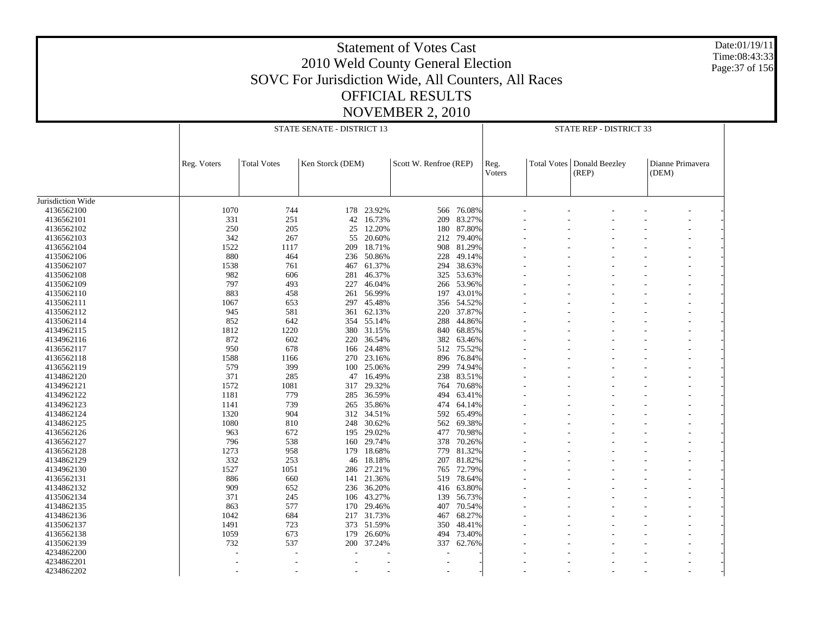Date:01/19/11 Time:08:43:33 Page:37 of 156

|                   |             | STATE SENATE - DISTRICT 13 |                  | STATE REP - DISTRICT 33 |                        |            |                                      |  |                         |                           |  |
|-------------------|-------------|----------------------------|------------------|-------------------------|------------------------|------------|--------------------------------------|--|-------------------------|---------------------------|--|
|                   | Reg. Voters | <b>Total Votes</b>         | Ken Storck (DEM) |                         | Scott W. Renfroe (REP) |            | <b>Total Votes</b><br>Reg.<br>Voters |  | Donald Beezley<br>(REP) | Dianne Primavera<br>(DEM) |  |
| Jurisdiction Wide |             |                            |                  |                         |                        |            |                                      |  |                         |                           |  |
| 4136562100        | 1070        | 744                        |                  | 178 23.92%              | 566                    | 76.08%     |                                      |  |                         |                           |  |
| 4136562101        | 331         | 251                        | 42               | 16.73%                  | 209                    | 83.27%     |                                      |  |                         |                           |  |
| 4136562102        | 250         | 205                        | 25               | 12.20%                  |                        | 180 87.80% |                                      |  |                         |                           |  |
| 4136562103        | 342         | 267                        | 55               | 20.60%                  | 212                    | 79.40%     |                                      |  |                         |                           |  |
| 4136562104        | 1522        | 1117                       | 209              | 18.71%                  | 908                    | 81.29%     |                                      |  |                         |                           |  |
| 4135062106        | 880         | 464                        | 236              | 50.86%                  | 228                    | 49.14%     |                                      |  |                         |                           |  |
| 4135062107        | 1538        | 761                        | 467              | 61.37%                  | 294                    | 38.63%     |                                      |  |                         |                           |  |
| 4135062108        | 982         | 606                        | 281              | 46.37%                  | 325                    | 53.63%     |                                      |  |                         |                           |  |
| 4135062109        | 797         | 493                        | 227              | 46.04%                  | 266                    | 53.96%     |                                      |  |                         |                           |  |
|                   |             |                            |                  |                         |                        |            |                                      |  |                         |                           |  |
| 4135062110        | 883         | 458                        | 261              | 56.99%                  | 197                    | 43.01%     |                                      |  |                         |                           |  |
| 4135062111        | 1067        | 653                        | 297              | 45.48%                  | 356                    | 54.52%     |                                      |  |                         |                           |  |
| 4135062112        | 945         | 581                        | 361              | 62.13%                  | 220                    | 37.87%     |                                      |  |                         |                           |  |
| 4135062114        | 852         | 642                        |                  | 354 55.14%              | 288                    | 44.86%     |                                      |  |                         |                           |  |
| 4134962115        | 1812        | 1220                       | 380              | 31.15%                  | 840                    | 68.85%     |                                      |  |                         |                           |  |
| 4134962116        | 872         | 602                        | 220              | 36.54%                  | 382                    | 63.46%     |                                      |  |                         |                           |  |
| 4136562117        | 950         | 678                        |                  | 166 24.48%              | 512                    | 75.52%     |                                      |  |                         |                           |  |
| 4136562118        | 1588        | 1166                       | 270              | 23.16%                  | 896                    | 76.84%     |                                      |  |                         |                           |  |
| 4136562119        | 579         | 399                        |                  | 100 25.06%              | 299                    | 74.94%     |                                      |  |                         |                           |  |
| 4134862120        | 371         | 285                        | 47               | 16.49%                  | 238                    | 83.51%     |                                      |  |                         |                           |  |
| 4134962121        | 1572        | 1081                       |                  | 317 29.32%              | 764                    | 70.68%     |                                      |  |                         |                           |  |
| 4134962122        | 1181        | 779                        | 285              | 36.59%                  | 494                    | 63.41%     |                                      |  |                         |                           |  |
| 4134962123        | 1141        | 739                        |                  | 265 35.86%              | 474                    | 64.14%     |                                      |  |                         |                           |  |
| 4134862124        | 1320        | 904                        | 312              | 34.51%                  | 592                    | 65.49%     |                                      |  |                         |                           |  |
| 4134862125        | 1080        | 810                        |                  | 248 30.62%              | 562                    | 69.38%     |                                      |  |                         |                           |  |
| 4136562126        | 963         | 672                        | 195              | 29.02%                  | 477                    | 70.98%     |                                      |  |                         |                           |  |
| 4136562127        | 796         | 538                        | 160              | 29.74%                  | 378                    | 70.26%     |                                      |  |                         |                           |  |
|                   | 1273        | 958                        |                  | 18.68%                  |                        | 81.32%     |                                      |  |                         |                           |  |
| 4136562128        |             |                            | 179              |                         | 779                    |            |                                      |  |                         |                           |  |
| 4134862129        | 332         | 253                        | 46               | 18.18%                  | 207                    | 81.82%     |                                      |  |                         |                           |  |
| 4134962130        | 1527        | 1051                       |                  | 286 27.21%              | 765                    | 72.79%     |                                      |  |                         |                           |  |
| 4136562131        | 886         | 660                        | 141              | 21.36%                  | 519                    | 78.64%     |                                      |  |                         |                           |  |
| 4134862132        | 909         | 652                        |                  | 236 36.20%              | 416                    | 63.80%     |                                      |  |                         |                           |  |
| 4135062134        | 371         | 245                        | 106              | 43.27%                  | 139                    | 56.73%     |                                      |  |                         |                           |  |
| 4134862135        | 863         | 577                        |                  | 170 29.46%              | 407                    | 70.54%     |                                      |  |                         |                           |  |
| 4134862136        | 1042        | 684                        | 217              | 31.73%                  | 467                    | 68.27%     |                                      |  |                         |                           |  |
| 4135062137        | 1491        | 723                        |                  | 373 51.59%              | 350                    | 48.41%     |                                      |  |                         |                           |  |
| 4136562138        | 1059        | 673                        | 179              | 26.60%                  | 494                    | 73.40%     |                                      |  |                         |                           |  |
| 4135062139        | 732         | 537                        | 200              | 37.24%                  | 337                    | 62.76%     |                                      |  |                         |                           |  |
| 4234862200        |             |                            |                  |                         |                        |            |                                      |  |                         |                           |  |
| 4234862201        |             |                            |                  |                         |                        |            |                                      |  |                         |                           |  |
| 4234862202        |             |                            |                  |                         |                        |            |                                      |  |                         | ٠                         |  |
|                   |             |                            |                  |                         |                        |            |                                      |  |                         |                           |  |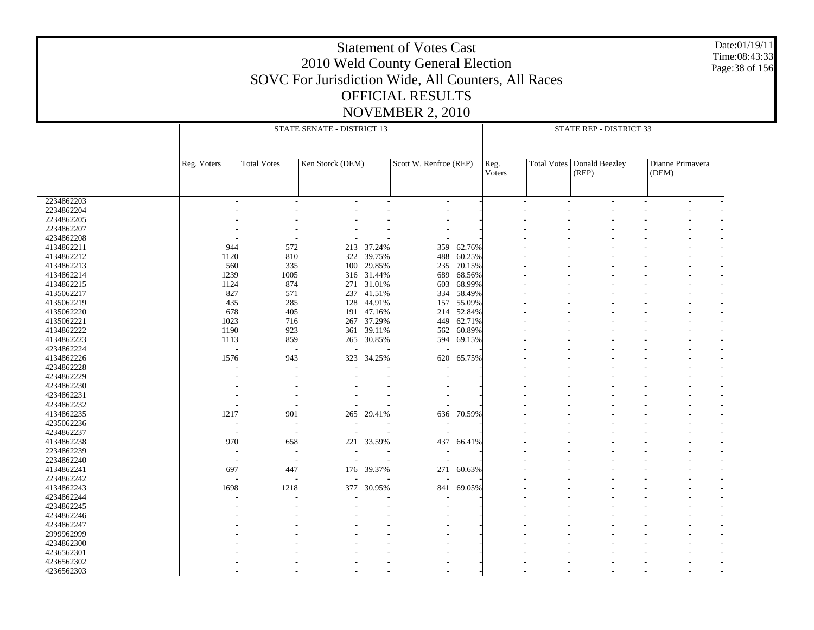Date:01/19/11 Time:08:43:33 Page:38 of 156

|            |                          |                          | STATE SENATE - DISTRICT 13 |            | STATE REP - DISTRICT 33  |        |                |        |                                       |  |                           |                   |
|------------|--------------------------|--------------------------|----------------------------|------------|--------------------------|--------|----------------|--------|---------------------------------------|--|---------------------------|-------------------|
|            | Reg. Voters              | <b>Total Votes</b>       | Ken Storck (DEM)           |            | Scott W. Renfroe (REP)   |        | Reg.<br>Voters |        | Total Votes   Donald Beezley<br>(REP) |  | Dianne Primavera<br>(DEM) |                   |
| 2234862203 |                          | $\overline{a}$           |                            |            | ٠                        |        |                | $\sim$ |                                       |  |                           | $\qquad \qquad -$ |
| 2234862204 |                          |                          |                            |            |                          |        |                |        |                                       |  |                           |                   |
| 2234862205 |                          |                          |                            |            |                          |        |                |        |                                       |  |                           |                   |
| 2234862207 |                          |                          |                            |            |                          |        |                |        |                                       |  |                           |                   |
| 4234862208 |                          |                          |                            |            |                          |        |                |        |                                       |  |                           |                   |
|            |                          |                          |                            |            |                          |        |                |        |                                       |  |                           |                   |
| 4134862211 | 944                      | 572                      |                            | 213 37.24% | 359                      | 62.76% |                |        |                                       |  |                           |                   |
| 4134862212 | 1120                     | 810                      | 322                        | 39.75%     | 488                      | 60.25% |                |        |                                       |  |                           |                   |
| 4134862213 | 560                      | 335                      | 100                        | 29.85%     | 235                      | 70.15% |                |        |                                       |  |                           |                   |
| 4134862214 | 1239                     | 1005                     |                            | 316 31.44% | 689                      | 68.56% |                |        |                                       |  |                           |                   |
| 4134862215 | 1124                     | 874                      | 271                        | 31.01%     | 603                      | 68.99% |                |        |                                       |  |                           |                   |
| 4135062217 | 827                      | 571                      |                            | 237 41.51% | 334                      | 58.49% |                |        |                                       |  |                           |                   |
| 4135062219 | 435                      | 285                      | 128                        | 44.91%     | 157                      | 55.09% |                |        |                                       |  |                           |                   |
| 4135062220 | 678                      | 405                      |                            | 191 47.16% | 214                      | 52.84% |                |        |                                       |  |                           |                   |
| 4135062221 | 1023                     | 716                      | 267                        | 37.29%     | 449                      | 62.71% |                |        |                                       |  |                           |                   |
| 4134862222 | 1190                     | 923                      |                            | 361 39.11% | 562                      | 60.89% |                |        |                                       |  |                           |                   |
| 4134862223 | 1113                     | 859                      | 265                        | 30.85%     | 594                      | 69.15% |                |        |                                       |  |                           |                   |
| 4234862224 |                          | $\overline{\phantom{a}}$ |                            |            |                          |        |                |        |                                       |  |                           |                   |
| 4134862226 | 1576                     | 943                      | 323                        | 34.25%     | 620                      | 65.75% |                |        |                                       |  |                           |                   |
| 4234862228 |                          |                          |                            |            |                          |        |                |        |                                       |  |                           |                   |
| 4234862229 |                          |                          |                            |            |                          |        |                |        |                                       |  |                           |                   |
| 4234862230 |                          |                          |                            |            |                          |        |                |        |                                       |  |                           |                   |
| 4234862231 |                          |                          |                            |            |                          |        |                |        |                                       |  |                           |                   |
|            |                          |                          |                            |            |                          |        |                |        |                                       |  |                           |                   |
| 4234862232 |                          |                          |                            |            |                          |        |                |        |                                       |  |                           |                   |
| 4134862235 | 1217                     | 901                      |                            | 265 29.41% | 636                      | 70.59% |                |        |                                       |  |                           |                   |
| 4235062236 |                          | ÷,                       |                            |            | $\overline{\phantom{a}}$ |        |                |        |                                       |  |                           |                   |
| 4234862237 | $\overline{\phantom{a}}$ | $\overline{\phantom{a}}$ |                            |            | ÷                        |        |                |        |                                       |  |                           |                   |
| 4134862238 | 970                      | 658                      | 221                        | 33.59%     | 437                      | 66.41% |                |        |                                       |  |                           |                   |
| 2234862239 |                          | $\overline{\phantom{a}}$ |                            |            |                          |        |                |        |                                       |  |                           |                   |
| 2234862240 |                          | ٠                        |                            |            |                          |        |                |        |                                       |  |                           |                   |
| 4134862241 | 697                      | 447                      |                            | 176 39.37% | 271                      | 60.63% |                |        |                                       |  |                           |                   |
| 2234862242 |                          | L,                       |                            |            |                          |        |                |        |                                       |  |                           |                   |
| 4134862243 | 1698                     | 1218                     | 377                        | 30.95%     | 841                      | 69.05% |                |        |                                       |  |                           |                   |
| 4234862244 |                          |                          |                            |            |                          |        |                |        |                                       |  |                           |                   |
| 4234862245 |                          |                          |                            |            |                          |        |                |        |                                       |  |                           |                   |
| 4234862246 |                          |                          |                            |            |                          |        |                |        |                                       |  |                           |                   |
| 4234862247 |                          |                          |                            |            |                          |        |                |        |                                       |  |                           |                   |
| 2999962999 |                          |                          |                            |            |                          |        |                |        |                                       |  |                           |                   |
| 4234862300 |                          |                          |                            |            |                          |        |                |        |                                       |  |                           |                   |
| 4236562301 |                          |                          |                            |            |                          |        |                |        |                                       |  |                           |                   |
| 4236562302 |                          |                          |                            |            |                          |        |                |        |                                       |  |                           |                   |
|            |                          |                          |                            |            |                          |        |                |        |                                       |  |                           |                   |
| 4236562303 |                          |                          |                            |            |                          |        |                |        |                                       |  |                           |                   |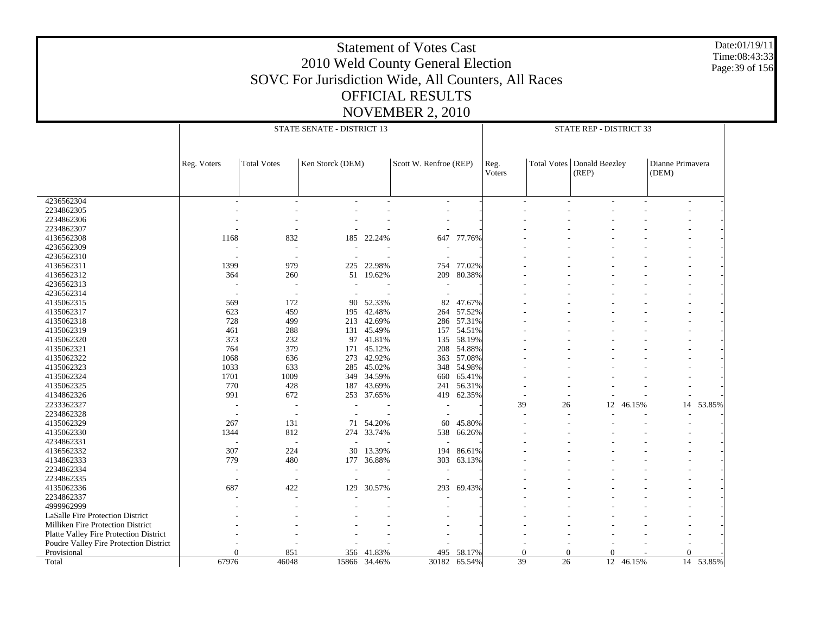Date:01/19/11 Time:08:43:33 Page:39 of 156

| Ken Storck (DEM)<br>Scott W. Renfroe (REP)<br><b>Total Votes</b><br>Donald Beezley<br>Dianne Primavera<br><b>Total Votes</b><br>Reg. Voters<br>Reg.<br>Voters<br>(REP)<br>(DEM)<br>4236562304<br>$\overline{a}$<br>$\overline{a}$<br>2234862305<br>2234862306<br>2234862307<br>4136562308<br>1168<br>832<br>22.24%<br>647<br>77.76%<br>185<br>4236562309<br>÷,<br>4236562310<br>$\overline{\phantom{a}}$<br>979<br>4136562311<br>1399<br>22.98%<br>77.02%<br>225<br>754<br>80.38%<br>4136562312<br>364<br>260<br>51 19.62%<br>209<br>4236562313<br>4236562314<br>٠.<br>4135062315<br>47.67%<br>569<br>172<br>90<br>52.33%<br>82<br>4135062317<br>623<br>459<br>42.48%<br>57.52%<br>195<br>264<br>4135062318<br>728<br>499<br>213 42.69%<br>286 57.31%<br>4135062319<br>461<br>45.49%<br>54.51%<br>288<br>131<br>157<br>4135062320<br>373<br>232<br>41.81%<br>58.19%<br>97<br>135<br>764<br>379<br>4135062321<br>45.12%<br>208<br>54.88%<br>171<br>4135062322<br>42.92%<br>57.08%<br>1068<br>636<br>273<br>363<br>4135062323<br>1033<br>633<br>45.02%<br>54.98%<br>285<br>348<br>4135062324<br>1701<br>1009<br>34.59%<br>65.41%<br>349<br>660<br>4135062325<br>770<br>428<br>43.69%<br>56.31%<br>187<br>241<br>991<br>4134862326<br>672<br>253 37.65%<br>62.35%<br>419<br>2233362327<br>39<br>53.85%<br>26<br>12<br>46.15%<br>14<br>٠<br>$\sim$<br>2234862328<br>4135062329<br>267<br>131<br>54.20%<br>45.80%<br>60<br>71<br>4135062330<br>1344<br>812<br>274 33.74%<br>538<br>66.26%<br>4234862331<br>$\overline{\phantom{a}}$<br>4136562332<br>307<br>224<br>30<br>13.39%<br>194<br>86.61%<br>4134862333<br>779<br>480<br>36.88%<br>303<br>63.13%<br>177<br>2234862334<br>$\sim$<br>2234862335<br>4135062336<br>687<br>422<br>129<br>30.57%<br>293<br>69.43%<br>2234862337<br>4999962999<br>LaSalle Fire Protection District<br>Milliken Fire Protection District<br>Platte Valley Fire Protection District<br>Poudre Valley Fire Protection District<br>$\overline{0}$<br>Provisional<br>851<br>356 41.83%<br>495<br>58.17%<br>$\Omega$<br>$\theta$<br>$\Omega$<br>$\Omega$<br>39<br>14 53.85%<br>67976<br>46048<br>30182<br>26<br>12 46.15%<br>15866<br>34.46%<br>65.54%<br>Total |  | STATE SENATE - DISTRICT 13 | STATE REP - DISTRICT 33 |  |  |  |  |  |  |
|--------------------------------------------------------------------------------------------------------------------------------------------------------------------------------------------------------------------------------------------------------------------------------------------------------------------------------------------------------------------------------------------------------------------------------------------------------------------------------------------------------------------------------------------------------------------------------------------------------------------------------------------------------------------------------------------------------------------------------------------------------------------------------------------------------------------------------------------------------------------------------------------------------------------------------------------------------------------------------------------------------------------------------------------------------------------------------------------------------------------------------------------------------------------------------------------------------------------------------------------------------------------------------------------------------------------------------------------------------------------------------------------------------------------------------------------------------------------------------------------------------------------------------------------------------------------------------------------------------------------------------------------------------------------------------------------------------------------------------------------------------------------------------------------------------------------------------------------------------------------------------------------------------------------------------------------------------------------------------------------------------------------------------------------------------------------------------------------------------------------------------------------------------------------------------------|--|----------------------------|-------------------------|--|--|--|--|--|--|
|                                                                                                                                                                                                                                                                                                                                                                                                                                                                                                                                                                                                                                                                                                                                                                                                                                                                                                                                                                                                                                                                                                                                                                                                                                                                                                                                                                                                                                                                                                                                                                                                                                                                                                                                                                                                                                                                                                                                                                                                                                                                                                                                                                                      |  |                            |                         |  |  |  |  |  |  |
|                                                                                                                                                                                                                                                                                                                                                                                                                                                                                                                                                                                                                                                                                                                                                                                                                                                                                                                                                                                                                                                                                                                                                                                                                                                                                                                                                                                                                                                                                                                                                                                                                                                                                                                                                                                                                                                                                                                                                                                                                                                                                                                                                                                      |  |                            |                         |  |  |  |  |  |  |
|                                                                                                                                                                                                                                                                                                                                                                                                                                                                                                                                                                                                                                                                                                                                                                                                                                                                                                                                                                                                                                                                                                                                                                                                                                                                                                                                                                                                                                                                                                                                                                                                                                                                                                                                                                                                                                                                                                                                                                                                                                                                                                                                                                                      |  |                            |                         |  |  |  |  |  |  |
|                                                                                                                                                                                                                                                                                                                                                                                                                                                                                                                                                                                                                                                                                                                                                                                                                                                                                                                                                                                                                                                                                                                                                                                                                                                                                                                                                                                                                                                                                                                                                                                                                                                                                                                                                                                                                                                                                                                                                                                                                                                                                                                                                                                      |  |                            |                         |  |  |  |  |  |  |
|                                                                                                                                                                                                                                                                                                                                                                                                                                                                                                                                                                                                                                                                                                                                                                                                                                                                                                                                                                                                                                                                                                                                                                                                                                                                                                                                                                                                                                                                                                                                                                                                                                                                                                                                                                                                                                                                                                                                                                                                                                                                                                                                                                                      |  |                            |                         |  |  |  |  |  |  |
|                                                                                                                                                                                                                                                                                                                                                                                                                                                                                                                                                                                                                                                                                                                                                                                                                                                                                                                                                                                                                                                                                                                                                                                                                                                                                                                                                                                                                                                                                                                                                                                                                                                                                                                                                                                                                                                                                                                                                                                                                                                                                                                                                                                      |  |                            |                         |  |  |  |  |  |  |
|                                                                                                                                                                                                                                                                                                                                                                                                                                                                                                                                                                                                                                                                                                                                                                                                                                                                                                                                                                                                                                                                                                                                                                                                                                                                                                                                                                                                                                                                                                                                                                                                                                                                                                                                                                                                                                                                                                                                                                                                                                                                                                                                                                                      |  |                            |                         |  |  |  |  |  |  |
|                                                                                                                                                                                                                                                                                                                                                                                                                                                                                                                                                                                                                                                                                                                                                                                                                                                                                                                                                                                                                                                                                                                                                                                                                                                                                                                                                                                                                                                                                                                                                                                                                                                                                                                                                                                                                                                                                                                                                                                                                                                                                                                                                                                      |  |                            |                         |  |  |  |  |  |  |
|                                                                                                                                                                                                                                                                                                                                                                                                                                                                                                                                                                                                                                                                                                                                                                                                                                                                                                                                                                                                                                                                                                                                                                                                                                                                                                                                                                                                                                                                                                                                                                                                                                                                                                                                                                                                                                                                                                                                                                                                                                                                                                                                                                                      |  |                            |                         |  |  |  |  |  |  |
|                                                                                                                                                                                                                                                                                                                                                                                                                                                                                                                                                                                                                                                                                                                                                                                                                                                                                                                                                                                                                                                                                                                                                                                                                                                                                                                                                                                                                                                                                                                                                                                                                                                                                                                                                                                                                                                                                                                                                                                                                                                                                                                                                                                      |  |                            |                         |  |  |  |  |  |  |
|                                                                                                                                                                                                                                                                                                                                                                                                                                                                                                                                                                                                                                                                                                                                                                                                                                                                                                                                                                                                                                                                                                                                                                                                                                                                                                                                                                                                                                                                                                                                                                                                                                                                                                                                                                                                                                                                                                                                                                                                                                                                                                                                                                                      |  |                            |                         |  |  |  |  |  |  |
|                                                                                                                                                                                                                                                                                                                                                                                                                                                                                                                                                                                                                                                                                                                                                                                                                                                                                                                                                                                                                                                                                                                                                                                                                                                                                                                                                                                                                                                                                                                                                                                                                                                                                                                                                                                                                                                                                                                                                                                                                                                                                                                                                                                      |  |                            |                         |  |  |  |  |  |  |
|                                                                                                                                                                                                                                                                                                                                                                                                                                                                                                                                                                                                                                                                                                                                                                                                                                                                                                                                                                                                                                                                                                                                                                                                                                                                                                                                                                                                                                                                                                                                                                                                                                                                                                                                                                                                                                                                                                                                                                                                                                                                                                                                                                                      |  |                            |                         |  |  |  |  |  |  |
|                                                                                                                                                                                                                                                                                                                                                                                                                                                                                                                                                                                                                                                                                                                                                                                                                                                                                                                                                                                                                                                                                                                                                                                                                                                                                                                                                                                                                                                                                                                                                                                                                                                                                                                                                                                                                                                                                                                                                                                                                                                                                                                                                                                      |  |                            |                         |  |  |  |  |  |  |
|                                                                                                                                                                                                                                                                                                                                                                                                                                                                                                                                                                                                                                                                                                                                                                                                                                                                                                                                                                                                                                                                                                                                                                                                                                                                                                                                                                                                                                                                                                                                                                                                                                                                                                                                                                                                                                                                                                                                                                                                                                                                                                                                                                                      |  |                            |                         |  |  |  |  |  |  |
|                                                                                                                                                                                                                                                                                                                                                                                                                                                                                                                                                                                                                                                                                                                                                                                                                                                                                                                                                                                                                                                                                                                                                                                                                                                                                                                                                                                                                                                                                                                                                                                                                                                                                                                                                                                                                                                                                                                                                                                                                                                                                                                                                                                      |  |                            |                         |  |  |  |  |  |  |
|                                                                                                                                                                                                                                                                                                                                                                                                                                                                                                                                                                                                                                                                                                                                                                                                                                                                                                                                                                                                                                                                                                                                                                                                                                                                                                                                                                                                                                                                                                                                                                                                                                                                                                                                                                                                                                                                                                                                                                                                                                                                                                                                                                                      |  |                            |                         |  |  |  |  |  |  |
|                                                                                                                                                                                                                                                                                                                                                                                                                                                                                                                                                                                                                                                                                                                                                                                                                                                                                                                                                                                                                                                                                                                                                                                                                                                                                                                                                                                                                                                                                                                                                                                                                                                                                                                                                                                                                                                                                                                                                                                                                                                                                                                                                                                      |  |                            |                         |  |  |  |  |  |  |
|                                                                                                                                                                                                                                                                                                                                                                                                                                                                                                                                                                                                                                                                                                                                                                                                                                                                                                                                                                                                                                                                                                                                                                                                                                                                                                                                                                                                                                                                                                                                                                                                                                                                                                                                                                                                                                                                                                                                                                                                                                                                                                                                                                                      |  |                            |                         |  |  |  |  |  |  |
|                                                                                                                                                                                                                                                                                                                                                                                                                                                                                                                                                                                                                                                                                                                                                                                                                                                                                                                                                                                                                                                                                                                                                                                                                                                                                                                                                                                                                                                                                                                                                                                                                                                                                                                                                                                                                                                                                                                                                                                                                                                                                                                                                                                      |  |                            |                         |  |  |  |  |  |  |
|                                                                                                                                                                                                                                                                                                                                                                                                                                                                                                                                                                                                                                                                                                                                                                                                                                                                                                                                                                                                                                                                                                                                                                                                                                                                                                                                                                                                                                                                                                                                                                                                                                                                                                                                                                                                                                                                                                                                                                                                                                                                                                                                                                                      |  |                            |                         |  |  |  |  |  |  |
|                                                                                                                                                                                                                                                                                                                                                                                                                                                                                                                                                                                                                                                                                                                                                                                                                                                                                                                                                                                                                                                                                                                                                                                                                                                                                                                                                                                                                                                                                                                                                                                                                                                                                                                                                                                                                                                                                                                                                                                                                                                                                                                                                                                      |  |                            |                         |  |  |  |  |  |  |
|                                                                                                                                                                                                                                                                                                                                                                                                                                                                                                                                                                                                                                                                                                                                                                                                                                                                                                                                                                                                                                                                                                                                                                                                                                                                                                                                                                                                                                                                                                                                                                                                                                                                                                                                                                                                                                                                                                                                                                                                                                                                                                                                                                                      |  |                            |                         |  |  |  |  |  |  |
|                                                                                                                                                                                                                                                                                                                                                                                                                                                                                                                                                                                                                                                                                                                                                                                                                                                                                                                                                                                                                                                                                                                                                                                                                                                                                                                                                                                                                                                                                                                                                                                                                                                                                                                                                                                                                                                                                                                                                                                                                                                                                                                                                                                      |  |                            |                         |  |  |  |  |  |  |
|                                                                                                                                                                                                                                                                                                                                                                                                                                                                                                                                                                                                                                                                                                                                                                                                                                                                                                                                                                                                                                                                                                                                                                                                                                                                                                                                                                                                                                                                                                                                                                                                                                                                                                                                                                                                                                                                                                                                                                                                                                                                                                                                                                                      |  |                            |                         |  |  |  |  |  |  |
|                                                                                                                                                                                                                                                                                                                                                                                                                                                                                                                                                                                                                                                                                                                                                                                                                                                                                                                                                                                                                                                                                                                                                                                                                                                                                                                                                                                                                                                                                                                                                                                                                                                                                                                                                                                                                                                                                                                                                                                                                                                                                                                                                                                      |  |                            |                         |  |  |  |  |  |  |
|                                                                                                                                                                                                                                                                                                                                                                                                                                                                                                                                                                                                                                                                                                                                                                                                                                                                                                                                                                                                                                                                                                                                                                                                                                                                                                                                                                                                                                                                                                                                                                                                                                                                                                                                                                                                                                                                                                                                                                                                                                                                                                                                                                                      |  |                            |                         |  |  |  |  |  |  |
|                                                                                                                                                                                                                                                                                                                                                                                                                                                                                                                                                                                                                                                                                                                                                                                                                                                                                                                                                                                                                                                                                                                                                                                                                                                                                                                                                                                                                                                                                                                                                                                                                                                                                                                                                                                                                                                                                                                                                                                                                                                                                                                                                                                      |  |                            |                         |  |  |  |  |  |  |
|                                                                                                                                                                                                                                                                                                                                                                                                                                                                                                                                                                                                                                                                                                                                                                                                                                                                                                                                                                                                                                                                                                                                                                                                                                                                                                                                                                                                                                                                                                                                                                                                                                                                                                                                                                                                                                                                                                                                                                                                                                                                                                                                                                                      |  |                            |                         |  |  |  |  |  |  |
|                                                                                                                                                                                                                                                                                                                                                                                                                                                                                                                                                                                                                                                                                                                                                                                                                                                                                                                                                                                                                                                                                                                                                                                                                                                                                                                                                                                                                                                                                                                                                                                                                                                                                                                                                                                                                                                                                                                                                                                                                                                                                                                                                                                      |  |                            |                         |  |  |  |  |  |  |
|                                                                                                                                                                                                                                                                                                                                                                                                                                                                                                                                                                                                                                                                                                                                                                                                                                                                                                                                                                                                                                                                                                                                                                                                                                                                                                                                                                                                                                                                                                                                                                                                                                                                                                                                                                                                                                                                                                                                                                                                                                                                                                                                                                                      |  |                            |                         |  |  |  |  |  |  |
|                                                                                                                                                                                                                                                                                                                                                                                                                                                                                                                                                                                                                                                                                                                                                                                                                                                                                                                                                                                                                                                                                                                                                                                                                                                                                                                                                                                                                                                                                                                                                                                                                                                                                                                                                                                                                                                                                                                                                                                                                                                                                                                                                                                      |  |                            |                         |  |  |  |  |  |  |
|                                                                                                                                                                                                                                                                                                                                                                                                                                                                                                                                                                                                                                                                                                                                                                                                                                                                                                                                                                                                                                                                                                                                                                                                                                                                                                                                                                                                                                                                                                                                                                                                                                                                                                                                                                                                                                                                                                                                                                                                                                                                                                                                                                                      |  |                            |                         |  |  |  |  |  |  |
|                                                                                                                                                                                                                                                                                                                                                                                                                                                                                                                                                                                                                                                                                                                                                                                                                                                                                                                                                                                                                                                                                                                                                                                                                                                                                                                                                                                                                                                                                                                                                                                                                                                                                                                                                                                                                                                                                                                                                                                                                                                                                                                                                                                      |  |                            |                         |  |  |  |  |  |  |
|                                                                                                                                                                                                                                                                                                                                                                                                                                                                                                                                                                                                                                                                                                                                                                                                                                                                                                                                                                                                                                                                                                                                                                                                                                                                                                                                                                                                                                                                                                                                                                                                                                                                                                                                                                                                                                                                                                                                                                                                                                                                                                                                                                                      |  |                            |                         |  |  |  |  |  |  |
|                                                                                                                                                                                                                                                                                                                                                                                                                                                                                                                                                                                                                                                                                                                                                                                                                                                                                                                                                                                                                                                                                                                                                                                                                                                                                                                                                                                                                                                                                                                                                                                                                                                                                                                                                                                                                                                                                                                                                                                                                                                                                                                                                                                      |  |                            |                         |  |  |  |  |  |  |
|                                                                                                                                                                                                                                                                                                                                                                                                                                                                                                                                                                                                                                                                                                                                                                                                                                                                                                                                                                                                                                                                                                                                                                                                                                                                                                                                                                                                                                                                                                                                                                                                                                                                                                                                                                                                                                                                                                                                                                                                                                                                                                                                                                                      |  |                            |                         |  |  |  |  |  |  |
|                                                                                                                                                                                                                                                                                                                                                                                                                                                                                                                                                                                                                                                                                                                                                                                                                                                                                                                                                                                                                                                                                                                                                                                                                                                                                                                                                                                                                                                                                                                                                                                                                                                                                                                                                                                                                                                                                                                                                                                                                                                                                                                                                                                      |  |                            |                         |  |  |  |  |  |  |
|                                                                                                                                                                                                                                                                                                                                                                                                                                                                                                                                                                                                                                                                                                                                                                                                                                                                                                                                                                                                                                                                                                                                                                                                                                                                                                                                                                                                                                                                                                                                                                                                                                                                                                                                                                                                                                                                                                                                                                                                                                                                                                                                                                                      |  |                            |                         |  |  |  |  |  |  |
|                                                                                                                                                                                                                                                                                                                                                                                                                                                                                                                                                                                                                                                                                                                                                                                                                                                                                                                                                                                                                                                                                                                                                                                                                                                                                                                                                                                                                                                                                                                                                                                                                                                                                                                                                                                                                                                                                                                                                                                                                                                                                                                                                                                      |  |                            |                         |  |  |  |  |  |  |
|                                                                                                                                                                                                                                                                                                                                                                                                                                                                                                                                                                                                                                                                                                                                                                                                                                                                                                                                                                                                                                                                                                                                                                                                                                                                                                                                                                                                                                                                                                                                                                                                                                                                                                                                                                                                                                                                                                                                                                                                                                                                                                                                                                                      |  |                            |                         |  |  |  |  |  |  |
|                                                                                                                                                                                                                                                                                                                                                                                                                                                                                                                                                                                                                                                                                                                                                                                                                                                                                                                                                                                                                                                                                                                                                                                                                                                                                                                                                                                                                                                                                                                                                                                                                                                                                                                                                                                                                                                                                                                                                                                                                                                                                                                                                                                      |  |                            |                         |  |  |  |  |  |  |
|                                                                                                                                                                                                                                                                                                                                                                                                                                                                                                                                                                                                                                                                                                                                                                                                                                                                                                                                                                                                                                                                                                                                                                                                                                                                                                                                                                                                                                                                                                                                                                                                                                                                                                                                                                                                                                                                                                                                                                                                                                                                                                                                                                                      |  |                            |                         |  |  |  |  |  |  |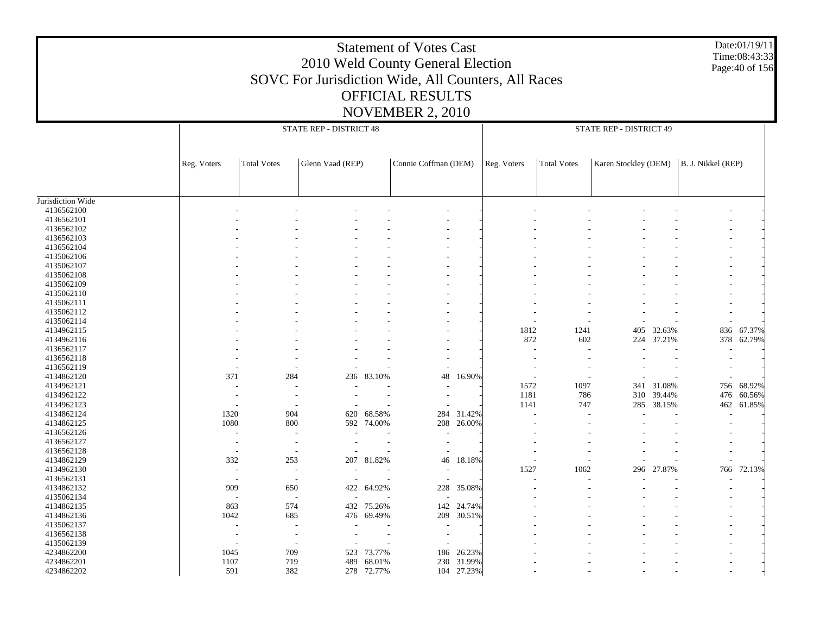#### Date:01/19/11 Time:08:43:33 Page:40 of 156

| <b>Total Votes</b><br>Connie Coffman (DEM)<br><b>Total Votes</b><br>Karen Stockley (DEM)<br>B. J. Nikkel (REP)<br>Reg. Voters<br>Glenn Vaad (REP)<br>Reg. Voters<br>4136562100<br>4136562101<br>4136562102<br>4136562103<br>4136562104<br>4135062106<br>4135062107<br>4135062108<br>4135062109<br>4135062110<br>4135062111<br>4135062112<br>4135062114<br>836 67.37%<br>4134962115<br>1812<br>1241<br>405 32.63%<br>872<br>4134962116<br>602<br>224 37.21%<br>378 62.79%<br>4136562117<br>- 11<br>$\overline{\phantom{a}}$<br>4136562118<br>$\overline{a}$<br>4136562119<br>$\overline{a}$<br>371<br>284<br>236 83.10%<br>48<br>4134862120<br>16.90%<br>$\overline{\phantom{a}}$<br>$\overline{\phantom{a}}$<br>68.92%<br>4134962121<br>1572<br>1097<br>341 31.08%<br>756<br>4134962122<br>1181<br>786<br>310<br>39.44%<br>476<br>60.56%<br>285 38.15%<br>4134962123<br>1141<br>747<br>462<br>61.85%<br>$\overline{\phantom{a}}$<br>31.42%<br>4134862124<br>1320<br>904<br>68.58%<br>284<br>620<br>1080<br>800<br>592 74.00%<br>208 26.00%<br>4134862125<br>4136562126<br>$\sim$<br>$\overline{\phantom{a}}$<br>4136562127<br>$\overline{\phantom{a}}$<br>$\overline{\phantom{a}}$<br>$\overline{\phantom{a}}$<br>4136562128<br>$\overline{\phantom{a}}$<br>$\overline{\phantom{a}}$<br>$\overline{a}$<br>207 81.82%<br>46 18.18%<br>4134862129<br>332<br>253<br>$\overline{a}$<br>4134962130<br>1527<br>1062<br>296<br>27.87%<br>766<br>72.13%<br>$\overline{\phantom{a}}$<br>$\sim$<br>$\overline{\phantom{a}}$<br>4136562131<br>$\sim$<br>$\overline{\phantom{a}}$<br>4134862132<br>422 64.92%<br>909<br>650<br>228 35.08%<br>4135062134<br>$\sim$<br>$\overline{\phantom{a}}$<br>4134862135<br>863<br>574<br>432 75.26%<br>142<br>24.74%<br>1042<br>4134862136<br>685<br>476 69.49%<br>209 30.51%<br>4135062137<br>٠<br>$\overline{\phantom{a}}$<br>$\overline{a}$<br>4136562138<br>$\overline{\phantom{a}}$<br>4135062139<br>4234862200<br>1045<br>709<br>523 73.77%<br>186<br>26.23%<br>4234862201<br>1107<br>719<br>489<br>68.01%<br>230 31.99%<br>591<br>382<br>104 27.23%<br>278 72.77% |                   |  | STATE REP - DISTRICT 48 |  | STATE REP - DISTRICT 49 |  |  |  |  |  |
|--------------------------------------------------------------------------------------------------------------------------------------------------------------------------------------------------------------------------------------------------------------------------------------------------------------------------------------------------------------------------------------------------------------------------------------------------------------------------------------------------------------------------------------------------------------------------------------------------------------------------------------------------------------------------------------------------------------------------------------------------------------------------------------------------------------------------------------------------------------------------------------------------------------------------------------------------------------------------------------------------------------------------------------------------------------------------------------------------------------------------------------------------------------------------------------------------------------------------------------------------------------------------------------------------------------------------------------------------------------------------------------------------------------------------------------------------------------------------------------------------------------------------------------------------------------------------------------------------------------------------------------------------------------------------------------------------------------------------------------------------------------------------------------------------------------------------------------------------------------------------------------------------------------------------------------------------------------------------------------------------------------------------------------------------------------------------------------------------|-------------------|--|-------------------------|--|-------------------------|--|--|--|--|--|
|                                                                                                                                                                                                                                                                                                                                                                                                                                                                                                                                                                                                                                                                                                                                                                                                                                                                                                                                                                                                                                                                                                                                                                                                                                                                                                                                                                                                                                                                                                                                                                                                                                                                                                                                                                                                                                                                                                                                                                                                                                                                                                  |                   |  |                         |  |                         |  |  |  |  |  |
|                                                                                                                                                                                                                                                                                                                                                                                                                                                                                                                                                                                                                                                                                                                                                                                                                                                                                                                                                                                                                                                                                                                                                                                                                                                                                                                                                                                                                                                                                                                                                                                                                                                                                                                                                                                                                                                                                                                                                                                                                                                                                                  |                   |  |                         |  |                         |  |  |  |  |  |
|                                                                                                                                                                                                                                                                                                                                                                                                                                                                                                                                                                                                                                                                                                                                                                                                                                                                                                                                                                                                                                                                                                                                                                                                                                                                                                                                                                                                                                                                                                                                                                                                                                                                                                                                                                                                                                                                                                                                                                                                                                                                                                  |                   |  |                         |  |                         |  |  |  |  |  |
|                                                                                                                                                                                                                                                                                                                                                                                                                                                                                                                                                                                                                                                                                                                                                                                                                                                                                                                                                                                                                                                                                                                                                                                                                                                                                                                                                                                                                                                                                                                                                                                                                                                                                                                                                                                                                                                                                                                                                                                                                                                                                                  | Jurisdiction Wide |  |                         |  |                         |  |  |  |  |  |
|                                                                                                                                                                                                                                                                                                                                                                                                                                                                                                                                                                                                                                                                                                                                                                                                                                                                                                                                                                                                                                                                                                                                                                                                                                                                                                                                                                                                                                                                                                                                                                                                                                                                                                                                                                                                                                                                                                                                                                                                                                                                                                  |                   |  |                         |  |                         |  |  |  |  |  |
|                                                                                                                                                                                                                                                                                                                                                                                                                                                                                                                                                                                                                                                                                                                                                                                                                                                                                                                                                                                                                                                                                                                                                                                                                                                                                                                                                                                                                                                                                                                                                                                                                                                                                                                                                                                                                                                                                                                                                                                                                                                                                                  |                   |  |                         |  |                         |  |  |  |  |  |
|                                                                                                                                                                                                                                                                                                                                                                                                                                                                                                                                                                                                                                                                                                                                                                                                                                                                                                                                                                                                                                                                                                                                                                                                                                                                                                                                                                                                                                                                                                                                                                                                                                                                                                                                                                                                                                                                                                                                                                                                                                                                                                  |                   |  |                         |  |                         |  |  |  |  |  |
|                                                                                                                                                                                                                                                                                                                                                                                                                                                                                                                                                                                                                                                                                                                                                                                                                                                                                                                                                                                                                                                                                                                                                                                                                                                                                                                                                                                                                                                                                                                                                                                                                                                                                                                                                                                                                                                                                                                                                                                                                                                                                                  |                   |  |                         |  |                         |  |  |  |  |  |
|                                                                                                                                                                                                                                                                                                                                                                                                                                                                                                                                                                                                                                                                                                                                                                                                                                                                                                                                                                                                                                                                                                                                                                                                                                                                                                                                                                                                                                                                                                                                                                                                                                                                                                                                                                                                                                                                                                                                                                                                                                                                                                  |                   |  |                         |  |                         |  |  |  |  |  |
|                                                                                                                                                                                                                                                                                                                                                                                                                                                                                                                                                                                                                                                                                                                                                                                                                                                                                                                                                                                                                                                                                                                                                                                                                                                                                                                                                                                                                                                                                                                                                                                                                                                                                                                                                                                                                                                                                                                                                                                                                                                                                                  |                   |  |                         |  |                         |  |  |  |  |  |
|                                                                                                                                                                                                                                                                                                                                                                                                                                                                                                                                                                                                                                                                                                                                                                                                                                                                                                                                                                                                                                                                                                                                                                                                                                                                                                                                                                                                                                                                                                                                                                                                                                                                                                                                                                                                                                                                                                                                                                                                                                                                                                  |                   |  |                         |  |                         |  |  |  |  |  |
|                                                                                                                                                                                                                                                                                                                                                                                                                                                                                                                                                                                                                                                                                                                                                                                                                                                                                                                                                                                                                                                                                                                                                                                                                                                                                                                                                                                                                                                                                                                                                                                                                                                                                                                                                                                                                                                                                                                                                                                                                                                                                                  |                   |  |                         |  |                         |  |  |  |  |  |
|                                                                                                                                                                                                                                                                                                                                                                                                                                                                                                                                                                                                                                                                                                                                                                                                                                                                                                                                                                                                                                                                                                                                                                                                                                                                                                                                                                                                                                                                                                                                                                                                                                                                                                                                                                                                                                                                                                                                                                                                                                                                                                  |                   |  |                         |  |                         |  |  |  |  |  |
|                                                                                                                                                                                                                                                                                                                                                                                                                                                                                                                                                                                                                                                                                                                                                                                                                                                                                                                                                                                                                                                                                                                                                                                                                                                                                                                                                                                                                                                                                                                                                                                                                                                                                                                                                                                                                                                                                                                                                                                                                                                                                                  |                   |  |                         |  |                         |  |  |  |  |  |
|                                                                                                                                                                                                                                                                                                                                                                                                                                                                                                                                                                                                                                                                                                                                                                                                                                                                                                                                                                                                                                                                                                                                                                                                                                                                                                                                                                                                                                                                                                                                                                                                                                                                                                                                                                                                                                                                                                                                                                                                                                                                                                  |                   |  |                         |  |                         |  |  |  |  |  |
|                                                                                                                                                                                                                                                                                                                                                                                                                                                                                                                                                                                                                                                                                                                                                                                                                                                                                                                                                                                                                                                                                                                                                                                                                                                                                                                                                                                                                                                                                                                                                                                                                                                                                                                                                                                                                                                                                                                                                                                                                                                                                                  |                   |  |                         |  |                         |  |  |  |  |  |
|                                                                                                                                                                                                                                                                                                                                                                                                                                                                                                                                                                                                                                                                                                                                                                                                                                                                                                                                                                                                                                                                                                                                                                                                                                                                                                                                                                                                                                                                                                                                                                                                                                                                                                                                                                                                                                                                                                                                                                                                                                                                                                  |                   |  |                         |  |                         |  |  |  |  |  |
|                                                                                                                                                                                                                                                                                                                                                                                                                                                                                                                                                                                                                                                                                                                                                                                                                                                                                                                                                                                                                                                                                                                                                                                                                                                                                                                                                                                                                                                                                                                                                                                                                                                                                                                                                                                                                                                                                                                                                                                                                                                                                                  |                   |  |                         |  |                         |  |  |  |  |  |
|                                                                                                                                                                                                                                                                                                                                                                                                                                                                                                                                                                                                                                                                                                                                                                                                                                                                                                                                                                                                                                                                                                                                                                                                                                                                                                                                                                                                                                                                                                                                                                                                                                                                                                                                                                                                                                                                                                                                                                                                                                                                                                  |                   |  |                         |  |                         |  |  |  |  |  |
|                                                                                                                                                                                                                                                                                                                                                                                                                                                                                                                                                                                                                                                                                                                                                                                                                                                                                                                                                                                                                                                                                                                                                                                                                                                                                                                                                                                                                                                                                                                                                                                                                                                                                                                                                                                                                                                                                                                                                                                                                                                                                                  |                   |  |                         |  |                         |  |  |  |  |  |
|                                                                                                                                                                                                                                                                                                                                                                                                                                                                                                                                                                                                                                                                                                                                                                                                                                                                                                                                                                                                                                                                                                                                                                                                                                                                                                                                                                                                                                                                                                                                                                                                                                                                                                                                                                                                                                                                                                                                                                                                                                                                                                  |                   |  |                         |  |                         |  |  |  |  |  |
|                                                                                                                                                                                                                                                                                                                                                                                                                                                                                                                                                                                                                                                                                                                                                                                                                                                                                                                                                                                                                                                                                                                                                                                                                                                                                                                                                                                                                                                                                                                                                                                                                                                                                                                                                                                                                                                                                                                                                                                                                                                                                                  |                   |  |                         |  |                         |  |  |  |  |  |
|                                                                                                                                                                                                                                                                                                                                                                                                                                                                                                                                                                                                                                                                                                                                                                                                                                                                                                                                                                                                                                                                                                                                                                                                                                                                                                                                                                                                                                                                                                                                                                                                                                                                                                                                                                                                                                                                                                                                                                                                                                                                                                  |                   |  |                         |  |                         |  |  |  |  |  |
|                                                                                                                                                                                                                                                                                                                                                                                                                                                                                                                                                                                                                                                                                                                                                                                                                                                                                                                                                                                                                                                                                                                                                                                                                                                                                                                                                                                                                                                                                                                                                                                                                                                                                                                                                                                                                                                                                                                                                                                                                                                                                                  |                   |  |                         |  |                         |  |  |  |  |  |
|                                                                                                                                                                                                                                                                                                                                                                                                                                                                                                                                                                                                                                                                                                                                                                                                                                                                                                                                                                                                                                                                                                                                                                                                                                                                                                                                                                                                                                                                                                                                                                                                                                                                                                                                                                                                                                                                                                                                                                                                                                                                                                  |                   |  |                         |  |                         |  |  |  |  |  |
|                                                                                                                                                                                                                                                                                                                                                                                                                                                                                                                                                                                                                                                                                                                                                                                                                                                                                                                                                                                                                                                                                                                                                                                                                                                                                                                                                                                                                                                                                                                                                                                                                                                                                                                                                                                                                                                                                                                                                                                                                                                                                                  |                   |  |                         |  |                         |  |  |  |  |  |
|                                                                                                                                                                                                                                                                                                                                                                                                                                                                                                                                                                                                                                                                                                                                                                                                                                                                                                                                                                                                                                                                                                                                                                                                                                                                                                                                                                                                                                                                                                                                                                                                                                                                                                                                                                                                                                                                                                                                                                                                                                                                                                  |                   |  |                         |  |                         |  |  |  |  |  |
|                                                                                                                                                                                                                                                                                                                                                                                                                                                                                                                                                                                                                                                                                                                                                                                                                                                                                                                                                                                                                                                                                                                                                                                                                                                                                                                                                                                                                                                                                                                                                                                                                                                                                                                                                                                                                                                                                                                                                                                                                                                                                                  |                   |  |                         |  |                         |  |  |  |  |  |
|                                                                                                                                                                                                                                                                                                                                                                                                                                                                                                                                                                                                                                                                                                                                                                                                                                                                                                                                                                                                                                                                                                                                                                                                                                                                                                                                                                                                                                                                                                                                                                                                                                                                                                                                                                                                                                                                                                                                                                                                                                                                                                  |                   |  |                         |  |                         |  |  |  |  |  |
|                                                                                                                                                                                                                                                                                                                                                                                                                                                                                                                                                                                                                                                                                                                                                                                                                                                                                                                                                                                                                                                                                                                                                                                                                                                                                                                                                                                                                                                                                                                                                                                                                                                                                                                                                                                                                                                                                                                                                                                                                                                                                                  |                   |  |                         |  |                         |  |  |  |  |  |
|                                                                                                                                                                                                                                                                                                                                                                                                                                                                                                                                                                                                                                                                                                                                                                                                                                                                                                                                                                                                                                                                                                                                                                                                                                                                                                                                                                                                                                                                                                                                                                                                                                                                                                                                                                                                                                                                                                                                                                                                                                                                                                  |                   |  |                         |  |                         |  |  |  |  |  |
|                                                                                                                                                                                                                                                                                                                                                                                                                                                                                                                                                                                                                                                                                                                                                                                                                                                                                                                                                                                                                                                                                                                                                                                                                                                                                                                                                                                                                                                                                                                                                                                                                                                                                                                                                                                                                                                                                                                                                                                                                                                                                                  |                   |  |                         |  |                         |  |  |  |  |  |
|                                                                                                                                                                                                                                                                                                                                                                                                                                                                                                                                                                                                                                                                                                                                                                                                                                                                                                                                                                                                                                                                                                                                                                                                                                                                                                                                                                                                                                                                                                                                                                                                                                                                                                                                                                                                                                                                                                                                                                                                                                                                                                  |                   |  |                         |  |                         |  |  |  |  |  |
|                                                                                                                                                                                                                                                                                                                                                                                                                                                                                                                                                                                                                                                                                                                                                                                                                                                                                                                                                                                                                                                                                                                                                                                                                                                                                                                                                                                                                                                                                                                                                                                                                                                                                                                                                                                                                                                                                                                                                                                                                                                                                                  |                   |  |                         |  |                         |  |  |  |  |  |
|                                                                                                                                                                                                                                                                                                                                                                                                                                                                                                                                                                                                                                                                                                                                                                                                                                                                                                                                                                                                                                                                                                                                                                                                                                                                                                                                                                                                                                                                                                                                                                                                                                                                                                                                                                                                                                                                                                                                                                                                                                                                                                  |                   |  |                         |  |                         |  |  |  |  |  |
|                                                                                                                                                                                                                                                                                                                                                                                                                                                                                                                                                                                                                                                                                                                                                                                                                                                                                                                                                                                                                                                                                                                                                                                                                                                                                                                                                                                                                                                                                                                                                                                                                                                                                                                                                                                                                                                                                                                                                                                                                                                                                                  |                   |  |                         |  |                         |  |  |  |  |  |
|                                                                                                                                                                                                                                                                                                                                                                                                                                                                                                                                                                                                                                                                                                                                                                                                                                                                                                                                                                                                                                                                                                                                                                                                                                                                                                                                                                                                                                                                                                                                                                                                                                                                                                                                                                                                                                                                                                                                                                                                                                                                                                  |                   |  |                         |  |                         |  |  |  |  |  |
|                                                                                                                                                                                                                                                                                                                                                                                                                                                                                                                                                                                                                                                                                                                                                                                                                                                                                                                                                                                                                                                                                                                                                                                                                                                                                                                                                                                                                                                                                                                                                                                                                                                                                                                                                                                                                                                                                                                                                                                                                                                                                                  |                   |  |                         |  |                         |  |  |  |  |  |
|                                                                                                                                                                                                                                                                                                                                                                                                                                                                                                                                                                                                                                                                                                                                                                                                                                                                                                                                                                                                                                                                                                                                                                                                                                                                                                                                                                                                                                                                                                                                                                                                                                                                                                                                                                                                                                                                                                                                                                                                                                                                                                  |                   |  |                         |  |                         |  |  |  |  |  |
|                                                                                                                                                                                                                                                                                                                                                                                                                                                                                                                                                                                                                                                                                                                                                                                                                                                                                                                                                                                                                                                                                                                                                                                                                                                                                                                                                                                                                                                                                                                                                                                                                                                                                                                                                                                                                                                                                                                                                                                                                                                                                                  |                   |  |                         |  |                         |  |  |  |  |  |
|                                                                                                                                                                                                                                                                                                                                                                                                                                                                                                                                                                                                                                                                                                                                                                                                                                                                                                                                                                                                                                                                                                                                                                                                                                                                                                                                                                                                                                                                                                                                                                                                                                                                                                                                                                                                                                                                                                                                                                                                                                                                                                  |                   |  |                         |  |                         |  |  |  |  |  |
|                                                                                                                                                                                                                                                                                                                                                                                                                                                                                                                                                                                                                                                                                                                                                                                                                                                                                                                                                                                                                                                                                                                                                                                                                                                                                                                                                                                                                                                                                                                                                                                                                                                                                                                                                                                                                                                                                                                                                                                                                                                                                                  |                   |  |                         |  |                         |  |  |  |  |  |
|                                                                                                                                                                                                                                                                                                                                                                                                                                                                                                                                                                                                                                                                                                                                                                                                                                                                                                                                                                                                                                                                                                                                                                                                                                                                                                                                                                                                                                                                                                                                                                                                                                                                                                                                                                                                                                                                                                                                                                                                                                                                                                  |                   |  |                         |  |                         |  |  |  |  |  |
|                                                                                                                                                                                                                                                                                                                                                                                                                                                                                                                                                                                                                                                                                                                                                                                                                                                                                                                                                                                                                                                                                                                                                                                                                                                                                                                                                                                                                                                                                                                                                                                                                                                                                                                                                                                                                                                                                                                                                                                                                                                                                                  |                   |  |                         |  |                         |  |  |  |  |  |
|                                                                                                                                                                                                                                                                                                                                                                                                                                                                                                                                                                                                                                                                                                                                                                                                                                                                                                                                                                                                                                                                                                                                                                                                                                                                                                                                                                                                                                                                                                                                                                                                                                                                                                                                                                                                                                                                                                                                                                                                                                                                                                  | 4234862202        |  |                         |  |                         |  |  |  |  |  |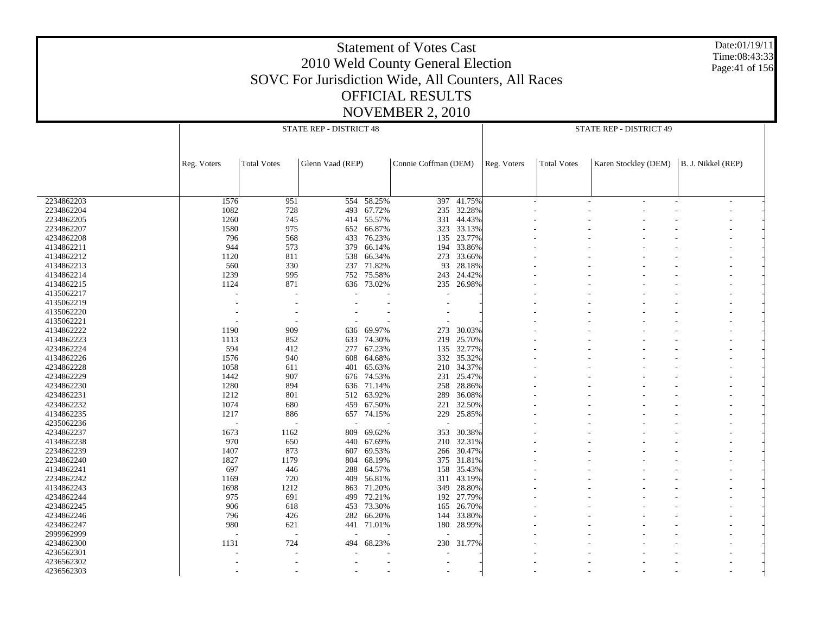Date:01/19/11 Time:08:43:33 Page:41 of 156

|            |                |                          | STATE REP - DISTRICT 48 |            |                      |            |             |                    | STATE REP - DISTRICT 49                   |  |
|------------|----------------|--------------------------|-------------------------|------------|----------------------|------------|-------------|--------------------|-------------------------------------------|--|
|            |                |                          |                         |            |                      |            |             |                    |                                           |  |
|            |                |                          |                         |            |                      |            |             |                    |                                           |  |
|            |                |                          |                         |            |                      |            |             |                    |                                           |  |
|            | Reg. Voters    | <b>Total Votes</b>       | Glenn Vaad (REP)        |            | Connie Coffman (DEM) |            | Reg. Voters | <b>Total Votes</b> | Karen Stockley (DEM)   B. J. Nikkel (REP) |  |
|            |                |                          |                         |            |                      |            |             |                    |                                           |  |
|            |                |                          |                         |            |                      |            |             |                    |                                           |  |
| 2234862203 | 1576           | 951                      | 554                     | 58.25%     | 397                  | 41.75%     |             | L,                 |                                           |  |
| 2234862204 | 1082           | 728                      | 493                     | 67.72%     |                      | 235 32.28% |             |                    |                                           |  |
| 2234862205 | 1260           | 745                      | 414                     | 55.57%     | 331                  | 44.43%     |             |                    |                                           |  |
| 2234862207 | 1580           | 975                      | 652                     | 66.87%     | 323                  | 33.13%     |             |                    |                                           |  |
| 4234862208 | 796            | 568                      | 433                     | 76.23%     | 135                  | 23.77%     |             |                    |                                           |  |
| 4134862211 | 944            | 573                      | 379                     | 66.14%     | 194                  | 33.86%     |             |                    |                                           |  |
| 4134862212 | 1120           | 811                      | 538                     | 66.34%     | 273                  | 33.66%     |             |                    |                                           |  |
|            | 560            |                          |                         |            |                      |            |             |                    |                                           |  |
| 4134862213 |                | 330                      | 237                     | 71.82%     | 93                   | 28.18%     |             |                    |                                           |  |
| 4134862214 | 1239           | 995                      | 752                     | 75.58%     | 243                  | 24.42%     |             |                    |                                           |  |
| 4134862215 | 1124           | 871                      | 636                     | 73.02%     | 235                  | 26.98%     |             |                    |                                           |  |
| 4135062217 |                |                          |                         |            |                      |            |             |                    |                                           |  |
| 4135062219 |                |                          |                         |            |                      |            |             |                    |                                           |  |
| 4135062220 |                |                          |                         |            |                      |            |             |                    |                                           |  |
| 4135062221 |                |                          |                         |            |                      |            |             |                    |                                           |  |
| 4134862222 | 1190           | 909                      | 636                     | 69.97%     | 273                  | 30.03%     |             |                    |                                           |  |
| 4134862223 | 1113           | 852                      | 633                     | 74.30%     | 219                  | 25.70%     |             |                    |                                           |  |
| 4234862224 | 594            | 412                      |                         | 277 67.23% | 135                  | 32.77%     |             |                    |                                           |  |
| 4134862226 | 1576           | 940                      | 608                     | 64.68%     | 332                  | 35.32%     |             |                    |                                           |  |
| 4234862228 | 1058           | 611                      | 401                     | 65.63%     | 210                  | 34.37%     |             |                    |                                           |  |
| 4234862229 | 1442           | 907                      | 676                     | 74.53%     | 231                  | 25.47%     |             |                    |                                           |  |
| 4234862230 | 1280           | 894                      |                         | 636 71.14% | 258                  | 28.86%     |             |                    |                                           |  |
| 4234862231 | 1212           | 801                      | 512                     | 63.92%     | 289                  | 36.08%     |             |                    |                                           |  |
| 4234862232 | 1074           | 680                      |                         | 459 67.50% | 221                  | 32.50%     |             |                    |                                           |  |
| 4134862235 | 1217           | 886                      | 657                     | 74.15%     | 229                  | 25.85%     |             |                    |                                           |  |
| 4235062236 |                |                          |                         |            |                      |            |             |                    |                                           |  |
| 4234862237 | 1673           | 1162                     | 809                     | 69.62%     | 353                  | 30.38%     |             |                    |                                           |  |
| 4134862238 | 970            | 650                      | 440                     | 67.69%     | 210                  | 32.31%     |             |                    |                                           |  |
| 2234862239 | 1407           | 873                      | 607                     | 69.53%     | 266                  | 30.47%     |             |                    |                                           |  |
| 2234862240 | 1827           | 1179                     | 804                     | 68.19%     | 375                  | 31.81%     |             |                    |                                           |  |
| 4134862241 | 697            | 446                      | 288                     | 64.57%     | 158                  | 35.43%     |             |                    |                                           |  |
| 2234862242 | 1169           | 720                      | 409                     | 56.81%     | 311                  | 43.19%     |             |                    |                                           |  |
| 4134862243 | 1698           | 1212                     | 863                     | 71.20%     | 349                  | 28.80%     |             |                    |                                           |  |
| 4234862244 | 975            | 691                      | 499                     | 72.21%     | 192                  | 27.79%     |             |                    |                                           |  |
| 4234862245 | 906            | 618                      |                         | 453 73.30% | 165                  | 26.70%     |             |                    |                                           |  |
| 4234862246 | 796            | 426                      | 282                     | 66.20%     | 144                  | 33.80%     |             |                    |                                           |  |
|            |                |                          |                         |            |                      |            |             |                    |                                           |  |
| 4234862247 | 980            | 621                      |                         | 441 71.01% |                      | 180 28.99% |             |                    |                                           |  |
| 2999962999 | $\overline{a}$ | $\overline{\phantom{a}}$ |                         |            |                      |            |             |                    |                                           |  |
| 4234862300 | 1131           | 724                      | 494                     | 68.23%     | 230                  | 31.77%     |             |                    |                                           |  |
| 4236562301 |                |                          |                         |            |                      |            |             |                    |                                           |  |
| 4236562302 |                |                          |                         |            | $\sim$               |            |             |                    |                                           |  |
| 4236562303 |                |                          |                         |            | $\sim$               |            |             |                    |                                           |  |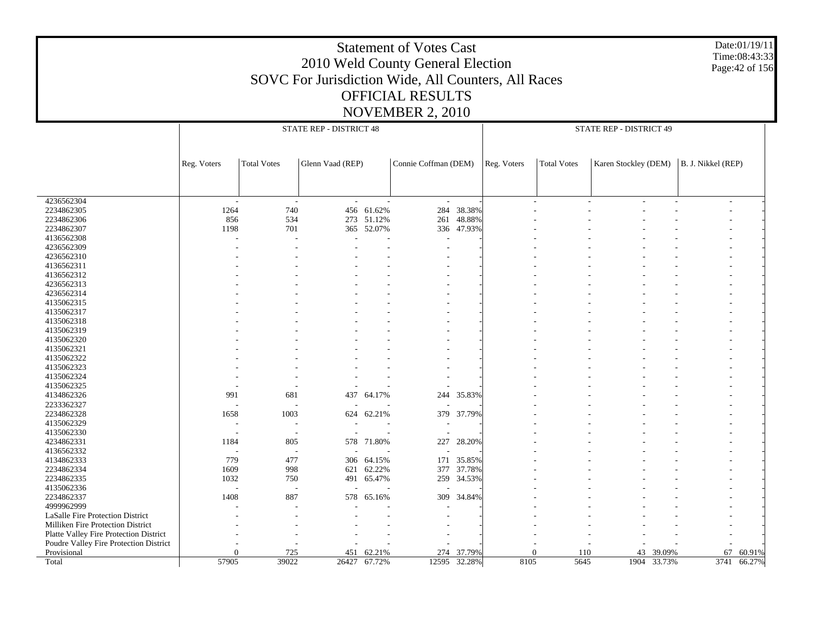#### Date:01/19/11 Time:08:43:33 Page:42 of 156

|                                                       |             |                          | STATE REP - DISTRICT 48 |              |                      |              |             |                    | STATE REP - DISTRICT 49 |             |                    |             |
|-------------------------------------------------------|-------------|--------------------------|-------------------------|--------------|----------------------|--------------|-------------|--------------------|-------------------------|-------------|--------------------|-------------|
|                                                       |             |                          |                         |              |                      |              |             |                    |                         |             |                    |             |
|                                                       | Reg. Voters | <b>Total Votes</b>       | Glenn Vaad (REP)        |              | Connie Coffman (DEM) |              | Reg. Voters | <b>Total Votes</b> | Karen Stockley (DEM)    |             | B. J. Nikkel (REP) |             |
|                                                       |             |                          |                         |              |                      |              |             |                    |                         |             |                    |             |
|                                                       |             |                          |                         |              |                      |              |             |                    |                         |             |                    |             |
| 4236562304                                            | $\sim$      | $\overline{\phantom{a}}$ |                         |              | $\overline{a}$       |              |             |                    |                         |             |                    |             |
| 2234862305                                            | 1264        | 740                      |                         | 456 61.62%   | 284                  | 38.38%       |             |                    |                         |             |                    |             |
| 2234862306                                            | 856         | 534                      |                         | 273 51.12%   | 261                  | 48.88%       |             |                    |                         |             |                    |             |
| 2234862307                                            | 1198        | 701                      | 365                     | 52.07%       |                      | 336 47.93%   |             |                    |                         |             |                    |             |
| 4136562308                                            |             |                          |                         |              |                      |              |             |                    |                         |             |                    |             |
| 4236562309                                            |             |                          |                         |              | ٠                    |              |             |                    |                         |             |                    |             |
| 4236562310                                            |             |                          |                         |              |                      |              |             |                    |                         |             |                    |             |
| 4136562311                                            |             |                          |                         |              |                      |              |             |                    |                         |             |                    |             |
| 4136562312                                            |             |                          |                         |              |                      |              |             |                    |                         |             |                    |             |
| 4236562313                                            |             |                          |                         |              |                      |              |             |                    |                         |             |                    |             |
| 4236562314                                            |             |                          |                         |              |                      |              |             |                    |                         |             |                    |             |
| 4135062315                                            |             |                          |                         |              |                      |              |             |                    |                         |             |                    |             |
| 4135062317                                            |             |                          |                         |              |                      |              |             |                    |                         |             |                    |             |
| 4135062318                                            |             |                          |                         |              |                      |              |             |                    |                         |             |                    |             |
| 4135062319                                            |             |                          |                         |              |                      |              |             |                    |                         |             |                    |             |
| 4135062320                                            |             |                          |                         |              |                      |              |             |                    |                         |             |                    |             |
| 4135062321                                            |             |                          |                         |              |                      |              |             |                    |                         |             |                    |             |
| 4135062322                                            |             |                          |                         |              |                      |              |             |                    |                         |             |                    |             |
| 4135062323                                            |             |                          |                         |              |                      |              |             |                    |                         |             |                    |             |
| 4135062324                                            |             |                          |                         |              |                      |              |             |                    |                         |             |                    |             |
| 4135062325                                            |             |                          |                         |              |                      |              |             |                    |                         |             |                    |             |
| 4134862326                                            | 991         | 681                      | 437                     | 64.17%       | 244                  | 35.83%       |             |                    |                         |             |                    |             |
| 2233362327                                            |             |                          |                         |              |                      |              |             |                    |                         |             |                    |             |
| 2234862328                                            | 1658        | 1003                     | 624                     | 62.21%       |                      | 379 37.79%   |             |                    |                         |             |                    |             |
| 4135062329                                            |             |                          |                         |              |                      |              |             |                    |                         |             |                    |             |
| 4135062330<br>4234862331                              | 1184        |                          |                         |              |                      |              |             |                    |                         |             |                    |             |
| 4136562332                                            |             | 805                      |                         | 578 71.80%   | 227                  | 28.20%       |             |                    |                         |             |                    |             |
| 4134862333                                            | 779         | 477                      |                         | 64.15%       | 171                  | 35.85%       |             |                    |                         |             |                    |             |
| 2234862334                                            | 1609        | 998                      | 306<br>621              | 62.22%       | 377                  |              |             |                    |                         |             |                    |             |
| 2234862335                                            | 1032        |                          | 491                     |              |                      | 37.78%       |             |                    |                         |             |                    |             |
| 4135062336                                            |             | 750                      |                         | 65.47%       |                      | 259 34.53%   |             |                    |                         |             |                    |             |
| 2234862337                                            | 1408        | 887                      |                         |              | 309                  | 34.84%       |             |                    |                         |             |                    |             |
| 4999962999                                            |             |                          | 578                     | 65.16%       |                      |              |             |                    |                         |             |                    |             |
| LaSalle Fire Protection District                      |             |                          |                         |              |                      |              |             |                    |                         |             |                    |             |
|                                                       |             |                          |                         |              |                      |              |             |                    |                         |             |                    |             |
| Milliken Fire Protection District                     |             |                          |                         |              |                      |              |             |                    |                         |             |                    |             |
| Platte Valley Fire Protection District                |             |                          |                         |              | ÷,                   |              |             |                    |                         |             |                    |             |
| Poudre Valley Fire Protection District<br>Provisional | $\Omega$    | 725                      | 451                     | 62.21%       | 274                  | 37.79%       |             | $\Omega$<br>110    | 43                      | 39.09%      | 67                 | 60.91%      |
| Total                                                 | 57905       | 39022                    |                         | 26427 67.72% |                      | 12595 32.28% | 8105        | 5645               |                         | 1904 33.73% |                    | 3741 66.27% |
|                                                       |             |                          |                         |              |                      |              |             |                    |                         |             |                    |             |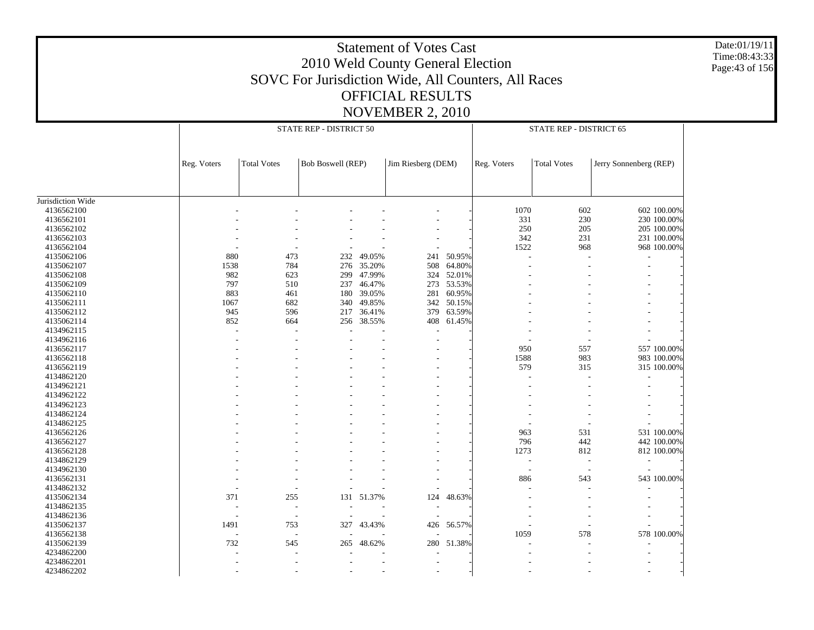Date:01/19/11 Time:08:43:33 Page:43 of 156

|                   |             | STATE REP - DISTRICT 50  |                          |            |                    |        | STATE REP - DISTRICT 65 |                          |                        |  |
|-------------------|-------------|--------------------------|--------------------------|------------|--------------------|--------|-------------------------|--------------------------|------------------------|--|
|                   | Reg. Voters | <b>Total Votes</b>       | <b>Bob Boswell (REP)</b> |            | Jim Riesberg (DEM) |        | Reg. Voters             | <b>Total Votes</b>       | Jerry Sonnenberg (REP) |  |
|                   |             |                          |                          |            |                    |        |                         |                          |                        |  |
| Jurisdiction Wide |             |                          |                          |            |                    |        |                         |                          |                        |  |
| 4136562100        |             |                          |                          |            |                    |        | 1070                    | 602                      | 602 100.00%            |  |
| 4136562101        |             |                          |                          |            |                    |        | 331                     | 230                      | 230 100.00%            |  |
| 4136562102        |             |                          |                          |            |                    |        | 250                     | 205                      | 205 100.00%            |  |
| 4136562103        |             |                          |                          |            |                    |        | 342                     | 231                      | 231 100.00%            |  |
| 4136562104        |             |                          |                          |            |                    |        | 1522                    | 968                      | 968 100.00%            |  |
| 4135062106        | 880         | 473                      | 232                      | 49.05%     | 241                | 50.95% |                         |                          | ٠                      |  |
| 4135062107        | 1538        | 784                      | 276                      | 35.20%     | 508                | 64.80% |                         |                          |                        |  |
| 4135062108        | 982         | 623                      | 299                      | 47.99%     | 324                | 52.01% |                         |                          |                        |  |
| 4135062109        | 797         | 510                      | 237                      | 46.47%     | 273                | 53.53% |                         |                          |                        |  |
| 4135062110        | 883         | 461                      | 180                      | 39.05%     | 281                | 60.95% |                         |                          |                        |  |
| 4135062111        | 1067        | 682                      | 340                      | 49.85%     | 342                | 50.15% |                         |                          |                        |  |
| 4135062112        | 945         | 596                      | 217                      | 36.41%     | 379                | 63.59% |                         |                          |                        |  |
| 4135062114        | 852         | 664                      | 256                      | 38.55%     | 408                | 61.45% |                         |                          |                        |  |
| 4134962115        | L,          | $\overline{\phantom{a}}$ |                          |            |                    |        |                         |                          |                        |  |
| 4134962116        |             |                          |                          |            |                    |        |                         |                          |                        |  |
| 4136562117        |             |                          |                          |            |                    |        | 950                     | 557                      | 557 100.00%            |  |
|                   |             |                          |                          |            |                    |        |                         |                          |                        |  |
| 4136562118        |             |                          |                          |            |                    |        | 1588                    | 983                      | 983 100.00%            |  |
| 4136562119        |             |                          |                          |            |                    |        | 579                     | 315                      | 315 100.00%            |  |
| 4134862120        |             |                          |                          |            |                    |        |                         |                          |                        |  |
| 4134962121        |             |                          |                          |            |                    |        |                         |                          |                        |  |
| 4134962122        |             |                          |                          |            |                    |        |                         |                          |                        |  |
| 4134962123        |             |                          |                          |            |                    |        |                         |                          |                        |  |
| 4134862124        |             |                          |                          |            |                    |        |                         |                          |                        |  |
| 4134862125        |             |                          |                          |            |                    |        |                         |                          |                        |  |
| 4136562126        |             |                          |                          |            |                    |        | 963                     | 531                      | 531 100.00%            |  |
| 4136562127        |             |                          |                          |            |                    |        | 796                     | 442                      | 442 100.00%            |  |
| 4136562128        |             |                          |                          |            |                    |        | 1273                    | 812                      | 812 100.00%            |  |
| 4134862129        |             |                          |                          |            |                    |        | $\sim$                  | $\sim$                   |                        |  |
| 4134962130        |             |                          |                          |            |                    |        | $\sim$                  | $\overline{\phantom{a}}$ |                        |  |
| 4136562131        |             |                          |                          |            |                    |        | 886                     | 543                      | 543 100.00%            |  |
| 4134862132        |             | $\overline{\phantom{0}}$ |                          |            |                    |        |                         |                          |                        |  |
| 4135062134        | 371         | 255                      |                          | 131 51.37% | 124                | 48.63% |                         |                          |                        |  |
| 4134862135        |             | $\overline{\phantom{a}}$ |                          |            |                    |        |                         |                          |                        |  |
| 4134862136        |             | $\overline{\phantom{a}}$ |                          |            |                    |        |                         |                          |                        |  |
| 4135062137        | 1491        | 753                      |                          | 327 43.43% | 426                | 56.57% |                         |                          |                        |  |
| 4136562138        |             | $\overline{\phantom{a}}$ |                          |            |                    |        | 1059                    | 578                      | 578 100.00%            |  |
| 4135062139        | 732         | 545                      | 265                      | 48.62%     | 280                | 51.38% |                         |                          |                        |  |
| 4234862200        |             |                          |                          |            |                    |        |                         |                          |                        |  |
| 4234862201        |             |                          |                          |            |                    |        |                         |                          |                        |  |
|                   |             |                          |                          |            |                    |        |                         |                          |                        |  |
| 4234862202        |             |                          |                          |            |                    |        |                         |                          |                        |  |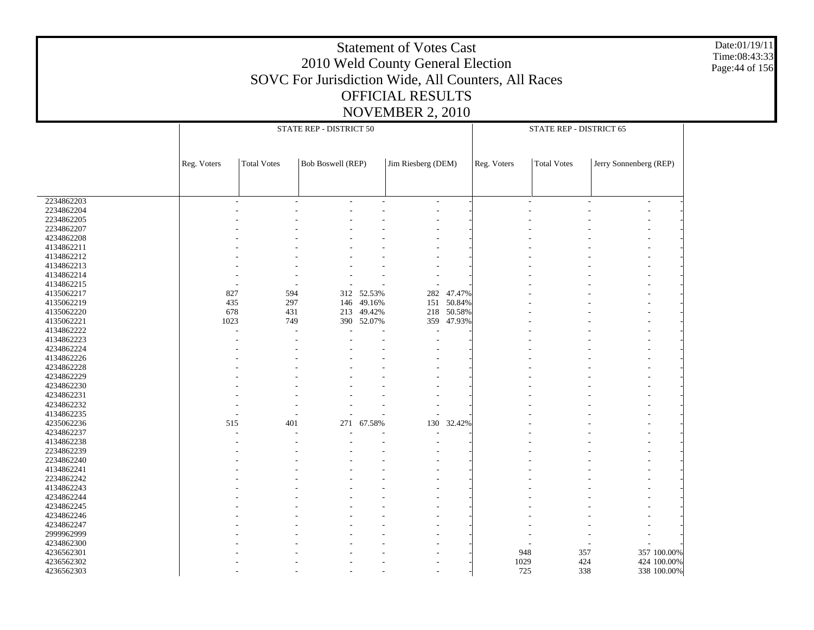Date:01/19/11 Time:08:43:33 Page:44 of 156

|            |             | STATE REP - DISTRICT 50 |                          |            |                    |            |             | STATE REP - DISTRICT 65 |                        |                |  |  |  |
|------------|-------------|-------------------------|--------------------------|------------|--------------------|------------|-------------|-------------------------|------------------------|----------------|--|--|--|
|            |             |                         |                          |            |                    |            |             |                         |                        |                |  |  |  |
|            | Reg. Voters | <b>Total Votes</b>      | <b>Bob Boswell (REP)</b> |            | Jim Riesberg (DEM) |            | Reg. Voters | <b>Total Votes</b>      | Jerry Sonnenberg (REP) |                |  |  |  |
|            |             |                         |                          |            |                    |            |             |                         |                        |                |  |  |  |
| 2234862203 |             |                         |                          |            | ÷,                 |            |             |                         |                        | $\overline{a}$ |  |  |  |
| 2234862204 |             |                         |                          |            |                    |            |             |                         |                        |                |  |  |  |
| 2234862205 |             |                         |                          |            |                    |            |             |                         |                        |                |  |  |  |
| 2234862207 |             |                         |                          |            |                    |            |             |                         |                        |                |  |  |  |
| 4234862208 |             |                         |                          |            |                    |            |             |                         |                        |                |  |  |  |
| 4134862211 |             |                         |                          |            |                    |            |             |                         |                        |                |  |  |  |
| 4134862212 |             |                         |                          |            |                    |            |             |                         |                        |                |  |  |  |
| 4134862213 |             |                         |                          |            |                    |            |             |                         |                        |                |  |  |  |
| 4134862214 |             |                         |                          |            |                    |            |             |                         |                        |                |  |  |  |
| 4134862215 |             |                         |                          |            |                    |            |             |                         |                        |                |  |  |  |
| 4135062217 | 827         | 594                     |                          | 312 52.53% | 282                | 47.47%     |             |                         |                        |                |  |  |  |
| 4135062219 | 435         | 297                     | 146                      | 49.16%     | 151                | 50.84%     |             |                         |                        |                |  |  |  |
| 4135062220 | 678         | 431                     |                          | 213 49.42% |                    | 218 50.58% |             |                         |                        |                |  |  |  |
|            | 1023        | 749                     |                          |            | 359                |            |             |                         |                        |                |  |  |  |
| 4135062221 |             |                         |                          | 390 52.07% |                    | 47.93%     |             |                         |                        |                |  |  |  |
| 4134862222 |             |                         |                          |            | ÷,                 |            |             |                         |                        |                |  |  |  |
| 4134862223 |             |                         |                          |            |                    |            |             |                         |                        |                |  |  |  |
| 4234862224 |             |                         |                          |            |                    |            |             |                         |                        |                |  |  |  |
| 4134862226 |             |                         |                          |            |                    |            |             |                         |                        |                |  |  |  |
| 4234862228 |             |                         |                          |            |                    |            |             |                         |                        |                |  |  |  |
| 4234862229 |             |                         |                          |            |                    |            |             |                         |                        |                |  |  |  |
| 4234862230 |             |                         |                          |            |                    |            |             |                         |                        |                |  |  |  |
| 4234862231 |             |                         |                          |            |                    |            |             |                         |                        |                |  |  |  |
| 4234862232 |             |                         |                          |            |                    |            |             |                         |                        |                |  |  |  |
| 4134862235 |             |                         |                          |            |                    |            |             |                         |                        |                |  |  |  |
| 4235062236 | 515         | 401                     | 271                      | 67.58%     | 130                | 32.42%     |             |                         |                        |                |  |  |  |
| 4234862237 |             |                         |                          |            |                    |            |             |                         |                        |                |  |  |  |
| 4134862238 |             |                         |                          |            |                    |            |             |                         |                        |                |  |  |  |
| 2234862239 |             |                         |                          |            |                    |            |             |                         |                        |                |  |  |  |
| 2234862240 |             |                         |                          |            |                    |            |             |                         |                        |                |  |  |  |
| 4134862241 |             |                         |                          |            |                    |            |             |                         |                        |                |  |  |  |
| 2234862242 |             |                         |                          |            |                    |            |             |                         |                        |                |  |  |  |
| 4134862243 |             |                         |                          |            |                    |            |             |                         |                        |                |  |  |  |
| 4234862244 |             |                         |                          |            |                    |            |             |                         |                        |                |  |  |  |
| 4234862245 |             |                         |                          |            |                    |            |             |                         |                        |                |  |  |  |
|            |             |                         |                          |            |                    |            |             |                         |                        |                |  |  |  |
| 4234862246 |             |                         |                          |            |                    |            |             |                         |                        |                |  |  |  |
| 4234862247 |             |                         |                          |            |                    |            |             |                         |                        |                |  |  |  |
| 2999962999 |             |                         |                          |            |                    |            |             |                         |                        |                |  |  |  |
| 4234862300 |             |                         |                          |            |                    |            |             |                         |                        |                |  |  |  |
| 4236562301 |             |                         |                          |            |                    |            | 948         | 357                     |                        | 357 100.00%    |  |  |  |
| 4236562302 |             |                         |                          |            |                    |            | 1029        | 424                     |                        | 424 100.00%    |  |  |  |
| 4236562303 |             |                         |                          |            |                    |            | 725         | 338                     |                        | 338 100.00%    |  |  |  |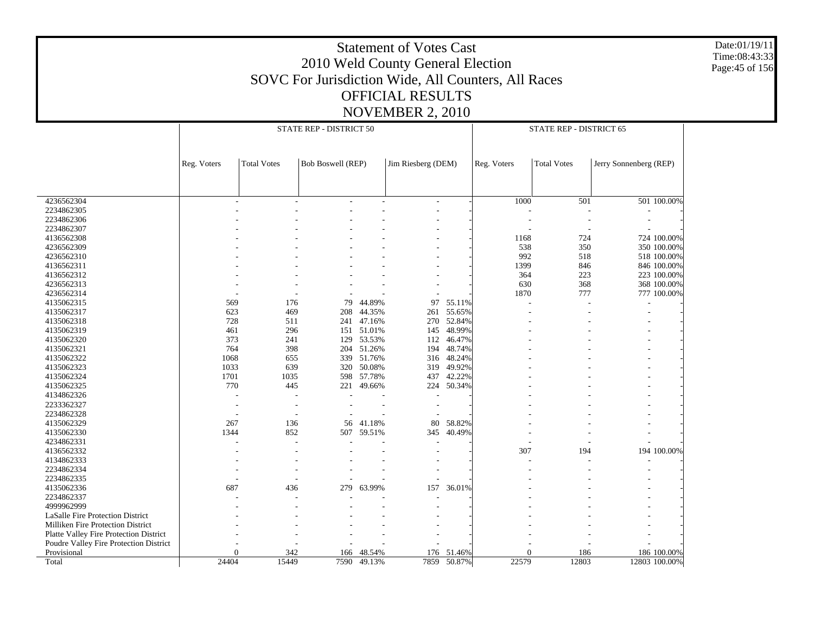Date:01/19/11 Time:08:43:33 Page:45 of 156

|                                        |                          |                          | STATE REP - DISTRICT 50  |             |                          |             |             | STATE REP - DISTRICT 65 |                        |               |
|----------------------------------------|--------------------------|--------------------------|--------------------------|-------------|--------------------------|-------------|-------------|-------------------------|------------------------|---------------|
|                                        | Reg. Voters              | <b>Total Votes</b>       | <b>Bob Boswell (REP)</b> |             | Jim Riesberg (DEM)       |             | Reg. Voters | <b>Total Votes</b>      | Jerry Sonnenberg (REP) |               |
|                                        |                          |                          |                          |             |                          |             |             |                         |                        |               |
| 4236562304                             |                          |                          |                          |             | $\overline{\phantom{a}}$ |             | 1000        | 501                     |                        | 501 100.00%   |
| 2234862305                             |                          |                          |                          |             |                          |             |             |                         |                        |               |
| 2234862306                             |                          |                          |                          |             |                          |             |             |                         |                        |               |
| 2234862307                             |                          |                          |                          |             |                          |             |             |                         |                        |               |
| 4136562308                             |                          |                          |                          |             |                          |             | 1168        | 724                     |                        | 724 100.00%   |
| 4236562309                             |                          |                          |                          |             |                          |             | 538         | 350                     |                        | 350 100.00%   |
| 4236562310                             |                          |                          |                          |             |                          |             | 992         | 518                     |                        | 518 100.00%   |
| 4136562311                             |                          |                          |                          |             |                          |             | 1399        | 846                     |                        | 846 100.00%   |
| 4136562312                             |                          |                          |                          |             |                          |             | 364         | 223                     |                        | 223 100.00%   |
| 4236562313                             |                          |                          |                          |             |                          |             | 630         | 368                     |                        | 368 100.00%   |
| 4236562314                             |                          |                          |                          |             |                          |             | 1870        | 777                     |                        | 777 100.00%   |
| 4135062315                             | 569                      | 176                      | 79                       | 44.89%      | 97                       | 55.11%      |             |                         |                        |               |
| 4135062317                             | 623                      | 469                      | 208                      | 44.35%      | 261                      | 55.65%      |             |                         |                        |               |
| 4135062318                             | 728                      | 511                      | 241                      | 47.16%      | 270                      | 52.84%      |             |                         |                        |               |
| 4135062319                             | 461                      | 296                      | 151                      | 51.01%      | 145                      | 48.99%      |             |                         |                        |               |
| 4135062320                             | 373                      | 241                      |                          | 129 53.53%  | 112                      | 46.47%      |             |                         |                        |               |
| 4135062321                             | 764                      | 398                      | 204                      | 51.26%      | 194                      | 48.74%      |             |                         |                        |               |
| 4135062322                             | 1068                     | 655                      | 339                      | 51.76%      | 316                      | 48.24%      |             |                         |                        |               |
| 4135062323                             | 1033                     | 639                      | 320                      | 50.08%      | 319                      | 49.92%      |             |                         |                        |               |
| 4135062324                             | 1701                     | 1035                     | 598                      | 57.78%      | 437                      | 42.22%      |             |                         |                        |               |
| 4135062325                             | 770                      | 445                      | 221                      | 49.66%      | 224                      | 50.34%      |             |                         |                        |               |
| 4134862326                             |                          |                          |                          |             |                          |             |             |                         |                        |               |
| 2233362327                             | $\overline{\phantom{a}}$ | $\overline{\phantom{a}}$ |                          |             | $\overline{a}$           |             |             |                         |                        |               |
| 2234862328                             |                          |                          |                          |             |                          |             |             |                         |                        |               |
| 4135062329                             | 267                      | 136                      | 56                       | 41.18%      | 80                       | 58.82%      |             |                         |                        |               |
| 4135062330                             | 1344                     | 852                      |                          | 507 59.51%  | 345                      | 40.49%      |             |                         |                        |               |
| 4234862331                             |                          | ÷.                       |                          |             |                          |             |             |                         |                        |               |
| 4136562332                             |                          |                          |                          |             |                          |             | 307         | 194                     |                        | 194 100.00%   |
| 4134862333                             |                          |                          |                          |             |                          |             |             |                         |                        |               |
| 2234862334                             |                          |                          |                          |             |                          |             |             |                         |                        |               |
| 2234862335                             |                          |                          |                          |             |                          |             |             |                         |                        |               |
| 4135062336                             | 687                      | 436                      | 279                      | 63.99%      | 157                      | 36.01%      |             |                         |                        |               |
| 2234862337                             |                          |                          |                          |             |                          |             |             |                         |                        |               |
| 4999962999                             |                          |                          |                          |             |                          |             |             |                         |                        |               |
| LaSalle Fire Protection District       |                          |                          |                          |             |                          |             |             |                         |                        |               |
| Milliken Fire Protection District      |                          |                          |                          |             |                          |             |             |                         |                        |               |
| Platte Valley Fire Protection District |                          |                          |                          |             |                          |             |             |                         |                        |               |
| Poudre Valley Fire Protection District |                          |                          |                          |             |                          |             |             |                         |                        |               |
| Provisional                            | $\Omega$                 | 342                      | 166                      | 48.54%      |                          | 176 51.46%  | 0           | 186                     |                        | 186 100.00%   |
| Total                                  | 24404                    | 15449                    |                          | 7590 49.13% |                          | 7859 50.87% | 22579       | 12803                   |                        | 12803 100.00% |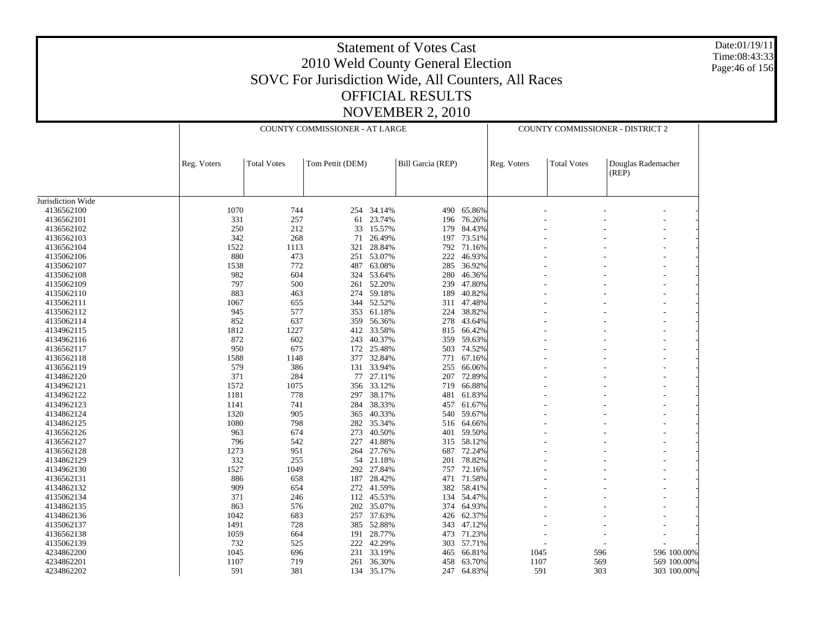Date:01/19/11 Time:08:43:33 Page:46 of 156

|                   |             |                    | COUNTY COMMISSIONER - AT LARGE |            |                   |            |             | COUNTY COMMISSIONER - DISTRICT 2 |                             |             |
|-------------------|-------------|--------------------|--------------------------------|------------|-------------------|------------|-------------|----------------------------------|-----------------------------|-------------|
|                   |             |                    |                                |            |                   |            |             |                                  |                             |             |
|                   | Reg. Voters | <b>Total Votes</b> | Tom Pettit (DEM)               |            | Bill Garcia (REP) |            | Reg. Voters | <b>Total Votes</b>               | Douglas Rademacher<br>(REP) |             |
| Jurisdiction Wide |             |                    |                                |            |                   |            |             |                                  |                             |             |
| 4136562100        | 1070        | 744                |                                | 254 34.14% | 490               | 65.86%     |             |                                  |                             |             |
| 4136562101        | 331         | 257                | 61                             | 23.74%     | 196               | 76.26%     |             |                                  |                             |             |
| 4136562102        | 250         | 212                | 33                             | 15.57%     | 179               | 84.43%     |             |                                  |                             |             |
| 4136562103        | 342         | 268                | 71                             | 26.49%     | 197               | 73.51%     |             |                                  |                             |             |
| 4136562104        | 1522        | 1113               | 321                            | 28.84%     |                   | 792 71.16% |             |                                  |                             |             |
| 4135062106        | 880         | 473                |                                | 251 53.07% | 222               | 46.93%     |             |                                  |                             |             |
| 4135062107        | 1538        | 772                | 487                            | 63.08%     | 285               | 36.92%     |             |                                  |                             |             |
| 4135062108        | 982         | 604                |                                | 324 53.64% | 280               | 46.36%     |             |                                  |                             |             |
| 4135062109        | 797         | 500                | 261                            | 52.20%     | 239               | 47.80%     |             |                                  |                             |             |
| 4135062110        | 883         | 463                |                                | 274 59.18% | 189               | 40.82%     |             |                                  |                             |             |
|                   | 1067        | 655                |                                | 52.52%     | 311               | 47.48%     |             |                                  |                             |             |
| 4135062111        | 945         | 577                | 344                            | 353 61.18% |                   | 224 38.82% |             |                                  |                             |             |
| 4135062112        |             |                    |                                |            |                   |            |             |                                  |                             |             |
| 4135062114        | 852         | 637                | 359                            | 56.36%     | 278               | 43.64%     |             |                                  |                             |             |
| 4134962115        | 1812        | 1227               |                                | 412 33.58% | 815               | 66.42%     |             |                                  |                             |             |
| 4134962116        | 872         | 602                | 243                            | 40.37%     | 359               | 59.63%     |             |                                  |                             |             |
| 4136562117        | 950         | 675                |                                | 172 25.48% |                   | 503 74.52% |             |                                  |                             |             |
| 4136562118        | 1588        | 1148               | 377                            | 32.84%     | 771               | 67.16%     |             |                                  |                             |             |
| 4136562119        | 579         | 386                |                                | 131 33.94% | 255               | 66.06%     |             |                                  |                             |             |
| 4134862120        | 371         | 284                | 77                             | 27.11%     | 207               | 72.89%     |             |                                  |                             |             |
| 4134962121        | 1572        | 1075               | 356                            | 33.12%     | 719               | 66.88%     |             |                                  |                             |             |
| 4134962122        | 1181        | 778                |                                | 297 38.17% | 481               | 61.83%     |             |                                  |                             |             |
| 4134962123        | 1141        | 741                | 284                            | 38.33%     | 457               | 61.67%     |             |                                  |                             |             |
| 4134862124        | 1320        | 905                | 365                            | 40.33%     | 540               | 59.67%     |             |                                  |                             |             |
| 4134862125        | 1080        | 798                | 282                            | 35.34%     | 516               | 64.66%     |             |                                  |                             |             |
| 4136562126        | 963         | 674                | 273                            | 40.50%     |                   | 401 59.50% |             |                                  |                             |             |
| 4136562127        | 796         | 542                | 227                            | 41.88%     | 315               | 58.12%     |             |                                  |                             |             |
| 4136562128        | 1273        | 951                |                                | 264 27.76% | 687               | 72.24%     |             |                                  |                             |             |
| 4134862129        | 332         | 255                | 54                             | 21.18%     | 201               | 78.82%     |             |                                  |                             |             |
| 4134962130        | 1527        | 1049               |                                | 292 27.84% |                   | 757 72.16% |             |                                  |                             |             |
| 4136562131        | 886         | 658                | 187                            | 28.42%     | 471               | 71.58%     |             |                                  |                             |             |
| 4134862132        | 909         | 654                |                                | 272 41.59% |                   | 382 58.41% |             |                                  |                             |             |
| 4135062134        | 371         | 246                | 112                            | 45.53%     | 134               | 54.47%     |             |                                  |                             |             |
| 4134862135        | 863         | 576                |                                | 202 35.07% |                   | 374 64.93% |             |                                  |                             |             |
| 4134862136        | 1042        | 683                | 257                            | 37.63%     | 426               | 62.37%     |             |                                  |                             |             |
| 4135062137        | 1491        | 728                |                                | 385 52.88% | 343               | 47.12%     |             |                                  |                             |             |
| 4136562138        | 1059        | 664                | 191                            | 28.77%     | 473               | 71.23%     |             |                                  |                             |             |
| 4135062139        | 732         | 525                | 222                            | 42.29%     | 303               | 57.71%     |             |                                  |                             |             |
| 4234862200        | 1045        | 696                | 231                            | 33.19%     | 465               | 66.81%     | 1045        | 596                              |                             | 596 100.00% |
| 4234862201        | 1107        | 719                | 261                            | 36.30%     | 458               | 63.70%     | 1107        | 569                              |                             | 569 100.00% |
| 4234862202        | 591         | 381                |                                | 134 35.17% | 247               | 64.83%     | 591         | 303                              |                             | 303 100.00% |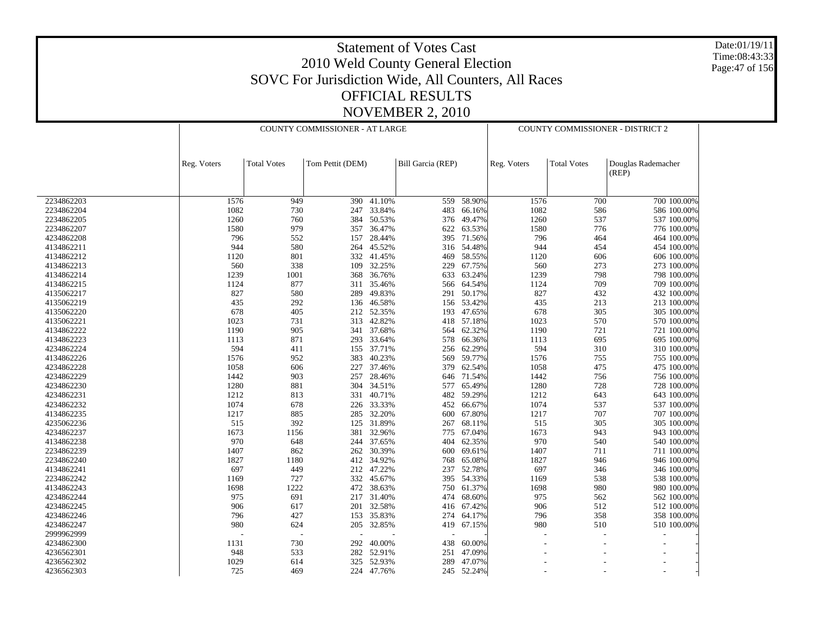Date:01/19/11 Time:08:43:33 Page:47 of 156

|            |             | COUNTY COMMISSIONER - AT LARGE |                  |            |                   |            | COUNTY COMMISSIONER - DISTRICT 2 |                    |                    |  |
|------------|-------------|--------------------------------|------------------|------------|-------------------|------------|----------------------------------|--------------------|--------------------|--|
|            |             |                                |                  |            |                   |            |                                  |                    |                    |  |
|            |             |                                |                  |            |                   |            |                                  |                    |                    |  |
|            | Reg. Voters | <b>Total Votes</b>             | Tom Pettit (DEM) |            | Bill Garcia (REP) |            | Reg. Voters                      | <b>Total Votes</b> | Douglas Rademacher |  |
|            |             |                                |                  |            |                   |            |                                  |                    | (REP)              |  |
|            |             |                                |                  |            |                   |            |                                  |                    |                    |  |
|            |             |                                |                  |            |                   |            |                                  |                    |                    |  |
| 2234862203 | 1576        | 949                            | 390              | 41.10%     | 559               | 58.90%     | 1576                             | 700                | 700 100.00%        |  |
| 2234862204 | 1082        | 730                            | 247              | 33.84%     | 483               | 66.16%     | 1082                             | 586                | 586 100.00%        |  |
| 2234862205 | 1260        | 760                            | 384              | 50.53%     | 376               | 49.47%     | 1260                             | 537                | 537 100.00%        |  |
| 2234862207 | 1580        | 979                            |                  | 357 36.47% | 622               | 63.53%     | 1580                             | 776                | 776 100.00%        |  |
| 4234862208 | 796         | 552                            | 157              | 28.44%     | 395               | 71.56%     | 796                              | 464                | 464 100.00%        |  |
| 4134862211 | 944         | 580                            |                  | 264 45.52% | 316               | 54.48%     | 944                              | 454                | 454 100.00%        |  |
| 4134862212 | 1120        | 801                            | 332              | 41.45%     | 469               | 58.55%     | 1120                             | 606                | 606 100.00%        |  |
| 4134862213 | 560         | 338                            | 109              | 32.25%     | 229               | 67.75%     | 560                              | 273                | 273 100.00%        |  |
| 4134862214 | 1239        | 1001                           | 368              | 36.76%     | 633               | 63.24%     | 1239                             | 798                | 798 100.00%        |  |
| 4134862215 | 1124        | 877                            | 311              | 35.46%     | 566               | 64.54%     | 1124                             | 709                | 709 100.00%        |  |
| 4135062217 | 827         | 580                            | 289              | 49.83%     | 291               | 50.17%     | 827                              | 432                | 432 100.00%        |  |
| 4135062219 | 435         | 292                            | 136              | 46.58%     | 156               | 53.42%     | 435                              | 213                | 213 100.00%        |  |
| 4135062220 | 678         | 405                            | 212              | 52.35%     | 193               | 47.65%     | 678                              | 305                | 305 100.00%        |  |
| 4135062221 | 1023        | 731                            | 313              | 42.82%     | 418               | 57.18%     | 1023                             | 570                | 570 100.00%        |  |
| 4134862222 | 1190        | 905                            |                  | 341 37.68% | 564               | 62.32%     | 1190                             | 721                | 721 100.00%        |  |
|            |             |                                |                  |            |                   |            |                                  |                    |                    |  |
| 4134862223 | 1113        | 871                            | 293              | 33.64%     | 578               | 66.36%     | 1113                             | 695                | 695 100.00%        |  |
| 4234862224 | 594         | 411                            |                  | 155 37.71% | 256               | 62.29%     | 594                              | 310                | 310 100.00%        |  |
| 4134862226 | 1576        | 952                            | 383              | 40.23%     | 569               | 59.77%     | 1576                             | 755                | 755 100.00%        |  |
| 4234862228 | 1058        | 606                            | 227              | 37.46%     | 379               | 62.54%     | 1058                             | 475                | 475 100.00%        |  |
| 4234862229 | 1442        | 903                            | 257              | 28.46%     | 646               | 71.54%     | 1442                             | 756                | 756 100.00%        |  |
| 4234862230 | 1280        | 881                            |                  | 304 34.51% | 577               | 65.49%     | 1280                             | 728                | 728 100.00%        |  |
| 4234862231 | 1212        | 813                            | 331              | 40.71%     | 482               | 59.29%     | 1212                             | 643                | 643 100.00%        |  |
| 4234862232 | 1074        | 678                            |                  | 226 33.33% | 452               | 66.67%     | 1074                             | 537                | 537 100.00%        |  |
| 4134862235 | 1217        | 885                            | 285              | 32.20%     | 600               | 67.80%     | 1217                             | 707                | 707 100.00%        |  |
| 4235062236 | 515         | 392                            | 125              | 31.89%     | 267               | 68.11%     | 515                              | 305                | 305 100.00%        |  |
| 4234862237 | 1673        | 1156                           | 381              | 32.96%     | 775               | 67.04%     | 1673                             | 943                | 943 100.00%        |  |
| 4134862238 | 970         | 648                            |                  | 244 37.65% | 404               | 62.35%     | 970                              | 540                | 540 100.00%        |  |
| 2234862239 | 1407        | 862                            | 262              | 30.39%     | 600               | 69.61%     | 1407                             | 711                | 711 100.00%        |  |
| 2234862240 | 1827        | 1180                           | 412              | 34.92%     | 768               | 65.08%     | 1827                             | 946                | 946 100.00%        |  |
| 4134862241 | 697         | 449                            |                  | 212 47.22% | 237               | 52.78%     | 697                              | 346                | 346 100.00%        |  |
| 2234862242 | 1169        | 727                            | 332              | 45.67%     | 395               | 54.33%     | 1169                             | 538                | 538 100.00%        |  |
| 4134862243 | 1698        | 1222                           | 472              | 38.63%     | 750               | 61.37%     | 1698                             | 980                | 980 100.00%        |  |
|            |             |                                |                  |            |                   |            |                                  |                    |                    |  |
| 4234862244 | 975         | 691                            | 217              | 31.40%     | 474               | 68.60%     | 975                              | 562                | 562 100.00%        |  |
| 4234862245 | 906         | 617                            | 201              | 32.58%     | 416               | 67.42%     | 906                              | 512                | 512 100.00%        |  |
| 4234862246 | 796         | 427                            | 153              | 35.83%     | 274               | 64.17%     | 796                              | 358                | 358 100.00%        |  |
| 4234862247 | 980         | 624                            | 205              | 32.85%     | 419               | 67.15%     | 980                              | 510                | 510 100.00%        |  |
| 2999962999 |             | J.                             |                  |            |                   |            |                                  |                    |                    |  |
| 4234862300 | 1131        | 730                            | 292              | 40.00%     | 438               | 60.00%     |                                  |                    |                    |  |
| 4236562301 | 948         | 533                            | 282              | 52.91%     | 251               | 47.09%     |                                  |                    |                    |  |
| 4236562302 | 1029        | 614                            |                  | 325 52.93% | 289               | 47.07%     |                                  |                    |                    |  |
| 4236562303 | 725         | 469                            |                  | 224 47.76% |                   | 245 52.24% |                                  |                    |                    |  |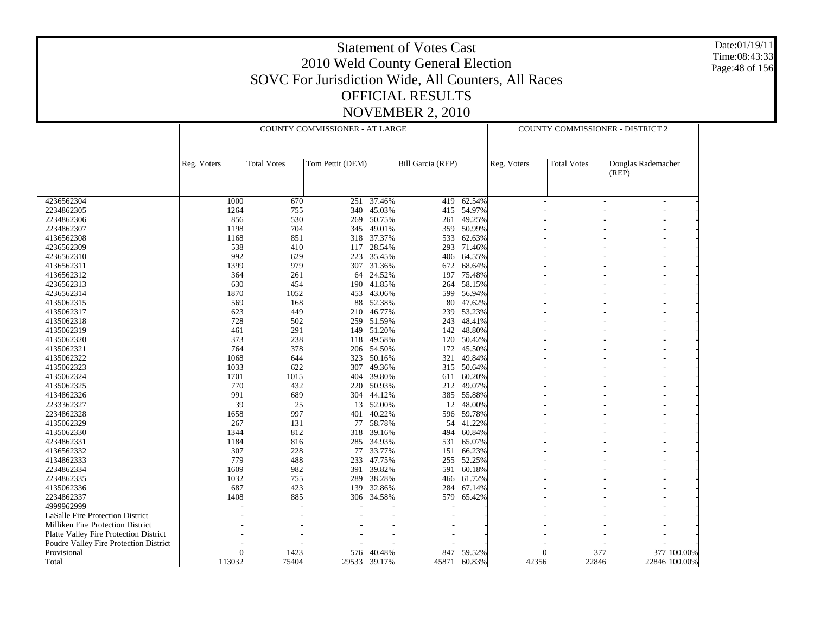Date:01/19/11 Time:08:43:33 Page:48 of 156

|                                        |             | COUNTY COMMISSIONER - AT LARGE |                  |                  |                   |                  | COUNTY COMMISSIONER - DISTRICT 2 |                    |                             |               |
|----------------------------------------|-------------|--------------------------------|------------------|------------------|-------------------|------------------|----------------------------------|--------------------|-----------------------------|---------------|
|                                        |             |                                |                  |                  |                   |                  |                                  |                    |                             |               |
|                                        | Reg. Voters | <b>Total Votes</b>             | Tom Pettit (DEM) |                  | Bill Garcia (REP) |                  | Reg. Voters                      | <b>Total Votes</b> | Douglas Rademacher<br>(REP) |               |
| 4236562304                             | 1000        | 670                            | 251              | 37.46%           | 419               | 62.54%           |                                  |                    |                             |               |
| 2234862305                             | 1264        | 755                            | 340              | 45.03%           | 415               | 54.97%           |                                  |                    |                             |               |
| 2234862306                             | 856         | 530                            | 269              | 50.75%           | 261               | 49.25%           |                                  |                    |                             |               |
| 2234862307                             | 1198        | 704                            | 345              | 49.01%           | 359               | 50.99%           |                                  |                    |                             |               |
| 4136562308                             | 1168        | 851                            |                  | 318 37.37%       | 533               | 62.63%           |                                  |                    |                             |               |
| 4236562309                             | 538         | 410                            | 117              | 28.54%           | 293               | 71.46%           |                                  |                    |                             |               |
| 4236562310                             | 992         | 629                            | 223              | 35.45%           | 406               | 64.55%           |                                  |                    |                             |               |
| 4136562311                             | 1399        | 979                            | 307              | 31.36%           | 672               | 68.64%           |                                  |                    |                             |               |
| 4136562312                             | 364         | 261                            | 64               | 24.52%           | 197               | 75.48%           |                                  |                    |                             |               |
| 4236562313                             | 630         | 454                            | 190              | 41.85%           | 264               | 58.15%           |                                  |                    |                             |               |
| 4236562314                             | 1870        | 1052                           | 453              | 43.06%           | 599               | 56.94%           |                                  |                    |                             |               |
| 4135062315                             | 569         | 168                            | 88               | 52.38%           | 80                | 47.62%           |                                  |                    |                             |               |
| 4135062317                             | 623         | 449                            | 210              | 46.77%           | 239               | 53.23%           |                                  |                    |                             |               |
| 4135062318                             | 728         | 502                            | 259              | 51.59%           | 243               | 48.41%           |                                  |                    |                             |               |
| 4135062319                             | 461         | 291                            | 149              | 51.20%           | 142               | 48.80%           |                                  |                    |                             |               |
| 4135062320                             | 373         | 238                            | 118              | 49.58%           | 120               | 50.42%           |                                  |                    |                             |               |
| 4135062321                             | 764         | 378                            | 206              | 54.50%           | 172               | 45.50%           |                                  |                    |                             |               |
| 4135062322                             | 1068        | 644                            | 323              | 50.16%           | 321               | 49.84%           |                                  |                    |                             |               |
| 4135062323                             | 1033        | 622                            | 307              | 49.36%           |                   | 315 50.64%       |                                  |                    |                             |               |
| 4135062324                             | 1701        | 1015                           | 404              | 39.80%           | 611               | 60.20%           |                                  |                    |                             |               |
| 4135062325                             | 770         | 432                            | 220              | 50.93%           |                   | 212 49.07%       |                                  |                    |                             |               |
| 4134862326                             | 991         | 689                            | 304              | 44.12%           | 385               | 55.88%           |                                  |                    |                             |               |
| 2233362327                             | 39          | 25                             |                  | 13 52.00%        |                   | 12 48.00%        |                                  |                    |                             |               |
| 2234862328                             | 1658        | 997                            | 401              | 40.22%           | 596               | 59.78%           |                                  |                    |                             |               |
| 4135062329                             | 267         | 131                            | 77               | 58.78%           | 54                | 41.22%           |                                  |                    |                             |               |
| 4135062330                             | 1344        | 812                            | 318              | 39.16%           | 494               | 60.84%           |                                  |                    |                             |               |
| 4234862331                             | 1184        | 816                            | 285              | 34.93%           | 531               | 65.07%           |                                  |                    |                             |               |
| 4136562332                             | 307         | 228                            | 77               | 33.77%           | 151               | 66.23%           |                                  |                    |                             |               |
| 4134862333                             | 779         | 488                            | 233              | 47.75%           | 255               | 52.25%           |                                  |                    |                             |               |
| 2234862334                             | 1609        | 982                            | 391              | 39.82%           | 591               | 60.18%           |                                  |                    |                             |               |
| 2234862335<br>4135062336               | 1032<br>687 | 755<br>423                     | 289<br>139       | 38.28%<br>32.86% | 466<br>284        | 61.72%<br>67.14% |                                  |                    |                             |               |
|                                        | 1408        | 885                            |                  |                  |                   |                  |                                  |                    |                             |               |
| 2234862337<br>4999962999               |             |                                | 306              | 34.58%           | 579               | 65.42%           |                                  |                    |                             |               |
| LaSalle Fire Protection District       |             |                                |                  |                  |                   |                  |                                  |                    |                             |               |
| Milliken Fire Protection District      |             |                                |                  |                  |                   |                  |                                  |                    |                             |               |
| Platte Valley Fire Protection District |             |                                |                  |                  |                   |                  |                                  |                    |                             |               |
| Poudre Valley Fire Protection District |             |                                |                  |                  |                   |                  |                                  |                    |                             |               |
| Provisional                            | $\Omega$    | 1423                           | 576              | 40.48%           | 847               | 59.52%           |                                  | $\Omega$           | 377                         | 377 100.00%   |
| Total                                  | 113032      | 75404                          |                  | 29533 39.17%     | 45871             | 60.83%           | 42356                            | 22846              |                             | 22846 100.00% |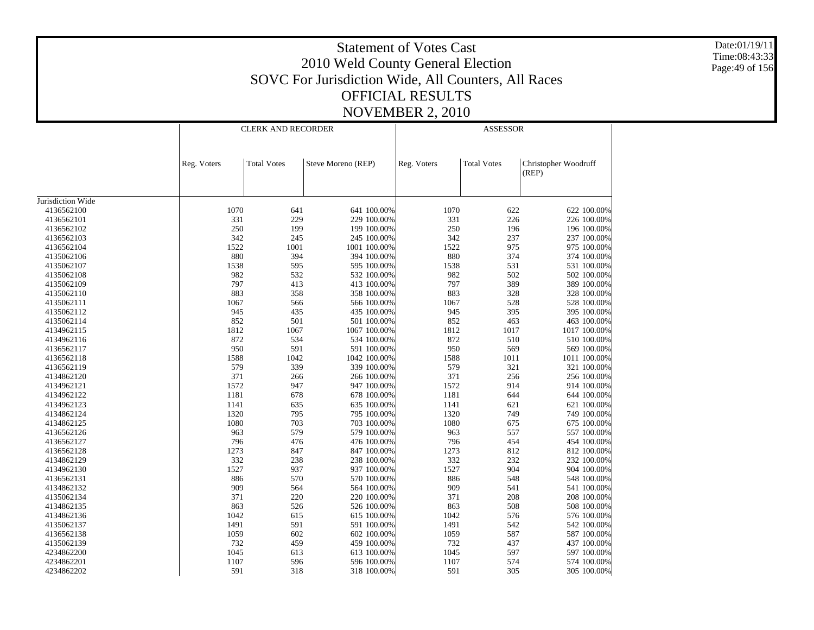Date:01/19/11 Time:08:43:33 Page:49 of 156

|                   |             | <b>CLERK AND RECORDER</b> |                    |             | <b>ASSESSOR</b>    |                      |  |  |  |
|-------------------|-------------|---------------------------|--------------------|-------------|--------------------|----------------------|--|--|--|
|                   |             |                           |                    |             |                    |                      |  |  |  |
|                   |             |                           |                    |             |                    |                      |  |  |  |
|                   | Reg. Voters | <b>Total Votes</b>        | Steve Moreno (REP) | Reg. Voters | <b>Total Votes</b> | Christopher Woodruff |  |  |  |
|                   |             |                           |                    |             |                    | (REP)                |  |  |  |
|                   |             |                           |                    |             |                    |                      |  |  |  |
|                   |             |                           |                    |             |                    |                      |  |  |  |
| Jurisdiction Wide |             |                           |                    |             |                    |                      |  |  |  |
| 4136562100        | 1070        | 641                       | 641 100.00%        | 1070        | 622                | 622 100.00%          |  |  |  |
| 4136562101        | 331         | 229                       | 229 100.00%        | 331         | 226                | 226 100.00%          |  |  |  |
| 4136562102        | 250         | 199                       | 199 100.00%        | 250         | 196                | 196 100.00%          |  |  |  |
| 4136562103        | 342         | 245                       | 245 100.00%        | 342         | 237                | 237 100.00%          |  |  |  |
| 4136562104        | 1522        | 1001                      | 1001 100.00%       | 1522        | 975                | 975 100.00%          |  |  |  |
| 4135062106        | 880         | 394                       | 394 100.00%        | 880         | 374                | 374 100.00%          |  |  |  |
| 4135062107        | 1538        | 595                       | 595 100.00%        | 1538        | 531                | 531 100.00%          |  |  |  |
| 4135062108        | 982         | 532                       | 532 100.00%        | 982         | 502                | 502 100.00%          |  |  |  |
| 4135062109        | 797         | 413                       | 413 100.00%        | 797         | 389                | 389 100.00%          |  |  |  |
| 4135062110        | 883         | 358                       | 358 100.00%        | 883         | 328                | 328 100.00%          |  |  |  |
| 4135062111        | 1067        | 566                       | 566 100.00%        | 1067        | 528                | 528 100.00%          |  |  |  |
| 4135062112        | 945         | 435                       | 435 100.00%        | 945         | 395                | 395 100.00%          |  |  |  |
| 4135062114        | 852         | 501                       | 501 100.00%        | 852         | 463                | 463 100.00%          |  |  |  |
| 4134962115        | 1812        | 1067                      | 1067 100.00%       | 1812        | 1017               | 1017 100.00%         |  |  |  |
| 4134962116        | 872         | 534                       | 534 100.00%        | 872         | 510                | 510 100,00%          |  |  |  |
| 4136562117        | 950         | 591                       | 591 100.00%        | 950         | 569                | 569 100.00%          |  |  |  |
| 4136562118        | 1588        | 1042                      | 1042 100.00%       | 1588        | 1011               | 1011 100.00%         |  |  |  |
| 4136562119        | 579         | 339                       | 339 100.00%        | 579         | 321                | 321 100.00%          |  |  |  |
|                   | 371         |                           |                    | 371         | 256                | 256 100.00%          |  |  |  |
| 4134862120        | 1572        | 266                       | 266 100.00%        | 1572        | 914                |                      |  |  |  |
| 4134962121        |             | 947                       | 947 100.00%        |             |                    | 914 100.00%          |  |  |  |
| 4134962122        | 1181        | 678                       | 678 100.00%        | 1181        | 644                | 644 100.00%          |  |  |  |
| 4134962123        | 1141        | 635                       | 635 100.00%        | 1141        | 621                | 621 100.00%          |  |  |  |
| 4134862124        | 1320        | 795                       | 795 100.00%        | 1320        | 749                | 749 100.00%          |  |  |  |
| 4134862125        | 1080        | 703                       | 703 100.00%        | 1080        | 675                | 675 100.00%          |  |  |  |
| 4136562126        | 963         | 579                       | 579 100.00%        | 963         | 557                | 557 100.00%          |  |  |  |
| 4136562127        | 796         | 476                       | 476 100.00%        | 796         | 454                | 454 100.00%          |  |  |  |
| 4136562128        | 1273        | 847                       | 847 100.00%        | 1273        | 812                | 812 100.00%          |  |  |  |
| 4134862129        | 332         | 238                       | 238 100.00%        | 332         | 232                | 232 100.00%          |  |  |  |
| 4134962130        | 1527        | 937                       | 937 100.00%        | 1527        | 904                | 904 100.00%          |  |  |  |
| 4136562131        | 886         | 570                       | 570 100.00%        | 886         | 548                | 548 100.00%          |  |  |  |
| 4134862132        | 909         | 564                       | 564 100.00%        | 909         | 541                | 541 100.00%          |  |  |  |
| 4135062134        | 371         | 220                       | 220 100.00%        | 371         | 208                | 208 100.00%          |  |  |  |
| 4134862135        | 863         | 526                       | 526 100.00%        | 863         | 508                | 508 100.00%          |  |  |  |
| 4134862136        | 1042        | 615                       | 615 100.00%        | 1042        | 576                | 576 100.00%          |  |  |  |
| 4135062137        | 1491        | 591                       | 591 100.00%        | 1491        | 542                | 542 100.00%          |  |  |  |
| 4136562138        | 1059        | 602                       | 602 100.00%        | 1059        | 587                | 587 100.00%          |  |  |  |
| 4135062139        | 732         | 459                       | 459 100.00%        | 732         | 437                | 437 100.00%          |  |  |  |
| 4234862200        | 1045        | 613                       | 613 100.00%        | 1045        | 597                | 597 100.00%          |  |  |  |
| 4234862201        | 1107        | 596                       | 596 100.00%        | 1107        | 574                | 574 100.00%          |  |  |  |
| 4234862202        | 591         | 318                       | 318 100.00%        | 591         | 305                | 305 100.00%          |  |  |  |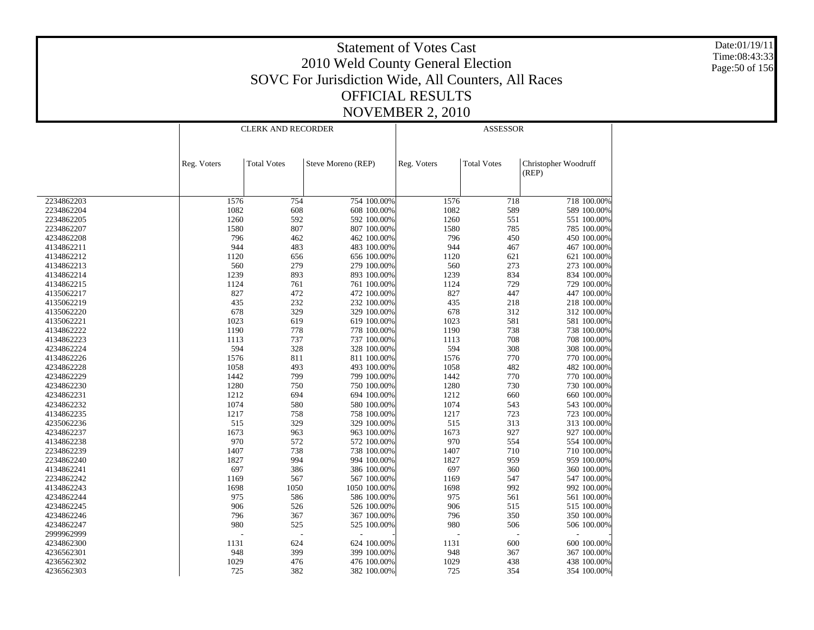Date:01/19/11 Time:08:43:33 Page:50 of 156

|                          |             | <b>CLERK AND RECORDER</b> |                            |             | <b>ASSESSOR</b>    |                      |  |  |  |
|--------------------------|-------------|---------------------------|----------------------------|-------------|--------------------|----------------------|--|--|--|
|                          |             |                           |                            |             |                    |                      |  |  |  |
|                          |             |                           |                            |             |                    |                      |  |  |  |
|                          | Reg. Voters | <b>Total Votes</b>        | Steve Moreno (REP)         | Reg. Voters | <b>Total Votes</b> | Christopher Woodruff |  |  |  |
|                          |             |                           |                            |             |                    | (REP)                |  |  |  |
|                          |             |                           |                            |             |                    |                      |  |  |  |
|                          |             |                           |                            |             |                    |                      |  |  |  |
| 2234862203               | 1576        | 754                       | 754 100.00%                | 1576        | 718                | 718 100.00%          |  |  |  |
| 2234862204               | 1082        | 608                       | 608 100.00%                | 1082        | 589                | 589 100.00%          |  |  |  |
| 2234862205               | 1260        | 592                       | 592 100.00%                | 1260        | 551                | 551 100.00%          |  |  |  |
| 2234862207               | 1580        | 807                       | 807 100.00%                | 1580        | 785                | 785 100.00%          |  |  |  |
| 4234862208               | 796         | 462                       | 462 100.00%                | 796         | 450                | 450 100.00%          |  |  |  |
| 4134862211               | 944         | 483                       | 483 100.00%                | 944         | 467                | 467 100.00%          |  |  |  |
| 4134862212               | 1120        | 656                       | 656 100.00%                | 1120        | 621                | 621 100.00%          |  |  |  |
| 4134862213               | 560         | 279                       | 279 100.00%                | 560         | 273                | 273 100.00%          |  |  |  |
| 4134862214               | 1239        | 893                       | 893 100.00%                | 1239        | 834                | 834 100.00%          |  |  |  |
| 4134862215               | 1124        | 761                       | 761 100.00%                | 1124        | 729                | 729 100.00%          |  |  |  |
| 4135062217               | 827         | 472                       | 472 100.00%                | 827         | 447                | 447 100.00%          |  |  |  |
| 4135062219               | 435         | 232                       | 232 100.00%                | 435         | 218                | 218 100.00%          |  |  |  |
| 4135062220               | 678         | 329                       | 329 100.00%                | 678         | 312                | 312 100.00%          |  |  |  |
| 4135062221               | 1023        | 619                       | 619 100.00%                | 1023        | 581                | 581 100.00%          |  |  |  |
| 4134862222               | 1190        | 778                       | 778 100.00%                | 1190        | 738                | 738 100.00%          |  |  |  |
| 4134862223               | 1113        | 737                       | 737 100.00%                | 1113        | 708                | 708 100.00%          |  |  |  |
| 4234862224               | 594         | 328                       | 328 100.00%                | 594         | 308                | 308 100.00%          |  |  |  |
| 4134862226               | 1576        | 811                       | 811 100.00%                | 1576        | 770                | 770 100.00%          |  |  |  |
| 4234862228               | 1058        | 493                       | 493 100.00%                | 1058        | 482                | 482 100.00%          |  |  |  |
| 4234862229               | 1442        | 799                       | 799 100.00%                | 1442        | 770                | 770 100.00%          |  |  |  |
| 4234862230               | 1280        | 750                       | 750 100.00%                | 1280        | 730                | 730 100.00%          |  |  |  |
| 4234862231               | 1212        | 694                       | 694 100.00%                | 1212        | 660                | 660 100.00%          |  |  |  |
| 4234862232               | 1074        | 580                       | 580 100.00%                | 1074        | 543                | 543 100.00%          |  |  |  |
| 4134862235               | 1217        | 758                       | 758 100.00%                | 1217        | 723                | 723 100.00%          |  |  |  |
| 4235062236               | 515         | 329                       | 329 100.00%                | 515         | 313                | 313 100.00%          |  |  |  |
| 4234862237               | 1673        | 963                       | 963 100.00%                | 1673        | 927                | 927 100.00%          |  |  |  |
| 4134862238               | 970         | 572                       | 572 100.00%                | 970         | 554                | 554 100.00%          |  |  |  |
| 2234862239               | 1407        | 738                       | 738 100.00%                | 1407        | 710                | 710 100.00%          |  |  |  |
| 2234862240               | 1827        | 994                       | 994 100.00%                | 1827        | 959                | 959 100.00%          |  |  |  |
| 4134862241               | 697         | 386                       | 386 100.00%                | 697         | 360                | 360 100.00%          |  |  |  |
| 2234862242               | 1169        | 567                       | 567 100.00%                | 1169        | 547                | 547 100.00%          |  |  |  |
| 4134862243               | 1698        | 1050                      | 1050 100.00%               | 1698        | 992                | 992 100.00%          |  |  |  |
| 4234862244               | 975         | 586                       | 586 100.00%                | 975         | 561                | 561 100.00%          |  |  |  |
|                          | 906         | 526                       |                            | 906         | 515                | 515 100.00%          |  |  |  |
| 4234862245<br>4234862246 | 796         | 367                       | 526 100.00%<br>367 100.00% | 796         | 350                | 350 100.00%          |  |  |  |
|                          | 980         |                           |                            |             |                    |                      |  |  |  |
| 4234862247               |             | 525                       | 525 100.00%                | 980         | 506                | 506 100.00%          |  |  |  |
| 2999962999               |             |                           |                            |             |                    |                      |  |  |  |
| 4234862300               | 1131        | 624                       | 624 100.00%                | 1131        | 600                | 600 100.00%          |  |  |  |
| 4236562301               | 948         | 399                       | 399 100.00%                | 948         | 367                | 367 100.00%          |  |  |  |
| 4236562302               | 1029        | 476                       | 476 100.00%                | 1029        | 438                | 438 100.00%          |  |  |  |
| 4236562303               | 725         | 382                       | 382 100.00%                | 725         | 354                | 354 100.00%          |  |  |  |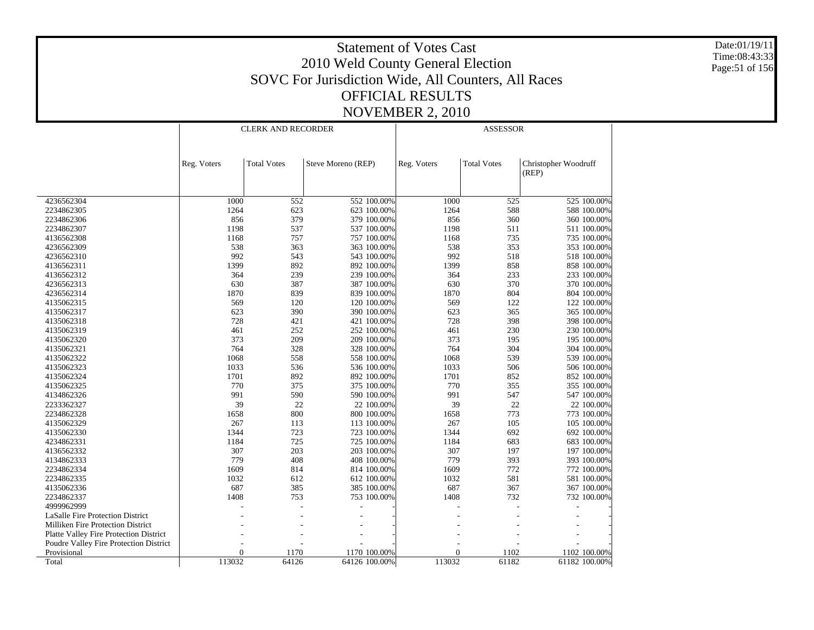Date:01/19/11 Time:08:43:33 Page:51 of 156

|                                               |             | <b>CLERK AND RECORDER</b> |                    |             | <b>ASSESSOR</b>    |                               |
|-----------------------------------------------|-------------|---------------------------|--------------------|-------------|--------------------|-------------------------------|
|                                               |             |                           |                    |             |                    |                               |
|                                               |             |                           |                    |             |                    |                               |
|                                               | Reg. Voters | <b>Total Votes</b>        | Steve Moreno (REP) | Reg. Voters | <b>Total Votes</b> | Christopher Woodruff<br>(REP) |
|                                               |             |                           |                    |             |                    |                               |
| 4236562304                                    | 1000        | 552                       | 552 100.00%        | 1000        | 525                | 525 100.00%                   |
| 2234862305                                    | 1264        | 623                       | 623 100.00%        | 1264        | 588                | 588 100.00%                   |
| 2234862306                                    | 856         | 379                       | 379 100.00%        | 856         | 360                | 360 100.00%                   |
| 2234862307                                    | 1198        | 537                       | 537 100.00%        | 1198        | 511                | 511 100.00%                   |
| 4136562308                                    | 1168        | 757                       | 757 100.00%        | 1168        | 735                | 735 100.00%                   |
| 4236562309                                    | 538         | 363                       | 363 100.00%        | 538         | 353                | 353 100.00%                   |
| 4236562310                                    | 992         | 543                       | 543 100.00%        | 992         | 518                | 518 100.00%                   |
| 4136562311                                    | 1399        | 892                       | 892 100.00%        | 1399        | 858                | 858 100.00%                   |
| 4136562312                                    | 364         | 239                       | 239 100.00%        | 364         | 233                | 233 100.00%                   |
|                                               | 630         | 387                       |                    | 630         | 370                |                               |
| 4236562313                                    |             | 839                       | 387 100.00%        | 1870        | 804                | 370 100.00%                   |
| 4236562314                                    | 1870<br>569 | 120                       | 839 100.00%        | 569         | 122                | 804 100.00%                   |
| 4135062315                                    |             |                           | 120 100.00%        |             |                    | 122 100.00%                   |
| 4135062317                                    | 623         | 390                       | 390 100.00%        | 623         | 365                | 365 100.00%                   |
| 4135062318                                    | 728         | 421                       | 421 100.00%        | 728         | 398                | 398 100.00%                   |
| 4135062319                                    | 461         | 252                       | 252 100.00%        | 461         | 230                | 230 100.00%                   |
| 4135062320                                    | 373         | 209                       | 209 100.00%        | 373         | 195                | 195 100.00%                   |
| 4135062321                                    | 764         | 328                       | 328 100.00%        | 764         | 304                | 304 100.00%                   |
| 4135062322                                    | 1068        | 558                       | 558 100.00%        | 1068        | 539                | 539 100.00%                   |
| 4135062323                                    | 1033        | 536                       | 536 100.00%        | 1033        | 506                | 506 100.00%                   |
| 4135062324                                    | 1701        | 892                       | 892 100.00%        | 1701        | 852                | 852 100.00%                   |
| 4135062325                                    | 770         | 375                       | 375 100.00%        | 770         | 355                | 355 100.00%                   |
| 4134862326                                    | 991         | 590                       | 590 100.00%        | 991         | 547                | 547 100.00%                   |
| 2233362327                                    | 39          | 22                        | 22 100.00%         | 39          | 22                 | 22 100.00%                    |
| 2234862328                                    | 1658        | 800                       | 800 100.00%        | 1658        | 773                | 773 100.00%                   |
| 4135062329                                    | 267         | 113                       | 113 100.00%        | 267         | 105                | 105 100.00%                   |
| 4135062330                                    | 1344        | 723                       | 723 100.00%        | 1344        | 692                | 692 100.00%                   |
| 4234862331                                    | 1184        | 725                       | 725 100.00%        | 1184        | 683                | 683 100.00%                   |
| 4136562332                                    | 307         | 203                       | 203 100.00%        | 307         | 197                | 197 100.00%                   |
| 4134862333                                    | 779         | 408                       | 408 100.00%        | 779         | 393                | 393 100.00%                   |
| 2234862334                                    | 1609        | 814                       | 814 100.00%        | 1609        | 772                | 772 100.00%                   |
| 2234862335                                    | 1032        | 612                       | 612 100.00%        | 1032        | 581                | 581 100.00%                   |
| 4135062336                                    | 687         | 385                       | 385 100.00%        | 687         | 367                | 367 100.00%                   |
| 2234862337                                    | 1408        | 753                       | 753 100.00%        | 1408        | 732                | 732 100.00%                   |
| 4999962999                                    |             |                           |                    |             |                    |                               |
| LaSalle Fire Protection District              |             |                           |                    |             |                    |                               |
| Milliken Fire Protection District             |             |                           |                    |             |                    |                               |
| <b>Platte Valley Fire Protection District</b> |             |                           | $\overline{a}$     |             |                    | $\overline{\phantom{a}}$      |
| Poudre Valley Fire Protection District        |             |                           |                    |             |                    |                               |
| Provisional                                   | 0           | 1170                      | 1170 100.00%       | $\Omega$    | 1102               | 1102 100.00%                  |
| Total                                         | 113032      | 64126                     | 64126 100.00%      | 113032      | 61182              | 61182 100.00%                 |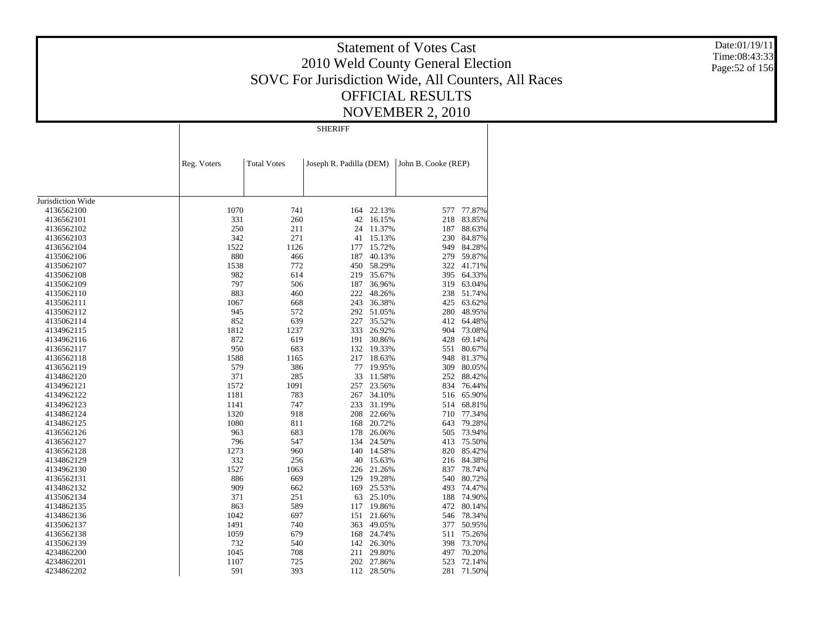Date:01/19/11 Time:08:43:33 Page:52 of 156

|                   |             |                    | <b>SHERIFF</b>          |            |                     |            |
|-------------------|-------------|--------------------|-------------------------|------------|---------------------|------------|
|                   |             |                    |                         |            |                     |            |
|                   | Reg. Voters | <b>Total Votes</b> | Joseph R. Padilla (DEM) |            | John B. Cooke (REP) |            |
|                   |             |                    |                         |            |                     |            |
|                   |             |                    |                         |            |                     |            |
| Jurisdiction Wide |             |                    |                         |            |                     |            |
| 4136562100        | 1070        | 741                | 164                     | 22.13%     | 577                 | 77.87%     |
| 4136562101        | 331         | 260                | 42                      | 16.15%     | 218                 | 83.85%     |
| 4136562102        | 250         | 211                | 24                      | 11.37%     | 187                 | 88.63%     |
| 4136562103        | 342         | 271                | 41                      | 15.13%     | 230                 | 84.87%     |
| 4136562104        | 1522        | 1126               | 177                     | 15.72%     | 949                 | 84.28%     |
| 4135062106        | 880         | 466                | 187                     | 40.13%     | 279                 | 59.87%     |
| 4135062107        | 1538        | 772                | 450                     | 58.29%     | 322                 | 41.71%     |
| 4135062108        | 982         | 614                | 219                     | 35.67%     |                     | 395 64.33% |
| 4135062109        | 797         | 506                | 187                     | 36.96%     | 319                 | 63.04%     |
| 4135062110        | 883         | 460                | 222                     | 48.26%     | 238                 | 51.74%     |
| 4135062111        | 1067        | 668                | 243                     | 36.38%     | 425                 | 63.62%     |
| 4135062112        | 945         | 572                | 292                     | 51.05%     | 280                 | 48.95%     |
| 4135062114        | 852         | 639                | 227                     | 35.52%     | 412                 | 64.48%     |
| 4134962115        | 1812        | 1237               | 333                     | 26.92%     | 904                 | 73.08%     |
| 4134962116        | 872         | 619                | 191                     | 30.86%     | 428                 | 69.14%     |
| 4136562117        | 950         | 683                | 132                     | 19.33%     | 551                 | 80.67%     |
| 4136562118        | 1588        | 1165               | 217                     | 18.63%     | 948                 | 81.37%     |
| 4136562119        | 579         | 386                | 77                      | 19.95%     | 309                 | 80.05%     |
| 4134862120        | 371         | 285                | 33                      | 11.58%     | 252                 | 88.42%     |
| 4134962121        | 1572        | 1091               | 257                     | 23.56%     | 834                 | 76.44%     |
| 4134962122        | 1181        | 783                | 267                     | 34.10%     |                     | 516 65.90% |
| 4134962123        | 1141        | 747                | 233                     | 31.19%     | 514                 | 68.81%     |
| 4134862124        | 1320        | 918                | 208                     | 22.66%     | 710                 | 77.34%     |
| 4134862125        | 1080        | 811                | 168                     | 20.72%     | 643                 | 79.28%     |
| 4136562126        | 963         | 683                | 178                     | 26.06%     | 505                 | 73.94%     |
|                   | 796         |                    | 134                     | 24.50%     | 413                 | 75.50%     |
| 4136562127        | 1273        | 547                | 140                     |            |                     | 85.42%     |
| 4136562128        |             | 960                |                         | 14.58%     | 820                 |            |
| 4134862129        | 332         | 256                | 40                      | 15.63%     | 216                 | 84.38%     |
| 4134962130        | 1527        | 1063               | 226                     | 21.26%     | 837                 | 78.74%     |
| 4136562131        | 886         | 669                | 129                     | 19.28%     | 540                 | 80.72%     |
| 4134862132        | 909         | 662                | 169                     | 25.53%     | 493                 | 74.47%     |
| 4135062134        | 371         | 251                | 63                      | 25.10%     | 188                 | 74.90%     |
| 4134862135        | 863         | 589                | 117                     | 19.86%     | 472                 | 80.14%     |
| 4134862136        | 1042        | 697                | 151                     | 21.66%     | 546                 | 78.34%     |
| 4135062137        | 1491        | 740                | 363                     | 49.05%     | 377                 | 50.95%     |
| 4136562138        | 1059        | 679                | 168                     | 24.74%     | 511                 | 75.26%     |
| 4135062139        | 732         | 540                | 142                     | 26.30%     | 398                 | 73.70%     |
| 4234862200        | 1045        | 708                | 211                     | 29.80%     | 497                 | 70.20%     |
| 4234862201        | 1107        | 725                | 202                     | 27.86%     | 523                 | 72.14%     |
| 4234862202        | 591         | 393                |                         | 112 28.50% | 281                 | 71.50%     |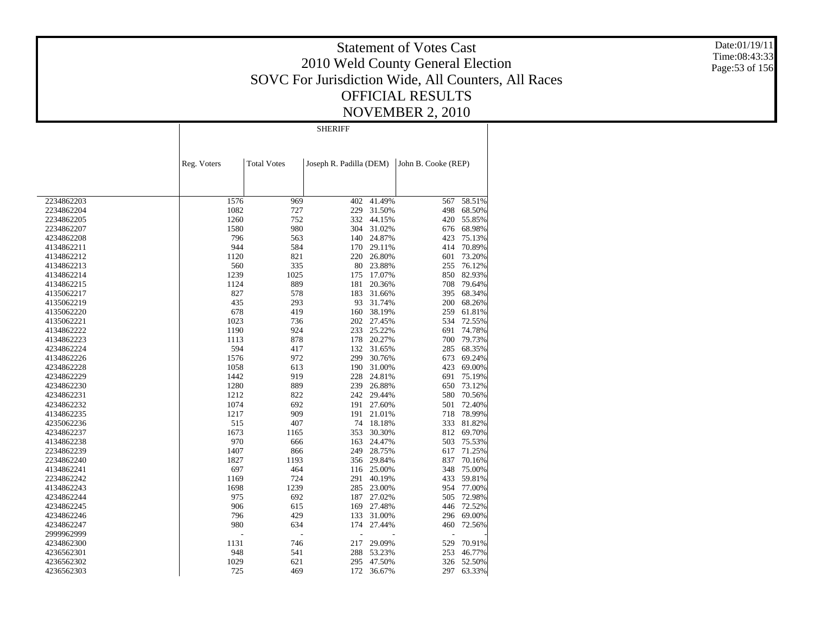Date:01/19/11 Time:08:43:33 Page:53 of 156

|            |             |                      | <b>SHERIFF</b>          |        |                     |        |
|------------|-------------|----------------------|-------------------------|--------|---------------------|--------|
|            |             |                      |                         |        |                     |        |
|            | Reg. Voters | <b>Total Votes</b>   | Joseph R. Padilla (DEM) |        | John B. Cooke (REP) |        |
|            |             |                      |                         |        |                     |        |
| 2234862203 | 1576        | 969                  | 402                     | 41.49% | 567                 | 58.51% |
| 2234862204 | 1082        | 727                  | 229                     | 31.50% | 498                 | 68.50% |
| 2234862205 | 1260        | 752                  | 332                     | 44.15% | 420                 | 55.85% |
| 2234862207 | 1580        | 980                  | 304                     | 31.02% | 676                 | 68.98% |
| 4234862208 | 796         | 563                  | 140                     | 24.87% | 423                 | 75.13% |
| 4134862211 | 944         | 584                  | 170                     | 29.11% | 414                 | 70.89% |
| 4134862212 | 1120        | 821                  | 220                     | 26.80% | 601                 | 73.20% |
| 4134862213 | 560         | 335                  | 80                      | 23.88% | 255                 | 76.12% |
| 4134862214 | 1239        | 1025                 | 175                     | 17.07% | 850                 | 82.93% |
| 4134862215 | 1124        | 889                  | 181                     | 20.36% | 708                 | 79.64% |
| 4135062217 | 827         | 578                  | 183                     | 31.66% | 395                 | 68.34% |
| 4135062219 | 435         | 293                  | 93                      | 31.74% | 200                 | 68.26% |
| 4135062220 | 678         | 419                  | 160                     | 38.19% | 259                 | 61.81% |
| 4135062221 | 1023        | 736                  | 202                     | 27.45% | 534                 | 72.55% |
| 4134862222 | 1190        | 924                  | 233                     | 25.22% | 691                 | 74.78% |
| 4134862223 | 1113        | 878                  | 178                     | 20.27% | 700                 | 79.73% |
| 4234862224 | 594         | 417                  | 132                     | 31.65% | 285                 | 68.35% |
| 4134862226 | 1576        | 972                  | 299                     | 30.76% | 673                 | 69.24% |
| 4234862228 | 1058        | 613                  | 190                     | 31.00% | 423                 | 69.00% |
| 4234862229 | 1442        | 919                  | 228                     | 24.81% | 691                 | 75.19% |
| 4234862230 | 1280        | 889                  | 239                     | 26.88% | 650                 | 73.12% |
|            | 1212        | 822                  | 242                     | 29.44% | 580                 | 70.56% |
| 4234862231 |             |                      |                         |        |                     |        |
| 4234862232 | 1074        | 692                  | 191<br>191              | 27.60% | 501                 | 72.40% |
| 4134862235 | 1217        | 909                  |                         | 21.01% | 718                 | 78.99% |
| 4235062236 | 515         | 407                  | 74                      | 18.18% | 333                 | 81.82% |
| 4234862237 | 1673        | 1165                 | 353                     | 30.30% | 812                 | 69.70% |
| 4134862238 | 970         | 666                  | 163                     | 24.47% | 503                 | 75.53% |
| 2234862239 | 1407        | 866                  | 249                     | 28.75% | 617                 | 71.25% |
| 2234862240 | 1827        | 1193                 | 356                     | 29.84% | 837                 | 70.16% |
| 4134862241 | 697         | 464                  | 116                     | 25.00% | 348                 | 75.00% |
| 2234862242 | 1169        | 724                  | 291                     | 40.19% | 433                 | 59.81% |
| 4134862243 | 1698        | 1239                 | 285                     | 23.00% | 954                 | 77.00% |
| 4234862244 | 975         | 692                  | 187                     | 27.02% | 505                 | 72.98% |
| 4234862245 | 906         | 615                  | 169                     | 27.48% | 446                 | 72.52% |
| 4234862246 | 796         | 429                  | 133                     | 31.00% | 296                 | 69.00% |
| 4234862247 | 980         | 634                  | 174                     | 27.44% | 460                 | 72.56% |
| 2999962999 |             | $\overline{a}$<br>÷, | L,                      |        |                     |        |
| 4234862300 | 1131        | 746                  | 217                     | 29.09% | 529                 | 70.91% |
| 4236562301 | 948         | 541                  | 288                     | 53.23% | 253                 | 46.77% |
| 4236562302 | 1029        | 621                  | 295                     | 47.50% | 326                 | 52.50% |
| 4236562303 | 725         | 469                  | 172                     | 36.67% | 297                 | 63.33% |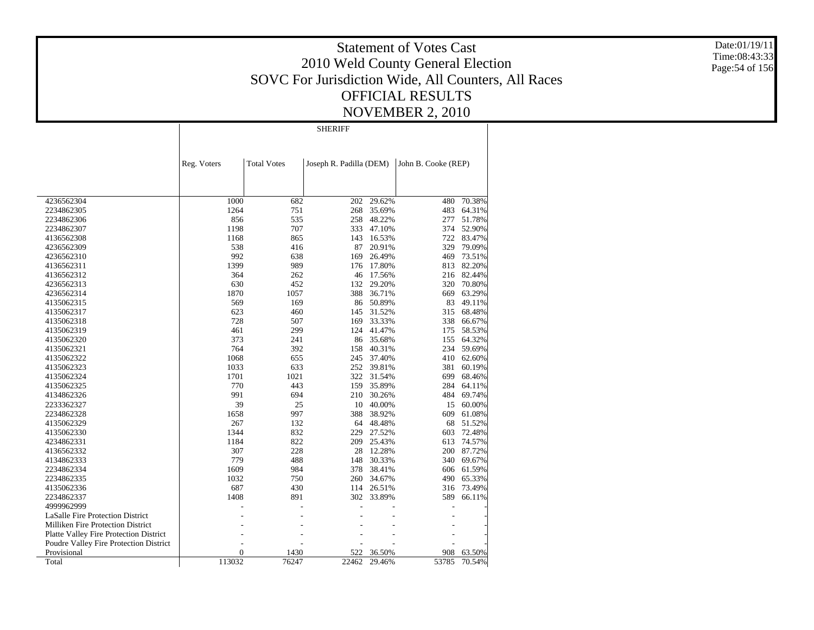Date:01/19/11 Time:08:43:33 Page:54 of 156

|                                               |                |                    | <b>SHERIFF</b>          |            |                     |        |
|-----------------------------------------------|----------------|--------------------|-------------------------|------------|---------------------|--------|
|                                               |                |                    |                         |            |                     |        |
|                                               | Reg. Voters    | <b>Total Votes</b> | Joseph R. Padilla (DEM) |            | John B. Cooke (REP) |        |
|                                               |                |                    |                         |            |                     |        |
| 4236562304                                    | 1000           | 682                | 202                     | 29.62%     | 480                 | 70.38% |
| 2234862305                                    | 1264           | 751                | 268                     | 35.69%     | 483                 | 64.31% |
| 2234862306                                    | 856            | 535                | 258                     | 48.22%     | 277                 | 51.78% |
| 2234862307                                    | 1198           | 707                | 333                     | 47.10%     | 374                 | 52.90% |
| 4136562308                                    | 1168           | 865                | 143                     | 16.53%     | 722                 | 83.47% |
| 4236562309                                    | 538            | 416                | 87                      | 20.91%     | 329                 | 79.09% |
| 4236562310                                    | 992            | 638                | 169                     | 26.49%     | 469                 | 73.51% |
| 4136562311                                    | 1399           | 989                | 176                     | 17.80%     | 813                 | 82.20% |
| 4136562312                                    | 364            | 262                | 46                      | 17.56%     | 216                 | 82.44% |
| 4236562313                                    | 630            | 452                | 132                     | 29.20%     | 320                 | 70.80% |
| 4236562314                                    | 1870           | 1057               | 388                     | 36.71%     | 669                 | 63.29% |
| 4135062315                                    | 569            | 169                | 86                      | 50.89%     | 83                  | 49.11% |
| 4135062317                                    | 623            | 460                | 145                     | 31.52%     | 315                 | 68.48% |
| 4135062318                                    | 728            | 507                | 169                     | 33.33%     | 338                 | 66.67% |
| 4135062319                                    | 461            | 299                | 124                     | 41.47%     | 175                 | 58.53% |
| 4135062320                                    | 373            | 241                | 86                      | 35.68%     | 155                 | 64.32% |
| 4135062321                                    | 764            | 392                | 158                     | 40.31%     | 234                 | 59.69% |
| 4135062322                                    | 1068           | 655                | 245                     | 37.40%     | 410                 | 62.60% |
| 4135062323                                    | 1033           | 633                | 252                     | 39.81%     | 381                 | 60.19% |
| 4135062324                                    | 1701           | 1021               | 322                     | 31.54%     | 699                 | 68.46% |
| 4135062325                                    | 770            | 443                | 159                     | 35.89%     | 284                 | 64.11% |
| 4134862326                                    | 991            | 694                | 210                     | 30.26%     | 484                 | 69.74% |
| 2233362327                                    | 39             | 25                 | 10                      | 40.00%     | 15                  | 60.00% |
| 2234862328                                    | 1658           | 997                | 388                     | 38.92%     | 609                 | 61.08% |
| 4135062329                                    | 267            | 132                | 64                      | 48.48%     | 68                  | 51.52% |
| 4135062330                                    | 1344           | 832                | 229                     | 27.52%     | 603                 | 72.48% |
| 4234862331                                    | 1184           | 822                | 209                     | 25.43%     | 613                 | 74.57% |
| 4136562332                                    | 307            | 228                | 28                      | 12.28%     | 200                 | 87.72% |
| 4134862333                                    | 779            | 488                | 148                     | 30.33%     | 340                 | 69.67% |
| 2234862334                                    | 1609           | 984                | 378                     | 38.41%     | 606                 | 61.59% |
| 2234862335                                    | 1032           | 750                | 260                     | 34.67%     | 490                 | 65.33% |
| 4135062336                                    | 687            | 430                | 114                     | 26.51%     | 316                 | 73.49% |
| 2234862337                                    | 1408           | 891                |                         | 302 33.89% | 589                 | 66.11% |
| 4999962999                                    |                |                    |                         |            |                     |        |
| LaSalle Fire Protection District              |                |                    |                         |            |                     |        |
| <b>Milliken Fire Protection District</b>      |                |                    |                         |            |                     |        |
| <b>Platte Valley Fire Protection District</b> |                |                    |                         |            |                     |        |
| Poudre Valley Fire Protection District        |                |                    |                         |            |                     |        |
| Provisional                                   | $\overline{0}$ | 1430               | 522                     | 36.50%     | 908                 | 63.50% |
| Total                                         | 113032         | 76247              | 22462                   | 29.46%     | 53785               | 70.54% |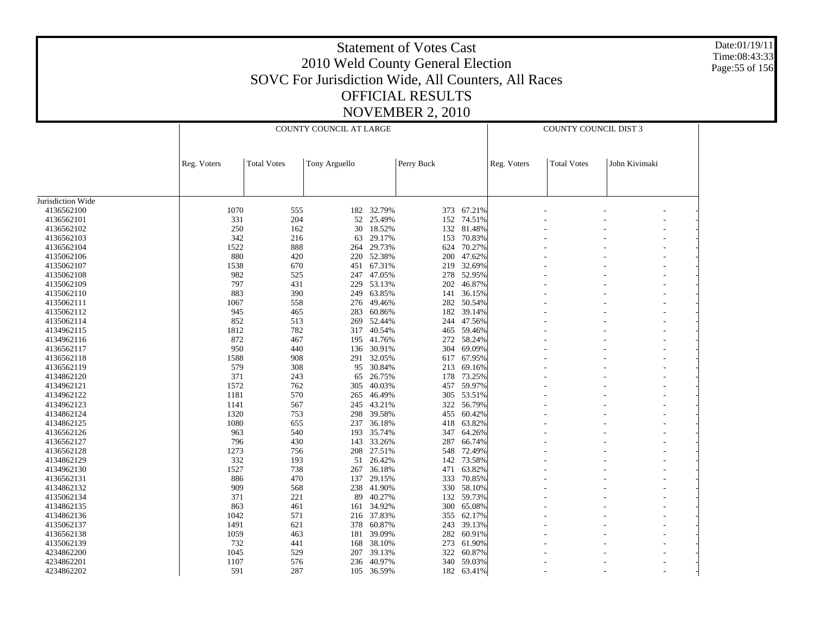Date:01/19/11 Time:08:43:33 Page:55 of 156

|                   |             |                    | COUNTY COUNCIL AT LARGE |            |            |            |             | COUNTY COUNCIL DIST 3 |               |  |
|-------------------|-------------|--------------------|-------------------------|------------|------------|------------|-------------|-----------------------|---------------|--|
|                   | Reg. Voters | <b>Total Votes</b> | Tony Arguello           |            | Perry Buck |            | Reg. Voters | <b>Total Votes</b>    | John Kivimaki |  |
|                   |             |                    |                         |            |            |            |             |                       |               |  |
|                   |             |                    |                         |            |            |            |             |                       |               |  |
| Jurisdiction Wide |             |                    |                         |            |            |            |             |                       |               |  |
| 4136562100        | 1070        | 555                |                         | 182 32.79% |            | 373 67.21% |             |                       |               |  |
| 4136562101        | 331         | 204                | 52                      | 25.49%     | 152        | 74.51%     |             |                       |               |  |
| 4136562102        | 250         | 162                | 30                      | 18.52%     | 132        | 81.48%     |             |                       |               |  |
| 4136562103        | 342         | 216                | 63                      | 29.17%     | 153        | 70.83%     |             |                       |               |  |
| 4136562104        | 1522        | 888                | 264                     | 29.73%     | 624        | 70.27%     |             |                       |               |  |
| 4135062106        | 880         | 420                |                         | 220 52.38% | 200        | 47.62%     |             |                       |               |  |
| 4135062107        | 1538        | 670                | 451                     | 67.31%     | 219        | 32.69%     |             |                       |               |  |
| 4135062108        | 982         | 525                |                         | 247 47.05% | 278        | 52.95%     |             |                       |               |  |
| 4135062109        | 797         | 431                | 229                     | 53.13%     | 202        | 46.87%     |             |                       |               |  |
| 4135062110        | 883         | 390                | 249                     | 63.85%     | 141        | 36.15%     |             |                       |               |  |
| 4135062111        | 1067        | 558                | 276                     | 49.46%     | 282        | 50.54%     |             |                       |               |  |
| 4135062112        | 945         | 465                | 283                     | 60.86%     | 182        | 39.14%     |             |                       |               |  |
| 4135062114        | 852         | 513                | 269                     | 52.44%     | 244        | 47.56%     |             |                       |               |  |
| 4134962115        | 1812        | 782                |                         | 317 40.54% | 465        | 59.46%     |             |                       |               |  |
| 4134962116        | 872         | 467                | 195                     | 41.76%     | 272        | 58.24%     |             |                       |               |  |
| 4136562117        | 950         | 440                | 136                     | 30.91%     | 304        | 69.09%     |             |                       |               |  |
| 4136562118        | 1588        | 908                | 291                     | 32.05%     | 617        | 67.95%     |             |                       |               |  |
| 4136562119        | 579         | 308                | 95                      | 30.84%     | 213        | 69.16%     |             |                       |               |  |
|                   | 371         | 243                |                         | 26.75%     | 178        | 73.25%     |             |                       |               |  |
| 4134862120        | 1572        |                    | 65                      | 40.03%     |            |            |             |                       |               |  |
| 4134962121        |             | 762                | 305                     |            | 457        | 59.97%     |             |                       |               |  |
| 4134962122        | 1181        | 570                | 265                     | 46.49%     | 305        | 53.51%     |             |                       |               |  |
| 4134962123        | 1141        | 567                | 245                     | 43.21%     | 322        | 56.79%     |             |                       |               |  |
| 4134862124        | 1320        | 753                | 298                     | 39.58%     | 455        | 60.42%     |             |                       |               |  |
| 4134862125        | 1080        | 655                | 237                     | 36.18%     | 418        | 63.82%     |             |                       |               |  |
| 4136562126        | 963         | 540                |                         | 193 35.74% | 347        | 64.26%     |             |                       |               |  |
| 4136562127        | 796         | 430                | 143                     | 33.26%     | 287        | 66.74%     |             |                       |               |  |
| 4136562128        | 1273        | 756                |                         | 208 27.51% | 548        | 72.49%     |             |                       |               |  |
| 4134862129        | 332         | 193                | 51                      | 26.42%     | 142        | 73.58%     |             |                       |               |  |
| 4134962130        | 1527        | 738                |                         | 267 36.18% | 471        | 63.82%     |             |                       |               |  |
| 4136562131        | 886         | 470                | 137                     | 29.15%     | 333        | 70.85%     |             |                       |               |  |
| 4134862132        | 909         | 568                |                         | 238 41.90% | 330        | 58.10%     |             |                       |               |  |
| 4135062134        | 371         | 221                | 89                      | 40.27%     | 132        | 59.73%     |             |                       |               |  |
| 4134862135        | 863         | 461                | 161                     | 34.92%     | 300        | 65.08%     |             |                       |               |  |
| 4134862136        | 1042        | 571                |                         | 216 37.83% | 355        | 62.17%     |             |                       |               |  |
| 4135062137        | 1491        | 621                | 378                     | 60.87%     | 243        | 39.13%     |             |                       |               |  |
| 4136562138        | 1059        | 463                | 181                     | 39.09%     | 282        | 60.91%     |             |                       |               |  |
| 4135062139        | 732         | 441                | 168                     | 38.10%     | 273        | 61.90%     |             |                       |               |  |
| 4234862200        | 1045        | 529                | 207                     | 39.13%     | 322        | 60.87%     |             |                       |               |  |
| 4234862201        | 1107        | 576                | 236                     | 40.97%     | 340        | 59.03%     |             |                       |               |  |
| 4234862202        | 591         | 287                | 105                     | 36.59%     |            | 182 63.41% |             |                       |               |  |
|                   |             |                    |                         |            |            |            |             |                       |               |  |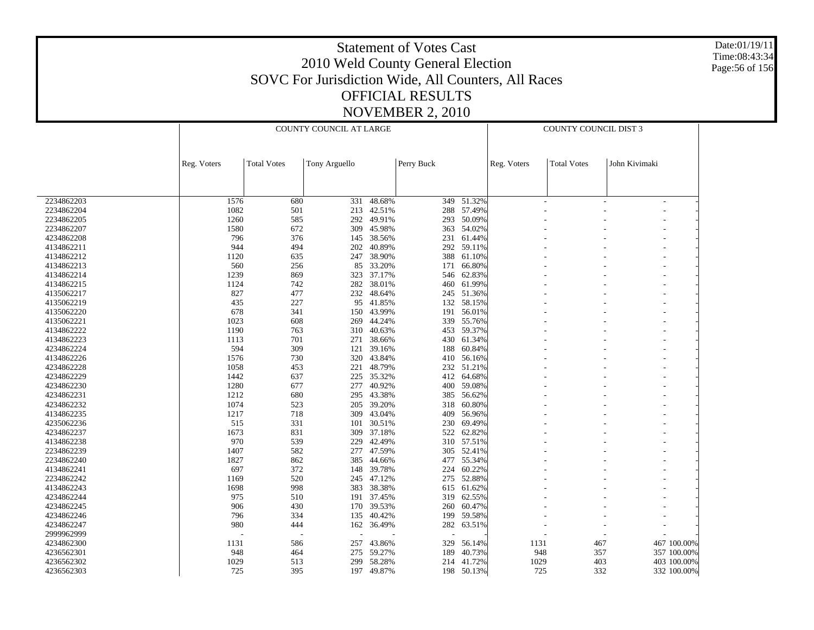Date:01/19/11 Time:08:43:34 Page:56 of 156

|            |             |                    | COUNTY COUNCIL AT LARGE |            |            |            | COUNTY COUNCIL DIST 3 |                    |               |                |  |
|------------|-------------|--------------------|-------------------------|------------|------------|------------|-----------------------|--------------------|---------------|----------------|--|
|            | Reg. Voters | <b>Total Votes</b> | Tony Arguello           |            | Perry Buck |            | Reg. Voters           | <b>Total Votes</b> | John Kivimaki |                |  |
|            |             |                    |                         |            |            |            |                       |                    |               |                |  |
| 2234862203 | 1576        | 680                | 331                     | 48.68%     |            | 349 51.32% |                       | ÷                  |               | $\overline{a}$ |  |
| 2234862204 | 1082        | 501                | 213                     | 42.51%     |            | 288 57.49% |                       |                    |               |                |  |
| 2234862205 | 1260        | 585                | 292                     | 49.91%     |            | 293 50.09% |                       |                    |               |                |  |
| 2234862207 | 1580        | 672                | 309                     | 45.98%     |            | 363 54.02% |                       |                    |               |                |  |
| 4234862208 | 796         | 376                | 145                     | 38.56%     | 231        | 61.44%     |                       |                    |               |                |  |
| 4134862211 | 944         | 494                | 202                     | 40.89%     |            | 292 59.11% |                       |                    |               |                |  |
| 4134862212 | 1120        | 635                | 247                     | 38.90%     | 388        | 61.10%     |                       |                    |               |                |  |
| 4134862213 | 560         | 256                | 85                      | 33.20%     | 171        | 66.80%     |                       |                    |               |                |  |
| 4134862214 | 1239        | 869                | 323                     | 37.17%     | 546        | 62.83%     |                       |                    |               |                |  |
| 4134862215 | 1124        | 742                | 282                     | 38.01%     | 460        | 61.99%     |                       |                    |               |                |  |
| 4135062217 | 827         | 477                | 232                     | 48.64%     |            | 245 51.36% |                       |                    |               |                |  |
| 4135062219 | 435         | 227                | 95                      | 41.85%     |            | 132 58.15% |                       |                    |               |                |  |
| 4135062220 | 678         | 341                | 150                     | 43.99%     | 191        | 56.01%     |                       |                    |               |                |  |
| 4135062221 | 1023        | 608                | 269                     | 44.24%     | 339        | 55.76%     |                       |                    |               |                |  |
| 4134862222 | 1190        | 763                | 310                     | 40.63%     |            | 453 59.37% |                       |                    |               |                |  |
| 4134862223 | 1113        | 701                | 271                     | 38.66%     | 430        | 61.34%     |                       |                    |               |                |  |
| 4234862224 | 594         | 309                | 121                     | 39.16%     | 188        | 60.84%     |                       |                    |               |                |  |
| 4134862226 | 1576        | 730                | 320                     | 43.84%     | 410        | 56.16%     |                       |                    |               |                |  |
| 4234862228 | 1058        | 453                | 221                     | 48.79%     |            | 232 51.21% |                       |                    |               |                |  |
| 4234862229 | 1442        | 637                | 225                     | 35.32%     | 412        | 64.68%     |                       |                    |               |                |  |
|            |             |                    |                         |            |            |            |                       |                    |               |                |  |
| 4234862230 | 1280        | 677                | 277                     | 40.92%     |            | 400 59.08% |                       |                    |               |                |  |
| 4234862231 | 1212        | 680                | 295                     | 43.38%     | 385        | 56.62%     |                       |                    |               |                |  |
| 4234862232 | 1074        | 523                | 205                     | 39.20%     |            | 318 60.80% |                       |                    |               |                |  |
| 4134862235 | 1217        | 718                | 309                     | 43.04%     | 409        | 56.96%     |                       |                    |               |                |  |
| 4235062236 | 515         | 331                | 101                     | 30.51%     | 230        | 69.49%     |                       |                    |               |                |  |
| 4234862237 | 1673        | 831                | 309                     | 37.18%     | 522        | 62.82%     |                       |                    |               |                |  |
| 4134862238 | 970         | 539                | 229                     | 42.49%     |            | 310 57.51% |                       |                    |               |                |  |
| 2234862239 | 1407        | 582                | 277                     | 47.59%     |            | 305 52.41% |                       |                    |               |                |  |
| 2234862240 | 1827        | 862                | 385                     | 44.66%     |            | 477 55.34% |                       |                    |               |                |  |
| 4134862241 | 697         | 372                | 148                     | 39.78%     | 224        | 60.22%     |                       |                    |               |                |  |
| 2234862242 | 1169        | 520                | 245                     | 47.12%     | 275        | 52.88%     |                       |                    |               |                |  |
| 4134862243 | 1698        | 998                | 383                     | 38.38%     |            | 615 61.62% |                       |                    |               |                |  |
| 4234862244 | 975         | 510                | 191                     | 37.45%     | 319        | 62.55%     |                       |                    |               |                |  |
| 4234862245 | 906         | 430                |                         | 170 39.53% | 260        | 60.47%     |                       |                    |               |                |  |
| 4234862246 | 796         | 334                | 135                     | 40.42%     | 199        | 59.58%     |                       |                    |               |                |  |
| 4234862247 | 980         | 444                |                         | 162 36.49% |            | 282 63.51% |                       |                    |               |                |  |
| 2999962999 |             |                    |                         |            |            |            |                       |                    |               |                |  |
| 4234862300 | 1131        | 586                | 257                     | 43.86%     | 329        | 56.14%     | 1131                  |                    | 467           | 467 100.00%    |  |
| 4236562301 | 948         | 464                | 275                     | 59.27%     | 189        | 40.73%     | 948                   |                    | 357           | 357 100.00%    |  |
| 4236562302 | 1029        | 513                | 299                     | 58.28%     | 214        | 41.72%     | 1029                  |                    | 403           | 403 100.00%    |  |
| 4236562303 | 725         | 395                | 197                     | 49.87%     |            | 198 50.13% | 725                   |                    | 332           | 332 100.00%    |  |
|            |             |                    |                         |            |            |            |                       |                    |               |                |  |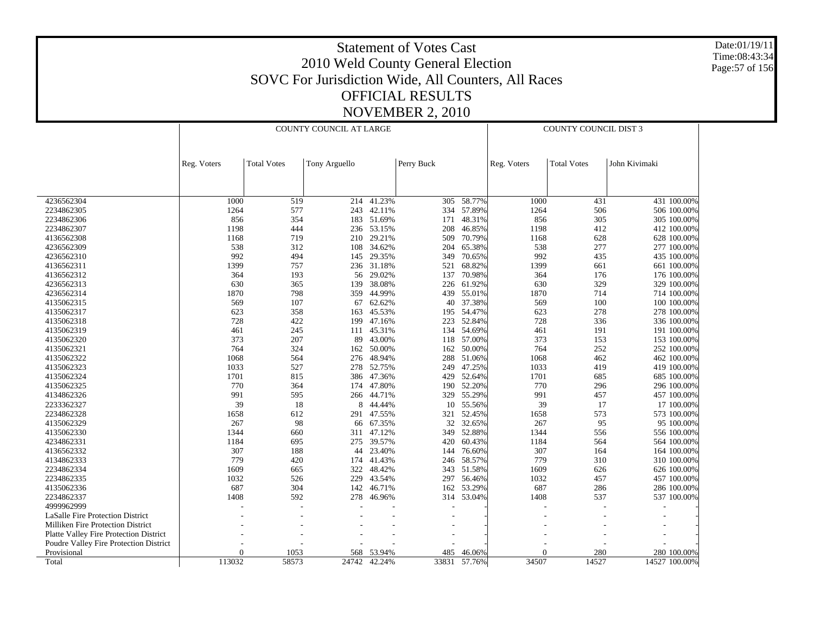Date:01/19/11 Time:08:43:34 Page:57 of 156

|                                          |             |                    | COUNTY COUNCIL AT LARGE |        |            |        | COUNTY COUNCIL DIST 3 |                    |               |  |
|------------------------------------------|-------------|--------------------|-------------------------|--------|------------|--------|-----------------------|--------------------|---------------|--|
|                                          |             |                    |                         |        |            |        |                       |                    |               |  |
|                                          | Reg. Voters | <b>Total Votes</b> | Tony Arguello           |        | Perry Buck |        | Reg. Voters           | <b>Total Votes</b> | John Kivimaki |  |
|                                          |             |                    |                         |        |            |        |                       |                    |               |  |
| 4236562304                               | 1000        | 519                | 214                     | 41.23% | 305        | 58.77% | 1000                  | 431                | 431 100.00%   |  |
| 2234862305                               | 1264        | 577                | 243                     | 42.11% | 334        | 57.89% | 1264                  | 506                | 506 100.00%   |  |
| 2234862306                               | 856         | 354                | 183                     | 51.69% | 171        | 48.31% | 856                   | 305                | 305 100.00%   |  |
| 2234862307                               | 1198        | 444                | 236                     | 53.15% | 208        | 46.85% | 1198                  | 412                | 412 100.00%   |  |
| 4136562308                               | 1168        | 719                | 210                     | 29.21% | 509        | 70.79% | 1168                  | 628                | 628 100.00%   |  |
| 4236562309                               | 538         | 312                | 108                     | 34.62% | 204        | 65.38% | 538                   | 277                | 277 100.00%   |  |
| 4236562310                               | 992         | 494                | 145                     | 29.35% | 349        | 70.65% | 992                   | 435                | 435 100.00%   |  |
| 4136562311                               | 1399        | 757                | 236                     | 31.18% | 521        | 68.82% | 1399                  | 661                | 661 100.00%   |  |
| 4136562312                               | 364         | 193                | 56                      | 29.02% | 137        | 70.98% | 364                   | 176                | 176 100.00%   |  |
| 4236562313                               | 630         | 365                | 139                     | 38.08% | 226        | 61.92% | 630                   | 329                | 329 100.00%   |  |
| 4236562314                               | 1870        | 798                | 359                     | 44.99% | 439        | 55.01% | 1870                  | 714                | 714 100.00%   |  |
| 4135062315                               | 569         | 107                | 67                      | 62.62% | 40         | 37.38% | 569                   | 100                | 100 100.00%   |  |
| 4135062317                               | 623         | 358                | 163                     | 45.53% | 195        | 54.47% | 623                   | 278                | 278 100.00%   |  |
| 4135062318                               | 728         | 422                | 199                     | 47.16% | 223        | 52.84% | 728                   | 336                | 336 100.00%   |  |
| 4135062319                               | 461         | 245                | 111                     | 45.31% | 134        | 54.69% | 461                   | 191                | 191 100.00%   |  |
| 4135062320                               | 373         | 207                | 89                      | 43.00% | 118        | 57.00% | 373                   | 153                | 153 100.00%   |  |
| 4135062321                               | 764         | 324                | 162                     | 50.00% | 162        | 50.00% | 764                   | 252                | 252 100.00%   |  |
| 4135062322                               | 1068        | 564                | 276                     | 48.94% | 288        | 51.06% | 1068                  | 462                | 462 100.00%   |  |
| 4135062323                               | 1033        | 527                | 278                     | 52.75% | 249        | 47.25% | 1033                  | 419                | 419 100.00%   |  |
| 4135062324                               | 1701        | 815                | 386                     | 47.36% | 429        | 52.64% | 1701                  | 685                | 685 100.00%   |  |
| 4135062325                               | 770         | 364                | 174                     | 47.80% | 190        | 52.20% | 770                   | 296                | 296 100.00%   |  |
| 4134862326                               | 991         | 595                | 266                     | 44.71% | 329        | 55.29% | 991                   | 457                | 457 100.00%   |  |
| 2233362327                               | 39          | 18                 | 8                       | 44.44% | 10         | 55.56% | 39                    | 17                 | 17 100.00%    |  |
| 2234862328                               | 1658        | 612                | 291                     | 47.55% | 321        | 52.45% | 1658                  | 573                | 573 100.00%   |  |
| 4135062329                               | 267         | 98                 | 66                      | 67.35% | 32         | 32.65% | 267                   | 95                 | 95 100.00%    |  |
| 4135062330                               | 1344        | 660                | 311                     | 47.12% | 349        | 52.88% | 1344                  | 556                | 556 100.00%   |  |
| 4234862331                               | 1184        | 695                | 275                     | 39.57% | 420        | 60.43% | 1184                  | 564                | 564 100.00%   |  |
| 4136562332                               | 307         | 188                | 44                      | 23.40% | 144        | 76.60% | 307                   | 164                | 164 100.00%   |  |
| 4134862333                               | 779         | 420                | 174                     | 41.43% | 246        | 58.57% | 779                   | 310                | 310 100.00%   |  |
| 2234862334                               | 1609        | 665                | 322                     | 48.42% | 343        | 51.58% | 1609                  | 626                | 626 100.00%   |  |
| 2234862335                               | 1032        | 526                | 229                     | 43.54% | 297        | 56.46% | 1032                  | 457                | 457 100.00%   |  |
| 4135062336                               | 687         | 304                | 142                     | 46.71% | 162        | 53.29% | 687                   | 286                | 286 100.00%   |  |
| 2234862337                               | 1408        | 592                | 278                     | 46.96% | 314        | 53.04% | 1408                  | 537                | 537 100.00%   |  |
| 4999962999                               |             |                    |                         |        |            |        |                       |                    |               |  |
| LaSalle Fire Protection District         |             |                    |                         |        |            |        |                       |                    |               |  |
| <b>Milliken Fire Protection District</b> |             |                    |                         |        |            |        |                       |                    |               |  |
| Platte Valley Fire Protection District   |             |                    |                         |        |            |        |                       |                    |               |  |
| Poudre Valley Fire Protection District   |             |                    |                         |        |            |        |                       |                    |               |  |
| Provisional                              | $\Omega$    | 1053               | 568                     | 53.94% | 485        | 46.06% | $\Omega$              | 280                | 280 100.00%   |  |
| Total                                    | 113032      | 58573              | 24742                   | 42.24% | 33831      | 57.76% | 34507                 | 14527              | 14527 100.00% |  |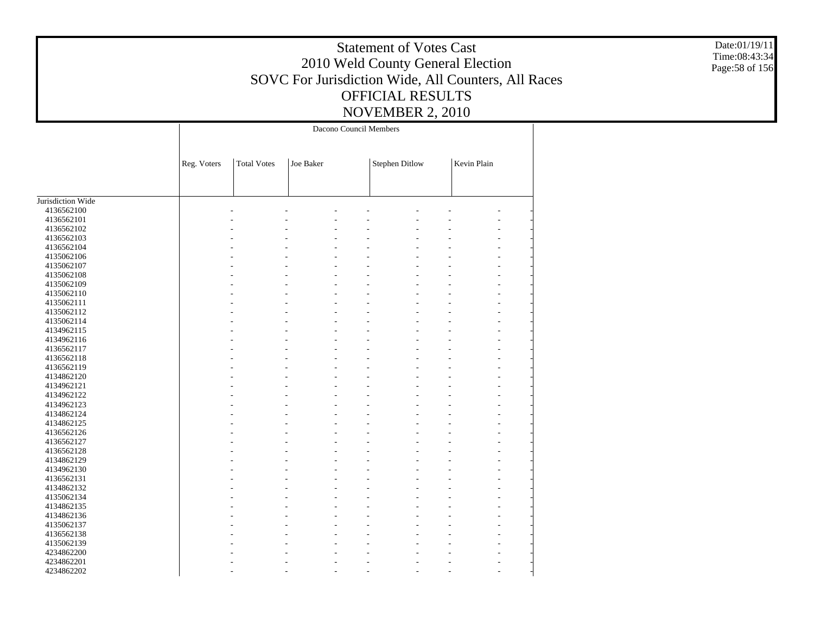Date:01/19/11 Time:08:43:34 Page:58 of 156

|                   |             |                    |           | Dacono Council Members |                       |             |  |
|-------------------|-------------|--------------------|-----------|------------------------|-----------------------|-------------|--|
|                   |             |                    |           |                        |                       |             |  |
|                   | Reg. Voters | <b>Total Votes</b> | Joe Baker |                        | <b>Stephen Ditlow</b> | Kevin Plain |  |
|                   |             |                    |           |                        |                       |             |  |
|                   |             |                    |           |                        |                       |             |  |
| Jurisdiction Wide |             |                    |           |                        |                       |             |  |
| 4136562100        |             |                    |           |                        |                       |             |  |
| 4136562101        |             |                    |           |                        |                       |             |  |
| 4136562102        |             |                    |           |                        |                       |             |  |
| 4136562103        |             |                    |           |                        |                       |             |  |
| 4136562104        |             |                    |           |                        |                       |             |  |
| 4135062106        |             |                    |           |                        |                       |             |  |
| 4135062107        |             |                    |           |                        |                       |             |  |
|                   |             |                    |           |                        |                       |             |  |
| 4135062108        |             |                    |           |                        |                       |             |  |
| 4135062109        |             |                    |           |                        |                       |             |  |
| 4135062110        |             |                    |           |                        |                       |             |  |
| 4135062111        |             |                    |           |                        |                       |             |  |
| 4135062112        |             |                    |           |                        |                       |             |  |
| 4135062114        |             |                    |           |                        |                       |             |  |
| 4134962115        |             |                    |           |                        |                       |             |  |
| 4134962116        |             |                    |           |                        |                       |             |  |
| 4136562117        |             |                    |           |                        |                       |             |  |
| 4136562118        |             |                    |           |                        |                       |             |  |
| 4136562119        |             |                    |           |                        |                       |             |  |
| 4134862120        |             |                    |           |                        |                       |             |  |
| 4134962121        |             |                    |           |                        |                       |             |  |
| 4134962122        |             |                    |           |                        |                       |             |  |
| 4134962123        |             |                    |           |                        |                       |             |  |
| 4134862124        |             |                    |           |                        |                       |             |  |
| 4134862125        |             |                    |           |                        |                       |             |  |
| 4136562126        |             |                    |           |                        |                       |             |  |
| 4136562127        |             |                    |           |                        |                       |             |  |
| 4136562128        |             |                    |           |                        |                       |             |  |
| 4134862129        |             |                    |           |                        |                       |             |  |
| 4134962130        |             |                    |           |                        |                       |             |  |
| 4136562131        |             |                    |           |                        |                       |             |  |
| 4134862132        |             |                    |           |                        |                       |             |  |
| 4135062134        |             |                    |           |                        |                       |             |  |
| 4134862135        |             |                    |           |                        |                       |             |  |
| 4134862136        |             |                    |           |                        |                       |             |  |
| 4135062137        |             |                    |           |                        |                       |             |  |
| 4136562138        |             |                    |           |                        |                       |             |  |
| 4135062139        |             |                    |           |                        |                       |             |  |
| 4234862200        |             |                    |           |                        |                       |             |  |
| 4234862201        |             |                    |           |                        |                       |             |  |
|                   |             |                    |           |                        |                       |             |  |
| 4234862202        |             |                    |           |                        |                       |             |  |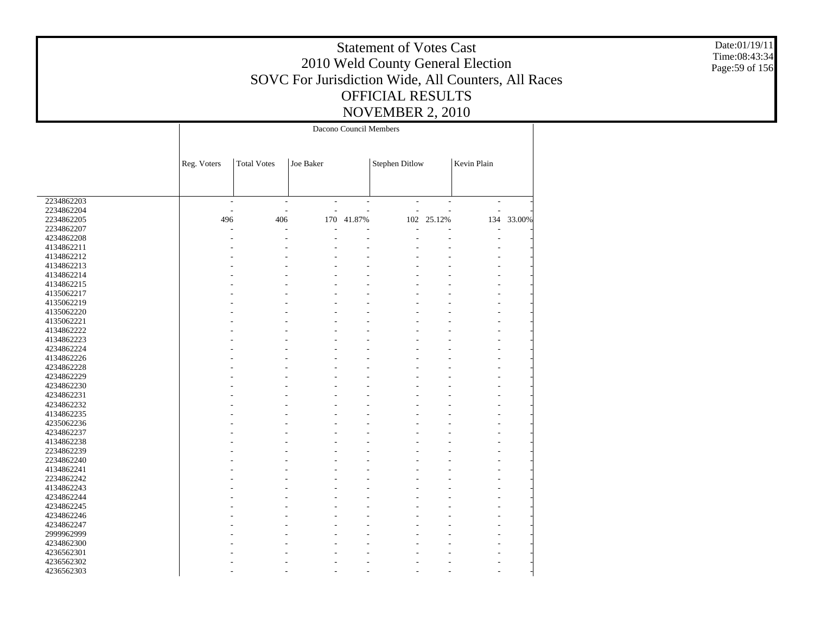Date:01/19/11 Time:08:43:34 Page:59 of 156

|            |                          |                          |                          | Dacono Council Members   |                       |        |                          |        |
|------------|--------------------------|--------------------------|--------------------------|--------------------------|-----------------------|--------|--------------------------|--------|
|            | Reg. Voters              | <b>Total Votes</b>       | Joe Baker                |                          | <b>Stephen Ditlow</b> |        | Kevin Plain              |        |
|            |                          |                          |                          |                          |                       |        |                          |        |
| 2234862203 | $\overline{\phantom{a}}$ | $\overline{\phantom{a}}$ | $\overline{\phantom{a}}$ | $\overline{\phantom{a}}$ | $\overline{a}$        | ÷,     | $\overline{\phantom{a}}$ |        |
| 2234862204 |                          |                          | J.                       |                          |                       |        | L,                       |        |
| 2234862205 | 496                      | 406                      | 170                      | 41.87%                   | 102                   | 25.12% | 134                      | 33.00% |
| 2234862207 |                          |                          |                          |                          |                       |        |                          |        |
| 4234862208 |                          |                          |                          |                          |                       |        | L,                       |        |
| 4134862211 |                          |                          |                          |                          |                       |        |                          |        |
| 4134862212 |                          |                          |                          |                          |                       |        |                          |        |
| 4134862213 |                          |                          |                          |                          |                       |        |                          |        |
| 4134862214 |                          |                          |                          |                          |                       |        |                          |        |
| 4134862215 |                          |                          |                          |                          |                       |        |                          |        |
| 4135062217 |                          |                          |                          |                          |                       |        |                          |        |
|            |                          |                          |                          |                          |                       |        |                          |        |
| 4135062219 |                          |                          |                          |                          |                       |        |                          |        |
| 4135062220 |                          |                          |                          |                          |                       |        |                          |        |
| 4135062221 |                          |                          |                          |                          |                       |        |                          |        |
| 4134862222 |                          |                          |                          |                          |                       |        |                          |        |
| 4134862223 |                          |                          |                          |                          |                       |        |                          |        |
| 4234862224 |                          |                          |                          |                          |                       |        |                          |        |
| 4134862226 |                          |                          |                          |                          |                       |        |                          |        |
| 4234862228 |                          |                          |                          |                          |                       |        |                          |        |
| 4234862229 |                          |                          |                          |                          |                       |        |                          |        |
| 4234862230 |                          |                          |                          |                          |                       |        |                          |        |
| 4234862231 |                          |                          |                          |                          |                       |        |                          |        |
| 4234862232 |                          |                          |                          |                          |                       |        |                          |        |
| 4134862235 |                          |                          |                          |                          |                       |        |                          |        |
| 4235062236 |                          |                          |                          |                          |                       |        |                          |        |
| 4234862237 |                          |                          |                          |                          |                       |        |                          |        |
| 4134862238 |                          |                          |                          |                          |                       |        |                          |        |
| 2234862239 |                          |                          |                          |                          |                       |        |                          |        |
| 2234862240 |                          |                          |                          |                          |                       |        |                          |        |
|            |                          |                          |                          |                          |                       |        |                          |        |
| 4134862241 |                          |                          |                          |                          |                       |        |                          |        |
| 2234862242 |                          |                          |                          |                          |                       |        |                          |        |
| 4134862243 |                          |                          |                          |                          |                       |        |                          |        |
| 4234862244 |                          |                          |                          |                          |                       |        |                          |        |
| 4234862245 |                          |                          |                          |                          |                       |        |                          |        |
| 4234862246 |                          |                          |                          |                          |                       |        |                          |        |
| 4234862247 |                          |                          |                          | L.                       |                       |        |                          |        |
| 2999962999 |                          |                          |                          |                          |                       |        |                          |        |
| 4234862300 |                          |                          |                          |                          |                       |        |                          |        |
| 4236562301 |                          |                          |                          |                          |                       |        |                          |        |
| 4236562302 |                          |                          |                          |                          |                       |        |                          |        |
| 4236562303 |                          |                          | L.                       | L.                       |                       |        |                          |        |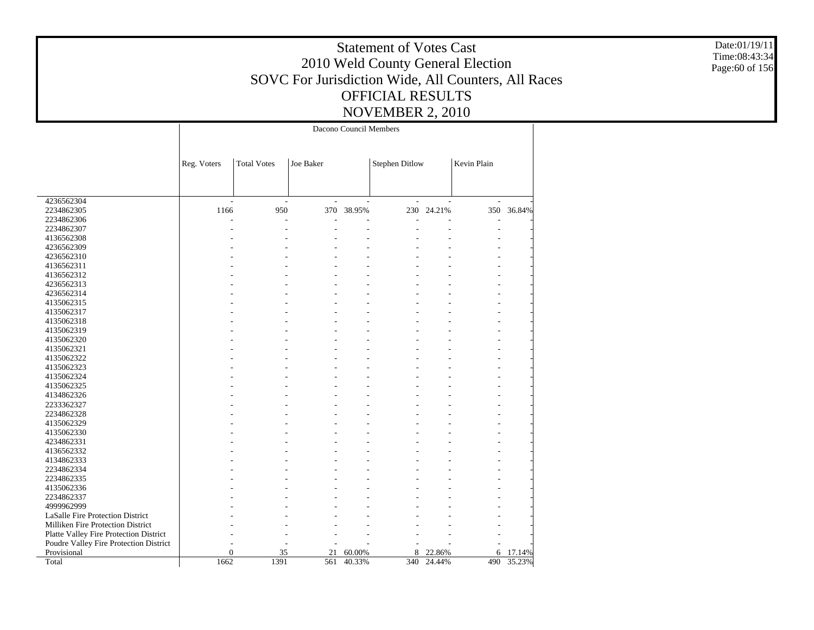Date:01/19/11 Time:08:43:34 Page:60 of 156

|                                        |              |                    |           | Dacono Council Members |                       |        |             |        |
|----------------------------------------|--------------|--------------------|-----------|------------------------|-----------------------|--------|-------------|--------|
|                                        | Reg. Voters  | <b>Total Votes</b> | Joe Baker |                        | <b>Stephen Ditlow</b> |        | Kevin Plain |        |
|                                        |              |                    |           |                        |                       |        |             |        |
| 4236562304                             |              |                    |           |                        |                       |        |             |        |
| 2234862305                             | 1166         | 950                |           | 370 38.95%             | 230                   | 24.21% | 350         | 36.84% |
| 2234862306                             |              |                    |           |                        |                       |        |             |        |
| 2234862307                             |              |                    |           |                        |                       |        |             |        |
| 4136562308                             |              |                    |           |                        |                       |        |             |        |
| 4236562309                             |              |                    |           |                        |                       |        |             |        |
| 4236562310                             |              |                    |           |                        |                       |        |             |        |
| 4136562311                             |              |                    |           |                        |                       |        |             |        |
| 4136562312                             |              |                    |           |                        |                       |        |             |        |
| 4236562313                             |              |                    |           |                        |                       |        |             |        |
| 4236562314                             |              |                    |           |                        |                       |        |             |        |
| 4135062315                             |              |                    |           |                        |                       |        |             |        |
| 4135062317                             |              |                    |           |                        |                       |        |             |        |
| 4135062318                             |              |                    |           |                        |                       |        |             |        |
| 4135062319                             |              |                    |           |                        |                       |        |             |        |
| 4135062320                             |              |                    |           |                        |                       |        |             |        |
| 4135062321                             |              |                    |           |                        |                       |        |             |        |
| 4135062322                             |              |                    |           |                        |                       |        |             |        |
| 4135062323                             |              |                    |           |                        |                       |        |             |        |
| 4135062324                             |              |                    |           |                        |                       |        |             |        |
| 4135062325                             |              |                    |           |                        |                       |        |             |        |
| 4134862326                             |              |                    |           |                        |                       |        |             |        |
| 2233362327                             |              |                    |           |                        |                       |        |             |        |
| 2234862328                             |              |                    |           |                        |                       |        |             |        |
| 4135062329                             |              |                    |           |                        |                       |        |             |        |
| 4135062330                             |              |                    |           |                        |                       |        |             |        |
| 4234862331                             |              |                    |           |                        |                       |        |             |        |
| 4136562332                             |              |                    |           |                        |                       |        |             |        |
| 4134862333                             |              |                    |           |                        |                       |        |             |        |
| 2234862334                             |              |                    |           |                        |                       |        |             |        |
|                                        |              |                    |           |                        |                       |        |             |        |
| 2234862335                             |              |                    |           |                        |                       |        |             |        |
| 4135062336                             |              |                    |           |                        |                       |        |             |        |
| 2234862337                             |              |                    |           |                        |                       |        |             |        |
| 4999962999                             |              |                    |           |                        |                       |        |             |        |
| LaSalle Fire Protection District       |              |                    |           |                        |                       |        |             |        |
| Milliken Fire Protection District      |              |                    |           |                        |                       |        |             |        |
| Platte Valley Fire Protection District |              |                    |           |                        |                       |        |             |        |
| Poudre Valley Fire Protection District |              |                    |           |                        |                       |        |             |        |
| Provisional                            | $\mathbf{0}$ | 35                 | 21        | 60.00%                 | 8                     | 22.86% | 6           | 17.14% |
| Total                                  | 1662         | 1391               | 561       | 40.33%                 | 340                   | 24.44% | 490         | 35.23% |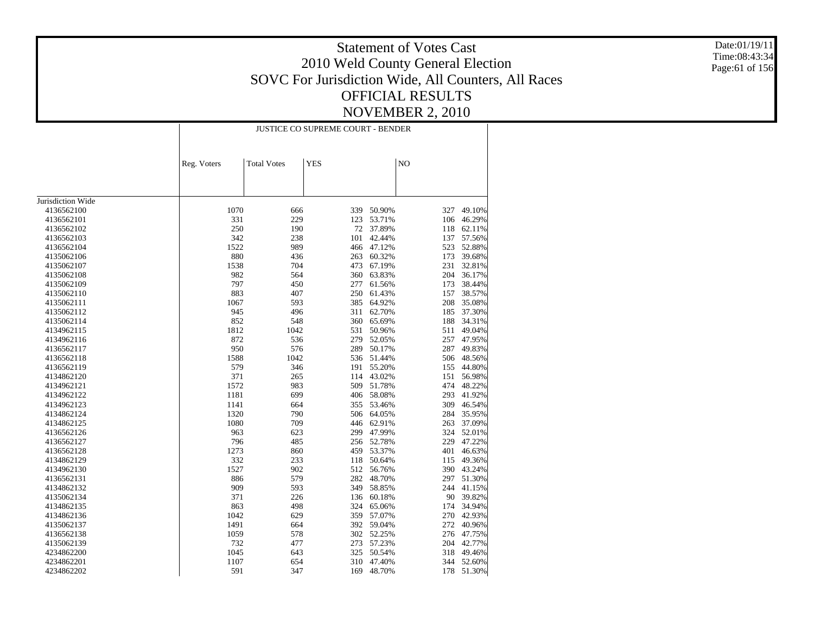Date:01/19/11 Time:08:43:34 Page:61 of 156

|                          |             | <b>JUSTICE CO SUPREME COURT - BENDER</b> |            |                  |     |            |  |  |
|--------------------------|-------------|------------------------------------------|------------|------------------|-----|------------|--|--|
|                          | Reg. Voters | <b>Total Votes</b>                       | <b>YES</b> | N <sub>O</sub>   |     |            |  |  |
|                          |             |                                          |            |                  |     |            |  |  |
|                          |             |                                          |            |                  |     |            |  |  |
| Jurisdiction Wide        |             |                                          |            |                  |     |            |  |  |
| 4136562100               | 1070        | 666                                      | 339        | 50.90%           | 327 | 49.10%     |  |  |
| 4136562101               | 331         | 229                                      | 123        | 53.71%           | 106 | 46.29%     |  |  |
| 4136562102               | 250         | 190                                      | 72         | 37.89%           | 118 | 62.11%     |  |  |
| 4136562103               | 342         | 238                                      | 101        | 42.44%           | 137 | 57.56%     |  |  |
| 4136562104               | 1522        | 989                                      | 466        | 47.12%           | 523 | 52.88%     |  |  |
| 4135062106               | 880         | 436                                      | 263        | 60.32%           | 173 | 39.68%     |  |  |
| 4135062107               | 1538        | 704                                      | 473        | 67.19%           | 231 | 32.81%     |  |  |
|                          | 982         | 564                                      | 360        |                  | 204 | 36.17%     |  |  |
| 4135062108<br>4135062109 | 797         | 450                                      | 277        | 63.83%<br>61.56% | 173 | 38.44%     |  |  |
|                          |             |                                          |            |                  |     |            |  |  |
| 4135062110               | 883         | 407                                      | 250<br>385 | 61.43%           | 157 | 38.57%     |  |  |
| 4135062111               | 1067        | 593                                      |            | 64.92%           | 208 | 35.08%     |  |  |
| 4135062112               | 945         | 496                                      | 311        | 62.70%           | 185 | 37.30%     |  |  |
| 4135062114               | 852         | 548                                      | 360        | 65.69%           | 188 | 34.31%     |  |  |
| 4134962115               | 1812        | 1042                                     | 531        | 50.96%           | 511 | 49.04%     |  |  |
| 4134962116               | 872         | 536                                      | 279        | 52.05%           | 257 | 47.95%     |  |  |
| 4136562117               | 950         | 576                                      | 289        | 50.17%           | 287 | 49.83%     |  |  |
| 4136562118               | 1588        | 1042                                     | 536        | 51.44%           | 506 | 48.56%     |  |  |
| 4136562119               | 579         | 346                                      | 191        | 55.20%           | 155 | 44.80%     |  |  |
| 4134862120               | 371         | 265                                      | 114        | 43.02%           | 151 | 56.98%     |  |  |
| 4134962121               | 1572        | 983                                      | 509        | 51.78%           | 474 | 48.22%     |  |  |
| 4134962122               | 1181        | 699                                      | 406        | 58.08%           | 293 | 41.92%     |  |  |
| 4134962123               | 1141        | 664                                      | 355        | 53.46%           | 309 | 46.54%     |  |  |
| 4134862124               | 1320        | 790                                      |            | 506 64.05%       | 284 | 35.95%     |  |  |
| 4134862125               | 1080        | 709                                      | 446        | 62.91%           | 263 | 37.09%     |  |  |
| 4136562126               | 963         | 623                                      | 299        | 47.99%           | 324 | 52.01%     |  |  |
| 4136562127               | 796         | 485                                      | 256        | 52.78%           | 229 | 47.22%     |  |  |
| 4136562128               | 1273        | 860                                      | 459        | 53.37%           | 401 | 46.63%     |  |  |
| 4134862129               | 332         | 233                                      | 118        | 50.64%           | 115 | 49.36%     |  |  |
| 4134962130               | 1527        | 902                                      | 512        | 56.76%           | 390 | 43.24%     |  |  |
| 4136562131               | 886         | 579                                      | 282        | 48.70%           | 297 | 51.30%     |  |  |
| 4134862132               | 909         | 593                                      | 349        | 58.85%           | 244 | 41.15%     |  |  |
| 4135062134               | 371         | 226                                      | 136        | 60.18%           | 90  | 39.82%     |  |  |
| 4134862135               | 863         | 498                                      | 324        | 65.06%           | 174 | 34.94%     |  |  |
| 4134862136               | 1042        | 629                                      | 359        | 57.07%           | 270 | 42.93%     |  |  |
| 4135062137               | 1491        | 664                                      |            | 392 59.04%       | 272 | 40.96%     |  |  |
| 4136562138               | 1059        | 578                                      | 302        | 52.25%           | 276 | 47.75%     |  |  |
| 4135062139               | 732         | 477                                      | 273        | 57.23%           | 204 | 42.77%     |  |  |
| 4234862200               | 1045        | 643                                      | 325        | 50.54%           | 318 | 49.46%     |  |  |
| 4234862201               | 1107        | 654                                      | 310        | 47.40%           |     | 344 52.60% |  |  |
| 4234862202               | 591         | 347                                      |            | 169 48.70%       | 178 | 51.30%     |  |  |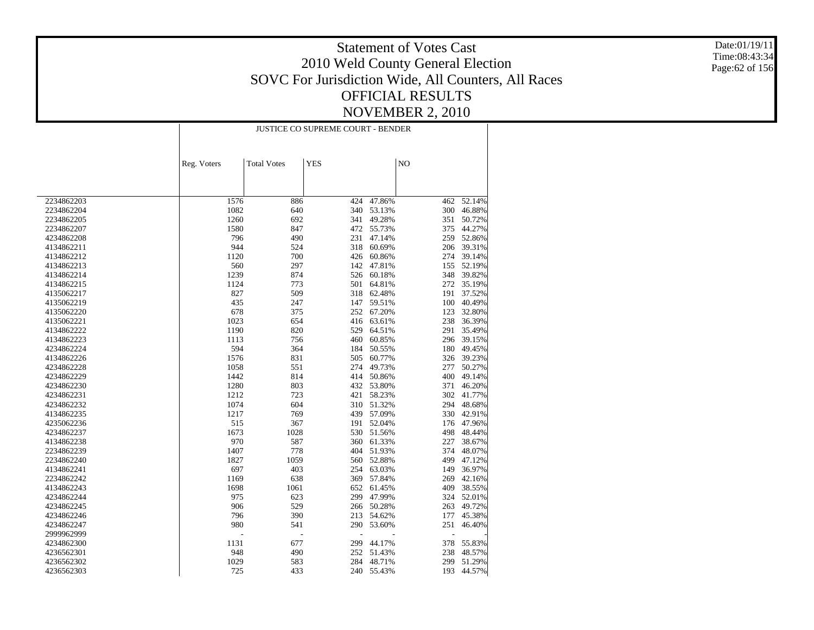Date:01/19/11 Time:08:43:34 Page:62 of 156

|            |             |                    | <b>JUSTICE CO SUPREME COURT - BENDER</b> |            |     |            |
|------------|-------------|--------------------|------------------------------------------|------------|-----|------------|
|            |             |                    |                                          |            |     |            |
|            | Reg. Voters | <b>Total Votes</b> | <b>YES</b>                               |            | NO  |            |
|            |             |                    |                                          |            |     |            |
| 2234862203 | 1576        | 886                | 424                                      | 47.86%     | 462 | $-52.14%$  |
| 2234862204 | 1082        | 640                | 340                                      | 53.13%     | 300 | 46.88%     |
| 2234862205 | 1260        | 692                | 341                                      | 49.28%     | 351 | 50.72%     |
| 2234862207 | 1580        | 847                |                                          | 472 55.73% | 375 | 44.27%     |
| 4234862208 | 796         | 490                | 231                                      | 47.14%     | 259 | 52.86%     |
| 4134862211 | 944         | 524                | 318                                      | 60.69%     | 206 | 39.31%     |
| 4134862212 | 1120        | 700                | 426                                      | 60.86%     |     | 274 39.14% |
| 4134862213 | 560         | 297                | 142                                      | 47.81%     | 155 | 52.19%     |
| 4134862214 | 1239        | 874                | 526                                      | 60.18%     | 348 | 39.82%     |
| 4134862215 | 1124        | 773                | 501                                      | 64.81%     | 272 | 35.19%     |
| 4135062217 | 827         | 509                | 318                                      | 62.48%     | 191 | 37.52%     |
| 4135062219 | 435         | 247                | 147                                      | 59.51%     | 100 | 40.49%     |
| 4135062220 | 678         | 375                | 252                                      | 67.20%     | 123 | 32.80%     |
| 4135062221 | 1023        | 654                | 416                                      | 63.61%     | 238 | 36.39%     |
| 4134862222 | 1190        | 820                | 529                                      | 64.51%     | 291 | 35.49%     |
| 4134862223 | 1113        | 756                | 460                                      | 60.85%     | 296 | 39.15%     |
| 4234862224 | 594         | 364                | 184                                      | 50.55%     | 180 | 49.45%     |
| 4134862226 | 1576        | 831                | 505                                      | 60.77%     | 326 | 39.23%     |
| 4234862228 | 1058        | 551                | 274                                      | 49.73%     | 277 | 50.27%     |
| 4234862229 | 1442        | 814                | 414                                      | 50.86%     | 400 | 49.14%     |
| 4234862230 | 1280        | 803                | 432                                      | 53.80%     | 371 | 46.20%     |
| 4234862231 | 1212        | 723                | 421                                      | 58.23%     | 302 | 41.77%     |
| 4234862232 | 1074        | 604                | 310                                      | 51.32%     | 294 | 48.68%     |
| 4134862235 | 1217        | 769                | 439                                      | 57.09%     | 330 | 42.91%     |
| 4235062236 | 515         | 367                | 191                                      | 52.04%     | 176 | 47.96%     |
| 4234862237 | 1673        | 1028               | 530                                      | 51.56%     | 498 | 48.44%     |
| 4134862238 | 970         | 587                | 360                                      | 61.33%     | 227 | 38.67%     |
| 2234862239 | 1407        | 778                | 404                                      | 51.93%     | 374 | 48.07%     |
| 2234862240 | 1827        | 1059               | 560                                      | 52.88%     | 499 | 47.12%     |
| 4134862241 | 697         | 403                | 254                                      | 63.03%     | 149 | 36.97%     |
| 2234862242 | 1169        | 638                | 369                                      | 57.84%     | 269 | 42.16%     |
| 4134862243 | 1698        | 1061               | 652                                      | 61.45%     | 409 | 38.55%     |
| 4234862244 | 975         | 623                | 299                                      | 47.99%     | 324 | 52.01%     |
| 4234862245 | 906         | 529                | 266                                      | 50.28%     | 263 | 49.72%     |
| 4234862246 | 796         | 390                | 213                                      | 54.62%     | 177 | 45.38%     |
| 4234862247 | 980         | 541                | 290                                      | 53.60%     | 251 | 46.40%     |
| 2999962999 |             | $\overline{a}$     |                                          |            | ÷,  |            |
| 4234862300 | 1131        | 677                | 299                                      | 44.17%     | 378 | 55.83%     |
| 4236562301 | 948         | 490                | 252                                      | 51.43%     | 238 | 48.57%     |
| 4236562302 | 1029        | 583                | 284                                      | 48.71%     | 299 | 51.29%     |
| 4236562303 | 725         | 433                | 240                                      | 55.43%     | 193 | 44.57%     |
|            |             |                    |                                          |            |     |            |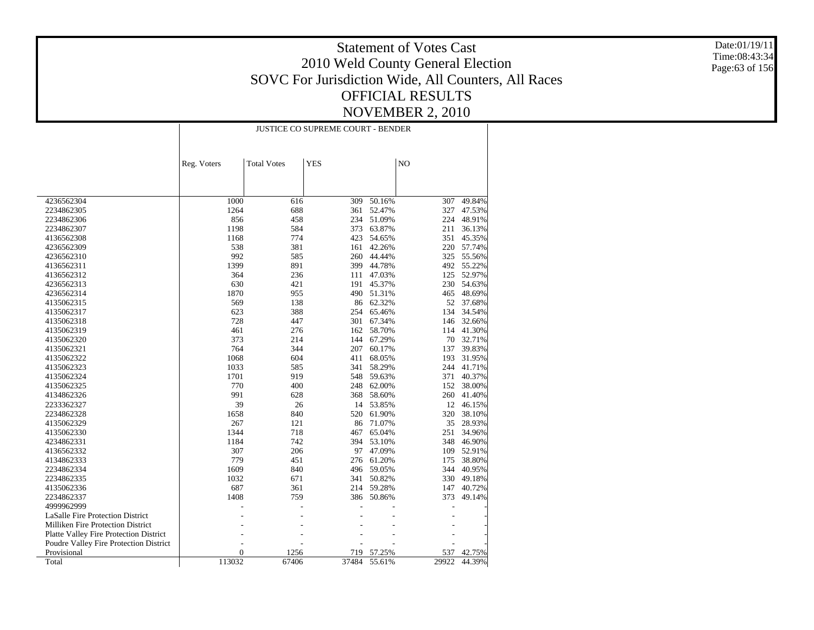Date:01/19/11 Time:08:43:34 Page:63 of 156

|                                                       |                | JUSTICE CO SUPREME COURT - BENDER |            |                  |              |                  |  |  |
|-------------------------------------------------------|----------------|-----------------------------------|------------|------------------|--------------|------------------|--|--|
|                                                       | Reg. Voters    | <b>Total Votes</b>                | <b>YES</b> |                  | NO           |                  |  |  |
|                                                       |                |                                   |            |                  |              |                  |  |  |
|                                                       |                |                                   |            |                  |              |                  |  |  |
| 4236562304                                            | 1000           | 616                               | 309        | 50.16%           | 307          | 49.84%           |  |  |
| 2234862305                                            | 1264           | 688                               | 361        | 52.47%           | 327          | 47.53%           |  |  |
| 2234862306                                            | 856            | 458                               | 234        | 51.09%           | 224          | 48.91%           |  |  |
| 2234862307                                            | 1198           | 584                               | 373        | 63.87%           | 211          | 36.13%           |  |  |
| 4136562308                                            | 1168           | 774                               | 423        | 54.65%           | 351          | 45.35%           |  |  |
| 4236562309                                            | 538            | 381                               | 161        | 42.26%           | 220          | 57.74%           |  |  |
| 4236562310                                            | 992            | 585                               | 260        | 44.44%           | 325          | 55.56%           |  |  |
| 4136562311                                            | 1399           | 891                               | 399        | 44.78%           | 492          | 55.22%           |  |  |
| 4136562312                                            | 364            | 236                               | 111        | 47.03%           | 125          | 52.97%           |  |  |
| 4236562313                                            | 630            | 421                               | 191        | 45.37%           | 230          | 54.63%           |  |  |
| 4236562314                                            | 1870           | 955                               | 490        | 51.31%           | 465          | 48.69%           |  |  |
| 4135062315                                            | 569            | 138                               | 86         | 62.32%           | 52           | 37.68%           |  |  |
| 4135062317                                            | 623            | 388                               | 254        | 65.46%           | 134          | 34.54%           |  |  |
| 4135062318                                            | 728            | 447                               | 301        | 67.34%           | 146          | 32.66%           |  |  |
| 4135062319                                            | 461            | 276                               | 162        | 58.70%           | 114          | 41.30%           |  |  |
| 4135062320                                            | 373            | 214                               | 144        | 67.29%           | 70           | 32.71%           |  |  |
| 4135062321                                            | 764            | 344                               | 207        | 60.17%           | 137          | 39.83%           |  |  |
| 4135062322                                            | 1068           | 604                               | 411        | 68.05%           | 193          | 31.95%           |  |  |
| 4135062323                                            | 1033           | 585                               | 341        | 58.29%           | 244          | 41.71%           |  |  |
| 4135062324                                            | 1701           | 919                               | 548        | 59.63%           | 371          | 40.37%           |  |  |
| 4135062325                                            | 770            | 400                               | 248        | 62.00%           | 152          | 38.00%           |  |  |
| 4134862326                                            | 991            | 628                               | 368        | 58.60%           | 260          | 41.40%           |  |  |
| 2233362327                                            | 39             | 26                                | 14         | 53.85%           |              | 12 46.15%        |  |  |
| 2234862328                                            | 1658           | 840                               | 520        | 61.90%           | 320          | 38.10%           |  |  |
| 4135062329                                            | 267            | 121                               | 86         | 71.07%           | 35           | 28.93%           |  |  |
| 4135062330                                            | 1344           | 718                               | 467        | 65.04%           | 251          | 34.96%           |  |  |
| 4234862331                                            | 1184           | 742                               | 394        | 53.10%           | 348          | 46.90%           |  |  |
| 4136562332                                            | 307            | 206                               | 97         | 47.09%           | 109          | 52.91%           |  |  |
| 4134862333                                            | 779            | 451                               | 276        | 61.20%           | 175          | 38.80%           |  |  |
| 2234862334                                            | 1609           | 840                               | 496        | 59.05%           | 344          | 40.95%           |  |  |
| 2234862335                                            | 1032           | 671                               | 341        | 50.82%           | 330          | 49.18%           |  |  |
| 4135062336                                            | 687            | 361                               | 214        | 59.28%           | 147          | 40.72%           |  |  |
| 2234862337                                            | 1408           | 759                               |            | 386 50.86%       | 373          | 49.14%           |  |  |
| 4999962999                                            |                |                                   |            |                  |              |                  |  |  |
| <b>LaSalle Fire Protection District</b>               |                |                                   |            |                  |              |                  |  |  |
| Milliken Fire Protection District                     |                |                                   |            |                  |              |                  |  |  |
|                                                       |                |                                   |            |                  |              |                  |  |  |
| Platte Valley Fire Protection District                |                |                                   |            |                  |              |                  |  |  |
| Poudre Valley Fire Protection District<br>Provisional | $\overline{0}$ | 1256                              | 719        |                  |              |                  |  |  |
| Total                                                 | 113032         | 67406                             | 37484      | 57.25%<br>55.61% | 537<br>29922 | 42.75%<br>44.39% |  |  |
|                                                       |                |                                   |            |                  |              |                  |  |  |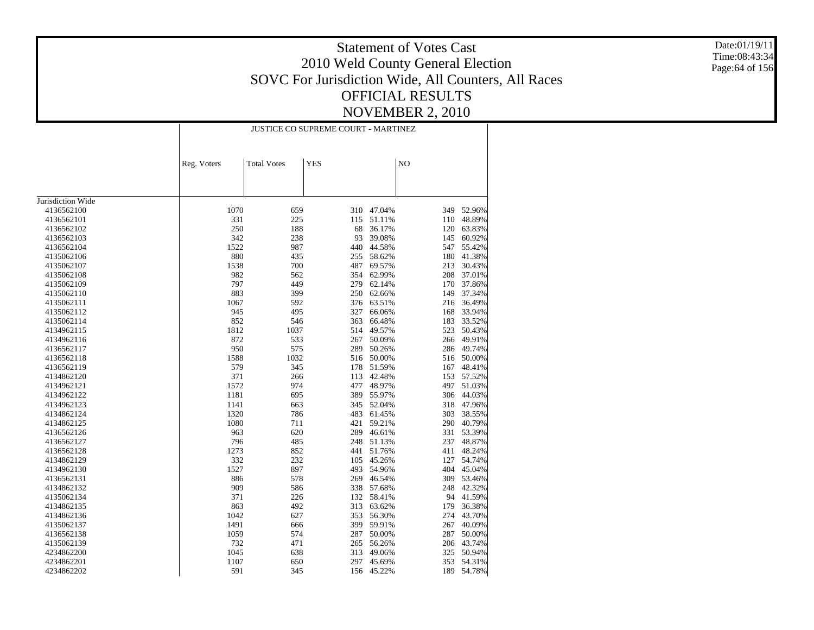Date:01/19/11 Time:08:43:34 Page:64 of 156

|                   |             | <b>JUSTICE CO SUPREME COURT - MARTINEZ</b> |            |        |     |        |  |  |
|-------------------|-------------|--------------------------------------------|------------|--------|-----|--------|--|--|
|                   | Reg. Voters | <b>Total Votes</b>                         | <b>YES</b> |        | NO  |        |  |  |
|                   |             |                                            |            |        |     |        |  |  |
|                   |             |                                            |            |        |     |        |  |  |
| Jurisdiction Wide |             |                                            |            |        |     |        |  |  |
| 4136562100        | 1070        | 659                                        | 310        | 47.04% | 349 | 52.96% |  |  |
| 4136562101        | 331         | 225                                        | 115        | 51.11% | 110 | 48.89% |  |  |
| 4136562102        | 250         | 188                                        | 68         | 36.17% | 120 | 63.83% |  |  |
| 4136562103        | 342         | 238                                        | 93         | 39.08% | 145 | 60.92% |  |  |
| 4136562104        | 1522        | 987                                        | 440        | 44.58% | 547 | 55.42% |  |  |
| 4135062106        | 880         | 435                                        | 255        | 58.62% | 180 | 41.38% |  |  |
| 4135062107        | 1538        | 700                                        | 487        | 69.57% | 213 | 30.43% |  |  |
| 4135062108        | 982         | 562                                        | 354        | 62.99% | 208 | 37.01% |  |  |
| 4135062109        | 797         | 449                                        | 279        | 62.14% | 170 | 37.86% |  |  |
| 4135062110        | 883         | 399                                        | 250        | 62.66% | 149 | 37.34% |  |  |
| 4135062111        | 1067        | 592                                        | 376        | 63.51% | 216 | 36.49% |  |  |
| 4135062112        | 945         | 495                                        | 327        | 66.06% | 168 | 33.94% |  |  |
| 4135062114        | 852         | 546                                        | 363        | 66.48% | 183 | 33.52% |  |  |
| 4134962115        | 1812        | 1037                                       | 514        | 49.57% | 523 | 50.43% |  |  |
| 4134962116        | 872         | 533                                        | 267        | 50.09% | 266 | 49.91% |  |  |
| 4136562117        | 950         | 575                                        | 289        | 50.26% | 286 | 49.74% |  |  |
| 4136562118        | 1588        | 1032                                       | 516        | 50.00% | 516 | 50.00% |  |  |
| 4136562119        | 579         | 345                                        | 178        | 51.59% | 167 | 48.41% |  |  |
| 4134862120        | 371         | 266                                        | 113        | 42.48% | 153 | 57.52% |  |  |
| 4134962121        | 1572        | 974                                        | 477        | 48.97% | 497 | 51.03% |  |  |
| 4134962122        | 1181        | 695                                        | 389        | 55.97% | 306 | 44.03% |  |  |
| 4134962123        | 1141        | 663                                        | 345        | 52.04% | 318 | 47.96% |  |  |
| 4134862124        | 1320        | 786                                        | 483        | 61.45% | 303 | 38.55% |  |  |
| 4134862125        | 1080        | 711                                        | 421        | 59.21% | 290 | 40.79% |  |  |
| 4136562126        | 963         | 620                                        | 289        | 46.61% | 331 | 53.39% |  |  |
| 4136562127        | 796         | 485                                        | 248        | 51.13% | 237 | 48.87% |  |  |
| 4136562128        | 1273        | 852                                        | 441        | 51.76% | 411 | 48.24% |  |  |
| 4134862129        | 332         | 232                                        | 105        | 45.26% | 127 | 54.74% |  |  |
| 4134962130        | 1527        | 897                                        | 493        | 54.96% | 404 | 45.04% |  |  |
| 4136562131        | 886         | 578                                        | 269        | 46.54% | 309 | 53.46% |  |  |
| 4134862132        | 909         | 586                                        | 338        | 57.68% | 248 | 42.32% |  |  |
| 4135062134        | 371         | 226                                        | 132        | 58.41% | 94  | 41.59% |  |  |
| 4134862135        | 863         | 492                                        | 313        | 63.62% | 179 | 36.38% |  |  |
| 4134862136        | 1042        | 627                                        | 353        | 56.30% | 274 | 43.70% |  |  |
| 4135062137        | 1491        | 666                                        | 399        | 59.91% | 267 | 40.09% |  |  |
| 4136562138        | 1059        | 574                                        | 287        | 50.00% | 287 | 50.00% |  |  |
| 4135062139        | 732         | 471                                        | 265        | 56.26% | 206 | 43.74% |  |  |
| 4234862200        | 1045        | 638                                        | 313        | 49.06% | 325 | 50.94% |  |  |
| 4234862201        | 1107        | 650                                        | 297        | 45.69% | 353 | 54.31% |  |  |
| 4234862202        | 591         | 345                                        | 156        | 45.22% | 189 | 54.78% |  |  |
|                   |             |                                            |            |        |     |        |  |  |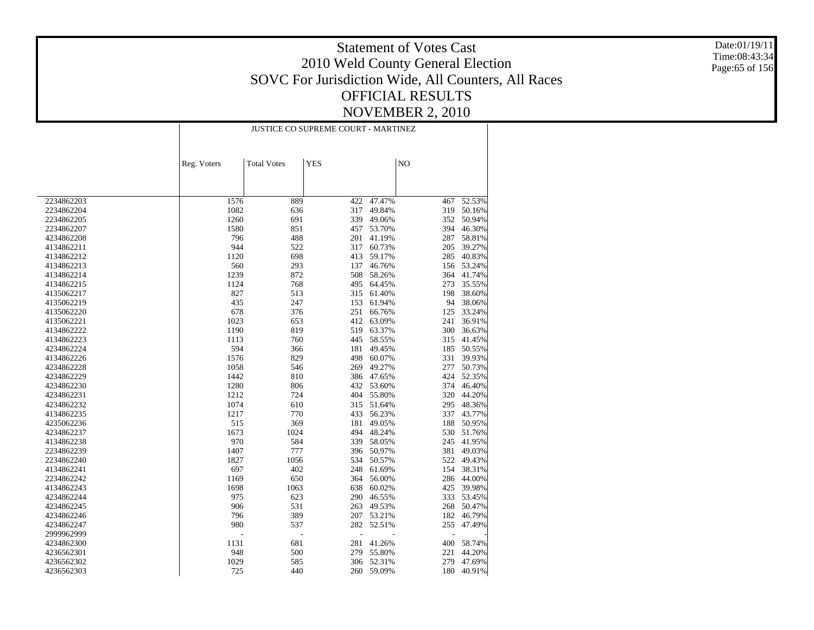Date:01/19/11 Time:08:43:34 Page:65 of 156

|            | <b>JUSTICE CO SUPREME COURT - MARTINEZ</b> |                    |            |            |     |            |  |
|------------|--------------------------------------------|--------------------|------------|------------|-----|------------|--|
|            |                                            |                    |            |            |     |            |  |
|            | Reg. Voters                                | <b>Total Votes</b> | <b>YES</b> |            | NO  |            |  |
|            |                                            |                    |            |            |     |            |  |
|            |                                            |                    |            |            |     |            |  |
| 2234862203 | 1576                                       | 889                | 422        | 47.47%     | 467 | 52.53%     |  |
| 2234862204 | 1082                                       | 636                | 317        | 49.84%     | 319 | 50.16%     |  |
| 2234862205 | 1260                                       | 691                | 339        | 49.06%     |     | 352 50.94% |  |
| 2234862207 | 1580                                       | 851                | 457        | 53.70%     | 394 | 46.30%     |  |
| 4234862208 | 796                                        | 488                | 201        | 41.19%     | 287 | 58.81%     |  |
| 4134862211 | 944                                        | 522                | 317        | 60.73%     | 205 | 39.27%     |  |
| 4134862212 | 1120                                       | 698                | 413        | 59.17%     | 285 | 40.83%     |  |
| 4134862213 | 560                                        | 293                | 137        | 46.76%     | 156 | 53.24%     |  |
| 4134862214 | 1239                                       | 872                | 508        | 58.26%     | 364 | 41.74%     |  |
| 4134862215 | 1124                                       | 768                | 495        | 64.45%     | 273 | 35.55%     |  |
| 4135062217 | 827                                        | 513                | 315        | 61.40%     | 198 | 38.60%     |  |
| 4135062219 | 435                                        | 247                | 153        | 61.94%     | 94  | 38.06%     |  |
| 4135062220 | 678                                        | 376                | 251        | 66.76%     | 125 | 33.24%     |  |
| 4135062221 | 1023                                       | 653                | 412        | 63.09%     | 241 | 36.91%     |  |
| 4134862222 | 1190                                       | 819                | 519        | 63.37%     | 300 | 36.63%     |  |
| 4134862223 | 1113                                       | 760                | 445        | 58.55%     | 315 | 41.45%     |  |
| 4234862224 | 594                                        | 366                | 181        | 49.45%     | 185 | 50.55%     |  |
| 4134862226 | 1576                                       | 829                | 498        | 60.07%     | 331 | 39.93%     |  |
| 4234862228 | 1058                                       | 546                | 269        | 49.27%     | 277 | 50.73%     |  |
| 4234862229 | 1442                                       | 810                | 386        | 47.65%     | 424 | 52.35%     |  |
| 4234862230 | 1280                                       | 806                |            | 432 53.60% | 374 | 46.40%     |  |
| 4234862231 | 1212                                       | 724                | 404        | 55.80%     | 320 | 44.20%     |  |
| 4234862232 | 1074                                       | 610                |            | 315 51.64% | 295 | 48.36%     |  |
| 4134862235 | 1217                                       | 770                | 433        | 56.23%     | 337 | 43.77%     |  |
| 4235062236 | 515                                        | 369                | 181        | 49.05%     | 188 | 50.95%     |  |
| 4234862237 | 1673                                       | 1024               | 494        | 48.24%     | 530 | 51.76%     |  |
| 4134862238 | 970                                        | 584                | 339        | 58.05%     | 245 | 41.95%     |  |
| 2234862239 | 1407                                       | 777                | 396        | 50.97%     | 381 | 49.03%     |  |
| 2234862240 | 1827                                       | 1056               | 534        | 50.57%     | 522 | 49.43%     |  |
| 4134862241 | 697                                        | 402                | 248        | 61.69%     | 154 | 38.31%     |  |
| 2234862242 | 1169                                       | 650                | 364        | 56.00%     | 286 | 44.00%     |  |
| 4134862243 | 1698                                       | 1063               | 638        | 60.02%     | 425 | 39.98%     |  |
| 4234862244 | 975                                        | 623                | 290        | 46.55%     | 333 | 53.45%     |  |
| 4234862245 | 906                                        | 531                | 263        | 49.53%     | 268 | 50.47%     |  |
| 4234862246 | 796                                        | 389                | 207        | 53.21%     | 182 | 46.79%     |  |
| 4234862247 | 980                                        | 537                |            | 282 52.51% | 255 | 47.49%     |  |
| 2999962999 |                                            | L,                 |            |            | ÷,  |            |  |
| 4234862300 | 1131                                       | 681                | 281        | 41.26%     | 400 | 58.74%     |  |
| 4236562301 | 948                                        | 500                | 279        | 55.80%     | 221 | 44.20%     |  |
| 4236562302 | 1029                                       | 585                | 306        | 52.31%     | 279 | 47.69%     |  |
| 4236562303 | 725                                        | 440                | 260        | 59.09%     | 180 | 40.91%     |  |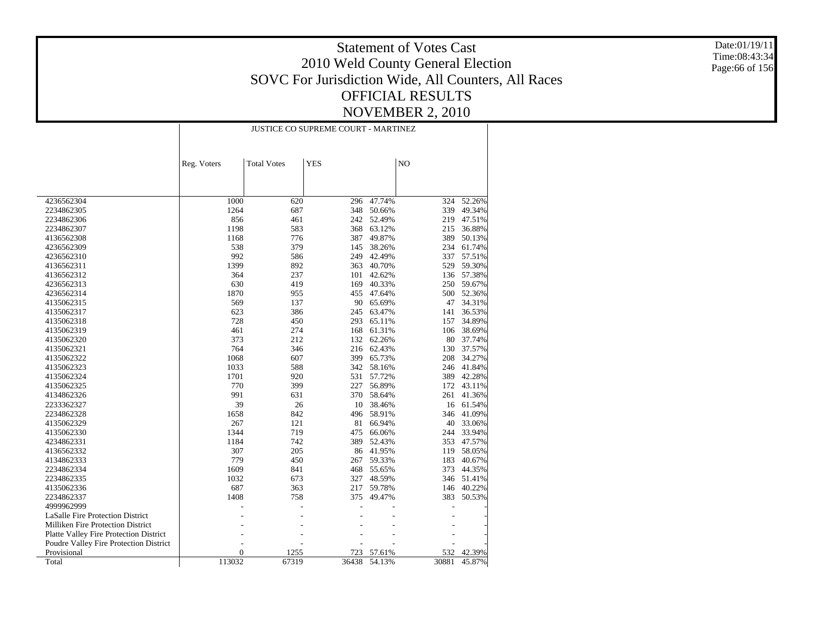Date:01/19/11 Time:08:43:34 Page:66 of 156

| <b>YES</b><br>N <sub>O</sub><br><b>Total Votes</b><br>Reg. Voters<br>4236562304<br>1000<br>620<br>47.74%<br>52.26%<br>296<br>324<br>1264<br>687<br>348<br>50.66%<br>339<br>49.34%<br>2234862305<br>2234862306<br>856<br>461<br>242<br>52.49%<br>47.51%<br>219<br>583<br>1198<br>368<br>63.12%<br>36.88%<br>2234862307<br>215<br>776<br>387<br>49.87%<br>389<br>50.13%<br>4136562308<br>1168<br>538<br>379<br>145<br>38.26%<br>234<br>61.74%<br>4236562309<br>992<br>586<br>249<br>42.49%<br>337<br>57.51%<br>4236562310<br>1399<br>892<br>363<br>529<br>59.30%<br>40.70%<br>4136562311<br>57.38%<br>4136562312<br>364<br>237<br>101<br>42.62%<br>136<br>630<br>419<br>40.33%<br>59.67%<br>4236562313<br>169<br>250<br>1870<br>955<br>455<br>500<br>52.36%<br>4236562314<br>47.64%<br>569<br>137<br>90<br>65.69%<br>47<br>34.31%<br>4135062315<br>623<br>386<br>245<br>36.53%<br>4135062317<br>63.47%<br>141<br>728<br>450<br>293<br>65.11%<br>157<br>34.89%<br>4135062318<br>461<br>274<br>168<br>61.31%<br>106<br>38.69%<br>4135062319<br>373<br>212<br>62.26%<br>80<br>37.74%<br>4135062320<br>132<br>764<br>4135062321<br>346<br>216 62.43%<br>130<br>37.57%<br>1068<br>607<br>399<br>34.27%<br>4135062322<br>65.73%<br>208<br>1033<br>588<br>342<br>58.16%<br>41.84%<br>4135062323<br>246<br>1701<br>920<br>531<br>57.72%<br>389<br>42.28%<br>4135062324<br>770<br>399<br>227<br>56.89%<br>43.11%<br>4135062325<br>172<br>991<br>631<br>370<br>58.64%<br>261<br>41.36%<br>4134862326<br>39<br>26<br>10<br>38.46%<br>61.54%<br>2233362327<br>16<br>842<br>496<br>58.91%<br>41.09%<br>2234862328<br>1658<br>346<br>121<br>81<br>4135062329<br>267<br>66.94%<br>40<br>33.06%<br>1344<br>33.94%<br>4135062330<br>719<br>475<br>66.06%<br>244<br>1184<br>742<br>389<br>52.43%<br>353<br>47.57%<br>4234862331<br>307<br>205<br>86<br>41.95%<br>58.05%<br>4136562332<br>119<br>779<br>450<br>59.33%<br>183<br>40.67%<br>4134862333<br>267<br>1609<br>841<br>468<br>55.65%<br>373<br>44.35%<br>2234862334<br>1032<br>673<br>327<br>48.59%<br>346<br>51.41%<br>2234862335<br>687<br>40.22%<br>4135062336<br>363<br>217<br>59.78%<br>146<br>2234862337<br>1408<br>758<br>375<br>49.47%<br>383<br>50.53%<br>4999962999<br>LaSalle Fire Protection District<br>Milliken Fire Protection District<br>Platte Valley Fire Protection District<br>Poudre Valley Fire Protection District<br>$\overline{0}$<br>1255<br>723<br>42.39%<br>Provisional<br>57.61%<br>532 |       | <b>JUSTICE CO SUPREME COURT - MARTINEZ</b> |       |       |        |       |        |
|---------------------------------------------------------------------------------------------------------------------------------------------------------------------------------------------------------------------------------------------------------------------------------------------------------------------------------------------------------------------------------------------------------------------------------------------------------------------------------------------------------------------------------------------------------------------------------------------------------------------------------------------------------------------------------------------------------------------------------------------------------------------------------------------------------------------------------------------------------------------------------------------------------------------------------------------------------------------------------------------------------------------------------------------------------------------------------------------------------------------------------------------------------------------------------------------------------------------------------------------------------------------------------------------------------------------------------------------------------------------------------------------------------------------------------------------------------------------------------------------------------------------------------------------------------------------------------------------------------------------------------------------------------------------------------------------------------------------------------------------------------------------------------------------------------------------------------------------------------------------------------------------------------------------------------------------------------------------------------------------------------------------------------------------------------------------------------------------------------------------------------------------------------------------------------------------------------------------------------------------------------------------------------------------------------------------------------------------------------------------------------------------------------------------------------------------------------|-------|--------------------------------------------|-------|-------|--------|-------|--------|
|                                                                                                                                                                                                                                                                                                                                                                                                                                                                                                                                                                                                                                                                                                                                                                                                                                                                                                                                                                                                                                                                                                                                                                                                                                                                                                                                                                                                                                                                                                                                                                                                                                                                                                                                                                                                                                                                                                                                                                                                                                                                                                                                                                                                                                                                                                                                                                                                                                                         |       |                                            |       |       |        |       |        |
|                                                                                                                                                                                                                                                                                                                                                                                                                                                                                                                                                                                                                                                                                                                                                                                                                                                                                                                                                                                                                                                                                                                                                                                                                                                                                                                                                                                                                                                                                                                                                                                                                                                                                                                                                                                                                                                                                                                                                                                                                                                                                                                                                                                                                                                                                                                                                                                                                                                         |       |                                            |       |       |        |       |        |
|                                                                                                                                                                                                                                                                                                                                                                                                                                                                                                                                                                                                                                                                                                                                                                                                                                                                                                                                                                                                                                                                                                                                                                                                                                                                                                                                                                                                                                                                                                                                                                                                                                                                                                                                                                                                                                                                                                                                                                                                                                                                                                                                                                                                                                                                                                                                                                                                                                                         |       |                                            |       |       |        |       |        |
|                                                                                                                                                                                                                                                                                                                                                                                                                                                                                                                                                                                                                                                                                                                                                                                                                                                                                                                                                                                                                                                                                                                                                                                                                                                                                                                                                                                                                                                                                                                                                                                                                                                                                                                                                                                                                                                                                                                                                                                                                                                                                                                                                                                                                                                                                                                                                                                                                                                         |       |                                            |       |       |        |       |        |
|                                                                                                                                                                                                                                                                                                                                                                                                                                                                                                                                                                                                                                                                                                                                                                                                                                                                                                                                                                                                                                                                                                                                                                                                                                                                                                                                                                                                                                                                                                                                                                                                                                                                                                                                                                                                                                                                                                                                                                                                                                                                                                                                                                                                                                                                                                                                                                                                                                                         |       |                                            |       |       |        |       |        |
|                                                                                                                                                                                                                                                                                                                                                                                                                                                                                                                                                                                                                                                                                                                                                                                                                                                                                                                                                                                                                                                                                                                                                                                                                                                                                                                                                                                                                                                                                                                                                                                                                                                                                                                                                                                                                                                                                                                                                                                                                                                                                                                                                                                                                                                                                                                                                                                                                                                         |       |                                            |       |       |        |       |        |
|                                                                                                                                                                                                                                                                                                                                                                                                                                                                                                                                                                                                                                                                                                                                                                                                                                                                                                                                                                                                                                                                                                                                                                                                                                                                                                                                                                                                                                                                                                                                                                                                                                                                                                                                                                                                                                                                                                                                                                                                                                                                                                                                                                                                                                                                                                                                                                                                                                                         |       |                                            |       |       |        |       |        |
|                                                                                                                                                                                                                                                                                                                                                                                                                                                                                                                                                                                                                                                                                                                                                                                                                                                                                                                                                                                                                                                                                                                                                                                                                                                                                                                                                                                                                                                                                                                                                                                                                                                                                                                                                                                                                                                                                                                                                                                                                                                                                                                                                                                                                                                                                                                                                                                                                                                         |       |                                            |       |       |        |       |        |
|                                                                                                                                                                                                                                                                                                                                                                                                                                                                                                                                                                                                                                                                                                                                                                                                                                                                                                                                                                                                                                                                                                                                                                                                                                                                                                                                                                                                                                                                                                                                                                                                                                                                                                                                                                                                                                                                                                                                                                                                                                                                                                                                                                                                                                                                                                                                                                                                                                                         |       |                                            |       |       |        |       |        |
|                                                                                                                                                                                                                                                                                                                                                                                                                                                                                                                                                                                                                                                                                                                                                                                                                                                                                                                                                                                                                                                                                                                                                                                                                                                                                                                                                                                                                                                                                                                                                                                                                                                                                                                                                                                                                                                                                                                                                                                                                                                                                                                                                                                                                                                                                                                                                                                                                                                         |       |                                            |       |       |        |       |        |
|                                                                                                                                                                                                                                                                                                                                                                                                                                                                                                                                                                                                                                                                                                                                                                                                                                                                                                                                                                                                                                                                                                                                                                                                                                                                                                                                                                                                                                                                                                                                                                                                                                                                                                                                                                                                                                                                                                                                                                                                                                                                                                                                                                                                                                                                                                                                                                                                                                                         |       |                                            |       |       |        |       |        |
|                                                                                                                                                                                                                                                                                                                                                                                                                                                                                                                                                                                                                                                                                                                                                                                                                                                                                                                                                                                                                                                                                                                                                                                                                                                                                                                                                                                                                                                                                                                                                                                                                                                                                                                                                                                                                                                                                                                                                                                                                                                                                                                                                                                                                                                                                                                                                                                                                                                         |       |                                            |       |       |        |       |        |
|                                                                                                                                                                                                                                                                                                                                                                                                                                                                                                                                                                                                                                                                                                                                                                                                                                                                                                                                                                                                                                                                                                                                                                                                                                                                                                                                                                                                                                                                                                                                                                                                                                                                                                                                                                                                                                                                                                                                                                                                                                                                                                                                                                                                                                                                                                                                                                                                                                                         |       |                                            |       |       |        |       |        |
|                                                                                                                                                                                                                                                                                                                                                                                                                                                                                                                                                                                                                                                                                                                                                                                                                                                                                                                                                                                                                                                                                                                                                                                                                                                                                                                                                                                                                                                                                                                                                                                                                                                                                                                                                                                                                                                                                                                                                                                                                                                                                                                                                                                                                                                                                                                                                                                                                                                         |       |                                            |       |       |        |       |        |
|                                                                                                                                                                                                                                                                                                                                                                                                                                                                                                                                                                                                                                                                                                                                                                                                                                                                                                                                                                                                                                                                                                                                                                                                                                                                                                                                                                                                                                                                                                                                                                                                                                                                                                                                                                                                                                                                                                                                                                                                                                                                                                                                                                                                                                                                                                                                                                                                                                                         |       |                                            |       |       |        |       |        |
|                                                                                                                                                                                                                                                                                                                                                                                                                                                                                                                                                                                                                                                                                                                                                                                                                                                                                                                                                                                                                                                                                                                                                                                                                                                                                                                                                                                                                                                                                                                                                                                                                                                                                                                                                                                                                                                                                                                                                                                                                                                                                                                                                                                                                                                                                                                                                                                                                                                         |       |                                            |       |       |        |       |        |
|                                                                                                                                                                                                                                                                                                                                                                                                                                                                                                                                                                                                                                                                                                                                                                                                                                                                                                                                                                                                                                                                                                                                                                                                                                                                                                                                                                                                                                                                                                                                                                                                                                                                                                                                                                                                                                                                                                                                                                                                                                                                                                                                                                                                                                                                                                                                                                                                                                                         |       |                                            |       |       |        |       |        |
|                                                                                                                                                                                                                                                                                                                                                                                                                                                                                                                                                                                                                                                                                                                                                                                                                                                                                                                                                                                                                                                                                                                                                                                                                                                                                                                                                                                                                                                                                                                                                                                                                                                                                                                                                                                                                                                                                                                                                                                                                                                                                                                                                                                                                                                                                                                                                                                                                                                         |       |                                            |       |       |        |       |        |
|                                                                                                                                                                                                                                                                                                                                                                                                                                                                                                                                                                                                                                                                                                                                                                                                                                                                                                                                                                                                                                                                                                                                                                                                                                                                                                                                                                                                                                                                                                                                                                                                                                                                                                                                                                                                                                                                                                                                                                                                                                                                                                                                                                                                                                                                                                                                                                                                                                                         |       |                                            |       |       |        |       |        |
|                                                                                                                                                                                                                                                                                                                                                                                                                                                                                                                                                                                                                                                                                                                                                                                                                                                                                                                                                                                                                                                                                                                                                                                                                                                                                                                                                                                                                                                                                                                                                                                                                                                                                                                                                                                                                                                                                                                                                                                                                                                                                                                                                                                                                                                                                                                                                                                                                                                         |       |                                            |       |       |        |       |        |
|                                                                                                                                                                                                                                                                                                                                                                                                                                                                                                                                                                                                                                                                                                                                                                                                                                                                                                                                                                                                                                                                                                                                                                                                                                                                                                                                                                                                                                                                                                                                                                                                                                                                                                                                                                                                                                                                                                                                                                                                                                                                                                                                                                                                                                                                                                                                                                                                                                                         |       |                                            |       |       |        |       |        |
|                                                                                                                                                                                                                                                                                                                                                                                                                                                                                                                                                                                                                                                                                                                                                                                                                                                                                                                                                                                                                                                                                                                                                                                                                                                                                                                                                                                                                                                                                                                                                                                                                                                                                                                                                                                                                                                                                                                                                                                                                                                                                                                                                                                                                                                                                                                                                                                                                                                         |       |                                            |       |       |        |       |        |
|                                                                                                                                                                                                                                                                                                                                                                                                                                                                                                                                                                                                                                                                                                                                                                                                                                                                                                                                                                                                                                                                                                                                                                                                                                                                                                                                                                                                                                                                                                                                                                                                                                                                                                                                                                                                                                                                                                                                                                                                                                                                                                                                                                                                                                                                                                                                                                                                                                                         |       |                                            |       |       |        |       |        |
|                                                                                                                                                                                                                                                                                                                                                                                                                                                                                                                                                                                                                                                                                                                                                                                                                                                                                                                                                                                                                                                                                                                                                                                                                                                                                                                                                                                                                                                                                                                                                                                                                                                                                                                                                                                                                                                                                                                                                                                                                                                                                                                                                                                                                                                                                                                                                                                                                                                         |       |                                            |       |       |        |       |        |
|                                                                                                                                                                                                                                                                                                                                                                                                                                                                                                                                                                                                                                                                                                                                                                                                                                                                                                                                                                                                                                                                                                                                                                                                                                                                                                                                                                                                                                                                                                                                                                                                                                                                                                                                                                                                                                                                                                                                                                                                                                                                                                                                                                                                                                                                                                                                                                                                                                                         |       |                                            |       |       |        |       |        |
|                                                                                                                                                                                                                                                                                                                                                                                                                                                                                                                                                                                                                                                                                                                                                                                                                                                                                                                                                                                                                                                                                                                                                                                                                                                                                                                                                                                                                                                                                                                                                                                                                                                                                                                                                                                                                                                                                                                                                                                                                                                                                                                                                                                                                                                                                                                                                                                                                                                         |       |                                            |       |       |        |       |        |
|                                                                                                                                                                                                                                                                                                                                                                                                                                                                                                                                                                                                                                                                                                                                                                                                                                                                                                                                                                                                                                                                                                                                                                                                                                                                                                                                                                                                                                                                                                                                                                                                                                                                                                                                                                                                                                                                                                                                                                                                                                                                                                                                                                                                                                                                                                                                                                                                                                                         |       |                                            |       |       |        |       |        |
|                                                                                                                                                                                                                                                                                                                                                                                                                                                                                                                                                                                                                                                                                                                                                                                                                                                                                                                                                                                                                                                                                                                                                                                                                                                                                                                                                                                                                                                                                                                                                                                                                                                                                                                                                                                                                                                                                                                                                                                                                                                                                                                                                                                                                                                                                                                                                                                                                                                         |       |                                            |       |       |        |       |        |
|                                                                                                                                                                                                                                                                                                                                                                                                                                                                                                                                                                                                                                                                                                                                                                                                                                                                                                                                                                                                                                                                                                                                                                                                                                                                                                                                                                                                                                                                                                                                                                                                                                                                                                                                                                                                                                                                                                                                                                                                                                                                                                                                                                                                                                                                                                                                                                                                                                                         |       |                                            |       |       |        |       |        |
|                                                                                                                                                                                                                                                                                                                                                                                                                                                                                                                                                                                                                                                                                                                                                                                                                                                                                                                                                                                                                                                                                                                                                                                                                                                                                                                                                                                                                                                                                                                                                                                                                                                                                                                                                                                                                                                                                                                                                                                                                                                                                                                                                                                                                                                                                                                                                                                                                                                         |       |                                            |       |       |        |       |        |
|                                                                                                                                                                                                                                                                                                                                                                                                                                                                                                                                                                                                                                                                                                                                                                                                                                                                                                                                                                                                                                                                                                                                                                                                                                                                                                                                                                                                                                                                                                                                                                                                                                                                                                                                                                                                                                                                                                                                                                                                                                                                                                                                                                                                                                                                                                                                                                                                                                                         |       |                                            |       |       |        |       |        |
|                                                                                                                                                                                                                                                                                                                                                                                                                                                                                                                                                                                                                                                                                                                                                                                                                                                                                                                                                                                                                                                                                                                                                                                                                                                                                                                                                                                                                                                                                                                                                                                                                                                                                                                                                                                                                                                                                                                                                                                                                                                                                                                                                                                                                                                                                                                                                                                                                                                         |       |                                            |       |       |        |       |        |
|                                                                                                                                                                                                                                                                                                                                                                                                                                                                                                                                                                                                                                                                                                                                                                                                                                                                                                                                                                                                                                                                                                                                                                                                                                                                                                                                                                                                                                                                                                                                                                                                                                                                                                                                                                                                                                                                                                                                                                                                                                                                                                                                                                                                                                                                                                                                                                                                                                                         |       |                                            |       |       |        |       |        |
|                                                                                                                                                                                                                                                                                                                                                                                                                                                                                                                                                                                                                                                                                                                                                                                                                                                                                                                                                                                                                                                                                                                                                                                                                                                                                                                                                                                                                                                                                                                                                                                                                                                                                                                                                                                                                                                                                                                                                                                                                                                                                                                                                                                                                                                                                                                                                                                                                                                         |       |                                            |       |       |        |       |        |
|                                                                                                                                                                                                                                                                                                                                                                                                                                                                                                                                                                                                                                                                                                                                                                                                                                                                                                                                                                                                                                                                                                                                                                                                                                                                                                                                                                                                                                                                                                                                                                                                                                                                                                                                                                                                                                                                                                                                                                                                                                                                                                                                                                                                                                                                                                                                                                                                                                                         |       |                                            |       |       |        |       |        |
|                                                                                                                                                                                                                                                                                                                                                                                                                                                                                                                                                                                                                                                                                                                                                                                                                                                                                                                                                                                                                                                                                                                                                                                                                                                                                                                                                                                                                                                                                                                                                                                                                                                                                                                                                                                                                                                                                                                                                                                                                                                                                                                                                                                                                                                                                                                                                                                                                                                         |       |                                            |       |       |        |       |        |
|                                                                                                                                                                                                                                                                                                                                                                                                                                                                                                                                                                                                                                                                                                                                                                                                                                                                                                                                                                                                                                                                                                                                                                                                                                                                                                                                                                                                                                                                                                                                                                                                                                                                                                                                                                                                                                                                                                                                                                                                                                                                                                                                                                                                                                                                                                                                                                                                                                                         |       |                                            |       |       |        |       |        |
|                                                                                                                                                                                                                                                                                                                                                                                                                                                                                                                                                                                                                                                                                                                                                                                                                                                                                                                                                                                                                                                                                                                                                                                                                                                                                                                                                                                                                                                                                                                                                                                                                                                                                                                                                                                                                                                                                                                                                                                                                                                                                                                                                                                                                                                                                                                                                                                                                                                         |       |                                            |       |       |        |       |        |
|                                                                                                                                                                                                                                                                                                                                                                                                                                                                                                                                                                                                                                                                                                                                                                                                                                                                                                                                                                                                                                                                                                                                                                                                                                                                                                                                                                                                                                                                                                                                                                                                                                                                                                                                                                                                                                                                                                                                                                                                                                                                                                                                                                                                                                                                                                                                                                                                                                                         |       |                                            |       |       |        |       |        |
|                                                                                                                                                                                                                                                                                                                                                                                                                                                                                                                                                                                                                                                                                                                                                                                                                                                                                                                                                                                                                                                                                                                                                                                                                                                                                                                                                                                                                                                                                                                                                                                                                                                                                                                                                                                                                                                                                                                                                                                                                                                                                                                                                                                                                                                                                                                                                                                                                                                         |       |                                            |       |       |        |       |        |
|                                                                                                                                                                                                                                                                                                                                                                                                                                                                                                                                                                                                                                                                                                                                                                                                                                                                                                                                                                                                                                                                                                                                                                                                                                                                                                                                                                                                                                                                                                                                                                                                                                                                                                                                                                                                                                                                                                                                                                                                                                                                                                                                                                                                                                                                                                                                                                                                                                                         |       |                                            |       |       |        |       |        |
|                                                                                                                                                                                                                                                                                                                                                                                                                                                                                                                                                                                                                                                                                                                                                                                                                                                                                                                                                                                                                                                                                                                                                                                                                                                                                                                                                                                                                                                                                                                                                                                                                                                                                                                                                                                                                                                                                                                                                                                                                                                                                                                                                                                                                                                                                                                                                                                                                                                         |       |                                            |       |       |        |       |        |
|                                                                                                                                                                                                                                                                                                                                                                                                                                                                                                                                                                                                                                                                                                                                                                                                                                                                                                                                                                                                                                                                                                                                                                                                                                                                                                                                                                                                                                                                                                                                                                                                                                                                                                                                                                                                                                                                                                                                                                                                                                                                                                                                                                                                                                                                                                                                                                                                                                                         |       |                                            |       |       |        |       |        |
|                                                                                                                                                                                                                                                                                                                                                                                                                                                                                                                                                                                                                                                                                                                                                                                                                                                                                                                                                                                                                                                                                                                                                                                                                                                                                                                                                                                                                                                                                                                                                                                                                                                                                                                                                                                                                                                                                                                                                                                                                                                                                                                                                                                                                                                                                                                                                                                                                                                         | Total | 113032                                     | 67319 | 36438 | 54.13% | 30881 | 45.87% |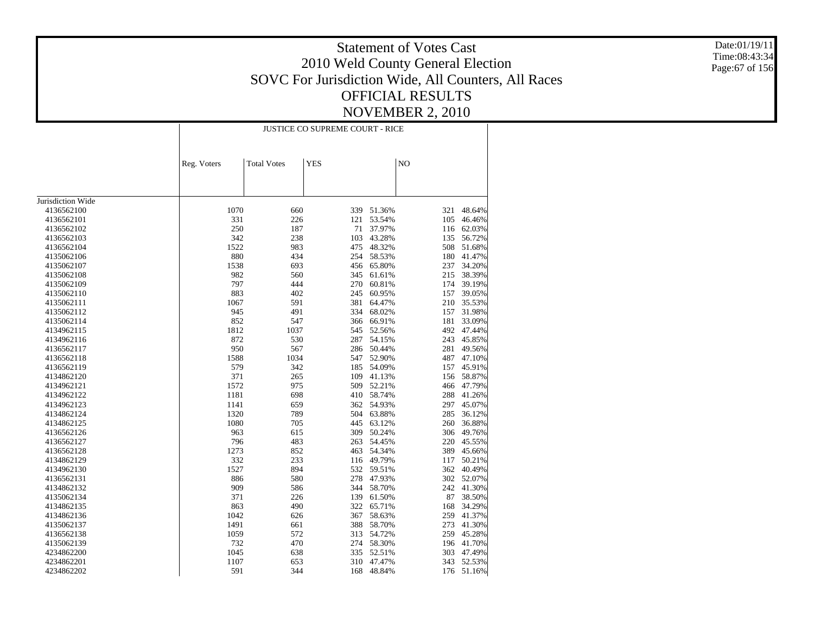Date:01/19/11 Time:08:43:34 Page:67 of 156

|                   |             | <b>JUSTICE CO SUPREME COURT - RICE</b> |            |            |     |            |  |  |
|-------------------|-------------|----------------------------------------|------------|------------|-----|------------|--|--|
|                   |             |                                        |            |            |     |            |  |  |
|                   | Reg. Voters | <b>Total Votes</b>                     | <b>YES</b> |            | NO  |            |  |  |
|                   |             |                                        |            |            |     |            |  |  |
|                   |             |                                        |            |            |     |            |  |  |
| Jurisdiction Wide |             |                                        |            |            |     |            |  |  |
| 4136562100        | 1070        | 660                                    | 339        | 51.36%     | 321 | 48.64%     |  |  |
| 4136562101        | 331         | 226                                    | 121        | 53.54%     | 105 | 46.46%     |  |  |
| 4136562102        | 250         | 187                                    | 71         | 37.97%     | 116 | 62.03%     |  |  |
| 4136562103        | 342         | 238                                    | 103        | 43.28%     | 135 | 56.72%     |  |  |
| 4136562104        | 1522        | 983                                    | 475        | 48.32%     | 508 | 51.68%     |  |  |
| 4135062106        | 880         | 434                                    | 254        | 58.53%     | 180 | 41.47%     |  |  |
| 4135062107        | 1538        | 693                                    | 456        | 65.80%     | 237 | 34.20%     |  |  |
| 4135062108        | 982         | 560                                    | 345        | 61.61%     | 215 | 38.39%     |  |  |
| 4135062109        | 797         | 444                                    | 270        | 60.81%     | 174 | 39.19%     |  |  |
| 4135062110        | 883         | 402                                    | 245        | 60.95%     | 157 | 39.05%     |  |  |
| 4135062111        | 1067        | 591                                    | 381        | 64.47%     | 210 | 35.53%     |  |  |
| 4135062112        | 945         | 491                                    | 334        | 68.02%     | 157 | 31.98%     |  |  |
| 4135062114        | 852         | 547                                    | 366        | 66.91%     | 181 | 33.09%     |  |  |
| 4134962115        | 1812        | 1037                                   | 545        | 52.56%     | 492 | 47.44%     |  |  |
| 4134962116        | 872         | 530                                    | 287        | 54.15%     | 243 | 45.85%     |  |  |
| 4136562117        | 950         | 567                                    | 286        | 50.44%     | 281 | 49.56%     |  |  |
| 4136562118        | 1588        | 1034                                   | 547        | 52.90%     | 487 | 47.10%     |  |  |
| 4136562119        | 579         | 342                                    | 185        | 54.09%     | 157 | 45.91%     |  |  |
| 4134862120        | 371         | 265                                    | 109        | 41.13%     | 156 | 58.87%     |  |  |
| 4134962121        | 1572        | 975                                    | 509        | 52.21%     | 466 | 47.79%     |  |  |
| 4134962122        | 1181        | 698                                    |            | 410 58.74% | 288 | 41.26%     |  |  |
| 4134962123        | 1141        | 659                                    | 362        | 54.93%     | 297 | 45.07%     |  |  |
| 4134862124        | 1320        | 789                                    | 504        | 63.88%     | 285 | 36.12%     |  |  |
| 4134862125        | 1080        | 705                                    | 445        | 63.12%     | 260 | 36.88%     |  |  |
| 4136562126        | 963         | 615                                    | 309        | 50.24%     | 306 | 49.76%     |  |  |
| 4136562127        | 796         | 483                                    | 263        | 54.45%     | 220 | 45.55%     |  |  |
| 4136562128        | 1273        | 852                                    | 463        | 54.34%     | 389 | 45.66%     |  |  |
| 4134862129        | 332         | 233                                    | 116        | 49.79%     | 117 | 50.21%     |  |  |
| 4134962130        | 1527        | 894                                    | 532        | 59.51%     | 362 | 40.49%     |  |  |
| 4136562131        | 886         | 580                                    | 278        | 47.93%     | 302 | 52.07%     |  |  |
| 4134862132        | 909         | 586                                    | 344        | 58.70%     | 242 | 41.30%     |  |  |
| 4135062134        | 371         | 226                                    | 139        | 61.50%     | 87  | 38.50%     |  |  |
| 4134862135        | 863         | 490                                    | 322        | 65.71%     | 168 | 34.29%     |  |  |
| 4134862136        | 1042        | 626                                    | 367        | 58.63%     | 259 | 41.37%     |  |  |
| 4135062137        | 1491        | 661                                    | 388        | 58.70%     | 273 | 41.30%     |  |  |
| 4136562138        | 1059        | 572                                    | 313        | 54.72%     | 259 | 45.28%     |  |  |
| 4135062139        | 732         | 470                                    |            | 274 58.30% | 196 | 41.70%     |  |  |
| 4234862200        | 1045        | 638                                    | 335        | 52.51%     | 303 | 47.49%     |  |  |
| 4234862201        | 1107        | 653                                    | 310        | 47.47%     |     | 343 52.53% |  |  |
| 4234862202        | 591         | 344                                    | 168        | 48.84%     | 176 | 51.16%     |  |  |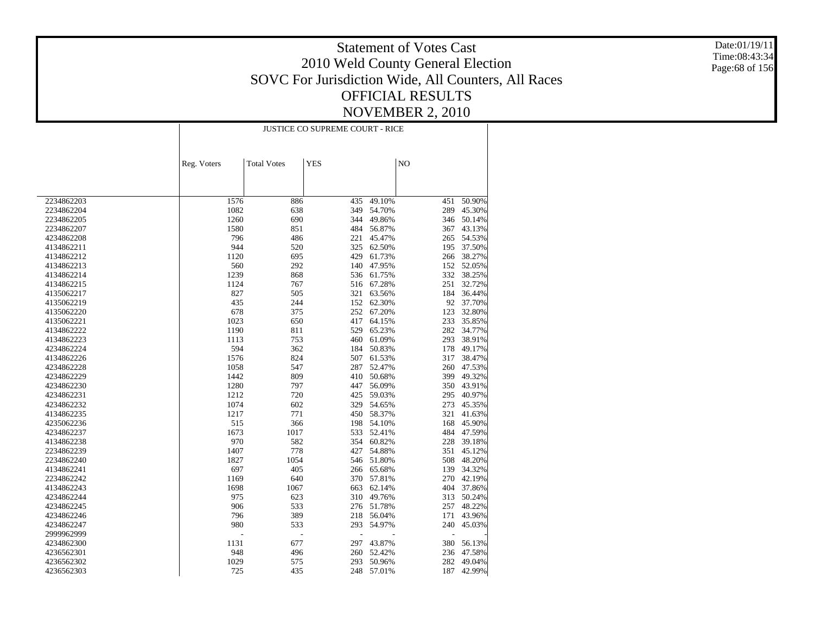Date:01/19/11 Time:08:43:34 Page:68 of 156

|            |             | JUSTICE CO SUPREME COURT - RICE |            |        |     |        |  |  |  |
|------------|-------------|---------------------------------|------------|--------|-----|--------|--|--|--|
|            |             |                                 |            |        |     |        |  |  |  |
|            | Reg. Voters | <b>Total Votes</b>              | <b>YES</b> |        | NO  |        |  |  |  |
|            |             |                                 |            |        |     |        |  |  |  |
| 2234862203 | 1576        | 886                             | 435        | 49.10% | 451 | 50.90% |  |  |  |
| 2234862204 | 1082        | 638                             | 349        | 54.70% | 289 | 45.30% |  |  |  |
| 2234862205 | 1260        | 690                             | 344        | 49.86% | 346 | 50.14% |  |  |  |
| 2234862207 | 1580        | 851                             | 484        | 56.87% | 367 | 43.13% |  |  |  |
| 4234862208 | 796         | 486                             | 221        | 45.47% | 265 | 54.53% |  |  |  |
| 4134862211 | 944         | 520                             | 325        | 62.50% | 195 | 37.50% |  |  |  |
| 4134862212 | 1120        | 695                             | 429        | 61.73% | 266 | 38.27% |  |  |  |
| 4134862213 | 560         | 292                             | 140        | 47.95% | 152 | 52.05% |  |  |  |
| 4134862214 | 1239        | 868                             | 536        | 61.75% | 332 | 38.25% |  |  |  |
| 4134862215 | 1124        | 767                             | 516        | 67.28% | 251 | 32.72% |  |  |  |
| 4135062217 | 827         | 505                             | 321        | 63.56% | 184 | 36.44% |  |  |  |
| 4135062219 | 435         | 244                             | 152        | 62.30% | 92  | 37.70% |  |  |  |
| 4135062220 | 678         | 375                             | 252        | 67.20% | 123 | 32.80% |  |  |  |
| 4135062221 | 1023        | 650                             | 417        | 64.15% | 233 | 35.85% |  |  |  |
| 4134862222 | 1190        | 811                             | 529        | 65.23% | 282 | 34.77% |  |  |  |
| 4134862223 | 1113        | 753                             | 460        | 61.09% | 293 | 38.91% |  |  |  |
| 4234862224 | 594         | 362                             | 184        | 50.83% | 178 | 49.17% |  |  |  |
| 4134862226 | 1576        | 824                             | 507        | 61.53% | 317 | 38.47% |  |  |  |
| 4234862228 | 1058        | 547                             | 287        | 52.47% | 260 | 47.53% |  |  |  |
| 4234862229 | 1442        | 809                             | 410        | 50.68% | 399 | 49.32% |  |  |  |
| 4234862230 | 1280        | 797                             | 447        | 56.09% | 350 | 43.91% |  |  |  |
| 4234862231 | 1212        | 720                             | 425        | 59.03% | 295 | 40.97% |  |  |  |
| 4234862232 | 1074        | 602                             | 329        | 54.65% | 273 | 45.35% |  |  |  |
| 4134862235 | 1217        | 771                             | 450        | 58.37% | 321 | 41.63% |  |  |  |
| 4235062236 | 515         | 366                             | 198        | 54.10% | 168 | 45.90% |  |  |  |
| 4234862237 | 1673        | 1017                            | 533        | 52.41% | 484 | 47.59% |  |  |  |
| 4134862238 | 970         | 582                             | 354        | 60.82% | 228 | 39.18% |  |  |  |
| 2234862239 | 1407        | 778                             | 427        | 54.88% | 351 | 45.12% |  |  |  |
| 2234862240 | 1827        | 1054                            | 546        | 51.80% | 508 | 48.20% |  |  |  |
| 4134862241 | 697         | 405                             | 266        | 65.68% | 139 | 34.32% |  |  |  |
| 2234862242 | 1169        | 640                             | 370        | 57.81% | 270 | 42.19% |  |  |  |
| 4134862243 | 1698        | 1067                            | 663        | 62.14% | 404 | 37.86% |  |  |  |
| 4234862244 | 975         | 623                             | 310        | 49.76% | 313 | 50.24% |  |  |  |
| 4234862245 | 906         | 533                             | 276        | 51.78% | 257 | 48.22% |  |  |  |
| 4234862246 | 796         | 389                             | 218        | 56.04% | 171 | 43.96% |  |  |  |
| 4234862247 | 980         | 533                             | 293        | 54.97% | 240 | 45.03% |  |  |  |
| 2999962999 |             |                                 |            |        |     |        |  |  |  |
|            |             | $\overline{a}$                  |            |        |     |        |  |  |  |
| 4234862300 | 1131        | 677                             | 297        | 43.87% | 380 | 56.13% |  |  |  |
| 4236562301 | 948         | 496                             | 260        | 52.42% | 236 | 47.58% |  |  |  |
| 4236562302 | 1029        | 575                             | 293        | 50.96% | 282 | 49.04% |  |  |  |
| 4236562303 | 725         | 435                             | 248        | 57.01% | 187 | 42.99% |  |  |  |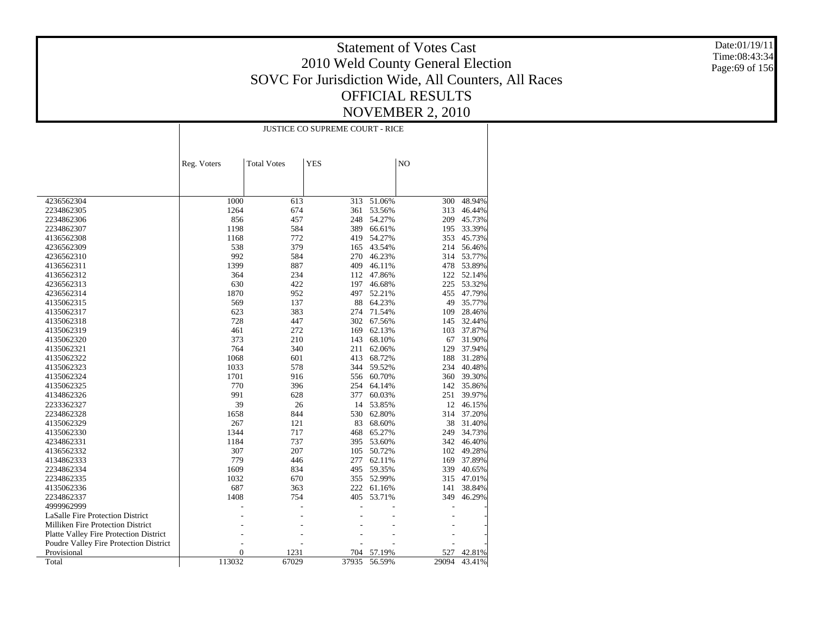Date:01/19/11 Time:08:43:34 Page:69 of 156

| <b>Total Votes</b><br><b>YES</b><br>N <sub>O</sub><br>Reg. Voters<br>4236562304<br>1000<br>613<br>313<br>51.06%<br>48.94%<br>300<br>674<br>1264<br>361<br>53.56%<br>313<br>46.44%<br>2234862305<br>2234862306<br>856<br>457<br>248<br>54.27%<br>209<br>45.73%<br>584<br>33.39%<br>2234862307<br>1198<br>389<br>66.61%<br>195<br>1168<br>772<br>419<br>54.27%<br>353<br>45.73%<br>4136562308<br>538<br>379<br>165<br>43.54%<br>214<br>56.46%<br>4236562309<br>992<br>584<br>270<br>46.23%<br>314 53.77%<br>4236562310<br>887<br>1399<br>409<br>46.11%<br>478<br>53.89%<br>4136562311<br>234<br>112<br>47.86%<br>122<br>52.14%<br>4136562312<br>364<br>630<br>422<br>4236562313<br>197<br>46.68%<br>225<br>53.32%<br>1870<br>952<br>497<br>52.21%<br>455<br>47.79%<br>4236562314<br>569<br>137<br>88<br>64.23%<br>49<br>35.77%<br>4135062315<br>383<br>623<br>71.54%<br>28.46%<br>4135062317<br>274<br>109<br>728<br>447<br>302<br>67.56%<br>32.44%<br>4135062318<br>145<br>272<br>169<br>37.87%<br>4135062319<br>461<br>62.13%<br>103<br>373<br>210<br>143<br>68.10%<br>31.90%<br>67<br>4135062320<br>764<br>340<br>211<br>129<br>37.94%<br>4135062321<br>62.06%<br>1068<br>601<br>413<br>68.72%<br>188<br>31.28%<br>4135062322<br>4135062323<br>1033<br>578<br>344<br>59.52%<br>234<br>40.48%<br>1701<br>39.30%<br>4135062324<br>916<br>556<br>60.70%<br>360<br>770<br>396<br>254<br>64.14%<br>35.86%<br>4135062325<br>142<br>991<br>628<br>377<br>60.03%<br>251<br>39.97%<br>4134862326<br>39<br>26<br>14<br>53.85%<br>12<br>46.15%<br>2233362327<br>844<br>530<br>37.20%<br>2234862328<br>1658<br>62.80%<br>314<br>267<br>121<br>83<br>68.60%<br>38<br>31.40%<br>4135062329<br>1344<br>468<br>65.27%<br>34.73%<br>4135062330<br>717<br>249<br>1184<br>737<br>395<br>53.60%<br>342<br>46.40%<br>4234862331<br>307<br>207<br>105<br>50.72%<br>49.28%<br>4136562332<br>102<br>779<br>446<br>37.89%<br>4134862333<br>277<br>62.11%<br>169<br>1609<br>834<br>59.35%<br>40.65%<br>2234862334<br>495<br>339<br>1032<br>670<br>355<br>52.99%<br>315<br>47.01%<br>2234862335<br>687<br>38.84%<br>363<br>222<br>61.16%<br>4135062336<br>141<br>2234862337<br>1408<br>754<br>405<br>53.71%<br>349<br>46.29%<br>4999962999<br><b>LaSalle Fire Protection District</b><br>Milliken Fire Protection District<br>Platte Valley Fire Protection District<br>Poudre Valley Fire Protection District<br>Provisional<br>$\overline{0}$<br>1231<br>57.19%<br>704<br>527<br>42.81%<br>113032<br>67029<br>Total<br>37935<br>56.59%<br>29094<br>43.41% |  | JUSTICE CO SUPREME COURT - RICE |  |  |  |  |  |  |
|-----------------------------------------------------------------------------------------------------------------------------------------------------------------------------------------------------------------------------------------------------------------------------------------------------------------------------------------------------------------------------------------------------------------------------------------------------------------------------------------------------------------------------------------------------------------------------------------------------------------------------------------------------------------------------------------------------------------------------------------------------------------------------------------------------------------------------------------------------------------------------------------------------------------------------------------------------------------------------------------------------------------------------------------------------------------------------------------------------------------------------------------------------------------------------------------------------------------------------------------------------------------------------------------------------------------------------------------------------------------------------------------------------------------------------------------------------------------------------------------------------------------------------------------------------------------------------------------------------------------------------------------------------------------------------------------------------------------------------------------------------------------------------------------------------------------------------------------------------------------------------------------------------------------------------------------------------------------------------------------------------------------------------------------------------------------------------------------------------------------------------------------------------------------------------------------------------------------------------------------------------------------------------------------------------------------------------------------------------------------------------------------------------------------------------------------------------------------------------------------------------------------------------------|--|---------------------------------|--|--|--|--|--|--|
|                                                                                                                                                                                                                                                                                                                                                                                                                                                                                                                                                                                                                                                                                                                                                                                                                                                                                                                                                                                                                                                                                                                                                                                                                                                                                                                                                                                                                                                                                                                                                                                                                                                                                                                                                                                                                                                                                                                                                                                                                                                                                                                                                                                                                                                                                                                                                                                                                                                                                                                                   |  |                                 |  |  |  |  |  |  |
|                                                                                                                                                                                                                                                                                                                                                                                                                                                                                                                                                                                                                                                                                                                                                                                                                                                                                                                                                                                                                                                                                                                                                                                                                                                                                                                                                                                                                                                                                                                                                                                                                                                                                                                                                                                                                                                                                                                                                                                                                                                                                                                                                                                                                                                                                                                                                                                                                                                                                                                                   |  |                                 |  |  |  |  |  |  |
|                                                                                                                                                                                                                                                                                                                                                                                                                                                                                                                                                                                                                                                                                                                                                                                                                                                                                                                                                                                                                                                                                                                                                                                                                                                                                                                                                                                                                                                                                                                                                                                                                                                                                                                                                                                                                                                                                                                                                                                                                                                                                                                                                                                                                                                                                                                                                                                                                                                                                                                                   |  |                                 |  |  |  |  |  |  |
|                                                                                                                                                                                                                                                                                                                                                                                                                                                                                                                                                                                                                                                                                                                                                                                                                                                                                                                                                                                                                                                                                                                                                                                                                                                                                                                                                                                                                                                                                                                                                                                                                                                                                                                                                                                                                                                                                                                                                                                                                                                                                                                                                                                                                                                                                                                                                                                                                                                                                                                                   |  |                                 |  |  |  |  |  |  |
|                                                                                                                                                                                                                                                                                                                                                                                                                                                                                                                                                                                                                                                                                                                                                                                                                                                                                                                                                                                                                                                                                                                                                                                                                                                                                                                                                                                                                                                                                                                                                                                                                                                                                                                                                                                                                                                                                                                                                                                                                                                                                                                                                                                                                                                                                                                                                                                                                                                                                                                                   |  |                                 |  |  |  |  |  |  |
|                                                                                                                                                                                                                                                                                                                                                                                                                                                                                                                                                                                                                                                                                                                                                                                                                                                                                                                                                                                                                                                                                                                                                                                                                                                                                                                                                                                                                                                                                                                                                                                                                                                                                                                                                                                                                                                                                                                                                                                                                                                                                                                                                                                                                                                                                                                                                                                                                                                                                                                                   |  |                                 |  |  |  |  |  |  |
|                                                                                                                                                                                                                                                                                                                                                                                                                                                                                                                                                                                                                                                                                                                                                                                                                                                                                                                                                                                                                                                                                                                                                                                                                                                                                                                                                                                                                                                                                                                                                                                                                                                                                                                                                                                                                                                                                                                                                                                                                                                                                                                                                                                                                                                                                                                                                                                                                                                                                                                                   |  |                                 |  |  |  |  |  |  |
|                                                                                                                                                                                                                                                                                                                                                                                                                                                                                                                                                                                                                                                                                                                                                                                                                                                                                                                                                                                                                                                                                                                                                                                                                                                                                                                                                                                                                                                                                                                                                                                                                                                                                                                                                                                                                                                                                                                                                                                                                                                                                                                                                                                                                                                                                                                                                                                                                                                                                                                                   |  |                                 |  |  |  |  |  |  |
|                                                                                                                                                                                                                                                                                                                                                                                                                                                                                                                                                                                                                                                                                                                                                                                                                                                                                                                                                                                                                                                                                                                                                                                                                                                                                                                                                                                                                                                                                                                                                                                                                                                                                                                                                                                                                                                                                                                                                                                                                                                                                                                                                                                                                                                                                                                                                                                                                                                                                                                                   |  |                                 |  |  |  |  |  |  |
|                                                                                                                                                                                                                                                                                                                                                                                                                                                                                                                                                                                                                                                                                                                                                                                                                                                                                                                                                                                                                                                                                                                                                                                                                                                                                                                                                                                                                                                                                                                                                                                                                                                                                                                                                                                                                                                                                                                                                                                                                                                                                                                                                                                                                                                                                                                                                                                                                                                                                                                                   |  |                                 |  |  |  |  |  |  |
|                                                                                                                                                                                                                                                                                                                                                                                                                                                                                                                                                                                                                                                                                                                                                                                                                                                                                                                                                                                                                                                                                                                                                                                                                                                                                                                                                                                                                                                                                                                                                                                                                                                                                                                                                                                                                                                                                                                                                                                                                                                                                                                                                                                                                                                                                                                                                                                                                                                                                                                                   |  |                                 |  |  |  |  |  |  |
|                                                                                                                                                                                                                                                                                                                                                                                                                                                                                                                                                                                                                                                                                                                                                                                                                                                                                                                                                                                                                                                                                                                                                                                                                                                                                                                                                                                                                                                                                                                                                                                                                                                                                                                                                                                                                                                                                                                                                                                                                                                                                                                                                                                                                                                                                                                                                                                                                                                                                                                                   |  |                                 |  |  |  |  |  |  |
|                                                                                                                                                                                                                                                                                                                                                                                                                                                                                                                                                                                                                                                                                                                                                                                                                                                                                                                                                                                                                                                                                                                                                                                                                                                                                                                                                                                                                                                                                                                                                                                                                                                                                                                                                                                                                                                                                                                                                                                                                                                                                                                                                                                                                                                                                                                                                                                                                                                                                                                                   |  |                                 |  |  |  |  |  |  |
|                                                                                                                                                                                                                                                                                                                                                                                                                                                                                                                                                                                                                                                                                                                                                                                                                                                                                                                                                                                                                                                                                                                                                                                                                                                                                                                                                                                                                                                                                                                                                                                                                                                                                                                                                                                                                                                                                                                                                                                                                                                                                                                                                                                                                                                                                                                                                                                                                                                                                                                                   |  |                                 |  |  |  |  |  |  |
|                                                                                                                                                                                                                                                                                                                                                                                                                                                                                                                                                                                                                                                                                                                                                                                                                                                                                                                                                                                                                                                                                                                                                                                                                                                                                                                                                                                                                                                                                                                                                                                                                                                                                                                                                                                                                                                                                                                                                                                                                                                                                                                                                                                                                                                                                                                                                                                                                                                                                                                                   |  |                                 |  |  |  |  |  |  |
|                                                                                                                                                                                                                                                                                                                                                                                                                                                                                                                                                                                                                                                                                                                                                                                                                                                                                                                                                                                                                                                                                                                                                                                                                                                                                                                                                                                                                                                                                                                                                                                                                                                                                                                                                                                                                                                                                                                                                                                                                                                                                                                                                                                                                                                                                                                                                                                                                                                                                                                                   |  |                                 |  |  |  |  |  |  |
|                                                                                                                                                                                                                                                                                                                                                                                                                                                                                                                                                                                                                                                                                                                                                                                                                                                                                                                                                                                                                                                                                                                                                                                                                                                                                                                                                                                                                                                                                                                                                                                                                                                                                                                                                                                                                                                                                                                                                                                                                                                                                                                                                                                                                                                                                                                                                                                                                                                                                                                                   |  |                                 |  |  |  |  |  |  |
|                                                                                                                                                                                                                                                                                                                                                                                                                                                                                                                                                                                                                                                                                                                                                                                                                                                                                                                                                                                                                                                                                                                                                                                                                                                                                                                                                                                                                                                                                                                                                                                                                                                                                                                                                                                                                                                                                                                                                                                                                                                                                                                                                                                                                                                                                                                                                                                                                                                                                                                                   |  |                                 |  |  |  |  |  |  |
|                                                                                                                                                                                                                                                                                                                                                                                                                                                                                                                                                                                                                                                                                                                                                                                                                                                                                                                                                                                                                                                                                                                                                                                                                                                                                                                                                                                                                                                                                                                                                                                                                                                                                                                                                                                                                                                                                                                                                                                                                                                                                                                                                                                                                                                                                                                                                                                                                                                                                                                                   |  |                                 |  |  |  |  |  |  |
|                                                                                                                                                                                                                                                                                                                                                                                                                                                                                                                                                                                                                                                                                                                                                                                                                                                                                                                                                                                                                                                                                                                                                                                                                                                                                                                                                                                                                                                                                                                                                                                                                                                                                                                                                                                                                                                                                                                                                                                                                                                                                                                                                                                                                                                                                                                                                                                                                                                                                                                                   |  |                                 |  |  |  |  |  |  |
|                                                                                                                                                                                                                                                                                                                                                                                                                                                                                                                                                                                                                                                                                                                                                                                                                                                                                                                                                                                                                                                                                                                                                                                                                                                                                                                                                                                                                                                                                                                                                                                                                                                                                                                                                                                                                                                                                                                                                                                                                                                                                                                                                                                                                                                                                                                                                                                                                                                                                                                                   |  |                                 |  |  |  |  |  |  |
|                                                                                                                                                                                                                                                                                                                                                                                                                                                                                                                                                                                                                                                                                                                                                                                                                                                                                                                                                                                                                                                                                                                                                                                                                                                                                                                                                                                                                                                                                                                                                                                                                                                                                                                                                                                                                                                                                                                                                                                                                                                                                                                                                                                                                                                                                                                                                                                                                                                                                                                                   |  |                                 |  |  |  |  |  |  |
|                                                                                                                                                                                                                                                                                                                                                                                                                                                                                                                                                                                                                                                                                                                                                                                                                                                                                                                                                                                                                                                                                                                                                                                                                                                                                                                                                                                                                                                                                                                                                                                                                                                                                                                                                                                                                                                                                                                                                                                                                                                                                                                                                                                                                                                                                                                                                                                                                                                                                                                                   |  |                                 |  |  |  |  |  |  |
|                                                                                                                                                                                                                                                                                                                                                                                                                                                                                                                                                                                                                                                                                                                                                                                                                                                                                                                                                                                                                                                                                                                                                                                                                                                                                                                                                                                                                                                                                                                                                                                                                                                                                                                                                                                                                                                                                                                                                                                                                                                                                                                                                                                                                                                                                                                                                                                                                                                                                                                                   |  |                                 |  |  |  |  |  |  |
|                                                                                                                                                                                                                                                                                                                                                                                                                                                                                                                                                                                                                                                                                                                                                                                                                                                                                                                                                                                                                                                                                                                                                                                                                                                                                                                                                                                                                                                                                                                                                                                                                                                                                                                                                                                                                                                                                                                                                                                                                                                                                                                                                                                                                                                                                                                                                                                                                                                                                                                                   |  |                                 |  |  |  |  |  |  |
|                                                                                                                                                                                                                                                                                                                                                                                                                                                                                                                                                                                                                                                                                                                                                                                                                                                                                                                                                                                                                                                                                                                                                                                                                                                                                                                                                                                                                                                                                                                                                                                                                                                                                                                                                                                                                                                                                                                                                                                                                                                                                                                                                                                                                                                                                                                                                                                                                                                                                                                                   |  |                                 |  |  |  |  |  |  |
|                                                                                                                                                                                                                                                                                                                                                                                                                                                                                                                                                                                                                                                                                                                                                                                                                                                                                                                                                                                                                                                                                                                                                                                                                                                                                                                                                                                                                                                                                                                                                                                                                                                                                                                                                                                                                                                                                                                                                                                                                                                                                                                                                                                                                                                                                                                                                                                                                                                                                                                                   |  |                                 |  |  |  |  |  |  |
|                                                                                                                                                                                                                                                                                                                                                                                                                                                                                                                                                                                                                                                                                                                                                                                                                                                                                                                                                                                                                                                                                                                                                                                                                                                                                                                                                                                                                                                                                                                                                                                                                                                                                                                                                                                                                                                                                                                                                                                                                                                                                                                                                                                                                                                                                                                                                                                                                                                                                                                                   |  |                                 |  |  |  |  |  |  |
|                                                                                                                                                                                                                                                                                                                                                                                                                                                                                                                                                                                                                                                                                                                                                                                                                                                                                                                                                                                                                                                                                                                                                                                                                                                                                                                                                                                                                                                                                                                                                                                                                                                                                                                                                                                                                                                                                                                                                                                                                                                                                                                                                                                                                                                                                                                                                                                                                                                                                                                                   |  |                                 |  |  |  |  |  |  |
|                                                                                                                                                                                                                                                                                                                                                                                                                                                                                                                                                                                                                                                                                                                                                                                                                                                                                                                                                                                                                                                                                                                                                                                                                                                                                                                                                                                                                                                                                                                                                                                                                                                                                                                                                                                                                                                                                                                                                                                                                                                                                                                                                                                                                                                                                                                                                                                                                                                                                                                                   |  |                                 |  |  |  |  |  |  |
|                                                                                                                                                                                                                                                                                                                                                                                                                                                                                                                                                                                                                                                                                                                                                                                                                                                                                                                                                                                                                                                                                                                                                                                                                                                                                                                                                                                                                                                                                                                                                                                                                                                                                                                                                                                                                                                                                                                                                                                                                                                                                                                                                                                                                                                                                                                                                                                                                                                                                                                                   |  |                                 |  |  |  |  |  |  |
|                                                                                                                                                                                                                                                                                                                                                                                                                                                                                                                                                                                                                                                                                                                                                                                                                                                                                                                                                                                                                                                                                                                                                                                                                                                                                                                                                                                                                                                                                                                                                                                                                                                                                                                                                                                                                                                                                                                                                                                                                                                                                                                                                                                                                                                                                                                                                                                                                                                                                                                                   |  |                                 |  |  |  |  |  |  |
|                                                                                                                                                                                                                                                                                                                                                                                                                                                                                                                                                                                                                                                                                                                                                                                                                                                                                                                                                                                                                                                                                                                                                                                                                                                                                                                                                                                                                                                                                                                                                                                                                                                                                                                                                                                                                                                                                                                                                                                                                                                                                                                                                                                                                                                                                                                                                                                                                                                                                                                                   |  |                                 |  |  |  |  |  |  |
|                                                                                                                                                                                                                                                                                                                                                                                                                                                                                                                                                                                                                                                                                                                                                                                                                                                                                                                                                                                                                                                                                                                                                                                                                                                                                                                                                                                                                                                                                                                                                                                                                                                                                                                                                                                                                                                                                                                                                                                                                                                                                                                                                                                                                                                                                                                                                                                                                                                                                                                                   |  |                                 |  |  |  |  |  |  |
|                                                                                                                                                                                                                                                                                                                                                                                                                                                                                                                                                                                                                                                                                                                                                                                                                                                                                                                                                                                                                                                                                                                                                                                                                                                                                                                                                                                                                                                                                                                                                                                                                                                                                                                                                                                                                                                                                                                                                                                                                                                                                                                                                                                                                                                                                                                                                                                                                                                                                                                                   |  |                                 |  |  |  |  |  |  |
|                                                                                                                                                                                                                                                                                                                                                                                                                                                                                                                                                                                                                                                                                                                                                                                                                                                                                                                                                                                                                                                                                                                                                                                                                                                                                                                                                                                                                                                                                                                                                                                                                                                                                                                                                                                                                                                                                                                                                                                                                                                                                                                                                                                                                                                                                                                                                                                                                                                                                                                                   |  |                                 |  |  |  |  |  |  |
|                                                                                                                                                                                                                                                                                                                                                                                                                                                                                                                                                                                                                                                                                                                                                                                                                                                                                                                                                                                                                                                                                                                                                                                                                                                                                                                                                                                                                                                                                                                                                                                                                                                                                                                                                                                                                                                                                                                                                                                                                                                                                                                                                                                                                                                                                                                                                                                                                                                                                                                                   |  |                                 |  |  |  |  |  |  |
|                                                                                                                                                                                                                                                                                                                                                                                                                                                                                                                                                                                                                                                                                                                                                                                                                                                                                                                                                                                                                                                                                                                                                                                                                                                                                                                                                                                                                                                                                                                                                                                                                                                                                                                                                                                                                                                                                                                                                                                                                                                                                                                                                                                                                                                                                                                                                                                                                                                                                                                                   |  |                                 |  |  |  |  |  |  |
|                                                                                                                                                                                                                                                                                                                                                                                                                                                                                                                                                                                                                                                                                                                                                                                                                                                                                                                                                                                                                                                                                                                                                                                                                                                                                                                                                                                                                                                                                                                                                                                                                                                                                                                                                                                                                                                                                                                                                                                                                                                                                                                                                                                                                                                                                                                                                                                                                                                                                                                                   |  |                                 |  |  |  |  |  |  |
|                                                                                                                                                                                                                                                                                                                                                                                                                                                                                                                                                                                                                                                                                                                                                                                                                                                                                                                                                                                                                                                                                                                                                                                                                                                                                                                                                                                                                                                                                                                                                                                                                                                                                                                                                                                                                                                                                                                                                                                                                                                                                                                                                                                                                                                                                                                                                                                                                                                                                                                                   |  |                                 |  |  |  |  |  |  |
|                                                                                                                                                                                                                                                                                                                                                                                                                                                                                                                                                                                                                                                                                                                                                                                                                                                                                                                                                                                                                                                                                                                                                                                                                                                                                                                                                                                                                                                                                                                                                                                                                                                                                                                                                                                                                                                                                                                                                                                                                                                                                                                                                                                                                                                                                                                                                                                                                                                                                                                                   |  |                                 |  |  |  |  |  |  |
|                                                                                                                                                                                                                                                                                                                                                                                                                                                                                                                                                                                                                                                                                                                                                                                                                                                                                                                                                                                                                                                                                                                                                                                                                                                                                                                                                                                                                                                                                                                                                                                                                                                                                                                                                                                                                                                                                                                                                                                                                                                                                                                                                                                                                                                                                                                                                                                                                                                                                                                                   |  |                                 |  |  |  |  |  |  |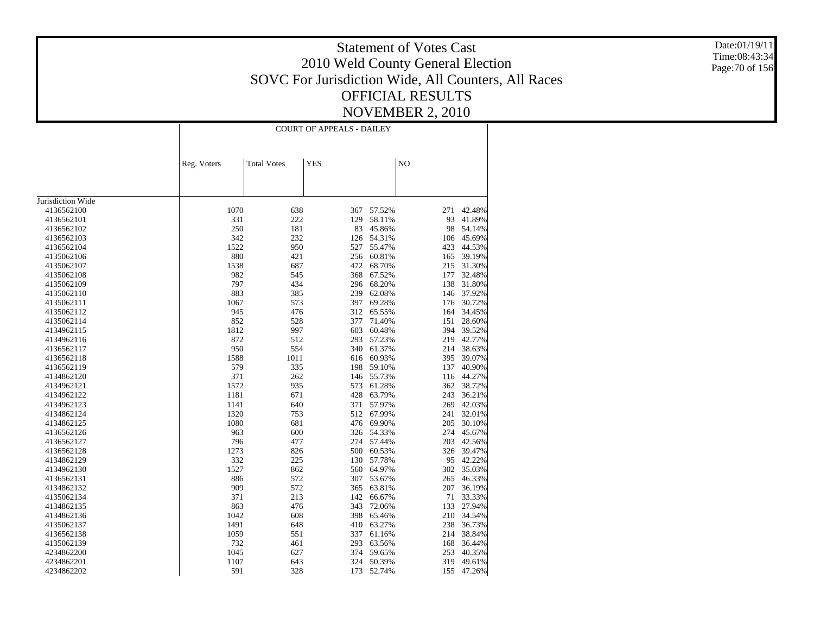Date:01/19/11 Time:08:43:34 Page:70 of 156

|                   |             | <b>COURT OF APPEALS - DAILEY</b> |            |        |     |        |  |  |
|-------------------|-------------|----------------------------------|------------|--------|-----|--------|--|--|
|                   |             |                                  |            |        |     |        |  |  |
|                   | Reg. Voters | <b>Total Votes</b>               | <b>YES</b> |        | NO  |        |  |  |
|                   |             |                                  |            |        |     |        |  |  |
|                   |             |                                  |            |        |     |        |  |  |
| Jurisdiction Wide |             |                                  |            |        |     |        |  |  |
| 4136562100        | 1070        | 638                              | 367        | 57.52% | 271 | 42.48% |  |  |
| 4136562101        | 331         | 222                              | 129        | 58.11% | 93  | 41.89% |  |  |
| 4136562102        | 250         | 181                              | 83         | 45.86% | 98  | 54.14% |  |  |
| 4136562103        | 342         | 232                              | 126        | 54.31% | 106 | 45.69% |  |  |
| 4136562104        | 1522        | 950                              | 527        | 55.47% | 423 | 44.53% |  |  |
| 4135062106        | 880         | 421                              | 256        | 60.81% | 165 | 39.19% |  |  |
| 4135062107        | 1538        | 687                              | 472        | 68.70% | 215 | 31.30% |  |  |
| 4135062108        | 982         | 545                              | 368        | 67.52% | 177 | 32.48% |  |  |
| 4135062109        | 797         | 434                              | 296        | 68.20% | 138 | 31.80% |  |  |
| 4135062110        | 883         | 385                              | 239        | 62.08% | 146 | 37.92% |  |  |
| 4135062111        | 1067        | 573                              | 397        | 69.28% | 176 | 30.72% |  |  |
| 4135062112        | 945         | 476                              | 312        | 65.55% | 164 | 34.45% |  |  |
| 4135062114        | 852         | 528                              | 377        | 71.40% | 151 | 28.60% |  |  |
| 4134962115        | 1812        | 997                              | 603        | 60.48% | 394 | 39.52% |  |  |
| 4134962116        | 872         | 512                              | 293        | 57.23% | 219 | 42.77% |  |  |
| 4136562117        | 950         | 554                              | 340        | 61.37% | 214 | 38.63% |  |  |
| 4136562118        | 1588        | 1011                             | 616        | 60.93% | 395 | 39.07% |  |  |
| 4136562119        | 579         | 335                              | 198        | 59.10% | 137 | 40.90% |  |  |
| 4134862120        | 371         | 262                              | 146        | 55.73% | 116 | 44.27% |  |  |
| 4134962121        | 1572        | 935                              | 573        | 61.28% | 362 | 38.72% |  |  |
| 4134962122        | 1181        | 671                              | 428        | 63.79% | 243 | 36.21% |  |  |
| 4134962123        | 1141        | 640                              | 371        | 57.97% | 269 | 42.03% |  |  |
| 4134862124        | 1320        | 753                              | 512        | 67.99% | 241 | 32.01% |  |  |
| 4134862125        | 1080        | 681                              | 476        | 69.90% | 205 | 30.10% |  |  |
| 4136562126        | 963         | 600                              | 326        | 54.33% | 274 | 45.67% |  |  |
| 4136562127        | 796         | 477                              | 274        | 57.44% | 203 | 42.56% |  |  |
| 4136562128        | 1273        | 826                              | 500        | 60.53% | 326 | 39.47% |  |  |
| 4134862129        | 332         | 225                              | 130        | 57.78% | 95  | 42.22% |  |  |
| 4134962130        | 1527        | 862                              | 560        | 64.97% | 302 | 35.03% |  |  |
| 4136562131        | 886         | 572                              | 307        | 53.67% | 265 | 46.33% |  |  |
| 4134862132        | 909         | 572                              | 365        | 63.81% | 207 | 36.19% |  |  |
| 4135062134        | 371         | 213                              | 142        | 66.67% | 71  | 33.33% |  |  |
| 4134862135        | 863         | 476                              | 343        | 72.06% | 133 | 27.94% |  |  |
| 4134862136        | 1042        | 608                              | 398        | 65.46% | 210 | 34.54% |  |  |
| 4135062137        | 1491        | 648                              | 410        | 63.27% | 238 | 36.73% |  |  |
| 4136562138        | 1059        | 551                              | 337        | 61.16% | 214 | 38.84% |  |  |
| 4135062139        | 732         | 461                              | 293        | 63.56% | 168 | 36.44% |  |  |
| 4234862200        | 1045        | 627                              | 374        | 59.65% | 253 | 40.35% |  |  |
| 4234862201        | 1107        | 643                              | 324        | 50.39% | 319 | 49.61% |  |  |
| 4234862202        | 591         | 328                              | 173        | 52.74% | 155 | 47.26% |  |  |
|                   |             |                                  |            |        |     |        |  |  |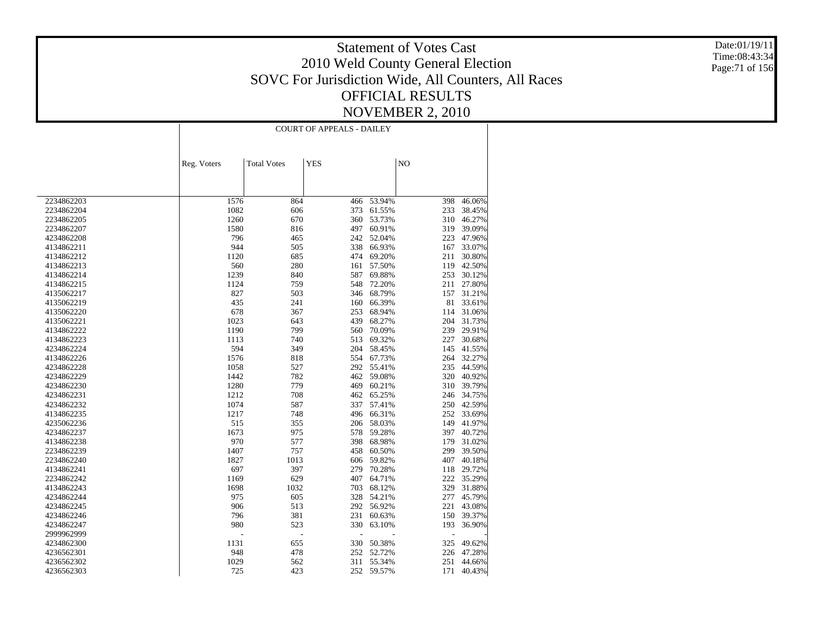Date:01/19/11 Time:08:43:34 Page:71 of 156

|            | <b>COURT OF APPEALS - DAILEY</b> |                    |            |            |     |        |  |
|------------|----------------------------------|--------------------|------------|------------|-----|--------|--|
|            |                                  |                    |            |            |     |        |  |
|            | Reg. Voters                      | <b>Total Votes</b> | <b>YES</b> |            | NO  |        |  |
|            |                                  |                    |            |            |     |        |  |
|            |                                  |                    |            |            |     |        |  |
|            |                                  |                    |            |            |     |        |  |
| 2234862203 | 1576                             | 864                | 466        | 53.94%     | 398 | 46.06% |  |
| 2234862204 | 1082                             | 606                | 373        | 61.55%     | 233 | 38.45% |  |
| 2234862205 | 1260                             | 670                | 360        | 53.73%     | 310 | 46.27% |  |
| 2234862207 | 1580                             | 816                | 497        | 60.91%     | 319 | 39.09% |  |
| 4234862208 | 796                              | 465                | 242        | 52.04%     | 223 | 47.96% |  |
| 4134862211 | 944                              | 505                | 338        | 66.93%     | 167 | 33.07% |  |
| 4134862212 | 1120                             | 685                | 474        | 69.20%     | 211 | 30.80% |  |
| 4134862213 | 560                              | 280                | 161        | 57.50%     | 119 | 42.50% |  |
| 4134862214 | 1239                             | 840                | 587        | 69.88%     | 253 | 30.12% |  |
| 4134862215 | 1124                             | 759                | 548        | 72.20%     | 211 | 27.80% |  |
| 4135062217 | 827                              | 503                | 346        | 68.79%     | 157 | 31.21% |  |
| 4135062219 | 435                              | 241                | 160        | 66.39%     | 81  | 33.61% |  |
| 4135062220 | 678                              | 367                | 253        | 68.94%     | 114 | 31.06% |  |
| 4135062221 | 1023                             | 643                | 439        | 68.27%     | 204 | 31.73% |  |
| 4134862222 | 1190                             | 799                | 560        | 70.09%     | 239 | 29.91% |  |
| 4134862223 | 1113                             | 740                | 513        | 69.32%     | 227 | 30.68% |  |
| 4234862224 | 594                              | 349                | 204        | 58.45%     | 145 | 41.55% |  |
| 4134862226 | 1576                             | 818                | 554        | 67.73%     | 264 | 32.27% |  |
| 4234862228 | 1058                             | 527                | 292        | 55.41%     | 235 | 44.59% |  |
| 4234862229 | 1442                             | 782                | 462        | 59.08%     | 320 | 40.92% |  |
| 4234862230 | 1280                             | 779                | 469        | 60.21%     | 310 | 39.79% |  |
| 4234862231 | 1212                             | 708                | 462        | 65.25%     | 246 | 34.75% |  |
| 4234862232 | 1074                             | 587                | 337        | 57.41%     | 250 | 42.59% |  |
| 4134862235 | 1217                             | 748                | 496        | 66.31%     | 252 | 33.69% |  |
| 4235062236 | 515                              | 355                | 206        | 58.03%     | 149 | 41.97% |  |
| 4234862237 | 1673                             | 975                | 578        | 59.28%     | 397 | 40.72% |  |
| 4134862238 | 970                              | 577                | 398        | 68.98%     | 179 | 31.02% |  |
| 2234862239 | 1407                             | 757                | 458        | 60.50%     | 299 | 39.50% |  |
| 2234862240 | 1827                             | 1013               | 606        | 59.82%     | 407 | 40.18% |  |
| 4134862241 | 697                              | 397                | 279        | 70.28%     | 118 | 29.72% |  |
| 2234862242 | 1169                             | 629                | 407        | 64.71%     | 222 | 35.29% |  |
| 4134862243 | 1698                             | 1032               | 703        | 68.12%     | 329 | 31.88% |  |
| 4234862244 | 975                              | 605                | 328        | 54.21%     | 277 | 45.79% |  |
| 4234862245 | 906                              | 513                | 292        | 56.92%     | 221 | 43.08% |  |
| 4234862246 | 796                              | 381                | 231        | 60.63%     | 150 | 39.37% |  |
| 4234862247 | 980                              | 523                | 330        | 63.10%     | 193 | 36.90% |  |
| 2999962999 |                                  | $\overline{a}$     |            |            | ÷,  |        |  |
| 4234862300 | 1131                             | 655                | 330        | 50.38%     | 325 | 49.62% |  |
| 4236562301 | 948                              | 478                | 252        | 52.72%     | 226 | 47.28% |  |
| 4236562302 | 1029                             | 562                | 311        | 55.34%     | 251 | 44.66% |  |
| 4236562303 | 725                              | 423                |            | 252 59.57% | 171 | 40.43% |  |
|            |                                  |                    |            |            |     |        |  |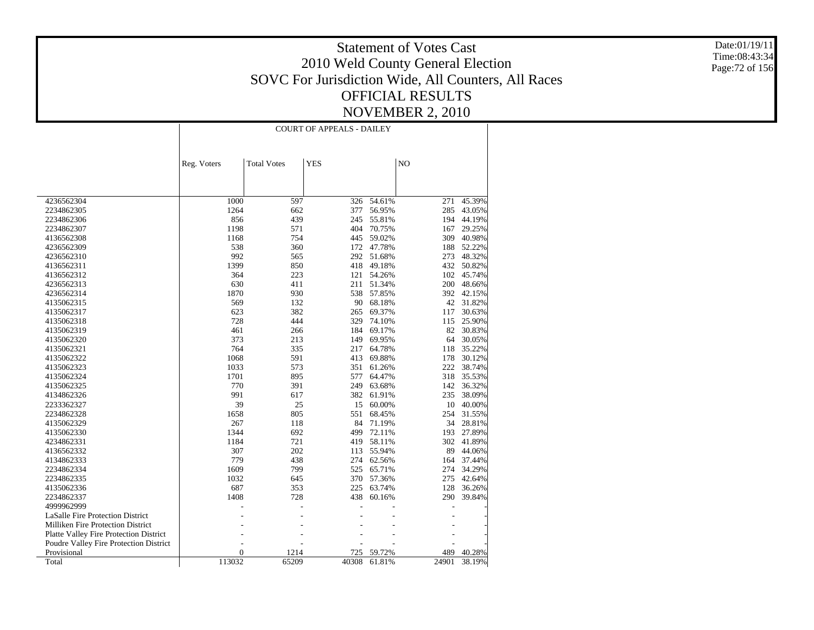Date:01/19/11 Time:08:43:34 Page:72 of 156

|                                        |                | <b>COURT OF APPEALS - DAILEY</b> |            |        |       |            |  |  |
|----------------------------------------|----------------|----------------------------------|------------|--------|-------|------------|--|--|
|                                        |                |                                  |            |        |       |            |  |  |
|                                        |                |                                  |            |        |       |            |  |  |
|                                        | Reg. Voters    | <b>Total Votes</b>               | <b>YES</b> |        | NO    |            |  |  |
|                                        |                |                                  |            |        |       |            |  |  |
|                                        |                |                                  |            |        |       |            |  |  |
| 4236562304                             | 1000           | 597                              | 326        | 54.61% | 271   | 45.39%     |  |  |
| 2234862305                             | 1264           | 662                              | 377        | 56.95% | 285   | 43.05%     |  |  |
| 2234862306                             | 856            | 439                              | 245        | 55.81% | 194   | 44.19%     |  |  |
| 2234862307                             | 1198           | 571                              | 404        | 70.75% | 167   | 29.25%     |  |  |
| 4136562308                             | 1168           | 754                              | 445        | 59.02% | 309   | 40.98%     |  |  |
| 4236562309                             | 538            | 360                              | 172        | 47.78% | 188   | 52.22%     |  |  |
| 4236562310                             | 992            | 565                              | 292        | 51.68% | 273   | 48.32%     |  |  |
| 4136562311                             | 1399           | 850                              | 418        | 49.18% | 432   | 50.82%     |  |  |
| 4136562312                             | 364            | 223                              | 121        | 54.26% | 102   | 45.74%     |  |  |
| 4236562313                             | 630            | 411                              | 211        | 51.34% | 200   | 48.66%     |  |  |
| 4236562314                             | 1870           | 930                              | 538        | 57.85% |       | 392 42.15% |  |  |
| 4135062315                             | 569            | 132                              | 90         | 68.18% | 42    | 31.82%     |  |  |
| 4135062317                             | 623            | 382                              | 265        | 69.37% | 117   | 30.63%     |  |  |
| 4135062318                             | 728            | 444                              | 329        | 74.10% | 115   | 25.90%     |  |  |
| 4135062319                             | 461            | 266                              | 184        | 69.17% | 82    | 30.83%     |  |  |
| 4135062320                             | 373            | 213                              | 149        | 69.95% | 64    | 30.05%     |  |  |
| 4135062321                             | 764            | 335                              | 217        | 64.78% | 118   | 35.22%     |  |  |
| 4135062322                             | 1068           | 591                              | 413        | 69.88% | 178   | 30.12%     |  |  |
| 4135062323                             | 1033           | 573                              | 351        | 61.26% | 222   | 38.74%     |  |  |
| 4135062324                             | 1701           | 895                              | 577        | 64.47% | 318   | 35.53%     |  |  |
| 4135062325                             | 770            | 391                              | 249        | 63.68% | 142   | 36.32%     |  |  |
| 4134862326                             | 991            | 617                              | 382        | 61.91% | 235   | 38.09%     |  |  |
| 2233362327                             | 39             | 25                               | 15         | 60.00% | 10    | 40.00%     |  |  |
| 2234862328                             | 1658           | 805                              | 551        | 68.45% | 254   | 31.55%     |  |  |
| 4135062329                             | 267            | 118                              | 84         | 71.19% | 34    | 28.81%     |  |  |
| 4135062330                             | 1344           | 692                              | 499        | 72.11% | 193   | 27.89%     |  |  |
| 4234862331                             | 1184           | 721                              | 419        | 58.11% | 302   | 41.89%     |  |  |
| 4136562332                             | 307            | 202                              | 113        | 55.94% | 89    | 44.06%     |  |  |
| 4134862333                             | 779            | 438                              | 274        | 62.56% | 164   | 37.44%     |  |  |
| 2234862334                             | 1609           | 799                              | 525        | 65.71% | 274   | 34.29%     |  |  |
| 2234862335                             | 1032           | 645                              | 370        | 57.36% | 275   | 42.64%     |  |  |
| 4135062336                             | 687            | 353                              | 225        | 63.74% | 128   | 36.26%     |  |  |
| 2234862337                             | 1408           | 728                              | 438        | 60.16% | 290   | 39.84%     |  |  |
| 4999962999                             |                |                                  |            |        |       |            |  |  |
| LaSalle Fire Protection District       |                |                                  |            |        |       |            |  |  |
| Milliken Fire Protection District      |                |                                  |            |        |       |            |  |  |
| Platte Valley Fire Protection District |                |                                  |            |        |       |            |  |  |
| Poudre Valley Fire Protection District |                |                                  |            |        |       |            |  |  |
| Provisional                            | $\overline{0}$ | 1214                             | 725        | 59.72% | 489   | 40.28%     |  |  |
| Total                                  | 113032         | 65209                            | 40308      | 61.81% | 24901 | 38.19%     |  |  |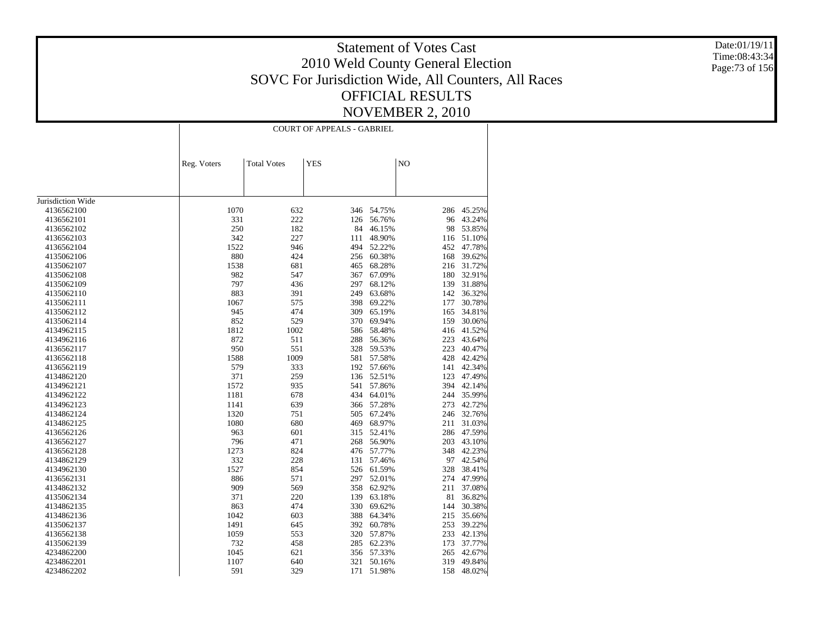Date:01/19/11 Time:08:43:34 Page:73 of 156

| NO<br><b>Total Votes</b><br><b>YES</b><br>Reg. Voters<br>Jurisdiction Wide<br>1070<br>346 54.75%<br>4136562100<br>632<br>286<br>45.25%<br>331<br>222<br>56.76%<br>96<br>4136562101<br>126<br>43.24%<br>53.85%<br>250<br>182<br>84<br>46.15%<br>98<br>4136562102<br>342<br>227<br>4136562103<br>111<br>48.90%<br>51.10%<br>116<br>52.22%<br>47.78%<br>1522<br>946<br>494<br>452<br>4136562104<br>880<br>424<br>60.38%<br>168<br>39.62%<br>4135062106<br>256<br>4135062107<br>1538<br>681<br>465<br>68.28%<br>216<br>31.72%<br>982<br>67.09%<br>32.91%<br>4135062108<br>547<br>367<br>180<br>797<br>436<br>297<br>68.12%<br>31.88%<br>4135062109<br>139<br>883<br>4135062110<br>391<br>249<br>63.68%<br>142<br>36.32%<br>1067<br>575<br>398<br>69.22%<br>177<br>30.78%<br>4135062111<br>945<br>474<br>65.19%<br>34.81%<br>4135062112<br>309<br>165<br>30.06%<br>4135062114<br>852<br>529<br>370<br>69.94%<br>159<br>1812<br>1002<br>586<br>58.48%<br>41.52%<br>4134962115<br>416<br>872<br>511<br>288<br>56.36%<br>223<br>43.64%<br>4134962116<br>950<br>551<br>328<br>59.53%<br>223<br>40.47%<br>4136562117<br>1009<br>4136562118<br>1588<br>581<br>57.58%<br>428<br>42.42%<br>579<br>333<br>192 57.66%<br>141<br>42.34%<br>4136562119<br>371<br>259<br>4134862120<br>136<br>52.51%<br>123<br>47.49%<br>1572<br>935<br>541<br>57.86%<br>394<br>42.14%<br>4134962121<br>1181<br>678<br>434<br>35.99%<br>4134962122<br>64.01%<br>244<br>42.72%<br>1141<br>639<br>366 57.28%<br>273<br>4134962123<br>1320<br>67.24%<br>751<br>505<br>246<br>32.76%<br>4134862124<br>1080<br>469<br>68.97%<br>211<br>31.03%<br>4134862125<br>680<br>52.41%<br>4136562126<br>963<br>601<br>315<br>286<br>47.59%<br>4136562127<br>796<br>471<br>268<br>56.90%<br>203<br>43.10%<br>1273<br>824<br>348<br>42.23%<br>4136562128<br>476 57.77%<br>332<br>97<br>42.54%<br>4134862129<br>228<br>131<br>57.46%<br>1527<br>4134962130<br>854<br>526<br>61.59%<br>328<br>38.41%<br>886<br>571<br>297<br>52.01%<br>274<br>47.99%<br>4136562131<br>909<br>358<br>62.92%<br>37.08%<br>4134862132<br>569<br>211<br>371<br>220<br>139<br>63.18%<br>81<br>36.82%<br>4135062134<br>330<br>30.38%<br>4134862135<br>863<br>474<br>69.62%<br>144<br>35.66%<br>1042<br>603<br>388<br>64.34%<br>215<br>4134862136<br>392<br>60.78%<br>39.22%<br>4135062137<br>1491<br>645<br>253<br>1059<br>553<br>320<br>57.87%<br>233<br>42.13%<br>4136562138<br>732<br>285<br>62.23%<br>37.77%<br>4135062139<br>458<br>173<br>1045<br>621<br>356<br>57.33%<br>265<br>42.67%<br>4234862200<br>1107<br>640<br>321<br>50.16%<br>319<br>49.84%<br>4234862201<br>591<br>329<br>158<br>48.02%<br>4234862202<br>171<br>51.98% |  | <b>COURT OF APPEALS - GABRIEL</b> |  |  |
|---------------------------------------------------------------------------------------------------------------------------------------------------------------------------------------------------------------------------------------------------------------------------------------------------------------------------------------------------------------------------------------------------------------------------------------------------------------------------------------------------------------------------------------------------------------------------------------------------------------------------------------------------------------------------------------------------------------------------------------------------------------------------------------------------------------------------------------------------------------------------------------------------------------------------------------------------------------------------------------------------------------------------------------------------------------------------------------------------------------------------------------------------------------------------------------------------------------------------------------------------------------------------------------------------------------------------------------------------------------------------------------------------------------------------------------------------------------------------------------------------------------------------------------------------------------------------------------------------------------------------------------------------------------------------------------------------------------------------------------------------------------------------------------------------------------------------------------------------------------------------------------------------------------------------------------------------------------------------------------------------------------------------------------------------------------------------------------------------------------------------------------------------------------------------------------------------------------------------------------------------------------------------------------------------------------------------------------------------------------------------------------------------------------------------------------------------------------------------------------------------------------------------------------------------------------------------------------------------------------------------------------------------------------|--|-----------------------------------|--|--|
|                                                                                                                                                                                                                                                                                                                                                                                                                                                                                                                                                                                                                                                                                                                                                                                                                                                                                                                                                                                                                                                                                                                                                                                                                                                                                                                                                                                                                                                                                                                                                                                                                                                                                                                                                                                                                                                                                                                                                                                                                                                                                                                                                                                                                                                                                                                                                                                                                                                                                                                                                                                                                                                               |  |                                   |  |  |
|                                                                                                                                                                                                                                                                                                                                                                                                                                                                                                                                                                                                                                                                                                                                                                                                                                                                                                                                                                                                                                                                                                                                                                                                                                                                                                                                                                                                                                                                                                                                                                                                                                                                                                                                                                                                                                                                                                                                                                                                                                                                                                                                                                                                                                                                                                                                                                                                                                                                                                                                                                                                                                                               |  |                                   |  |  |
|                                                                                                                                                                                                                                                                                                                                                                                                                                                                                                                                                                                                                                                                                                                                                                                                                                                                                                                                                                                                                                                                                                                                                                                                                                                                                                                                                                                                                                                                                                                                                                                                                                                                                                                                                                                                                                                                                                                                                                                                                                                                                                                                                                                                                                                                                                                                                                                                                                                                                                                                                                                                                                                               |  |                                   |  |  |
|                                                                                                                                                                                                                                                                                                                                                                                                                                                                                                                                                                                                                                                                                                                                                                                                                                                                                                                                                                                                                                                                                                                                                                                                                                                                                                                                                                                                                                                                                                                                                                                                                                                                                                                                                                                                                                                                                                                                                                                                                                                                                                                                                                                                                                                                                                                                                                                                                                                                                                                                                                                                                                                               |  |                                   |  |  |
|                                                                                                                                                                                                                                                                                                                                                                                                                                                                                                                                                                                                                                                                                                                                                                                                                                                                                                                                                                                                                                                                                                                                                                                                                                                                                                                                                                                                                                                                                                                                                                                                                                                                                                                                                                                                                                                                                                                                                                                                                                                                                                                                                                                                                                                                                                                                                                                                                                                                                                                                                                                                                                                               |  |                                   |  |  |
|                                                                                                                                                                                                                                                                                                                                                                                                                                                                                                                                                                                                                                                                                                                                                                                                                                                                                                                                                                                                                                                                                                                                                                                                                                                                                                                                                                                                                                                                                                                                                                                                                                                                                                                                                                                                                                                                                                                                                                                                                                                                                                                                                                                                                                                                                                                                                                                                                                                                                                                                                                                                                                                               |  |                                   |  |  |
|                                                                                                                                                                                                                                                                                                                                                                                                                                                                                                                                                                                                                                                                                                                                                                                                                                                                                                                                                                                                                                                                                                                                                                                                                                                                                                                                                                                                                                                                                                                                                                                                                                                                                                                                                                                                                                                                                                                                                                                                                                                                                                                                                                                                                                                                                                                                                                                                                                                                                                                                                                                                                                                               |  |                                   |  |  |
|                                                                                                                                                                                                                                                                                                                                                                                                                                                                                                                                                                                                                                                                                                                                                                                                                                                                                                                                                                                                                                                                                                                                                                                                                                                                                                                                                                                                                                                                                                                                                                                                                                                                                                                                                                                                                                                                                                                                                                                                                                                                                                                                                                                                                                                                                                                                                                                                                                                                                                                                                                                                                                                               |  |                                   |  |  |
|                                                                                                                                                                                                                                                                                                                                                                                                                                                                                                                                                                                                                                                                                                                                                                                                                                                                                                                                                                                                                                                                                                                                                                                                                                                                                                                                                                                                                                                                                                                                                                                                                                                                                                                                                                                                                                                                                                                                                                                                                                                                                                                                                                                                                                                                                                                                                                                                                                                                                                                                                                                                                                                               |  |                                   |  |  |
|                                                                                                                                                                                                                                                                                                                                                                                                                                                                                                                                                                                                                                                                                                                                                                                                                                                                                                                                                                                                                                                                                                                                                                                                                                                                                                                                                                                                                                                                                                                                                                                                                                                                                                                                                                                                                                                                                                                                                                                                                                                                                                                                                                                                                                                                                                                                                                                                                                                                                                                                                                                                                                                               |  |                                   |  |  |
|                                                                                                                                                                                                                                                                                                                                                                                                                                                                                                                                                                                                                                                                                                                                                                                                                                                                                                                                                                                                                                                                                                                                                                                                                                                                                                                                                                                                                                                                                                                                                                                                                                                                                                                                                                                                                                                                                                                                                                                                                                                                                                                                                                                                                                                                                                                                                                                                                                                                                                                                                                                                                                                               |  |                                   |  |  |
|                                                                                                                                                                                                                                                                                                                                                                                                                                                                                                                                                                                                                                                                                                                                                                                                                                                                                                                                                                                                                                                                                                                                                                                                                                                                                                                                                                                                                                                                                                                                                                                                                                                                                                                                                                                                                                                                                                                                                                                                                                                                                                                                                                                                                                                                                                                                                                                                                                                                                                                                                                                                                                                               |  |                                   |  |  |
|                                                                                                                                                                                                                                                                                                                                                                                                                                                                                                                                                                                                                                                                                                                                                                                                                                                                                                                                                                                                                                                                                                                                                                                                                                                                                                                                                                                                                                                                                                                                                                                                                                                                                                                                                                                                                                                                                                                                                                                                                                                                                                                                                                                                                                                                                                                                                                                                                                                                                                                                                                                                                                                               |  |                                   |  |  |
|                                                                                                                                                                                                                                                                                                                                                                                                                                                                                                                                                                                                                                                                                                                                                                                                                                                                                                                                                                                                                                                                                                                                                                                                                                                                                                                                                                                                                                                                                                                                                                                                                                                                                                                                                                                                                                                                                                                                                                                                                                                                                                                                                                                                                                                                                                                                                                                                                                                                                                                                                                                                                                                               |  |                                   |  |  |
|                                                                                                                                                                                                                                                                                                                                                                                                                                                                                                                                                                                                                                                                                                                                                                                                                                                                                                                                                                                                                                                                                                                                                                                                                                                                                                                                                                                                                                                                                                                                                                                                                                                                                                                                                                                                                                                                                                                                                                                                                                                                                                                                                                                                                                                                                                                                                                                                                                                                                                                                                                                                                                                               |  |                                   |  |  |
|                                                                                                                                                                                                                                                                                                                                                                                                                                                                                                                                                                                                                                                                                                                                                                                                                                                                                                                                                                                                                                                                                                                                                                                                                                                                                                                                                                                                                                                                                                                                                                                                                                                                                                                                                                                                                                                                                                                                                                                                                                                                                                                                                                                                                                                                                                                                                                                                                                                                                                                                                                                                                                                               |  |                                   |  |  |
|                                                                                                                                                                                                                                                                                                                                                                                                                                                                                                                                                                                                                                                                                                                                                                                                                                                                                                                                                                                                                                                                                                                                                                                                                                                                                                                                                                                                                                                                                                                                                                                                                                                                                                                                                                                                                                                                                                                                                                                                                                                                                                                                                                                                                                                                                                                                                                                                                                                                                                                                                                                                                                                               |  |                                   |  |  |
|                                                                                                                                                                                                                                                                                                                                                                                                                                                                                                                                                                                                                                                                                                                                                                                                                                                                                                                                                                                                                                                                                                                                                                                                                                                                                                                                                                                                                                                                                                                                                                                                                                                                                                                                                                                                                                                                                                                                                                                                                                                                                                                                                                                                                                                                                                                                                                                                                                                                                                                                                                                                                                                               |  |                                   |  |  |
|                                                                                                                                                                                                                                                                                                                                                                                                                                                                                                                                                                                                                                                                                                                                                                                                                                                                                                                                                                                                                                                                                                                                                                                                                                                                                                                                                                                                                                                                                                                                                                                                                                                                                                                                                                                                                                                                                                                                                                                                                                                                                                                                                                                                                                                                                                                                                                                                                                                                                                                                                                                                                                                               |  |                                   |  |  |
|                                                                                                                                                                                                                                                                                                                                                                                                                                                                                                                                                                                                                                                                                                                                                                                                                                                                                                                                                                                                                                                                                                                                                                                                                                                                                                                                                                                                                                                                                                                                                                                                                                                                                                                                                                                                                                                                                                                                                                                                                                                                                                                                                                                                                                                                                                                                                                                                                                                                                                                                                                                                                                                               |  |                                   |  |  |
|                                                                                                                                                                                                                                                                                                                                                                                                                                                                                                                                                                                                                                                                                                                                                                                                                                                                                                                                                                                                                                                                                                                                                                                                                                                                                                                                                                                                                                                                                                                                                                                                                                                                                                                                                                                                                                                                                                                                                                                                                                                                                                                                                                                                                                                                                                                                                                                                                                                                                                                                                                                                                                                               |  |                                   |  |  |
|                                                                                                                                                                                                                                                                                                                                                                                                                                                                                                                                                                                                                                                                                                                                                                                                                                                                                                                                                                                                                                                                                                                                                                                                                                                                                                                                                                                                                                                                                                                                                                                                                                                                                                                                                                                                                                                                                                                                                                                                                                                                                                                                                                                                                                                                                                                                                                                                                                                                                                                                                                                                                                                               |  |                                   |  |  |
|                                                                                                                                                                                                                                                                                                                                                                                                                                                                                                                                                                                                                                                                                                                                                                                                                                                                                                                                                                                                                                                                                                                                                                                                                                                                                                                                                                                                                                                                                                                                                                                                                                                                                                                                                                                                                                                                                                                                                                                                                                                                                                                                                                                                                                                                                                                                                                                                                                                                                                                                                                                                                                                               |  |                                   |  |  |
|                                                                                                                                                                                                                                                                                                                                                                                                                                                                                                                                                                                                                                                                                                                                                                                                                                                                                                                                                                                                                                                                                                                                                                                                                                                                                                                                                                                                                                                                                                                                                                                                                                                                                                                                                                                                                                                                                                                                                                                                                                                                                                                                                                                                                                                                                                                                                                                                                                                                                                                                                                                                                                                               |  |                                   |  |  |
|                                                                                                                                                                                                                                                                                                                                                                                                                                                                                                                                                                                                                                                                                                                                                                                                                                                                                                                                                                                                                                                                                                                                                                                                                                                                                                                                                                                                                                                                                                                                                                                                                                                                                                                                                                                                                                                                                                                                                                                                                                                                                                                                                                                                                                                                                                                                                                                                                                                                                                                                                                                                                                                               |  |                                   |  |  |
|                                                                                                                                                                                                                                                                                                                                                                                                                                                                                                                                                                                                                                                                                                                                                                                                                                                                                                                                                                                                                                                                                                                                                                                                                                                                                                                                                                                                                                                                                                                                                                                                                                                                                                                                                                                                                                                                                                                                                                                                                                                                                                                                                                                                                                                                                                                                                                                                                                                                                                                                                                                                                                                               |  |                                   |  |  |
|                                                                                                                                                                                                                                                                                                                                                                                                                                                                                                                                                                                                                                                                                                                                                                                                                                                                                                                                                                                                                                                                                                                                                                                                                                                                                                                                                                                                                                                                                                                                                                                                                                                                                                                                                                                                                                                                                                                                                                                                                                                                                                                                                                                                                                                                                                                                                                                                                                                                                                                                                                                                                                                               |  |                                   |  |  |
|                                                                                                                                                                                                                                                                                                                                                                                                                                                                                                                                                                                                                                                                                                                                                                                                                                                                                                                                                                                                                                                                                                                                                                                                                                                                                                                                                                                                                                                                                                                                                                                                                                                                                                                                                                                                                                                                                                                                                                                                                                                                                                                                                                                                                                                                                                                                                                                                                                                                                                                                                                                                                                                               |  |                                   |  |  |
|                                                                                                                                                                                                                                                                                                                                                                                                                                                                                                                                                                                                                                                                                                                                                                                                                                                                                                                                                                                                                                                                                                                                                                                                                                                                                                                                                                                                                                                                                                                                                                                                                                                                                                                                                                                                                                                                                                                                                                                                                                                                                                                                                                                                                                                                                                                                                                                                                                                                                                                                                                                                                                                               |  |                                   |  |  |
|                                                                                                                                                                                                                                                                                                                                                                                                                                                                                                                                                                                                                                                                                                                                                                                                                                                                                                                                                                                                                                                                                                                                                                                                                                                                                                                                                                                                                                                                                                                                                                                                                                                                                                                                                                                                                                                                                                                                                                                                                                                                                                                                                                                                                                                                                                                                                                                                                                                                                                                                                                                                                                                               |  |                                   |  |  |
|                                                                                                                                                                                                                                                                                                                                                                                                                                                                                                                                                                                                                                                                                                                                                                                                                                                                                                                                                                                                                                                                                                                                                                                                                                                                                                                                                                                                                                                                                                                                                                                                                                                                                                                                                                                                                                                                                                                                                                                                                                                                                                                                                                                                                                                                                                                                                                                                                                                                                                                                                                                                                                                               |  |                                   |  |  |
|                                                                                                                                                                                                                                                                                                                                                                                                                                                                                                                                                                                                                                                                                                                                                                                                                                                                                                                                                                                                                                                                                                                                                                                                                                                                                                                                                                                                                                                                                                                                                                                                                                                                                                                                                                                                                                                                                                                                                                                                                                                                                                                                                                                                                                                                                                                                                                                                                                                                                                                                                                                                                                                               |  |                                   |  |  |
|                                                                                                                                                                                                                                                                                                                                                                                                                                                                                                                                                                                                                                                                                                                                                                                                                                                                                                                                                                                                                                                                                                                                                                                                                                                                                                                                                                                                                                                                                                                                                                                                                                                                                                                                                                                                                                                                                                                                                                                                                                                                                                                                                                                                                                                                                                                                                                                                                                                                                                                                                                                                                                                               |  |                                   |  |  |
|                                                                                                                                                                                                                                                                                                                                                                                                                                                                                                                                                                                                                                                                                                                                                                                                                                                                                                                                                                                                                                                                                                                                                                                                                                                                                                                                                                                                                                                                                                                                                                                                                                                                                                                                                                                                                                                                                                                                                                                                                                                                                                                                                                                                                                                                                                                                                                                                                                                                                                                                                                                                                                                               |  |                                   |  |  |
|                                                                                                                                                                                                                                                                                                                                                                                                                                                                                                                                                                                                                                                                                                                                                                                                                                                                                                                                                                                                                                                                                                                                                                                                                                                                                                                                                                                                                                                                                                                                                                                                                                                                                                                                                                                                                                                                                                                                                                                                                                                                                                                                                                                                                                                                                                                                                                                                                                                                                                                                                                                                                                                               |  |                                   |  |  |
|                                                                                                                                                                                                                                                                                                                                                                                                                                                                                                                                                                                                                                                                                                                                                                                                                                                                                                                                                                                                                                                                                                                                                                                                                                                                                                                                                                                                                                                                                                                                                                                                                                                                                                                                                                                                                                                                                                                                                                                                                                                                                                                                                                                                                                                                                                                                                                                                                                                                                                                                                                                                                                                               |  |                                   |  |  |
|                                                                                                                                                                                                                                                                                                                                                                                                                                                                                                                                                                                                                                                                                                                                                                                                                                                                                                                                                                                                                                                                                                                                                                                                                                                                                                                                                                                                                                                                                                                                                                                                                                                                                                                                                                                                                                                                                                                                                                                                                                                                                                                                                                                                                                                                                                                                                                                                                                                                                                                                                                                                                                                               |  |                                   |  |  |
|                                                                                                                                                                                                                                                                                                                                                                                                                                                                                                                                                                                                                                                                                                                                                                                                                                                                                                                                                                                                                                                                                                                                                                                                                                                                                                                                                                                                                                                                                                                                                                                                                                                                                                                                                                                                                                                                                                                                                                                                                                                                                                                                                                                                                                                                                                                                                                                                                                                                                                                                                                                                                                                               |  |                                   |  |  |
|                                                                                                                                                                                                                                                                                                                                                                                                                                                                                                                                                                                                                                                                                                                                                                                                                                                                                                                                                                                                                                                                                                                                                                                                                                                                                                                                                                                                                                                                                                                                                                                                                                                                                                                                                                                                                                                                                                                                                                                                                                                                                                                                                                                                                                                                                                                                                                                                                                                                                                                                                                                                                                                               |  |                                   |  |  |
|                                                                                                                                                                                                                                                                                                                                                                                                                                                                                                                                                                                                                                                                                                                                                                                                                                                                                                                                                                                                                                                                                                                                                                                                                                                                                                                                                                                                                                                                                                                                                                                                                                                                                                                                                                                                                                                                                                                                                                                                                                                                                                                                                                                                                                                                                                                                                                                                                                                                                                                                                                                                                                                               |  |                                   |  |  |
|                                                                                                                                                                                                                                                                                                                                                                                                                                                                                                                                                                                                                                                                                                                                                                                                                                                                                                                                                                                                                                                                                                                                                                                                                                                                                                                                                                                                                                                                                                                                                                                                                                                                                                                                                                                                                                                                                                                                                                                                                                                                                                                                                                                                                                                                                                                                                                                                                                                                                                                                                                                                                                                               |  |                                   |  |  |
|                                                                                                                                                                                                                                                                                                                                                                                                                                                                                                                                                                                                                                                                                                                                                                                                                                                                                                                                                                                                                                                                                                                                                                                                                                                                                                                                                                                                                                                                                                                                                                                                                                                                                                                                                                                                                                                                                                                                                                                                                                                                                                                                                                                                                                                                                                                                                                                                                                                                                                                                                                                                                                                               |  |                                   |  |  |
|                                                                                                                                                                                                                                                                                                                                                                                                                                                                                                                                                                                                                                                                                                                                                                                                                                                                                                                                                                                                                                                                                                                                                                                                                                                                                                                                                                                                                                                                                                                                                                                                                                                                                                                                                                                                                                                                                                                                                                                                                                                                                                                                                                                                                                                                                                                                                                                                                                                                                                                                                                                                                                                               |  |                                   |  |  |
|                                                                                                                                                                                                                                                                                                                                                                                                                                                                                                                                                                                                                                                                                                                                                                                                                                                                                                                                                                                                                                                                                                                                                                                                                                                                                                                                                                                                                                                                                                                                                                                                                                                                                                                                                                                                                                                                                                                                                                                                                                                                                                                                                                                                                                                                                                                                                                                                                                                                                                                                                                                                                                                               |  |                                   |  |  |
|                                                                                                                                                                                                                                                                                                                                                                                                                                                                                                                                                                                                                                                                                                                                                                                                                                                                                                                                                                                                                                                                                                                                                                                                                                                                                                                                                                                                                                                                                                                                                                                                                                                                                                                                                                                                                                                                                                                                                                                                                                                                                                                                                                                                                                                                                                                                                                                                                                                                                                                                                                                                                                                               |  |                                   |  |  |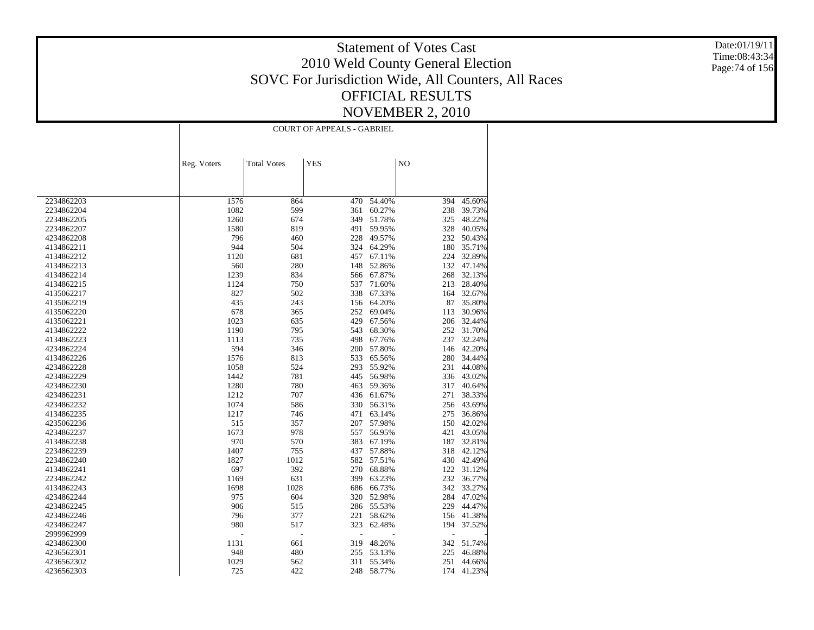Date:01/19/11 Time:08:43:34 Page:74 of 156

| NO<br><b>Total Votes</b><br><b>YES</b><br>Reg. Voters<br>2234862203<br>1576<br>864<br>54.40%<br>394<br>470<br>1082<br>599<br>361<br>60.27%<br>238<br>2234862204<br>1260<br>674<br>349<br>51.78%<br>325<br>2234862205 | 45.60%<br>39.73%<br>48.22%<br>40.05%<br>50.43%<br>35.71%<br>32.89%<br>47.14%<br>32.13%<br>28.40% |
|----------------------------------------------------------------------------------------------------------------------------------------------------------------------------------------------------------------------|--------------------------------------------------------------------------------------------------|
|                                                                                                                                                                                                                      |                                                                                                  |
|                                                                                                                                                                                                                      |                                                                                                  |
|                                                                                                                                                                                                                      |                                                                                                  |
|                                                                                                                                                                                                                      |                                                                                                  |
|                                                                                                                                                                                                                      |                                                                                                  |
| 1580<br>819<br>491<br>59.95%<br>328<br>2234862207                                                                                                                                                                    |                                                                                                  |
| 796<br>232<br>460<br>228<br>49.57%<br>4234862208                                                                                                                                                                     |                                                                                                  |
| 944<br>504<br>324<br>64.29%<br>180<br>4134862211                                                                                                                                                                     |                                                                                                  |
| 1120<br>681<br>457<br>67.11%<br>224<br>4134862212                                                                                                                                                                    |                                                                                                  |
| 560<br>148<br>132<br>280<br>52.86%<br>4134862213                                                                                                                                                                     |                                                                                                  |
| 1239<br>834<br>67.87%<br>268<br>4134862214<br>566                                                                                                                                                                    |                                                                                                  |
| 1124<br>4134862215<br>750<br>537<br>71.60%<br>213                                                                                                                                                                    |                                                                                                  |
| 827<br>502<br>338<br>67.33%<br>4135062217<br>164                                                                                                                                                                     | 32.67%                                                                                           |
| 4135062219<br>435<br>243<br>156<br>64.20%<br>87                                                                                                                                                                      | 35.80%                                                                                           |
| 4135062220<br>678<br>365<br>252<br>69.04%<br>113                                                                                                                                                                     | 30.96%                                                                                           |
| 1023<br>635<br>429<br>67.56%<br>206<br>4135062221                                                                                                                                                                    | 32.44%                                                                                           |
| 1190<br>68.30%<br>252<br>4134862222<br>795<br>543                                                                                                                                                                    | 31.70%                                                                                           |
| 1113<br>735<br>498<br>67.76%<br>237<br>4134862223                                                                                                                                                                    | 32.24%                                                                                           |
| 594<br>200<br>346<br>57.80%<br>146<br>4234862224                                                                                                                                                                     | 42.20%                                                                                           |
| 1576<br>813<br>533<br>65.56%<br>280<br>4134862226                                                                                                                                                                    | 34.44%                                                                                           |
| 55.92%<br>4234862228<br>1058<br>524<br>293<br>231                                                                                                                                                                    | 44.08%                                                                                           |
| 1442<br>781<br>445<br>56.98%<br>336<br>4234862229                                                                                                                                                                    | 43.02%                                                                                           |
| 1280<br>4234862230<br>780<br>463<br>59.36%<br>317                                                                                                                                                                    | 40.64%                                                                                           |
| 1212<br>707<br>436<br>61.67%<br>271<br>4234862231                                                                                                                                                                    | 38.33%                                                                                           |
| 1074<br>330<br>586<br>56.31%<br>256<br>4234862232                                                                                                                                                                    | 43.69%                                                                                           |
| 471<br>275<br>4134862235<br>1217<br>746<br>63.14%                                                                                                                                                                    | 36.86%                                                                                           |
| 515<br>207<br>57.98%<br>150<br>4235062236<br>357                                                                                                                                                                     | 42.02%                                                                                           |
| 1673<br>557<br>56.95%<br>4234862237<br>978<br>421                                                                                                                                                                    | 43.05%                                                                                           |
| 970<br>4134862238<br>570<br>383<br>67.19%<br>187                                                                                                                                                                     | 32.81%                                                                                           |
| 1407<br>755<br>437<br>57.88%<br>318<br>2234862239                                                                                                                                                                    | 42.12%                                                                                           |
| 1827<br>582<br>2234862240<br>1012<br>57.51%<br>430                                                                                                                                                                   | 42.49%                                                                                           |
| 697<br>392<br>270<br>68.88%<br>122<br>4134862241                                                                                                                                                                     | 31.12%                                                                                           |
| 1169<br>631<br>399<br>232<br>2234862242<br>63.23%                                                                                                                                                                    | 36.77%                                                                                           |
| 1698<br>1028<br>686<br>66.73%<br>342<br>4134862243                                                                                                                                                                   | 33.27%                                                                                           |
| 975<br>604<br>284<br>320<br>52.98%<br>4234862244                                                                                                                                                                     | 47.02%                                                                                           |
| 906<br>515<br>286<br>55.53%<br>229<br>4234862245                                                                                                                                                                     | 44.47%                                                                                           |
| 377<br>4234862246<br>796<br>221<br>58.62%<br>156                                                                                                                                                                     | 41.38%                                                                                           |
| 980<br>517<br>323<br>62.48%<br>194<br>4234862247                                                                                                                                                                     | 37.52%                                                                                           |
| 2999962999<br>Ĭ.                                                                                                                                                                                                     |                                                                                                  |
| 319<br>48.26%<br>342<br>4234862300<br>1131<br>661                                                                                                                                                                    | 51.74%                                                                                           |
| 225<br>4236562301<br>948<br>480<br>255<br>53.13%                                                                                                                                                                     | 46.88%                                                                                           |
| 1029<br>55.34%<br>251<br>4236562302<br>562<br>311                                                                                                                                                                    | 44.66%                                                                                           |
| 725<br>422<br>58.77%<br>174<br>4236562303<br>248                                                                                                                                                                     | 41.23%                                                                                           |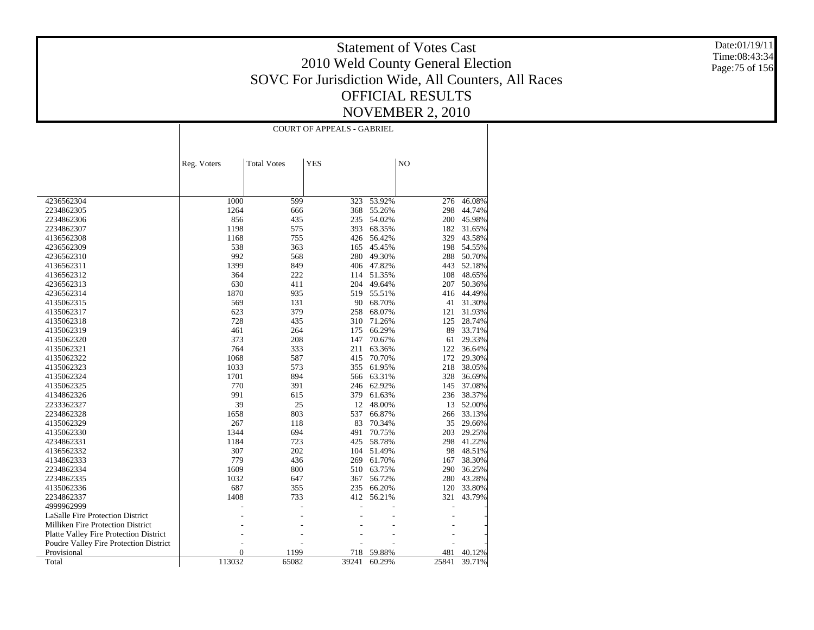Date:01/19/11 Time:08:43:34 Page:75 of 156

|                                        |                |                    | <b>COURT OF APPEALS - GABRIEL</b> |        |       |        |
|----------------------------------------|----------------|--------------------|-----------------------------------|--------|-------|--------|
|                                        |                |                    |                                   |        |       |        |
|                                        | Reg. Voters    | <b>Total Votes</b> | <b>YES</b>                        |        | NO    |        |
|                                        |                |                    |                                   |        |       |        |
|                                        |                |                    |                                   |        |       |        |
| 4236562304                             | 1000           | 599                | 323                               | 53.92% | 276   | 46.08% |
| 2234862305                             | 1264           | 666                | 368                               | 55.26% | 298   | 44.74% |
| 2234862306                             | 856            | 435                | 235                               | 54.02% | 200   | 45.98% |
| 2234862307                             | 1198           | 575                | 393                               | 68.35% | 182   | 31.65% |
| 4136562308                             | 1168           | 755                | 426                               | 56.42% | 329   | 43.58% |
| 4236562309                             | 538            | 363                | 165                               | 45.45% | 198   | 54.55% |
| 4236562310                             | 992            | 568                | 280                               | 49.30% | 288   | 50.70% |
| 4136562311                             | 1399           | 849                | 406                               | 47.82% | 443   | 52.18% |
| 4136562312                             | 364            | 222                | 114                               | 51.35% | 108   | 48.65% |
| 4236562313                             | 630            | 411                | 204                               | 49.64% | 207   | 50.36% |
| 4236562314                             | 1870           | 935                | 519                               | 55.51% | 416   | 44.49% |
| 4135062315                             | 569            | 131                | 90                                | 68.70% | 41    | 31.30% |
| 4135062317                             | 623            | 379                | 258                               | 68.07% | 121   | 31.93% |
| 4135062318                             | 728            | 435                | 310                               | 71.26% | 125   | 28.74% |
| 4135062319                             | 461            | 264                | 175                               | 66.29% | 89    | 33.71% |
| 4135062320                             | 373            | 208                | 147                               | 70.67% | 61    | 29.33% |
| 4135062321                             | 764            | 333                | 211                               | 63.36% | 122   | 36.64% |
| 4135062322                             | 1068           | 587                | 415                               | 70.70% | 172   | 29.30% |
| 4135062323                             | 1033           | 573                | 355                               | 61.95% | 218   | 38.05% |
| 4135062324                             | 1701           | 894                | 566                               | 63.31% | 328   | 36.69% |
| 4135062325                             | 770            | 391                | 246                               | 62.92% | 145   | 37.08% |
| 4134862326                             | 991            | 615                | 379                               | 61.63% | 236   | 38.37% |
| 2233362327                             | 39             | 25                 | 12                                | 48.00% | 13    | 52.00% |
| 2234862328                             | 1658           | 803                | 537                               | 66.87% | 266   | 33.13% |
| 4135062329                             | 267            | 118                | 83                                | 70.34% | 35    | 29.66% |
| 4135062330                             | 1344           | 694                | 491                               | 70.75% | 203   | 29.25% |
| 4234862331                             | 1184           | 723                | 425                               | 58.78% | 298   | 41.22% |
| 4136562332                             | 307            | 202                | 104                               | 51.49% | 98    | 48.51% |
| 4134862333                             | 779            | 436                | 269                               | 61.70% | 167   | 38.30% |
| 2234862334                             | 1609           | 800                | 510                               | 63.75% | 290   | 36.25% |
| 2234862335                             | 1032           | 647                | 367                               | 56.72% | 280   | 43.28% |
| 4135062336                             | 687            | 355                | 235                               | 66.20% | 120   | 33.80% |
| 2234862337                             | 1408           | 733                | 412                               | 56.21% | 321   | 43.79% |
| 4999962999                             |                |                    |                                   |        |       |        |
| LaSalle Fire Protection District       |                |                    |                                   |        |       |        |
| Milliken Fire Protection District      |                |                    |                                   |        |       |        |
| Platte Valley Fire Protection District |                |                    |                                   |        |       |        |
| Poudre Valley Fire Protection District |                |                    |                                   |        |       |        |
| Provisional                            | $\overline{0}$ | 1199               | 718                               | 59.88% | 481   | 40.12% |
| Total                                  | 113032         | 65082              | 39241                             | 60.29% | 25841 | 39.71% |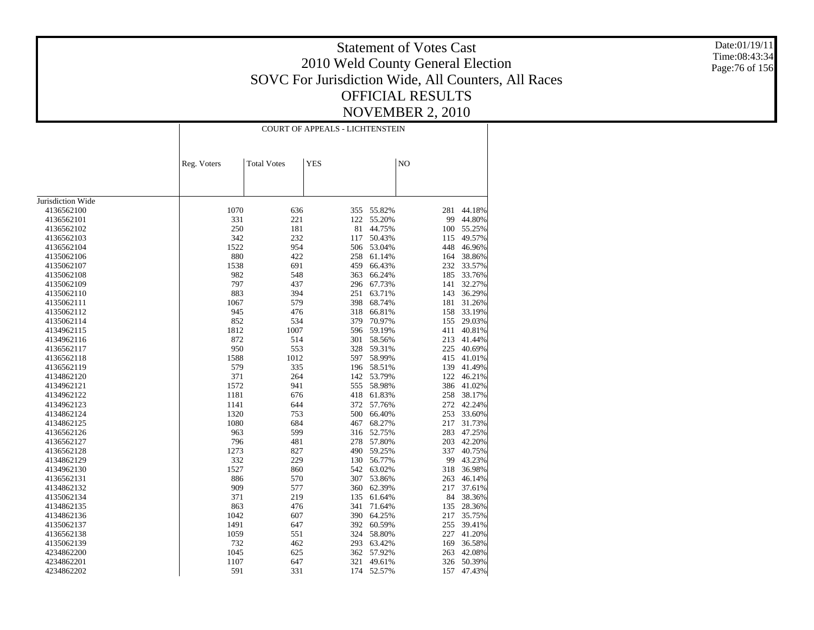Date:01/19/11 Time:08:43:34 Page:76 of 156

|                   |             |                    | <b>COURT OF APPEALS - LICHTENSTEIN</b> |            |                |        |
|-------------------|-------------|--------------------|----------------------------------------|------------|----------------|--------|
|                   |             |                    |                                        |            |                |        |
|                   | Reg. Voters | <b>Total Votes</b> | <b>YES</b>                             |            | N <sub>O</sub> |        |
|                   |             |                    |                                        |            |                |        |
|                   |             |                    |                                        |            |                |        |
| Jurisdiction Wide |             |                    |                                        |            |                |        |
| 4136562100        | 1070        | 636                | 355                                    | 55.82%     | 281            | 44.18% |
| 4136562101        | 331         | 221                | 122                                    | 55.20%     | 99             | 44.80% |
| 4136562102        | 250         | 181                | 81                                     | 44.75%     | 100            | 55.25% |
| 4136562103        | 342         | 232                | 117                                    | 50.43%     | 115            | 49.57% |
| 4136562104        | 1522        | 954                | 506                                    | 53.04%     | 448            | 46.96% |
| 4135062106        | 880         | 422                | 258                                    | 61.14%     | 164            | 38.86% |
| 4135062107        | 1538        | 691                | 459                                    | 66.43%     | 232            | 33.57% |
| 4135062108        | 982         | 548                | 363                                    | 66.24%     | 185            | 33.76% |
| 4135062109        | 797         | 437                | 296                                    | 67.73%     | 141            | 32.27% |
| 4135062110        | 883         | 394                | 251                                    | 63.71%     | 143            | 36.29% |
| 4135062111        | 1067        | 579                | 398                                    | 68.74%     | 181            | 31.26% |
| 4135062112        | 945         | 476                | 318                                    | 66.81%     | 158            | 33.19% |
| 4135062114        | 852         | 534                | 379                                    | 70.97%     | 155            | 29.03% |
| 4134962115        | 1812        | 1007               | 596                                    | 59.19%     | 411            | 40.81% |
| 4134962116        | 872         | 514                | 301                                    | 58.56%     | 213            | 41.44% |
| 4136562117        | 950         | 553                | 328                                    | 59.31%     | 225            | 40.69% |
| 4136562118        | 1588        | 1012               | 597                                    | 58.99%     | 415            | 41.01% |
| 4136562119        | 579         | 335                | 196                                    | 58.51%     | 139            | 41.49% |
| 4134862120        | 371         | 264                | 142                                    | 53.79%     | 122            | 46.21% |
| 4134962121        | 1572        | 941                | 555                                    | 58.98%     | 386            | 41.02% |
| 4134962122        | 1181        | 676                | 418                                    | 61.83%     | 258            | 38.17% |
| 4134962123        | 1141        | 644                | 372                                    | 57.76%     | 272            | 42.24% |
| 4134862124        | 1320        | 753                | 500                                    | 66.40%     | 253            | 33.60% |
| 4134862125        | 1080        | 684                | 467                                    | 68.27%     | 217            | 31.73% |
| 4136562126        | 963         | 599                | 316                                    | 52.75%     | 283            | 47.25% |
| 4136562127        | 796         | 481                | 278                                    | 57.80%     | 203            | 42.20% |
| 4136562128        | 1273        | 827                | 490                                    | 59.25%     | 337            | 40.75% |
| 4134862129        | 332         | 229                | 130                                    | 56.77%     | 99             | 43.23% |
| 4134962130        | 1527        | 860                |                                        | 542 63.02% | 318            | 36.98% |
| 4136562131        | 886         | 570                | 307                                    | 53.86%     | 263            | 46.14% |
| 4134862132        | 909         | 577                | 360                                    | 62.39%     | 217            | 37.61% |
| 4135062134        | 371         | 219                | 135                                    | 61.64%     | 84             | 38.36% |
| 4134862135        | 863         | 476                | 341                                    | 71.64%     | 135            | 28.36% |
| 4134862136        | 1042        | 607                | 390                                    | 64.25%     | 217            | 35.75% |
| 4135062137        | 1491        | 647                |                                        | 392 60.59% | 255            | 39.41% |
| 4136562138        | 1059        | 551                | 324                                    | 58.80%     | 227            | 41.20% |
| 4135062139        | 732         | 462                | 293                                    | 63.42%     | 169            | 36.58% |
| 4234862200        | 1045        | 625                | 362                                    | 57.92%     | 263            | 42.08% |
| 4234862201        | 1107        | 647                | 321                                    | 49.61%     | 326            | 50.39% |
| 4234862202        | 591         | 331                | 174                                    | 52.57%     | 157            | 47.43% |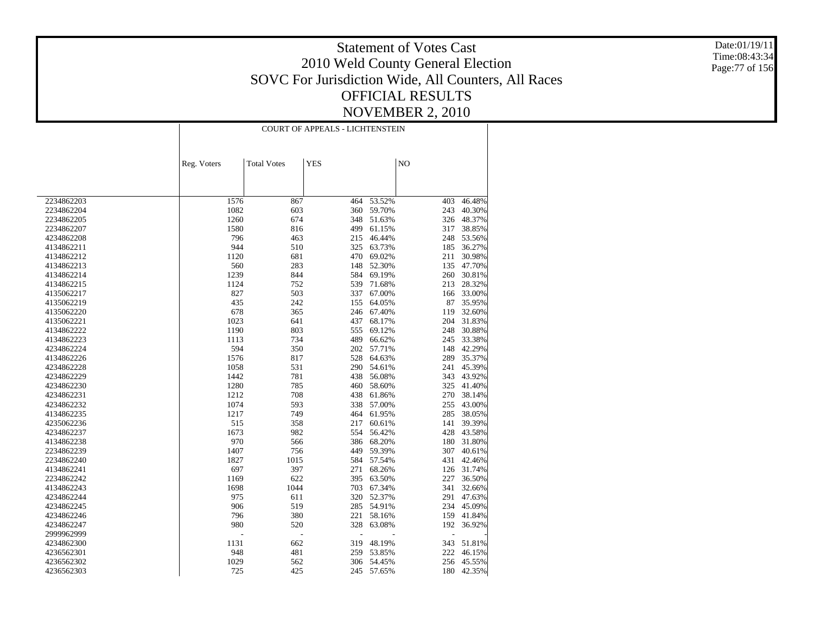Date:01/19/11 Time:08:43:34 Page:77 of 156

|                          | <b>COURT OF APPEALS - LICHTENSTEIN</b> |                    |            |                  |            |                  |
|--------------------------|----------------------------------------|--------------------|------------|------------------|------------|------------------|
|                          |                                        |                    |            |                  |            |                  |
|                          | Reg. Voters                            | <b>Total Votes</b> | <b>YES</b> |                  | NO         |                  |
|                          |                                        |                    |            |                  |            |                  |
|                          |                                        |                    |            |                  |            |                  |
| 2234862203               | 1576                                   | 867                | 464        | 53.52%           | 403        | 46.48%           |
| 2234862204               | 1082                                   | 603                | 360        | 59.70%           | 243        | 40.30%           |
| 2234862205               | 1260                                   | 674                | 348        | 51.63%           | 326        | 48.37%           |
| 2234862207               | 1580                                   | 816                | 499        | 61.15%           | 317        | 38.85%           |
| 4234862208               | 796                                    | 463                | 215        | 46.44%           | 248        | 53.56%           |
| 4134862211               | 944                                    | 510                | 325        | 63.73%           | 185        | 36.27%           |
| 4134862212               | 1120                                   | 681                | 470        | 69.02%           | 211        | 30.98%           |
| 4134862213               | 560                                    | 283                | 148        | 52.30%           | 135        | 47.70%           |
| 4134862214               | 1239                                   | 844                | 584        | 69.19%           | 260        | 30.81%           |
| 4134862215               | 1124                                   | 752                | 539        | 71.68%           | 213        | 28.32%           |
| 4135062217               | 827                                    | 503                | 337        | 67.00%           | 166        | 33.00%           |
| 4135062219               | 435                                    | 242                | 155        | 64.05%           | 87         | 35.95%           |
| 4135062220               | 678                                    | 365                | 246        | 67.40%           | 119        | 32.60%           |
| 4135062221               | 1023                                   | 641                | 437        | 68.17%           | 204        | 31.83%           |
| 4134862222               | 1190                                   | 803                | 555        | 69.12%           | 248        | 30.88%           |
| 4134862223               | 1113                                   | 734                | 489        | 66.62%           | 245        | 33.38%           |
| 4234862224               | 594                                    | 350                | 202        | 57.71%           | 148        | 42.29%           |
| 4134862226               | 1576                                   | 817                | 528        | 64.63%           | 289        | 35.37%           |
| 4234862228               | 1058                                   | 531                | 290        | 54.61%           | 241        | 45.39%           |
| 4234862229               | 1442                                   | 781                | 438        | 56.08%           | 343        | 43.92%           |
| 4234862230               | 1280                                   | 785                | 460        | 58.60%           | 325        | 41.40%           |
|                          | 1212                                   |                    |            |                  |            |                  |
| 4234862231<br>4234862232 | 1074                                   | 708<br>593         | 438<br>338 | 61.86%<br>57.00% | 270<br>255 | 38.14%<br>43.00% |
|                          | 1217                                   | 749                | 464        |                  | 285        | 38.05%           |
| 4134862235               | 515                                    |                    | 217        | 61.95%           | 141        | 39.39%           |
| 4235062236               | 1673                                   | 358<br>982         | 554        | 60.61%           | 428        |                  |
| 4234862237               | 970                                    |                    | 386        | 56.42%           | 180        | 43.58%<br>31.80% |
| 4134862238               | 1407                                   | 566                | 449        | 68.20%<br>59.39% | 307        | 40.61%           |
| 2234862239<br>2234862240 | 1827                                   | 756<br>1015        | 584        | 57.54%           | 431        | 42.46%           |
| 4134862241               | 697                                    | 397                | 271        | 68.26%           | 126        | 31.74%           |
|                          | 1169                                   | 622                | 395        | 63.50%           | 227        | 36.50%           |
| 2234862242               | 1698                                   | 1044               |            |                  |            |                  |
| 4134862243               |                                        |                    | 703        | 67.34%           | 341        | 32.66%           |
| 4234862244               | 975<br>906                             | 611<br>519         | 320<br>285 | 52.37%<br>54.91% | 291<br>234 | 47.63%<br>45.09% |
| 4234862245               |                                        | 380                | 221        | 58.16%           | 159        |                  |
| 4234862246               | 796                                    |                    | 328        |                  |            | 41.84%           |
| 4234862247               | 980                                    | 520                |            | 63.08%           | 192        | 36.92%           |
| 2999962999               |                                        | Ĭ.                 |            |                  |            |                  |
| 4234862300               | 1131                                   | 662                | 319        | 48.19%           | 343        | 51.81%           |
| 4236562301               | 948                                    | 481                | 259        | 53.85%           | 222        | 46.15%           |
| 4236562302               | 1029                                   | 562                | 306        | 54.45%           | 256        | 45.55%           |
| 4236562303               | 725                                    | 425                | 245        | 57.65%           | 180        | 42.35%           |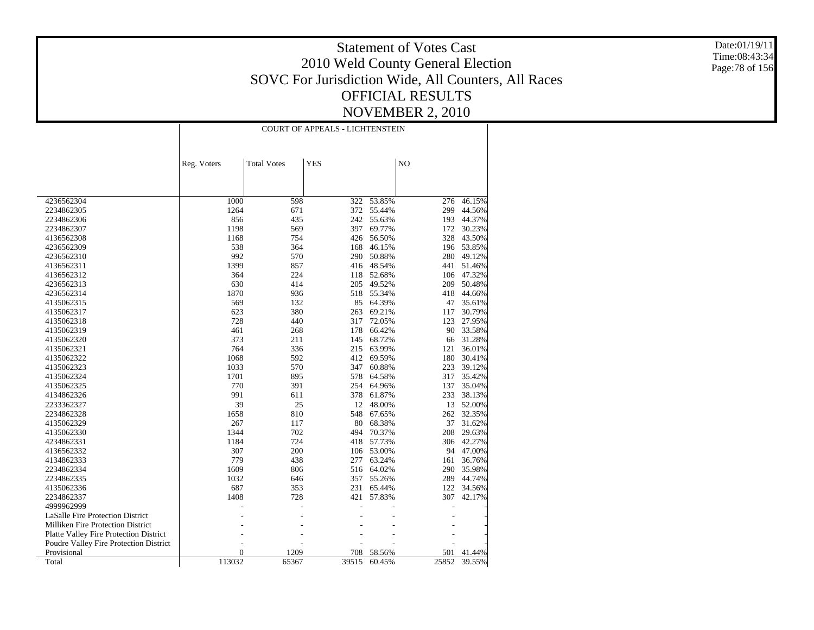Date:01/19/11 Time:08:43:34 Page:78 of 156

|                                        |                |                    | <b>COURT OF APPEALS - LICHTENSTEIN</b> |        |                |        |
|----------------------------------------|----------------|--------------------|----------------------------------------|--------|----------------|--------|
|                                        |                |                    |                                        |        |                |        |
|                                        | Reg. Voters    | <b>Total Votes</b> | <b>YES</b>                             |        | N <sub>O</sub> |        |
|                                        |                |                    |                                        |        |                |        |
|                                        |                |                    |                                        |        |                |        |
| 4236562304                             | 1000           | 598                | 322                                    | 53.85% | 276            | 46.15% |
| 2234862305                             | 1264           | 671                | 372                                    | 55.44% | 299            | 44.56% |
| 2234862306                             | 856            | 435                | 242                                    | 55.63% | 193            | 44.37% |
| 2234862307                             | 1198           | 569                | 397                                    | 69.77% | 172            | 30.23% |
| 4136562308                             | 1168           | 754                | 426                                    | 56.50% | 328            | 43.50% |
| 4236562309                             | 538            | 364                | 168                                    | 46.15% | 196            | 53.85% |
| 4236562310                             | 992            | 570                | 290                                    | 50.88% | 280            | 49.12% |
| 4136562311                             | 1399           | 857                | 416                                    | 48.54% | 441            | 51.46% |
| 4136562312                             | 364            | 224                | 118                                    | 52.68% | 106            | 47.32% |
| 4236562313                             | 630            | 414                | 205                                    | 49.52% | 209            | 50.48% |
| 4236562314                             | 1870           | 936                | 518                                    | 55.34% | 418            | 44.66% |
| 4135062315                             | 569            | 132                | 85                                     | 64.39% | 47             | 35.61% |
| 4135062317                             | 623            | 380                | 263                                    | 69.21% | 117            | 30.79% |
| 4135062318                             | 728            | 440                | 317                                    | 72.05% | 123            | 27.95% |
| 4135062319                             | 461            | 268                | 178                                    | 66.42% | 90             | 33.58% |
| 4135062320                             | 373            | 211                | 145                                    | 68.72% | 66             | 31.28% |
| 4135062321                             | 764            | 336                | 215                                    | 63.99% | 121            | 36.01% |
| 4135062322                             | 1068           | 592                | 412                                    | 69.59% | 180            | 30.41% |
| 4135062323                             | 1033           | 570                | 347                                    | 60.88% | 223            | 39.12% |
| 4135062324                             | 1701           | 895                | 578                                    | 64.58% | 317            | 35.42% |
| 4135062325                             | 770            | 391                | 254                                    | 64.96% | 137            | 35.04% |
| 4134862326                             | 991            | 611                | 378                                    | 61.87% | 233            | 38.13% |
| 2233362327                             | 39             | 25                 | 12                                     | 48.00% | 13             | 52.00% |
| 2234862328                             | 1658           | 810                | 548                                    | 67.65% | 262            | 32.35% |
| 4135062329                             | 267            | 117                | 80                                     | 68.38% | 37             | 31.62% |
| 4135062330                             | 1344           | 702                | 494                                    | 70.37% | 208            | 29.63% |
| 4234862331                             | 1184           | 724                | 418                                    | 57.73% | 306            | 42.27% |
| 4136562332                             | 307            | 200                | 106                                    | 53.00% | 94             | 47.00% |
| 4134862333                             | 779            | 438                | 277                                    | 63.24% | 161            | 36.76% |
| 2234862334                             | 1609           | 806                | 516                                    | 64.02% | 290            | 35.98% |
| 2234862335                             | 1032           | 646                | 357                                    | 55.26% | 289            | 44.74% |
| 4135062336                             | 687            | 353                | 231                                    | 65.44% | 122            | 34.56% |
| 2234862337                             | 1408           | 728                | 421                                    | 57.83% | 307            | 42.17% |
| 4999962999                             |                |                    |                                        |        |                |        |
| LaSalle Fire Protection District       |                |                    |                                        |        |                |        |
| Milliken Fire Protection District      |                |                    |                                        |        |                |        |
| Platte Valley Fire Protection District |                |                    |                                        |        |                |        |
| Poudre Valley Fire Protection District |                |                    |                                        |        |                |        |
| Provisional                            | $\overline{0}$ | 1209               | 708                                    | 58.56% | 501            | 41.44% |
| Total                                  | 113032         | 65367              | 39515                                  | 60.45% | 25852          | 39.55% |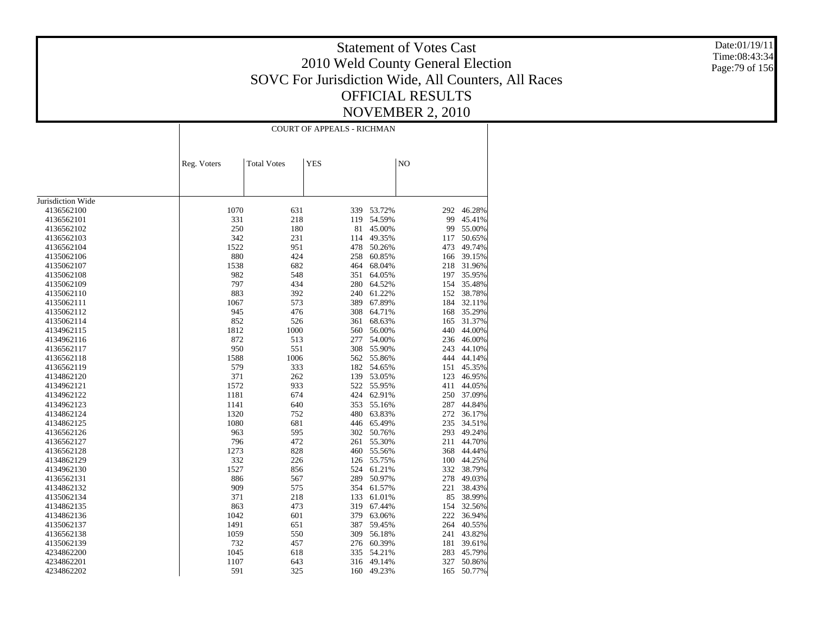Date:01/19/11 Time:08:43:34 Page:79 of 156

|                   |             |                    | <b>COURT OF APPEALS - RICHMAN</b> |            |     |        |
|-------------------|-------------|--------------------|-----------------------------------|------------|-----|--------|
|                   | Reg. Voters | <b>Total Votes</b> | <b>YES</b>                        |            | NO  |        |
|                   |             |                    |                                   |            |     |        |
| Jurisdiction Wide |             |                    |                                   |            |     |        |
| 4136562100        | 1070        | 631                | 339                               | 53.72%     | 292 | 46.28% |
| 4136562101        | 331         | 218                | 119                               | 54.59%     | 99  | 45.41% |
| 4136562102        | 250         | 180                | 81                                | 45.00%     | 99  | 55.00% |
| 4136562103        | 342         | 231                | 114                               | 49.35%     | 117 | 50.65% |
| 4136562104        | 1522        | 951                | 478                               | 50.26%     | 473 | 49.74% |
| 4135062106        | 880         | 424                | 258                               | 60.85%     | 166 | 39.15% |
| 4135062107        | 1538        | 682                | 464                               | 68.04%     | 218 | 31.96% |
| 4135062108        | 982         | 548                | 351                               | 64.05%     | 197 | 35.95% |
| 4135062109        | 797         | 434                | 280                               | 64.52%     | 154 | 35.48% |
| 4135062110        | 883         | 392                | 240                               | 61.22%     | 152 | 38.78% |
| 4135062111        | 1067        | 573                | 389                               | 67.89%     | 184 | 32.11% |
| 4135062112        | 945         | 476                | 308                               | 64.71%     | 168 | 35.29% |
| 4135062114        | 852         | 526                | 361                               | 68.63%     | 165 | 31.37% |
| 4134962115        | 1812        | 1000               | 560                               | 56.00%     | 440 | 44.00% |
| 4134962116        | 872         | 513                | 277                               | 54.00%     | 236 | 46.00% |
| 4136562117        | 950         | 551                | 308                               | 55.90%     | 243 | 44.10% |
| 4136562118        | 1588        | 1006               | 562                               | 55.86%     | 444 | 44.14% |
| 4136562119        | 579         | 333                | 182                               | 54.65%     | 151 | 45.35% |
| 4134862120        | 371         | 262                | 139                               | 53.05%     | 123 | 46.95% |
| 4134962121        | 1572        | 933                | 522                               | 55.95%     | 411 | 44.05% |
| 4134962122        | 1181        | 674                | 424                               | 62.91%     | 250 | 37.09% |
| 4134962123        | 1141        | 640                | 353                               | 55.16%     | 287 | 44.84% |
| 4134862124        | 1320        | 752                | 480                               | 63.83%     | 272 | 36.17% |
| 4134862125        | 1080        | 681                | 446                               | 65.49%     | 235 | 34.51% |
| 4136562126        | 963         | 595                | 302                               | 50.76%     | 293 | 49.24% |
| 4136562127        | 796         | 472                | 261                               | 55.30%     | 211 | 44.70% |
| 4136562128        | 1273        | 828                | 460                               | 55.56%     | 368 | 44.44% |
| 4134862129        | 332         | 226                | 126                               | 55.75%     | 100 | 44.25% |
| 4134962130        | 1527        | 856                | 524                               | 61.21%     | 332 | 38.79% |
| 4136562131        | 886         | 567                | 289                               | 50.97%     | 278 | 49.03% |
| 4134862132        | 909         | 575                | 354                               | 61.57%     | 221 | 38.43% |
| 4135062134        | 371         | 218                | 133                               | 61.01%     | 85  | 38.99% |
| 4134862135        | 863         | 473                | 319                               | 67.44%     | 154 | 32.56% |
| 4134862136        | 1042        | 601                | 379                               | 63.06%     | 222 | 36.94% |
| 4135062137        | 1491        | 651                | 387                               | 59.45%     | 264 | 40.55% |
| 4136562138        | 1059        | 550                | 309                               | 56.18%     | 241 | 43.82% |
| 4135062139        | 732         | 457                | 276                               | 60.39%     | 181 | 39.61% |
| 4234862200        | 1045        | 618                | 335                               | 54.21%     | 283 | 45.79% |
| 4234862201        | 1107        | 643                |                                   | 316 49.14% | 327 | 50.86% |
| 4234862202        | 591         | 325                |                                   | 160 49.23% | 165 | 50.77% |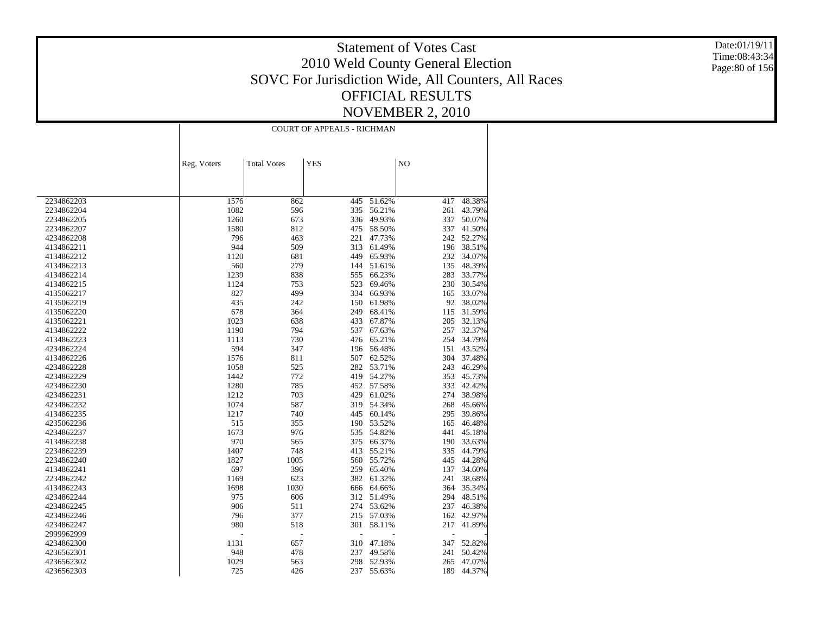Date:01/19/11 Time:08:43:34 Page:80 of 156

|            |             |                    | <b>COURT OF APPEALS - RICHMAN</b> |        |     |            |
|------------|-------------|--------------------|-----------------------------------|--------|-----|------------|
|            |             |                    |                                   |        |     |            |
|            | Reg. Voters | <b>Total Votes</b> | <b>YES</b>                        |        | NO  |            |
|            |             |                    |                                   |        |     |            |
|            |             |                    |                                   |        |     |            |
| 2234862203 | 1576        | 862                | 445                               | 51.62% | 417 | 48.38%     |
| 2234862204 | 1082        | 596                | 335                               | 56.21% | 261 | 43.79%     |
| 2234862205 | 1260        | 673                | 336                               | 49.93% | 337 | 50.07%     |
| 2234862207 | 1580        | 812                | 475                               | 58.50% | 337 | 41.50%     |
| 4234862208 | 796         | 463                | 221                               | 47.73% |     | 242 52.27% |
| 4134862211 | 944         | 509                | 313                               | 61.49% | 196 | 38.51%     |
| 4134862212 | 1120        | 681                | 449                               | 65.93% | 232 | 34.07%     |
| 4134862213 | 560         | 279                | 144                               | 51.61% | 135 | 48.39%     |
| 4134862214 | 1239        | 838                | 555                               | 66.23% | 283 | 33.77%     |
| 4134862215 | 1124        | 753                | 523                               | 69.46% | 230 | 30.54%     |
| 4135062217 | 827         | 499                | 334                               | 66.93% | 165 | 33.07%     |
| 4135062219 | 435         | 242                | 150                               | 61.98% | 92  | 38.02%     |
| 4135062220 | 678         | 364                | 249                               | 68.41% | 115 | 31.59%     |
| 4135062221 | 1023        | 638                | 433                               | 67.87% | 205 | 32.13%     |
| 4134862222 | 1190        | 794                | 537                               | 67.63% | 257 | 32.37%     |
| 4134862223 | 1113        | 730                | 476                               | 65.21% | 254 | 34.79%     |
| 4234862224 | 594         | 347                | 196                               | 56.48% | 151 | 43.52%     |
| 4134862226 | 1576        | 811                | 507                               | 62.52% | 304 | 37.48%     |
| 4234862228 | 1058        | 525                | 282                               | 53.71% | 243 | 46.29%     |
| 4234862229 | 1442        | 772                | 419                               | 54.27% | 353 | 45.73%     |
| 4234862230 | 1280        | 785                | 452                               | 57.58% | 333 | 42.42%     |
| 4234862231 | 1212        | 703                | 429                               | 61.02% | 274 | 38.98%     |
| 4234862232 | 1074        | 587                | 319                               | 54.34% | 268 | 45.66%     |
| 4134862235 | 1217        | 740                | 445                               | 60.14% | 295 | 39.86%     |
| 4235062236 | 515         | 355                | 190                               | 53.52% | 165 | 46.48%     |
| 4234862237 | 1673        | 976                | 535                               | 54.82% | 441 | 45.18%     |
| 4134862238 | 970         | 565                | 375                               | 66.37% | 190 | 33.63%     |
| 2234862239 | 1407        | 748                | 413                               | 55.21% | 335 | 44.79%     |
| 2234862240 | 1827        | 1005               | 560                               | 55.72% | 445 | 44.28%     |
| 4134862241 | 697         | 396                | 259                               | 65.40% | 137 | 34.60%     |
| 2234862242 | 1169        | 623                | 382                               | 61.32% | 241 | 38.68%     |
| 4134862243 | 1698        | 1030               | 666                               | 64.66% | 364 | 35.34%     |
| 4234862244 | 975         | 606                | 312                               | 51.49% | 294 | 48.51%     |
| 4234862245 | 906         | 511                | 274                               | 53.62% | 237 | 46.38%     |
| 4234862246 | 796         | 377                | 215                               | 57.03% | 162 | 42.97%     |
| 4234862247 | 980         | 518                | 301                               | 58.11% | 217 | 41.89%     |
| 2999962999 | L.          | $\overline{a}$     |                                   |        | ÷,  |            |
| 4234862300 | 1131        | 657                | 310                               | 47.18% | 347 | 52.82%     |
| 4236562301 | 948         | 478                | 237                               | 49.58% | 241 | 50.42%     |
| 4236562302 | 1029        | 563                | 298                               | 52.93% | 265 | 47.07%     |
| 4236562303 | 725         | 426                | 237                               | 55.63% | 189 | 44.37%     |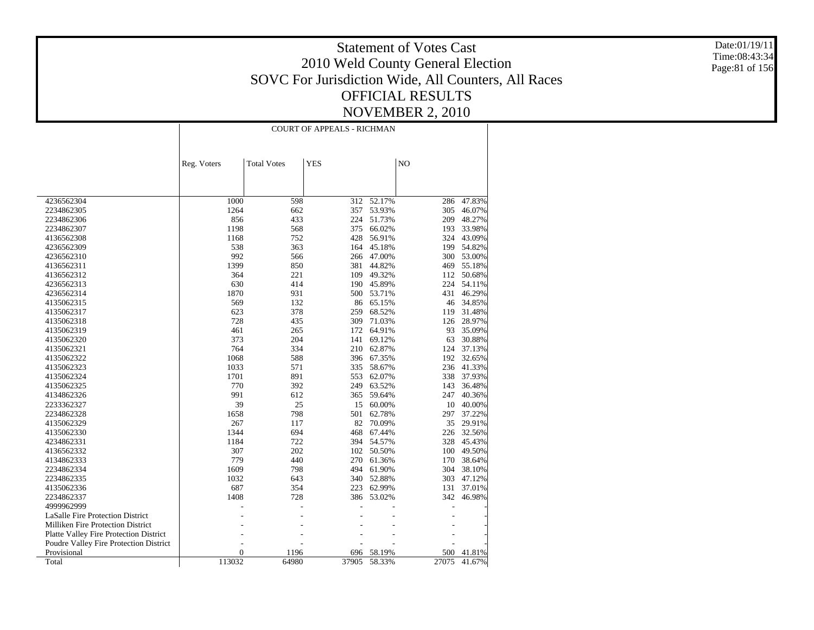Date:01/19/11 Time:08:43:34 Page:81 of 156

|                                        |                |                    | <b>COURT OF APPEALS - RICHMAN</b> |        |       |        |
|----------------------------------------|----------------|--------------------|-----------------------------------|--------|-------|--------|
|                                        |                |                    |                                   |        |       |        |
|                                        | Reg. Voters    | <b>Total Votes</b> | <b>YES</b>                        |        | NO    |        |
|                                        |                |                    |                                   |        |       |        |
| 4236562304                             | 1000           | 598                | 312                               | 52.17% | 286   | 47.83% |
| 2234862305                             | 1264           | 662                | 357                               | 53.93% | 305   | 46.07% |
| 2234862306                             | 856            | 433                | 224                               | 51.73% | 209   | 48.27% |
| 2234862307                             | 1198           | 568                | 375                               | 66.02% | 193   | 33.98% |
| 4136562308                             | 1168           | 752                | 428                               | 56.91% | 324   | 43.09% |
| 4236562309                             | 538            | 363                | 164                               | 45.18% | 199   | 54.82% |
| 4236562310                             | 992            | 566                | 266                               | 47.00% | 300   | 53.00% |
| 4136562311                             | 1399           | 850                | 381                               | 44.82% | 469   | 55.18% |
| 4136562312                             | 364            | 221                | 109                               | 49.32% | 112   | 50.68% |
| 4236562313                             | 630            | 414                | 190                               | 45.89% | 224   | 54.11% |
| 4236562314                             | 1870           | 931                | 500                               | 53.71% | 431   | 46.29% |
| 4135062315                             | 569            | 132                | 86                                | 65.15% | 46    | 34.85% |
| 4135062317                             | 623            | 378                | 259                               | 68.52% | 119   | 31.48% |
| 4135062318                             | 728            | 435                | 309                               | 71.03% | 126   | 28.97% |
| 4135062319                             | 461            | 265                | 172                               | 64.91% | 93    | 35.09% |
| 4135062320                             | 373            | 204                | 141                               | 69.12% | 63    | 30.88% |
| 4135062321                             | 764            | 334                | 210                               | 62.87% | 124   | 37.13% |
| 4135062322                             | 1068           | 588                | 396                               | 67.35% | 192   | 32.65% |
| 4135062323                             | 1033           | 571                | 335                               | 58.67% | 236   | 41.33% |
| 4135062324                             | 1701           | 891                | 553                               | 62.07% | 338   | 37.93% |
| 4135062325                             | 770            | 392                | 249                               | 63.52% | 143   | 36.48% |
| 4134862326                             | 991            | 612                | 365                               | 59.64% | 247   | 40.36% |
| 2233362327                             | 39             | 25                 | 15                                | 60.00% | 10    | 40.00% |
| 2234862328                             | 1658           | 798                | 501                               | 62.78% | 297   | 37.22% |
| 4135062329                             | 267            | 117                | 82                                | 70.09% | 35    | 29.91% |
| 4135062330                             | 1344           | 694                | 468                               | 67.44% | 226   | 32.56% |
| 4234862331                             | 1184           | 722                | 394                               | 54.57% | 328   | 45.43% |
| 4136562332                             | 307            | 202                | 102                               | 50.50% | 100   | 49.50% |
| 4134862333                             | 779            | 440                | 270                               | 61.36% | 170   | 38.64% |
| 2234862334                             | 1609           | 798                | 494                               | 61.90% | 304   | 38.10% |
| 2234862335                             | 1032           | 643                | 340                               | 52.88% | 303   | 47.12% |
| 4135062336                             | 687            | 354                | 223                               | 62.99% | 131   | 37.01% |
| 2234862337                             | 1408           | 728                | 386                               | 53.02% | 342   | 46.98% |
| 4999962999                             |                |                    |                                   |        |       |        |
| LaSalle Fire Protection District       |                |                    |                                   |        |       |        |
| Milliken Fire Protection District      |                |                    |                                   |        |       |        |
| Platte Valley Fire Protection District |                |                    |                                   |        |       |        |
| Poudre Valley Fire Protection District |                |                    |                                   |        |       |        |
| Provisional                            | $\overline{0}$ | 1196               | 696                               | 58.19% | 500   | 41.81% |
| Total                                  | 113032         | 64980              | 37905                             | 58.33% | 27075 | 41.67% |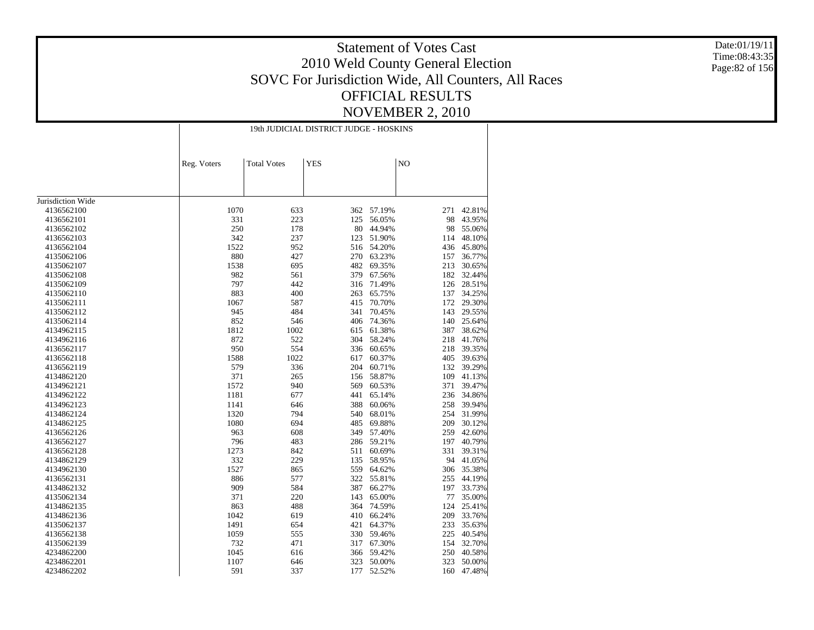Date:01/19/11 Time:08:43:35 Page:82 of 156

|                   |             |                    | 19th JUDICIAL DISTRICT JUDGE - HOSKINS |        |           |            |
|-------------------|-------------|--------------------|----------------------------------------|--------|-----------|------------|
|                   | Reg. Voters | <b>Total Votes</b> | <b>YES</b>                             |        | NO        |            |
|                   |             |                    |                                        |        |           |            |
|                   |             |                    |                                        |        |           |            |
|                   |             |                    |                                        |        |           |            |
| Jurisdiction Wide |             |                    |                                        |        |           |            |
| 4136562100        | 1070        | 633                | 362                                    | 57.19% | 271       | 42.81%     |
| 4136562101        | 331         | 223                | 125                                    | 56.05% | 98        | 43.95%     |
| 4136562102        | 250         | 178                | 80                                     | 44.94% | 98        | 55.06%     |
| 4136562103        | 342         | 237                | 123                                    | 51.90% | 114       | 48.10%     |
| 4136562104        | 1522        | 952                | 516                                    | 54.20% | 436       | 45.80%     |
| 4135062106        | 880         | 427                | 270                                    | 63.23% | 157       | 36.77%     |
| 4135062107        | 1538        | 695                | 482                                    | 69.35% | 213       | 30.65%     |
| 4135062108        | 982         | 561                | 379                                    | 67.56% | 182       | 32.44%     |
| 4135062109        | 797         | 442                | 316                                    | 71.49% | 126       | 28.51%     |
| 4135062110        | 883         | 400                | 263                                    | 65.75% | 137       | 34.25%     |
| 4135062111        | 1067        | 587                | 415                                    | 70.70% | 172       | 29.30%     |
| 4135062112        | 945         | 484                | 341                                    | 70.45% | 143       | 29.55%     |
| 4135062114        | 852         | 546                | 406                                    | 74.36% | 140       | 25.64%     |
| 4134962115        | 1812        | 1002               | 615                                    | 61.38% | 387       | 38.62%     |
| 4134962116        | 872         | 522                | 304                                    | 58.24% | 218       | 41.76%     |
| 4136562117        | 950         | 554                | 336                                    | 60.65% | 218       | 39.35%     |
| 4136562118        | 1588        | 1022               | 617                                    | 60.37% | 405       | 39.63%     |
| 4136562119        | 579         | 336                | 204                                    | 60.71% |           | 132 39.29% |
| 4134862120        | 371         | 265                | 156                                    | 58.87% | 109       | 41.13%     |
| 4134962121        | 1572        | 940                | 569                                    | 60.53% | 371       | 39.47%     |
| 4134962122        | 1181        | 677                | 441                                    | 65.14% | 236       | 34.86%     |
| 4134962123        | 1141        | 646                | 388                                    | 60.06% | 258       | 39.94%     |
| 4134862124        | 1320        | 794                | 540                                    | 68.01% | 254       | 31.99%     |
| 4134862125        | 1080        | 694                | 485                                    | 69.88% | 209       | 30.12%     |
| 4136562126        | 963         | 608                | 349                                    | 57.40% | 259       | 42.60%     |
| 4136562127        | 796         | 483                | 286                                    | 59.21% | 197       | 40.79%     |
| 4136562128        | 1273        | 842                | 511                                    | 60.69% | 331       | 39.31%     |
| 4134862129        | 332         | 229                | 135                                    | 58.95% | 94        | 41.05%     |
| 4134962130        | 1527        | 865                | 559                                    | 64.62% | 306       | 35.38%     |
|                   | 886         | 577                | 322                                    | 55.81% | 255       | 44.19%     |
| 4136562131        |             |                    |                                        |        |           |            |
| 4134862132        | 909         | 584                | 387                                    | 66.27% | 197<br>77 | 33.73%     |
| 4135062134        | 371         | 220                | 143                                    | 65.00% |           | 35.00%     |
| 4134862135        | 863         | 488                | 364                                    | 74.59% | 124       | 25.41%     |
| 4134862136        | 1042        | 619                | 410                                    | 66.24% | 209       | 33.76%     |
| 4135062137        | 1491        | 654                | 421                                    | 64.37% | 233       | 35.63%     |
| 4136562138        | 1059        | 555                | 330                                    | 59.46% | 225       | 40.54%     |
| 4135062139        | 732         | 471                | 317                                    | 67.30% | 154       | 32.70%     |
| 4234862200        | 1045        | 616                | 366                                    | 59.42% | 250       | 40.58%     |
| 4234862201        | 1107        | 646                | 323                                    | 50.00% | 323       | 50.00%     |
| 4234862202        | 591         | 337                | 177                                    | 52.52% | 160       | 47.48%     |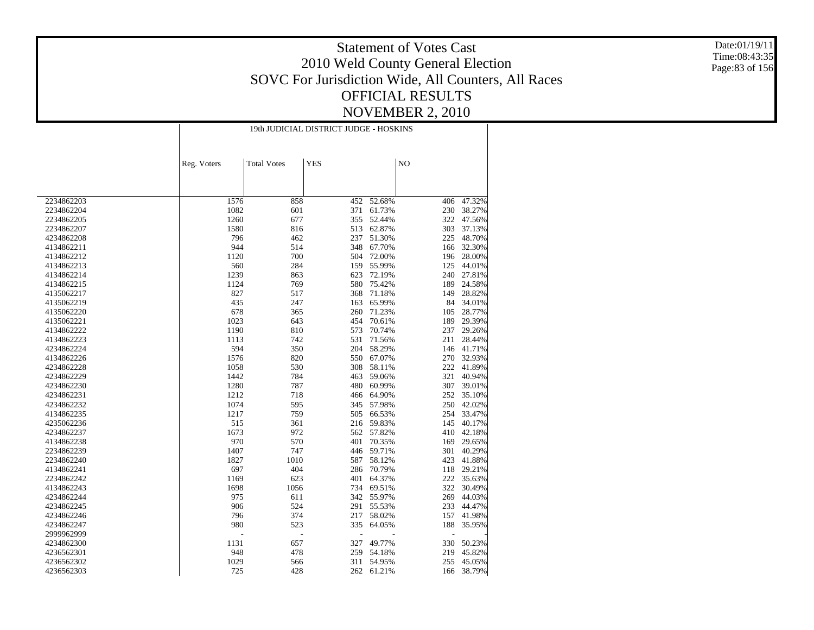Date:01/19/11 Time:08:43:35 Page:83 of 156

|            |             |                          | 19th JUDICIAL DISTRICT JUDGE - HOSKINS |        |                |        |
|------------|-------------|--------------------------|----------------------------------------|--------|----------------|--------|
|            | Reg. Voters | <b>Total Votes</b>       | <b>YES</b>                             |        | N <sub>O</sub> |        |
|            |             |                          |                                        |        |                |        |
|            |             |                          |                                        |        |                |        |
|            |             |                          |                                        |        |                |        |
| 2234862203 | 1576        | 858                      | 452                                    | 52.68% | 406            | 47.32% |
| 2234862204 | 1082        | 601                      | 371                                    | 61.73% | 230            | 38.27% |
| 2234862205 | 1260        | 677                      | 355                                    | 52.44% | 322            | 47.56% |
| 2234862207 | 1580        | 816                      | 513                                    | 62.87% | 303            | 37.13% |
| 4234862208 | 796         | 462                      | 237                                    | 51.30% | 225            | 48.70% |
| 4134862211 | 944         | 514                      | 348                                    | 67.70% | 166            | 32.30% |
| 4134862212 | 1120        | 700                      | 504                                    | 72.00% | 196            | 28.00% |
| 4134862213 | 560         | 284                      | 159                                    | 55.99% | 125            | 44.01% |
| 4134862214 | 1239        | 863                      | 623                                    | 72.19% | 240            | 27.81% |
| 4134862215 | 1124        | 769                      | 580                                    | 75.42% | 189            | 24.58% |
| 4135062217 | 827         | 517                      | 368                                    | 71.18% | 149            | 28.82% |
| 4135062219 | 435         | 247                      | 163                                    | 65.99% | 84             | 34.01% |
| 4135062220 | 678         | 365                      | 260                                    | 71.23% | 105            | 28.77% |
| 4135062221 | 1023        | 643                      | 454                                    | 70.61% | 189            | 29.39% |
| 4134862222 | 1190        | 810                      | 573                                    | 70.74% | 237            | 29.26% |
| 4134862223 | 1113        | 742                      | 531                                    | 71.56% | 211            | 28.44% |
| 4234862224 | 594         | 350                      | 204                                    | 58.29% | 146            | 41.71% |
| 4134862226 | 1576        | 820                      | 550                                    | 67.07% | 270            | 32.93% |
| 4234862228 | 1058        | 530                      | 308                                    | 58.11% | 222            | 41.89% |
| 4234862229 | 1442        | 784                      | 463                                    | 59.06% | 321            | 40.94% |
| 4234862230 | 1280        | 787                      | 480                                    | 60.99% | 307            | 39.01% |
| 4234862231 | 1212        | 718                      | 466                                    | 64.90% | 252            | 35.10% |
| 4234862232 | 1074        | 595                      | 345                                    | 57.98% | 250            | 42.02% |
| 4134862235 | 1217        | 759                      | 505                                    | 66.53% | 254            | 33.47% |
| 4235062236 | 515         | 361                      | 216                                    | 59.83% | 145            | 40.17% |
| 4234862237 | 1673        | 972                      | 562                                    | 57.82% | 410            | 42.18% |
| 4134862238 | 970         | 570                      | 401                                    | 70.35% | 169            | 29.65% |
| 2234862239 | 1407        | 747                      | 446                                    | 59.71% | 301            | 40.29% |
| 2234862240 | 1827        | 1010                     | 587                                    | 58.12% | 423            | 41.88% |
| 4134862241 | 697         | 404                      | 286                                    | 70.79% | 118            | 29.21% |
| 2234862242 | 1169        | 623                      | 401                                    | 64.37% | 222            | 35.63% |
| 4134862243 | 1698        | 1056                     | 734                                    | 69.51% | 322            | 30.49% |
| 4234862244 | 975         | 611                      | 342                                    | 55.97% | 269            | 44.03% |
| 4234862245 | 906         | 524                      | 291                                    | 55.53% | 233            | 44.47% |
| 4234862246 | 796         | 374                      | 217                                    | 58.02% | 157            | 41.98% |
| 4234862247 | 980         | 523                      | 335                                    | 64.05% | 188            | 35.95% |
| 2999962999 | L.          | $\overline{\phantom{a}}$ | $\overline{a}$                         |        | $\overline{a}$ |        |
| 4234862300 | 1131        | 657                      | 327                                    | 49.77% | 330            | 50.23% |
| 4236562301 | 948         | 478                      | 259                                    | 54.18% | 219            | 45.82% |
| 4236562302 | 1029        | 566                      | 311                                    | 54.95% | 255            | 45.05% |
| 4236562303 | 725         | 428                      | 262                                    | 61.21% | 166            | 38.79% |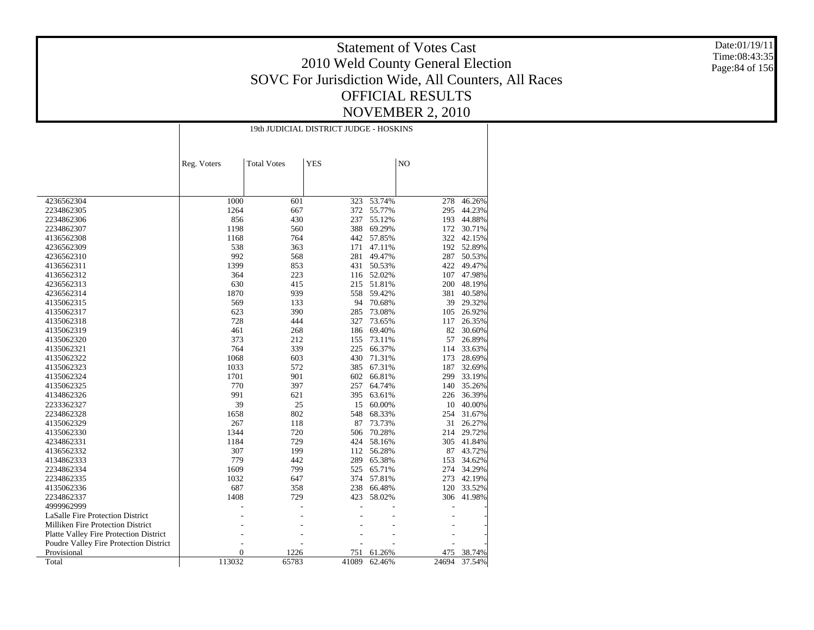Date:01/19/11 Time:08:43:35 Page:84 of 156

|                                        | 19th JUDICIAL DISTRICT JUDGE - HOSKINS |                    |            |        |       |        |
|----------------------------------------|----------------------------------------|--------------------|------------|--------|-------|--------|
|                                        |                                        |                    |            |        |       |        |
|                                        | Reg. Voters                            | <b>Total Votes</b> | <b>YES</b> |        | NO    |        |
|                                        |                                        |                    |            |        |       |        |
| 4236562304                             | 1000                                   | 601                | 323        | 53.74% | 278   | 46.26% |
| 2234862305                             | 1264                                   | 667                | 372        | 55.77% | 295   | 44.23% |
| 2234862306                             | 856                                    | 430                | 237        | 55.12% | 193   | 44.88% |
| 2234862307                             | 1198                                   | 560                | 388        | 69.29% | 172   | 30.71% |
| 4136562308                             | 1168                                   | 764                | 442        | 57.85% | 322   | 42.15% |
| 4236562309                             | 538                                    | 363                | 171        | 47.11% | 192   | 52.89% |
| 4236562310                             | 992                                    | 568                | 281        | 49.47% | 287   | 50.53% |
| 4136562311                             | 1399                                   | 853                | 431        | 50.53% | 422   | 49.47% |
| 4136562312                             | 364                                    | 223                | 116        | 52.02% | 107   | 47.98% |
| 4236562313                             | 630                                    | 415                | 215        | 51.81% | 200   | 48.19% |
| 4236562314                             | 1870                                   | 939                | 558        | 59.42% | 381   | 40.58% |
| 4135062315                             | 569                                    | 133                | 94         | 70.68% | 39    | 29.32% |
| 4135062317                             | 623                                    | 390                | 285        | 73.08% | 105   | 26.92% |
| 4135062318                             | 728                                    | 444                | 327        | 73.65% | 117   | 26.35% |
| 4135062319                             | 461                                    | 268                | 186        | 69.40% | 82    | 30.60% |
| 4135062320                             | 373                                    | 212                | 155        | 73.11% | 57    | 26.89% |
| 4135062321                             | 764                                    | 339                | 225        | 66.37% | 114   | 33.63% |
| 4135062322                             | 1068                                   | 603                | 430        | 71.31% | 173   | 28.69% |
| 4135062323                             | 1033                                   | 572                | 385        | 67.31% | 187   | 32.69% |
| 4135062324                             | 1701                                   | 901                | 602        | 66.81% | 299   | 33.19% |
| 4135062325                             | 770                                    | 397                | 257        | 64.74% | 140   | 35.26% |
| 4134862326                             | 991                                    | 621                | 395        | 63.61% | 226   | 36.39% |
| 2233362327                             | 39                                     | 25                 | 15         | 60.00% | 10    | 40.00% |
| 2234862328                             | 1658                                   | 802                | 548        | 68.33% | 254   | 31.67% |
| 4135062329                             | 267                                    | 118                | 87         | 73.73% | 31    | 26.27% |
| 4135062330                             | 1344                                   | 720                | 506        | 70.28% | 214   | 29.72% |
| 4234862331                             | 1184                                   | 729                | 424        | 58.16% | 305   | 41.84% |
| 4136562332                             | 307                                    | 199                | 112        | 56.28% | 87    | 43.72% |
| 4134862333                             | 779                                    | 442                | 289        | 65.38% | 153   | 34.62% |
| 2234862334                             | 1609                                   | 799                | 525        | 65.71% | 274   | 34.29% |
| 2234862335                             | 1032                                   | 647                | 374        | 57.81% | 273   | 42.19% |
| 4135062336                             | 687                                    | 358                | 238        | 66.48% | 120   | 33.52% |
| 2234862337                             | 1408                                   | 729                | 423        | 58.02% | 306   | 41.98% |
| 4999962999                             |                                        |                    |            |        |       |        |
| LaSalle Fire Protection District       |                                        |                    |            |        |       |        |
| Milliken Fire Protection District      |                                        |                    |            |        |       |        |
| Platte Valley Fire Protection District |                                        |                    |            |        |       |        |
| Poudre Valley Fire Protection District |                                        |                    |            |        |       |        |
| Provisional                            | $\overline{0}$                         | 1226               | 751        | 61.26% | 475   | 38.74% |
| Total                                  | 113032                                 | 65783              | 41089      | 62.46% | 24694 | 37.54% |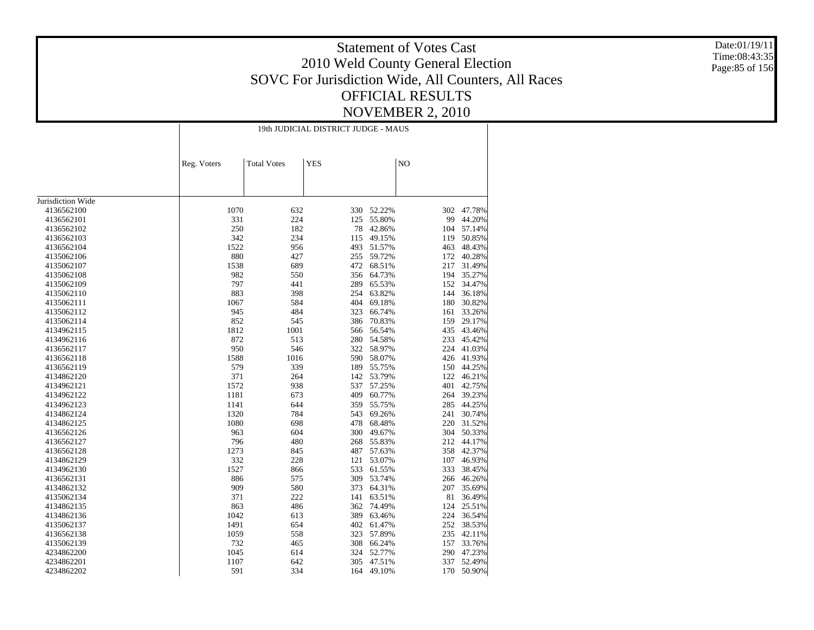Date:01/19/11 Time:08:43:35 Page:85 of 156

|                          |      | 19th JUDICIAL DISTRICT JUDGE - MAUS             |     |                  |         |                  |  |  |
|--------------------------|------|-------------------------------------------------|-----|------------------|---------|------------------|--|--|
|                          |      | <b>YES</b><br>Reg. Voters<br><b>Total Votes</b> |     |                  | NO      |                  |  |  |
|                          |      |                                                 |     |                  |         |                  |  |  |
|                          |      |                                                 |     |                  |         |                  |  |  |
| Jurisdiction Wide        |      |                                                 |     |                  |         |                  |  |  |
| 4136562100               | 1070 | 632                                             | 330 | 52.22%           | 302     | 47.78%           |  |  |
| 4136562101               | 331  | 224                                             | 125 | 55.80%           | 99      | 44.20%           |  |  |
| 4136562102               | 250  | 182                                             | 78  | 42.86%           | 104     | 57.14%           |  |  |
| 4136562103               | 342  | 234                                             | 115 | 49.15%           | 119     | 50.85%           |  |  |
| 4136562104               | 1522 | 956                                             | 493 | 51.57%           | 463     | 48.43%           |  |  |
| 4135062106               | 880  | 427                                             | 255 | 59.72%           | 172     | 40.28%           |  |  |
| 4135062107               | 1538 | 689                                             | 472 | 68.51%           | 217     | 31.49%           |  |  |
|                          | 982  |                                                 | 356 |                  | 194     |                  |  |  |
| 4135062108<br>4135062109 | 797  | 550<br>441                                      | 289 | 64.73%<br>65.53% | 152     | 35.27%<br>34.47% |  |  |
|                          | 883  | 398                                             | 254 | 63.82%           | 144     | 36.18%           |  |  |
| 4135062110               |      | 584                                             |     |                  |         | 30.82%           |  |  |
| 4135062111               | 1067 |                                                 | 404 | 69.18%           | $180\,$ |                  |  |  |
| 4135062112               | 945  | 484                                             | 323 | 66.74%           | 161     | 33.26%           |  |  |
| 4135062114               | 852  | 545                                             | 386 | 70.83%           | 159     | 29.17%           |  |  |
| 4134962115               | 1812 | 1001                                            | 566 | 56.54%           | 435     | 43.46%           |  |  |
| 4134962116               | 872  | 513                                             | 280 | 54.58%           | 233     | 45.42%           |  |  |
| 4136562117               | 950  | 546                                             |     | 322 58.97%       | 224     | 41.03%           |  |  |
| 4136562118               | 1588 | 1016                                            | 590 | 58.07%           | 426     | 41.93%           |  |  |
| 4136562119               | 579  | 339                                             | 189 | 55.75%           | 150     | 44.25%           |  |  |
| 4134862120               | 371  | 264                                             | 142 | 53.79%           | 122     | 46.21%           |  |  |
| 4134962121               | 1572 | 938                                             | 537 | 57.25%           | 401     | 42.75%           |  |  |
| 4134962122               | 1181 | 673                                             | 409 | 60.77%           | 264     | 39.23%           |  |  |
| 4134962123               | 1141 | 644                                             | 359 | 55.75%           | 285     | 44.25%           |  |  |
| 4134862124               | 1320 | 784                                             | 543 | 69.26%           | 241     | 30.74%           |  |  |
| 4134862125               | 1080 | 698                                             | 478 | 68.48%           | 220     | 31.52%           |  |  |
| 4136562126               | 963  | 604                                             | 300 | 49.67%           | 304     | 50.33%           |  |  |
| 4136562127               | 796  | 480                                             | 268 | 55.83%           | 212     | 44.17%           |  |  |
| 4136562128               | 1273 | 845                                             | 487 | 57.63%           | 358     | 42.37%           |  |  |
| 4134862129               | 332  | 228                                             | 121 | 53.07%           | 107     | 46.93%           |  |  |
| 4134962130               | 1527 | 866                                             | 533 | 61.55%           | 333     | 38.45%           |  |  |
| 4136562131               | 886  | 575                                             | 309 | 53.74%           | 266     | 46.26%           |  |  |
| 4134862132               | 909  | 580                                             | 373 | 64.31%           | 207     | 35.69%           |  |  |
| 4135062134               | 371  | 222                                             | 141 | 63.51%           | 81      | 36.49%           |  |  |
| 4134862135               | 863  | 486                                             | 362 | 74.49%           | 124     | 25.51%           |  |  |
| 4134862136               | 1042 | 613                                             | 389 | 63.46%           | 224     | 36.54%           |  |  |
| 4135062137               | 1491 | 654                                             | 402 | 61.47%           | 252     | 38.53%           |  |  |
| 4136562138               | 1059 | 558                                             | 323 | 57.89%           | 235     | 42.11%           |  |  |
| 4135062139               | 732  | 465                                             | 308 | 66.24%           | 157     | 33.76%           |  |  |
| 4234862200               | 1045 | 614                                             | 324 | 52.77%           | 290     | 47.23%           |  |  |
| 4234862201               | 1107 | 642                                             | 305 | 47.51%           | 337     | 52.49%           |  |  |
| 4234862202               | 591  | 334                                             | 164 | 49.10%           | 170     | 50.90%           |  |  |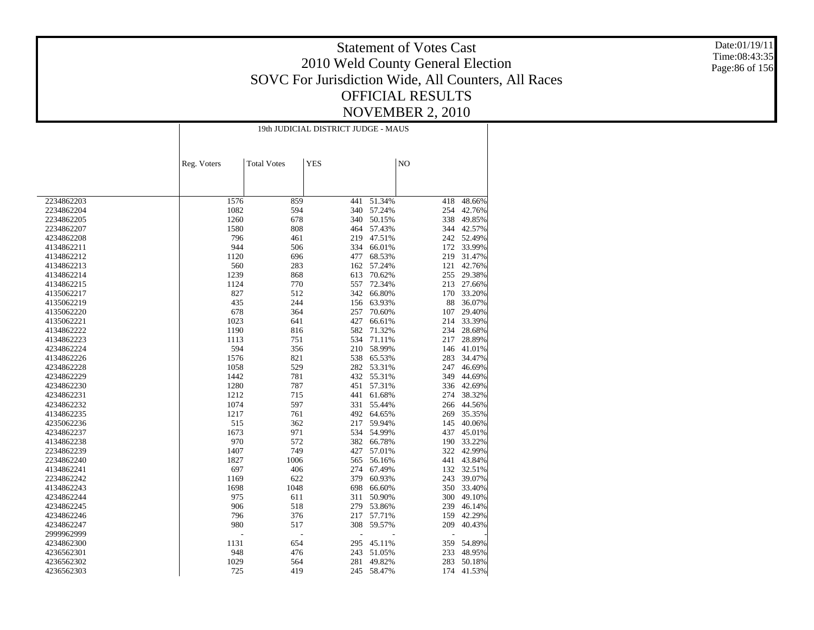Date:01/19/11 Time:08:43:35 Page:86 of 156

|            | 19th JUDICIAL DISTRICT JUDGE - MAUS |                    |            |        |     |            |  |  |
|------------|-------------------------------------|--------------------|------------|--------|-----|------------|--|--|
|            |                                     |                    |            |        |     |            |  |  |
|            | Reg. Voters                         | <b>Total Votes</b> | <b>YES</b> |        | NO  |            |  |  |
|            |                                     |                    |            |        |     |            |  |  |
|            |                                     |                    |            |        |     |            |  |  |
| 2234862203 | 1576                                | 859                | 441        | 51.34% | 418 | 48.66%     |  |  |
| 2234862204 | 1082                                | 594                | 340        | 57.24% | 254 | 42.76%     |  |  |
| 2234862205 | 1260                                | 678                | 340        | 50.15% | 338 | 49.85%     |  |  |
| 2234862207 | 1580                                | 808                | 464        | 57.43% |     | 344 42.57% |  |  |
|            | 796                                 | 461                | 219        | 47.51% |     | 242 52.49% |  |  |
| 4234862208 | 944                                 |                    | 334        | 66.01% |     | 33.99%     |  |  |
| 4134862211 |                                     | 506                |            |        | 172 |            |  |  |
| 4134862212 | 1120                                | 696                | 477        | 68.53% | 219 | 31.47%     |  |  |
| 4134862213 | 560                                 | 283                | 162        | 57.24% | 121 | 42.76%     |  |  |
| 4134862214 | 1239                                | 868                | 613        | 70.62% | 255 | 29.38%     |  |  |
| 4134862215 | 1124                                | 770                | 557        | 72.34% | 213 | 27.66%     |  |  |
| 4135062217 | 827                                 | 512                | 342        | 66.80% | 170 | 33.20%     |  |  |
| 4135062219 | 435                                 | 244                | 156        | 63.93% | 88  | 36.07%     |  |  |
| 4135062220 | 678                                 | 364                | 257        | 70.60% | 107 | 29.40%     |  |  |
| 4135062221 | 1023                                | 641                | 427        | 66.61% | 214 | 33.39%     |  |  |
| 4134862222 | 1190                                | 816                | 582        | 71.32% | 234 | 28.68%     |  |  |
| 4134862223 | 1113                                | 751                | 534        | 71.11% | 217 | 28.89%     |  |  |
| 4234862224 | 594                                 | 356                | 210        | 58.99% | 146 | 41.01%     |  |  |
| 4134862226 | 1576                                | 821                | 538        | 65.53% | 283 | 34.47%     |  |  |
| 4234862228 | 1058                                | 529                | 282        | 53.31% | 247 | 46.69%     |  |  |
| 4234862229 | 1442                                | 781                | 432        | 55.31% | 349 | 44.69%     |  |  |
| 4234862230 | 1280                                | 787                | 451        | 57.31% | 336 | 42.69%     |  |  |
| 4234862231 | 1212                                | 715                | 441        | 61.68% | 274 | 38.32%     |  |  |
| 4234862232 | 1074                                | 597                | 331        | 55.44% | 266 | 44.56%     |  |  |
| 4134862235 | 1217                                | 761                | 492        | 64.65% | 269 | 35.35%     |  |  |
| 4235062236 | 515                                 | 362                | 217        | 59.94% | 145 | 40.06%     |  |  |
| 4234862237 | 1673                                | 971                | 534        | 54.99% | 437 | 45.01%     |  |  |
| 4134862238 | 970                                 | 572                | 382        | 66.78% | 190 | 33.22%     |  |  |
| 2234862239 | 1407                                | 749                | 427        | 57.01% | 322 | 42.99%     |  |  |
| 2234862240 | 1827                                | 1006               | 565        | 56.16% | 441 | 43.84%     |  |  |
| 4134862241 | 697                                 | 406                | 274        | 67.49% | 132 | 32.51%     |  |  |
| 2234862242 | 1169                                | 622                | 379        | 60.93% | 243 | 39.07%     |  |  |
| 4134862243 | 1698                                | 1048               | 698        | 66.60% | 350 | 33.40%     |  |  |
| 4234862244 | 975                                 | 611                | 311        | 50.90% | 300 | 49.10%     |  |  |
| 4234862245 | 906                                 | 518                | 279        | 53.86% | 239 | 46.14%     |  |  |
| 4234862246 | 796                                 | 376                | 217        | 57.71% | 159 | 42.29%     |  |  |
| 4234862247 | 980                                 | 517                | 308        | 59.57% | 209 | 40.43%     |  |  |
| 2999962999 |                                     | Ĭ.                 |            |        | Ĭ.  |            |  |  |
| 4234862300 | 1131                                | 654                | 295        | 45.11% | 359 | 54.89%     |  |  |
| 4236562301 | 948                                 | 476                | 243        | 51.05% | 233 | 48.95%     |  |  |
| 4236562302 | 1029                                | 564                | 281        | 49.82% | 283 | 50.18%     |  |  |
| 4236562303 | 725                                 | 419                | 245        | 58.47% | 174 | 41.53%     |  |  |
|            |                                     |                    |            |        |     |            |  |  |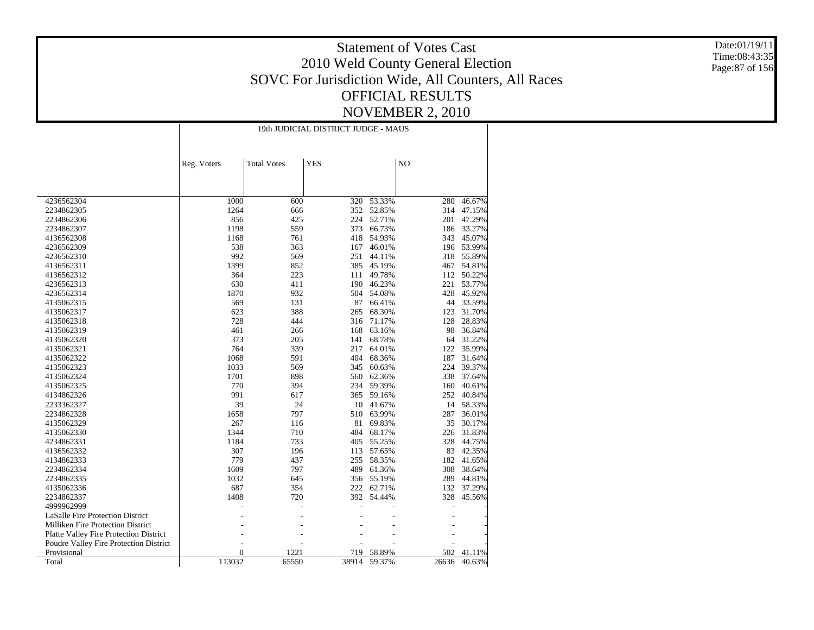Date:01/19/11 Time:08:43:35 Page:87 of 156

|                                         |                | 19th JUDICIAL DISTRICT JUDGE - MAUS |            |        |       |        |  |  |
|-----------------------------------------|----------------|-------------------------------------|------------|--------|-------|--------|--|--|
|                                         | Reg. Voters    | <b>Total Votes</b>                  | <b>YES</b> |        | NO    |        |  |  |
|                                         |                |                                     |            |        |       |        |  |  |
| 4236562304                              | 1000           | 600                                 | 320        | 53.33% | 280   | 46.67% |  |  |
| 2234862305                              | 1264           | 666                                 | 352        | 52.85% | 314   | 47.15% |  |  |
| 2234862306                              | 856            | 425                                 | 224        | 52.71% | 201   | 47.29% |  |  |
| 2234862307                              | 1198           | 559                                 | 373        | 66.73% | 186   | 33.27% |  |  |
| 4136562308                              | 1168           | 761                                 | 418        | 54.93% | 343   | 45.07% |  |  |
| 4236562309                              | 538            | 363                                 | 167        | 46.01% | 196   | 53.99% |  |  |
| 4236562310                              | 992            | 569                                 | 251        | 44.11% | 318   | 55.89% |  |  |
| 4136562311                              | 1399           | 852                                 | 385        | 45.19% | 467   | 54.81% |  |  |
| 4136562312                              | 364            | 223                                 | 111        | 49.78% | 112   | 50.22% |  |  |
| 4236562313                              | 630            | 411                                 | 190        | 46.23% | 221   | 53.77% |  |  |
| 4236562314                              | 1870           | 932                                 | 504        | 54.08% | 428   | 45.92% |  |  |
| 4135062315                              | 569            | 131                                 | 87         | 66.41% | 44    | 33.59% |  |  |
| 4135062317                              | 623            | 388                                 | 265        | 68.30% | 123   | 31.70% |  |  |
| 4135062318                              | 728            | 444                                 | 316        | 71.17% | 128   | 28.83% |  |  |
| 4135062319                              | 461            | 266                                 | 168        | 63.16% | 98    | 36.84% |  |  |
| 4135062320                              | 373            | 205                                 | 141        | 68.78% | 64    | 31.22% |  |  |
| 4135062321                              | 764            | 339                                 | 217        | 64.01% | 122   | 35.99% |  |  |
| 4135062322                              | 1068           | 591                                 | 404        | 68.36% | 187   | 31.64% |  |  |
| 4135062323                              | 1033           | 569                                 | 345        | 60.63% | 224   | 39.37% |  |  |
| 4135062324                              | 1701           | 898                                 | 560        | 62.36% | 338   | 37.64% |  |  |
| 4135062325                              | 770            | 394                                 | 234        | 59.39% | 160   | 40.61% |  |  |
| 4134862326                              | 991            | 617                                 | 365        | 59.16% | 252   | 40.84% |  |  |
| 2233362327                              | 39             | 24                                  | 10         | 41.67% | 14    | 58.33% |  |  |
| 2234862328                              | 1658           | 797                                 | 510        | 63.99% | 287   | 36.01% |  |  |
| 4135062329                              | 267            | 116                                 | 81         | 69.83% | 35    | 30.17% |  |  |
| 4135062330                              | 1344           | 710                                 | 484        | 68.17% | 226   | 31.83% |  |  |
| 4234862331                              | 1184           | 733                                 | 405        | 55.25% | 328   | 44.75% |  |  |
| 4136562332                              | 307            | 196                                 | 113        | 57.65% | 83    | 42.35% |  |  |
| 4134862333                              | 779            | 437                                 | 255        | 58.35% | 182   | 41.65% |  |  |
| 2234862334                              | 1609           | 797                                 | 489        | 61.36% | 308   | 38.64% |  |  |
| 2234862335                              | 1032           | 645                                 | 356        | 55.19% | 289   | 44.81% |  |  |
| 4135062336                              | 687            | 354                                 | 222        | 62.71% | 132   | 37.29% |  |  |
| 2234862337                              | 1408           | 720                                 | 392        | 54.44% | 328   | 45.56% |  |  |
| 4999962999                              |                |                                     |            |        |       |        |  |  |
| <b>LaSalle Fire Protection District</b> |                |                                     |            |        |       |        |  |  |
| Milliken Fire Protection District       |                |                                     |            |        |       |        |  |  |
| Platte Valley Fire Protection District  |                |                                     |            |        |       |        |  |  |
| Poudre Valley Fire Protection District  |                |                                     |            |        |       |        |  |  |
| Provisional                             | $\overline{0}$ | 1221                                | 719        | 58.89% | 502   | 41.11% |  |  |
| Total                                   | 113032         | 65550                               | 38914      | 59.37% | 26636 | 40.63% |  |  |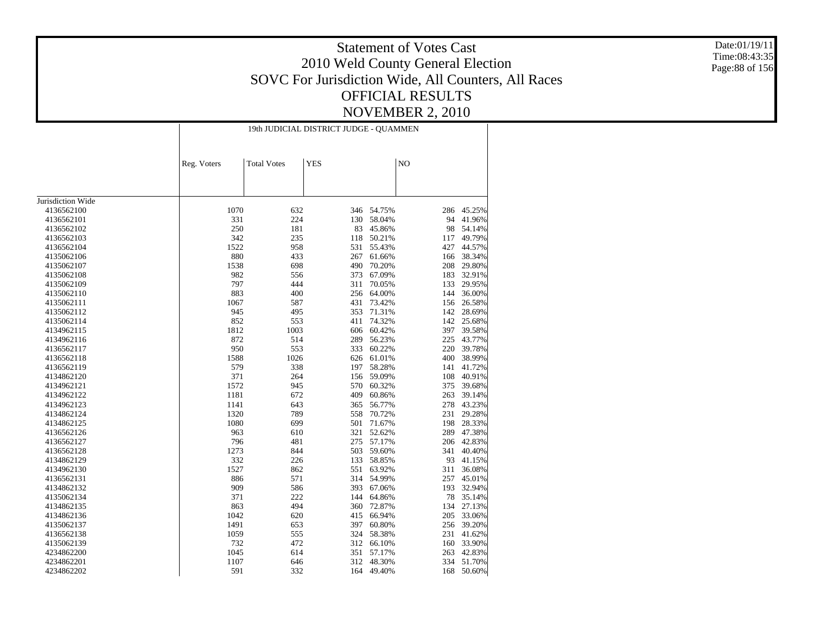Date:01/19/11 Time:08:43:35 Page:88 of 156

|                   |             | 19th JUDICIAL DISTRICT JUDGE - QUAMMEN |     |        |                |            |  |  |  |
|-------------------|-------------|----------------------------------------|-----|--------|----------------|------------|--|--|--|
|                   | Reg. Voters | <b>Total Votes</b><br><b>YES</b>       |     |        | N <sub>O</sub> |            |  |  |  |
|                   |             |                                        |     |        |                |            |  |  |  |
| Jurisdiction Wide |             |                                        |     |        |                |            |  |  |  |
| 4136562100        | 1070        | 632                                    | 346 | 54.75% | 286            | 45.25%     |  |  |  |
| 4136562101        | 331         | 224                                    | 130 | 58.04% | 94             | 41.96%     |  |  |  |
| 4136562102        | 250         | 181                                    | 83  | 45.86% | 98             | 54.14%     |  |  |  |
|                   | 342         | 235                                    |     |        |                | 49.79%     |  |  |  |
| 4136562103        |             |                                        | 118 | 50.21% | 117            |            |  |  |  |
| 4136562104        | 1522        | 958                                    | 531 | 55.43% | 427            | 44.57%     |  |  |  |
| 4135062106        | 880         | 433                                    | 267 | 61.66% | 166            | 38.34%     |  |  |  |
| 4135062107        | 1538        | 698                                    | 490 | 70.20% | 208            | 29.80%     |  |  |  |
| 4135062108        | 982         | 556                                    | 373 | 67.09% | 183            | 32.91%     |  |  |  |
| 4135062109        | 797         | 444                                    | 311 | 70.05% | 133            | 29.95%     |  |  |  |
| 4135062110        | 883         | 400                                    | 256 | 64.00% | 144            | 36.00%     |  |  |  |
| 4135062111        | 1067        | 587                                    | 431 | 73.42% | 156            | 26.58%     |  |  |  |
| 4135062112        | 945         | 495                                    | 353 | 71.31% | 142            | 28.69%     |  |  |  |
| 4135062114        | 852         | 553                                    | 411 | 74.32% | 142            | 25.68%     |  |  |  |
| 4134962115        | 1812        | 1003                                   | 606 | 60.42% | 397            | 39.58%     |  |  |  |
| 4134962116        | 872         | 514                                    | 289 | 56.23% | 225            | 43.77%     |  |  |  |
| 4136562117        | 950         | 553                                    | 333 | 60.22% | 220            | 39.78%     |  |  |  |
| 4136562118        | 1588        | 1026                                   | 626 | 61.01% | 400            | 38.99%     |  |  |  |
| 4136562119        | 579         | 338                                    | 197 | 58.28% | 141            | 41.72%     |  |  |  |
| 4134862120        | 371         | 264                                    | 156 | 59.09% | 108            | 40.91%     |  |  |  |
| 4134962121        | 1572        | 945                                    | 570 | 60.32% | 375            | 39.68%     |  |  |  |
| 4134962122        | 1181        | 672                                    | 409 | 60.86% | 263            | 39.14%     |  |  |  |
| 4134962123        | 1141        | 643                                    | 365 | 56.77% | 278            | 43.23%     |  |  |  |
| 4134862124        | 1320        | 789                                    | 558 | 70.72% | 231            | 29.28%     |  |  |  |
| 4134862125        | 1080        | 699                                    | 501 | 71.67% | 198            | 28.33%     |  |  |  |
| 4136562126        | 963         | 610                                    | 321 | 52.62% | 289            | 47.38%     |  |  |  |
| 4136562127        | 796         | 481                                    | 275 | 57.17% | 206            | 42.83%     |  |  |  |
| 4136562128        | 1273        | 844                                    | 503 | 59.60% | 341            | 40.40%     |  |  |  |
| 4134862129        | 332         | 226                                    | 133 | 58.85% | 93             | 41.15%     |  |  |  |
| 4134962130        | 1527        | 862                                    | 551 | 63.92% | 311            | 36.08%     |  |  |  |
| 4136562131        | 886         | 571                                    | 314 | 54.99% | 257            | 45.01%     |  |  |  |
| 4134862132        | 909         | 586                                    | 393 | 67.06% | 193            | 32.94%     |  |  |  |
|                   | 371         | 222                                    | 144 | 64.86% | 78             | 35.14%     |  |  |  |
| 4135062134        | 863         | 494                                    |     | 72.87% | 134            | 27.13%     |  |  |  |
| 4134862135        |             |                                        | 360 |        |                |            |  |  |  |
| 4134862136        | 1042        | 620                                    | 415 | 66.94% | 205            | 33.06%     |  |  |  |
| 4135062137        | 1491        | 653                                    | 397 | 60.80% | 256            | 39.20%     |  |  |  |
| 4136562138        | 1059        | 555                                    | 324 | 58.38% | 231            | 41.62%     |  |  |  |
| 4135062139        | 732         | 472                                    | 312 | 66.10% | 160            | 33.90%     |  |  |  |
| 4234862200        | 1045        | 614                                    | 351 | 57.17% | 263            | 42.83%     |  |  |  |
| 4234862201        | 1107        | 646                                    | 312 | 48.30% |                | 334 51.70% |  |  |  |
| 4234862202        | 591         | 332                                    | 164 | 49.40% | 168            | 50.60%     |  |  |  |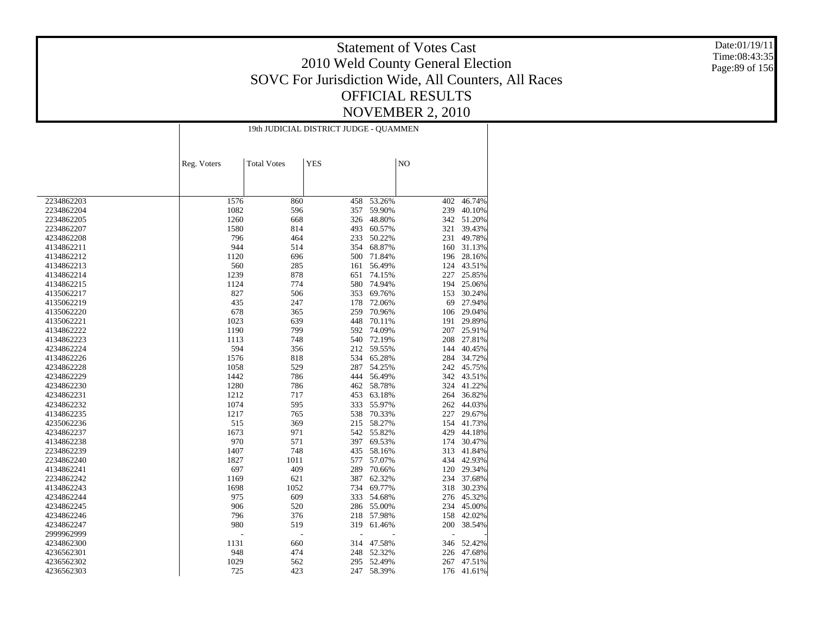Date:01/19/11 Time:08:43:35 Page:89 of 156

|            | 19th JUDICIAL DISTRICT JUDGE - QUAMMEN |                    |            |        |     |            |  |
|------------|----------------------------------------|--------------------|------------|--------|-----|------------|--|
|            | Reg. Voters                            | <b>Total Votes</b> | <b>YES</b> |        | NO  |            |  |
|            |                                        |                    |            |        |     |            |  |
|            |                                        |                    |            |        |     |            |  |
| 2234862203 | 1576                                   | 860                | 458        | 53.26% | 402 | 46.74%     |  |
| 2234862204 | 1082                                   | 596                | 357        | 59.90% | 239 | 40.10%     |  |
| 2234862205 | 1260                                   | 668                | 326        | 48.80% | 342 | 51.20%     |  |
| 2234862207 | 1580                                   | 814                | 493        | 60.57% | 321 | 39.43%     |  |
| 4234862208 | 796                                    | 464                | 233        | 50.22% | 231 | 49.78%     |  |
| 4134862211 | 944                                    | 514                | 354        | 68.87% | 160 | 31.13%     |  |
| 4134862212 | 1120                                   | 696                | 500        | 71.84% | 196 | 28.16%     |  |
| 4134862213 | 560                                    | 285                | 161        | 56.49% | 124 | 43.51%     |  |
| 4134862214 | 1239                                   | 878                | 651        | 74.15% | 227 | 25.85%     |  |
| 4134862215 | 1124                                   | 774                | 580        | 74.94% | 194 | 25.06%     |  |
| 4135062217 | 827                                    | 506                | 353        | 69.76% | 153 | 30.24%     |  |
| 4135062219 | 435                                    | 247                | 178        | 72.06% | 69  | 27.94%     |  |
| 4135062220 | 678                                    | 365                | 259        | 70.96% | 106 | 29.04%     |  |
| 4135062221 | 1023                                   | 639                | 448        | 70.11% | 191 | 29.89%     |  |
| 4134862222 | 1190                                   | 799                | 592        | 74.09% | 207 | 25.91%     |  |
| 4134862223 | 1113                                   | 748                | 540        | 72.19% | 208 | 27.81%     |  |
| 4234862224 | 594                                    | 356                | 212        | 59.55% | 144 | 40.45%     |  |
| 4134862226 | 1576                                   | 818                | 534        | 65.28% | 284 | 34.72%     |  |
| 4234862228 | 1058                                   | 529                | 287        | 54.25% | 242 | 45.75%     |  |
| 4234862229 | 1442                                   | 786                | 444        | 56.49% | 342 | 43.51%     |  |
| 4234862230 | 1280                                   | 786                | 462        | 58.78% | 324 | 41.22%     |  |
| 4234862231 | 1212                                   | 717                | 453        | 63.18% | 264 | 36.82%     |  |
| 4234862232 | 1074                                   | 595                | 333        | 55.97% | 262 | 44.03%     |  |
| 4134862235 | 1217                                   | 765                | 538        | 70.33% | 227 | 29.67%     |  |
| 4235062236 | 515                                    | 369                | 215        | 58.27% | 154 | 41.73%     |  |
| 4234862237 | 1673                                   | 971                | 542        | 55.82% | 429 | 44.18%     |  |
| 4134862238 | 970                                    | 571                | 397        | 69.53% | 174 | 30.47%     |  |
| 2234862239 | 1407                                   | 748                | 435        | 58.16% | 313 | 41.84%     |  |
| 2234862240 | 1827                                   | 1011               | 577        | 57.07% | 434 | 42.93%     |  |
| 4134862241 | 697                                    | 409                | 289        | 70.66% | 120 | 29.34%     |  |
| 2234862242 | 1169                                   | 621                | 387        | 62.32% | 234 | 37.68%     |  |
| 4134862243 | 1698                                   | 1052               | 734        | 69.77% | 318 | 30.23%     |  |
| 4234862244 | 975                                    | 609                | 333        | 54.68% | 276 | 45.32%     |  |
| 4234862245 | 906                                    | 520                | 286        | 55.00% | 234 | 45.00%     |  |
| 4234862246 | 796                                    | 376                | 218        | 57.98% | 158 | 42.02%     |  |
| 4234862247 | 980                                    | 519                | 319        | 61.46% | 200 | 38.54%     |  |
| 2999962999 | L,                                     |                    | ÷,         |        | L,  |            |  |
|            |                                        | $\overline{a}$     |            |        |     |            |  |
| 4234862300 | 1131                                   | 660                | 314        | 47.58% | 346 | 52.42%     |  |
| 4236562301 | 948                                    | 474                | 248        | 52.32% | 226 | 47.68%     |  |
| 4236562302 | 1029                                   | 562                | 295        | 52.49% | 267 | 47.51%     |  |
| 4236562303 | 725                                    | 423                | 247        | 58.39% |     | 176 41.61% |  |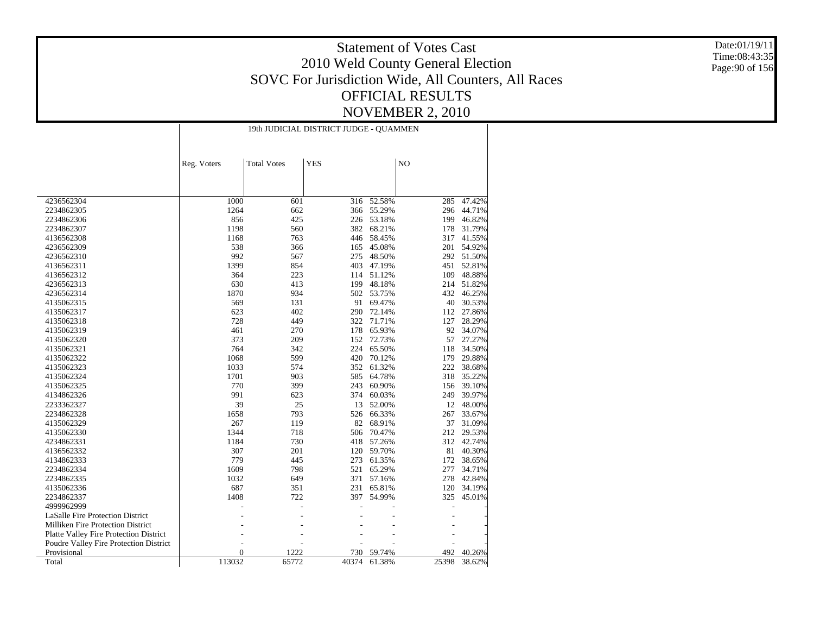Date:01/19/11 Time:08:43:35 Page:90 of 156

|                                               | 19th JUDICIAL DISTRICT JUDGE - QUAMMEN |                    |            |        |                |            |  |
|-----------------------------------------------|----------------------------------------|--------------------|------------|--------|----------------|------------|--|
|                                               | Reg. Voters                            | <b>Total Votes</b> | <b>YES</b> |        | N <sub>O</sub> |            |  |
| 4236562304                                    | 1000                                   | 601                | 316        | 52.58% | 285            | 47.42%     |  |
| 2234862305                                    | 1264                                   | 662                | 366        | 55.29% | 296            | 44.71%     |  |
| 2234862306                                    | 856                                    | 425                | 226        | 53.18% | 199            | 46.82%     |  |
| 2234862307                                    | 1198                                   | 560                | 382        | 68.21% | 178            | 31.79%     |  |
| 4136562308                                    | 1168                                   | 763                | 446        | 58.45% | 317            | 41.55%     |  |
| 4236562309                                    | 538                                    | 366                | 165        | 45.08% | 201            | 54.92%     |  |
| 4236562310                                    | 992                                    | 567                | 275        | 48.50% |                | 292 51.50% |  |
| 4136562311                                    | 1399                                   | 854                | 403        | 47.19% | 451            | 52.81%     |  |
| 4136562312                                    | 364                                    | 223                | 114        | 51.12% | 109            | 48.88%     |  |
| 4236562313                                    | 630                                    | 413                | 199        | 48.18% | 214            | 51.82%     |  |
| 4236562314                                    | 1870                                   | 934                | 502        | 53.75% | 432            | 46.25%     |  |
| 4135062315                                    | 569                                    | 131                | 91         | 69.47% | 40             | 30.53%     |  |
| 4135062317                                    | 623                                    | 402                | 290        | 72.14% | 112            | 27.86%     |  |
| 4135062318                                    | 728                                    | 449                | 322        | 71.71% | 127            | 28.29%     |  |
| 4135062319                                    | 461                                    | 270                | 178        | 65.93% | 92             | 34.07%     |  |
| 4135062320                                    | 373                                    | 209                | 152        | 72.73% | 57             | 27.27%     |  |
| 4135062321                                    | 764                                    | 342                | 224        | 65.50% | 118            | 34.50%     |  |
| 4135062322                                    | 1068                                   | 599                | 420        | 70.12% | 179            | 29.88%     |  |
| 4135062323                                    | 1033                                   | 574                | 352        | 61.32% | 222            | 38.68%     |  |
| 4135062324                                    | 1701                                   | 903                | 585        | 64.78% | 318            | 35.22%     |  |
| 4135062325                                    | 770                                    | 399                | 243        | 60.90% | 156            | 39.10%     |  |
| 4134862326                                    | 991                                    | 623                | 374        | 60.03% | 249            | 39.97%     |  |
| 2233362327                                    | 39                                     | 25                 | 13         | 52.00% | 12             | 48.00%     |  |
| 2234862328                                    | 1658                                   | 793                | 526        | 66.33% | 267            | 33.67%     |  |
| 4135062329                                    | 267                                    | 119                | 82         | 68.91% | 37             | 31.09%     |  |
| 4135062330                                    | 1344                                   | 718                | 506        | 70.47% | 212            | 29.53%     |  |
| 4234862331                                    | 1184                                   | 730                | 418        | 57.26% | 312            | 42.74%     |  |
| 4136562332                                    | 307                                    | 201                | 120        | 59.70% | 81             | 40.30%     |  |
| 4134862333                                    | 779                                    | 445                | 273        | 61.35% | 172            | 38.65%     |  |
| 2234862334                                    | 1609                                   | 798                | 521        | 65.29% | 277            | 34.71%     |  |
| 2234862335                                    | 1032                                   | 649                | 371        | 57.16% | 278            | 42.84%     |  |
| 4135062336                                    | 687                                    | 351                | 231        | 65.81% | 120            | 34.19%     |  |
| 2234862337                                    | 1408                                   | 722                | 397        | 54.99% | 325            | 45.01%     |  |
| 4999962999                                    |                                        |                    |            |        |                |            |  |
| LaSalle Fire Protection District              |                                        |                    |            |        |                |            |  |
| Milliken Fire Protection District             |                                        |                    |            |        |                |            |  |
| <b>Platte Valley Fire Protection District</b> |                                        |                    |            |        |                |            |  |
| Poudre Valley Fire Protection District        |                                        |                    |            |        |                |            |  |
| Provisional                                   | $\overline{0}$                         | 1222               | 730        | 59.74% | 492            | 40.26%     |  |
| Total                                         | 113032                                 | 65772              | 40374      | 61.38% | 25398          | 38.62%     |  |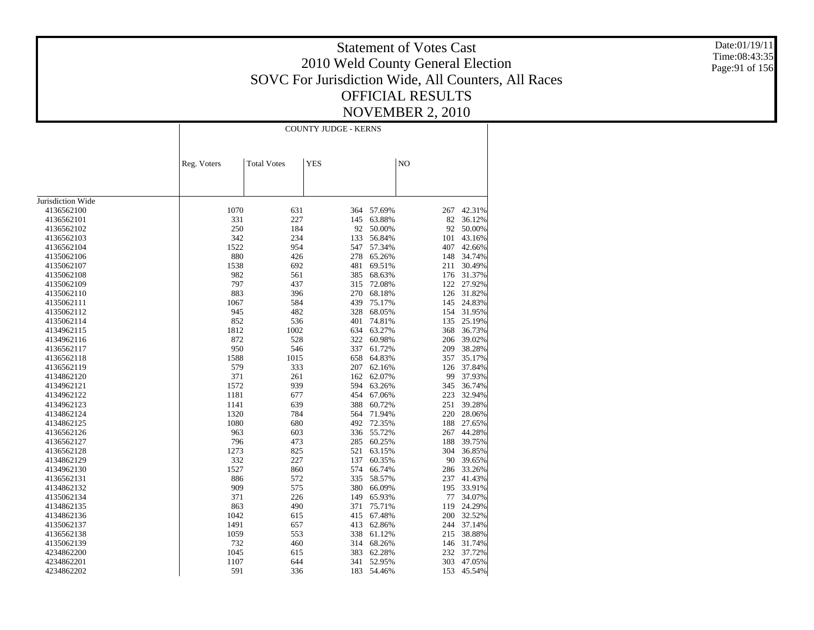Date:01/19/11 Time:08:43:35 Page:91 of 156

|                   | <b>COUNTY JUDGE - KERNS</b> |                    |            |            |                |            |  |
|-------------------|-----------------------------|--------------------|------------|------------|----------------|------------|--|
|                   | Reg. Voters                 | <b>Total Votes</b> | <b>YES</b> |            | N <sub>O</sub> |            |  |
|                   |                             |                    |            |            |                |            |  |
| Jurisdiction Wide |                             |                    |            |            |                |            |  |
| 4136562100        | 1070                        | 631                | 364        | 57.69%     | 267            | 42.31%     |  |
| 4136562101        | 331                         | 227                | 145        | 63.88%     | 82             | 36.12%     |  |
| 4136562102        | 250                         | 184                | 92         | 50.00%     | 92             | 50.00%     |  |
| 4136562103        | 342                         | 234                | 133        | 56.84%     | 101            | 43.16%     |  |
| 4136562104        | 1522                        | 954                | 547        | 57.34%     | 407            | 42.66%     |  |
| 4135062106        | 880                         | 426                | 278        | 65.26%     | 148            | 34.74%     |  |
| 4135062107        | 1538                        | 692                | 481        | 69.51%     | 211            | 30.49%     |  |
| 4135062108        | 982                         | 561                | 385        | 68.63%     | 176            | 31.37%     |  |
| 4135062109        | 797                         | 437                | 315        | 72.08%     | 122            | 27.92%     |  |
| 4135062110        | 883                         | 396                | 270        | 68.18%     | 126            | 31.82%     |  |
| 4135062111        | 1067                        | 584                | 439        | 75.17%     | 145            | 24.83%     |  |
| 4135062112        | 945                         | 482                | 328        | 68.05%     | 154            | 31.95%     |  |
| 4135062114        | 852                         | 536                | 401        | 74.81%     | 135            | 25.19%     |  |
| 4134962115        | 1812                        | 1002               | 634        | 63.27%     | 368            | 36.73%     |  |
| 4134962116        | 872                         | 528                | 322        | 60.98%     | 206            | 39.02%     |  |
| 4136562117        | 950                         | 546                | 337        | 61.72%     | 209            | 38.28%     |  |
| 4136562118        | 1588                        | 1015               | 658        | 64.83%     | 357            | 35.17%     |  |
| 4136562119        | 579                         | 333                | 207        | 62.16%     | 126            | 37.84%     |  |
| 4134862120        | 371                         | 261                | 162        | 62.07%     | 99             | 37.93%     |  |
| 4134962121        | 1572                        | 939                | 594        | 63.26%     | 345            | 36.74%     |  |
| 4134962122        | 1181                        | 677                | 454        | 67.06%     | 223            | 32.94%     |  |
| 4134962123        | 1141                        | 639                | 388        | 60.72%     | 251            | 39.28%     |  |
| 4134862124        | 1320                        | 784                | 564        | 71.94%     | 220            | 28.06%     |  |
| 4134862125        | 1080                        | 680                | 492        | 72.35%     | 188            | 27.65%     |  |
| 4136562126        | 963                         | 603                |            | 336 55.72% | 267            | 44.28%     |  |
| 4136562127        | 796                         | 473                | 285        | 60.25%     | 188            | 39.75%     |  |
| 4136562128        | 1273                        | 825                | 521        | 63.15%     | 304            | 36.85%     |  |
| 4134862129        | 332                         | 227                | 137        | 60.35%     | 90             | 39.65%     |  |
| 4134962130        | 1527                        | 860                | 574        | 66.74%     | 286            | 33.26%     |  |
| 4136562131        | 886                         | 572                | 335        | 58.57%     | 237            | 41.43%     |  |
| 4134862132        | 909                         | 575                | 380        | 66.09%     | 195            | 33.91%     |  |
| 4135062134        | 371                         | 226                | 149        | 65.93%     | 77             | 34.07%     |  |
| 4134862135        | 863                         | 490                | 371        | 75.71%     | 119            | 24.29%     |  |
| 4134862136        | 1042                        | 615                | 415        | 67.48%     | 200            | 32.52%     |  |
| 4135062137        | 1491                        | 657                | 413        | 62.86%     |                | 244 37.14% |  |
| 4136562138        | 1059                        | 553                | 338        | 61.12%     | 215            | 38.88%     |  |
| 4135062139        | 732                         | 460                | 314        | 68.26%     | 146            | 31.74%     |  |
| 4234862200        | 1045                        | 615                | 383        | 62.28%     | 232            | 37.72%     |  |
| 4234862201        | 1107                        | 644                | 341        | 52.95%     | 303            | 47.05%     |  |
| 4234862202        | 591                         | 336                | 183        | 54.46%     |                | 153 45.54% |  |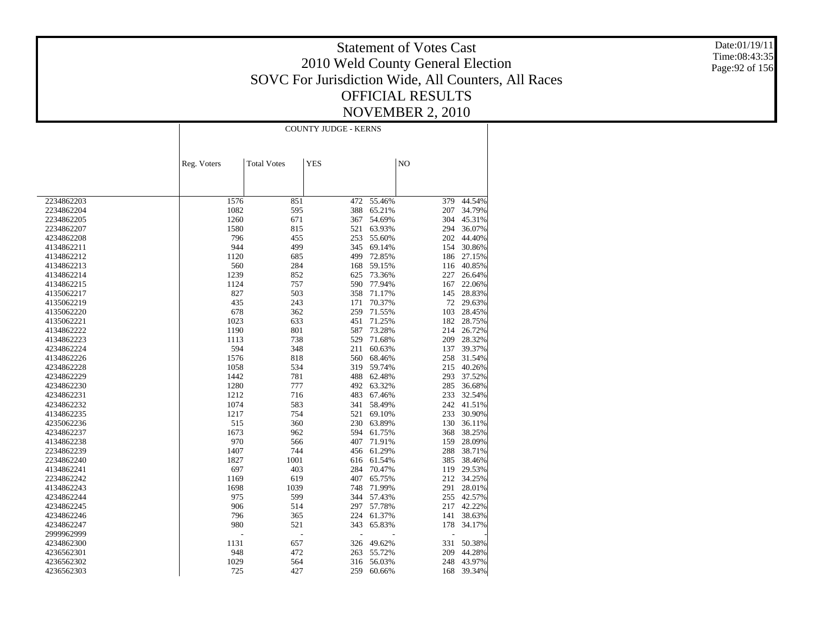Date:01/19/11 Time:08:43:35 Page:92 of 156

|            | <b>COUNTY JUDGE - KERNS</b> |                    |            |            |     |        |  |  |
|------------|-----------------------------|--------------------|------------|------------|-----|--------|--|--|
|            |                             |                    |            |            |     |        |  |  |
|            |                             |                    |            |            |     |        |  |  |
|            | Reg. Voters                 | <b>Total Votes</b> | <b>YES</b> |            | NO  |        |  |  |
|            |                             |                    |            |            |     |        |  |  |
|            |                             |                    |            |            |     |        |  |  |
| 2234862203 | 1576                        | 851                | 472        | 55.46%     | 379 | 44.54% |  |  |
| 2234862204 | 1082                        | 595                | 388        | 65.21%     | 207 | 34.79% |  |  |
| 2234862205 | 1260                        | 671                | 367        | 54.69%     | 304 | 45.31% |  |  |
| 2234862207 | 1580                        | 815                | 521        | 63.93%     | 294 | 36.07% |  |  |
| 4234862208 | 796                         | 455                | 253        | 55.60%     | 202 | 44.40% |  |  |
| 4134862211 | 944                         | 499                | 345        | 69.14%     | 154 | 30.86% |  |  |
| 4134862212 | 1120                        | 685                | 499        | 72.85%     | 186 | 27.15% |  |  |
| 4134862213 | 560                         | 284                | 168        | 59.15%     | 116 | 40.85% |  |  |
| 4134862214 | 1239                        | 852                | 625        | 73.36%     | 227 | 26.64% |  |  |
| 4134862215 | 1124                        | 757                | 590        | 77.94%     | 167 | 22.06% |  |  |
| 4135062217 | 827                         | 503                | 358        | 71.17%     | 145 | 28.83% |  |  |
| 4135062219 | 435                         | 243                | 171        | 70.37%     | 72  | 29.63% |  |  |
| 4135062220 | 678                         | 362                | 259        | 71.55%     | 103 | 28.45% |  |  |
| 4135062221 | 1023                        | 633                | 451        | 71.25%     | 182 | 28.75% |  |  |
| 4134862222 | 1190                        | 801                | 587        | 73.28%     | 214 | 26.72% |  |  |
| 4134862223 | 1113                        | 738                | 529        | 71.68%     | 209 | 28.32% |  |  |
| 4234862224 | 594                         | 348                | 211        | 60.63%     | 137 | 39.37% |  |  |
| 4134862226 | 1576                        | 818                | 560        | 68.46%     | 258 | 31.54% |  |  |
| 4234862228 | 1058                        | 534                | 319        | 59.74%     | 215 | 40.26% |  |  |
| 4234862229 | 1442                        | 781                | 488        | 62.48%     | 293 | 37.52% |  |  |
| 4234862230 | 1280                        | 777                |            | 492 63.32% | 285 | 36.68% |  |  |
| 4234862231 | 1212                        | 716                | 483        | 67.46%     | 233 | 32.54% |  |  |
| 4234862232 | 1074                        | 583                | 341        | 58.49%     | 242 | 41.51% |  |  |
| 4134862235 | 1217                        | 754                | 521        | 69.10%     | 233 | 30.90% |  |  |
| 4235062236 | 515                         | 360                | 230        | 63.89%     | 130 | 36.11% |  |  |
| 4234862237 | 1673                        | 962                |            | 594 61.75% | 368 | 38.25% |  |  |
| 4134862238 | 970                         | 566                | 407        | 71.91%     | 159 | 28.09% |  |  |
| 2234862239 | 1407                        | 744                |            | 456 61.29% | 288 | 38.71% |  |  |
| 2234862240 | 1827                        | 1001               | 616        | 61.54%     | 385 | 38.46% |  |  |
| 4134862241 | 697                         | 403                | 284        | 70.47%     | 119 | 29.53% |  |  |
| 2234862242 | 1169                        | 619                | 407        | 65.75%     | 212 | 34.25% |  |  |
| 4134862243 | 1698                        | 1039               | 748        | 71.99%     | 291 | 28.01% |  |  |
| 4234862244 | 975                         | 599                | 344        | 57.43%     | 255 | 42.57% |  |  |
| 4234862245 | 906                         | 514                | 297        | 57.78%     | 217 | 42.22% |  |  |
| 4234862246 | 796                         | 365                | 224        | 61.37%     | 141 | 38.63% |  |  |
| 4234862247 | 980                         | 521                | 343        | 65.83%     | 178 | 34.17% |  |  |
| 2999962999 |                             | L,                 | L.         |            | ÷   |        |  |  |
| 4234862300 | 1131                        |                    | 326        |            | 331 | 50.38% |  |  |
|            |                             | 657                |            | 49.62%     |     |        |  |  |
| 4236562301 | 948<br>1029                 | 472                | 263        | 55.72%     | 209 | 44.28% |  |  |
| 4236562302 |                             | 564                | 316        | 56.03%     | 248 | 43.97% |  |  |
| 4236562303 | 725                         | 427                | 259        | 60.66%     | 168 | 39.34% |  |  |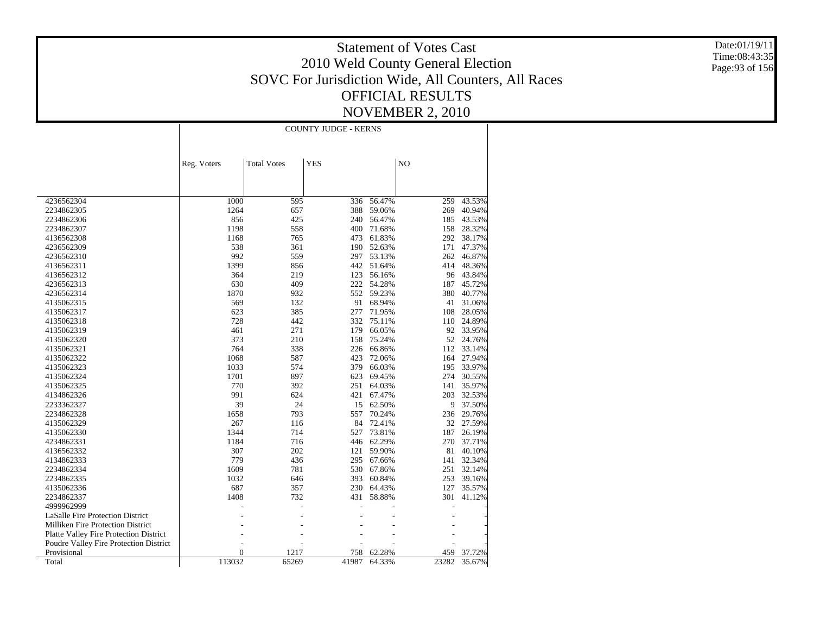Date:01/19/11 Time:08:43:35 Page:93 of 156

|                                        |                  | <b>COUNTY JUDGE - KERNS</b> |            |        |       |          |  |  |  |
|----------------------------------------|------------------|-----------------------------|------------|--------|-------|----------|--|--|--|
|                                        |                  |                             |            |        |       |          |  |  |  |
|                                        |                  |                             |            |        |       |          |  |  |  |
|                                        | Reg. Voters      | <b>Total Votes</b>          | <b>YES</b> |        | NO    |          |  |  |  |
|                                        |                  |                             |            |        |       |          |  |  |  |
|                                        |                  |                             |            |        |       |          |  |  |  |
| 4236562304                             | 1000             | 595                         | 336        | 56.47% | 259   | 43.53%   |  |  |  |
| 2234862305                             | 1264             | 657                         | 388        | 59.06% | 269   | 40.94%   |  |  |  |
| 2234862306                             | 856              | 425                         | 240        | 56.47% | 185   | 43.53%   |  |  |  |
| 2234862307                             | 1198             | 558                         | 400        | 71.68% | 158   | 28.32%   |  |  |  |
| 4136562308                             | 1168             | 765                         | 473        | 61.83% | 292   | 38.17%   |  |  |  |
| 4236562309                             | 538              | 361                         | 190        | 52.63% | 171   | 47.37%   |  |  |  |
| 4236562310                             | 992              | 559                         | 297        | 53.13% | 262   | 46.87%   |  |  |  |
| 4136562311                             | 1399             | 856                         | 442        | 51.64% | 414   | 48.36%   |  |  |  |
| 4136562312                             | 364              | 219                         | 123        | 56.16% | 96    | 43.84%   |  |  |  |
| 4236562313                             | 630              | 409                         | 222        | 54.28% | 187   | 45.72%   |  |  |  |
| 4236562314                             | 1870             | 932                         | 552        | 59.23% | 380   | 40.77%   |  |  |  |
| 4135062315                             | 569              | 132                         | 91         | 68.94% | 41    | 31.06%   |  |  |  |
| 4135062317                             | 623              | 385                         | 277        | 71.95% | 108   | 28.05%   |  |  |  |
| 4135062318                             | 728              | 442                         | 332        | 75.11% | 110   | 24.89%   |  |  |  |
| 4135062319                             | 461              | 271                         | 179        | 66.05% | 92    | 33.95%   |  |  |  |
| 4135062320                             | 373              | 210                         | 158        | 75.24% | 52    | 24.76%   |  |  |  |
| 4135062321                             | 764              | 338                         | 226        | 66.86% | 112   | 33.14%   |  |  |  |
| 4135062322                             | 1068             | 587                         | 423        | 72.06% | 164   | 27.94%   |  |  |  |
| 4135062323                             | 1033             | 574                         | 379        | 66.03% | 195   | 33.97%   |  |  |  |
| 4135062324                             | 1701             | 897                         | 623        | 69.45% | 274   | 30.55%   |  |  |  |
| 4135062325                             | 770              | 392                         | 251        | 64.03% | 141   | 35.97%   |  |  |  |
| 4134862326                             | 991              | 624                         | 421        | 67.47% | 203   | 32.53%   |  |  |  |
| 2233362327                             | 39               | 24                          | 15         | 62.50% |       | 9 37.50% |  |  |  |
| 2234862328                             | 1658             | 793                         | 557        | 70.24% | 236   | 29.76%   |  |  |  |
| 4135062329                             | 267              | 116                         | 84         | 72.41% | 32    | 27.59%   |  |  |  |
| 4135062330                             | 1344             | 714                         | 527        | 73.81% | 187   | 26.19%   |  |  |  |
| 4234862331                             | 1184             | 716                         | 446        | 62.29% | 270   | 37.71%   |  |  |  |
| 4136562332                             | 307              | 202                         | 121        | 59.90% | 81    | 40.10%   |  |  |  |
| 4134862333                             | 779              | 436                         | 295        | 67.66% | 141   | 32.34%   |  |  |  |
| 2234862334                             | 1609             | 781                         | 530        | 67.86% | 251   | 32.14%   |  |  |  |
| 2234862335                             | 1032             | 646                         | 393        | 60.84% | 253   | 39.16%   |  |  |  |
| 4135062336                             | 687              | 357                         | 230        | 64.43% | 127   | 35.57%   |  |  |  |
| 2234862337                             | 1408             | 732                         | 431        | 58.88% | 301   | 41.12%   |  |  |  |
| 4999962999                             |                  |                             |            |        |       |          |  |  |  |
| LaSalle Fire Protection District       |                  |                             |            |        |       |          |  |  |  |
| Milliken Fire Protection District      |                  |                             |            |        |       |          |  |  |  |
| Platte Valley Fire Protection District |                  |                             |            |        |       |          |  |  |  |
| Poudre Valley Fire Protection District |                  |                             |            |        |       |          |  |  |  |
| Provisional                            | $\boldsymbol{0}$ | 1217                        | 758        | 62.28% | 459   | 37.72%   |  |  |  |
| Total                                  | 113032           | 65269                       | 41987      | 64.33% | 23282 | 35.67%   |  |  |  |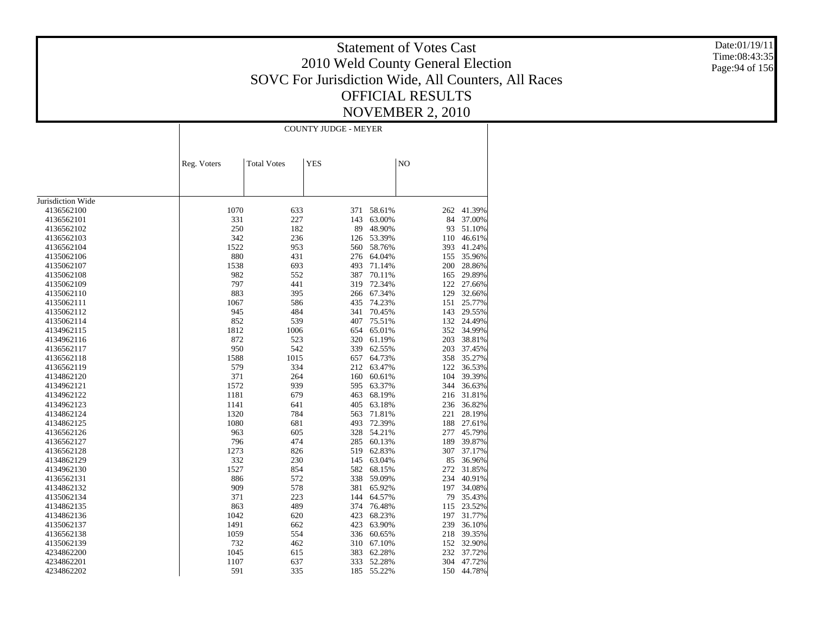Date:01/19/11 Time:08:43:35 Page:94 of 156

|                   | <b>COUNTY JUDGE - MEYER</b> |                    |            |        |     |            |  |  |
|-------------------|-----------------------------|--------------------|------------|--------|-----|------------|--|--|
|                   | Reg. Voters                 | <b>Total Votes</b> | <b>YES</b> |        | NO  |            |  |  |
|                   |                             |                    |            |        |     |            |  |  |
|                   |                             |                    |            |        |     |            |  |  |
|                   |                             |                    |            |        |     |            |  |  |
| Jurisdiction Wide |                             |                    |            |        |     |            |  |  |
| 4136562100        | 1070                        | 633                | 371        | 58.61% | 262 | 41.39%     |  |  |
| 4136562101        | 331                         | 227                | 143        | 63.00% | 84  | 37.00%     |  |  |
| 4136562102        | 250                         | 182                | 89         | 48.90% | 93  | 51.10%     |  |  |
| 4136562103        | 342                         | 236                | 126        | 53.39% | 110 | 46.61%     |  |  |
| 4136562104        | 1522                        | 953                | 560        | 58.76% | 393 | 41.24%     |  |  |
| 4135062106        | 880                         | 431                | 276        | 64.04% | 155 | 35.96%     |  |  |
| 4135062107        | 1538                        | 693                | 493        | 71.14% | 200 | 28.86%     |  |  |
| 4135062108        | 982                         | 552                | 387        | 70.11% | 165 | 29.89%     |  |  |
| 4135062109        | 797                         | 441                | 319        | 72.34% | 122 | 27.66%     |  |  |
| 4135062110        | 883                         | 395                | 266        | 67.34% | 129 | 32.66%     |  |  |
| 4135062111        | 1067                        | 586                | 435        | 74.23% | 151 | 25.77%     |  |  |
| 4135062112        | 945                         | 484                | 341        | 70.45% | 143 | 29.55%     |  |  |
| 4135062114        | 852                         | 539                | 407        | 75.51% | 132 | 24.49%     |  |  |
| 4134962115        | 1812                        | 1006               | 654        | 65.01% | 352 | 34.99%     |  |  |
| 4134962116        | 872                         | 523                | 320        | 61.19% | 203 | 38.81%     |  |  |
| 4136562117        | 950                         | 542                | 339        | 62.55% | 203 | 37.45%     |  |  |
| 4136562118        | 1588                        | 1015               | 657        | 64.73% | 358 | 35.27%     |  |  |
| 4136562119        | 579                         | 334                | 212        | 63.47% |     | 122 36.53% |  |  |
| 4134862120        | 371                         | 264                | 160        | 60.61% | 104 | 39.39%     |  |  |
| 4134962121        | 1572                        | 939                | 595        | 63.37% | 344 | 36.63%     |  |  |
| 4134962122        | 1181                        | 679                | 463        | 68.19% | 216 | 31.81%     |  |  |
| 4134962123        | 1141                        | 641                | 405        | 63.18% | 236 | 36.82%     |  |  |
| 4134862124        | 1320                        | 784                | 563        | 71.81% | 221 | 28.19%     |  |  |
| 4134862125        | 1080                        | 681                | 493        | 72.39% | 188 | 27.61%     |  |  |
| 4136562126        | 963                         | 605                | 328        | 54.21% | 277 | 45.79%     |  |  |
| 4136562127        | 796                         | 474                | 285        | 60.13% | 189 | 39.87%     |  |  |
| 4136562128        | 1273                        | 826                | 519        | 62.83% | 307 | 37.17%     |  |  |
| 4134862129        | 332                         | 230                | 145        | 63.04% | 85  | 36.96%     |  |  |
| 4134962130        | 1527                        | 854                | 582        | 68.15% | 272 | 31.85%     |  |  |
| 4136562131        | 886                         | 572                | 338        | 59.09% | 234 | 40.91%     |  |  |
| 4134862132        | 909                         | 578                | 381        | 65.92% | 197 | 34.08%     |  |  |
| 4135062134        | 371                         | 223                | 144        | 64.57% | 79  | 35.43%     |  |  |
| 4134862135        | 863                         | 489                | 374        | 76.48% | 115 | 23.52%     |  |  |
| 4134862136        | 1042                        | 620                | 423        | 68.23% | 197 | 31.77%     |  |  |
| 4135062137        | 1491                        | 662                | 423        | 63.90% | 239 | 36.10%     |  |  |
| 4136562138        | 1059                        | 554                | 336        | 60.65% | 218 | 39.35%     |  |  |
| 4135062139        | 732                         | 462                | 310        | 67.10% |     | 152 32.90% |  |  |
| 4234862200        | 1045                        | 615                | 383        | 62.28% | 232 | 37.72%     |  |  |
| 4234862201        | 1107                        | 637                | 333        | 52.28% | 304 | 47.72%     |  |  |
| 4234862202        | 591                         | 335                | 185        | 55.22% |     | 150 44.78% |  |  |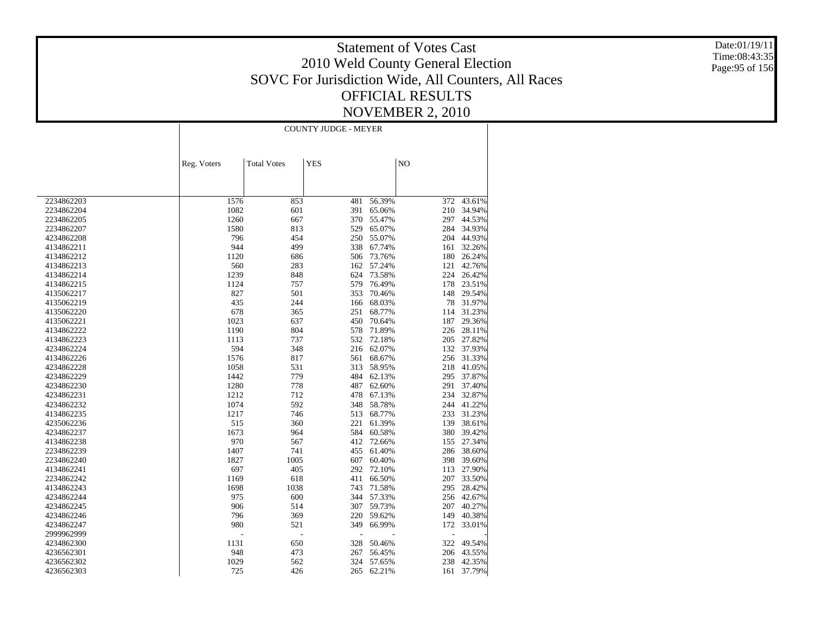Date:01/19/11 Time:08:43:35 Page:95 of 156

|            | <b>COUNTY JUDGE - MEYER</b> |                    |            |        |     |            |  |  |
|------------|-----------------------------|--------------------|------------|--------|-----|------------|--|--|
|            |                             |                    |            |        |     |            |  |  |
|            | Reg. Voters                 | <b>Total Votes</b> | <b>YES</b> |        | NO  |            |  |  |
|            |                             |                    |            |        |     |            |  |  |
| 2234862203 | 1576                        | 853                | 481        | 56.39% | 372 | 43.61%     |  |  |
| 2234862204 | 1082                        | 601                | 391        | 65.06% | 210 | 34.94%     |  |  |
| 2234862205 | 1260                        | 667                | 370        | 55.47% | 297 | 44.53%     |  |  |
| 2234862207 | 1580                        | 813                | 529        | 65.07% | 284 | 34.93%     |  |  |
| 4234862208 | 796                         | 454                | 250        | 55.07% | 204 | 44.93%     |  |  |
| 4134862211 | 944                         | 499                | 338        | 67.74% | 161 | 32.26%     |  |  |
| 4134862212 | 1120                        | 686                | 506        | 73.76% | 180 | 26.24%     |  |  |
| 4134862213 | 560                         | 283                | 162        | 57.24% | 121 | 42.76%     |  |  |
| 4134862214 | 1239                        | 848                | 624        | 73.58% | 224 | 26.42%     |  |  |
| 4134862215 | 1124                        | 757                | 579        | 76.49% | 178 | 23.51%     |  |  |
| 4135062217 | 827                         | 501                | 353        | 70.46% | 148 | 29.54%     |  |  |
| 4135062219 | 435                         | 244                | 166        | 68.03% | 78  | 31.97%     |  |  |
| 4135062220 | 678                         | 365                | 251        | 68.77% | 114 | 31.23%     |  |  |
| 4135062221 | 1023                        | 637                | 450        | 70.64% | 187 | 29.36%     |  |  |
| 4134862222 | 1190                        | 804                | 578        | 71.89% | 226 | 28.11%     |  |  |
| 4134862223 | 1113                        | 737                | 532        | 72.18% | 205 | 27.82%     |  |  |
| 4234862224 | 594                         | 348                | 216        | 62.07% |     | 132 37.93% |  |  |
| 4134862226 | 1576                        | 817                | 561        | 68.67% | 256 | 31.33%     |  |  |
| 4234862228 | 1058                        | 531                | 313        | 58.95% | 218 | 41.05%     |  |  |
| 4234862229 | 1442                        | 779                | 484        | 62.13% | 295 | 37.87%     |  |  |
| 4234862230 | 1280                        | 778                | 487        | 62.60% | 291 | 37.40%     |  |  |
| 4234862231 | 1212                        | 712                | 478        | 67.13% | 234 | 32.87%     |  |  |
| 4234862232 | 1074                        | 592                | 348        | 58.78% | 244 | 41.22%     |  |  |
| 4134862235 | 1217                        | 746                | 513        | 68.77% | 233 | 31.23%     |  |  |
| 4235062236 | 515                         | 360                | 221        | 61.39% | 139 | 38.61%     |  |  |
| 4234862237 | 1673                        | 964                | 584        | 60.58% | 380 | 39.42%     |  |  |
| 4134862238 | 970                         | 567                | 412        | 72.66% | 155 | 27.34%     |  |  |
| 2234862239 | 1407                        | 741                | 455        | 61.40% | 286 | 38.60%     |  |  |
| 2234862240 | 1827                        | 1005               | 607        | 60.40% | 398 | 39.60%     |  |  |
| 4134862241 | 697                         | 405                | 292        | 72.10% | 113 | 27.90%     |  |  |
| 2234862242 | 1169                        | 618                | 411        | 66.50% | 207 | 33.50%     |  |  |
| 4134862243 | 1698                        | 1038               | 743        | 71.58% | 295 | 28.42%     |  |  |
| 4234862244 | 975                         | 600                | 344        | 57.33% | 256 | 42.67%     |  |  |
| 4234862245 | 906                         | 514                | 307        | 59.73% | 207 | 40.27%     |  |  |
| 4234862246 | 796                         | 369                | 220        | 59.62% | 149 | 40.38%     |  |  |
| 4234862247 | 980                         | 521                | 349        | 66.99% | 172 | 33.01%     |  |  |
| 2999962999 |                             | L,                 |            |        |     |            |  |  |
| 4234862300 | 1131                        | 650                | 328        | 50.46% | 322 | 49.54%     |  |  |
| 4236562301 | 948                         | 473                | 267        | 56.45% | 206 | 43.55%     |  |  |
| 4236562302 | 1029                        | 562                | 324        | 57.65% | 238 | 42.35%     |  |  |
|            | 725                         |                    |            |        |     |            |  |  |
| 4236562303 |                             | 426                | 265        | 62.21% | 161 | 37.79%     |  |  |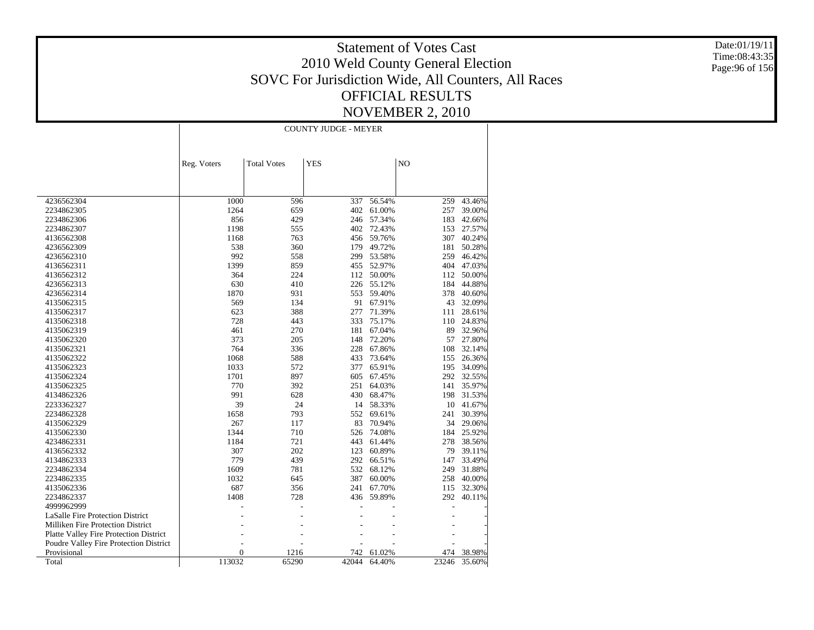Date:01/19/11 Time:08:43:35 Page:96 of 156

|                                        | <b>COUNTY JUDGE - MEYER</b> |                    |            |        |       |        |  |
|----------------------------------------|-----------------------------|--------------------|------------|--------|-------|--------|--|
|                                        |                             |                    |            |        |       |        |  |
|                                        | Reg. Voters                 | <b>Total Votes</b> | <b>YES</b> |        | NO    |        |  |
|                                        |                             |                    |            |        |       |        |  |
|                                        |                             |                    |            |        |       |        |  |
| 4236562304                             | 1000                        | 596                | 337        | 56.54% | 259   | 43.46% |  |
| 2234862305                             | 1264                        | 659                | 402        | 61.00% | 257   | 39.00% |  |
| 2234862306                             | 856                         | 429                | 246        | 57.34% | 183   | 42.66% |  |
| 2234862307                             | 1198                        | 555                | 402        | 72.43% | 153   | 27.57% |  |
| 4136562308                             | 1168                        | 763                | 456        | 59.76% | 307   | 40.24% |  |
| 4236562309                             | 538                         | 360                | 179        | 49.72% | 181   | 50.28% |  |
| 4236562310                             | 992                         | 558                | 299        | 53.58% | 259   | 46.42% |  |
| 4136562311                             | 1399                        | 859                | 455        | 52.97% | 404   | 47.03% |  |
| 4136562312                             | 364                         | 224                | 112        | 50.00% | 112   | 50.00% |  |
| 4236562313                             | 630                         | 410                | 226        | 55.12% | 184   | 44.88% |  |
| 4236562314                             | 1870                        | 931                | 553        | 59.40% | 378   | 40.60% |  |
| 4135062315                             | 569                         | 134                | 91         | 67.91% | 43    | 32.09% |  |
| 4135062317                             | 623                         | 388                | 277        | 71.39% | 111   | 28.61% |  |
| 4135062318                             | 728                         | 443                | 333        | 75.17% | 110   | 24.83% |  |
| 4135062319                             | 461                         | 270                | 181        | 67.04% | 89    | 32.96% |  |
| 4135062320                             | 373                         | 205                | 148        | 72.20% | 57    | 27.80% |  |
| 4135062321                             | 764                         | 336                | 228        | 67.86% | 108   | 32.14% |  |
| 4135062322                             | 1068                        | 588                | 433        | 73.64% | 155   | 26.36% |  |
| 4135062323                             | 1033                        | 572                | 377        | 65.91% | 195   | 34.09% |  |
| 4135062324                             | 1701                        | 897                | 605        | 67.45% | 292   | 32.55% |  |
| 4135062325                             | 770                         | 392                | 251        | 64.03% | 141   | 35.97% |  |
| 4134862326                             | 991                         | 628                | 430        | 68.47% | 198   | 31.53% |  |
| 2233362327                             | 39                          | 24                 | 14         | 58.33% | 10    | 41.67% |  |
| 2234862328                             | 1658                        | 793                | 552        | 69.61% | 241   | 30.39% |  |
| 4135062329                             | 267                         | 117                | 83         | 70.94% | 34    | 29.06% |  |
| 4135062330                             | 1344                        | 710                | 526        | 74.08% | 184   | 25.92% |  |
| 4234862331                             | 1184                        | 721                | 443        | 61.44% | 278   | 38.56% |  |
| 4136562332                             | 307                         | 202                | 123        | 60.89% | 79    | 39.11% |  |
| 4134862333                             | 779                         | 439                | 292        | 66.51% | 147   | 33.49% |  |
| 2234862334                             | 1609                        | 781                | 532        | 68.12% | 249   | 31.88% |  |
| 2234862335                             | 1032                        | 645                | 387        | 60.00% | 258   | 40.00% |  |
| 4135062336                             | 687                         | 356                | 241        | 67.70% | 115   | 32.30% |  |
| 2234862337                             | 1408                        | 728                | 436        | 59.89% | 292   | 40.11% |  |
| 4999962999                             |                             |                    |            |        |       |        |  |
| LaSalle Fire Protection District       |                             |                    |            |        |       |        |  |
| Milliken Fire Protection District      |                             |                    |            |        |       |        |  |
| Platte Valley Fire Protection District |                             |                    |            |        |       |        |  |
| Poudre Valley Fire Protection District |                             |                    |            |        |       |        |  |
| Provisional                            | $\overline{0}$              | 1216               | 742        | 61.02% | 474   | 38.98% |  |
| Total                                  | 113032                      | 65290              | 42044      | 64.40% | 23246 | 35.60% |  |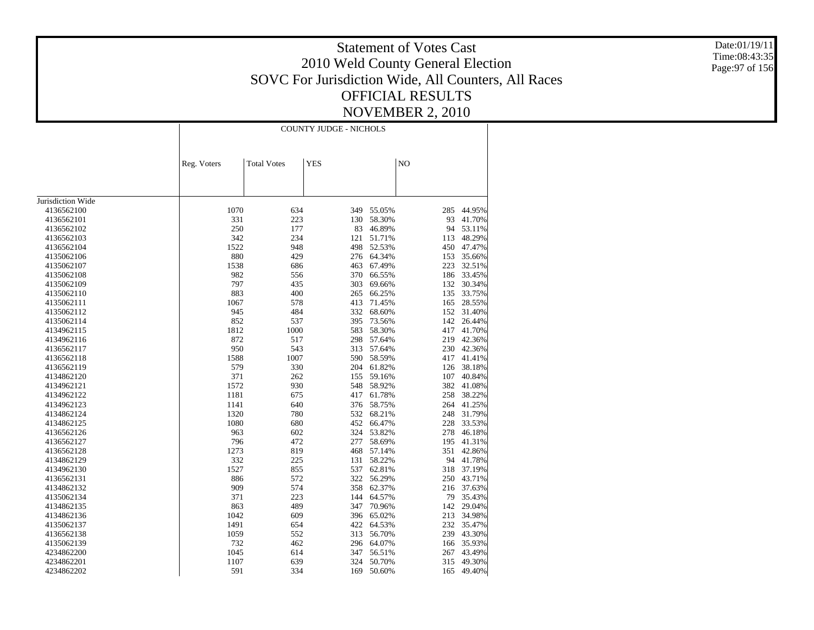Date:01/19/11 Time:08:43:35 Page:97 of 156

|                   |             | <b>COUNTY JUDGE - NICHOLS</b> |            |        |     |        |  |
|-------------------|-------------|-------------------------------|------------|--------|-----|--------|--|
|                   | Reg. Voters | <b>Total Votes</b>            | <b>YES</b> |        | NO  |        |  |
|                   |             |                               |            |        |     |        |  |
|                   |             |                               |            |        |     |        |  |
| Jurisdiction Wide |             |                               |            |        |     |        |  |
| 4136562100        | 1070        | 634                           | 349        | 55.05% | 285 | 44.95% |  |
| 4136562101        | 331         | 223                           | 130        | 58.30% | 93  | 41.70% |  |
| 4136562102        | 250         | 177                           | 83         | 46.89% | 94  | 53.11% |  |
| 4136562103        | 342         | 234                           | 121        | 51.71% | 113 | 48.29% |  |
| 4136562104        | 1522        | 948                           | 498        | 52.53% | 450 | 47.47% |  |
| 4135062106        | 880         | 429                           | 276        | 64.34% | 153 | 35.66% |  |
| 4135062107        | 1538        | 686                           | 463        | 67.49% | 223 | 32.51% |  |
| 4135062108        | 982         | 556                           | 370        | 66.55% | 186 | 33.45% |  |
| 4135062109        | 797         | 435                           | 303        | 69.66% | 132 | 30.34% |  |
| 4135062110        | 883         | 400                           | 265        | 66.25% | 135 | 33.75% |  |
| 4135062111        | 1067        | 578                           | 413        | 71.45% | 165 | 28.55% |  |
| 4135062112        | 945         | 484                           | 332        | 68.60% | 152 | 31.40% |  |
| 4135062114        | 852         | 537                           | 395        | 73.56% | 142 | 26.44% |  |
| 4134962115        | 1812        | 1000                          | 583        | 58.30% | 417 | 41.70% |  |
| 4134962116        | 872         | 517                           | 298        | 57.64% | 219 | 42.36% |  |
| 4136562117        | 950         | 543                           | 313        | 57.64% | 230 | 42.36% |  |
| 4136562118        | 1588        | 1007                          | 590        | 58.59% | 417 | 41.41% |  |
| 4136562119        | 579         | 330                           | 204        | 61.82% | 126 | 38.18% |  |
| 4134862120        | 371         | 262                           | 155        | 59.16% | 107 | 40.84% |  |
| 4134962121        | 1572        | 930                           | 548        | 58.92% | 382 | 41.08% |  |
| 4134962122        | 1181        | 675                           | 417        | 61.78% | 258 | 38.22% |  |
| 4134962123        | 1141        | 640                           | 376        | 58.75% | 264 | 41.25% |  |
| 4134862124        | 1320        | 780                           | 532        | 68.21% | 248 | 31.79% |  |
| 4134862125        | 1080        | 680                           | 452        | 66.47% | 228 | 33.53% |  |
| 4136562126        | 963         | 602                           | 324        | 53.82% | 278 | 46.18% |  |
| 4136562127        | 796         | 472                           | 277        | 58.69% | 195 | 41.31% |  |
| 4136562128        | 1273        | 819                           | 468        | 57.14% | 351 | 42.86% |  |
| 4134862129        | 332         | 225                           | 131        | 58.22% | 94  | 41.78% |  |
| 4134962130        | 1527        | 855                           | 537        | 62.81% | 318 | 37.19% |  |
| 4136562131        | 886         | 572                           | 322        | 56.29% | 250 | 43.71% |  |
| 4134862132        | 909         | 574                           | 358        | 62.37% | 216 | 37.63% |  |
| 4135062134        | 371         | 223                           | 144        | 64.57% | 79  | 35.43% |  |
| 4134862135        | 863         | 489                           | 347        | 70.96% | 142 | 29.04% |  |
| 4134862136        | 1042        | 609                           | 396        | 65.02% | 213 | 34.98% |  |
| 4135062137        | 1491        | 654                           | 422        | 64.53% | 232 | 35.47% |  |
| 4136562138        | 1059        | 552                           | 313        | 56.70% | 239 | 43.30% |  |
| 4135062139        | 732         | 462                           | 296        | 64.07% | 166 | 35.93% |  |
| 4234862200        | 1045        | 614                           | 347        | 56.51% | 267 | 43.49% |  |
| 4234862201        | 1107        | 639                           | 324        | 50.70% | 315 | 49.30% |  |
| 4234862202        | 591         | 334                           | 169        | 50.60% | 165 | 49.40% |  |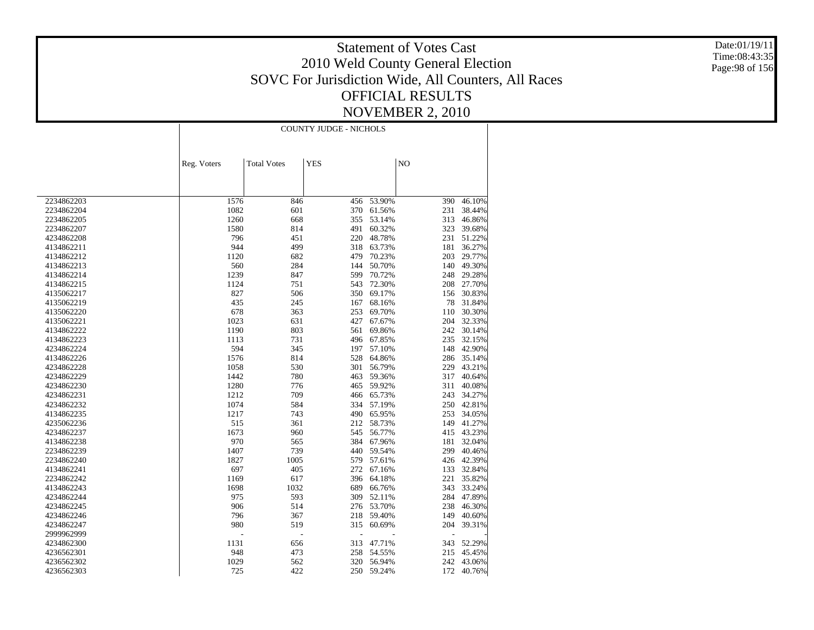Date:01/19/11 Time:08:43:35 Page:98 of 156

|            | <b>COUNTY JUDGE - NICHOLS</b> |                    |            |            |                |        |  |
|------------|-------------------------------|--------------------|------------|------------|----------------|--------|--|
|            |                               |                    |            |            |                |        |  |
|            |                               |                    |            |            |                |        |  |
|            | Reg. Voters                   | <b>Total Votes</b> | <b>YES</b> |            | N <sub>O</sub> |        |  |
|            |                               |                    |            |            |                |        |  |
|            |                               |                    |            |            |                |        |  |
| 2234862203 | 1576                          | 846                | 456        | 53.90%     | 390            | 46.10% |  |
| 2234862204 | 1082                          | 601                | 370        | 61.56%     | 231            | 38.44% |  |
| 2234862205 | 1260                          | 668                | 355        | 53.14%     | 313            | 46.86% |  |
| 2234862207 | 1580                          | 814                | 491        | 60.32%     | 323            | 39.68% |  |
| 4234862208 | 796                           | 451                | 220        | 48.78%     | 231            | 51.22% |  |
| 4134862211 | 944                           | 499                | 318        | 63.73%     | 181            | 36.27% |  |
| 4134862212 | 1120                          | 682                | 479        | 70.23%     | 203            | 29.77% |  |
| 4134862213 | 560                           | 284                | 144        | 50.70%     | 140            | 49.30% |  |
| 4134862214 | 1239                          | 847                | 599        | 70.72%     | 248            | 29.28% |  |
| 4134862215 | 1124                          | 751                | 543        | 72.30%     | 208            | 27.70% |  |
| 4135062217 | 827                           | 506                | 350        | 69.17%     | 156            | 30.83% |  |
| 4135062219 | 435                           | 245                | 167        | 68.16%     | 78             | 31.84% |  |
| 4135062220 | 678                           | 363                | 253        | 69.70%     | 110            | 30.30% |  |
| 4135062221 | 1023                          | 631                | 427        | 67.67%     | 204            | 32.33% |  |
| 4134862222 | 1190                          | 803                | 561        | 69.86%     | 242            | 30.14% |  |
| 4134862223 | 1113                          | 731                | 496        | 67.85%     | 235            | 32.15% |  |
| 4234862224 | 594                           | 345                | 197        | 57.10%     | 148            | 42.90% |  |
| 4134862226 | 1576                          | 814                | 528        | 64.86%     | 286            | 35.14% |  |
| 4234862228 | 1058                          | 530                | 301        | 56.79%     | 229            | 43.21% |  |
| 4234862229 | 1442                          | 780                | 463        | 59.36%     | 317            | 40.64% |  |
| 4234862230 | 1280                          | 776                | 465        | 59.92%     | 311            | 40.08% |  |
| 4234862231 | 1212                          | 709                | 466        | 65.73%     | 243            | 34.27% |  |
| 4234862232 | 1074                          | 584                | 334        | 57.19%     | 250            | 42.81% |  |
| 4134862235 | 1217                          | 743                | 490        | 65.95%     | 253            | 34.05% |  |
| 4235062236 | 515                           | 361                |            | 212 58.73% | 149            | 41.27% |  |
| 4234862237 | 1673                          | 960                | 545        | 56.77%     | 415            | 43.23% |  |
| 4134862238 | 970                           | 565                | 384        | 67.96%     | 181            | 32.04% |  |
| 2234862239 | 1407                          | 739                | 440        | 59.54%     | 299            | 40.46% |  |
| 2234862240 | 1827                          | 1005               | 579        | 57.61%     | 426            | 42.39% |  |
| 4134862241 | 697                           | 405                | 272        | 67.16%     | 133            | 32.84% |  |
| 2234862242 | 1169                          | 617                | 396        | 64.18%     | 221            | 35.82% |  |
| 4134862243 | 1698                          | 1032               | 689        | 66.76%     | 343            | 33.24% |  |
| 4234862244 | 975                           | 593                | 309        | 52.11%     | 284            | 47.89% |  |
| 4234862245 | 906                           | 514                | 276        | 53.70%     | 238            | 46.30% |  |
| 4234862246 | 796                           | 367                | 218        | 59.40%     | 149            | 40.60% |  |
| 4234862247 | 980                           | 519                | 315        | 60.69%     | 204            | 39.31% |  |
| 2999962999 |                               | L,                 |            |            |                |        |  |
| 4234862300 | 1131                          | 656                | 313        | 47.71%     | 343            | 52.29% |  |
| 4236562301 | 948                           | 473                | 258        | 54.55%     | 215            | 45.45% |  |
| 4236562302 | 1029                          | 562                | 320        | 56.94%     | 242            | 43.06% |  |
| 4236562303 | 725                           | 422                |            | 250 59.24% | 172            | 40.76% |  |
|            |                               |                    |            |            |                |        |  |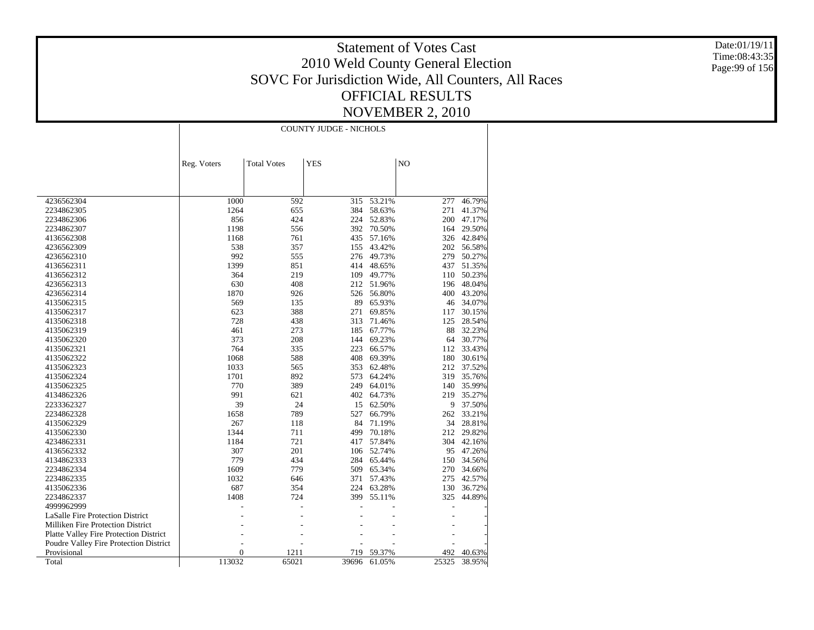Date:01/19/11 Time:08:43:35 Page:99 of 156

|                                        | <b>COUNTY JUDGE - NICHOLS</b> |                    |            |        |       |          |
|----------------------------------------|-------------------------------|--------------------|------------|--------|-------|----------|
|                                        |                               |                    |            |        |       |          |
|                                        | Reg. Voters                   | <b>Total Votes</b> | <b>YES</b> |        | NO    |          |
|                                        |                               |                    |            |        |       |          |
|                                        |                               |                    |            |        |       |          |
|                                        |                               |                    |            |        |       |          |
| 4236562304                             | 1000                          | 592                | 315        | 53.21% | 277   | 46.79%   |
| 2234862305                             | 1264                          | 655                | 384        | 58.63% | 271   | 41.37%   |
| 2234862306                             | 856                           | 424                | 224        | 52.83% | 200   | 47.17%   |
| 2234862307                             | 1198                          | 556                | 392        | 70.50% | 164   | 29.50%   |
| 4136562308                             | 1168                          | 761                | 435        | 57.16% | 326   | 42.84%   |
| 4236562309                             | 538                           | 357                | 155        | 43.42% | 202   | 56.58%   |
| 4236562310                             | 992                           | 555                | 276        | 49.73% | 279   | 50.27%   |
| 4136562311                             | 1399                          | 851                | 414        | 48.65% | 437   | 51.35%   |
| 4136562312                             | 364                           | 219                | 109        | 49.77% | 110   | 50.23%   |
| 4236562313                             | 630                           | 408                | 212        | 51.96% | 196   | 48.04%   |
| 4236562314                             | 1870                          | 926                | 526        | 56.80% | 400   | 43.20%   |
| 4135062315                             | 569                           | 135                | 89         | 65.93% | 46    | 34.07%   |
| 4135062317                             | 623                           | 388                | 271        | 69.85% | 117   | 30.15%   |
| 4135062318                             | 728                           | 438                | 313        | 71.46% | 125   | 28.54%   |
| 4135062319                             | 461                           | 273                | 185        | 67.77% | 88    | 32.23%   |
| 4135062320                             | 373                           | 208                | 144        | 69.23% | 64    | 30.77%   |
| 4135062321                             | 764                           | 335                | 223        | 66.57% | 112   | 33.43%   |
| 4135062322                             | 1068                          | 588                | 408        | 69.39% | 180   | 30.61%   |
| 4135062323                             | 1033                          | 565                | 353        | 62.48% | 212   | 37.52%   |
| 4135062324                             | 1701                          | 892                | 573        | 64.24% | 319   | 35.76%   |
| 4135062325                             | 770                           | 389                | 249        | 64.01% | 140   | 35.99%   |
| 4134862326                             | 991                           | 621                | 402        | 64.73% | 219   | 35.27%   |
| 2233362327                             | 39                            | 24                 | 15         | 62.50% |       | 9 37.50% |
| 2234862328                             | 1658                          | 789                | 527        | 66.79% | 262   | 33.21%   |
| 4135062329                             | 267                           | 118                | 84         | 71.19% | 34    | 28.81%   |
| 4135062330                             | 1344                          | 711                | 499        | 70.18% | 212   | 29.82%   |
| 4234862331                             | 1184                          | 721                | 417        | 57.84% | 304   | 42.16%   |
| 4136562332                             | 307                           | 201                | 106        | 52.74% | 95    | 47.26%   |
| 4134862333                             | 779                           | 434                | 284        | 65.44% | 150   | 34.56%   |
| 2234862334                             | 1609                          | 779                | 509        | 65.34% | 270   | 34.66%   |
| 2234862335                             | 1032                          | 646                | 371        | 57.43% | 275   | 42.57%   |
| 4135062336                             | 687                           | 354                | 224        | 63.28% | 130   | 36.72%   |
| 2234862337                             | 1408                          | 724                | 399        | 55.11% | 325   | 44.89%   |
| 4999962999                             |                               |                    |            |        |       |          |
| LaSalle Fire Protection District       |                               |                    |            |        |       |          |
| Milliken Fire Protection District      |                               |                    |            |        |       |          |
| Platte Valley Fire Protection District |                               |                    |            |        |       |          |
| Poudre Valley Fire Protection District |                               |                    |            |        |       |          |
| Provisional                            | $\boldsymbol{0}$              | 1211               | 719        | 59.37% | 492   | 40.63%   |
| Total                                  | 113032                        | 65021              | 39696      | 61.05% | 25325 | 38.95%   |
|                                        |                               |                    |            |        |       |          |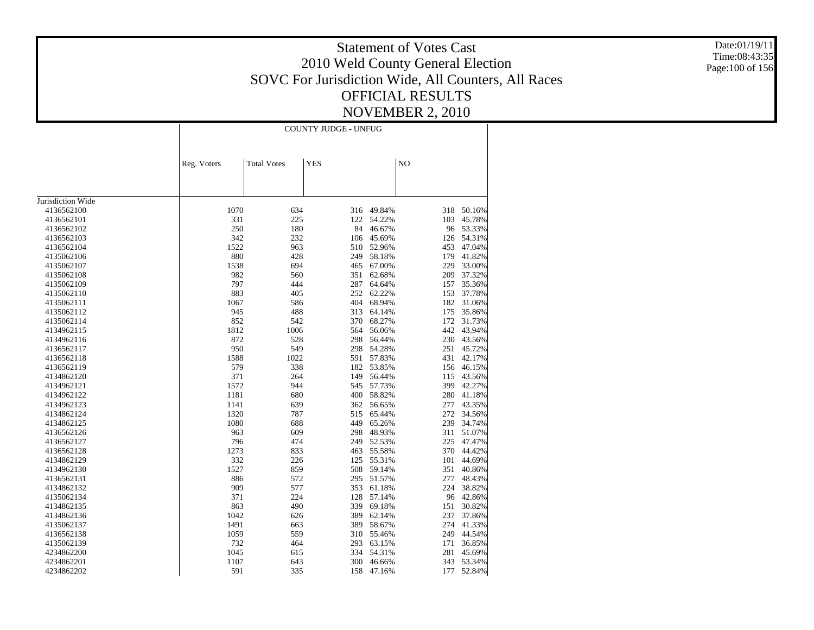Date:01/19/11 Time:08:43:35 Page:100 of 156

|                   | <b>COUNTY JUDGE - UNFUG</b> |                    |            |        |     |        |
|-------------------|-----------------------------|--------------------|------------|--------|-----|--------|
|                   | Reg. Voters                 | <b>Total Votes</b> | <b>YES</b> |        | NO  |        |
|                   |                             |                    |            |        |     |        |
|                   |                             |                    |            |        |     |        |
| Jurisdiction Wide |                             |                    |            |        |     |        |
| 4136562100        | 1070                        | 634                | 316        | 49.84% | 318 | 50.16% |
| 4136562101        | 331                         | 225                | 122        | 54.22% | 103 | 45.78% |
| 4136562102        | 250                         | 180                | 84         | 46.67% | 96  | 53.33% |
| 4136562103        | 342                         | 232                | 106        | 45.69% | 126 | 54.31% |
| 4136562104        | 1522                        | 963                | 510        | 52.96% | 453 | 47.04% |
| 4135062106        | 880                         | 428                | 249        | 58.18% | 179 | 41.82% |
| 4135062107        | 1538                        | 694                | 465        | 67.00% | 229 | 33.00% |
| 4135062108        | 982                         | 560                | 351        | 62.68% | 209 | 37.32% |
| 4135062109        | 797                         | 444                | 287        | 64.64% | 157 | 35.36% |
| 4135062110        | 883                         | 405                | 252        | 62.22% | 153 | 37.78% |
| 4135062111        | 1067                        | 586                | 404        | 68.94% | 182 | 31.06% |
| 4135062112        | 945                         | 488                | 313        | 64.14% | 175 | 35.86% |
| 4135062114        | 852                         | 542                | 370        | 68.27% | 172 | 31.73% |
| 4134962115        | 1812                        | 1006               | 564        | 56.06% | 442 | 43.94% |
| 4134962116        | 872                         | 528                | 298        | 56.44% | 230 | 43.56% |
| 4136562117        | 950                         | 549                | 298        | 54.28% | 251 | 45.72% |
| 4136562118        | 1588                        | 1022               | 591        | 57.83% | 431 | 42.17% |
| 4136562119        | 579                         | 338                | 182        | 53.85% | 156 | 46.15% |
| 4134862120        | 371                         | 264                | 149        | 56.44% | 115 | 43.56% |
| 4134962121        | 1572                        | 944                | 545        | 57.73% | 399 | 42.27% |
| 4134962122        | 1181                        | 680                | 400        | 58.82% | 280 | 41.18% |
| 4134962123        | 1141                        | 639                | 362        | 56.65% | 277 | 43.35% |
| 4134862124        | 1320                        | 787                | 515        | 65.44% | 272 | 34.56% |
| 4134862125        | 1080                        | 688                | 449        | 65.26% | 239 | 34.74% |
| 4136562126        | 963                         | 609                | 298        | 48.93% | 311 | 51.07% |
| 4136562127        | 796                         | 474                | 249        | 52.53% | 225 | 47.47% |
| 4136562128        | 1273                        | 833                | 463        | 55.58% | 370 | 44.42% |
| 4134862129        | 332                         | 226                | 125        | 55.31% | 101 | 44.69% |
| 4134962130        | 1527                        | 859                | 508        | 59.14% | 351 | 40.86% |
| 4136562131        | 886                         | 572                | 295        | 51.57% | 277 | 48.43% |
| 4134862132        | 909                         | 577                | 353        | 61.18% | 224 | 38.82% |
| 4135062134        | 371                         | 224                | 128        | 57.14% | 96  | 42.86% |
| 4134862135        | 863                         | 490                | 339        | 69.18% | 151 | 30.82% |
| 4134862136        | 1042                        | 626                | 389        | 62.14% | 237 | 37.86% |
| 4135062137        | 1491                        | 663                | 389        | 58.67% | 274 | 41.33% |
| 4136562138        | 1059                        | 559                | 310        | 55.46% | 249 | 44.54% |
| 4135062139        | 732                         | 464                | 293        | 63.15% | 171 | 36.85% |
| 4234862200        | 1045                        | 615                | 334        | 54.31% | 281 | 45.69% |
| 4234862201        | 1107                        | 643                | 300        | 46.66% | 343 | 53.34% |
| 4234862202        | 591                         | 335                | 158        | 47.16% | 177 | 52.84% |
|                   |                             |                    |            |        |     |        |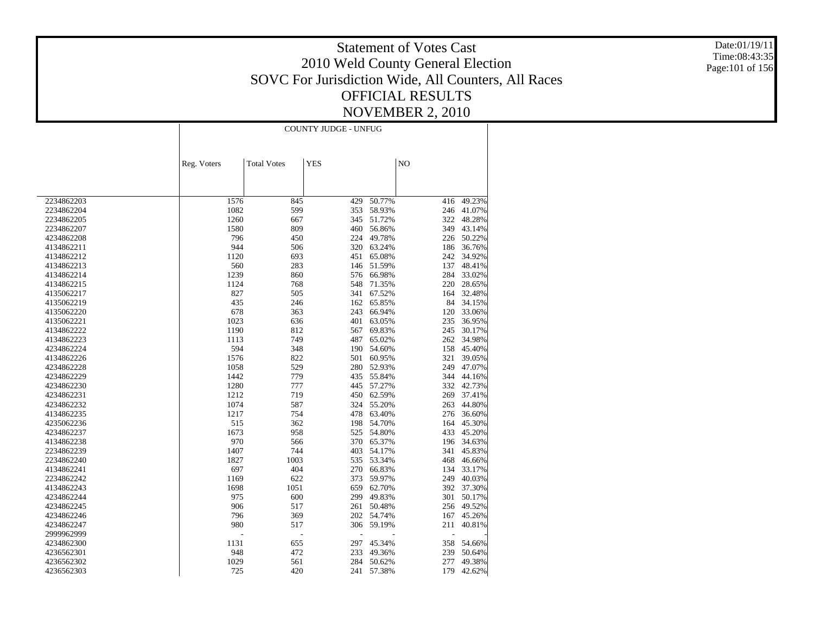Date:01/19/11 Time:08:43:35 Page:101 of 156

|                          | COUNTY JUDGE - UNFUG |                    |            |                  |                |        |
|--------------------------|----------------------|--------------------|------------|------------------|----------------|--------|
|                          |                      |                    |            |                  |                |        |
|                          | Reg. Voters          | <b>Total Votes</b> | <b>YES</b> |                  | N <sub>O</sub> |        |
|                          |                      |                    |            |                  |                |        |
| 2234862203               | 1576                 | 845                | 429        | 50.77%           | 416            | 49.23% |
| 2234862204               | 1082                 | 599                | 353        | 58.93%           | 246            | 41.07% |
| 2234862205               | 1260                 | 667                | 345        | 51.72%           | 322            | 48.28% |
| 2234862207               | 1580                 | 809                | 460        | 56.86%           | 349            | 43.14% |
| 4234862208               | 796                  | 450                | 224        | 49.78%           | 226            | 50.22% |
| 4134862211               | 944                  | 506                | 320        | 63.24%           | 186            | 36.76% |
| 4134862212               | 1120                 | 693                | 451        | 65.08%           | 242            | 34.92% |
| 4134862213               | 560                  | 283                | 146        | 51.59%           | 137            | 48.41% |
| 4134862214               | 1239                 | 860                | 576        | 66.98%           | 284            | 33.02% |
| 4134862215               | 1124                 | 768                | 548        | 71.35%           | 220            | 28.65% |
| 4135062217               | 827                  | 505                | 341        | 67.52%           | 164            | 32.48% |
|                          |                      |                    | 162        |                  | 84             | 34.15% |
| 4135062219<br>4135062220 | 435<br>678           | 246<br>363         | 243        | 65.85%<br>66.94% | 120            | 33.06% |
|                          | 1023                 | 636                | 401        | 63.05%           | 235            | 36.95% |
| 4135062221               | 1190                 |                    |            |                  |                | 30.17% |
| 4134862222               |                      | 812                | 567        | 69.83%           | 245            |        |
| 4134862223               | 1113<br>594          | 749                | 487        | 65.02%           | 262<br>158     | 34.98% |
| 4234862224               |                      | 348                | 190        | 54.60%           |                | 45.40% |
| 4134862226               | 1576                 | 822                | 501        | 60.95%           | 321            | 39.05% |
| 4234862228               | 1058                 | 529                | 280        | 52.93%           | 249            | 47.07% |
| 4234862229               | 1442                 | 779                | 435        | 55.84%           | 344            | 44.16% |
| 4234862230               | 1280                 | 777                | 445        | 57.27%           | 332            | 42.73% |
| 4234862231               | 1212                 | 719                | 450        | 62.59%           | 269            | 37.41% |
| 4234862232               | 1074                 | 587                | 324        | 55.20%           | 263            | 44.80% |
| 4134862235               | 1217                 | 754                | 478        | 63.40%           | 276            | 36.60% |
| 4235062236               | 515                  | 362                | 198        | 54.70%           | 164            | 45.30% |
| 4234862237               | 1673                 | 958                | 525        | 54.80%           | 433            | 45.20% |
| 4134862238               | 970                  | 566                | 370        | 65.37%           | 196            | 34.63% |
| 2234862239               | 1407                 | 744                | 403        | 54.17%           | 341            | 45.83% |
| 2234862240               | 1827                 | 1003               | 535        | 53.34%           | 468            | 46.66% |
| 4134862241               | 697                  | 404                | 270        | 66.83%           | 134            | 33.17% |
| 2234862242               | 1169                 | 622                | 373        | 59.97%           | 249            | 40.03% |
| 4134862243               | 1698                 | 1051               | 659        | 62.70%           | 392            | 37.30% |
| 4234862244               | 975                  | 600                | 299        | 49.83%           | 301            | 50.17% |
| 4234862245               | 906                  | 517                | 261        | 50.48%           | 256            | 49.52% |
| 4234862246               | 796                  | 369                | 202        | 54.74%           | 167            | 45.26% |
| 4234862247               | 980                  | 517                | 306        | 59.19%           | 211            | 40.81% |
| 2999962999               | ÷.                   | ٠                  |            |                  | ÷              |        |
| 4234862300               | 1131                 | 655                | 297        | 45.34%           | 358            | 54.66% |
| 4236562301               | 948                  | 472                | 233        | 49.36%           | 239            | 50.64% |
| 4236562302               | 1029                 | 561                | 284        | 50.62%           | 277            | 49.38% |
| 4236562303               | 725                  | 420                | 241        | 57.38%           | 179            | 42.62% |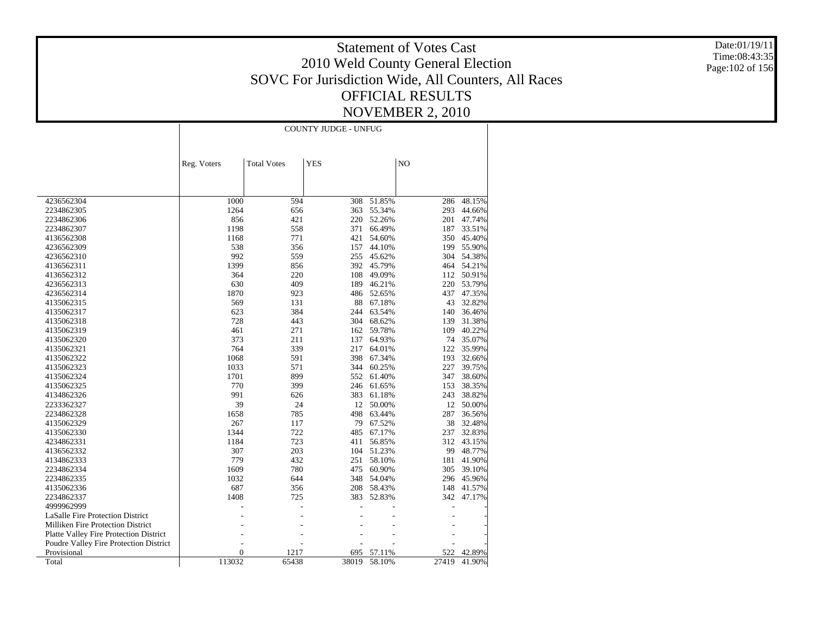Date:01/19/11 Time:08:43:35 Page:102 of 156

|                                        |                          | <b>COUNTY JUDGE - UNFUG</b> |            |        |       |           |
|----------------------------------------|--------------------------|-----------------------------|------------|--------|-------|-----------|
|                                        |                          |                             |            |        |       |           |
|                                        | Reg. Voters              | <b>Total Votes</b>          | <b>YES</b> |        | NO    |           |
|                                        |                          |                             |            |        |       |           |
|                                        |                          |                             |            |        |       |           |
| 4236562304                             | 1000                     | 594                         | 308        | 51.85% | 286   | 48.15%    |
| 2234862305                             | 1264                     | 656                         | 363        | 55.34% | 293   | 44.66%    |
| 2234862306                             | 856                      | 421                         | 220        | 52.26% | 201   | 47.74%    |
| 2234862307                             | 1198                     | 558                         | 371        | 66.49% | 187   | 33.51%    |
| 4136562308                             | 1168                     | 771                         | 421        | 54.60% | 350   | 45.40%    |
| 4236562309                             | 538                      | 356                         | 157        | 44.10% | 199   | 55.90%    |
| 4236562310                             | 992                      | 559                         | 255        | 45.62% | 304   | 54.38%    |
| 4136562311                             | 1399                     | 856                         | 392        | 45.79% | 464   | 54.21%    |
| 4136562312                             | 364                      | 220                         | 108        | 49.09% | 112   | 50.91%    |
| 4236562313                             | 630                      | 409                         | 189        | 46.21% | 220   | 53.79%    |
| 4236562314                             | 1870                     | 923                         | 486        | 52.65% | 437   | 47.35%    |
| 4135062315                             | 569                      | 131                         | 88         | 67.18% | 43    | 32.82%    |
| 4135062317                             | 623                      | 384                         | 244        | 63.54% | 140   | 36.46%    |
| 4135062318                             | 728                      | 443                         | 304        | 68.62% | 139   | 31.38%    |
| 4135062319                             | 461                      | 271                         | 162        | 59.78% | 109   | 40.22%    |
| 4135062320                             | 373                      | 211                         | 137        | 64.93% |       | 74 35.07% |
| 4135062321                             | 764                      | 339                         | 217        | 64.01% | 122   | 35.99%    |
| 4135062322                             | 1068                     | 591                         | 398        | 67.34% | 193   | 32.66%    |
| 4135062323                             | 1033                     | 571                         | 344        | 60.25% | 227   | 39.75%    |
| 4135062324                             | 1701                     | 899                         | 552        | 61.40% | 347   | 38.60%    |
| 4135062325                             | 770                      | 399                         | 246        | 61.65% | 153   | 38.35%    |
| 4134862326                             | 991                      | 626                         | 383        | 61.18% | 243   | 38.82%    |
| 2233362327                             | 39                       | 24                          | 12         | 50.00% |       | 12 50.00% |
| 2234862328                             | 1658                     | 785                         | 498        | 63.44% | 287   | 36.56%    |
| 4135062329                             | 267                      | 117                         | 79         | 67.52% | 38    | 32.48%    |
| 4135062330                             | 1344                     | 722                         | 485        | 67.17% | 237   | 32.83%    |
| 4234862331                             | 1184                     | 723                         | 411        | 56.85% | 312   | 43.15%    |
| 4136562332                             | 307                      | 203                         | 104        | 51.23% | 99    | 48.77%    |
| 4134862333                             | 779                      | 432                         | 251        | 58.10% | 181   | 41.90%    |
| 2234862334                             | 1609                     | 780                         | 475        | 60.90% | 305   | 39.10%    |
| 2234862335                             | 1032                     | 644                         | 348        | 54.04% | 296   | 45.96%    |
| 4135062336                             | 687                      | 356                         | 208        | 58.43% | 148   | 41.57%    |
| 2234862337                             | 1408                     | 725                         | 383        | 52.83% | 342   | 47.17%    |
| 4999962999                             |                          |                             |            |        |       |           |
| LaSalle Fire Protection District       |                          |                             |            |        |       |           |
| Milliken Fire Protection District      |                          |                             |            |        |       |           |
|                                        |                          |                             |            |        |       |           |
| Platte Valley Fire Protection District |                          |                             |            |        |       |           |
| Poudre Valley Fire Protection District |                          |                             |            |        |       |           |
| Provisional                            | $\overline{0}$<br>113032 | 1217                        | 695        | 57.11% | 522   | 42.89%    |
| Total                                  |                          | 65438                       | 38019      | 58.10% | 27419 | 41.90%    |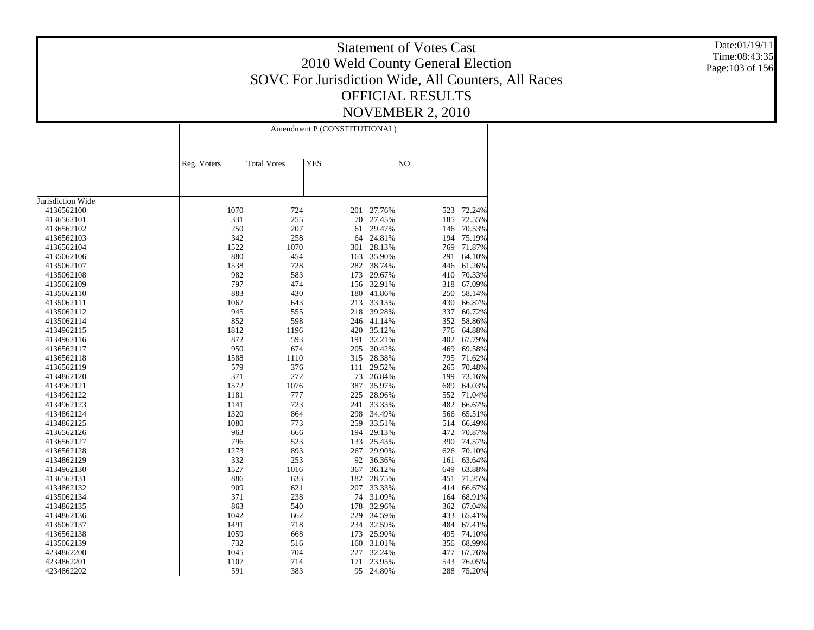Date:01/19/11 Time:08:43:35 Page:103 of 156

|                   |             | Amendment P (CONSTITUTIONAL) |            |            |                |            |  |
|-------------------|-------------|------------------------------|------------|------------|----------------|------------|--|
|                   | Reg. Voters | <b>Total Votes</b>           | <b>YES</b> |            | N <sub>O</sub> |            |  |
|                   |             |                              |            |            |                |            |  |
|                   |             |                              |            |            |                |            |  |
| Jurisdiction Wide |             |                              |            |            |                |            |  |
| 4136562100        | 1070        | 724                          | 201        | 27.76%     | 523            | 72.24%     |  |
| 4136562101        | 331         | 255                          | 70         | 27.45%     | 185            | 72.55%     |  |
| 4136562102        | 250         | 207                          | 61         | 29.47%     | 146            | 70.53%     |  |
| 4136562103        | 342         | 258                          | 64         | 24.81%     | 194            | 75.19%     |  |
| 4136562104        | 1522        | 1070                         | 301        | 28.13%     | 769            | 71.87%     |  |
| 4135062106        | 880         | 454                          | 163        | 35.90%     |                | 291 64.10% |  |
| 4135062107        | 1538        | 728                          | 282        | 38.74%     | 446            | 61.26%     |  |
| 4135062108        | 982         | 583                          | 173        | 29.67%     | 410            | 70.33%     |  |
| 4135062109        | 797         | 474                          | 156        | 32.91%     | 318            | 67.09%     |  |
| 4135062110        | 883         | 430                          | 180        | 41.86%     | 250            | 58.14%     |  |
| 4135062111        | 1067        | 643                          | 213        | 33.13%     | 430            | 66.87%     |  |
| 4135062112        | 945         | 555                          | 218        | 39.28%     | 337            | 60.72%     |  |
| 4135062114        | 852         | 598                          |            | 246 41.14% | 352            | 58.86%     |  |
| 4134962115        | 1812        | 1196                         |            | 420 35.12% | 776            | 64.88%     |  |
| 4134962116        | 872         | 593                          | 191        | 32.21%     | 402            | 67.79%     |  |
| 4136562117        | 950         | 674                          | 205        | 30.42%     | 469            | 69.58%     |  |
| 4136562118        | 1588        | 1110                         | 315        | 28.38%     | 795            | 71.62%     |  |
| 4136562119        | 579         | 376                          | 111        | 29.52%     | 265            | 70.48%     |  |
| 4134862120        | 371         | 272                          | 73         | 26.84%     | 199            | 73.16%     |  |
| 4134962121        | 1572        | 1076                         | 387        | 35.97%     | 689            | 64.03%     |  |
| 4134962122        | 1181        | 777                          | 225        | 28.96%     | 552            | 71.04%     |  |
| 4134962123        | 1141        | 723                          | 241        | 33.33%     | 482            | 66.67%     |  |
| 4134862124        | 1320        | 864                          | 298        | 34.49%     | 566            | 65.51%     |  |
| 4134862125        | 1080        | 773                          | 259        | 33.51%     | 514            | 66.49%     |  |
| 4136562126        | 963         | 666                          | 194        | 29.13%     | 472            | 70.87%     |  |
| 4136562127        | 796         | 523                          | 133        | 25.43%     | 390            | 74.57%     |  |
| 4136562128        | 1273        | 893                          | 267        | 29.90%     | 626            | 70.10%     |  |
| 4134862129        | 332         | 253                          | 92         | 36.36%     | 161            | 63.64%     |  |
| 4134962130        | 1527        | 1016                         | 367        | 36.12%     | 649            | 63.88%     |  |
| 4136562131        | 886         | 633                          | 182        | 28.75%     | 451            | 71.25%     |  |
| 4134862132        | 909         | 621                          | 207        | 33.33%     | 414            | 66.67%     |  |
| 4135062134        | 371         | 238                          | 74         | 31.09%     | 164            | 68.91%     |  |
| 4134862135        | 863         | 540                          | 178        | 32.96%     | 362            | 67.04%     |  |
| 4134862136        | 1042        | 662                          | 229        | 34.59%     | 433            | 65.41%     |  |
| 4135062137        | 1491        | 718                          | 234        | 32.59%     | 484            | 67.41%     |  |
| 4136562138        | 1059        | 668                          | 173        | 25.90%     | 495            | 74.10%     |  |
| 4135062139        | 732         | 516                          | 160        | 31.01%     | 356            | 68.99%     |  |
| 4234862200        | 1045        | 704                          | 227        | 32.24%     | 477            | 67.76%     |  |
| 4234862201        | 1107        | 714                          | 171        | 23.95%     | 543            | 76.05%     |  |
| 4234862202        | 591         | 383                          | 95         | 24.80%     | 288            | 75.20%     |  |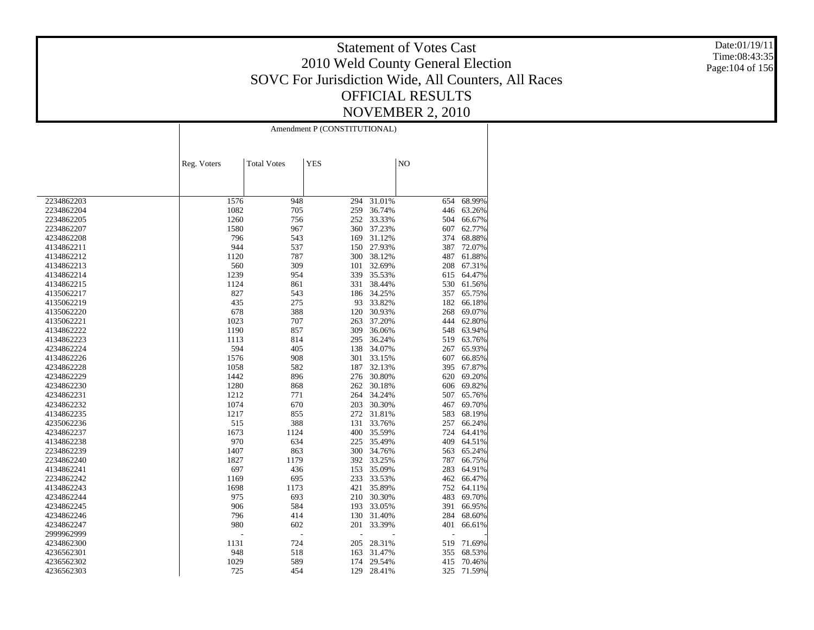Date:01/19/11 Time:08:43:35 Page:104 of 156

|            | Amendment P (CONSTITUTIONAL) |                    |            |        |                |        |
|------------|------------------------------|--------------------|------------|--------|----------------|--------|
|            | Reg. Voters                  | <b>Total Votes</b> | <b>YES</b> |        | N <sub>O</sub> |        |
|            |                              |                    |            |        |                |        |
| 2234862203 | 1576                         | 948                | 294        | 31.01% | 654            | 68.99% |
| 2234862204 | 1082                         | 705                | 259        | 36.74% | 446            | 63.26% |
| 2234862205 | 1260                         | 756                | 252        | 33.33% | 504            | 66.67% |
| 2234862207 | 1580                         | 967                | 360        | 37.23% | 607            | 62.77% |
| 4234862208 | 796                          | 543                | 169        | 31.12% | 374            | 68.88% |
| 4134862211 | 944                          | 537                | 150        | 27.93% | 387            | 72.07% |
| 4134862212 | 1120                         | 787                | 300        | 38.12% | 487            | 61.88% |
| 4134862213 | 560                          | 309                | 101        | 32.69% | 208            | 67.31% |
| 4134862214 | 1239                         | 954                | 339        | 35.53% | 615            | 64.47% |
| 4134862215 | 1124                         | 861                | 331        | 38.44% | 530            | 61.56% |
| 4135062217 | 827                          | 543                | 186        | 34.25% | 357            | 65.75% |
| 4135062219 | 435                          | 275                | 93         | 33.82% | 182            | 66.18% |
| 4135062220 | 678                          | 388                | 120        | 30.93% | 268            | 69.07% |
| 4135062221 | 1023                         | 707                | 263        | 37.20% | 444            | 62.80% |
| 4134862222 | 1190                         | 857                | 309        | 36.06% | 548            | 63.94% |
| 4134862223 | 1113                         | 814                | 295        | 36.24% | 519            | 63.76% |
| 4234862224 | 594                          | 405                | 138        | 34.07% | 267            | 65.93% |
| 4134862226 | 1576                         | 908                | 301        | 33.15% | 607            | 66.85% |
| 4234862228 | 1058                         | 582                | 187        | 32.13% | 395            | 67.87% |
| 4234862229 | 1442                         | 896                | 276        | 30.80% | 620            | 69.20% |
| 4234862230 | 1280                         | 868                | 262        | 30.18% | 606            | 69.82% |
| 4234862231 | 1212                         | 771                | 264        | 34.24% | 507            | 65.76% |
| 4234862232 | 1074                         | 670                | 203        | 30.30% | 467            | 69.70% |
| 4134862235 | 1217                         | 855                | 272        | 31.81% | 583            | 68.19% |
| 4235062236 | 515                          | 388                | 131        | 33.76% | 257            | 66.24% |
| 4234862237 | 1673                         | 1124               | 400        | 35.59% | 724            | 64.41% |
| 4134862238 | 970                          | 634                | 225        | 35.49% | 409            | 64.51% |
| 2234862239 | 1407                         | 863                | 300        | 34.76% | 563            | 65.24% |
| 2234862240 | 1827                         | 1179               | 392        | 33.25% | 787            | 66.75% |
| 4134862241 | 697                          | 436                | 153        | 35.09% | 283            | 64.91% |
| 2234862242 | 1169                         | 695                | 233        | 33.53% | 462            | 66.47% |
| 4134862243 | 1698                         | 1173               | 421        | 35.89% | 752            | 64.11% |
| 4234862244 | 975                          | 693                | 210        | 30.30% | 483            | 69.70% |
| 4234862245 | 906                          | 584                | 193        | 33.05% | 391            | 66.95% |
| 4234862246 | 796                          | 414                | 130        | 31.40% | 284            | 68.60% |
| 4234862247 | 980                          | 602                | 201        | 33.39% | 401            | 66.61% |
| 2999962999 |                              | $\overline{a}$     |            |        | ٠              |        |
| 4234862300 | 1131                         | 724                | 205        | 28.31% | 519            | 71.69% |
| 4236562301 | 948                          | 518                | 163        | 31.47% | 355            | 68.53% |
| 4236562302 | 1029                         | 589                | 174        | 29.54% | 415            | 70.46% |
| 4236562303 | 725                          | 454                | 129        | 28.41% | 325            | 71.59% |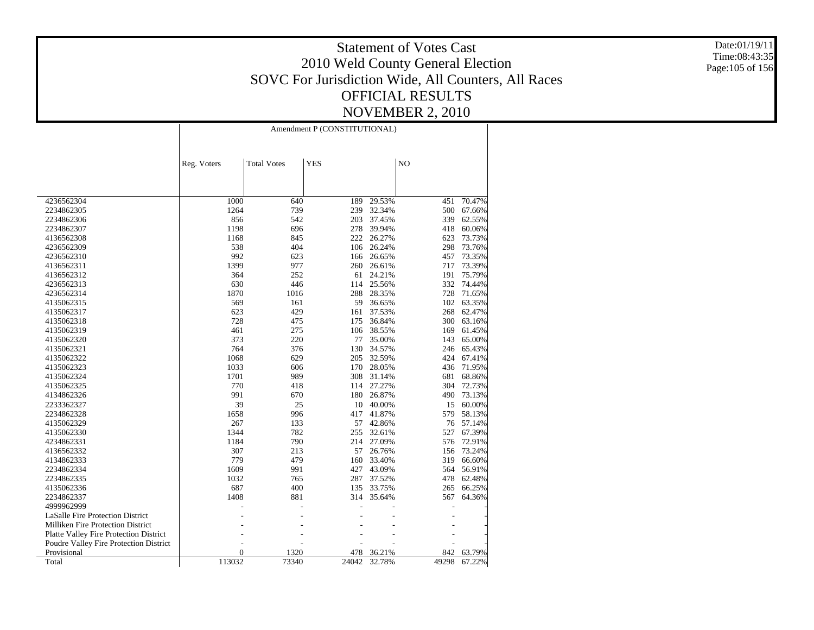Date:01/19/11 Time:08:43:35 Page:105 of 156

|                                               | Amendment P (CONSTITUTIONAL) |                    |            |        |                |        |
|-----------------------------------------------|------------------------------|--------------------|------------|--------|----------------|--------|
|                                               | Reg. Voters                  | <b>Total Votes</b> | <b>YES</b> |        | N <sub>O</sub> |        |
|                                               |                              |                    |            |        |                |        |
| 4236562304                                    | 1000                         | 640                | 189        | 29.53% | 451            | 70.47% |
| 2234862305                                    | 1264                         | 739                | 239        | 32.34% | 500            | 67.66% |
| 2234862306                                    | 856                          | 542                | 203        | 37.45% | 339            | 62.55% |
| 2234862307                                    | 1198                         | 696                | 278        | 39.94% | 418            | 60.06% |
| 4136562308                                    | 1168                         | 845                | 222        | 26.27% | 623            | 73.73% |
| 4236562309                                    | 538                          | 404                | 106        | 26.24% | 298            | 73.76% |
| 4236562310                                    | 992                          | 623                | 166        | 26.65% | 457            | 73.35% |
| 4136562311                                    | 1399                         | 977                | 260        | 26.61% | 717            | 73.39% |
| 4136562312                                    | 364                          | 252                | 61         | 24.21% | 191            | 75.79% |
| 4236562313                                    | 630                          | 446                | 114        | 25.56% | 332            | 74.44% |
| 4236562314                                    | 1870                         | 1016               | 288        | 28.35% | 728            | 71.65% |
| 4135062315                                    | 569                          | 161                | 59         | 36.65% | 102            | 63.35% |
| 4135062317                                    | 623                          | 429                | 161        | 37.53% | 268            | 62.47% |
| 4135062318                                    | 728                          | 475                | 175        | 36.84% | 300            | 63.16% |
| 4135062319                                    | 461                          | 275                | 106        | 38.55% | 169            | 61.45% |
| 4135062320                                    | 373                          | 220                | 77         | 35.00% | 143            | 65.00% |
| 4135062321                                    | 764                          | 376                | 130        | 34.57% | 246            | 65.43% |
| 4135062322                                    | 1068                         | 629                | 205        | 32.59% | 424            | 67.41% |
| 4135062323                                    | 1033                         | 606                | 170        | 28.05% | 436            | 71.95% |
| 4135062324                                    | 1701                         | 989                | 308        | 31.14% | 681            | 68.86% |
| 4135062325                                    | 770                          | 418                | 114        | 27.27% | 304            | 72.73% |
| 4134862326                                    | 991                          | 670                | 180        | 26.87% | 490            | 73.13% |
| 2233362327                                    | 39                           | 25                 | 10         | 40.00% | 15             | 60.00% |
| 2234862328                                    | 1658                         | 996                | 417        | 41.87% | 579            | 58.13% |
| 4135062329                                    | 267                          | 133                | 57         | 42.86% | 76             | 57.14% |
| 4135062330                                    | 1344                         | 782                | 255        | 32.61% | 527            | 67.39% |
| 4234862331                                    | 1184                         | 790                | 214        | 27.09% | 576            | 72.91% |
| 4136562332                                    | 307                          | 213                | 57         | 26.76% | 156            | 73.24% |
| 4134862333                                    | 779                          | 479                | 160        | 33.40% | 319            | 66.60% |
| 2234862334                                    | 1609                         | 991                | 427        | 43.09% | 564            | 56.91% |
| 2234862335                                    | 1032                         | 765                | 287        | 37.52% | 478            | 62.48% |
| 4135062336                                    | 687                          | 400                | 135        | 33.75% | 265            | 66.25% |
| 2234862337                                    | 1408                         | 881                | 314        | 35.64% | 567            | 64.36% |
| 4999962999                                    |                              |                    |            |        |                |        |
| <b>LaSalle Fire Protection District</b>       |                              |                    |            |        |                |        |
| Milliken Fire Protection District             |                              |                    |            |        |                |        |
| <b>Platte Valley Fire Protection District</b> |                              |                    |            |        |                |        |
| Poudre Valley Fire Protection District        |                              |                    |            |        |                |        |
| Provisional                                   | $\mathbf{0}$                 | 1320               | 478        | 36.21% | 842            | 63.79% |
| Total                                         | 113032                       | 73340              | 24042      | 32.78% | 49298          | 67.22% |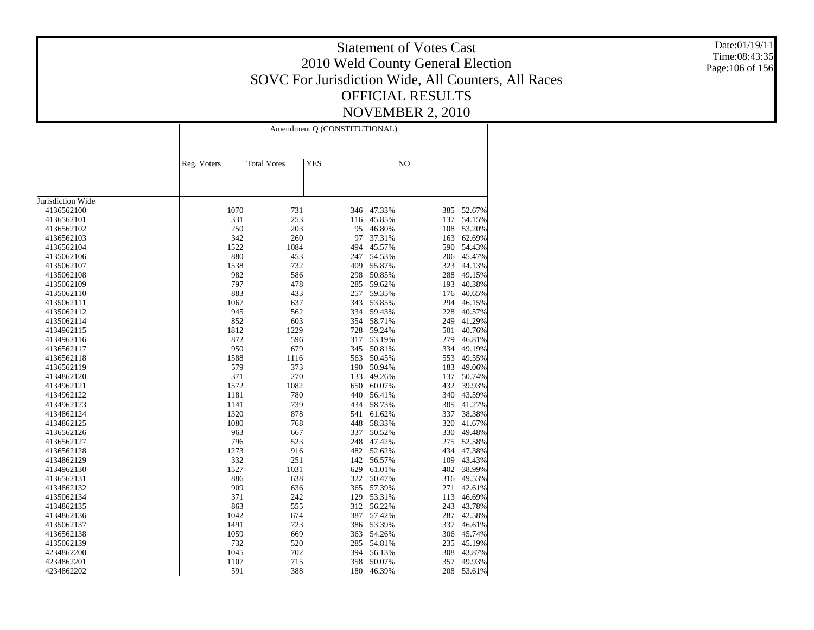Date:01/19/11 Time:08:43:35 Page:106 of 156

|                   |             | Amendment Q (CONSTITUTIONAL) |            |        |                |        |  |
|-------------------|-------------|------------------------------|------------|--------|----------------|--------|--|
|                   | Reg. Voters | <b>Total Votes</b>           | <b>YES</b> |        | N <sub>O</sub> |        |  |
|                   |             |                              |            |        |                |        |  |
| Jurisdiction Wide |             |                              |            |        |                |        |  |
| 4136562100        | 1070        | 731                          | 346        | 47.33% | 385            | 52.67% |  |
| 4136562101        | 331         | 253                          | 116        | 45.85% | 137            | 54.15% |  |
| 4136562102        | 250         | 203                          | 95         | 46.80% | 108            | 53.20% |  |
| 4136562103        | 342         | 260                          | 97         | 37.31% | 163            | 62.69% |  |
| 4136562104        | 1522        | 1084                         | 494        | 45.57% | 590            | 54.43% |  |
| 4135062106        | 880         | 453                          | 247        | 54.53% | 206            | 45.47% |  |
| 4135062107        | 1538        | 732                          | 409        | 55.87% | 323            | 44.13% |  |
| 4135062108        | 982         | 586                          | 298        | 50.85% | 288            | 49.15% |  |
| 4135062109        | 797         | 478                          | 285        | 59.62% | 193            | 40.38% |  |
| 4135062110        | 883         | 433                          | 257        | 59.35% | 176            | 40.65% |  |
| 4135062111        | 1067        | 637                          | 343        | 53.85% | 294            | 46.15% |  |
| 4135062112        | 945         | 562                          | 334        | 59.43% | 228            | 40.57% |  |
| 4135062114        | 852         | 603                          | 354        | 58.71% | 249            | 41.29% |  |
| 4134962115        | 1812        | 1229                         | 728        | 59.24% | 501            | 40.76% |  |
| 4134962116        | 872         | 596                          | 317        | 53.19% | 279            | 46.81% |  |
| 4136562117        | 950         | 679                          | 345        | 50.81% | 334            | 49.19% |  |
| 4136562118        | 1588        | 1116                         | 563        | 50.45% | 553            | 49.55% |  |
| 4136562119        | 579         | 373                          | 190        | 50.94% | 183            | 49.06% |  |
| 4134862120        | 371         | 270                          | 133        | 49.26% | 137            | 50.74% |  |
| 4134962121        | 1572        | 1082                         | 650        | 60.07% | 432            | 39.93% |  |
| 4134962122        | 1181        | 780                          | 440        | 56.41% | 340            | 43.59% |  |
| 4134962123        | 1141        | 739                          | 434        | 58.73% | 305            | 41.27% |  |
| 4134862124        | 1320        | 878                          | 541        | 61.62% | 337            | 38.38% |  |
| 4134862125        | 1080        | 768                          | 448        | 58.33% | 320            | 41.67% |  |
| 4136562126        | 963         | 667                          | 337        | 50.52% | 330            | 49.48% |  |
| 4136562127        | 796         | 523                          | 248        | 47.42% | 275            | 52.58% |  |
| 4136562128        | 1273        | 916                          | 482        | 52.62% | 434            | 47.38% |  |
| 4134862129        | 332         | 251                          | 142        | 56.57% | 109            | 43.43% |  |
| 4134962130        | 1527        | 1031                         | 629        | 61.01% | 402            | 38.99% |  |
| 4136562131        | 886         | 638                          | 322        | 50.47% | 316            | 49.53% |  |
| 4134862132        | 909         | 636                          | 365        | 57.39% | 271            | 42.61% |  |
| 4135062134        | 371         | 242                          | 129        | 53.31% | 113            | 46.69% |  |
| 4134862135        | 863         | 555                          | 312        | 56.22% | 243            | 43.78% |  |
| 4134862136        | 1042        | 674                          | 387        | 57.42% | 287            | 42.58% |  |
| 4135062137        | 1491        | 723                          | 386        | 53.39% | 337            | 46.61% |  |
| 4136562138        | 1059        | 669                          | 363        | 54.26% | 306            | 45.74% |  |
| 4135062139        | 732         | 520                          | 285        | 54.81% | 235            | 45.19% |  |
| 4234862200        | 1045        | 702                          | 394        | 56.13% | 308            | 43.87% |  |
| 4234862201        | 1107        | 715                          | 358        | 50.07% | 357            | 49.93% |  |
| 4234862202        | 591         | 388                          | 180        | 46.39% | 208            | 53.61% |  |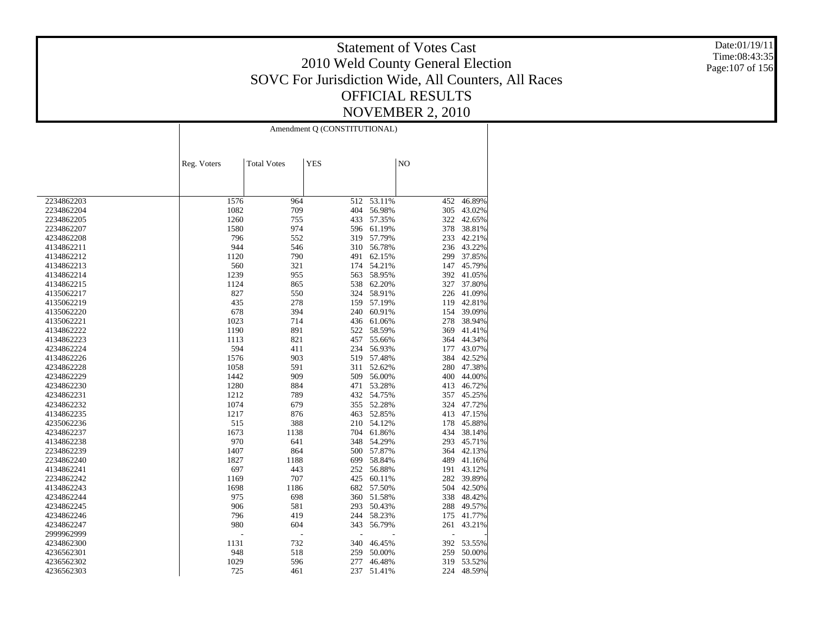Date:01/19/11 Time:08:43:35 Page:107 of 156

|                          | Amendment Q (CONSTITUTIONAL) |                    |            |            |     |        |
|--------------------------|------------------------------|--------------------|------------|------------|-----|--------|
|                          | Reg. Voters                  | <b>Total Votes</b> | <b>YES</b> |            | NO  |        |
|                          |                              |                    |            |            |     |        |
| 2234862203               | 1576                         | 964                | 512        | 53.11%     | 452 | 46.89% |
| 2234862204               | 1082                         | 709                | 404        | 56.98%     | 305 | 43.02% |
| 2234862205               | 1260                         | 755                | 433        | 57.35%     | 322 | 42.65% |
| 2234862207               | 1580                         | 974                | 596        | 61.19%     | 378 | 38.81% |
| 4234862208               | 796                          | 552                | 319        | 57.79%     | 233 | 42.21% |
| 4134862211               | 944                          | 546                | 310        | 56.78%     | 236 | 43.22% |
| 4134862212               | 1120                         | 790                | 491        | 62.15%     | 299 | 37.85% |
| 4134862213               | 560                          | 321                | 174        | 54.21%     | 147 | 45.79% |
| 4134862214               | 1239                         | 955                | 563        | 58.95%     | 392 | 41.05% |
| 4134862215               | 1124                         | 865                | 538        | 62.20%     | 327 | 37.80% |
| 4135062217               | 827                          | 550                | 324        | 58.91%     | 226 | 41.09% |
| 4135062219               | 435                          | 278                | 159        | 57.19%     | 119 | 42.81% |
| 4135062220               | 678                          | 394                | 240        | 60.91%     | 154 | 39.09% |
| 4135062221               | 1023                         | 714                | 436        | 61.06%     | 278 | 38.94% |
| 4134862222               | 1190                         | 891                | 522        | 58.59%     | 369 | 41.41% |
| 4134862223               | 1113                         | 821                | 457        | 55.66%     | 364 | 44.34% |
| 4234862224               | 594                          | 411                | 234        | 56.93%     | 177 | 43.07% |
| 4134862226               | 1576                         | 903                | 519        | 57.48%     | 384 | 42.52% |
| 4234862228               | 1058                         | 591                | 311        | 52.62%     | 280 | 47.38% |
| 4234862229               | 1442                         | 909                | 509        | 56.00%     | 400 | 44.00% |
| 4234862230               | 1280                         | 884                | 471        | 53.28%     | 413 | 46.72% |
| 4234862231               | 1212                         | 789                | 432        | 54.75%     | 357 | 45.25% |
| 4234862232               | 1074                         | 679                | 355        | 52.28%     | 324 | 47.72% |
| 4134862235               | 1217                         | 876                | 463        | 52.85%     | 413 | 47.15% |
| 4235062236               | 515                          | 388                | 210        | 54.12%     | 178 | 45.88% |
| 4234862237               | 1673                         | 1138               |            | 704 61.86% | 434 | 38.14% |
| 4134862238               | 970                          | 641                | 348        | 54.29%     | 293 | 45.71% |
| 2234862239               | 1407                         | 864                | 500        | 57.87%     | 364 | 42.13% |
| 2234862240               | 1827                         | 1188               | 699        | 58.84%     | 489 | 41.16% |
| 4134862241               | 697                          | 443                | 252        | 56.88%     | 191 | 43.12% |
| 2234862242               | 1169                         | 707                | 425        | 60.11%     | 282 | 39.89% |
| 4134862243               | 1698                         | 1186               | 682        | 57.50%     | 504 | 42.50% |
| 4234862244               | 975                          | 698                | 360        | 51.58%     | 338 | 48.42% |
| 4234862245               | 906                          | 581                | 293        | 50.43%     | 288 | 49.57% |
| 4234862246               | 796                          | 419                | 244        | 58.23%     | 175 | 41.77% |
| 4234862247               | 980                          | 604                | 343        | 56.79%     | 261 | 43.21% |
| 2999962999               |                              | Ĭ.                 |            |            | L,  |        |
|                          | 1131                         | 732                | 340        | 46.45%     | 392 | 53.55% |
| 4234862300               | 948                          | 518                | 259        | 50.00%     | 259 | 50.00% |
| 4236562301<br>4236562302 | 1029                         | 596                | 277        | 46.48%     | 319 | 53.52% |
| 4236562303               | 725                          |                    | 237        | 51.41%     | 224 | 48.59% |
|                          |                              | 461                |            |            |     |        |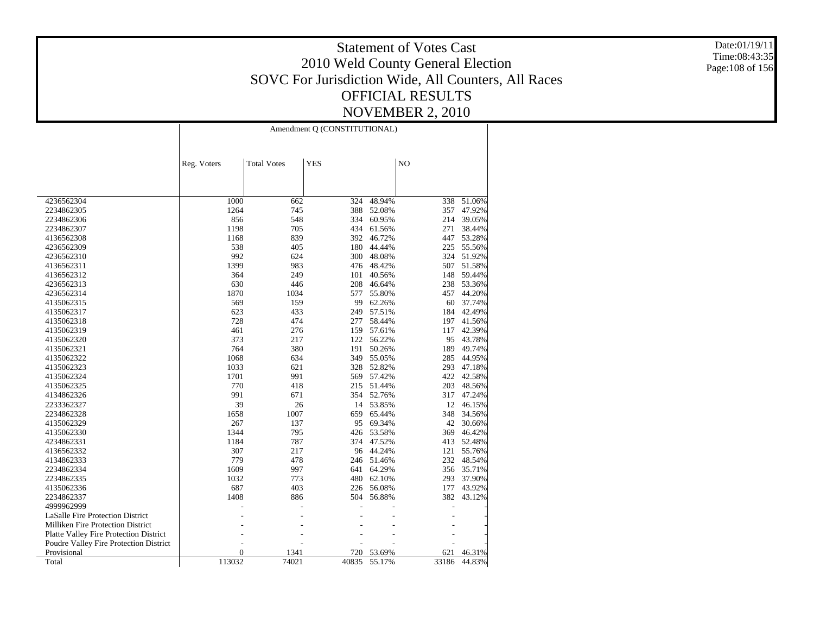Date:01/19/11 Time:08:43:35 Page:108 of 156

|                                               | Amendment Q (CONSTITUTIONAL) |                    |            |        |       |        |
|-----------------------------------------------|------------------------------|--------------------|------------|--------|-------|--------|
|                                               | Reg. Voters                  | <b>Total Votes</b> | <b>YES</b> |        | NO    |        |
|                                               |                              |                    |            |        |       |        |
| 4236562304                                    | 1000                         | 662                | 324        | 48.94% | 338   | 51.06% |
| 2234862305                                    | 1264                         | 745                | 388        | 52.08% | 357   | 47.92% |
| 2234862306                                    | 856                          | 548                | 334        | 60.95% | 214   | 39.05% |
| 2234862307                                    | 1198                         | 705                | 434        | 61.56% | 271   | 38.44% |
| 4136562308                                    | 1168                         | 839                | 392        | 46.72% | 447   | 53.28% |
| 4236562309                                    | 538                          | 405                | 180        | 44.44% | 225   | 55.56% |
| 4236562310                                    | 992                          | 624                | 300        | 48.08% | 324   | 51.92% |
| 4136562311                                    | 1399                         | 983                | 476        | 48.42% | 507   | 51.58% |
| 4136562312                                    | 364                          | 249                | 101        | 40.56% | 148   | 59.44% |
| 4236562313                                    | 630                          | 446                | 208        | 46.64% | 238   | 53.36% |
| 4236562314                                    | 1870                         | 1034               | 577        | 55.80% | 457   | 44.20% |
| 4135062315                                    | 569                          | 159                | 99         | 62.26% | 60    | 37.74% |
| 4135062317                                    | 623                          | 433                | 249        | 57.51% | 184   | 42.49% |
| 4135062318                                    | 728                          | 474                | 277        | 58.44% | 197   | 41.56% |
| 4135062319                                    | 461                          | 276                | 159        | 57.61% | 117   | 42.39% |
| 4135062320                                    | 373                          | 217                | 122        | 56.22% | 95    | 43.78% |
| 4135062321                                    | 764                          | 380                | 191        | 50.26% | 189   | 49.74% |
| 4135062322                                    | 1068                         | 634                | 349        | 55.05% | 285   | 44.95% |
| 4135062323                                    | 1033                         | 621                | 328        | 52.82% | 293   | 47.18% |
| 4135062324                                    | 1701                         | 991                | 569        | 57.42% | 422   | 42.58% |
| 4135062325                                    | 770                          | 418                | 215        | 51.44% | 203   | 48.56% |
| 4134862326                                    | 991                          | 671                | 354        | 52.76% | 317   | 47.24% |
| 2233362327                                    | 39                           | 26                 | 14         | 53.85% | 12    | 46.15% |
| 2234862328                                    | 1658                         | 1007               | 659        | 65.44% | 348   | 34.56% |
| 4135062329                                    | 267                          | 137                | 95         | 69.34% | 42    | 30.66% |
| 4135062330                                    | 1344                         | 795                | 426        | 53.58% | 369   | 46.42% |
| 4234862331                                    | 1184                         | 787                | 374        | 47.52% | 413   | 52.48% |
| 4136562332                                    | 307                          | 217                | 96         | 44.24% | 121   | 55.76% |
| 4134862333                                    | 779                          | 478                | 246        | 51.46% | 232   | 48.54% |
| 2234862334                                    | 1609                         | 997                | 641        | 64.29% | 356   | 35.71% |
| 2234862335                                    | 1032                         | 773                | 480        | 62.10% | 293   | 37.90% |
| 4135062336                                    | 687                          | 403                | 226        | 56.08% | 177   | 43.92% |
| 2234862337                                    | 1408                         | 886                | 504        | 56.88% | 382   | 43.12% |
| 4999962999                                    |                              |                    |            |        |       |        |
| <b>LaSalle Fire Protection District</b>       |                              |                    |            |        |       |        |
| Milliken Fire Protection District             |                              |                    |            |        |       |        |
| <b>Platte Valley Fire Protection District</b> |                              |                    |            |        |       |        |
| Poudre Valley Fire Protection District        |                              |                    |            |        |       |        |
| Provisional                                   | $\overline{0}$               | 1341               | 720        | 53.69% | 621   | 46.31% |
| Total                                         | 113032                       | 74021              | 40835      | 55.17% | 33186 | 44.83% |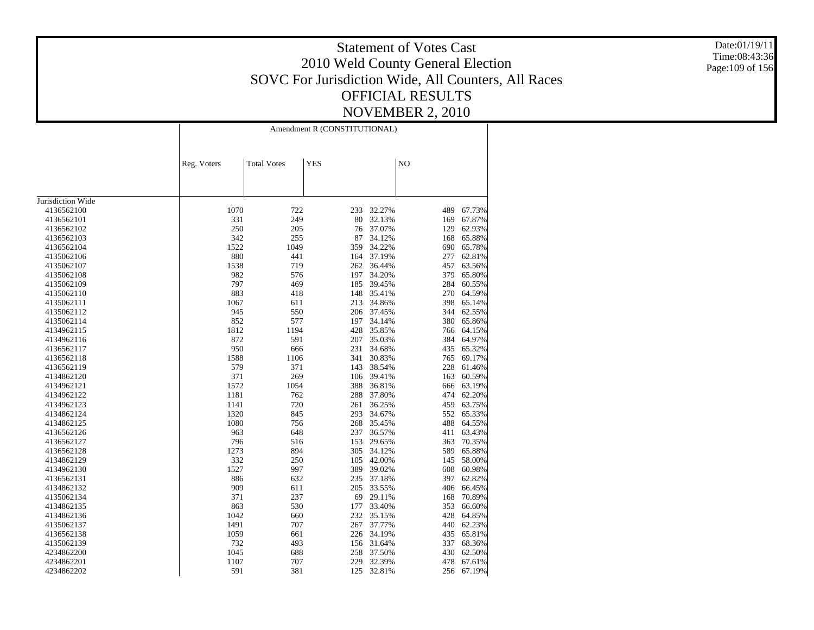Date:01/19/11 Time:08:43:36 Page:109 of 156

|                   | Amendment R (CONSTITUTIONAL) |                    |            |        |     |            |  |
|-------------------|------------------------------|--------------------|------------|--------|-----|------------|--|
|                   | Reg. Voters                  | <b>Total Votes</b> | <b>YES</b> |        | NO  |            |  |
|                   |                              |                    |            |        |     |            |  |
| Jurisdiction Wide |                              |                    |            |        |     |            |  |
| 4136562100        | 1070                         | 722                | 233        | 32.27% | 489 | 67.73%     |  |
| 4136562101        | 331                          | 249                | 80         | 32.13% | 169 | 67.87%     |  |
| 4136562102        | 250                          | 205                | 76         | 37.07% | 129 | 62.93%     |  |
| 4136562103        | 342                          | 255                | 87         | 34.12% | 168 | 65.88%     |  |
| 4136562104        | 1522                         | 1049               | 359        | 34.22% | 690 | 65.78%     |  |
| 4135062106        | 880                          | 441                | 164        | 37.19% | 277 | 62.81%     |  |
| 4135062107        | 1538                         | 719                | 262        | 36.44% | 457 | 63.56%     |  |
| 4135062108        | 982                          | 576                | 197        | 34.20% | 379 | 65.80%     |  |
| 4135062109        | 797                          | 469                | 185        | 39.45% | 284 | 60.55%     |  |
| 4135062110        | 883                          | 418                | 148        | 35.41% | 270 | 64.59%     |  |
| 4135062111        | 1067                         | 611                | 213        | 34.86% | 398 | 65.14%     |  |
| 4135062112        | 945                          | 550                | 206        | 37.45% | 344 | 62.55%     |  |
| 4135062114        | 852                          | 577                | 197        | 34.14% | 380 | 65.86%     |  |
| 4134962115        | 1812                         | 1194               | 428        | 35.85% | 766 | 64.15%     |  |
| 4134962116        | 872                          | 591                | 207        | 35.03% | 384 | 64.97%     |  |
| 4136562117        | 950                          | 666                | 231        | 34.68% | 435 | 65.32%     |  |
| 4136562118        | 1588                         | 1106               | 341        | 30.83% | 765 | 69.17%     |  |
| 4136562119        | 579                          | 371                | 143        | 38.54% | 228 | 61.46%     |  |
| 4134862120        | 371                          | 269                | 106        | 39.41% | 163 | 60.59%     |  |
| 4134962121        | 1572                         | 1054               | 388        | 36.81% | 666 | 63.19%     |  |
| 4134962122        | 1181                         | 762                | 288        | 37.80% | 474 | 62.20%     |  |
| 4134962123        | 1141                         | 720                | 261        | 36.25% | 459 | 63.75%     |  |
| 4134862124        | 1320                         | 845                | 293        | 34.67% | 552 | 65.33%     |  |
| 4134862125        | 1080                         | 756                | 268        | 35.45% | 488 | 64.55%     |  |
| 4136562126        | 963                          | 648                | 237        | 36.57% | 411 | 63.43%     |  |
| 4136562127        | 796                          | 516                | 153        | 29.65% | 363 | 70.35%     |  |
| 4136562128        | 1273                         | 894                | 305        | 34.12% | 589 | 65.88%     |  |
| 4134862129        | 332                          | 250                | 105        | 42.00% | 145 | 58.00%     |  |
| 4134962130        | 1527                         | 997                | 389        | 39.02% | 608 | 60.98%     |  |
| 4136562131        | 886                          | 632                | 235        | 37.18% | 397 | 62.82%     |  |
| 4134862132        | 909                          | 611                | 205        | 33.55% | 406 | 66.45%     |  |
| 4135062134        | 371                          | 237                | 69         | 29.11% | 168 | 70.89%     |  |
| 4134862135        | 863                          | 530                | 177        | 33.40% | 353 | 66.60%     |  |
| 4134862136        | 1042                         | 660                | 232        | 35.15% | 428 | 64.85%     |  |
| 4135062137        | 1491                         | 707                | 267        | 37.77% | 440 | 62.23%     |  |
| 4136562138        | 1059                         | 661                | 226        | 34.19% | 435 | 65.81%     |  |
| 4135062139        | 732                          | 493                | 156        | 31.64% | 337 | 68.36%     |  |
| 4234862200        | 1045                         | 688                | 258        | 37.50% | 430 | 62.50%     |  |
| 4234862201        | 1107                         | 707                | 229        | 32.39% | 478 | 67.61%     |  |
| 4234862202        | 591                          | 381                | 125        | 32.81% |     | 256 67.19% |  |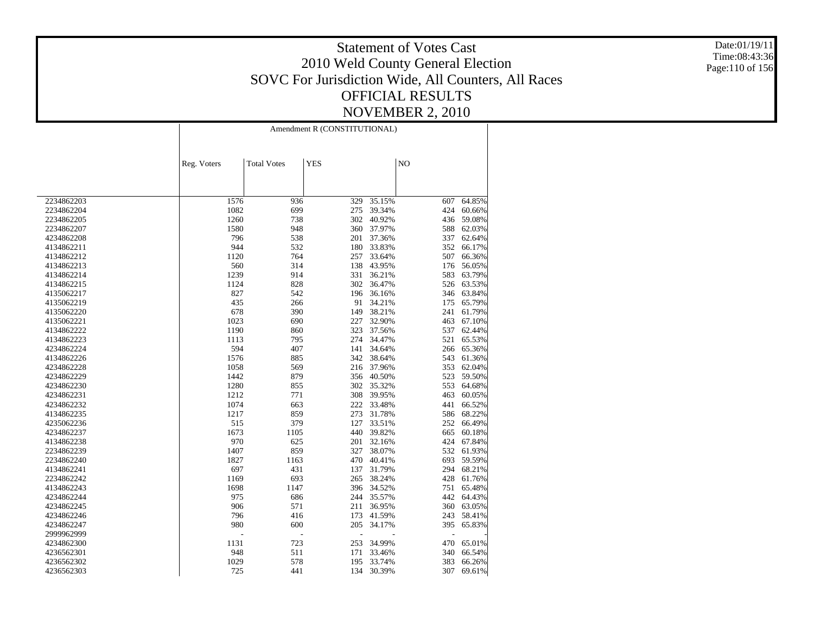Date:01/19/11 Time:08:43:36 Page:110 of 156

|            | Amendment R (CONSTITUTIONAL) |                    |                |                  |     |        |  |
|------------|------------------------------|--------------------|----------------|------------------|-----|--------|--|
|            | Reg. Voters                  | <b>Total Votes</b> | <b>YES</b>     |                  | NO  |        |  |
|            |                              |                    |                |                  |     |        |  |
| 2234862203 | 1576                         | 936                | 329            | 35.15%           | 607 | 64.85% |  |
| 2234862204 | 1082                         | 699                | 275            | 39.34%           | 424 | 60.66% |  |
| 2234862205 | 1260                         | 738                | 302            | 40.92%           | 436 | 59.08% |  |
| 2234862207 | 1580                         | 948                | 360            | 37.97%           | 588 | 62.03% |  |
| 4234862208 | 796                          | 538                | 201            | 37.36%           | 337 | 62.64% |  |
| 4134862211 | 944                          | 532                | 180            | 33.83%           | 352 | 66.17% |  |
| 4134862212 | 1120                         | 764                | 257            | 33.64%           | 507 | 66.36% |  |
| 4134862213 | 560                          | 314                | 138            | 43.95%           | 176 | 56.05% |  |
| 4134862214 | 1239                         | 914                | 331            | 36.21%           | 583 | 63.79% |  |
| 4134862215 | 1124                         | 828                | 302            | 36.47%           | 526 | 63.53% |  |
| 4135062217 | 827                          | 542                | 196            | 36.16%           | 346 | 63.84% |  |
| 4135062219 | 435                          | 266                | 91             | 34.21%           | 175 | 65.79% |  |
| 4135062220 | 678                          | 390                | 149            | 38.21%           | 241 | 61.79% |  |
| 4135062221 | 1023                         | 690                | 227            | 32.90%           | 463 | 67.10% |  |
| 4134862222 | 1190                         | 860                | 323            | 37.56%           | 537 | 62.44% |  |
| 4134862223 | 1113                         | 795                | 274            | 34.47%           | 521 | 65.53% |  |
| 4234862224 | 594                          | 407                | 141            | 34.64%           | 266 | 65.36% |  |
| 4134862226 | 1576                         | 885                | 342            | 38.64%           | 543 | 61.36% |  |
| 4234862228 | 1058                         | 569                | 216            | 37.96%           | 353 | 62.04% |  |
| 4234862229 | 1442                         | 879                | 356            | 40.50%           | 523 | 59.50% |  |
| 4234862230 | 1280                         | 855                | 302            | 35.32%           | 553 | 64.68% |  |
| 4234862231 | 1212                         | 771                | 308            | 39.95%           | 463 | 60.05% |  |
| 4234862232 | 1074                         | 663                | 222            | 33.48%           | 441 | 66.52% |  |
| 4134862235 | 1217                         | 859                | 273            | 31.78%           | 586 | 68.22% |  |
| 4235062236 | 515                          | 379                | 127            | 33.51%           | 252 | 66.49% |  |
| 4234862237 | 1673                         | 1105               | 440            | 39.82%           | 665 | 60.18% |  |
| 4134862238 | 970                          | 625                | 201            | 32.16%           | 424 | 67.84% |  |
| 2234862239 | 1407                         | 859                | 327            | 38.07%           | 532 | 61.93% |  |
| 2234862240 | 1827                         | 1163               | 470            | 40.41%           | 693 | 59.59% |  |
| 4134862241 | 697                          | 431                | 137            | 31.79%           | 294 | 68.21% |  |
| 2234862242 | 1169                         | 693                | 265            | 38.24%           | 428 | 61.76% |  |
| 4134862243 | 1698                         | 1147               | 396            | 34.52%           | 751 | 65.48% |  |
| 4234862244 | 975                          | 686                | 244            | 35.57%           | 442 | 64.43% |  |
|            | 906                          | 571                | 211            | 36.95%           | 360 | 63.05% |  |
| 4234862245 | 796                          |                    | 173            |                  | 243 | 58.41% |  |
| 4234862246 | 980                          | 416<br>600         | 205            | 41.59%<br>34.17% | 395 | 65.83% |  |
| 4234862247 |                              |                    |                |                  |     |        |  |
| 2999962999 | L,                           | $\overline{a}$     | $\overline{a}$ |                  | ÷,  |        |  |
| 4234862300 | 1131                         | 723                | 253            | 34.99%           | 470 | 65.01% |  |
| 4236562301 | 948                          | 511                | 171            | 33.46%           | 340 | 66.54% |  |
| 4236562302 | 1029                         | 578                | 195            | 33.74%           | 383 | 66.26% |  |
| 4236562303 | 725                          | 441                | 134            | 30.39%           | 307 | 69.61% |  |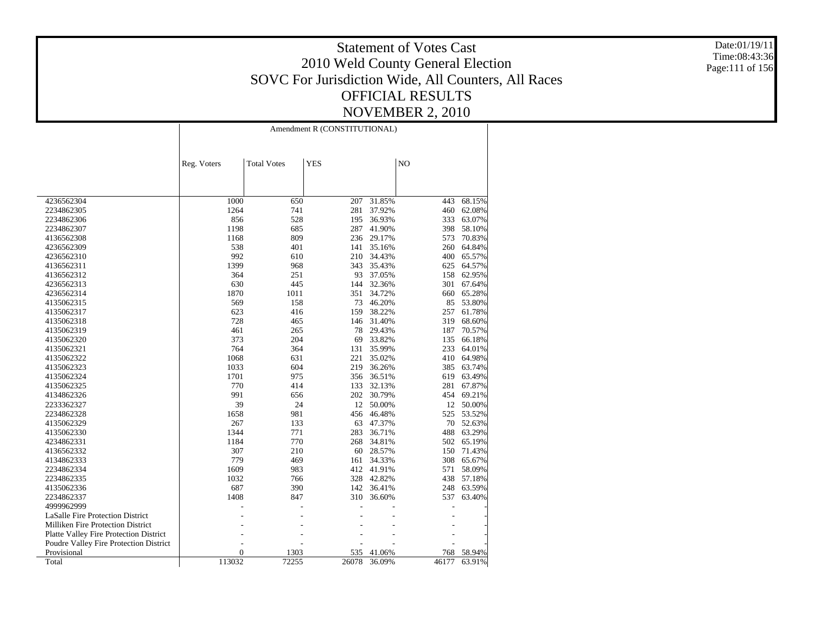Date:01/19/11 Time:08:43:36 Page:111 of 156

|                                               | Amendment R (CONSTITUTIONAL) |                    |            |        |                |        |
|-----------------------------------------------|------------------------------|--------------------|------------|--------|----------------|--------|
|                                               | Reg. Voters                  | <b>Total Votes</b> | <b>YES</b> |        | N <sub>O</sub> |        |
|                                               |                              |                    |            |        |                |        |
|                                               |                              |                    |            |        |                |        |
| 4236562304                                    | 1000                         | 650                | 207        | 31.85% | 443            | 68.15% |
| 2234862305                                    | 1264                         | 741                | 281        | 37.92% | 460            | 62.08% |
| 2234862306                                    | 856                          | 528                | 195        | 36.93% | 333            | 63.07% |
| 2234862307                                    | 1198                         | 685                | 287        | 41.90% | 398            | 58.10% |
| 4136562308                                    | 1168                         | 809                | 236        | 29.17% | 573            | 70.83% |
| 4236562309                                    | 538                          | 401                | 141        | 35.16% | 260            | 64.84% |
| 4236562310                                    | 992                          | 610                | 210        | 34.43% | 400            | 65.57% |
| 4136562311                                    | 1399                         | 968                | 343        | 35.43% | 625            | 64.57% |
| 4136562312                                    | 364                          | 251                | 93         | 37.05% | 158            | 62.95% |
| 4236562313                                    | 630                          | 445                | 144        | 32.36% | 301            | 67.64% |
| 4236562314                                    | 1870                         | 1011               | 351        | 34.72% | 660            | 65.28% |
| 4135062315                                    | 569                          | 158                | 73         | 46.20% | 85             | 53.80% |
| 4135062317                                    | 623                          | 416                | 159        | 38.22% | 257            | 61.78% |
| 4135062318                                    | 728                          | 465                | 146        | 31.40% | 319            | 68.60% |
| 4135062319                                    | 461                          | 265                | 78         | 29.43% | 187            | 70.57% |
| 4135062320                                    | 373                          | 204                | 69         | 33.82% | 135            | 66.18% |
| 4135062321                                    | 764                          | 364                | 131        | 35.99% | 233            | 64.01% |
| 4135062322                                    | 1068                         | 631                | 221        | 35.02% | 410            | 64.98% |
| 4135062323                                    | 1033                         | 604                | 219        | 36.26% | 385            | 63.74% |
| 4135062324                                    | 1701                         | 975                | 356        | 36.51% | 619            | 63.49% |
| 4135062325                                    | 770                          | 414                | 133        | 32.13% | 281            | 67.87% |
| 4134862326                                    | 991                          | 656                | 202        | 30.79% | 454            | 69.21% |
| 2233362327                                    | 39                           | 24                 | 12         | 50.00% | 12             | 50.00% |
| 2234862328                                    | 1658                         | 981                | 456        | 46.48% | 525            | 53.52% |
| 4135062329                                    | 267                          | 133                | 63         | 47.37% | 70             | 52.63% |
| 4135062330                                    | 1344                         | 771                | 283        | 36.71% | 488            | 63.29% |
| 4234862331                                    | 1184                         | 770                | 268        | 34.81% | 502            | 65.19% |
| 4136562332                                    | 307                          | 210                | 60         | 28.57% | 150            | 71.43% |
| 4134862333                                    | 779                          | 469                | 161        | 34.33% | 308            | 65.67% |
| 2234862334                                    | 1609                         | 983                | 412        | 41.91% | 571            | 58.09% |
| 2234862335                                    | 1032                         | 766                | 328        | 42.82% | 438            | 57.18% |
| 4135062336                                    | 687                          | 390                | 142        | 36.41% | 248            | 63.59% |
| 2234862337                                    | 1408                         | 847                | 310        | 36.60% | 537            | 63.40% |
| 4999962999                                    |                              |                    |            |        |                |        |
|                                               |                              |                    |            |        |                |        |
| <b>LaSalle Fire Protection District</b>       |                              |                    |            |        |                |        |
| <b>Milliken Fire Protection District</b>      |                              |                    |            |        |                |        |
| <b>Platte Valley Fire Protection District</b> |                              |                    |            |        |                |        |
| Poudre Valley Fire Protection District        |                              |                    |            |        |                |        |
| Provisional                                   | $\overline{0}$               | 1303               | 535        | 41.06% | 768            | 58.94% |
| Total                                         | 113032                       | 72255              | 26078      | 36.09% | 46177          | 63.91% |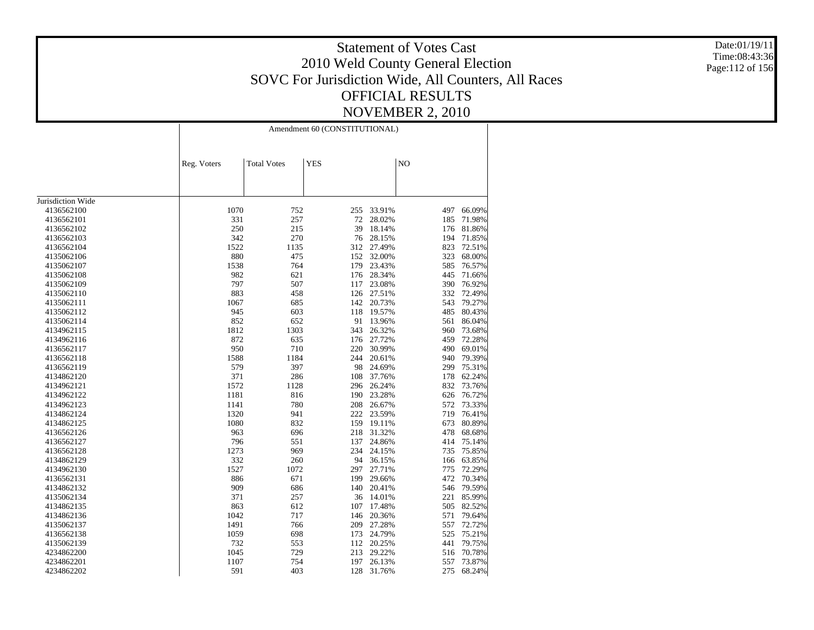Date:01/19/11 Time:08:43:36 Page:112 of 156

|                   |             | Amendment 60 (CONSTITUTIONAL) |            |        |                |        |  |
|-------------------|-------------|-------------------------------|------------|--------|----------------|--------|--|
|                   | Reg. Voters | <b>Total Votes</b>            | <b>YES</b> |        | N <sub>O</sub> |        |  |
|                   |             |                               |            |        |                |        |  |
| Jurisdiction Wide |             |                               |            |        |                |        |  |
| 4136562100        | 1070        | 752                           | 255        | 33.91% | 497            | 66.09% |  |
| 4136562101        | 331         | 257                           | 72         | 28.02% | 185            | 71.98% |  |
| 4136562102        | 250         | 215                           | 39         | 18.14% | 176            | 81.86% |  |
| 4136562103        | 342         | 270                           | 76         | 28.15% | 194            | 71.85% |  |
| 4136562104        | 1522        | 1135                          | 312        | 27.49% | 823            | 72.51% |  |
| 4135062106        | 880         | 475                           | 152        | 32.00% | 323            | 68.00% |  |
| 4135062107        | 1538        | 764                           | 179        | 23.43% | 585            | 76.57% |  |
| 4135062108        | 982         | 621                           | 176        | 28.34% | 445            | 71.66% |  |
| 4135062109        | 797         | 507                           | 117        | 23.08% | 390            | 76.92% |  |
| 4135062110        | 883         | 458                           | 126        | 27.51% | 332            | 72.49% |  |
| 4135062111        | 1067        | 685                           | 142        | 20.73% | 543            | 79.27% |  |
| 4135062112        | 945         | 603                           | 118        | 19.57% | 485            | 80.43% |  |
| 4135062114        | 852         | 652                           | 91         | 13.96% | 561            | 86.04% |  |
| 4134962115        | 1812        | 1303                          | 343        | 26.32% | 960            | 73.68% |  |
| 4134962116        | 872         | 635                           | 176        | 27.72% | 459            | 72.28% |  |
| 4136562117        | 950         | 710                           | 220        | 30.99% | 490            | 69.01% |  |
| 4136562118        | 1588        | 1184                          | 244        | 20.61% | 940            | 79.39% |  |
| 4136562119        | 579         | 397                           | 98         | 24.69% | 299            | 75.31% |  |
| 4134862120        | 371         | 286                           | 108        | 37.76% | 178            | 62.24% |  |
| 4134962121        | 1572        | 1128                          | 296        | 26.24% | 832            | 73.76% |  |
| 4134962122        | 1181        | 816                           | 190        | 23.28% | 626            | 76.72% |  |
| 4134962123        | 1141        | 780                           | 208        | 26.67% | 572            | 73.33% |  |
| 4134862124        | 1320        | 941                           | 222        | 23.59% | 719            | 76.41% |  |
| 4134862125        | 1080        | 832                           | 159        | 19.11% | 673            | 80.89% |  |
| 4136562126        | 963         | 696                           | 218        | 31.32% | 478            | 68.68% |  |
| 4136562127        | 796         | 551                           | 137        | 24.86% | 414            | 75.14% |  |
| 4136562128        | 1273        | 969                           | 234        | 24.15% | 735            | 75.85% |  |
| 4134862129        | 332         | 260                           | 94         | 36.15% | 166            | 63.85% |  |
| 4134962130        | 1527        | 1072                          | 297        | 27.71% | 775            | 72.29% |  |
| 4136562131        | 886         | 671                           | 199        | 29.66% | 472            | 70.34% |  |
| 4134862132        | 909         | 686                           | 140        | 20.41% | 546            | 79.59% |  |
| 4135062134        | 371         | 257                           | 36         | 14.01% | 221            | 85.99% |  |
| 4134862135        | 863         | 612                           | 107        | 17.48% | 505            | 82.52% |  |
| 4134862136        | 1042        | 717                           | 146        | 20.36% | 571            | 79.64% |  |
| 4135062137        | 1491        | 766                           | 209        | 27.28% | 557            | 72.72% |  |
| 4136562138        | 1059        | 698                           | 173        | 24.79% | 525            | 75.21% |  |
| 4135062139        | 732         | 553                           | 112        | 20.25% | 441            | 79.75% |  |
| 4234862200        | 1045        | 729                           | 213        | 29.22% | 516            | 70.78% |  |
| 4234862201        | 1107        | 754                           | 197        | 26.13% | 557            | 73.87% |  |
| 4234862202        | 591         | 403                           | 128        | 31.76% | 275            | 68.24% |  |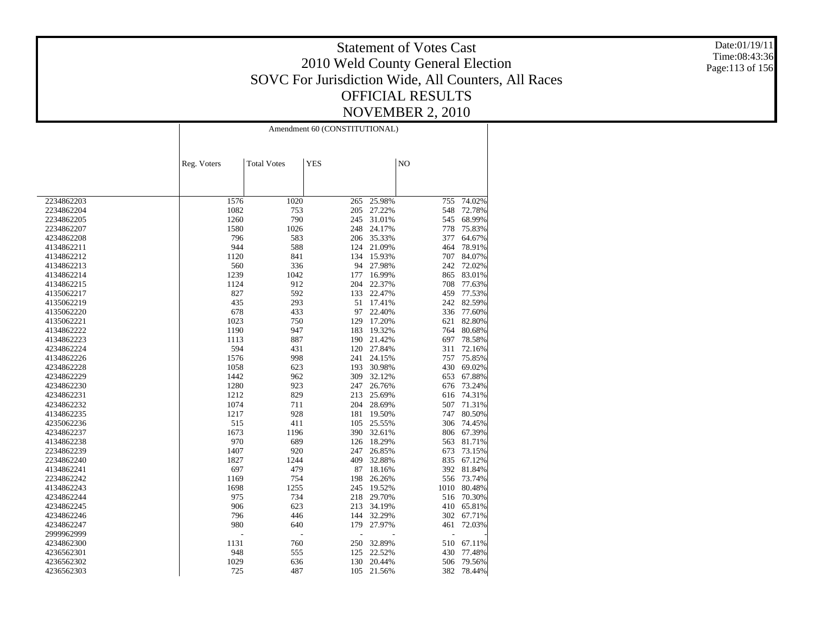Date:01/19/11 Time:08:43:36 Page:113 of 156

|            | Amendment 60 (CONSTITUTIONAL) |                    |            |        |      |        |  |
|------------|-------------------------------|--------------------|------------|--------|------|--------|--|
|            | Reg. Voters                   | <b>Total Votes</b> | <b>YES</b> |        | NO   |        |  |
|            |                               |                    |            |        |      |        |  |
| 2234862203 | 1576                          | 1020               | 265        | 25.98% | 755  | 74.02% |  |
| 2234862204 | 1082                          | 753                | 205        | 27.22% | 548  | 72.78% |  |
| 2234862205 | 1260                          | 790                | 245        | 31.01% | 545  | 68.99% |  |
| 2234862207 | 1580                          | 1026               | 248        | 24.17% | 778  | 75.83% |  |
| 4234862208 | 796                           | 583                | 206        | 35.33% | 377  | 64.67% |  |
| 4134862211 | 944                           | 588                | 124        | 21.09% | 464  | 78.91% |  |
| 4134862212 | 1120                          | 841                | 134        | 15.93% | 707  | 84.07% |  |
| 4134862213 | 560                           | 336                | 94         | 27.98% | 242  | 72.02% |  |
| 4134862214 | 1239                          | 1042               | 177        | 16.99% | 865  | 83.01% |  |
| 4134862215 | 1124                          | 912                | 204        | 22.37% | 708  | 77.63% |  |
| 4135062217 | 827                           | 592                | 133        | 22.47% | 459  | 77.53% |  |
| 4135062219 | 435                           | 293                | 51         | 17.41% | 242  | 82.59% |  |
| 4135062220 | 678                           | 433                | 97         | 22.40% | 336  | 77.60% |  |
| 4135062221 | 1023                          | 750                | 129        | 17.20% | 621  | 82.80% |  |
| 4134862222 | 1190                          | 947                | 183        | 19.32% | 764  | 80.68% |  |
| 4134862223 | 1113                          | 887                | 190        | 21.42% | 697  | 78.58% |  |
| 4234862224 | 594                           | 431                | 120        | 27.84% | 311  | 72.16% |  |
| 4134862226 | 1576                          | 998                | 241        | 24.15% | 757  | 75.85% |  |
| 4234862228 | 1058                          | 623                | 193        | 30.98% | 430  | 69.02% |  |
| 4234862229 | 1442                          | 962                | 309        | 32.12% | 653  | 67.88% |  |
| 4234862230 | 1280                          | 923                | 247        | 26.76% | 676  | 73.24% |  |
| 4234862231 | 1212                          | 829                | 213        | 25.69% | 616  | 74.31% |  |
| 4234862232 | 1074                          | 711                | 204        | 28.69% | 507  | 71.31% |  |
| 4134862235 | 1217                          | 928                | 181        | 19.50% | 747  | 80.50% |  |
| 4235062236 | 515                           | 411                | 105        | 25.55% | 306  | 74.45% |  |
| 4234862237 | 1673                          | 1196               | 390        | 32.61% | 806  | 67.39% |  |
| 4134862238 | 970                           | 689                | 126        | 18.29% | 563  | 81.71% |  |
| 2234862239 | 1407                          | 920                | 247        | 26.85% | 673  | 73.15% |  |
| 2234862240 | 1827                          | 1244               | 409        | 32.88% | 835  | 67.12% |  |
| 4134862241 | 697                           | 479                | 87         | 18.16% | 392  | 81.84% |  |
| 2234862242 | 1169                          | 754                | 198        | 26.26% | 556  | 73.74% |  |
| 4134862243 | 1698                          | 1255               | 245        | 19.52% | 1010 | 80.48% |  |
| 4234862244 | 975                           | 734                | 218        | 29.70% | 516  | 70.30% |  |
| 4234862245 | 906                           | 623                | 213        | 34.19% | 410  | 65.81% |  |
| 4234862246 | 796                           | 446                | 144        | 32.29% | 302  | 67.71% |  |
| 4234862247 | 980                           | 640                | 179        | 27.97% | 461  | 72.03% |  |
| 2999962999 |                               | L,<br>L,           |            |        | L,   |        |  |
| 4234862300 | 1131                          | 760                | 250        | 32.89% | 510  | 67.11% |  |
| 4236562301 | 948                           | 555                | 125        | 22.52% | 430  | 77.48% |  |
| 4236562302 | 1029                          | 636                | 130        | 20.44% | 506  | 79.56% |  |
| 4236562303 | 725                           | 487                | 105        | 21.56% | 382  | 78.44% |  |
|            |                               |                    |            |        |      |        |  |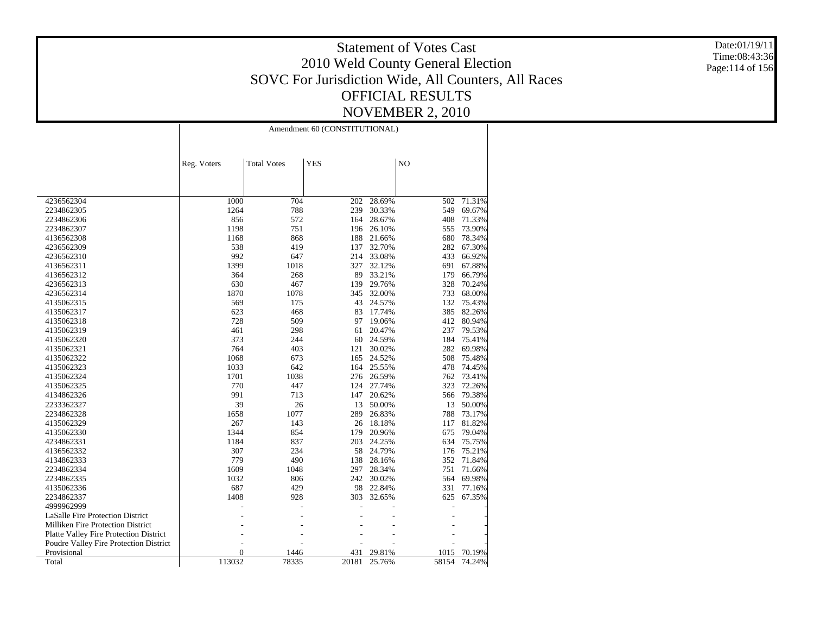Date:01/19/11 Time:08:43:36 Page:114 of 156

|                                               |                | Amendment 60 (CONSTITUTIONAL) |            |        |                |        |  |  |
|-----------------------------------------------|----------------|-------------------------------|------------|--------|----------------|--------|--|--|
|                                               | Reg. Voters    | <b>Total Votes</b>            | <b>YES</b> |        | N <sub>O</sub> |        |  |  |
|                                               |                |                               |            |        |                |        |  |  |
| 4236562304                                    | 1000           | 704                           | 202        | 28.69% | 502            | 71.31% |  |  |
| 2234862305                                    | 1264           | 788                           | 239        | 30.33% | 549            | 69.67% |  |  |
| 2234862306                                    | 856            | 572                           | 164        | 28.67% | 408            | 71.33% |  |  |
| 2234862307                                    | 1198           | 751                           | 196        | 26.10% | 555            | 73.90% |  |  |
| 4136562308                                    | 1168           | 868                           | 188        | 21.66% | 680            | 78.34% |  |  |
| 4236562309                                    | 538            | 419                           | 137        | 32.70% | 282            | 67.30% |  |  |
| 4236562310                                    | 992            | 647                           | 214        | 33.08% | 433            | 66.92% |  |  |
| 4136562311                                    | 1399           | 1018                          | 327        | 32.12% | 691            | 67.88% |  |  |
| 4136562312                                    | 364            | 268                           | 89         | 33.21% | 179            | 66.79% |  |  |
| 4236562313                                    | 630            | 467                           | 139        | 29.76% | 328            | 70.24% |  |  |
| 4236562314                                    | 1870           | 1078                          | 345        | 32.00% | 733            | 68.00% |  |  |
| 4135062315                                    | 569            | 175                           | 43         | 24.57% | 132            | 75.43% |  |  |
| 4135062317                                    | 623            | 468                           | 83         | 17.74% | 385            | 82.26% |  |  |
| 4135062318                                    | 728            | 509                           | 97         | 19.06% | 412            | 80.94% |  |  |
| 4135062319                                    | 461            | 298                           | 61         | 20.47% | 237            | 79.53% |  |  |
| 4135062320                                    | 373            | 244                           | 60         | 24.59% | 184            | 75.41% |  |  |
| 4135062321                                    | 764            | 403                           | 121        | 30.02% | 282            | 69.98% |  |  |
| 4135062322                                    | 1068           | 673                           | 165        | 24.52% | 508            | 75.48% |  |  |
| 4135062323                                    | 1033           | 642                           | 164        | 25.55% | 478            | 74.45% |  |  |
| 4135062324                                    | 1701           | 1038                          | 276        | 26.59% | 762            | 73.41% |  |  |
| 4135062325                                    | 770            | 447                           | 124        | 27.74% | 323            | 72.26% |  |  |
| 4134862326                                    | 991            | 713                           | 147        | 20.62% | 566            | 79.38% |  |  |
| 2233362327                                    | 39             | 26                            | 13         | 50.00% | 13             | 50.00% |  |  |
| 2234862328                                    | 1658           | 1077                          | 289        | 26.83% | 788            | 73.17% |  |  |
| 4135062329                                    | 267            | 143                           | 26         | 18.18% | 117            | 81.82% |  |  |
| 4135062330                                    | 1344           | 854                           | 179        | 20.96% | 675            | 79.04% |  |  |
| 4234862331                                    | 1184           | 837                           | 203        | 24.25% | 634            | 75.75% |  |  |
| 4136562332                                    | 307            | 234                           | 58         | 24.79% | 176            | 75.21% |  |  |
| 4134862333                                    | 779            | 490                           | 138        | 28.16% | 352            | 71.84% |  |  |
| 2234862334                                    | 1609           | 1048                          | 297        | 28.34% | 751            | 71.66% |  |  |
| 2234862335                                    | 1032           | 806                           | 242        | 30.02% | 564            | 69.98% |  |  |
| 4135062336                                    | 687            | 429                           | 98         | 22.84% | 331            | 77.16% |  |  |
| 2234862337                                    | 1408           | 928                           | 303        | 32.65% | 625            | 67.35% |  |  |
| 4999962999                                    |                |                               |            |        |                |        |  |  |
| LaSalle Fire Protection District              |                |                               |            |        |                |        |  |  |
| <b>Milliken Fire Protection District</b>      |                |                               |            |        |                |        |  |  |
| <b>Platte Valley Fire Protection District</b> |                |                               |            |        |                |        |  |  |
| Poudre Valley Fire Protection District        |                |                               |            |        |                |        |  |  |
| Provisional                                   | $\overline{0}$ | 1446                          | 431        | 29.81% | 1015           | 70.19% |  |  |
| Total                                         | 113032         | 78335                         | 20181      | 25.76% | 58154          | 74.24% |  |  |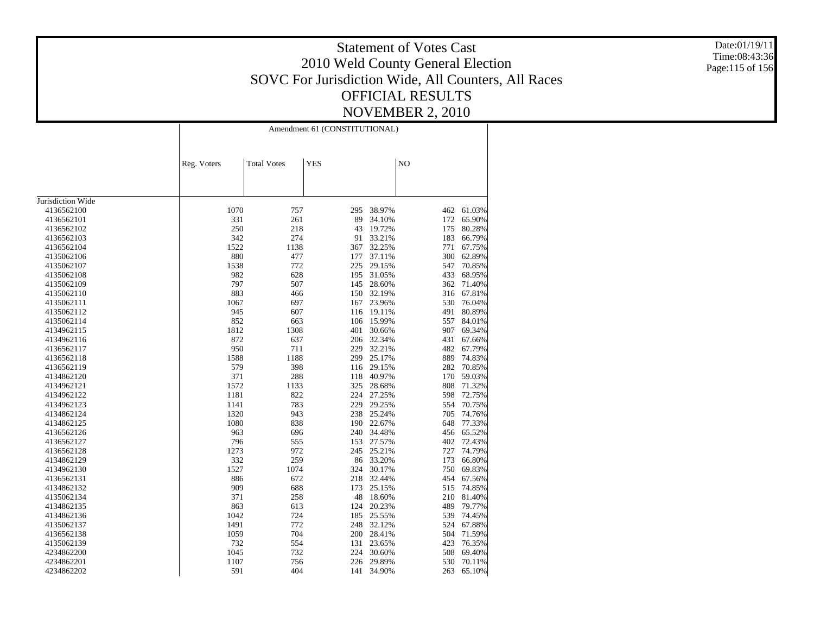Date:01/19/11 Time:08:43:36 Page:115 of 156

|                   | Amendment 61 (CONSTITUTIONAL) |                    |            |        |     |            |  |
|-------------------|-------------------------------|--------------------|------------|--------|-----|------------|--|
|                   | Reg. Voters                   | <b>Total Votes</b> | <b>YES</b> |        | NO  |            |  |
|                   |                               |                    |            |        |     |            |  |
| Jurisdiction Wide |                               |                    |            |        |     |            |  |
| 4136562100        | 1070                          | 757                | 295        | 38.97% | 462 | 61.03%     |  |
| 4136562101        | 331                           | 261                | 89         | 34.10% | 172 | 65.90%     |  |
| 4136562102        | 250                           | 218                | 43         | 19.72% | 175 | 80.28%     |  |
| 4136562103        | 342                           | 274                | 91         | 33.21% | 183 | 66.79%     |  |
| 4136562104        | 1522                          | 1138               | 367        | 32.25% | 771 | 67.75%     |  |
| 4135062106        | 880                           | 477                | 177        | 37.11% | 300 | 62.89%     |  |
| 4135062107        | 1538                          | 772                | 225        | 29.15% | 547 | 70.85%     |  |
| 4135062108        | 982                           | 628                | 195        | 31.05% | 433 | 68.95%     |  |
| 4135062109        | 797                           | 507                | 145        | 28.60% | 362 | 71.40%     |  |
| 4135062110        | 883                           | 466                | 150        | 32.19% | 316 | 67.81%     |  |
| 4135062111        | 1067                          | 697                | 167        | 23.96% | 530 | 76.04%     |  |
| 4135062112        | 945                           | 607                | 116        | 19.11% | 491 | 80.89%     |  |
| 4135062114        | 852                           | 663                | 106        | 15.99% | 557 | 84.01%     |  |
| 4134962115        | 1812                          | 1308               | 401        | 30.66% | 907 | 69.34%     |  |
| 4134962116        | 872                           | 637                | 206        | 32.34% | 431 | 67.66%     |  |
| 4136562117        | 950                           | 711                | 229        | 32.21% | 482 | 67.79%     |  |
| 4136562118        | 1588                          | 1188               | 299        | 25.17% | 889 | 74.83%     |  |
| 4136562119        | 579                           | 398                | 116        | 29.15% | 282 | 70.85%     |  |
| 4134862120        | 371                           | 288                | 118        | 40.97% | 170 | 59.03%     |  |
| 4134962121        | 1572                          | 1133               | 325        | 28.68% | 808 | 71.32%     |  |
| 4134962122        | 1181                          | 822                | 224        | 27.25% | 598 | 72.75%     |  |
| 4134962123        | 1141                          | 783                | 229        | 29.25% | 554 | 70.75%     |  |
| 4134862124        | 1320                          | 943                | 238        | 25.24% | 705 | 74.76%     |  |
| 4134862125        | 1080                          | 838                | 190        | 22.67% | 648 | 77.33%     |  |
| 4136562126        | 963                           | 696                | 240        | 34.48% |     | 456 65.52% |  |
| 4136562127        | 796                           | 555                | 153        | 27.57% | 402 | 72.43%     |  |
| 4136562128        | 1273                          | 972                | 245        | 25.21% | 727 | 74.79%     |  |
| 4134862129        | 332                           | 259                | 86         | 33.20% | 173 | 66.80%     |  |
| 4134962130        | 1527                          | 1074               | 324        | 30.17% | 750 | 69.83%     |  |
| 4136562131        | 886                           | 672                | 218        | 32.44% | 454 | 67.56%     |  |
| 4134862132        | 909                           | 688                | 173        | 25.15% | 515 | 74.85%     |  |
| 4135062134        | 371                           | 258                | 48         | 18.60% | 210 | 81.40%     |  |
| 4134862135        | 863                           | 613                | 124        | 20.23% | 489 | 79.77%     |  |
| 4134862136        | 1042                          | 724                | 185        | 25.55% | 539 | 74.45%     |  |
| 4135062137        | 1491                          | 772                | 248        | 32.12% | 524 | 67.88%     |  |
| 4136562138        | 1059                          | 704                | 200        | 28.41% | 504 | 71.59%     |  |
| 4135062139        | 732                           | 554                | 131        | 23.65% | 423 | 76.35%     |  |
| 4234862200        | 1045                          | 732                | 224        | 30.60% | 508 | 69.40%     |  |
| 4234862201        | 1107                          | 756                | 226        | 29.89% | 530 | 70.11%     |  |
| 4234862202        | 591                           | 404                | 141        | 34.90% | 263 | 65.10%     |  |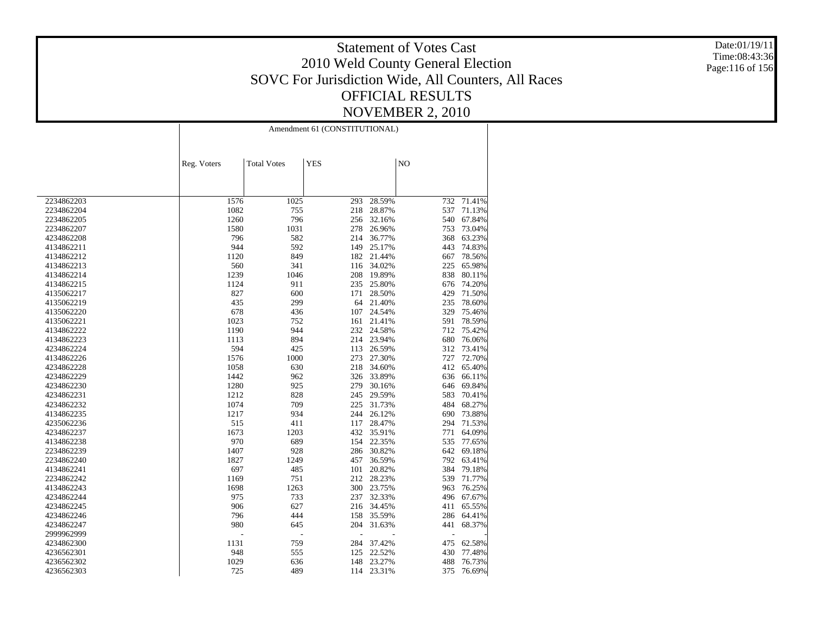Date:01/19/11 Time:08:43:36 Page:116 of 156

|            | Amendment 61 (CONSTITUTIONAL) |                    |            |            |                |        |  |
|------------|-------------------------------|--------------------|------------|------------|----------------|--------|--|
|            |                               |                    |            |            |                |        |  |
|            | Reg. Voters                   | <b>Total Votes</b> | <b>YES</b> |            | N <sub>O</sub> |        |  |
|            |                               |                    |            |            |                |        |  |
|            |                               |                    |            |            |                |        |  |
| 2234862203 | 1576                          | 1025               | 293        | 28.59%     | 732            | 71.41% |  |
| 2234862204 | 1082                          | 755                | 218        | 28.87%     | 537            | 71.13% |  |
| 2234862205 | 1260                          | 796                | 256        | 32.16%     | 540            | 67.84% |  |
| 2234862207 | 1580                          | 1031               | 278        | 26.96%     | 753            | 73.04% |  |
| 4234862208 | 796                           | 582                | 214        | 36.77%     | 368            | 63.23% |  |
| 4134862211 | 944                           | 592                | 149        | 25.17%     | 443            | 74.83% |  |
| 4134862212 | 1120                          | 849                | 182        | 21.44%     | 667            | 78.56% |  |
| 4134862213 | 560                           | 341                | 116        | 34.02%     | 225            | 65.98% |  |
| 4134862214 | 1239                          | 1046               | $208\,$    | 19.89%     | 838            | 80.11% |  |
| 4134862215 | 1124                          | 911                | 235        | 25.80%     | 676            | 74.20% |  |
| 4135062217 | 827                           | 600                | 171        | 28.50%     | 429            | 71.50% |  |
| 4135062219 | 435                           | 299                | 64         | 21.40%     | 235            | 78.60% |  |
| 4135062220 | 678                           | 436                | 107        | 24.54%     | 329            | 75.46% |  |
| 4135062221 | 1023                          | 752                | 161        | 21.41%     | 591            | 78.59% |  |
| 4134862222 | 1190                          | 944                | 232        | 24.58%     | 712            | 75.42% |  |
| 4134862223 | 1113                          | 894                | 214        | 23.94%     | 680            | 76.06% |  |
| 4234862224 | 594                           | 425                | 113        | 26.59%     | 312            | 73.41% |  |
| 4134862226 | 1576                          | 1000               | 273        | 27.30%     | 727            | 72.70% |  |
| 4234862228 | 1058                          | 630                | 218        | 34.60%     | 412            | 65.40% |  |
| 4234862229 | 1442                          | 962                | 326        | 33.89%     | 636            | 66.11% |  |
| 4234862230 | 1280                          | 925                | 279        | 30.16%     | 646            | 69.84% |  |
| 4234862231 | 1212                          | 828                | 245        | 29.59%     | 583            | 70.41% |  |
| 4234862232 | 1074                          | 709                | 225        | 31.73%     | 484            | 68.27% |  |
| 4134862235 | 1217                          | 934                | 244        | 26.12%     | 690            | 73.88% |  |
| 4235062236 | 515                           | 411                | 117        | 28.47%     | 294            | 71.53% |  |
| 4234862237 | 1673                          | 1203               | 432        | 35.91%     | 771            | 64.09% |  |
| 4134862238 | 970                           | 689                | 154        | 22.35%     | 535            | 77.65% |  |
| 2234862239 | 1407                          | 928                | 286        | 30.82%     | 642            | 69.18% |  |
| 2234862240 | 1827                          | 1249               | 457        | 36.59%     | 792            | 63.41% |  |
| 4134862241 | 697                           | 485                | 101        | 20.82%     | 384            | 79.18% |  |
| 2234862242 | 1169                          | 751                | 212        | 28.23%     | 539            | 71.77% |  |
| 4134862243 | 1698                          | 1263               | 300        | 23.75%     | 963            | 76.25% |  |
| 4234862244 | 975                           | 733                | 237        | 32.33%     | 496            | 67.67% |  |
| 4234862245 | 906                           | 627                |            | 216 34.45% | 411            | 65.55% |  |
| 4234862246 | 796                           | 444                | 158        | 35.59%     | 286            | 64.41% |  |
| 4234862247 | 980                           | 645                | 204        | 31.63%     | 441            | 68.37% |  |
| 2999962999 |                               | L,                 |            |            |                |        |  |
| 4234862300 | 1131                          | 759                | 284        | 37.42%     | 475            | 62.58% |  |
| 4236562301 | 948                           | 555                | 125        | 22.52%     | 430            | 77.48% |  |
| 4236562302 | 1029                          | 636                | 148        | 23.27%     | 488            | 76.73% |  |
|            |                               |                    |            |            |                |        |  |
| 4236562303 | 725                           | 489                |            | 114 23.31% | 375            | 76.69% |  |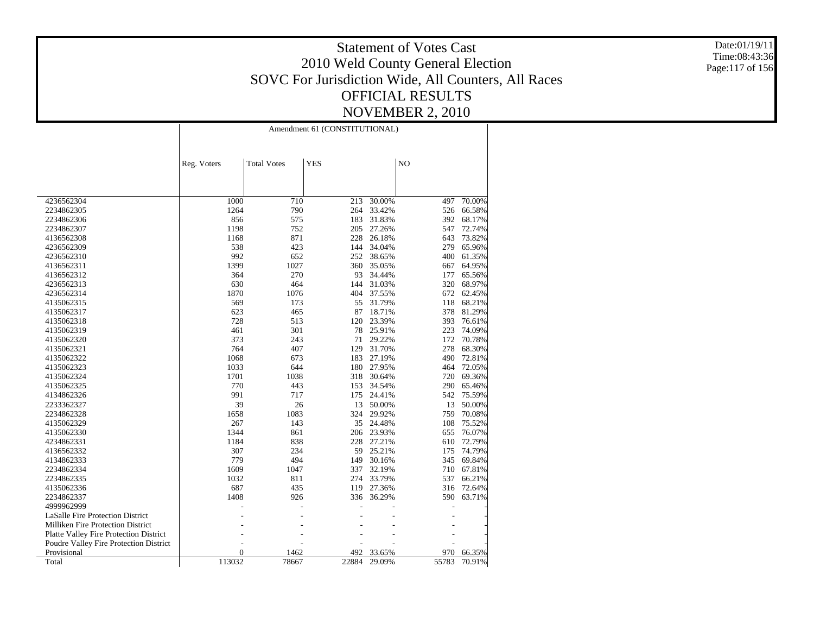Date:01/19/11 Time:08:43:36 Page:117 of 156

|                                               | Amendment 61 (CONSTITUTIONAL) |                    |            |        |       |        |
|-----------------------------------------------|-------------------------------|--------------------|------------|--------|-------|--------|
|                                               | Reg. Voters                   | <b>Total Votes</b> | <b>YES</b> |        | NO    |        |
|                                               | 1000                          |                    |            | 30.00% | 497   | 70.00% |
| 4236562304<br>2234862305                      | 1264                          | 710<br>790         | 213<br>264 | 33.42% | 526   | 66.58% |
| 2234862306                                    | 856                           | 575                | 183        | 31.83% | 392   | 68.17% |
| 2234862307                                    | 1198                          | 752                | 205        | 27.26% | 547   | 72.74% |
| 4136562308                                    | 1168                          | 871                | 228        | 26.18% | 643   | 73.82% |
| 4236562309                                    | 538                           | 423                | 144        | 34.04% | 279   | 65.96% |
| 4236562310                                    | 992                           | 652                | 252        | 38.65% | 400   | 61.35% |
| 4136562311                                    | 1399                          | 1027               | 360        | 35.05% | 667   | 64.95% |
| 4136562312                                    | 364                           | 270                | 93         | 34.44% | 177   | 65.56% |
| 4236562313                                    | 630                           | 464                | 144        | 31.03% | 320   | 68.97% |
| 4236562314                                    | 1870                          | 1076               | 404        | 37.55% | 672   | 62.45% |
| 4135062315                                    | 569                           | 173                | 55         | 31.79% | 118   | 68.21% |
| 4135062317                                    | 623                           | 465                | 87         | 18.71% | 378   | 81.29% |
| 4135062318                                    | 728                           | 513                | 120        | 23.39% | 393   | 76.61% |
| 4135062319                                    | 461                           | 301                | 78         | 25.91% | 223   | 74.09% |
| 4135062320                                    | 373                           | 243                | 71         | 29.22% | 172   | 70.78% |
| 4135062321                                    | 764                           | 407                | 129        | 31.70% | 278   | 68.30% |
| 4135062322                                    | 1068                          | 673                | 183        | 27.19% | 490   | 72.81% |
| 4135062323                                    | 1033                          | 644                | 180        | 27.95% | 464   | 72.05% |
| 4135062324                                    | 1701                          | 1038               | 318        | 30.64% | 720   | 69.36% |
| 4135062325                                    | 770                           | 443                | 153        | 34.54% | 290   | 65.46% |
| 4134862326                                    | 991                           | 717                | 175        | 24.41% | 542   | 75.59% |
| 2233362327                                    | 39                            | 26                 | 13         | 50.00% | 13    | 50.00% |
| 2234862328                                    | 1658                          | 1083               | 324        | 29.92% | 759   | 70.08% |
| 4135062329                                    | 267                           | 143                | 35         | 24.48% | 108   | 75.52% |
| 4135062330                                    | 1344                          | 861                | 206        | 23.93% | 655   | 76.07% |
| 4234862331                                    | 1184                          | 838                | 228        | 27.21% | 610   | 72.79% |
| 4136562332                                    | 307                           | 234                | 59         | 25.21% | 175   | 74.79% |
| 4134862333                                    | 779                           | 494                | 149        | 30.16% | 345   | 69.84% |
| 2234862334                                    | 1609                          | 1047               | 337        | 32.19% | 710   | 67.81% |
| 2234862335                                    | 1032                          | 811                | 274        | 33.79% | 537   | 66.21% |
| 4135062336                                    | 687                           | 435                | 119        | 27.36% | 316   | 72.64% |
| 2234862337                                    | 1408                          | 926                | 336        | 36.29% | 590 - | 63.71% |
| 4999962999                                    |                               |                    |            |        |       |        |
| LaSalle Fire Protection District              |                               |                    |            |        |       |        |
| Milliken Fire Protection District             |                               |                    |            |        |       |        |
| <b>Platte Valley Fire Protection District</b> |                               |                    |            |        |       |        |
| Poudre Valley Fire Protection District        |                               |                    |            |        |       |        |
| Provisional                                   | $\overline{0}$                | 1462               | 492        | 33.65% | 970   | 66.35% |
| Total                                         | 113032                        | 78667              | 22884      | 29.09% | 55783 | 70.91% |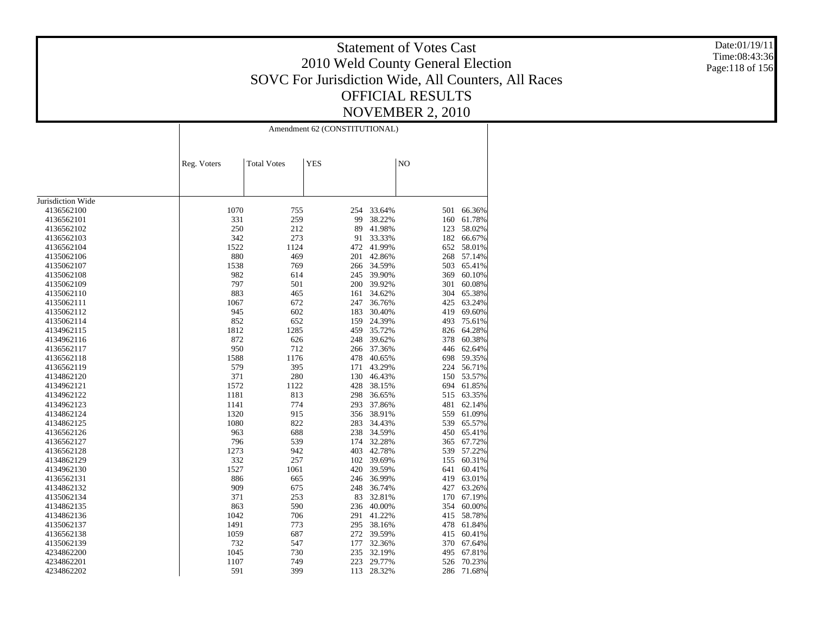Date:01/19/11 Time:08:43:36 Page:118 of 156

|                   | Amendment 62 (CONSTITUTIONAL) |                    |            |        |     |        |  |
|-------------------|-------------------------------|--------------------|------------|--------|-----|--------|--|
|                   | Reg. Voters                   | <b>Total Votes</b> | <b>YES</b> |        | NO  |        |  |
|                   |                               |                    |            |        |     |        |  |
| Jurisdiction Wide |                               |                    |            |        |     |        |  |
| 4136562100        | 1070                          | 755                | 254        | 33.64% | 501 | 66.36% |  |
| 4136562101        | 331                           | 259                | 99         | 38.22% | 160 | 61.78% |  |
| 4136562102        | 250                           | 212                | 89         | 41.98% | 123 | 58.02% |  |
| 4136562103        | 342                           | 273                | 91         | 33.33% | 182 | 66.67% |  |
| 4136562104        | 1522                          | 1124               | 472        | 41.99% | 652 | 58.01% |  |
| 4135062106        | 880                           | 469                | 201        | 42.86% | 268 | 57.14% |  |
| 4135062107        | 1538                          | 769                | 266        | 34.59% | 503 | 65.41% |  |
| 4135062108        | 982                           | 614                | 245        | 39.90% | 369 | 60.10% |  |
| 4135062109        | 797                           | 501                | 200        | 39.92% | 301 | 60.08% |  |
| 4135062110        | 883                           | 465                | 161        | 34.62% | 304 | 65.38% |  |
| 4135062111        | 1067                          | 672                | 247        | 36.76% | 425 | 63.24% |  |
| 4135062112        | 945                           | 602                | 183        | 30.40% | 419 | 69.60% |  |
| 4135062114        | 852                           | 652                | 159        | 24.39% | 493 | 75.61% |  |
| 4134962115        | 1812                          | 1285               | 459        | 35.72% | 826 | 64.28% |  |
| 4134962116        | 872                           | 626                | 248        | 39.62% | 378 | 60.38% |  |
| 4136562117        | 950                           | 712                | 266        | 37.36% | 446 | 62.64% |  |
| 4136562118        | 1588                          | 1176               | 478        | 40.65% | 698 | 59.35% |  |
| 4136562119        | 579                           | 395                | 171        | 43.29% | 224 | 56.71% |  |
| 4134862120        | 371                           | 280                | 130        | 46.43% | 150 | 53.57% |  |
| 4134962121        | 1572                          | 1122               | 428        | 38.15% | 694 | 61.85% |  |
| 4134962122        | 1181                          | 813                | 298        | 36.65% | 515 | 63.35% |  |
| 4134962123        | 1141                          | 774                | 293        | 37.86% | 481 | 62.14% |  |
| 4134862124        | 1320                          | 915                | 356        | 38.91% | 559 | 61.09% |  |
| 4134862125        | 1080                          | 822                | 283        | 34.43% | 539 | 65.57% |  |
| 4136562126        | 963                           | 688                | 238        | 34.59% | 450 | 65.41% |  |
| 4136562127        | 796                           | 539                | 174        | 32.28% | 365 | 67.72% |  |
| 4136562128        | 1273                          | 942                | 403        | 42.78% | 539 | 57.22% |  |
| 4134862129        | 332                           | 257                | 102        | 39.69% | 155 | 60.31% |  |
| 4134962130        | 1527                          | 1061               | 420        | 39.59% | 641 | 60.41% |  |
| 4136562131        | 886                           | 665                | 246        | 36.99% | 419 | 63.01% |  |
| 4134862132        | 909                           | 675                | 248        | 36.74% | 427 | 63.26% |  |
| 4135062134        | 371                           | 253                | 83         | 32.81% | 170 | 67.19% |  |
| 4134862135        | 863                           | 590                | 236        | 40.00% | 354 | 60.00% |  |
| 4134862136        | 1042                          | 706                | 291        | 41.22% | 415 | 58.78% |  |
| 4135062137        | 1491                          | 773                | 295        | 38.16% | 478 | 61.84% |  |
| 4136562138        | 1059                          | 687                | 272        | 39.59% | 415 | 60.41% |  |
| 4135062139        | 732                           | 547                | 177        | 32.36% | 370 | 67.64% |  |
| 4234862200        | 1045                          | 730                | 235        | 32.19% | 495 | 67.81% |  |
| 4234862201        | 1107                          | 749                | 223        | 29.77% | 526 | 70.23% |  |
| 4234862202        | 591                           | 399                | 113        | 28.32% | 286 | 71.68% |  |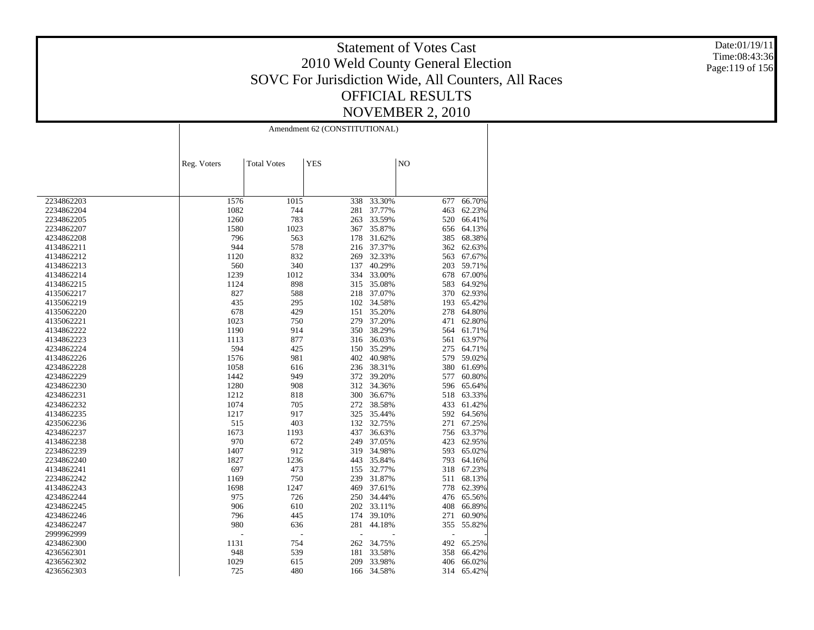Date:01/19/11 Time:08:43:36 Page:119 of 156

|            |             |                    | Amendment 62 (CONSTITUTIONAL) |        |                |        |  |  |
|------------|-------------|--------------------|-------------------------------|--------|----------------|--------|--|--|
|            |             |                    |                               |        |                |        |  |  |
|            |             |                    |                               |        |                |        |  |  |
|            | Reg. Voters | <b>Total Votes</b> | <b>YES</b>                    |        | N <sub>O</sub> |        |  |  |
|            |             |                    |                               |        |                |        |  |  |
|            |             |                    |                               |        |                |        |  |  |
| 2234862203 | 1576        | 1015               | 338                           | 33.30% | 677            | 66.70% |  |  |
| 2234862204 | 1082        | 744                | 281                           | 37.77% | 463            | 62.23% |  |  |
| 2234862205 | 1260        | 783                | 263                           | 33.59% | 520            | 66.41% |  |  |
| 2234862207 | 1580        | 1023               | 367                           | 35.87% | 656            | 64.13% |  |  |
| 4234862208 | 796         | 563                | 178                           | 31.62% | 385            | 68.38% |  |  |
| 4134862211 | 944         | 578                | 216                           | 37.37% | 362            | 62.63% |  |  |
| 4134862212 | 1120        | 832                | 269                           | 32.33% | 563            | 67.67% |  |  |
| 4134862213 | 560         | 340                | 137                           | 40.29% | 203            | 59.71% |  |  |
| 4134862214 | 1239        | 1012               | 334                           | 33.00% | 678            | 67.00% |  |  |
| 4134862215 | 1124        | 898                | 315                           | 35.08% | 583            | 64.92% |  |  |
| 4135062217 | 827         | 588                | 218                           | 37.07% | 370            | 62.93% |  |  |
| 4135062219 | 435         | 295                | 102                           | 34.58% | 193            | 65.42% |  |  |
| 4135062220 | 678         | 429                | 151                           | 35.20% | 278            | 64.80% |  |  |
| 4135062221 | 1023        | 750                | 279                           | 37.20% | 471            | 62.80% |  |  |
| 4134862222 | 1190        | 914                | 350                           | 38.29% | 564            | 61.71% |  |  |
| 4134862223 | 1113        | 877                | 316                           | 36.03% | 561            | 63.97% |  |  |
| 4234862224 | 594         | 425                | 150                           | 35.29% | 275            | 64.71% |  |  |
| 4134862226 | 1576        | 981                | 402                           | 40.98% | 579            | 59.02% |  |  |
| 4234862228 | 1058        | 616                | 236                           | 38.31% | 380            | 61.69% |  |  |
| 4234862229 | 1442        | 949                | 372                           | 39.20% | 577            | 60.80% |  |  |
| 4234862230 | 1280        | 908                | 312                           | 34.36% | 596            | 65.64% |  |  |
| 4234862231 | 1212        | 818                | 300                           | 36.67% | 518            | 63.33% |  |  |
| 4234862232 | 1074        | 705                | 272                           | 38.58% | 433            | 61.42% |  |  |
| 4134862235 | 1217        | 917                | 325                           | 35.44% | 592            | 64.56% |  |  |
| 4235062236 | 515         | 403                | 132                           | 32.75% | 271            | 67.25% |  |  |
| 4234862237 | 1673        | 1193               | 437                           | 36.63% | 756            | 63.37% |  |  |
| 4134862238 | 970         | 672                | 249                           | 37.05% | 423            | 62.95% |  |  |
| 2234862239 | 1407        | 912                | 319                           | 34.98% | 593            | 65.02% |  |  |
| 2234862240 | 1827        | 1236               | 443                           | 35.84% | 793            | 64.16% |  |  |
| 4134862241 | 697         | 473                | 155                           | 32.77% | 318            | 67.23% |  |  |
| 2234862242 | 1169        | 750                | 239                           | 31.87% | 511            | 68.13% |  |  |
| 4134862243 | 1698        | 1247               | 469                           | 37.61% | 778            | 62.39% |  |  |
| 4234862244 | 975         | 726                | 250                           | 34.44% | 476            | 65.56% |  |  |
| 4234862245 | 906         | 610                | 202                           | 33.11% | 408            | 66.89% |  |  |
| 4234862246 | 796         | 445                | 174                           | 39.10% | 271            | 60.90% |  |  |
| 4234862247 | 980         | 636                | 281                           | 44.18% | 355            | 55.82% |  |  |
| 2999962999 |             | $\overline{a}$     |                               |        | Ĭ.             |        |  |  |
| 4234862300 | 1131        | 754                | 262                           | 34.75% | 492            | 65.25% |  |  |
|            | 948         | 539                |                               |        | 358            |        |  |  |
| 4236562301 | 1029        |                    | 181                           | 33.58% |                | 66.42% |  |  |
| 4236562302 |             | 615                | 209                           | 33.98% | 406            | 66.02% |  |  |
| 4236562303 | 725         | 480                | 166                           | 34.58% | 314            | 65.42% |  |  |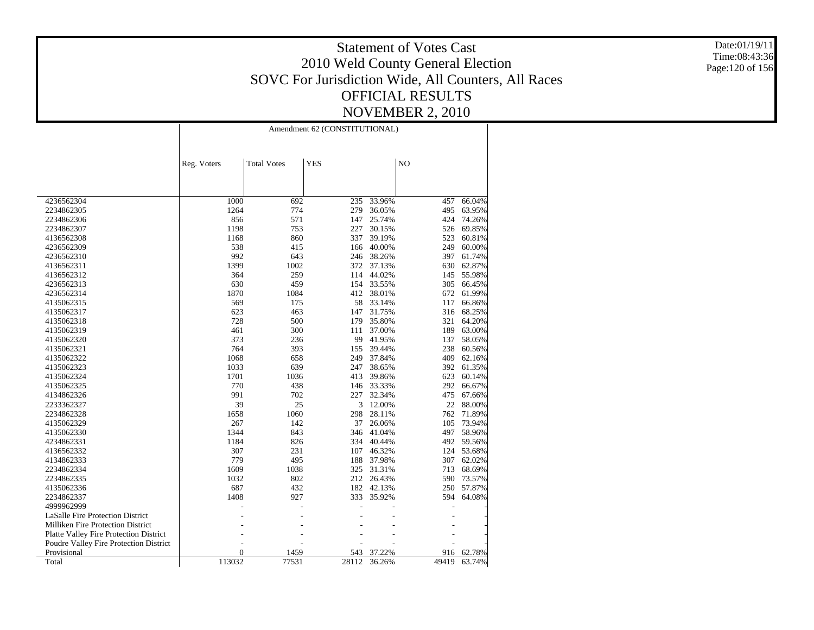Date:01/19/11 Time:08:43:36 Page:120 of 156

| <b>Total Votes</b><br><b>YES</b><br>NO<br>Reg. Voters<br>1000<br>4236562304<br>692<br>235<br>33.96%<br>457<br>66.04%<br>1264<br>774<br>279<br>36.05%<br>495<br>63.95%<br>2234862305<br>856<br>571<br>147<br>2234862306<br>25.74%<br>424<br>74.26%<br>1198<br>753<br>69.85%<br>2234862307<br>227<br>30.15%<br>526<br>860<br>337<br>4136562308<br>1168<br>39.19%<br>523<br>60.81%<br>538<br>415<br>40.00%<br>249<br>60.00%<br>4236562309<br>166<br>992<br>643<br>246<br>38.26%<br>397<br>61.74%<br>4236562310<br>1399<br>1002<br>372<br>37.13%<br>630<br>62.87%<br>4136562311<br>259<br>364<br>114<br>44.02%<br>145<br>55.98%<br>4136562312<br>630<br>459<br>154<br>305<br>66.45%<br>4236562313<br>33.55%<br>1870<br>1084<br>412<br>61.99%<br>4236562314<br>38.01%<br>672<br>569<br>58<br>4135062315<br>175<br>33.14%<br>117<br>66.86%<br>623<br>463<br>68.25%<br>4135062317<br>147<br>31.75%<br>316<br>500<br>728<br>179<br>35.80%<br>64.20%<br>4135062318<br>321<br>300<br>189<br>4135062319<br>461<br>111<br>37.00%<br>63.00%<br>373<br>236<br>99<br>4135062320<br>41.95%<br>137<br>58.05%<br>764<br>393<br>238<br>155<br>39.44%<br>60.56%<br>4135062321<br>1068<br>658<br>249<br>37.84%<br>409<br>62.16%<br>4135062322<br>1033<br>639<br>247<br>38.65%<br>392<br>61.35%<br>4135062323<br>1036<br>1701<br>413<br>39.86%<br>623<br>60.14%<br>4135062324<br>770<br>438<br>292<br>66.67%<br>4135062325<br>146 33.33%<br>991<br>702<br>475<br>67.66%<br>4134862326<br>227<br>32.34%<br>39<br>25<br>3<br>12.00%<br>22<br>88.00%<br>2233362327<br>1060<br>298<br>28.11%<br>762<br>71.89%<br>2234862328<br>1658<br>142<br>267<br>37<br>26.06%<br>105<br>73.94%<br>4135062329<br>1344<br>843<br>346<br>41.04%<br>497<br>58.96%<br>4135062330<br>1184<br>826<br>334<br>40.44%<br>492<br>59.56%<br>4234862331<br>307<br>231<br>107<br>46.32%<br>53.68%<br>4136562332<br>124<br>779<br>188<br>495<br>37.98%<br>307<br>62.02%<br>4134862333<br>1609<br>1038<br>325<br>31.31%<br>713<br>68.69%<br>2234862334<br>1032<br>802<br>212<br>590<br>73.57%<br>2234862335<br>26.43%<br>687<br>432<br>42.13%<br>57.87%<br>182<br>250<br>4135062336<br>2234862337<br>1408<br>927<br>333<br>35.92%<br>594<br>64.08%<br>4999962999<br><b>LaSalle Fire Protection District</b><br><b>Milliken Fire Protection District</b><br><b>Platte Valley Fire Protection District</b><br>Poudre Valley Fire Protection District<br>Provisional<br>$\overline{0}$<br>1459<br>543<br>37.22%<br>916<br>62.78%<br>113032<br>Total<br>77531<br>28112<br>36.26%<br>49419<br>63.74% | Amendment 62 (CONSTITUTIONAL) |  |  |  |  |  |  |
|-------------------------------------------------------------------------------------------------------------------------------------------------------------------------------------------------------------------------------------------------------------------------------------------------------------------------------------------------------------------------------------------------------------------------------------------------------------------------------------------------------------------------------------------------------------------------------------------------------------------------------------------------------------------------------------------------------------------------------------------------------------------------------------------------------------------------------------------------------------------------------------------------------------------------------------------------------------------------------------------------------------------------------------------------------------------------------------------------------------------------------------------------------------------------------------------------------------------------------------------------------------------------------------------------------------------------------------------------------------------------------------------------------------------------------------------------------------------------------------------------------------------------------------------------------------------------------------------------------------------------------------------------------------------------------------------------------------------------------------------------------------------------------------------------------------------------------------------------------------------------------------------------------------------------------------------------------------------------------------------------------------------------------------------------------------------------------------------------------------------------------------------------------------------------------------------------------------------------------------------------------------------------------------------------------------------------------------------------------------------------------------------------------------------------------------------------------------------------------------------------------------------------------------------|-------------------------------|--|--|--|--|--|--|
|                                                                                                                                                                                                                                                                                                                                                                                                                                                                                                                                                                                                                                                                                                                                                                                                                                                                                                                                                                                                                                                                                                                                                                                                                                                                                                                                                                                                                                                                                                                                                                                                                                                                                                                                                                                                                                                                                                                                                                                                                                                                                                                                                                                                                                                                                                                                                                                                                                                                                                                                           |                               |  |  |  |  |  |  |
|                                                                                                                                                                                                                                                                                                                                                                                                                                                                                                                                                                                                                                                                                                                                                                                                                                                                                                                                                                                                                                                                                                                                                                                                                                                                                                                                                                                                                                                                                                                                                                                                                                                                                                                                                                                                                                                                                                                                                                                                                                                                                                                                                                                                                                                                                                                                                                                                                                                                                                                                           |                               |  |  |  |  |  |  |
|                                                                                                                                                                                                                                                                                                                                                                                                                                                                                                                                                                                                                                                                                                                                                                                                                                                                                                                                                                                                                                                                                                                                                                                                                                                                                                                                                                                                                                                                                                                                                                                                                                                                                                                                                                                                                                                                                                                                                                                                                                                                                                                                                                                                                                                                                                                                                                                                                                                                                                                                           |                               |  |  |  |  |  |  |
|                                                                                                                                                                                                                                                                                                                                                                                                                                                                                                                                                                                                                                                                                                                                                                                                                                                                                                                                                                                                                                                                                                                                                                                                                                                                                                                                                                                                                                                                                                                                                                                                                                                                                                                                                                                                                                                                                                                                                                                                                                                                                                                                                                                                                                                                                                                                                                                                                                                                                                                                           |                               |  |  |  |  |  |  |
|                                                                                                                                                                                                                                                                                                                                                                                                                                                                                                                                                                                                                                                                                                                                                                                                                                                                                                                                                                                                                                                                                                                                                                                                                                                                                                                                                                                                                                                                                                                                                                                                                                                                                                                                                                                                                                                                                                                                                                                                                                                                                                                                                                                                                                                                                                                                                                                                                                                                                                                                           |                               |  |  |  |  |  |  |
|                                                                                                                                                                                                                                                                                                                                                                                                                                                                                                                                                                                                                                                                                                                                                                                                                                                                                                                                                                                                                                                                                                                                                                                                                                                                                                                                                                                                                                                                                                                                                                                                                                                                                                                                                                                                                                                                                                                                                                                                                                                                                                                                                                                                                                                                                                                                                                                                                                                                                                                                           |                               |  |  |  |  |  |  |
|                                                                                                                                                                                                                                                                                                                                                                                                                                                                                                                                                                                                                                                                                                                                                                                                                                                                                                                                                                                                                                                                                                                                                                                                                                                                                                                                                                                                                                                                                                                                                                                                                                                                                                                                                                                                                                                                                                                                                                                                                                                                                                                                                                                                                                                                                                                                                                                                                                                                                                                                           |                               |  |  |  |  |  |  |
|                                                                                                                                                                                                                                                                                                                                                                                                                                                                                                                                                                                                                                                                                                                                                                                                                                                                                                                                                                                                                                                                                                                                                                                                                                                                                                                                                                                                                                                                                                                                                                                                                                                                                                                                                                                                                                                                                                                                                                                                                                                                                                                                                                                                                                                                                                                                                                                                                                                                                                                                           |                               |  |  |  |  |  |  |
|                                                                                                                                                                                                                                                                                                                                                                                                                                                                                                                                                                                                                                                                                                                                                                                                                                                                                                                                                                                                                                                                                                                                                                                                                                                                                                                                                                                                                                                                                                                                                                                                                                                                                                                                                                                                                                                                                                                                                                                                                                                                                                                                                                                                                                                                                                                                                                                                                                                                                                                                           |                               |  |  |  |  |  |  |
|                                                                                                                                                                                                                                                                                                                                                                                                                                                                                                                                                                                                                                                                                                                                                                                                                                                                                                                                                                                                                                                                                                                                                                                                                                                                                                                                                                                                                                                                                                                                                                                                                                                                                                                                                                                                                                                                                                                                                                                                                                                                                                                                                                                                                                                                                                                                                                                                                                                                                                                                           |                               |  |  |  |  |  |  |
|                                                                                                                                                                                                                                                                                                                                                                                                                                                                                                                                                                                                                                                                                                                                                                                                                                                                                                                                                                                                                                                                                                                                                                                                                                                                                                                                                                                                                                                                                                                                                                                                                                                                                                                                                                                                                                                                                                                                                                                                                                                                                                                                                                                                                                                                                                                                                                                                                                                                                                                                           |                               |  |  |  |  |  |  |
|                                                                                                                                                                                                                                                                                                                                                                                                                                                                                                                                                                                                                                                                                                                                                                                                                                                                                                                                                                                                                                                                                                                                                                                                                                                                                                                                                                                                                                                                                                                                                                                                                                                                                                                                                                                                                                                                                                                                                                                                                                                                                                                                                                                                                                                                                                                                                                                                                                                                                                                                           |                               |  |  |  |  |  |  |
|                                                                                                                                                                                                                                                                                                                                                                                                                                                                                                                                                                                                                                                                                                                                                                                                                                                                                                                                                                                                                                                                                                                                                                                                                                                                                                                                                                                                                                                                                                                                                                                                                                                                                                                                                                                                                                                                                                                                                                                                                                                                                                                                                                                                                                                                                                                                                                                                                                                                                                                                           |                               |  |  |  |  |  |  |
|                                                                                                                                                                                                                                                                                                                                                                                                                                                                                                                                                                                                                                                                                                                                                                                                                                                                                                                                                                                                                                                                                                                                                                                                                                                                                                                                                                                                                                                                                                                                                                                                                                                                                                                                                                                                                                                                                                                                                                                                                                                                                                                                                                                                                                                                                                                                                                                                                                                                                                                                           |                               |  |  |  |  |  |  |
|                                                                                                                                                                                                                                                                                                                                                                                                                                                                                                                                                                                                                                                                                                                                                                                                                                                                                                                                                                                                                                                                                                                                                                                                                                                                                                                                                                                                                                                                                                                                                                                                                                                                                                                                                                                                                                                                                                                                                                                                                                                                                                                                                                                                                                                                                                                                                                                                                                                                                                                                           |                               |  |  |  |  |  |  |
|                                                                                                                                                                                                                                                                                                                                                                                                                                                                                                                                                                                                                                                                                                                                                                                                                                                                                                                                                                                                                                                                                                                                                                                                                                                                                                                                                                                                                                                                                                                                                                                                                                                                                                                                                                                                                                                                                                                                                                                                                                                                                                                                                                                                                                                                                                                                                                                                                                                                                                                                           |                               |  |  |  |  |  |  |
|                                                                                                                                                                                                                                                                                                                                                                                                                                                                                                                                                                                                                                                                                                                                                                                                                                                                                                                                                                                                                                                                                                                                                                                                                                                                                                                                                                                                                                                                                                                                                                                                                                                                                                                                                                                                                                                                                                                                                                                                                                                                                                                                                                                                                                                                                                                                                                                                                                                                                                                                           |                               |  |  |  |  |  |  |
|                                                                                                                                                                                                                                                                                                                                                                                                                                                                                                                                                                                                                                                                                                                                                                                                                                                                                                                                                                                                                                                                                                                                                                                                                                                                                                                                                                                                                                                                                                                                                                                                                                                                                                                                                                                                                                                                                                                                                                                                                                                                                                                                                                                                                                                                                                                                                                                                                                                                                                                                           |                               |  |  |  |  |  |  |
|                                                                                                                                                                                                                                                                                                                                                                                                                                                                                                                                                                                                                                                                                                                                                                                                                                                                                                                                                                                                                                                                                                                                                                                                                                                                                                                                                                                                                                                                                                                                                                                                                                                                                                                                                                                                                                                                                                                                                                                                                                                                                                                                                                                                                                                                                                                                                                                                                                                                                                                                           |                               |  |  |  |  |  |  |
|                                                                                                                                                                                                                                                                                                                                                                                                                                                                                                                                                                                                                                                                                                                                                                                                                                                                                                                                                                                                                                                                                                                                                                                                                                                                                                                                                                                                                                                                                                                                                                                                                                                                                                                                                                                                                                                                                                                                                                                                                                                                                                                                                                                                                                                                                                                                                                                                                                                                                                                                           |                               |  |  |  |  |  |  |
|                                                                                                                                                                                                                                                                                                                                                                                                                                                                                                                                                                                                                                                                                                                                                                                                                                                                                                                                                                                                                                                                                                                                                                                                                                                                                                                                                                                                                                                                                                                                                                                                                                                                                                                                                                                                                                                                                                                                                                                                                                                                                                                                                                                                                                                                                                                                                                                                                                                                                                                                           |                               |  |  |  |  |  |  |
|                                                                                                                                                                                                                                                                                                                                                                                                                                                                                                                                                                                                                                                                                                                                                                                                                                                                                                                                                                                                                                                                                                                                                                                                                                                                                                                                                                                                                                                                                                                                                                                                                                                                                                                                                                                                                                                                                                                                                                                                                                                                                                                                                                                                                                                                                                                                                                                                                                                                                                                                           |                               |  |  |  |  |  |  |
|                                                                                                                                                                                                                                                                                                                                                                                                                                                                                                                                                                                                                                                                                                                                                                                                                                                                                                                                                                                                                                                                                                                                                                                                                                                                                                                                                                                                                                                                                                                                                                                                                                                                                                                                                                                                                                                                                                                                                                                                                                                                                                                                                                                                                                                                                                                                                                                                                                                                                                                                           |                               |  |  |  |  |  |  |
|                                                                                                                                                                                                                                                                                                                                                                                                                                                                                                                                                                                                                                                                                                                                                                                                                                                                                                                                                                                                                                                                                                                                                                                                                                                                                                                                                                                                                                                                                                                                                                                                                                                                                                                                                                                                                                                                                                                                                                                                                                                                                                                                                                                                                                                                                                                                                                                                                                                                                                                                           |                               |  |  |  |  |  |  |
|                                                                                                                                                                                                                                                                                                                                                                                                                                                                                                                                                                                                                                                                                                                                                                                                                                                                                                                                                                                                                                                                                                                                                                                                                                                                                                                                                                                                                                                                                                                                                                                                                                                                                                                                                                                                                                                                                                                                                                                                                                                                                                                                                                                                                                                                                                                                                                                                                                                                                                                                           |                               |  |  |  |  |  |  |
|                                                                                                                                                                                                                                                                                                                                                                                                                                                                                                                                                                                                                                                                                                                                                                                                                                                                                                                                                                                                                                                                                                                                                                                                                                                                                                                                                                                                                                                                                                                                                                                                                                                                                                                                                                                                                                                                                                                                                                                                                                                                                                                                                                                                                                                                                                                                                                                                                                                                                                                                           |                               |  |  |  |  |  |  |
|                                                                                                                                                                                                                                                                                                                                                                                                                                                                                                                                                                                                                                                                                                                                                                                                                                                                                                                                                                                                                                                                                                                                                                                                                                                                                                                                                                                                                                                                                                                                                                                                                                                                                                                                                                                                                                                                                                                                                                                                                                                                                                                                                                                                                                                                                                                                                                                                                                                                                                                                           |                               |  |  |  |  |  |  |
|                                                                                                                                                                                                                                                                                                                                                                                                                                                                                                                                                                                                                                                                                                                                                                                                                                                                                                                                                                                                                                                                                                                                                                                                                                                                                                                                                                                                                                                                                                                                                                                                                                                                                                                                                                                                                                                                                                                                                                                                                                                                                                                                                                                                                                                                                                                                                                                                                                                                                                                                           |                               |  |  |  |  |  |  |
|                                                                                                                                                                                                                                                                                                                                                                                                                                                                                                                                                                                                                                                                                                                                                                                                                                                                                                                                                                                                                                                                                                                                                                                                                                                                                                                                                                                                                                                                                                                                                                                                                                                                                                                                                                                                                                                                                                                                                                                                                                                                                                                                                                                                                                                                                                                                                                                                                                                                                                                                           |                               |  |  |  |  |  |  |
|                                                                                                                                                                                                                                                                                                                                                                                                                                                                                                                                                                                                                                                                                                                                                                                                                                                                                                                                                                                                                                                                                                                                                                                                                                                                                                                                                                                                                                                                                                                                                                                                                                                                                                                                                                                                                                                                                                                                                                                                                                                                                                                                                                                                                                                                                                                                                                                                                                                                                                                                           |                               |  |  |  |  |  |  |
|                                                                                                                                                                                                                                                                                                                                                                                                                                                                                                                                                                                                                                                                                                                                                                                                                                                                                                                                                                                                                                                                                                                                                                                                                                                                                                                                                                                                                                                                                                                                                                                                                                                                                                                                                                                                                                                                                                                                                                                                                                                                                                                                                                                                                                                                                                                                                                                                                                                                                                                                           |                               |  |  |  |  |  |  |
|                                                                                                                                                                                                                                                                                                                                                                                                                                                                                                                                                                                                                                                                                                                                                                                                                                                                                                                                                                                                                                                                                                                                                                                                                                                                                                                                                                                                                                                                                                                                                                                                                                                                                                                                                                                                                                                                                                                                                                                                                                                                                                                                                                                                                                                                                                                                                                                                                                                                                                                                           |                               |  |  |  |  |  |  |
|                                                                                                                                                                                                                                                                                                                                                                                                                                                                                                                                                                                                                                                                                                                                                                                                                                                                                                                                                                                                                                                                                                                                                                                                                                                                                                                                                                                                                                                                                                                                                                                                                                                                                                                                                                                                                                                                                                                                                                                                                                                                                                                                                                                                                                                                                                                                                                                                                                                                                                                                           |                               |  |  |  |  |  |  |
|                                                                                                                                                                                                                                                                                                                                                                                                                                                                                                                                                                                                                                                                                                                                                                                                                                                                                                                                                                                                                                                                                                                                                                                                                                                                                                                                                                                                                                                                                                                                                                                                                                                                                                                                                                                                                                                                                                                                                                                                                                                                                                                                                                                                                                                                                                                                                                                                                                                                                                                                           |                               |  |  |  |  |  |  |
|                                                                                                                                                                                                                                                                                                                                                                                                                                                                                                                                                                                                                                                                                                                                                                                                                                                                                                                                                                                                                                                                                                                                                                                                                                                                                                                                                                                                                                                                                                                                                                                                                                                                                                                                                                                                                                                                                                                                                                                                                                                                                                                                                                                                                                                                                                                                                                                                                                                                                                                                           |                               |  |  |  |  |  |  |
|                                                                                                                                                                                                                                                                                                                                                                                                                                                                                                                                                                                                                                                                                                                                                                                                                                                                                                                                                                                                                                                                                                                                                                                                                                                                                                                                                                                                                                                                                                                                                                                                                                                                                                                                                                                                                                                                                                                                                                                                                                                                                                                                                                                                                                                                                                                                                                                                                                                                                                                                           |                               |  |  |  |  |  |  |
|                                                                                                                                                                                                                                                                                                                                                                                                                                                                                                                                                                                                                                                                                                                                                                                                                                                                                                                                                                                                                                                                                                                                                                                                                                                                                                                                                                                                                                                                                                                                                                                                                                                                                                                                                                                                                                                                                                                                                                                                                                                                                                                                                                                                                                                                                                                                                                                                                                                                                                                                           |                               |  |  |  |  |  |  |
|                                                                                                                                                                                                                                                                                                                                                                                                                                                                                                                                                                                                                                                                                                                                                                                                                                                                                                                                                                                                                                                                                                                                                                                                                                                                                                                                                                                                                                                                                                                                                                                                                                                                                                                                                                                                                                                                                                                                                                                                                                                                                                                                                                                                                                                                                                                                                                                                                                                                                                                                           |                               |  |  |  |  |  |  |
|                                                                                                                                                                                                                                                                                                                                                                                                                                                                                                                                                                                                                                                                                                                                                                                                                                                                                                                                                                                                                                                                                                                                                                                                                                                                                                                                                                                                                                                                                                                                                                                                                                                                                                                                                                                                                                                                                                                                                                                                                                                                                                                                                                                                                                                                                                                                                                                                                                                                                                                                           |                               |  |  |  |  |  |  |
|                                                                                                                                                                                                                                                                                                                                                                                                                                                                                                                                                                                                                                                                                                                                                                                                                                                                                                                                                                                                                                                                                                                                                                                                                                                                                                                                                                                                                                                                                                                                                                                                                                                                                                                                                                                                                                                                                                                                                                                                                                                                                                                                                                                                                                                                                                                                                                                                                                                                                                                                           |                               |  |  |  |  |  |  |
|                                                                                                                                                                                                                                                                                                                                                                                                                                                                                                                                                                                                                                                                                                                                                                                                                                                                                                                                                                                                                                                                                                                                                                                                                                                                                                                                                                                                                                                                                                                                                                                                                                                                                                                                                                                                                                                                                                                                                                                                                                                                                                                                                                                                                                                                                                                                                                                                                                                                                                                                           |                               |  |  |  |  |  |  |
|                                                                                                                                                                                                                                                                                                                                                                                                                                                                                                                                                                                                                                                                                                                                                                                                                                                                                                                                                                                                                                                                                                                                                                                                                                                                                                                                                                                                                                                                                                                                                                                                                                                                                                                                                                                                                                                                                                                                                                                                                                                                                                                                                                                                                                                                                                                                                                                                                                                                                                                                           |                               |  |  |  |  |  |  |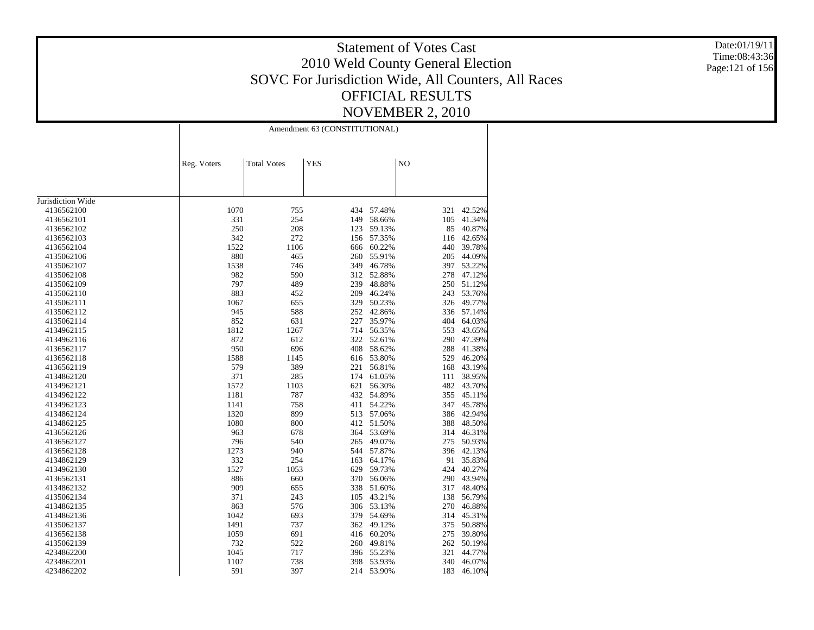Date:01/19/11 Time:08:43:36 Page:121 of 156

|                          | Amendment 63 (CONSTITUTIONAL) |                    |            |        |                |            |  |  |
|--------------------------|-------------------------------|--------------------|------------|--------|----------------|------------|--|--|
|                          | Reg. Voters                   | <b>Total Votes</b> | <b>YES</b> |        | N <sub>O</sub> |            |  |  |
|                          |                               |                    |            |        |                |            |  |  |
| Jurisdiction Wide        |                               |                    |            |        |                |            |  |  |
| 4136562100               | 1070                          | 755                | 434        | 57.48% | 321            | 42.52%     |  |  |
| 4136562101               | 331                           | 254                | 149        | 58.66% | 105            | 41.34%     |  |  |
| 4136562102               | 250                           | 208                | 123        | 59.13% | 85             | 40.87%     |  |  |
| 4136562103               | 342                           | 272                | 156        | 57.35% | 116            | 42.65%     |  |  |
| 4136562104               | 1522                          | 1106               | 666        | 60.22% | 440            | 39.78%     |  |  |
| 4135062106               | 880                           | 465                | 260        | 55.91% | 205            | 44.09%     |  |  |
| 4135062107               | 1538                          | 746                | 349        | 46.78% | 397            | 53.22%     |  |  |
| 4135062108               | 982                           | 590                | 312        | 52.88% | 278            | 47.12%     |  |  |
| 4135062109               | 797                           | 489                | 239        | 48.88% | 250            | 51.12%     |  |  |
| 4135062110               | 883                           | 452                | 209        | 46.24% | 243            | 53.76%     |  |  |
| 4135062111               | 1067                          | 655                | 329        | 50.23% | 326            | 49.77%     |  |  |
| 4135062112               | 945                           | 588                | 252        | 42.86% |                | 336 57.14% |  |  |
| 4135062114               | 852                           | 631                | 227        | 35.97% | 404            | 64.03%     |  |  |
| 4134962115               | 1812                          | 1267               | 714        | 56.35% | 553            | 43.65%     |  |  |
| 4134962116               | 872                           | 612                | 322        | 52.61% | 290            | 47.39%     |  |  |
| 4136562117               | 950                           | 696                | 408        | 58.62% | 288            | 41.38%     |  |  |
| 4136562118               | 1588                          | 1145               | 616        | 53.80% | 529            | 46.20%     |  |  |
| 4136562119               | 579                           | 389                | 221        | 56.81% | 168            | 43.19%     |  |  |
| 4134862120               | 371                           | 285                | 174        | 61.05% | 111            | 38.95%     |  |  |
| 4134962121               | 1572                          | 1103               | 621        | 56.30% | 482            | 43.70%     |  |  |
| 4134962122               | 1181                          | 787                | 432        | 54.89% | 355            | 45.11%     |  |  |
| 4134962123               | 1141                          | 758                | 411        | 54.22% | 347            | 45.78%     |  |  |
| 4134862124               | 1320                          | 899                | 513        | 57.06% | 386            | 42.94%     |  |  |
| 4134862125               | 1080                          | 800                | 412        | 51.50% | 388            | 48.50%     |  |  |
| 4136562126               | 963                           | 678                | 364        | 53.69% | 314            | 46.31%     |  |  |
| 4136562127               | 796                           | 540                | 265        | 49.07% | 275            | 50.93%     |  |  |
| 4136562128               | 1273                          | 940                | 544        | 57.87% |                | 396 42.13% |  |  |
| 4134862129               | 332                           | 254                | 163        | 64.17% | 91             | 35.83%     |  |  |
| 4134962130               | 1527                          | 1053               | 629        | 59.73% | 424            | 40.27%     |  |  |
| 4136562131               | 886                           | 660                | 370        | 56.06% | 290            | 43.94%     |  |  |
| 4134862132               | 909                           | 655                | 338        | 51.60% | 317            | 48.40%     |  |  |
| 4135062134               | 371                           | 243                | 105        | 43.21% | 138            | 56.79%     |  |  |
| 4134862135               | 863                           | 576                | 306        | 53.13% | 270            | 46.88%     |  |  |
| 4134862136               | 1042                          | 693                | 379        | 54.69% | 314            | 45.31%     |  |  |
| 4135062137               | 1491                          | 737                | 362        | 49.12% | 375            | 50.88%     |  |  |
| 4136562138               | 1059                          | 691                | 416        | 60.20% | 275            | 39.80%     |  |  |
|                          | 732                           | 522                | 260        | 49.81% | 262            | 50.19%     |  |  |
| 4135062139               | 1045                          | 717                | 396        | 55.23% | 321            | 44.77%     |  |  |
| 4234862200<br>4234862201 | 1107                          | 738                | 398        | 53.93% | 340            | 46.07%     |  |  |
|                          |                               |                    |            |        |                |            |  |  |
| 4234862202               | 591                           | 397                | 214        | 53.90% | 183            | 46.10%     |  |  |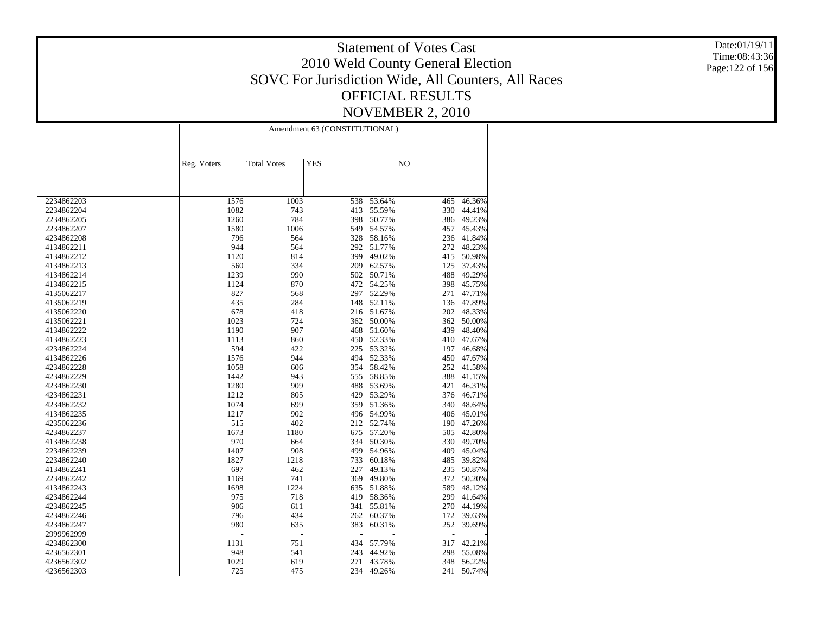Date:01/19/11 Time:08:43:36 Page:122 of 156

|            | Amendment 63 (CONSTITUTIONAL) |                    |            |        |                |        |  |
|------------|-------------------------------|--------------------|------------|--------|----------------|--------|--|
|            |                               |                    |            |        |                |        |  |
|            | Reg. Voters                   | <b>Total Votes</b> | <b>YES</b> |        | N <sub>O</sub> |        |  |
|            |                               |                    |            |        |                |        |  |
|            |                               |                    |            |        |                |        |  |
| 2234862203 | 1576                          | 1003               | 538        | 53.64% | 465            | 46.36% |  |
| 2234862204 | 1082                          | 743                | 413        | 55.59% | 330            | 44.41% |  |
| 2234862205 | 1260                          | 784                | 398        | 50.77% | 386            | 49.23% |  |
| 2234862207 | 1580                          | 1006               | 549        | 54.57% | 457            | 45.43% |  |
| 4234862208 | 796                           | 564                | 328        | 58.16% | 236            | 41.84% |  |
| 4134862211 | 944                           | 564                | 292        | 51.77% | 272            | 48.23% |  |
| 4134862212 | 1120                          | 814                | 399        | 49.02% | 415            | 50.98% |  |
| 4134862213 | 560                           | 334                | 209        | 62.57% | 125            | 37.43% |  |
| 4134862214 | 1239                          | 990                | 502        | 50.71% | 488            | 49.29% |  |
| 4134862215 | 1124                          | 870                | 472        | 54.25% | 398            | 45.75% |  |
| 4135062217 | 827                           | 568                | 297        | 52.29% | 271            | 47.71% |  |
| 4135062219 | 435                           | 284                | 148        | 52.11% | 136            | 47.89% |  |
| 4135062220 | 678                           | 418                | 216        | 51.67% | 202            | 48.33% |  |
| 4135062221 | 1023                          | 724                | 362        | 50.00% | 362            | 50.00% |  |
| 4134862222 | 1190                          | 907                | 468        | 51.60% | 439            | 48.40% |  |
| 4134862223 | 1113                          | 860                | 450        | 52.33% | 410            | 47.67% |  |
| 4234862224 | 594                           | 422                | 225        | 53.32% | 197            | 46.68% |  |
| 4134862226 | 1576                          | 944                | 494        | 52.33% | 450            | 47.67% |  |
| 4234862228 | 1058                          | 606                | 354        | 58.42% | 252            | 41.58% |  |
| 4234862229 | 1442                          | 943                | 555        | 58.85% | 388            | 41.15% |  |
| 4234862230 | 1280                          | 909                | 488        | 53.69% | 421            | 46.31% |  |
| 4234862231 | 1212                          | 805                | 429        | 53.29% | 376            | 46.71% |  |
| 4234862232 | 1074                          | 699                | 359        | 51.36% | 340            | 48.64% |  |
| 4134862235 | 1217                          | 902                | 496        | 54.99% | 406            | 45.01% |  |
| 4235062236 | 515                           | 402                | 212        | 52.74% | 190            | 47.26% |  |
| 4234862237 | 1673                          | 1180               | 675        | 57.20% | 505            | 42.80% |  |
| 4134862238 | 970                           | 664                | 334        | 50.30% | 330            | 49.70% |  |
| 2234862239 | 1407                          | 908                | 499        | 54.96% | 409            | 45.04% |  |
| 2234862240 | 1827                          | 1218               | 733        | 60.18% | 485            | 39.82% |  |
| 4134862241 | 697                           | 462                | 227        | 49.13% | 235            | 50.87% |  |
| 2234862242 | 1169                          | 741                | 369        | 49.80% | 372            | 50.20% |  |
| 4134862243 | 1698                          | 1224               | 635        | 51.88% | 589            | 48.12% |  |
| 4234862244 | 975                           | 718                | 419        | 58.36% | 299            | 41.64% |  |
| 4234862245 | 906                           | 611                | 341        | 55.81% | 270            | 44.19% |  |
| 4234862246 | 796                           | 434                | 262        | 60.37% | 172            | 39.63% |  |
| 4234862247 | 980                           | 635                | 383        | 60.31% | 252            | 39.69% |  |
| 2999962999 | J.                            | Ĭ.                 |            |        | $\overline{a}$ |        |  |
| 4234862300 | 1131                          | 751                | 434        | 57.79% | 317            | 42.21% |  |
| 4236562301 | 948                           | 541                | 243        | 44.92% | 298            | 55.08% |  |
| 4236562302 | 1029                          | 619                | 271        | 43.78% | 348            | 56.22% |  |
|            |                               |                    |            |        |                |        |  |
| 4236562303 | 725                           | 475                | 234        | 49.26% | 241            | 50.74% |  |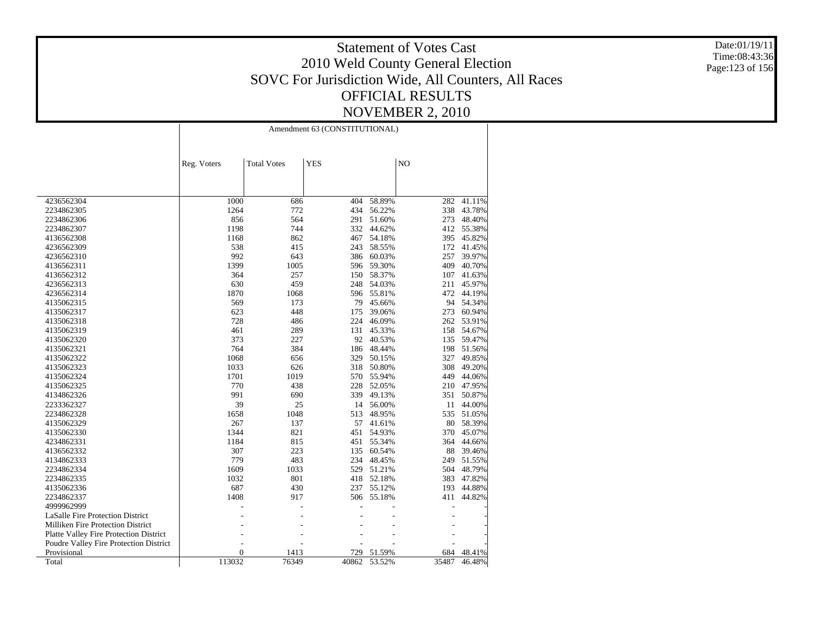Date:01/19/11 Time:08:43:36 Page:123 of 156

|                                               | Amendment 63 (CONSTITUTIONAL) |                    |            |           |       |        |  |
|-----------------------------------------------|-------------------------------|--------------------|------------|-----------|-------|--------|--|
|                                               | Reg. Voters                   | <b>Total Votes</b> | <b>YES</b> |           | NO    |        |  |
| 4236562304                                    | 1000                          | 686                | 404        | 58.89%    | 282   | 41.11% |  |
| 2234862305                                    | 1264                          | 772                | 434        | 56.22%    | 338   | 43.78% |  |
| 2234862306                                    | 856                           | 564                | 291        | 51.60%    | 273   | 48.40% |  |
| 2234862307                                    | 1198                          | 744                | 332        | 44.62%    | 412   | 55.38% |  |
| 4136562308                                    | 1168                          | 862                | 467        | 54.18%    | 395   | 45.82% |  |
| 4236562309                                    | 538                           | 415                | 243        | 58.55%    | 172   | 41.45% |  |
| 4236562310                                    | 992                           | 643                | 386        | 60.03%    | 257   | 39.97% |  |
| 4136562311                                    | 1399                          | 1005               | 596        | 59.30%    | 409   | 40.70% |  |
| 4136562312                                    | 364                           | 257                | 150        | 58.37%    | 107   | 41.63% |  |
| 4236562313                                    | 630                           | 459                | 248        | 54.03%    | 211   | 45.97% |  |
| 4236562314                                    | 1870                          | 1068               | 596        | 55.81%    | 472   | 44.19% |  |
| 4135062315                                    | 569                           | 173                | 79         | 45.66%    | 94    | 54.34% |  |
| 4135062317                                    | 623                           | 448                | 175        | 39.06%    | 273   | 60.94% |  |
| 4135062318                                    | 728                           | 486                | 224        | 46.09%    | 262   | 53.91% |  |
| 4135062319                                    | 461                           | 289                | 131        | 45.33%    | 158   | 54.67% |  |
| 4135062320                                    | 373                           | 227                | 92         | 40.53%    | 135   | 59.47% |  |
| 4135062321                                    | 764                           | 384                | 186        | 48.44%    | 198   | 51.56% |  |
| 4135062322                                    | 1068                          | 656                | 329        | 50.15%    | 327   | 49.85% |  |
| 4135062323                                    | 1033                          | 626                | 318        | 50.80%    | 308   | 49.20% |  |
| 4135062324                                    | 1701                          | 1019               | 570        | 55.94%    | 449   | 44.06% |  |
| 4135062325                                    | 770                           | 438                | 228        | 52.05%    | 210   | 47.95% |  |
| 4134862326                                    | 991                           | 690                | 339        | 49.13%    | 351   | 50.87% |  |
| 2233362327                                    | 39                            | 25                 |            | 14 56.00% | 11    | 44.00% |  |
| 2234862328                                    | 1658                          | 1048               | 513        | 48.95%    | 535   | 51.05% |  |
| 4135062329                                    | 267                           | 137                | 57         | 41.61%    | 80    | 58.39% |  |
| 4135062330                                    | 1344                          | 821                | 451        | 54.93%    | 370   | 45.07% |  |
| 4234862331                                    | 1184                          | 815                | 451        | 55.34%    | 364   | 44.66% |  |
| 4136562332                                    | 307                           | 223                | 135        | 60.54%    | 88    | 39.46% |  |
| 4134862333                                    | 779                           | 483                | 234        | 48.45%    | 249   | 51.55% |  |
| 2234862334                                    | 1609                          | 1033               | 529        | 51.21%    | 504   | 48.79% |  |
| 2234862335                                    | 1032                          | 801                | 418        | 52.18%    | 383   | 47.82% |  |
| 4135062336                                    | 687                           | 430                | 237        | 55.12%    | 193   | 44.88% |  |
| 2234862337                                    | 1408                          | 917                | 506        | 55.18%    | 411   | 44.82% |  |
| 4999962999                                    |                               |                    |            |           |       |        |  |
| LaSalle Fire Protection District              |                               |                    |            |           |       |        |  |
| Milliken Fire Protection District             |                               |                    |            |           |       |        |  |
| <b>Platte Valley Fire Protection District</b> |                               |                    |            |           |       |        |  |
| Poudre Valley Fire Protection District        |                               |                    |            |           |       |        |  |
| Provisional                                   | $\overline{0}$                | 1413               | 729        | 51.59%    | 684   | 48.41% |  |
| Total                                         | 113032                        | 76349              | 40862      | 53.52%    | 35487 | 46.48% |  |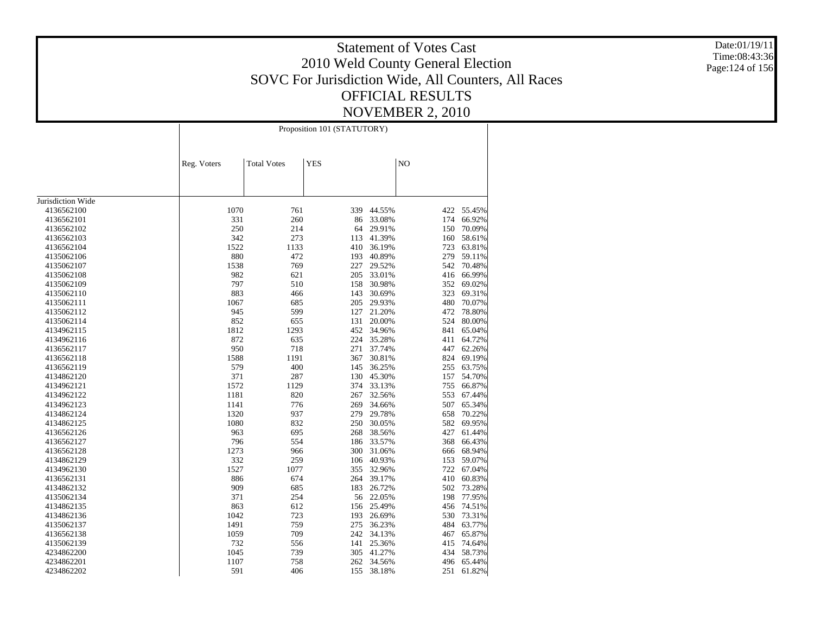Date:01/19/11 Time:08:43:36 Page:124 of 156

|                   | Proposition 101 (STATUTORY) |                    |            |        |     |        |
|-------------------|-----------------------------|--------------------|------------|--------|-----|--------|
|                   | Reg. Voters                 | <b>Total Votes</b> | <b>YES</b> |        | NO  |        |
|                   |                             |                    |            |        |     |        |
| Jurisdiction Wide |                             |                    |            |        |     |        |
| 4136562100        | 1070                        | 761                | 339        | 44.55% | 422 | 55.45% |
| 4136562101        | 331                         | 260                | 86         | 33.08% | 174 | 66.92% |
| 4136562102        | 250                         | 214                | 64         | 29.91% | 150 | 70.09% |
| 4136562103        | 342                         | 273                | 113        | 41.39% | 160 | 58.61% |
| 4136562104        | 1522                        | 1133               | 410        | 36.19% | 723 | 63.81% |
| 4135062106        | 880                         | 472                | 193        | 40.89% | 279 | 59.11% |
| 4135062107        | 1538                        | 769                | 227        | 29.52% | 542 | 70.48% |
| 4135062108        | 982                         | 621                | 205        | 33.01% | 416 | 66.99% |
| 4135062109        | 797                         | 510                | 158        | 30.98% | 352 | 69.02% |
| 4135062110        | 883                         | 466                | 143        | 30.69% | 323 | 69.31% |
| 4135062111        | 1067                        | 685                | 205        | 29.93% | 480 | 70.07% |
| 4135062112        | 945                         | 599                | 127        | 21.20% | 472 | 78.80% |
| 4135062114        | 852                         | 655                | 131        | 20.00% | 524 | 80.00% |
| 4134962115        | 1812                        | 1293               | 452        | 34.96% | 841 | 65.04% |
| 4134962116        | 872                         | 635                | 224        | 35.28% | 411 | 64.72% |
| 4136562117        | 950                         | 718                | 271        | 37.74% | 447 | 62.26% |
| 4136562118        | 1588                        | 1191               | 367        | 30.81% | 824 | 69.19% |
| 4136562119        | 579                         | 400                | 145        | 36.25% | 255 | 63.75% |
| 4134862120        | 371                         | 287                | 130        | 45.30% | 157 | 54.70% |
| 4134962121        | 1572                        | 1129               | 374        | 33.13% | 755 | 66.87% |
| 4134962122        | 1181                        | 820                | 267        | 32.56% | 553 | 67.44% |
| 4134962123        | 1141                        | 776                | 269        | 34.66% | 507 | 65.34% |
| 4134862124        | 1320                        | 937                | 279        | 29.78% | 658 | 70.22% |
| 4134862125        | 1080                        | 832                | 250        | 30.05% | 582 | 69.95% |
| 4136562126        | 963                         | 695                | 268        | 38.56% | 427 | 61.44% |
| 4136562127        | 796                         | 554                | 186        | 33.57% | 368 | 66.43% |
| 4136562128        | 1273                        | 966                | 300        | 31.06% | 666 | 68.94% |
| 4134862129        | 332                         | 259                | 106        | 40.93% | 153 | 59.07% |
| 4134962130        | 1527                        | 1077               | 355        | 32.96% | 722 | 67.04% |
| 4136562131        | 886                         | 674                | 264        | 39.17% | 410 | 60.83% |
| 4134862132        | 909                         | 685                | 183        | 26.72% | 502 | 73.28% |
| 4135062134        | 371                         | 254                | 56         | 22.05% | 198 | 77.95% |
| 4134862135        | 863                         | 612                | 156        | 25.49% | 456 | 74.51% |
| 4134862136        | 1042                        | 723                | 193        | 26.69% | 530 | 73.31% |
| 4135062137        | 1491                        | 759                | 275        | 36.23% | 484 | 63.77% |
| 4136562138        | 1059                        | 709                | 242        | 34.13% | 467 | 65.87% |
| 4135062139        | 732                         | 556                | 141        | 25.36% | 415 | 74.64% |
| 4234862200        | 1045                        | 739                | 305        | 41.27% | 434 | 58.73% |
| 4234862201        | 1107                        | 758                | 262        | 34.56% | 496 | 65.44% |
| 4234862202        | 591                         | 406                | 155        | 38.18% | 251 | 61.82% |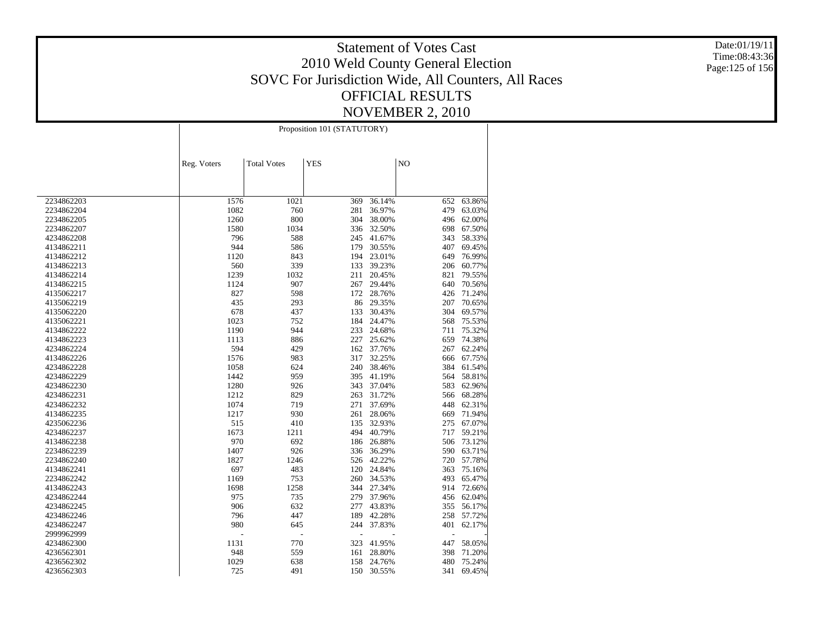Date:01/19/11 Time:08:43:36 Page:125 of 156

|            | Proposition 101 (STATUTORY) |                    |            |        |     |        |  |
|------------|-----------------------------|--------------------|------------|--------|-----|--------|--|
|            | Reg. Voters                 | <b>Total Votes</b> | <b>YES</b> |        | NO  |        |  |
|            |                             |                    |            |        |     |        |  |
| 2234862203 | 1576                        | 1021               | 369        | 36.14% | 652 | 63.86% |  |
| 2234862204 | 1082                        | 760                | 281        | 36.97% | 479 | 63.03% |  |
| 2234862205 | 1260                        | 800                | 304        | 38.00% | 496 | 62.00% |  |
| 2234862207 | 1580                        | 1034               | 336        | 32.50% | 698 | 67.50% |  |
| 4234862208 | 796                         | 588                | 245        | 41.67% | 343 | 58.33% |  |
| 4134862211 | 944                         | 586                | 179        | 30.55% | 407 | 69.45% |  |
| 4134862212 | 1120                        | 843                | 194        | 23.01% | 649 | 76.99% |  |
| 4134862213 | 560                         | 339                | 133        | 39.23% | 206 | 60.77% |  |
| 4134862214 | 1239                        | 1032               | 211        | 20.45% | 821 | 79.55% |  |
| 4134862215 | 1124                        | 907                | 267        | 29.44% | 640 | 70.56% |  |
|            | 827                         | 598                | 172        | 28.76% | 426 | 71.24% |  |
| 4135062217 |                             |                    |            |        |     |        |  |
| 4135062219 | 435                         | 293                | 86         | 29.35% | 207 | 70.65% |  |
| 4135062220 | 678                         | 437                | 133        | 30.43% | 304 | 69.57% |  |
| 4135062221 | 1023                        | 752                | 184        | 24.47% | 568 | 75.53% |  |
| 4134862222 | 1190                        | 944                | 233        | 24.68% | 711 | 75.32% |  |
| 4134862223 | 1113                        | 886                | 227        | 25.62% | 659 | 74.38% |  |
| 4234862224 | 594                         | 429                | 162        | 37.76% | 267 | 62.24% |  |
| 4134862226 | 1576                        | 983                | 317        | 32.25% | 666 | 67.75% |  |
| 4234862228 | 1058                        | 624                | 240        | 38.46% | 384 | 61.54% |  |
| 4234862229 | 1442                        | 959                | 395        | 41.19% | 564 | 58.81% |  |
| 4234862230 | 1280                        | 926                | 343        | 37.04% | 583 | 62.96% |  |
| 4234862231 | 1212                        | 829                | 263        | 31.72% | 566 | 68.28% |  |
| 4234862232 | 1074                        | 719                | 271        | 37.69% | 448 | 62.31% |  |
| 4134862235 | 1217                        | 930                | 261        | 28.06% | 669 | 71.94% |  |
| 4235062236 | 515                         | 410                | 135        | 32.93% | 275 | 67.07% |  |
| 4234862237 | 1673                        | 1211               | 494        | 40.79% | 717 | 59.21% |  |
| 4134862238 | 970                         | 692                | 186        | 26.88% | 506 | 73.12% |  |
| 2234862239 | 1407                        | 926                | 336        | 36.29% | 590 | 63.71% |  |
| 2234862240 | 1827                        | 1246               | 526        | 42.22% | 720 | 57.78% |  |
| 4134862241 | 697                         | 483                | 120        | 24.84% | 363 | 75.16% |  |
| 2234862242 | 1169                        | 753                | 260        | 34.53% | 493 | 65.47% |  |
| 4134862243 | 1698                        | 1258               | 344        | 27.34% | 914 | 72.66% |  |
| 4234862244 | 975                         | 735                | 279        | 37.96% | 456 | 62.04% |  |
| 4234862245 | 906                         | 632                | 277        | 43.83% | 355 | 56.17% |  |
| 4234862246 | 796                         | 447                | 189        | 42.28% | 258 | 57.72% |  |
| 4234862247 | 980                         | 645                | 244        | 37.83% | 401 | 62.17% |  |
| 2999962999 |                             | ÷,                 |            |        | Ĭ.  |        |  |
| 4234862300 | 1131                        | 770                | 323        | 41.95% | 447 | 58.05% |  |
| 4236562301 | 948                         | 559                | 161        | 28.80% | 398 | 71.20% |  |
| 4236562302 | 1029                        | 638                | 158        | 24.76% | 480 | 75.24% |  |
|            |                             |                    |            |        |     |        |  |
| 4236562303 | 725                         | 491                | 150        | 30.55% | 341 | 69.45% |  |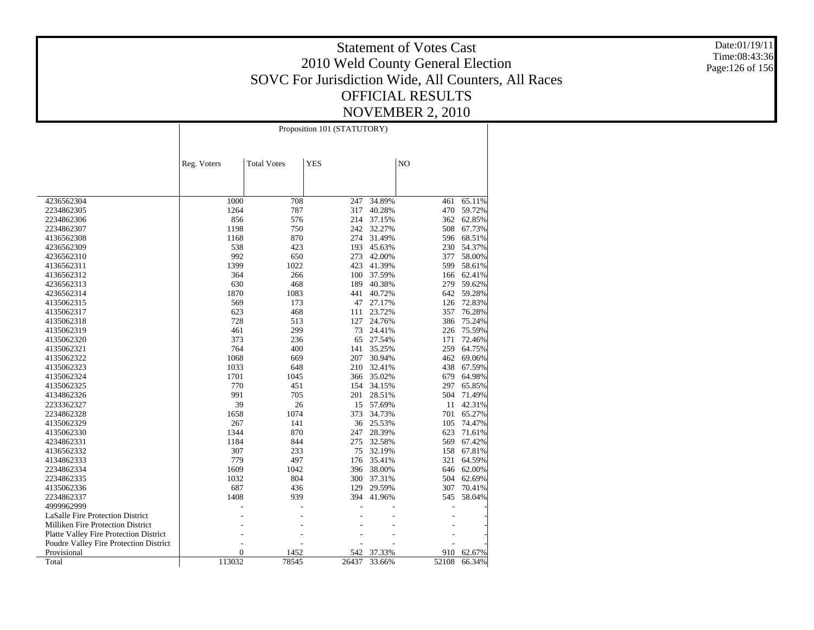Date:01/19/11 Time:08:43:36 Page:126 of 156

|                                               | Proposition 101 (STATUTORY) |                    |            |                  |            |                  |  |
|-----------------------------------------------|-----------------------------|--------------------|------------|------------------|------------|------------------|--|
|                                               | Reg. Voters                 | <b>Total Votes</b> | <b>YES</b> |                  | NO         |                  |  |
|                                               |                             |                    |            |                  |            |                  |  |
| 4236562304<br>2234862305                      | 1000<br>1264                | 708<br>787         | 247<br>317 | 34.89%<br>40.28% | 461<br>470 | 65.11%<br>59.72% |  |
| 2234862306                                    | 856                         | 576                | 214        | 37.15%           | 362        | 62.85%           |  |
| 2234862307                                    | 1198                        | 750                | 242        | 32.27%           | 508        | 67.73%           |  |
| 4136562308                                    | 1168                        | 870                | 274        | 31.49%           | 596        | 68.51%           |  |
| 4236562309                                    | 538                         | 423                | 193        | 45.63%           | 230        | 54.37%           |  |
| 4236562310                                    | 992                         | 650                | 273        | 42.00%           | 377        | 58.00%           |  |
| 4136562311                                    | 1399                        | 1022               | 423        | 41.39%           | 599        | 58.61%           |  |
| 4136562312                                    | 364                         | 266                | 100        | 37.59%           | 166        | 62.41%           |  |
| 4236562313                                    | 630                         | 468                | 189        | 40.38%           | 279        | 59.62%           |  |
| 4236562314                                    | 1870                        | 1083               | 441        | 40.72%           | 642        | 59.28%           |  |
| 4135062315                                    | 569                         | 173                | 47         | 27.17%           | 126        | 72.83%           |  |
| 4135062317                                    | 623                         | 468                | 111        | 23.72%           | 357        | 76.28%           |  |
| 4135062318                                    | 728                         | 513                | 127        | 24.76%           | 386        | 75.24%           |  |
| 4135062319                                    | 461                         | 299                | 73         | 24.41%           | 226        | 75.59%           |  |
| 4135062320                                    | 373                         | 236                | 65         | 27.54%           | 171        | 72.46%           |  |
| 4135062321                                    | 764                         | 400                | 141        | 35.25%           | 259        | 64.75%           |  |
| 4135062322                                    | 1068                        | 669                | 207        | 30.94%           | 462        | 69.06%           |  |
| 4135062323                                    | 1033                        | 648                | 210        | 32.41%           | 438        | 67.59%           |  |
| 4135062324                                    | 1701                        | 1045               | 366        | 35.02%           | 679        | 64.98%           |  |
| 4135062325                                    | 770                         | 451                | 154        | 34.15%           | 297        | 65.85%           |  |
| 4134862326                                    | 991                         | 705                | 201        | 28.51%           | 504        | 71.49%           |  |
| 2233362327                                    | 39                          | 26                 | 15         | 57.69%           | 11         | 42.31%           |  |
| 2234862328                                    | 1658                        | 1074               | 373        | 34.73%           | 701        | 65.27%           |  |
| 4135062329                                    | 267                         | 141                | 36         | 25.53%           | 105        | 74.47%           |  |
| 4135062330                                    | 1344                        | 870                | 247        | 28.39%           | 623        | 71.61%           |  |
| 4234862331                                    | 1184                        | 844                | 275        | 32.58%           | 569        | 67.42%           |  |
| 4136562332                                    | 307                         | 233                | 75         | 32.19%           | 158        | 67.81%           |  |
| 4134862333                                    | 779                         | 497                | 176        | 35.41%           | 321        | 64.59%           |  |
| 2234862334                                    | 1609                        | 1042               | 396        | 38.00%           | 646        | 62.00%           |  |
| 2234862335                                    | 1032                        | 804                | 300        | 37.31%           | 504        | 62.69%           |  |
| 4135062336                                    | 687                         | 436                | 129        | 29.59%           | 307        | 70.41%           |  |
| 2234862337                                    | 1408                        | 939                | 394        | 41.96%           | 545        | 58.04%           |  |
| 4999962999                                    |                             |                    |            |                  |            |                  |  |
| LaSalle Fire Protection District              |                             |                    |            |                  |            |                  |  |
| Milliken Fire Protection District             |                             |                    |            |                  |            |                  |  |
| <b>Platte Valley Fire Protection District</b> |                             |                    |            |                  |            |                  |  |
| Poudre Valley Fire Protection District        |                             |                    |            |                  |            |                  |  |
| Provisional                                   | $\overline{0}$              | 1452               | 542        | 37.33%           | 910        | 62.67%           |  |
| Total                                         | 113032                      | 78545              | 26437      | 33.66%           | 52108      | 66.34%           |  |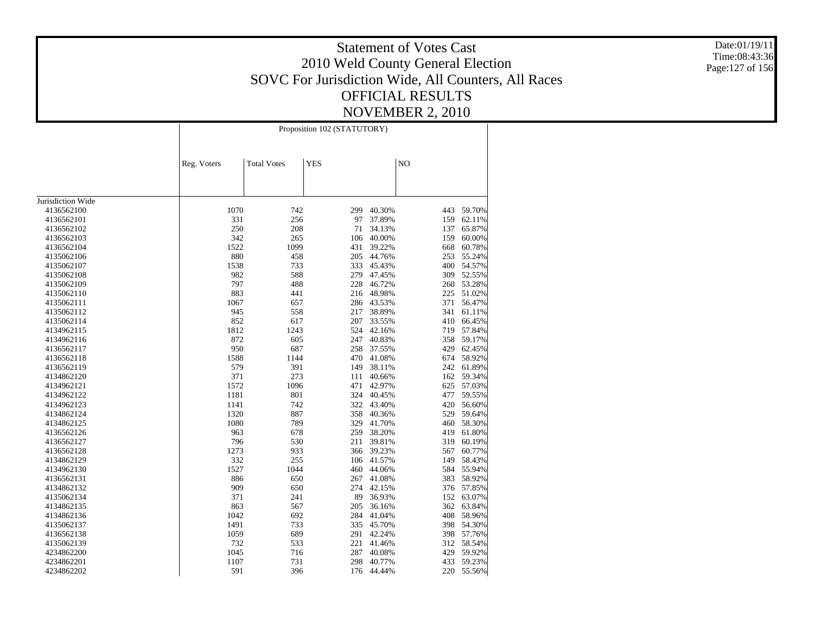Date:01/19/11 Time:08:43:36 Page:127 of 156

|                   |             | Proposition 102 (STATUTORY) |            |        |     |        |  |  |  |
|-------------------|-------------|-----------------------------|------------|--------|-----|--------|--|--|--|
|                   | Reg. Voters | <b>Total Votes</b>          | <b>YES</b> |        | NO  |        |  |  |  |
|                   |             |                             |            |        |     |        |  |  |  |
| Jurisdiction Wide |             |                             |            |        |     |        |  |  |  |
| 4136562100        | 1070        | 742                         | 299        | 40.30% | 443 | 59.70% |  |  |  |
| 4136562101        | 331         | 256                         | 97         | 37.89% | 159 | 62.11% |  |  |  |
| 4136562102        | 250         | 208                         | 71         | 34.13% | 137 | 65.87% |  |  |  |
| 4136562103        | 342         | 265                         | 106        | 40.00% | 159 | 60.00% |  |  |  |
| 4136562104        | 1522        | 1099                        | 431        | 39.22% | 668 | 60.78% |  |  |  |
| 4135062106        | 880         | 458                         | 205        | 44.76% | 253 | 55.24% |  |  |  |
| 4135062107        | 1538        | 733                         | 333        | 45.43% | 400 | 54.57% |  |  |  |
| 4135062108        | 982         | 588                         | 279        | 47.45% | 309 | 52.55% |  |  |  |
| 4135062109        | 797         | 488                         | 228        | 46.72% | 260 | 53.28% |  |  |  |
| 4135062110        | 883         | 441                         | 216        | 48.98% | 225 | 51.02% |  |  |  |
| 4135062111        | 1067        | 657                         | 286        | 43.53% | 371 | 56.47% |  |  |  |
| 4135062112        | 945         | 558                         | 217        | 38.89% | 341 | 61.11% |  |  |  |
| 4135062114        | 852         | 617                         | 207        | 33.55% | 410 | 66.45% |  |  |  |
| 4134962115        | 1812        | 1243                        | 524        | 42.16% | 719 | 57.84% |  |  |  |
| 4134962116        | 872         | 605                         | 247        | 40.83% | 358 | 59.17% |  |  |  |
| 4136562117        | 950         | 687                         | 258        | 37.55% | 429 | 62.45% |  |  |  |
| 4136562118        | 1588        | 1144                        | 470        | 41.08% | 674 | 58.92% |  |  |  |
| 4136562119        | 579         | 391                         | 149        | 38.11% | 242 | 61.89% |  |  |  |
| 4134862120        | 371         | 273                         | 111        | 40.66% | 162 | 59.34% |  |  |  |
| 4134962121        | 1572        | 1096                        | 471        | 42.97% | 625 | 57.03% |  |  |  |
| 4134962122        | 1181        | 801                         | 324        | 40.45% | 477 | 59.55% |  |  |  |
| 4134962123        | 1141        | 742                         | 322        | 43.40% | 420 | 56.60% |  |  |  |
| 4134862124        | 1320        | 887                         | 358        | 40.36% | 529 | 59.64% |  |  |  |
| 4134862125        | 1080        | 789                         | 329        | 41.70% | 460 | 58.30% |  |  |  |
| 4136562126        | 963         | 678                         | 259        | 38.20% | 419 | 61.80% |  |  |  |
| 4136562127        | 796         | 530                         | 211        | 39.81% | 319 | 60.19% |  |  |  |
| 4136562128        | 1273        | 933                         | 366        | 39.23% | 567 | 60.77% |  |  |  |
| 4134862129        | 332         | 255                         | 106        | 41.57% | 149 | 58.43% |  |  |  |
| 4134962130        | 1527        | 1044                        | 460        | 44.06% | 584 | 55.94% |  |  |  |
| 4136562131        | 886         | 650                         | 267        | 41.08% | 383 | 58.92% |  |  |  |
| 4134862132        | 909         | 650                         | 274        | 42.15% | 376 | 57.85% |  |  |  |
| 4135062134        | 371         | 241                         | 89         | 36.93% | 152 | 63.07% |  |  |  |
| 4134862135        | 863         | 567                         | 205        | 36.16% | 362 | 63.84% |  |  |  |
| 4134862136        | 1042        | 692                         | 284        | 41.04% | 408 | 58.96% |  |  |  |
| 4135062137        | 1491        | 733                         | 335        | 45.70% | 398 | 54.30% |  |  |  |
| 4136562138        | 1059        | 689                         | 291        | 42.24% | 398 | 57.76% |  |  |  |
| 4135062139        | 732         | 533                         | 221        | 41.46% | 312 | 58.54% |  |  |  |
| 4234862200        | 1045        | 716                         | 287        | 40.08% | 429 | 59.92% |  |  |  |
| 4234862201        | 1107        | 731                         | 298        | 40.77% | 433 | 59.23% |  |  |  |
| 4234862202        | 591         | 396                         | 176        | 44.44% | 220 | 55.56% |  |  |  |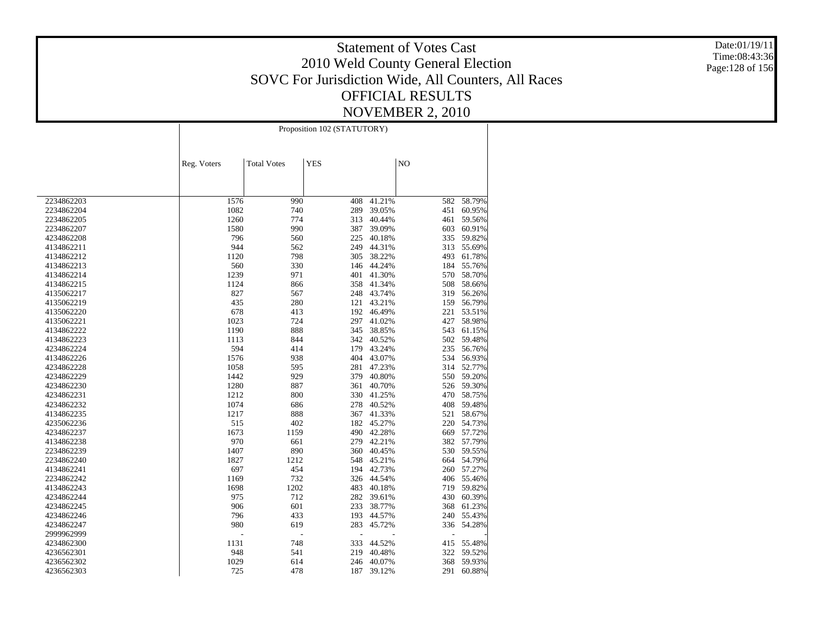Date:01/19/11 Time:08:43:36 Page:128 of 156

|            |             | Proposition 102 (STATUTORY) |            |        |     |        |  |  |
|------------|-------------|-----------------------------|------------|--------|-----|--------|--|--|
|            | Reg. Voters | <b>Total Votes</b>          | <b>YES</b> |        | NO  |        |  |  |
|            |             |                             |            |        |     |        |  |  |
| 2234862203 | 1576        | 990                         | 408        | 41.21% | 582 | 58.79% |  |  |
| 2234862204 | 1082        | 740                         | 289        | 39.05% | 451 | 60.95% |  |  |
| 2234862205 | 1260        | 774                         | 313        | 40.44% | 461 | 59.56% |  |  |
| 2234862207 | 1580        | 990                         | 387        | 39.09% | 603 | 60.91% |  |  |
| 4234862208 | 796         | 560                         | 225        | 40.18% | 335 | 59.82% |  |  |
| 4134862211 | 944         | 562                         | 249        | 44.31% | 313 | 55.69% |  |  |
| 4134862212 | 1120        | 798                         | 305        | 38.22% | 493 | 61.78% |  |  |
| 4134862213 | 560         | 330                         | 146        | 44.24% | 184 | 55.76% |  |  |
| 4134862214 | 1239        | 971                         | 401        | 41.30% | 570 | 58.70% |  |  |
| 4134862215 | 1124        | 866                         | 358        | 41.34% | 508 | 58.66% |  |  |
| 4135062217 | 827         | 567                         | 248        | 43.74% | 319 | 56.26% |  |  |
| 4135062219 | 435         | 280                         | 121        | 43.21% | 159 | 56.79% |  |  |
| 4135062220 | 678         | 413                         | 192        | 46.49% | 221 | 53.51% |  |  |
| 4135062221 | 1023        | 724                         | 297        | 41.02% | 427 | 58.98% |  |  |
| 4134862222 | 1190        | 888                         | 345        | 38.85% | 543 | 61.15% |  |  |
| 4134862223 | 1113        | 844                         | 342        | 40.52% | 502 | 59.48% |  |  |
| 4234862224 | 594         | 414                         | 179        | 43.24% | 235 | 56.76% |  |  |
| 4134862226 | 1576        | 938                         | 404        | 43.07% | 534 | 56.93% |  |  |
| 4234862228 | 1058        | 595                         | 281        | 47.23% | 314 | 52.77% |  |  |
| 4234862229 | 1442        | 929                         | 379        | 40.80% | 550 | 59.20% |  |  |
| 4234862230 | 1280        | 887                         | 361        | 40.70% | 526 | 59.30% |  |  |
| 4234862231 | 1212        | 800                         | 330        | 41.25% | 470 | 58.75% |  |  |
| 4234862232 | 1074        | 686                         | 278        | 40.52% | 408 | 59.48% |  |  |
| 4134862235 | 1217        | 888                         | 367        | 41.33% | 521 | 58.67% |  |  |
| 4235062236 | 515         | 402                         | 182        | 45.27% | 220 | 54.73% |  |  |
| 4234862237 | 1673        | 1159                        | 490        | 42.28% | 669 | 57.72% |  |  |
| 4134862238 | 970         | 661                         | 279        | 42.21% | 382 | 57.79% |  |  |
| 2234862239 | 1407        | 890                         | 360        | 40.45% | 530 | 59.55% |  |  |
| 2234862240 | 1827        | 1212                        | 548        | 45.21% | 664 | 54.79% |  |  |
| 4134862241 | 697         | 454                         | 194        | 42.73% | 260 | 57.27% |  |  |
| 2234862242 | 1169        | 732                         | 326        | 44.54% | 406 | 55.46% |  |  |
| 4134862243 | 1698        | 1202                        | 483        | 40.18% | 719 | 59.82% |  |  |
| 4234862244 | 975         | 712                         | 282        | 39.61% | 430 | 60.39% |  |  |
| 4234862245 | 906         | 601                         | 233        | 38.77% | 368 | 61.23% |  |  |
| 4234862246 | 796         | 433                         | 193        | 44.57% | 240 | 55.43% |  |  |
| 4234862247 | 980         | 619                         | 283        | 45.72% | 336 | 54.28% |  |  |
| 2999962999 |             | ÷,                          |            |        | ÷,  |        |  |  |
| 4234862300 | 1131        | 748                         | 333        | 44.52% | 415 | 55.48% |  |  |
| 4236562301 | 948         | 541                         | 219        | 40.48% | 322 | 59.52% |  |  |
| 4236562302 | 1029        | 614                         | 246        | 40.07% | 368 | 59.93% |  |  |
| 4236562303 | 725         | 478                         | 187        | 39.12% | 291 | 60.88% |  |  |
|            |             |                             |            |        |     |        |  |  |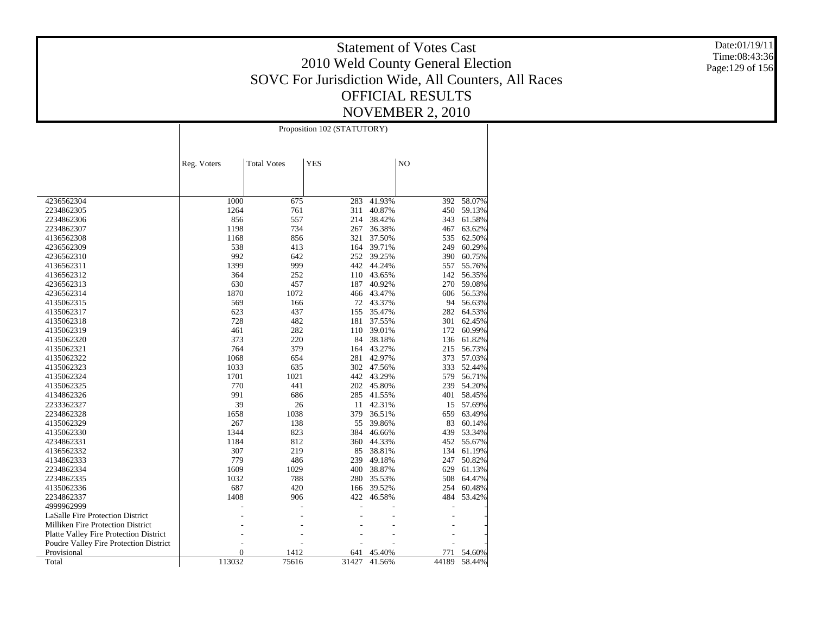Date:01/19/11 Time:08:43:36 Page:129 of 156

|                                               | Proposition 102 (STATUTORY) |                    |            |                  |            |                  |  |
|-----------------------------------------------|-----------------------------|--------------------|------------|------------------|------------|------------------|--|
|                                               | Reg. Voters                 | <b>Total Votes</b> | <b>YES</b> |                  | NO         |                  |  |
|                                               |                             |                    |            |                  |            |                  |  |
| 4236562304                                    | 1000                        | 675                | 283        | 41.93%           | 392        | 58.07%           |  |
| 2234862305                                    | 1264                        | 761                | 311        | 40.87%           | 450        | 59.13%           |  |
| 2234862306                                    | 856                         | 557                | 214        | 38.42%           | 343        | 61.58%           |  |
| 2234862307                                    | 1198                        | 734                | 267        | 36.38%           | 467        | 63.62%           |  |
| 4136562308                                    | 1168                        | 856                | 321        | 37.50%           | 535        | 62.50%           |  |
| 4236562309                                    | 538                         | 413                | 164        | 39.71%           | 249        | 60.29%           |  |
| 4236562310                                    | 992                         | 642                | 252        | 39.25%           | 390        | 60.75%           |  |
| 4136562311                                    | 1399                        | 999                | 442        | 44.24%           | 557        | 55.76%           |  |
| 4136562312                                    | 364                         | 252                | 110        | 43.65%           | 142        | 56.35%           |  |
| 4236562313                                    | 630                         | 457                | 187        | 40.92%           | 270        | 59.08%           |  |
| 4236562314                                    | 1870                        | 1072               | 466        | 43.47%           | 606        | 56.53%           |  |
| 4135062315                                    | 569                         | 166                | 72         | 43.37%           | 94         | 56.63%           |  |
| 4135062317                                    | 623                         | 437                | 155        | 35.47%           | 282        | 64.53%           |  |
| 4135062318                                    | 728                         | 482<br>282         | 181        | 37.55%           | 301        | 62.45%           |  |
| 4135062319                                    | 461<br>373                  |                    | 110<br>84  | 39.01%           | 172        | 60.99%           |  |
| 4135062320<br>4135062321                      | 764                         | 220<br>379         | 164        | 38.18%<br>43.27% | 136<br>215 | 61.82%<br>56.73% |  |
| 4135062322                                    | 1068                        | 654                | 281        | 42.97%           | 373        | 57.03%           |  |
| 4135062323                                    | 1033                        | 635                |            | 302 47.56%       | 333        | 52.44%           |  |
| 4135062324                                    | 1701                        | 1021               | 442        | 43.29%           | 579        | 56.71%           |  |
| 4135062325                                    | 770                         | 441                | 202        | 45.80%           | 239        | 54.20%           |  |
| 4134862326                                    | 991                         | 686                | 285        | 41.55%           | 401        | 58.45%           |  |
| 2233362327                                    | 39                          | 26                 | 11         | 42.31%           | 15         | 57.69%           |  |
| 2234862328                                    | 1658                        | 1038               | 379        | 36.51%           | 659        | 63.49%           |  |
| 4135062329                                    | 267                         | 138                | 55         | 39.86%           | 83         | 60.14%           |  |
| 4135062330                                    | 1344                        | 823                | 384        | 46.66%           | 439        | 53.34%           |  |
| 4234862331                                    | 1184                        | 812                | 360        | 44.33%           | 452        | 55.67%           |  |
| 4136562332                                    | 307                         | 219                | 85         | 38.81%           | 134        | 61.19%           |  |
| 4134862333                                    | 779                         | 486                | 239        | 49.18%           | 247        | 50.82%           |  |
| 2234862334                                    | 1609                        | 1029               | 400        | 38.87%           | 629        | 61.13%           |  |
| 2234862335                                    | 1032                        | 788                | 280        | 35.53%           | 508        | 64.47%           |  |
| 4135062336                                    | 687                         | 420                | 166        | 39.52%           | 254        | 60.48%           |  |
| 2234862337                                    | 1408                        | 906                | 422        | 46.58%           | 484        | 53.42%           |  |
| 4999962999                                    |                             |                    |            |                  |            |                  |  |
| <b>LaSalle Fire Protection District</b>       |                             |                    |            |                  |            |                  |  |
| <b>Milliken Fire Protection District</b>      |                             |                    |            |                  |            |                  |  |
| <b>Platte Valley Fire Protection District</b> |                             |                    |            |                  |            |                  |  |
| Poudre Valley Fire Protection District        |                             |                    |            |                  |            |                  |  |
| Provisional                                   | $\overline{0}$              | 1412               | 641        | 45.40%           | 771        | 54.60%           |  |
| Total                                         | 113032                      | 75616              | 31427      | 41.56%           | 44189      | 58.44%           |  |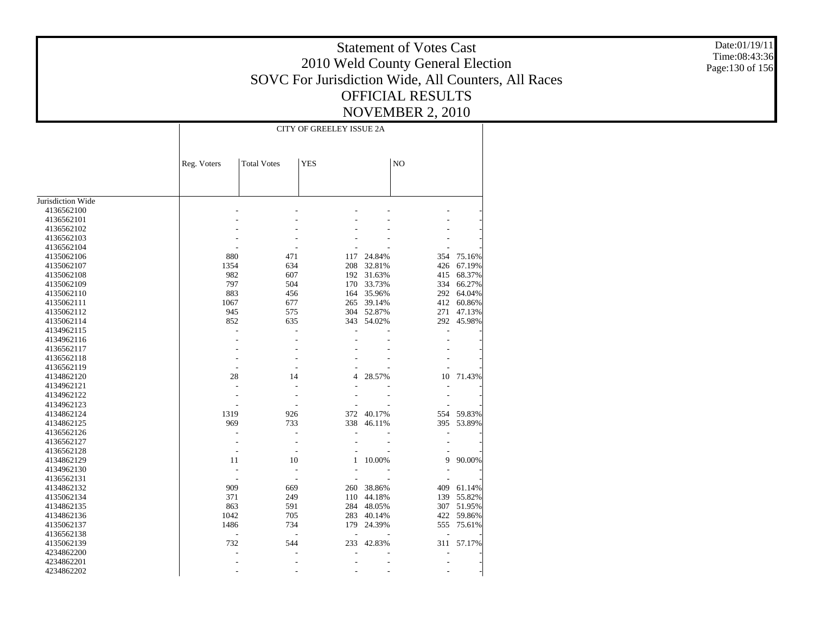Date:01/19/11 Time:08:43:36 Page:130 of 156

|                   |                          | <b>CITY OF GREELEY ISSUE 2A</b> |            |            |                |            |
|-------------------|--------------------------|---------------------------------|------------|------------|----------------|------------|
|                   |                          |                                 |            |            |                |            |
|                   | Reg. Voters              | <b>Total Votes</b>              | <b>YES</b> |            | NO             |            |
|                   |                          |                                 |            |            |                |            |
|                   |                          |                                 |            |            |                |            |
| Jurisdiction Wide |                          |                                 |            |            |                |            |
| 4136562100        |                          |                                 |            |            |                |            |
| 4136562101        |                          |                                 |            |            |                |            |
| 4136562102        |                          |                                 |            |            |                |            |
| 4136562103        |                          |                                 |            |            |                |            |
| 4136562104        |                          |                                 |            |            |                |            |
| 4135062106        | 880                      | 471                             | 117        | 24.84%     | 354            | 75.16%     |
| 4135062107        | 1354                     | 634                             | 208        | 32.81%     | 426            | 67.19%     |
| 4135062108        | 982                      | 607                             | 192        | 31.63%     | 415            | 68.37%     |
| 4135062109        | 797                      | 504                             | 170        | 33.73%     | 334            | 66.27%     |
| 4135062110        | 883                      | 456                             | 164        | 35.96%     |                | 292 64.04% |
| 4135062111        | 1067                     | 677                             | 265        | 39.14%     | 412            | 60.86%     |
| 4135062112        | 945                      | 575                             |            | 304 52.87% | 271            | 47.13%     |
| 4135062114        | 852                      | 635                             | 343        | 54.02%     | 292            | 45.98%     |
| 4134962115        | $\overline{a}$           | $\overline{a}$                  |            |            | $\overline{a}$ |            |
| 4134962116        |                          |                                 |            |            |                |            |
| 4136562117        |                          |                                 |            |            |                |            |
| 4136562118        |                          |                                 |            |            |                |            |
| 4136562119        | ٠                        |                                 |            |            |                |            |
| 4134862120        | 28                       | 14                              | 4          | 28.57%     | 10             | 71.43%     |
| 4134962121        | L.                       |                                 |            |            |                |            |
| 4134962122        |                          |                                 |            |            |                |            |
| 4134962123        |                          |                                 |            |            |                |            |
| 4134862124        | 1319                     | 926                             |            | 372 40.17% |                | 554 59.83% |
| 4134862125        | 969                      | 733                             | 338        | 46.11%     | 395            | 53.89%     |
| 4136562126        |                          |                                 |            |            |                |            |
| 4136562127        | ÷,                       | $\overline{a}$                  |            |            |                |            |
| 4136562128        | ÷,                       |                                 |            |            |                |            |
| 4134862129        | 11                       | 10                              | 1          | 10.00%     | 9              | 90.00%     |
| 4134962130        | L,                       |                                 |            |            |                |            |
| 4136562131        |                          |                                 |            |            |                |            |
| 4134862132        | 909                      | 669                             | 260        | 38.86%     | 409            | 61.14%     |
| 4135062134        | 371                      | 249                             | 110        | 44.18%     | 139            | 55.82%     |
| 4134862135        | 863                      | 591                             |            | 284 48.05% | 307            | 51.95%     |
| 4134862136        | 1042                     | 705                             |            | 283 40.14% | 422            | 59.86%     |
| 4135062137        | 1486                     | 734                             | 179        | 24.39%     | 555            | 75.61%     |
| 4136562138        | $\overline{\phantom{a}}$ | ÷,                              | ÷.         |            |                |            |
| 4135062139        | 732                      | 544                             | 233        | 42.83%     |                | 311 57.17% |
| 4234862200        | J.                       |                                 |            |            |                |            |
| 4234862201        |                          |                                 |            |            |                |            |
| 4234862202        |                          |                                 |            |            |                |            |
|                   |                          |                                 |            |            |                |            |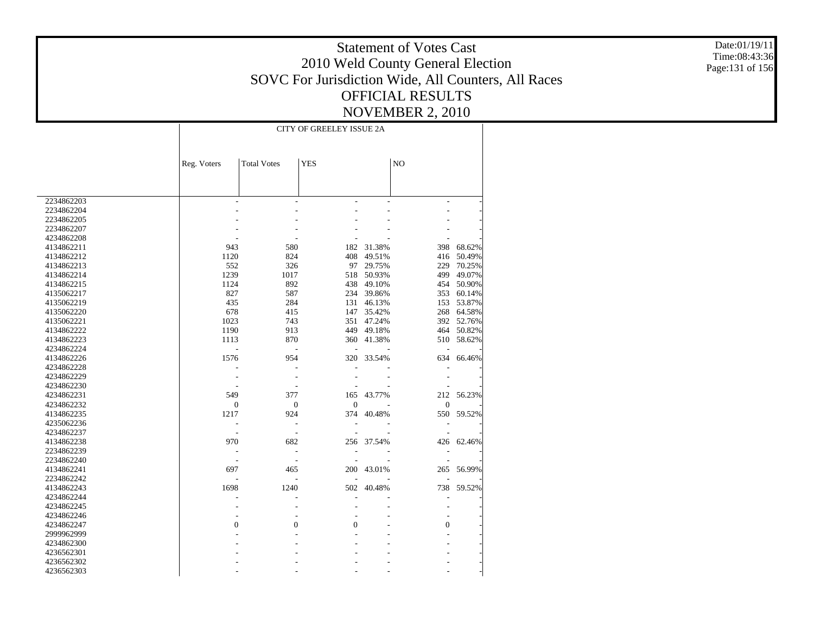Date:01/19/11 Time:08:43:36 Page:131 of 156

|            | <b>CITY OF GREELEY ISSUE 2A</b> |                    |                  |        |                  |            |  |
|------------|---------------------------------|--------------------|------------------|--------|------------------|------------|--|
|            |                                 |                    |                  |        |                  |            |  |
|            | Reg. Voters                     | <b>Total Votes</b> | <b>YES</b>       |        | NO               |            |  |
|            |                                 |                    |                  |        |                  |            |  |
| 2234862203 |                                 |                    |                  |        | $\overline{a}$   |            |  |
| 2234862204 |                                 |                    |                  |        |                  |            |  |
| 2234862205 |                                 |                    |                  |        |                  |            |  |
| 2234862207 |                                 |                    |                  |        |                  |            |  |
| 4234862208 |                                 |                    |                  |        |                  |            |  |
| 4134862211 | 943                             | 580                | 182              | 31.38% | 398              | 68.62%     |  |
| 4134862212 | 1120                            | 824                | 408              | 49.51% | 416              | 50.49%     |  |
| 4134862213 | 552                             | 326                | 97               | 29.75% | 229              | 70.25%     |  |
| 4134862214 | 1239                            | 1017               | 518              | 50.93% | 499              | 49.07%     |  |
| 4134862215 | 1124                            | 892                | 438              | 49.10% | 454              | 50.90%     |  |
| 4135062217 | 827                             | 587                | 234              | 39.86% | 353              | 60.14%     |  |
| 4135062219 | 435                             | 284                | 131              | 46.13% | 153              | 53.87%     |  |
| 4135062220 | 678                             | 415                | 147              | 35.42% | 268              | 64.58%     |  |
| 4135062221 | 1023                            | 743                | 351              | 47.24% |                  | 392 52.76% |  |
| 4134862222 | 1190                            | 913                | 449              | 49.18% | 464              | 50.82%     |  |
| 4134862223 | 1113                            | 870                | 360              | 41.38% | 510              | 58.62%     |  |
| 4234862224 |                                 |                    |                  |        |                  |            |  |
| 4134862226 | 1576                            | 954                | 320              | 33.54% | 634              | 66.46%     |  |
| 4234862228 |                                 |                    |                  |        |                  |            |  |
| 4234862229 |                                 |                    |                  |        |                  |            |  |
| 4234862230 |                                 |                    |                  |        |                  |            |  |
|            |                                 |                    |                  |        | 212              |            |  |
| 4234862231 | 549                             | 377                | 165              | 43.77% |                  | 56.23%     |  |
| 4234862232 | $\boldsymbol{0}$                | $\mathbf{0}$       | $\boldsymbol{0}$ |        | $\boldsymbol{0}$ |            |  |
| 4134862235 | 1217                            | 924                | 374              | 40.48% | 550              | 59.52%     |  |
| 4235062236 |                                 | L,                 |                  |        |                  |            |  |
| 4234862237 |                                 | $\overline{a}$     |                  |        |                  |            |  |
| 4134862238 | 970                             | 682                | 256              | 37.54% | 426              | 62.46%     |  |
| 2234862239 |                                 | $\overline{a}$     | ÷,               |        |                  |            |  |
| 2234862240 |                                 |                    |                  |        |                  |            |  |
| 4134862241 | 697                             | 465                | 200              | 43.01% | 265              | 56.99%     |  |
| 2234862242 |                                 |                    |                  |        |                  |            |  |
| 4134862243 | 1698                            | 1240               | 502              | 40.48% | 738              | 59.52%     |  |
| 4234862244 |                                 |                    |                  |        | Ĭ.               |            |  |
| 4234862245 |                                 |                    |                  |        |                  |            |  |
| 4234862246 |                                 |                    |                  |        |                  |            |  |
| 4234862247 | $\mathbf{0}$                    | $\theta$           | $\Omega$         |        | $\overline{0}$   |            |  |
| 2999962999 |                                 |                    |                  |        |                  |            |  |
| 4234862300 |                                 |                    |                  |        |                  |            |  |
| 4236562301 |                                 |                    |                  |        |                  |            |  |
| 4236562302 |                                 |                    |                  |        |                  |            |  |
| 4236562303 |                                 |                    |                  |        |                  |            |  |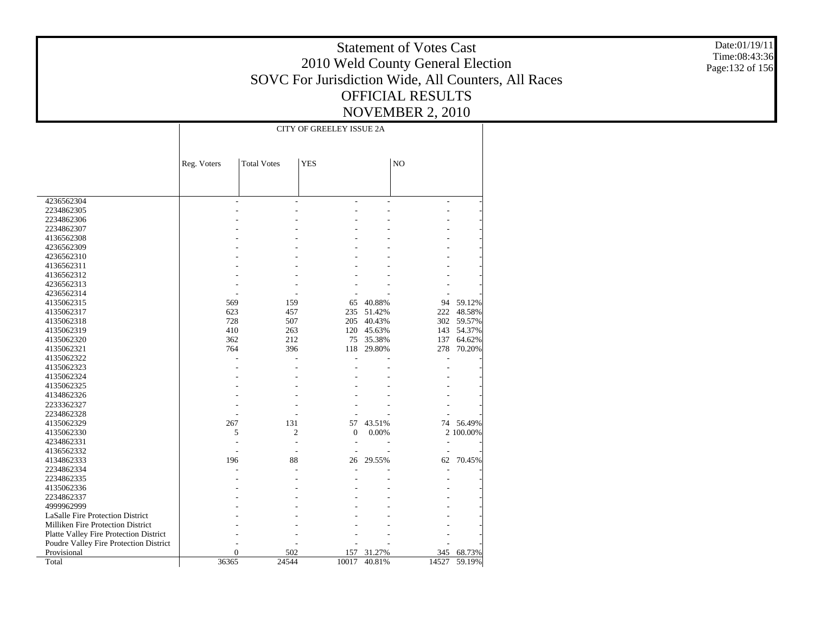Date:01/19/11 Time:08:43:36 Page:132 of 156

|                                        |             | <b>CITY OF GREELEY ISSUE 2A</b> |              |        |                |           |  |
|----------------------------------------|-------------|---------------------------------|--------------|--------|----------------|-----------|--|
|                                        |             |                                 |              |        |                |           |  |
|                                        |             |                                 |              |        |                |           |  |
|                                        | Reg. Voters | <b>Total Votes</b>              | <b>YES</b>   |        | NO             |           |  |
|                                        |             |                                 |              |        |                |           |  |
|                                        |             |                                 |              |        |                |           |  |
|                                        |             |                                 |              |        |                |           |  |
| 4236562304                             |             |                                 |              |        | $\overline{a}$ |           |  |
| 2234862305                             |             |                                 |              |        |                |           |  |
| 2234862306                             |             |                                 |              |        |                |           |  |
| 2234862307                             |             |                                 |              |        |                |           |  |
| 4136562308                             |             |                                 |              |        |                |           |  |
| 4236562309                             |             |                                 |              |        |                |           |  |
| 4236562310                             |             |                                 |              |        |                |           |  |
| 4136562311                             |             |                                 |              |        |                |           |  |
| 4136562312                             |             |                                 |              |        |                |           |  |
| 4236562313                             |             |                                 |              |        |                |           |  |
| 4236562314                             |             |                                 |              |        |                |           |  |
| 4135062315                             | 569         | 159                             | 65           | 40.88% | 94             | 59.12%    |  |
| 4135062317                             | 623         | 457                             | 235          | 51.42% | 222            | 48.58%    |  |
| 4135062318                             | 728         | 507                             | 205          | 40.43% | 302            | 59.57%    |  |
| 4135062319                             | 410         | 263                             | 120          | 45.63% | 143            | 54.37%    |  |
| 4135062320                             | 362         | 212                             | 75           | 35.38% | 137            | 64.62%    |  |
| 4135062321                             | 764         | 396                             | 118          | 29.80% | 278            | 70.20%    |  |
| 4135062322                             |             |                                 |              |        |                |           |  |
| 4135062323                             |             |                                 |              |        |                |           |  |
| 4135062324                             |             |                                 |              |        |                |           |  |
| 4135062325                             |             |                                 |              |        |                |           |  |
| 4134862326                             |             |                                 |              |        |                |           |  |
| 2233362327                             |             |                                 |              |        |                |           |  |
| 2234862328                             |             |                                 |              |        |                |           |  |
| 4135062329                             | 267         | 131                             | 57           | 43.51% | 74             | 56.49%    |  |
| 4135062330                             | 5           | 2                               | $\mathbf{0}$ | 0.00%  |                | 2 100.00% |  |
| 4234862331                             |             |                                 |              |        |                |           |  |
| 4136562332                             |             | L,                              |              |        |                |           |  |
| 4134862333                             | 196         | 88                              | 26           | 29.55% | 62             | 70.45%    |  |
| 2234862334                             |             |                                 |              |        |                |           |  |
| 2234862335                             |             |                                 |              |        |                |           |  |
| 4135062336                             |             |                                 |              |        |                |           |  |
| 2234862337                             |             |                                 |              |        |                |           |  |
| 4999962999                             |             |                                 |              |        |                |           |  |
| LaSalle Fire Protection District       |             |                                 |              |        |                |           |  |
|                                        |             |                                 |              |        |                |           |  |
| Milliken Fire Protection District      |             |                                 |              |        |                |           |  |
| Platte Valley Fire Protection District |             |                                 |              |        |                |           |  |
| Poudre Valley Fire Protection District |             |                                 |              |        |                |           |  |
| Provisional                            | 0           | 502                             | 157          | 31.27% | 345            | 68.73%    |  |
| Total                                  | 36365       | 24544                           | 10017        | 40.81% | 14527          | 59.19%    |  |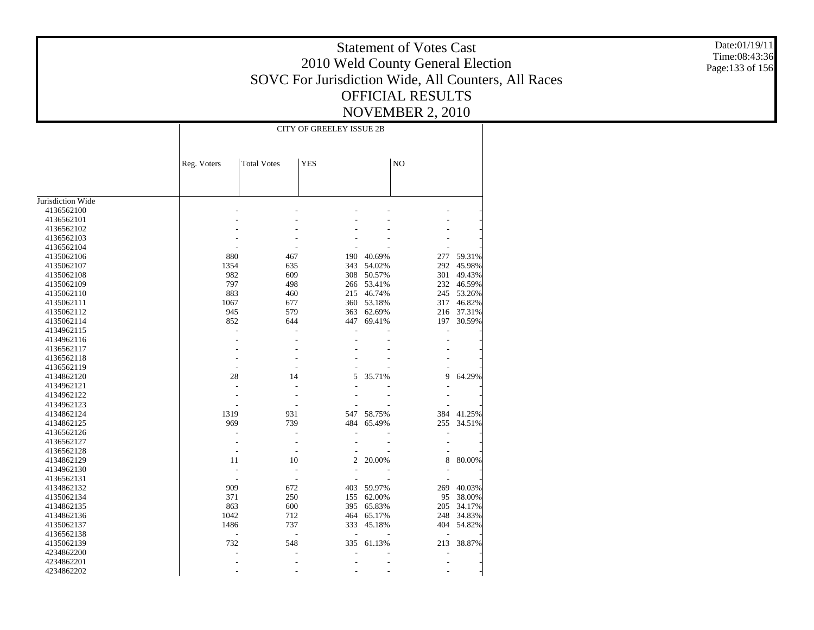Date:01/19/11 Time:08:43:36 Page:133 of 156

|                          |                |                    | <b>CITY OF GREELEY ISSUE 2B</b> |            |     |            |
|--------------------------|----------------|--------------------|---------------------------------|------------|-----|------------|
|                          |                |                    |                                 |            |     |            |
|                          | Reg. Voters    | <b>Total Votes</b> | <b>YES</b>                      |            | NO  |            |
|                          |                |                    |                                 |            |     |            |
| Jurisdiction Wide        |                |                    |                                 |            |     |            |
| 4136562100               |                |                    |                                 |            |     |            |
| 4136562101               |                |                    |                                 |            |     |            |
| 4136562102               |                |                    |                                 |            |     |            |
| 4136562103               |                |                    |                                 |            |     |            |
| 4136562104               |                |                    |                                 |            |     |            |
| 4135062106               | 880            | 467                | 190                             | 40.69%     | 277 | 59.31%     |
| 4135062107               | 1354           | 635                | 343                             | 54.02%     | 292 | 45.98%     |
| 4135062108               | 982            | 609                | 308                             | 50.57%     | 301 | 49.43%     |
| 4135062109               | 797            | 498                |                                 | 266 53.41% |     | 232 46.59% |
| 4135062110               | 883            | 460                |                                 | 215 46.74% | 245 | 53.26%     |
| 4135062111               | 1067           | 677                |                                 | 360 53.18% | 317 | 46.82%     |
| 4135062112               | 945            | 579                | 363                             | 62.69%     |     | 216 37.31% |
| 4135062114               | 852            | 644                | 447                             | 69.41%     | 197 | 30.59%     |
| 4134962115               | L,             |                    |                                 |            | L,  |            |
| 4134962116               |                |                    |                                 |            |     |            |
| 4136562117               |                |                    |                                 |            |     |            |
| 4136562118               |                |                    |                                 |            |     |            |
| 4136562119               |                |                    |                                 |            |     |            |
|                          | ٠              | 14                 | 5                               |            | 9   |            |
| 4134862120<br>4134962121 | 28<br>÷        |                    |                                 | 35.71%     |     | 64.29%     |
|                          |                |                    |                                 |            |     |            |
| 4134962122               |                |                    |                                 |            |     |            |
| 4134962123               |                |                    |                                 |            |     |            |
| 4134862124               | 1319           | 931                | 547                             | 58.75%     | 384 | 41.25%     |
| 4134862125               | 969            | 739                | 484                             | 65.49%     | 255 | 34.51%     |
| 4136562126               |                |                    |                                 |            |     |            |
| 4136562127               |                |                    |                                 |            |     |            |
| 4136562128               | ÷,             |                    |                                 |            |     |            |
| 4134862129               | 11             | 10                 | 2                               | 20.00%     | 8   | 80.00%     |
| 4134962130               | Ĭ.             |                    |                                 |            |     |            |
| 4136562131               |                |                    |                                 |            |     |            |
| 4134862132               | 909            | 672                | 403                             | 59.97%     | 269 | 40.03%     |
| 4135062134               | 371            | 250                | 155                             | 62.00%     | 95  | 38.00%     |
| 4134862135               | 863            | 600                | 395                             | 65.83%     | 205 | 34.17%     |
| 4134862136               | 1042           | 712                | 464                             | 65.17%     | 248 | 34.83%     |
| 4135062137               | 1486           | 737                | 333                             | 45.18%     | 404 | 54.82%     |
| 4136562138               | $\overline{a}$ | $\overline{a}$     | $\overline{\phantom{a}}$        |            |     |            |
| 4135062139               | 732            | 548                | 335                             | 61.13%     | 213 | 38.87%     |
| 4234862200               |                |                    |                                 |            |     |            |
| 4234862201               |                |                    |                                 |            |     |            |
| 4234862202               |                |                    |                                 |            |     |            |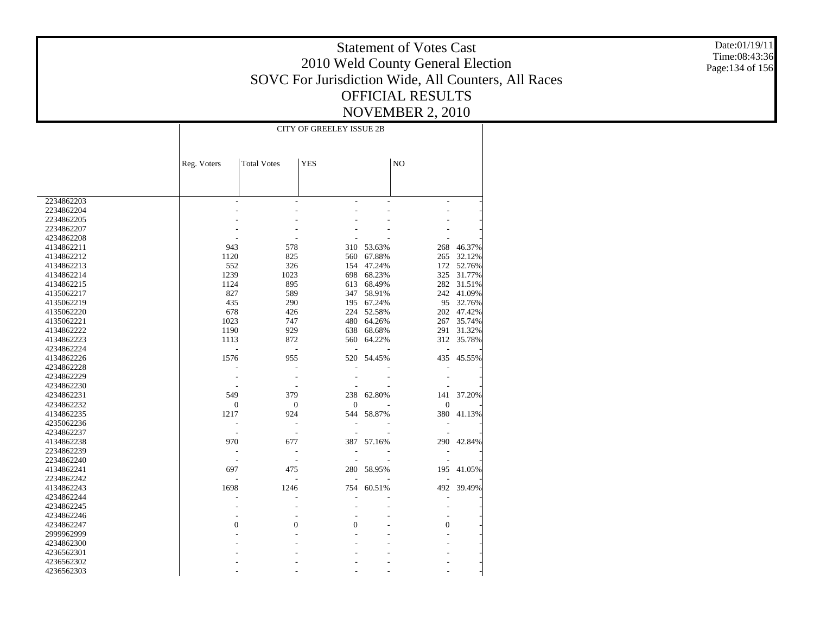Date:01/19/11 Time:08:43:36 Page:134 of 156

|            |                  |                          | <b>CITY OF GREELEY ISSUE 2B</b> |            |                |            |
|------------|------------------|--------------------------|---------------------------------|------------|----------------|------------|
|            |                  |                          |                                 |            |                |            |
|            | Reg. Voters      | <b>Total Votes</b>       | <b>YES</b>                      |            | NO             |            |
|            |                  |                          |                                 |            |                |            |
|            |                  |                          |                                 |            |                |            |
| 2234862203 |                  | $\overline{a}$           | L.                              |            | ٠              |            |
| 2234862204 |                  |                          |                                 |            |                |            |
| 2234862205 |                  |                          |                                 |            |                |            |
| 2234862207 |                  |                          |                                 |            |                |            |
| 4234862208 |                  |                          |                                 |            |                |            |
| 4134862211 | 943              | 578                      | 310                             | 53.63%     | 268            | 46.37%     |
| 4134862212 | 1120             | 825                      |                                 | 560 67.88% | 265            | 32.12%     |
| 4134862213 | 552              | 326                      | 154                             | 47.24%     |                | 172 52.76% |
| 4134862214 | 1239             | 1023                     | 698                             | 68.23%     | 325            | 31.77%     |
| 4134862215 | 1124             | 895                      | 613                             | 68.49%     | 282            | 31.51%     |
| 4135062217 | 827              | 589                      |                                 | 347 58.91% | 242            | 41.09%     |
| 4135062219 | 435              | 290                      | 195                             | 67.24%     | 95             | 32.76%     |
| 4135062220 | 678              | 426                      | 224                             | 52.58%     | 202            | 47.42%     |
| 4135062221 | 1023             | 747                      | 480                             | 64.26%     | 267            | 35.74%     |
| 4134862222 | 1190             | 929                      | 638                             | 68.68%     | 291            | 31.32%     |
| 4134862223 | 1113             | 872                      | 560                             | 64.22%     | 312            | 35.78%     |
| 4234862224 |                  |                          |                                 |            |                |            |
| 4134862226 | 1576             | 955                      | 520                             | 54.45%     | 435            | 45.55%     |
| 4234862228 |                  |                          |                                 |            |                |            |
| 4234862229 |                  |                          |                                 |            |                |            |
| 4234862230 |                  |                          |                                 |            |                |            |
| 4234862231 | 549              | 379                      | 238                             | 62.80%     | 141            | 37.20%     |
| 4234862232 | $\boldsymbol{0}$ | $\boldsymbol{0}$         | $\mathbf{0}$                    |            | $\mathbf{0}$   |            |
| 4134862235 | 1217             | 924                      | 544                             | 58.87%     | 380            | 41.13%     |
| 4235062236 | ÷,               | $\overline{a}$           |                                 |            |                |            |
| 4234862237 |                  | $\overline{\phantom{a}}$ |                                 |            |                |            |
| 4134862238 | 970              | 677                      | 387                             | 57.16%     |                | 290 42.84% |
| 2234862239 |                  | $\overline{a}$           |                                 |            |                |            |
| 2234862240 |                  |                          |                                 |            |                |            |
| 4134862241 | 697              | 475                      |                                 | 280 58.95% | 195            | 41.05%     |
| 2234862242 |                  |                          |                                 |            |                |            |
| 4134862243 | 1698             | 1246                     | 754                             | 60.51%     | 492            | 39.49%     |
| 4234862244 |                  |                          |                                 |            |                |            |
| 4234862245 |                  |                          |                                 |            |                |            |
| 4234862246 |                  |                          |                                 |            |                |            |
| 4234862247 | $\theta$         | 0                        | $\mathbf{0}$                    |            | $\overline{0}$ |            |
| 2999962999 |                  |                          |                                 |            |                |            |
| 4234862300 |                  |                          |                                 |            |                |            |
| 4236562301 |                  |                          |                                 |            |                |            |
| 4236562302 |                  |                          |                                 |            |                |            |
| 4236562303 |                  |                          |                                 |            |                |            |
|            |                  |                          |                                 |            |                |            |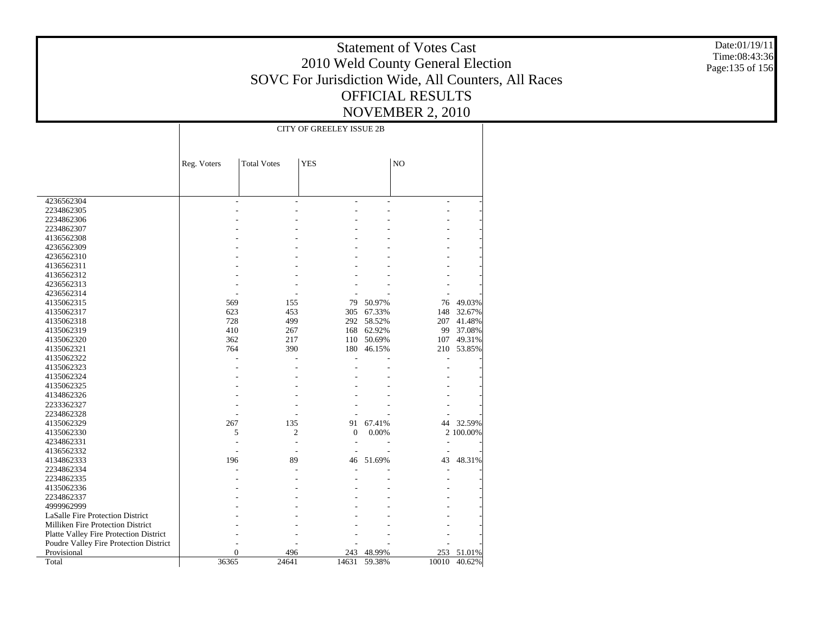Date:01/19/11 Time:08:43:36 Page:135 of 156

|                                        |                |                    | <b>CITY OF GREELEY ISSUE 2B</b> |                  |                |           |
|----------------------------------------|----------------|--------------------|---------------------------------|------------------|----------------|-----------|
|                                        |                |                    |                                 |                  |                |           |
|                                        |                |                    |                                 |                  |                |           |
|                                        |                |                    |                                 |                  |                |           |
|                                        | Reg. Voters    | <b>Total Votes</b> | <b>YES</b>                      |                  | NO             |           |
|                                        |                |                    |                                 |                  |                |           |
|                                        |                |                    |                                 |                  |                |           |
| 4236562304                             |                | $\overline{a}$     |                                 |                  | $\overline{a}$ |           |
| 2234862305                             |                |                    |                                 |                  |                |           |
| 2234862306                             |                |                    |                                 |                  |                |           |
| 2234862307                             |                |                    |                                 |                  |                |           |
| 4136562308                             |                |                    |                                 |                  |                |           |
| 4236562309                             |                |                    |                                 |                  |                |           |
| 4236562310                             |                |                    |                                 |                  |                |           |
| 4136562311                             |                |                    |                                 |                  |                |           |
| 4136562312                             |                |                    |                                 |                  |                |           |
| 4236562313                             |                |                    |                                 |                  |                |           |
|                                        |                |                    |                                 |                  |                |           |
| 4236562314                             |                | 155                | 79                              |                  |                |           |
| 4135062315                             | 569<br>623     | 453                |                                 | 50.97%<br>67.33% | 76<br>148      | 49.03%    |
| 4135062317                             |                | 499                | 305                             | 58.52%           |                | 32.67%    |
| 4135062318                             | 728            |                    | 292                             |                  | 207            | 41.48%    |
| 4135062319                             | 410            | 267                | 168                             | 62.92%           | 99             | 37.08%    |
| 4135062320                             | 362            | 217                | 110                             | 50.69%           | 107            | 49.31%    |
| 4135062321                             | 764            | 390                | 180                             | 46.15%           | 210            | 53.85%    |
| 4135062322                             |                |                    |                                 |                  |                |           |
| 4135062323                             |                |                    |                                 |                  |                |           |
| 4135062324                             |                |                    |                                 |                  |                |           |
| 4135062325                             |                |                    |                                 |                  |                |           |
| 4134862326                             |                |                    |                                 |                  |                |           |
| 2233362327                             |                |                    |                                 |                  |                |           |
| 2234862328                             |                |                    |                                 |                  |                |           |
| 4135062329                             | 267            | 135                | 91                              | 67.41%           | 44             | 32.59%    |
| 4135062330                             | 5              | 2                  | $\mathbf{0}$                    | 0.00%            |                | 2 100.00% |
| 4234862331                             |                |                    |                                 |                  |                |           |
| 4136562332                             |                | L,                 |                                 |                  | L,             |           |
| 4134862333                             | 196            | 89                 | 46                              | 51.69%           | 43             | 48.31%    |
| 2234862334                             |                |                    |                                 |                  |                |           |
| 2234862335                             |                |                    |                                 |                  |                |           |
| 4135062336                             |                |                    |                                 |                  |                |           |
| 2234862337                             |                |                    |                                 |                  |                |           |
| 4999962999                             |                |                    |                                 |                  |                |           |
| LaSalle Fire Protection District       |                |                    |                                 |                  |                |           |
| Milliken Fire Protection District      |                |                    |                                 |                  |                |           |
| Platte Valley Fire Protection District |                |                    |                                 |                  |                |           |
| Poudre Valley Fire Protection District |                |                    |                                 |                  |                |           |
| Provisional                            | $\overline{0}$ | 496                | 243                             | 48.99%           | 253            | 51.01%    |
| Total                                  | 36365          | 24641              | 14631                           | 59.38%           | 10010          | 40.62%    |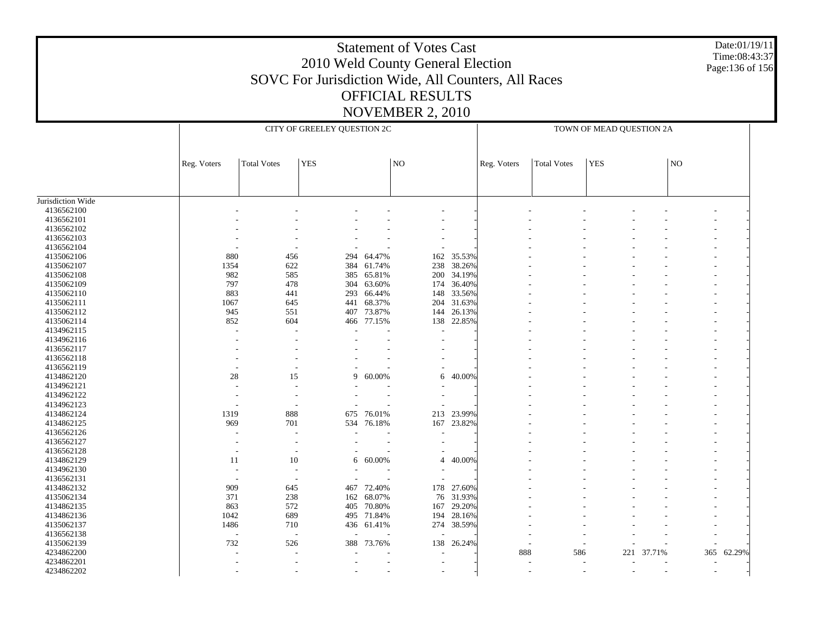#### Date:01/19/11 Time:08:43:37 Page:136 of 156

|                   |                          |                    | CITY OF GREELEY QUESTION 2C   |                  |                |            | TOWN OF MEAD QUESTION 2A |                    |            |                          |                     |            |
|-------------------|--------------------------|--------------------|-------------------------------|------------------|----------------|------------|--------------------------|--------------------|------------|--------------------------|---------------------|------------|
|                   | Reg. Voters              | <b>Total Votes</b> | <b>YES</b>                    |                  | NO             |            | Reg. Voters              | <b>Total Votes</b> | <b>YES</b> |                          | $\overline{\rm NO}$ |            |
|                   |                          |                    |                               |                  |                |            |                          |                    |            |                          |                     |            |
|                   |                          |                    |                               |                  |                |            |                          |                    |            |                          |                     |            |
| Jurisdiction Wide |                          |                    |                               |                  |                |            |                          |                    |            |                          |                     |            |
| 4136562100        |                          |                    |                               |                  |                |            |                          |                    |            |                          |                     |            |
| 4136562101        |                          |                    |                               |                  |                |            |                          |                    |            |                          |                     |            |
| 4136562102        |                          |                    |                               |                  |                |            |                          |                    |            |                          |                     |            |
| 4136562103        |                          |                    |                               |                  |                |            |                          |                    |            |                          |                     |            |
| 4136562104        |                          |                    |                               |                  |                |            |                          |                    |            |                          |                     |            |
| 4135062106        | 880                      | 456                | 294                           | 64.47%           | 162            | 35.53%     |                          |                    |            |                          |                     |            |
| 4135062107        | 1354                     | 622                | 384                           | 61.74%           | 238            | 38.26%     |                          |                    |            |                          |                     |            |
| 4135062108        | 982                      | 585                | 385                           | 65.81%           | 200            | 34.19%     |                          |                    |            |                          |                     |            |
| 4135062109        | 797                      | 478                | 304                           | 63.60%           | 174            | 36.40%     |                          |                    |            |                          |                     |            |
| 4135062110        | 883                      | 441                | 293                           | 66.44%           | 148            | 33.56%     |                          |                    |            |                          |                     |            |
| 4135062111        | 1067                     | 645                | 441                           | 68.37%           | 204            | 31.63%     |                          |                    |            |                          |                     |            |
| 4135062112        | 945                      | 551                | 407                           | 73.87%           | 144            | 26.13%     |                          |                    |            |                          |                     |            |
| 4135062114        | 852                      | 604                | 466                           | 77.15%           |                | 138 22.85% |                          |                    |            |                          |                     |            |
| 4134962115        | J.                       |                    |                               |                  |                |            |                          |                    |            |                          |                     |            |
| 4134962116        |                          |                    |                               |                  |                |            |                          |                    |            |                          |                     |            |
|                   |                          |                    |                               |                  |                |            |                          |                    |            |                          |                     |            |
| 4136562117        |                          |                    |                               |                  |                |            |                          |                    |            |                          |                     |            |
| 4136562118        |                          |                    |                               |                  |                |            |                          |                    |            |                          |                     |            |
| 4136562119        |                          |                    |                               |                  |                |            |                          |                    |            |                          |                     |            |
| 4134862120        | $28\,$                   | 15                 | 9                             | 60.00%           | 6              | 40.00%     |                          |                    |            |                          |                     |            |
| 4134962121        |                          |                    |                               |                  |                |            |                          |                    |            |                          |                     |            |
| 4134962122        |                          |                    |                               |                  |                |            |                          |                    |            |                          |                     |            |
| 4134962123        |                          |                    |                               |                  |                |            |                          |                    |            |                          |                     |            |
| 4134862124        | 1319                     | 888                | 675                           | 76.01%           | 213            | 23.99%     |                          |                    |            |                          |                     |            |
| 4134862125        | 969                      | 701                | 534                           | 76.18%           | 167            | 23.82%     |                          |                    |            |                          |                     |            |
| 4136562126        |                          |                    |                               |                  |                |            |                          |                    |            |                          |                     |            |
| 4136562127        | $\overline{a}$           |                    |                               |                  |                |            |                          |                    |            |                          |                     |            |
| 4136562128        | ٠                        |                    |                               |                  |                |            |                          |                    |            |                          |                     |            |
| 4134862129        | 11                       | 10                 |                               | $6\quad 60.00\%$ | $\overline{4}$ | 40.00%     |                          |                    |            |                          |                     |            |
| 4134962130        | $\overline{\phantom{a}}$ |                    |                               |                  |                |            |                          |                    |            |                          |                     |            |
| 4136562131        | $\overline{\phantom{a}}$ |                    | $\overline{\phantom{a}}$      |                  |                |            |                          |                    |            |                          |                     |            |
| 4134862132        | 909                      | 645                | 467                           | 72.40%           | 178            | 27.60%     |                          |                    |            |                          |                     |            |
| 4135062134        | 371                      | 238                | 162                           | 68.07%           | 76             | 31.93%     |                          |                    |            |                          |                     |            |
| 4134862135        | 863                      | 572                | 405                           | 70.80%           | 167            | 29.20%     |                          |                    |            |                          |                     |            |
| 4134862136        | 1042                     | 689                | 495                           | 71.84%           | 194            | 28.16%     |                          |                    |            |                          |                     |            |
| 4135062137        | 1486                     | 710                |                               | 436 61.41%       |                | 274 38.59% |                          |                    |            |                          |                     |            |
| 4136562138        | $\overline{\phantom{a}}$ |                    | $\overline{\phantom{a}}$<br>÷ |                  |                |            |                          |                    |            |                          |                     |            |
| 4135062139        | 732                      | 526                | 388                           | 73.76%           | 138            | 26.24%     |                          |                    |            |                          |                     |            |
| 4234862200        |                          |                    |                               |                  |                |            | 888                      | 586                | 221        | 37.71%                   |                     | 365 62.29% |
| 4234862201        |                          |                    |                               |                  |                |            |                          |                    |            |                          |                     |            |
|                   |                          |                    |                               |                  |                |            |                          |                    |            |                          |                     |            |
| 4234862202        |                          |                    |                               |                  |                |            |                          |                    |            | $\overline{\phantom{a}}$ | $\sim$              |            |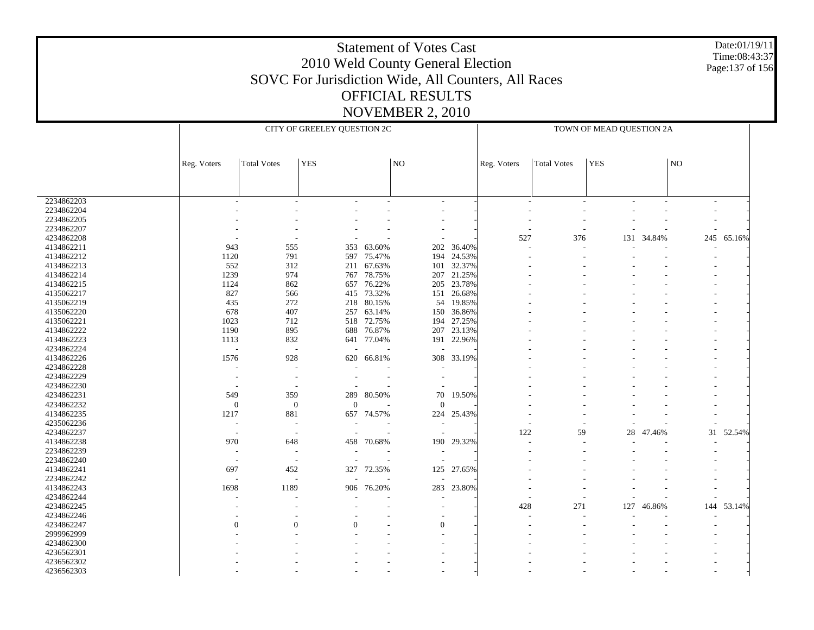#### Date:01/19/11 Time:08:43:37 Page:137 of 156

|            |                          |                          | CITY OF GREELEY QUESTION 2C |            |                     |            | TOWN OF MEAD QUESTION 2A |                    |        |        |             |            |
|------------|--------------------------|--------------------------|-----------------------------|------------|---------------------|------------|--------------------------|--------------------|--------|--------|-------------|------------|
|            | Reg. Voters              | <b>Total Votes</b>       | <b>YES</b>                  |            | $\overline{\rm NO}$ |            | Reg. Voters              | <b>Total Votes</b> | YES    |        | $_{\rm NO}$ |            |
|            |                          |                          |                             |            |                     |            |                          |                    |        |        |             |            |
| 2234862203 |                          |                          |                             |            |                     |            |                          |                    |        |        |             |            |
| 2234862204 |                          |                          |                             |            |                     |            |                          |                    |        |        |             |            |
| 2234862205 |                          |                          |                             |            |                     |            |                          |                    |        |        |             |            |
| 2234862207 |                          |                          |                             |            |                     |            |                          |                    |        |        |             |            |
| 4234862208 |                          |                          |                             |            |                     |            | 527                      | 376                | 131    | 34.84% | 245         | 65.16%     |
| 4134862211 | 943                      | 555                      | 353                         | 63.60%     | 202                 | 36.40%     |                          |                    |        |        |             |            |
| 4134862212 | 1120                     | 791                      | 597                         | 75.47%     | 194                 | 24.53%     |                          |                    |        |        |             |            |
| 4134862213 | 552                      | 312                      | 211                         | 67.63%     | 101                 | 32.37%     |                          |                    |        |        |             |            |
| 4134862214 | 1239                     |                          | 767                         |            | 207                 |            |                          |                    |        |        |             |            |
|            |                          | 974                      |                             | 78.75%     |                     | 21.25%     |                          |                    |        |        |             |            |
| 4134862215 | 1124                     | 862                      | 657                         | 76.22%     | 205                 | 23.78%     |                          |                    |        |        |             |            |
| 4135062217 | 827                      | 566                      | 415                         | 73.32%     | 151                 | 26.68%     |                          |                    |        |        |             |            |
| 4135062219 | 435                      | 272                      | 218                         | 80.15%     | 54                  | 19.85%     |                          |                    |        |        |             |            |
| 4135062220 | 678                      | 407                      | 257                         | 63.14%     | 150                 | 36.86%     |                          |                    |        |        |             |            |
| 4135062221 | 1023                     | 712                      | 518                         | 72.75%     | 194                 | 27.25%     |                          |                    |        |        |             |            |
| 4134862222 | 1190                     | 895                      | 688                         | 76.87%     | 207                 | 23.13%     |                          |                    |        |        |             |            |
| 4134862223 | 1113                     | 832                      | 641                         | 77.04%     | 191                 | 22.96%     |                          |                    |        |        |             |            |
| 4234862224 | $\sim$                   | $\overline{\phantom{a}}$ |                             |            |                     |            |                          |                    |        |        |             |            |
| 4134862226 | 1576                     | 928                      | 620                         | 66.81%     | 308                 | 33.19%     |                          |                    |        |        |             |            |
| 4234862228 |                          |                          |                             |            |                     |            |                          |                    |        |        |             |            |
| 4234862229 |                          | $\overline{\phantom{a}}$ |                             |            |                     |            |                          |                    |        |        |             |            |
| 4234862230 | ٠                        | $\overline{a}$           |                             |            |                     |            |                          |                    |        |        |             |            |
| 4234862231 | 549                      | 359                      | 289                         | 80.50%     | 70                  | 19.50%     |                          |                    |        |        |             |            |
| 4234862232 | $\mathbf{0}$             | $\mathbf{0}$             | $\mathbf{0}$                |            | $\mathbf{0}$        |            |                          |                    |        |        |             |            |
| 4134862235 | 1217                     | 881                      |                             | 657 74.57% | 224                 | 25.43%     |                          |                    |        |        |             |            |
| 4235062236 | $\overline{a}$           | $\overline{\phantom{a}}$ |                             |            |                     |            |                          |                    |        |        |             |            |
| 4234862237 | $\overline{\phantom{a}}$ | $\overline{\phantom{a}}$ |                             |            |                     |            | 122                      | 59                 | $28\,$ | 47.46% |             | 31 52.54%  |
| 4134862238 | 970                      | 648                      | 458                         | 70.68%     | 190                 | 29.32%     |                          |                    |        |        |             |            |
| 2234862239 | $\overline{\phantom{a}}$ | $\overline{a}$           |                             |            |                     |            |                          |                    |        |        |             |            |
| 2234862240 | $\overline{\phantom{a}}$ | $\overline{\phantom{a}}$ |                             |            |                     |            |                          |                    |        |        |             |            |
| 4134862241 | 697                      |                          | 327                         |            |                     | 125 27.65% |                          |                    |        |        |             |            |
| 2234862242 |                          | 452                      |                             | 72.35%     |                     |            |                          |                    |        |        |             |            |
|            | $\overline{\phantom{a}}$ | $\overline{a}$           |                             |            |                     |            |                          |                    |        |        |             |            |
| 4134862243 | 1698                     | 1189                     | 906                         | 76.20%     | 283                 | 23.80%     |                          |                    |        |        |             |            |
| 4234862244 |                          |                          |                             |            |                     |            |                          |                    |        |        |             |            |
| 4234862245 |                          |                          |                             |            |                     |            | 428                      | 271                | 127    | 46.86% |             | 144 53.14% |
| 4234862246 |                          |                          |                             |            |                     |            |                          |                    |        |        |             |            |
| 4234862247 | $\Omega$                 | $\Omega$                 | $\Omega$                    |            | $\mathbf{0}$        |            |                          |                    |        |        |             |            |
| 2999962999 |                          |                          |                             |            |                     |            |                          |                    |        |        |             |            |
| 4234862300 |                          |                          |                             |            |                     |            |                          |                    |        |        |             |            |
| 4236562301 |                          |                          |                             |            |                     |            |                          |                    |        |        |             |            |
| 4236562302 |                          |                          |                             |            |                     |            |                          |                    |        |        |             |            |
| 4236562303 |                          |                          |                             |            |                     |            |                          |                    |        |        |             |            |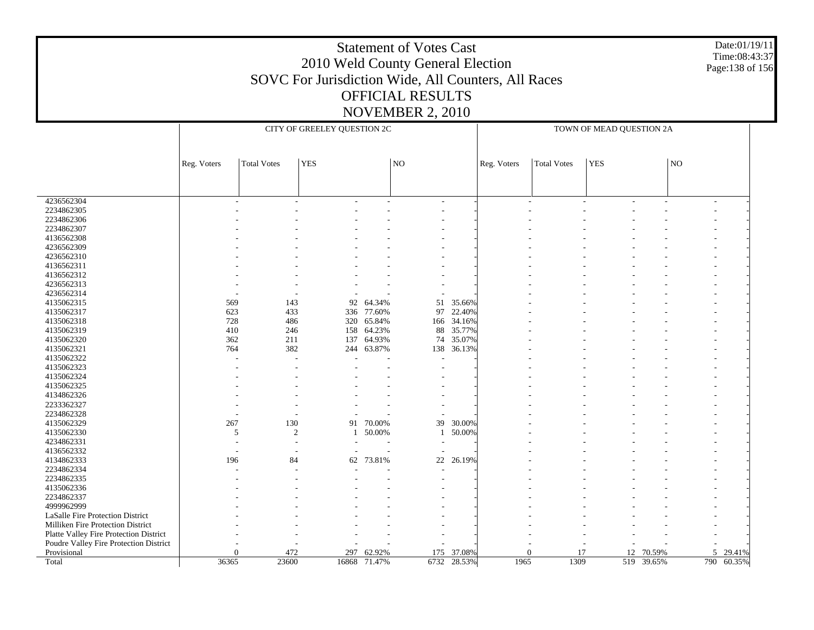#### Date:01/19/11 Time:08:43:37 Page:138 of 156

|                                        |             |                    | CITY OF GREELEY QUESTION 2C |            |                          |            | TOWN OF MEAD QUESTION 2A |                    |                 |        |    |            |
|----------------------------------------|-------------|--------------------|-----------------------------|------------|--------------------------|------------|--------------------------|--------------------|-----------------|--------|----|------------|
|                                        |             |                    |                             |            |                          |            |                          |                    |                 |        |    |            |
|                                        | Reg. Voters | <b>Total Votes</b> | <b>YES</b>                  |            | $\overline{\rm NO}$      |            | Reg. Voters              | <b>Total Votes</b> | $ {\rm \,}$ YES |        | NO |            |
|                                        |             |                    |                             |            |                          |            |                          |                    |                 |        |    |            |
|                                        |             |                    |                             |            |                          |            |                          |                    |                 |        |    |            |
| 4236562304                             |             |                    |                             |            |                          |            |                          |                    |                 |        |    |            |
| 2234862305                             |             |                    |                             |            |                          |            |                          |                    |                 |        |    |            |
| 2234862306                             |             |                    |                             |            |                          |            |                          |                    |                 |        |    |            |
| 2234862307                             |             |                    |                             |            |                          |            |                          |                    |                 |        |    |            |
| 4136562308                             |             |                    |                             |            |                          |            |                          |                    |                 |        |    |            |
| 4236562309                             |             |                    |                             |            |                          |            |                          |                    |                 |        |    |            |
| 4236562310                             |             |                    |                             |            |                          |            |                          |                    |                 |        |    |            |
| 4136562311                             |             |                    |                             |            |                          |            |                          |                    |                 |        |    |            |
| 4136562312                             |             |                    |                             |            |                          |            |                          |                    |                 |        |    |            |
| 4236562313                             |             |                    |                             |            |                          |            |                          |                    |                 |        |    |            |
| 4236562314                             |             |                    |                             |            |                          |            |                          |                    |                 |        |    |            |
| 4135062315                             | 569         | 143                | 92                          | 64.34%     | 51                       | 35.66%     |                          |                    |                 |        |    |            |
| 4135062317                             | 623         | 433                | 336                         | 77.60%     | 97                       | 22.40%     |                          |                    |                 |        |    |            |
| 4135062318                             | 728         | 486                |                             | 320 65.84% |                          | 166 34.16% |                          |                    |                 |        |    |            |
| 4135062319                             | 410         | 246                | 158                         | 64.23%     | 88                       | 35.77%     |                          |                    |                 |        |    |            |
| 4135062320                             | 362         | 211                | 137                         | 64.93%     | 74                       | 35.07%     |                          |                    |                 |        |    |            |
| 4135062321                             | 764         | 382                |                             | 244 63.87% | 138                      | 36.13%     |                          |                    |                 |        |    |            |
| 4135062322                             |             |                    |                             |            |                          |            |                          |                    |                 |        |    |            |
| 4135062323                             |             |                    |                             |            |                          |            |                          |                    |                 |        |    |            |
| 4135062324                             |             |                    |                             |            |                          |            |                          |                    |                 |        |    |            |
| 4135062325                             |             |                    |                             |            |                          |            |                          |                    |                 |        |    |            |
| 4134862326                             |             |                    |                             |            |                          |            |                          |                    |                 |        |    |            |
| 2233362327                             |             |                    |                             |            |                          |            |                          |                    |                 |        |    |            |
| 2234862328                             |             |                    |                             |            |                          |            |                          |                    |                 |        |    |            |
| 4135062329                             | 267         | 130                | 91                          | 70.00%     | 39                       | 30.00%     |                          |                    |                 |        |    |            |
| 4135062330                             | 5           | $\boldsymbol{2}$   | 1                           | 50.00%     | 1                        | 50.00%     |                          |                    |                 |        |    |            |
| 4234862331                             |             |                    |                             |            | $\overline{\phantom{a}}$ |            |                          |                    |                 |        |    |            |
| 4136562332                             |             |                    |                             |            | ÷,                       |            |                          |                    |                 |        |    |            |
| 4134862333                             | 196         | 84                 | 62                          | 73.81%     | 22                       | 26.19%     |                          |                    |                 |        |    |            |
| 2234862334                             |             |                    |                             |            |                          |            |                          |                    |                 |        |    |            |
| 2234862335                             |             |                    |                             |            |                          |            |                          |                    |                 |        |    |            |
| 4135062336                             |             |                    |                             |            |                          |            |                          |                    |                 |        |    |            |
| 2234862337                             |             |                    |                             |            |                          |            |                          |                    |                 |        |    |            |
| 4999962999                             |             |                    |                             |            |                          |            |                          |                    |                 |        |    |            |
| LaSalle Fire Protection District       |             |                    |                             |            |                          |            |                          |                    |                 |        |    |            |
| Milliken Fire Protection District      |             |                    |                             |            |                          |            |                          |                    |                 |        |    |            |
| Platte Valley Fire Protection District |             |                    |                             |            |                          |            |                          |                    |                 |        |    |            |
| Poudre Valley Fire Protection District |             |                    |                             |            |                          |            |                          |                    |                 |        |    |            |
| Provisional                            | $\Omega$    | 472                | 297                         | 62.92%     | 175                      | 37.08%     | $\theta$                 | 17                 | 12              | 70.59% | 5  | 29.41%     |
| Total                                  | 36365       | 23600              | 16868                       | 71.47%     | 6732                     | 28.53%     | 1965                     | 1309               | 519             | 39.65% |    | 790 60.35% |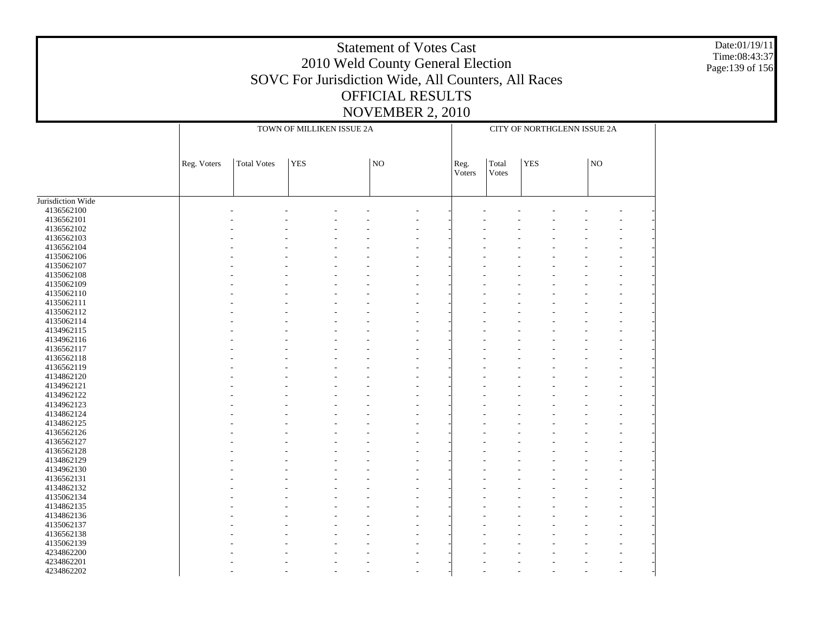Date:01/19/11 Time:08:43:37 Page:139 of 156

|                   |             |                    | TOWN OF MILLIKEN ISSUE 2A | CITY OF NORTHGLENN ISSUE 2A |                |                |            |  |    |                          |
|-------------------|-------------|--------------------|---------------------------|-----------------------------|----------------|----------------|------------|--|----|--------------------------|
|                   | Reg. Voters | <b>Total Votes</b> | <b>YES</b>                | NO                          | Reg.<br>Voters | Total<br>Votes | <b>YES</b> |  | NO |                          |
| Jurisdiction Wide |             |                    |                           |                             |                |                |            |  |    |                          |
| 4136562100        |             |                    |                           |                             |                |                |            |  |    |                          |
| 4136562101        |             |                    |                           |                             |                |                |            |  |    |                          |
| 4136562102        |             |                    |                           |                             |                |                |            |  |    |                          |
| 4136562103        |             |                    |                           |                             |                |                |            |  |    |                          |
| 4136562104        |             |                    |                           |                             |                |                |            |  |    |                          |
| 4135062106        |             |                    |                           |                             |                |                |            |  |    |                          |
| 4135062107        |             |                    |                           |                             |                |                |            |  |    |                          |
| 4135062108        |             |                    |                           |                             |                |                |            |  |    |                          |
| 4135062109        |             |                    |                           |                             |                |                |            |  |    | $\overline{\phantom{a}}$ |
| 4135062110        |             |                    |                           |                             |                |                |            |  |    |                          |
|                   |             |                    |                           |                             |                |                |            |  |    |                          |
| 4135062111        |             |                    |                           |                             |                |                |            |  |    |                          |
| 4135062112        |             |                    |                           |                             |                |                |            |  |    | $\overline{\phantom{a}}$ |
| 4135062114        |             |                    |                           |                             |                |                |            |  |    |                          |
| 4134962115        |             |                    |                           |                             |                |                |            |  |    |                          |
| 4134962116        |             |                    |                           |                             |                |                |            |  |    |                          |
| 4136562117        |             |                    |                           |                             |                |                |            |  |    | $\overline{\phantom{a}}$ |
| 4136562118        |             |                    |                           |                             |                |                |            |  |    |                          |
| 4136562119        |             |                    |                           |                             |                |                |            |  |    |                          |
| 4134862120        |             |                    |                           |                             |                |                |            |  |    |                          |
| 4134962121        |             |                    |                           |                             |                |                |            |  |    |                          |
| 4134962122        |             |                    |                           |                             |                |                |            |  |    |                          |
| 4134962123        |             |                    |                           |                             |                |                |            |  |    |                          |
| 4134862124        |             |                    |                           |                             |                |                |            |  |    |                          |
| 4134862125        |             |                    |                           |                             |                |                |            |  |    |                          |
| 4136562126        |             |                    |                           |                             |                |                |            |  |    |                          |
| 4136562127        |             |                    |                           |                             |                |                |            |  |    |                          |
| 4136562128        |             |                    |                           |                             |                |                |            |  |    |                          |
| 4134862129        |             |                    |                           |                             |                |                |            |  |    |                          |
| 4134962130        |             |                    |                           |                             |                |                |            |  |    |                          |
| 4136562131        |             |                    |                           |                             |                |                |            |  |    |                          |
| 4134862132        |             |                    |                           |                             |                |                |            |  |    |                          |
|                   |             |                    |                           |                             |                |                |            |  |    |                          |
| 4135062134        |             |                    |                           |                             |                |                |            |  |    |                          |
| 4134862135        |             |                    |                           |                             |                |                |            |  |    |                          |
| 4134862136        |             |                    |                           |                             |                |                |            |  |    |                          |
| 4135062137        |             |                    |                           |                             |                |                |            |  |    |                          |
| 4136562138        |             |                    |                           |                             |                |                |            |  |    |                          |
| 4135062139        |             |                    |                           |                             |                |                |            |  |    |                          |
| 4234862200        |             |                    |                           |                             |                |                |            |  |    |                          |
| 4234862201        |             |                    |                           |                             |                |                |            |  |    |                          |
| 4234862202        |             |                    |                           |                             |                |                |            |  |    |                          |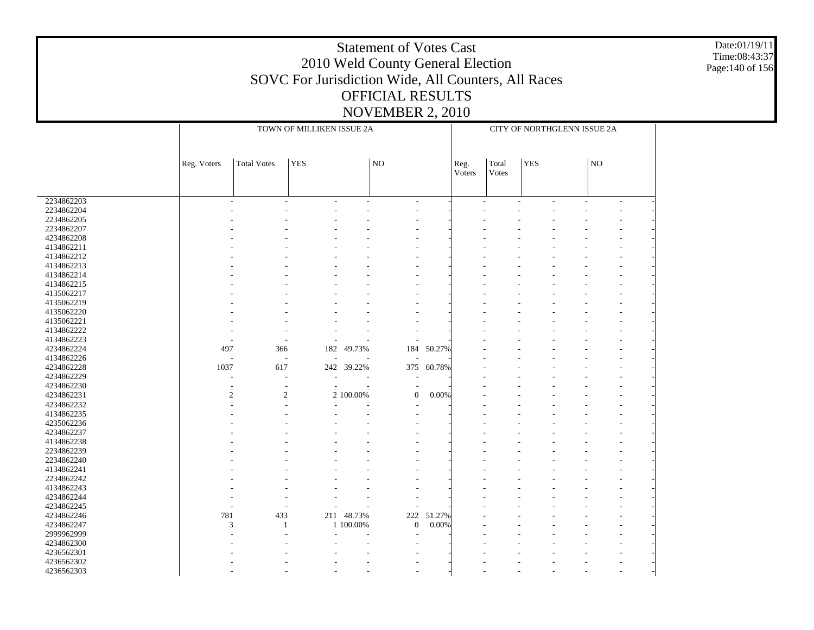Date:01/19/11 Time:08:43:37 Page:140 of 156

|            |                          |                          | CITY OF NORTHGLENN ISSUE 2A |            |                  |                |                |            |                          |                |                          |        |  |
|------------|--------------------------|--------------------------|-----------------------------|------------|------------------|----------------|----------------|------------|--------------------------|----------------|--------------------------|--------|--|
|            | Reg. Voters              | <b>Total Votes</b>       |                             | NO         |                  | Reg.<br>Voters | Total<br>Votes | <b>YES</b> |                          | N <sub>O</sub> |                          |        |  |
| 2234862203 | ÷                        |                          |                             |            |                  |                |                |            |                          |                |                          |        |  |
|            |                          | ÷                        | $\sim$                      | ÷          | ٠                |                |                | $\sim$     | $\overline{\phantom{a}}$ | ÷              | $\overline{\phantom{a}}$ | $\sim$ |  |
| 2234862204 |                          |                          |                             |            |                  |                |                |            |                          |                |                          |        |  |
| 2234862205 |                          |                          |                             |            |                  |                |                |            |                          |                |                          |        |  |
| 2234862207 |                          |                          |                             |            |                  |                |                |            |                          |                |                          |        |  |
| 4234862208 |                          |                          |                             |            |                  |                |                |            |                          |                |                          |        |  |
| 4134862211 |                          |                          |                             |            |                  |                |                |            |                          |                |                          |        |  |
| 4134862212 |                          |                          |                             |            |                  |                |                |            |                          |                |                          |        |  |
| 4134862213 |                          |                          |                             |            |                  |                |                |            |                          |                |                          |        |  |
| 4134862214 |                          |                          |                             |            |                  |                |                |            |                          |                |                          |        |  |
| 4134862215 |                          |                          |                             |            |                  |                |                |            |                          |                |                          |        |  |
| 4135062217 |                          |                          |                             |            |                  |                |                |            |                          |                |                          |        |  |
| 4135062219 |                          |                          |                             |            |                  |                |                |            |                          |                |                          |        |  |
| 4135062220 |                          |                          |                             |            |                  |                |                |            |                          |                |                          |        |  |
| 4135062221 |                          |                          |                             |            |                  |                |                |            |                          |                |                          |        |  |
| 4134862222 |                          |                          |                             |            | ÷                |                |                |            |                          |                |                          |        |  |
| 4134862223 |                          |                          |                             |            |                  |                |                |            |                          |                |                          |        |  |
| 4234862224 | 497                      | 366                      |                             | 182 49.73% | 184              | 50.27%         |                |            |                          |                |                          |        |  |
| 4134862226 | $\overline{\phantom{a}}$ | $\overline{a}$           |                             |            |                  |                |                |            |                          |                |                          |        |  |
| 4234862228 | 1037                     | 617                      |                             | 242 39.22% | 375              | 60.78%         |                |            |                          |                |                          |        |  |
| 4234862229 | J.                       | L,                       |                             |            |                  |                |                |            |                          |                |                          |        |  |
| 4234862230 | $\overline{a}$           | $\overline{\phantom{a}}$ | $\overline{\phantom{a}}$    |            |                  |                |                |            |                          |                |                          |        |  |
| 4234862231 | $\overline{c}$           | $\overline{2}$           |                             | 2 100.00%  | $\boldsymbol{0}$ | 0.00%          |                |            |                          |                |                          |        |  |
| 4234862232 |                          |                          |                             |            |                  |                |                |            |                          |                |                          |        |  |
|            |                          |                          |                             |            |                  |                |                |            |                          |                |                          |        |  |
| 4134862235 |                          |                          |                             |            |                  |                |                |            |                          |                |                          |        |  |
| 4235062236 |                          |                          |                             |            |                  |                |                |            |                          |                |                          |        |  |
| 4234862237 |                          |                          |                             |            |                  |                |                |            |                          |                |                          |        |  |
| 4134862238 |                          |                          |                             |            |                  |                |                |            |                          |                |                          |        |  |
| 2234862239 |                          |                          |                             |            |                  |                |                |            |                          |                |                          |        |  |
| 2234862240 |                          |                          |                             |            |                  |                |                |            |                          |                |                          |        |  |
| 4134862241 |                          |                          |                             |            |                  |                |                |            |                          |                |                          |        |  |
| 2234862242 |                          |                          |                             |            |                  |                |                |            |                          |                |                          |        |  |
| 4134862243 |                          |                          |                             |            |                  |                |                |            |                          |                |                          |        |  |
| 4234862244 |                          |                          |                             |            |                  |                |                |            |                          |                |                          |        |  |
| 4234862245 |                          |                          |                             |            |                  |                |                |            |                          |                |                          |        |  |
| 4234862246 | 781                      | 433                      |                             | 211 48.73% | 222              | 51.27%         |                |            |                          |                |                          |        |  |
| 4234862247 | 3                        | 1                        |                             | 1 100.00%  | $\boldsymbol{0}$ | 0.00%          |                |            |                          |                |                          |        |  |
| 2999962999 |                          |                          |                             |            |                  |                |                |            |                          |                |                          |        |  |
| 4234862300 |                          |                          |                             |            |                  |                |                |            |                          |                |                          |        |  |
| 4236562301 |                          |                          |                             |            |                  |                |                |            |                          |                |                          |        |  |
| 4236562302 |                          |                          |                             |            |                  |                |                |            |                          |                |                          |        |  |
| 4236562303 |                          |                          |                             |            |                  |                |                |            |                          |                |                          |        |  |
|            |                          |                          |                             |            |                  |                |                |            |                          |                |                          |        |  |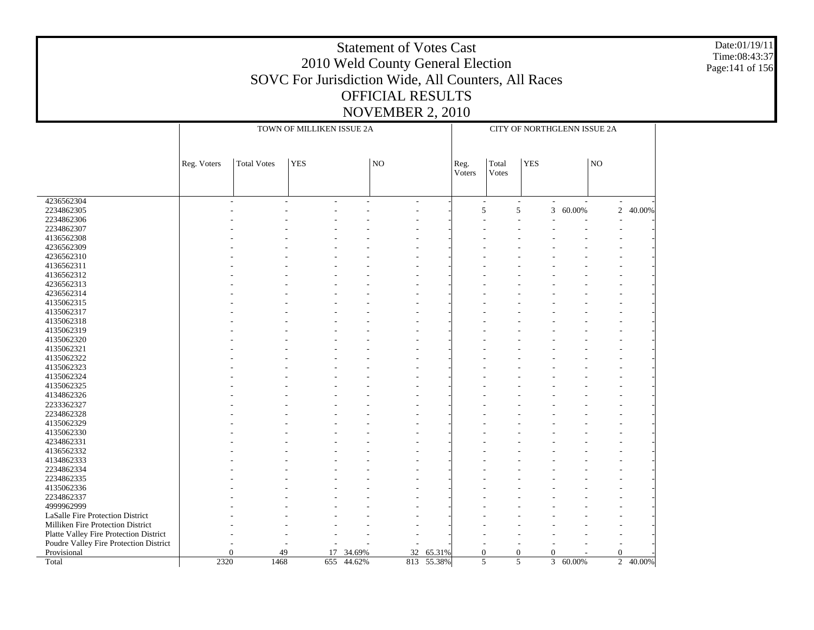Date:01/19/11 Time:08:43:37 Page:141 of 156

|                                        |                | TOWN OF MILLIKEN ISSUE 2A |            | CITY OF NORTHGLENN ISSUE 2A |                |            |                                                |                                    |                |        |                |        |  |
|----------------------------------------|----------------|---------------------------|------------|-----------------------------|----------------|------------|------------------------------------------------|------------------------------------|----------------|--------|----------------|--------|--|
|                                        | Reg. Voters    | <b>Total Votes</b>        | <b>YES</b> |                             | $\overline{N}$ |            | <b>YES</b><br>Total<br>Reg.<br>Voters<br>Votes |                                    |                |        | NO             |        |  |
| 4236562304                             |                |                           |            |                             | ۰              |            |                                                | $\sim$<br>$\overline{\phantom{a}}$ |                |        |                |        |  |
| 2234862305                             |                |                           |            |                             |                |            | 5                                              | 5                                  | 3              | 60.00% | $\overline{2}$ | 40.00% |  |
| 2234862306                             |                |                           |            |                             |                |            |                                                |                                    |                |        |                |        |  |
| 2234862307                             |                |                           |            |                             |                |            |                                                |                                    |                |        |                |        |  |
| 4136562308                             |                |                           |            |                             |                |            |                                                |                                    |                |        |                |        |  |
| 4236562309                             |                |                           |            |                             |                |            |                                                |                                    |                |        |                |        |  |
| 4236562310                             |                |                           |            |                             |                |            |                                                |                                    |                |        |                |        |  |
| 4136562311                             |                |                           |            |                             |                |            |                                                |                                    |                |        |                |        |  |
| 4136562312                             |                |                           |            |                             |                |            |                                                |                                    |                |        |                |        |  |
| 4236562313                             |                |                           |            |                             |                |            |                                                |                                    |                |        |                |        |  |
| 4236562314                             |                |                           |            |                             |                |            |                                                |                                    |                |        |                |        |  |
| 4135062315                             |                |                           |            |                             |                |            |                                                |                                    |                |        |                |        |  |
| 4135062317                             |                |                           |            |                             |                |            |                                                |                                    |                |        |                |        |  |
| 4135062318                             |                |                           |            |                             |                |            |                                                |                                    |                |        |                |        |  |
| 4135062319                             |                |                           |            |                             |                |            |                                                |                                    |                |        |                |        |  |
| 4135062320                             |                |                           |            |                             |                |            |                                                |                                    |                |        |                |        |  |
| 4135062321                             |                |                           |            |                             |                |            |                                                |                                    |                |        |                |        |  |
| 4135062322                             |                |                           |            |                             |                |            |                                                |                                    |                |        |                |        |  |
| 4135062323                             |                |                           |            |                             |                |            |                                                |                                    |                |        |                |        |  |
| 4135062324                             |                |                           |            |                             |                |            |                                                |                                    |                |        |                |        |  |
| 4135062325                             |                |                           |            |                             |                |            |                                                |                                    |                |        |                |        |  |
| 4134862326                             |                |                           |            |                             |                |            |                                                |                                    |                |        |                |        |  |
| 2233362327                             |                |                           |            |                             |                |            |                                                |                                    |                |        |                |        |  |
| 2234862328                             |                |                           |            |                             |                |            |                                                |                                    |                |        |                |        |  |
| 4135062329                             |                |                           |            |                             |                |            |                                                |                                    |                |        |                |        |  |
| 4135062330                             |                |                           |            |                             |                |            |                                                |                                    |                |        |                |        |  |
| 4234862331                             |                |                           |            |                             |                |            |                                                |                                    |                |        |                |        |  |
| 4136562332                             |                |                           |            |                             |                |            |                                                |                                    |                |        |                |        |  |
| 4134862333                             |                |                           |            |                             |                |            |                                                |                                    |                |        |                |        |  |
| 2234862334                             |                |                           |            |                             |                |            |                                                |                                    |                |        |                |        |  |
|                                        |                |                           |            |                             |                |            |                                                |                                    |                |        |                |        |  |
| 2234862335                             |                |                           |            |                             |                |            |                                                |                                    |                |        |                |        |  |
| 4135062336                             |                |                           |            |                             |                |            |                                                |                                    |                |        |                |        |  |
| 2234862337                             |                |                           |            |                             |                |            |                                                |                                    |                |        |                |        |  |
| 4999962999                             |                |                           |            |                             |                |            |                                                |                                    |                |        |                |        |  |
| LaSalle Fire Protection District       |                |                           |            |                             |                |            |                                                |                                    |                |        |                |        |  |
| Milliken Fire Protection District      |                |                           |            |                             |                |            |                                                |                                    |                |        |                |        |  |
| Platte Valley Fire Protection District |                |                           |            |                             |                |            |                                                |                                    |                |        |                |        |  |
| Poudre Valley Fire Protection District |                |                           |            |                             |                |            |                                                |                                    |                |        |                |        |  |
| Provisional                            | $\overline{0}$ | 49                        | 17         | 34.69%                      | 32             | 65.31%     | $\theta$                                       | $\mathbf{0}$                       | $\overline{0}$ |        | $\mathbf{0}$   |        |  |
| Total                                  | 2320           | 1468                      | 655        | 44.62%                      |                | 813 55.38% |                                                | 5<br>5                             | 3              | 60.00% | $\overline{c}$ | 40.00% |  |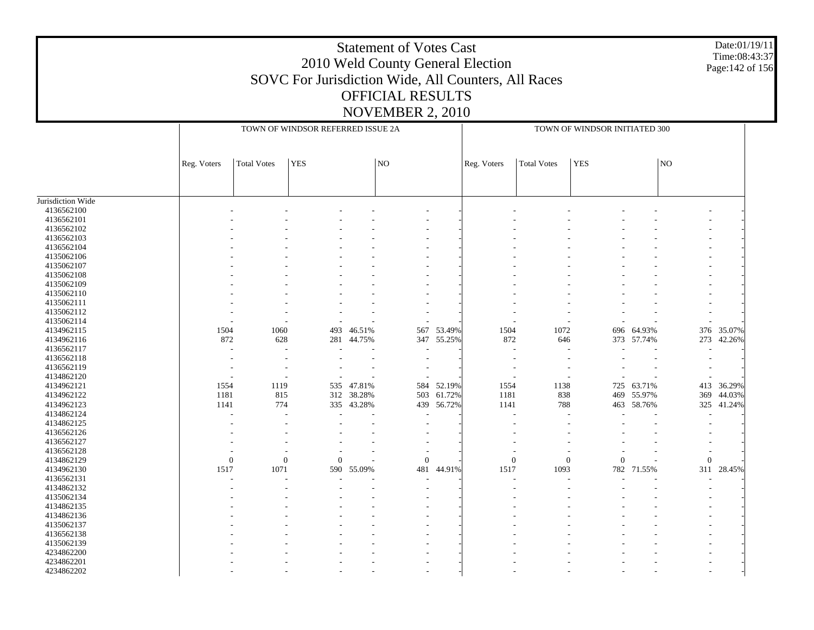Date:01/19/11 Time:08:43:37 Page:142 of 156

|                   |                          |                    | TOWN OF WINDSOR REFERRED ISSUE 2A |            |                          | TOWN OF WINDSOR INITIATED 300 |                  |                    |                |            |                          |            |
|-------------------|--------------------------|--------------------|-----------------------------------|------------|--------------------------|-------------------------------|------------------|--------------------|----------------|------------|--------------------------|------------|
|                   | Reg. Voters              | <b>Total Votes</b> | <b>YES</b>                        |            | $\overline{N}$           |                               | Reg. Voters      | <b>Total Votes</b> | <b>YES</b>     |            | NO                       |            |
|                   |                          |                    |                                   |            |                          |                               |                  |                    |                |            |                          |            |
| Jurisdiction Wide |                          |                    |                                   |            |                          |                               |                  |                    |                |            |                          |            |
| 4136562100        |                          |                    |                                   |            |                          |                               |                  |                    |                |            |                          |            |
| 4136562101        |                          |                    |                                   |            |                          |                               |                  |                    |                |            |                          |            |
| 4136562102        |                          |                    |                                   |            |                          |                               |                  |                    |                |            |                          |            |
| 4136562103        |                          |                    |                                   |            |                          |                               |                  |                    |                |            |                          |            |
| 4136562104        |                          |                    |                                   |            |                          |                               |                  |                    |                |            |                          |            |
| 4135062106        |                          |                    |                                   |            |                          |                               |                  |                    |                |            |                          |            |
| 4135062107        |                          |                    |                                   |            |                          |                               |                  |                    |                |            |                          |            |
| 4135062108        |                          |                    |                                   |            |                          |                               |                  |                    |                |            |                          |            |
| 4135062109        |                          |                    |                                   |            |                          |                               |                  |                    |                |            |                          |            |
| 4135062110        |                          |                    |                                   |            |                          |                               |                  |                    |                |            |                          |            |
| 4135062111        |                          |                    |                                   |            |                          |                               |                  |                    |                |            |                          |            |
| 4135062112        |                          |                    |                                   |            |                          |                               |                  |                    |                |            | $\overline{\phantom{a}}$ |            |
| 4135062114        |                          |                    |                                   |            |                          |                               |                  |                    |                |            |                          |            |
| 4134962115        | 1504                     | 1060               | 493                               | 46.51%     | 567                      | 53.49%                        | 1504             | 1072               |                | 696 64.93% | 376                      | 35.07%     |
| 4134962116        | 872                      | 628                | 281                               | 44.75%     | 347                      | 55.25%                        | 872              |                    |                | 373 57.74% | 273                      | 42.26%     |
|                   |                          |                    |                                   |            |                          |                               |                  | 646                |                |            |                          |            |
| 4136562117        | $\overline{\phantom{a}}$ | $\overline{a}$     |                                   |            |                          |                               |                  |                    |                |            | ÷                        |            |
| 4136562118        |                          |                    |                                   |            |                          |                               |                  |                    |                |            |                          |            |
| 4136562119        |                          |                    |                                   |            |                          |                               |                  |                    |                |            |                          |            |
| 4134862120        |                          |                    |                                   |            |                          |                               |                  |                    |                |            |                          |            |
| 4134962121        | 1554                     | 1119               | 535                               | 47.81%     | 584                      | 52.19%                        | 1554             | 1138               | 725            | 63.71%     | 413                      | 36.29%     |
| 4134962122        | 1181                     | 815                |                                   | 312 38.28% | 503                      | 61.72%                        | 1181             | 838                | 469            | 55.97%     | 369                      | 44.03%     |
| 4134962123        | 1141                     | 774                |                                   | 335 43.28% | 439                      | 56.72%                        | 1141             | 788                |                | 463 58.76% |                          | 325 41.24% |
| 4134862124        |                          | $\overline{a}$     | ÷                                 |            | $\overline{a}$           |                               | ÷.               |                    |                |            |                          |            |
| 4134862125        |                          |                    |                                   |            |                          |                               |                  |                    |                |            |                          |            |
| 4136562126        |                          |                    |                                   |            | $\overline{\phantom{a}}$ |                               |                  |                    |                |            |                          |            |
| 4136562127        |                          |                    |                                   |            |                          |                               |                  |                    |                |            |                          |            |
| 4136562128        |                          |                    |                                   |            |                          |                               |                  |                    |                |            | $\overline{\phantom{a}}$ |            |
| 4134862129        | $\boldsymbol{0}$         | $\mathbf{0}$       | $\theta$                          |            | $\mathbf{0}$             |                               | $\boldsymbol{0}$ | $\boldsymbol{0}$   | $\overline{0}$ |            | $\overline{0}$           |            |
| 4134962130        | 1517                     | 1071               | 590                               | 55.09%     | 481                      | 44.91%                        | 1517             | 1093               | 782            | 71.55%     | 311                      | 28.45%     |
| 4136562131        |                          |                    |                                   |            |                          |                               |                  |                    |                |            |                          |            |
| 4134862132        |                          |                    |                                   |            |                          |                               |                  |                    |                |            |                          |            |
| 4135062134        |                          |                    |                                   |            |                          |                               |                  |                    |                |            |                          |            |
| 4134862135        |                          |                    |                                   |            |                          |                               |                  |                    |                |            |                          |            |
| 4134862136        |                          |                    |                                   |            |                          |                               |                  |                    |                |            |                          |            |
| 4135062137        |                          |                    |                                   |            |                          |                               |                  |                    |                |            |                          |            |
| 4136562138        |                          |                    |                                   |            |                          |                               |                  |                    |                |            |                          |            |
| 4135062139        |                          |                    |                                   |            |                          |                               |                  |                    |                |            |                          |            |
| 4234862200        |                          |                    |                                   |            |                          |                               |                  |                    |                |            |                          |            |
|                   |                          |                    |                                   |            |                          |                               |                  |                    |                |            |                          |            |
| 4234862201        |                          |                    |                                   |            |                          |                               |                  |                    |                |            |                          |            |
| 4234862202        |                          |                    |                                   |            |                          |                               |                  |                    |                |            |                          |            |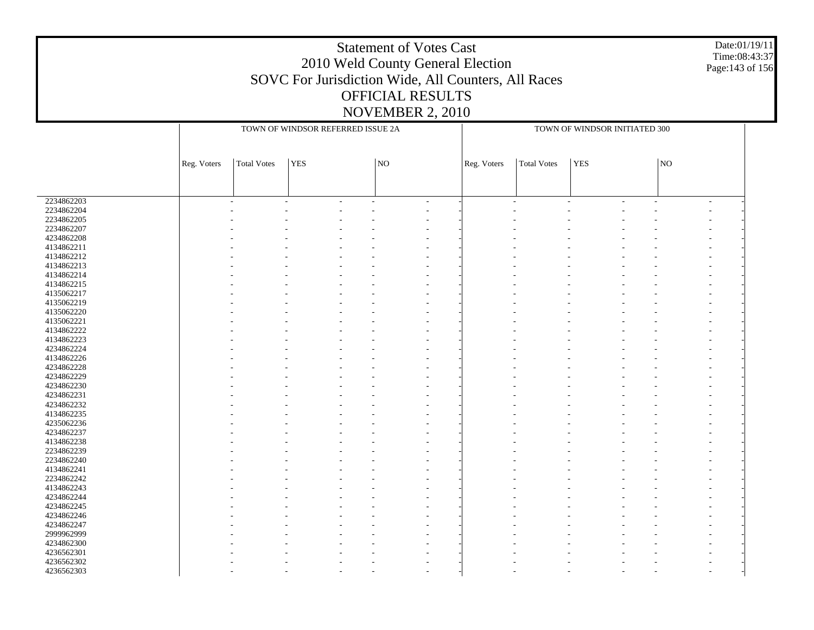#### Date:01/19/11 Time:08:43:37 Page:143 of 156

|            |             |                    | TOWN OF WINDSOR REFERRED ISSUE 2A |                     | TOWN OF WINDSOR INITIATED 300 |             |                    |            |                |    |                |  |
|------------|-------------|--------------------|-----------------------------------|---------------------|-------------------------------|-------------|--------------------|------------|----------------|----|----------------|--|
|            |             |                    |                                   |                     |                               |             |                    |            |                |    |                |  |
|            |             |                    |                                   |                     |                               |             |                    |            |                |    |                |  |
|            |             |                    | <b>YES</b>                        |                     |                               |             |                    |            |                | NO |                |  |
|            | Reg. Voters | <b>Total Votes</b> |                                   | $\overline{\rm NO}$ |                               | Reg. Voters | <b>Total Votes</b> | <b>YES</b> |                |    |                |  |
|            |             |                    |                                   |                     |                               |             |                    |            |                |    |                |  |
|            |             |                    |                                   |                     |                               |             |                    |            |                |    |                |  |
| 2234862203 |             |                    |                                   |                     | $\overline{\phantom{a}}$      | ÷           |                    |            | $\overline{a}$ |    | $\overline{a}$ |  |
| 2234862204 |             |                    |                                   |                     |                               |             |                    |            |                |    |                |  |
| 2234862205 |             |                    |                                   |                     |                               |             |                    |            |                |    |                |  |
| 2234862207 |             |                    |                                   |                     |                               |             |                    |            |                |    |                |  |
| 4234862208 |             |                    |                                   |                     |                               |             |                    |            |                |    |                |  |
| 4134862211 |             |                    |                                   |                     |                               |             |                    |            |                |    |                |  |
| 4134862212 |             |                    |                                   |                     |                               |             |                    |            |                |    |                |  |
| 4134862213 |             |                    |                                   |                     |                               |             |                    |            |                |    |                |  |
| 4134862214 |             |                    |                                   |                     |                               |             |                    |            |                |    |                |  |
| 4134862215 |             |                    |                                   |                     |                               |             |                    |            |                |    |                |  |
| 4135062217 |             |                    |                                   |                     |                               |             |                    |            |                |    |                |  |
| 4135062219 |             |                    |                                   |                     |                               |             |                    |            |                |    |                |  |
| 4135062220 |             |                    |                                   |                     |                               |             |                    |            |                |    |                |  |
| 4135062221 |             |                    |                                   |                     |                               |             |                    |            |                |    |                |  |
| 4134862222 |             |                    |                                   |                     |                               |             |                    |            |                |    |                |  |
| 4134862223 |             |                    |                                   |                     |                               |             |                    |            |                |    |                |  |
| 4234862224 |             |                    |                                   |                     |                               |             |                    |            |                |    |                |  |
| 4134862226 |             |                    |                                   |                     |                               |             |                    |            |                |    |                |  |
|            |             |                    |                                   |                     |                               |             |                    |            |                |    |                |  |
| 4234862228 |             |                    |                                   |                     |                               |             |                    |            |                |    |                |  |
| 4234862229 |             |                    |                                   |                     |                               |             |                    |            |                |    |                |  |
| 4234862230 |             |                    |                                   |                     |                               |             |                    |            |                |    |                |  |
| 4234862231 |             |                    |                                   |                     |                               |             |                    |            |                |    |                |  |
| 4234862232 |             |                    |                                   |                     |                               |             |                    |            |                |    |                |  |
| 4134862235 |             |                    |                                   |                     |                               |             |                    |            |                |    |                |  |
| 4235062236 |             |                    |                                   |                     |                               |             |                    |            |                |    |                |  |
| 4234862237 |             |                    |                                   |                     |                               |             |                    |            |                |    |                |  |
| 4134862238 |             |                    |                                   |                     |                               |             |                    |            |                |    |                |  |
| 2234862239 |             |                    |                                   |                     |                               |             |                    |            |                |    |                |  |
| 2234862240 |             |                    |                                   |                     |                               |             |                    |            |                |    |                |  |
| 4134862241 |             |                    |                                   |                     |                               |             |                    |            |                |    |                |  |
| 2234862242 |             |                    |                                   |                     |                               |             |                    |            |                |    |                |  |
| 4134862243 |             |                    |                                   |                     |                               |             |                    |            |                |    |                |  |
| 4234862244 |             |                    |                                   |                     |                               |             |                    |            |                |    |                |  |
| 4234862245 |             |                    |                                   |                     |                               |             |                    |            |                |    |                |  |
| 4234862246 |             |                    |                                   |                     |                               |             |                    |            |                |    |                |  |
| 4234862247 |             |                    |                                   |                     |                               |             |                    |            |                |    |                |  |
| 2999962999 |             |                    |                                   |                     |                               |             |                    |            |                |    |                |  |
| 4234862300 |             |                    |                                   |                     |                               |             |                    |            |                |    |                |  |
| 4236562301 |             |                    |                                   |                     |                               |             |                    |            |                |    |                |  |
| 4236562302 |             |                    |                                   |                     |                               |             |                    |            |                |    |                |  |
| 4236562303 |             |                    |                                   |                     |                               |             |                    |            |                |    |                |  |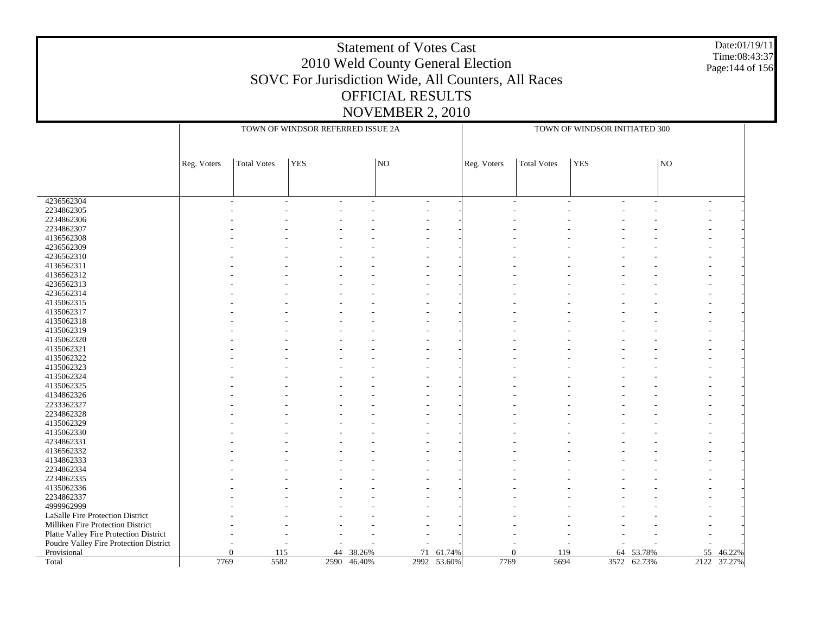#### Date:01/19/11 Time:08:43:37 Page:144 of 156

|                                        |             |                    | TOWN OF WINDSOR REFERRED ISSUE 2A |             |                     |             | TOWN OF WINDSOR INITIATED 300 |                    |            |             |             |        |
|----------------------------------------|-------------|--------------------|-----------------------------------|-------------|---------------------|-------------|-------------------------------|--------------------|------------|-------------|-------------|--------|
|                                        |             |                    |                                   |             |                     |             |                               |                    |            |             |             |        |
|                                        | Reg. Voters | <b>Total Votes</b> | <b>YES</b>                        |             | $\overline{\rm NO}$ |             | Reg. Voters                   | <b>Total Votes</b> | <b>YES</b> |             | $_{\rm NO}$ |        |
|                                        |             |                    |                                   |             |                     |             |                               |                    |            |             |             |        |
|                                        |             |                    |                                   |             |                     |             |                               |                    |            |             |             |        |
|                                        |             |                    |                                   |             |                     |             |                               |                    |            |             |             |        |
| 4236562304                             |             |                    |                                   |             | $\overline{a}$      |             | $\overline{\phantom{a}}$      |                    |            |             |             |        |
| 2234862305                             |             |                    |                                   |             |                     |             |                               |                    |            |             |             |        |
| 2234862306                             |             |                    |                                   |             |                     |             |                               |                    |            |             |             |        |
| 2234862307                             |             |                    |                                   |             |                     |             |                               |                    |            |             |             |        |
| 4136562308                             |             |                    |                                   |             |                     |             |                               |                    |            |             |             |        |
| 4236562309                             |             |                    |                                   |             |                     |             |                               |                    |            |             |             |        |
| 4236562310<br>4136562311               |             |                    |                                   |             |                     |             |                               |                    |            |             |             |        |
|                                        |             |                    |                                   |             |                     |             |                               |                    |            |             |             |        |
| 4136562312                             |             |                    |                                   |             |                     |             |                               |                    |            |             |             |        |
| 4236562313<br>4236562314               |             |                    |                                   |             |                     |             |                               |                    |            |             |             |        |
| 4135062315                             |             |                    |                                   |             |                     |             |                               |                    |            |             |             |        |
| 4135062317                             |             |                    |                                   |             |                     |             |                               |                    |            |             |             |        |
| 4135062318                             |             |                    |                                   |             |                     |             |                               |                    |            |             |             |        |
| 4135062319                             |             |                    |                                   |             |                     |             |                               |                    |            |             |             |        |
| 4135062320                             |             |                    |                                   |             |                     |             |                               |                    |            |             |             |        |
| 4135062321                             |             |                    |                                   |             |                     |             |                               |                    |            |             |             |        |
| 4135062322                             |             |                    |                                   |             |                     |             |                               |                    |            |             |             |        |
| 4135062323                             |             |                    |                                   |             |                     |             |                               |                    |            |             |             |        |
| 4135062324                             |             |                    |                                   |             |                     |             |                               |                    |            |             |             |        |
| 4135062325                             |             |                    |                                   |             |                     |             |                               |                    |            |             |             |        |
| 4134862326                             |             |                    |                                   |             |                     |             |                               |                    |            |             |             |        |
| 2233362327                             |             |                    |                                   |             |                     |             |                               |                    |            |             |             |        |
| 2234862328                             |             |                    |                                   |             |                     |             |                               |                    |            |             |             |        |
| 4135062329                             |             |                    |                                   |             |                     |             |                               |                    |            |             |             |        |
| 4135062330                             |             |                    |                                   |             |                     |             |                               |                    |            |             |             |        |
| 4234862331                             |             |                    |                                   |             |                     |             |                               |                    |            |             |             |        |
| 4136562332                             |             |                    |                                   |             |                     |             |                               |                    |            |             |             |        |
| 4134862333                             |             |                    |                                   |             |                     |             |                               |                    |            |             |             |        |
| 2234862334                             |             |                    |                                   |             |                     |             |                               |                    |            |             |             |        |
| 2234862335                             |             |                    |                                   |             |                     |             |                               |                    |            |             |             |        |
| 4135062336                             |             |                    |                                   |             |                     |             |                               |                    |            |             |             |        |
| 2234862337                             |             |                    |                                   |             |                     |             |                               |                    |            |             |             |        |
| 4999962999                             |             |                    |                                   |             |                     |             |                               |                    |            |             |             |        |
| LaSalle Fire Protection District       |             |                    |                                   |             |                     |             |                               |                    |            |             |             |        |
| Milliken Fire Protection District      |             |                    |                                   |             |                     |             |                               |                    |            |             |             |        |
| Platte Valley Fire Protection District |             |                    |                                   |             |                     |             |                               |                    |            |             |             |        |
| Poudre Valley Fire Protection District |             |                    |                                   |             |                     |             |                               |                    |            |             |             |        |
| Provisional                            | $\Omega$    | 115                |                                   | 44 38.26%   | 71                  | 61.74%      | 0                             | 119                | 64         | 53.78%      | 55          | 46.22% |
| Total                                  | 7769        | 5582               |                                   | 2590 46.40% |                     | 2992 53.60% | 7769                          | 5694               |            | 3572 62.73% | 2122        | 37.27% |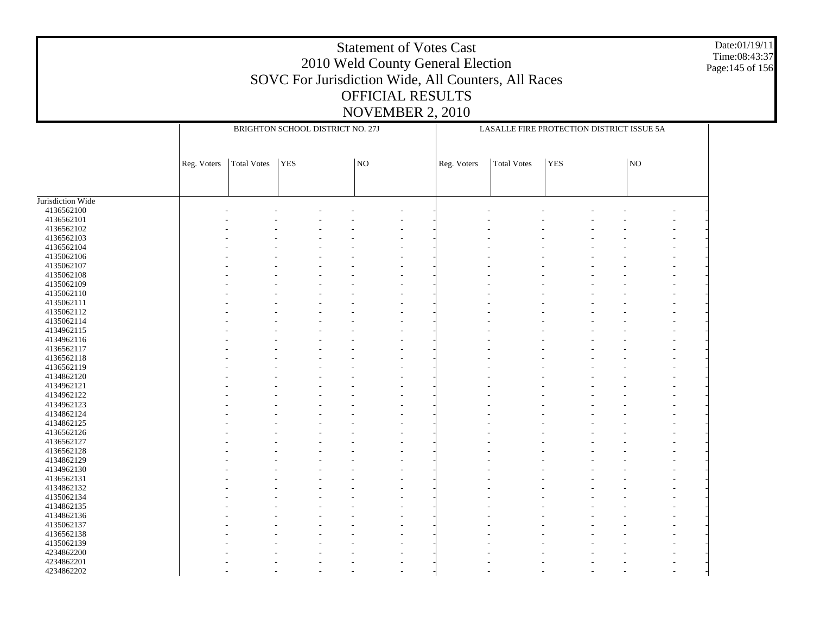Date:01/19/11 Time:08:43:37 Page:145 of 156

|                   |             | BRIGHTON SCHOOL DISTRICT NO. 27J |     |  |    |                          | LASALLE FIRE PROTECTION DISTRICT ISSUE 5A |                    |            |  |                 |  |
|-------------------|-------------|----------------------------------|-----|--|----|--------------------------|-------------------------------------------|--------------------|------------|--|-----------------|--|
|                   | Reg. Voters | Total Votes                      | YES |  | NO |                          | Reg. Voters                               | <b>Total Votes</b> | <b>YES</b> |  | NO <sub>1</sub> |  |
|                   |             |                                  |     |  |    |                          |                                           |                    |            |  |                 |  |
| Jurisdiction Wide |             |                                  |     |  |    |                          |                                           |                    |            |  |                 |  |
| 4136562100        |             |                                  |     |  |    |                          |                                           |                    |            |  |                 |  |
| 4136562101        |             |                                  |     |  |    |                          |                                           |                    |            |  |                 |  |
| 4136562102        |             |                                  |     |  |    |                          |                                           |                    |            |  |                 |  |
| 4136562103        |             |                                  |     |  |    |                          |                                           |                    |            |  |                 |  |
| 4136562104        |             |                                  |     |  |    |                          |                                           |                    |            |  |                 |  |
| 4135062106        |             |                                  |     |  |    |                          |                                           |                    |            |  |                 |  |
| 4135062107        |             |                                  |     |  |    |                          |                                           |                    |            |  |                 |  |
| 4135062108        |             |                                  |     |  |    |                          |                                           |                    |            |  |                 |  |
| 4135062109        |             |                                  |     |  |    | ٠                        |                                           |                    |            |  |                 |  |
| 4135062110        |             |                                  |     |  |    | ٠                        |                                           |                    |            |  |                 |  |
| 4135062111        |             |                                  |     |  |    | ٠                        |                                           |                    |            |  |                 |  |
| 4135062112        |             |                                  |     |  |    | ÷.                       |                                           |                    |            |  |                 |  |
| 4135062114        |             |                                  |     |  |    | ÷.                       |                                           |                    |            |  |                 |  |
| 4134962115        |             |                                  |     |  |    | $\overline{a}$           |                                           |                    |            |  |                 |  |
| 4134962116        |             |                                  |     |  |    |                          |                                           |                    |            |  |                 |  |
|                   |             |                                  |     |  |    |                          |                                           |                    |            |  |                 |  |
| 4136562117        |             |                                  |     |  |    | $\overline{\phantom{a}}$ |                                           |                    |            |  |                 |  |
| 4136562118        |             |                                  |     |  |    |                          |                                           |                    |            |  |                 |  |
| 4136562119        |             |                                  |     |  |    | ÷.                       |                                           |                    |            |  |                 |  |
| 4134862120        |             |                                  |     |  |    |                          |                                           |                    |            |  |                 |  |
| 4134962121        |             |                                  |     |  |    | ٠                        |                                           |                    |            |  |                 |  |
| 4134962122        |             |                                  |     |  |    |                          |                                           |                    |            |  |                 |  |
| 4134962123        |             |                                  |     |  |    | ٠                        |                                           |                    |            |  |                 |  |
| 4134862124        |             |                                  |     |  |    |                          |                                           |                    |            |  |                 |  |
| 4134862125        |             |                                  |     |  |    | ٠                        |                                           |                    |            |  |                 |  |
| 4136562126        |             |                                  |     |  |    |                          |                                           |                    |            |  |                 |  |
| 4136562127        |             |                                  |     |  |    |                          |                                           |                    |            |  |                 |  |
| 4136562128        |             |                                  |     |  |    |                          |                                           |                    |            |  |                 |  |
| 4134862129        |             |                                  |     |  |    |                          |                                           |                    |            |  |                 |  |
| 4134962130        |             |                                  |     |  |    |                          |                                           |                    |            |  |                 |  |
| 4136562131        |             |                                  |     |  |    |                          |                                           |                    |            |  |                 |  |
| 4134862132        |             |                                  |     |  |    |                          |                                           |                    |            |  |                 |  |
| 4135062134        |             |                                  |     |  |    |                          |                                           |                    |            |  |                 |  |
| 4134862135        |             |                                  |     |  |    | ٠                        |                                           |                    |            |  |                 |  |
| 4134862136        |             |                                  |     |  |    | ٠                        |                                           |                    |            |  |                 |  |
| 4135062137        |             |                                  |     |  |    | ٠                        |                                           |                    |            |  |                 |  |
| 4136562138        |             |                                  |     |  |    | ÷,                       |                                           |                    |            |  |                 |  |
| 4135062139        |             |                                  |     |  |    | $\overline{a}$           |                                           |                    |            |  |                 |  |
| 4234862200        |             |                                  |     |  |    |                          |                                           |                    |            |  |                 |  |
| 4234862201        |             |                                  |     |  |    | $\overline{a}$           |                                           |                    |            |  |                 |  |
| 4234862202        |             |                                  |     |  |    | ٠                        |                                           |                    |            |  |                 |  |
|                   |             |                                  |     |  |    |                          |                                           |                    |            |  |                 |  |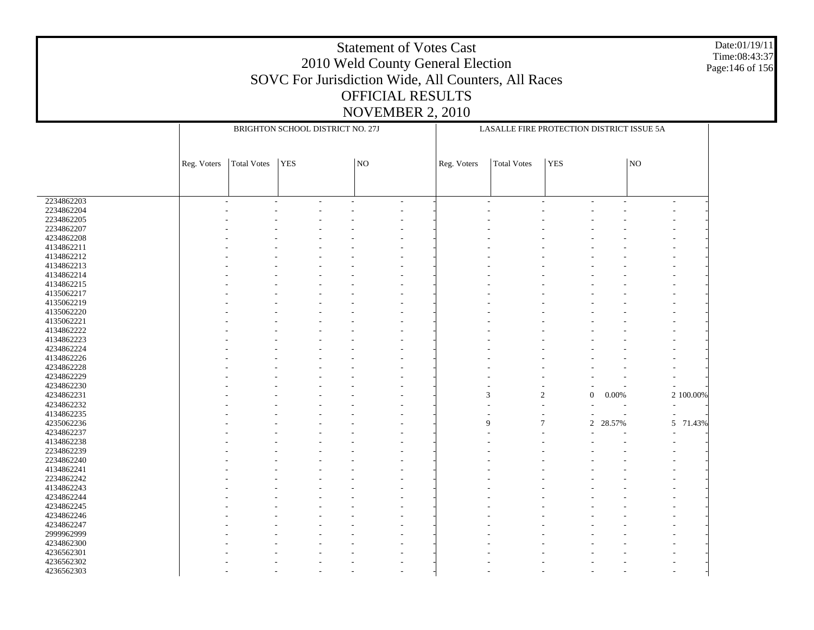Date:01/19/11 Time:08:43:37 Page:146 of 156

|                          | BRIGHTON SCHOOL DISTRICT NO. 27J |                    |            |  |                | LASALLE FIRE PROTECTION DISTRICT ISSUE 5A |                |                    |                |        |                          |             |
|--------------------------|----------------------------------|--------------------|------------|--|----------------|-------------------------------------------|----------------|--------------------|----------------|--------|--------------------------|-------------|
|                          |                                  |                    |            |  |                |                                           |                |                    |                |        |                          |             |
|                          |                                  |                    |            |  |                |                                           |                |                    |                |        |                          |             |
|                          | Reg. Voters                      | <b>Total Votes</b> | <b>YES</b> |  | NO             |                                           | Reg. Voters    | <b>Total Votes</b> | <b>YES</b>     |        | NO                       |             |
|                          |                                  |                    |            |  |                |                                           |                |                    |                |        |                          |             |
|                          |                                  |                    |            |  |                |                                           |                |                    |                |        |                          |             |
|                          |                                  |                    |            |  |                |                                           |                |                    |                |        |                          |             |
| 2234862203<br>2234862204 | ٠                                |                    |            |  | $\overline{a}$ |                                           | $\overline{a}$ | $\overline{a}$     |                |        | $\overline{\phantom{a}}$ |             |
| 2234862205               |                                  |                    |            |  |                |                                           |                |                    |                |        |                          |             |
| 2234862207               |                                  |                    |            |  |                |                                           |                |                    |                |        |                          |             |
| 4234862208               |                                  |                    |            |  |                |                                           |                |                    |                |        |                          |             |
| 4134862211               |                                  |                    |            |  |                |                                           |                |                    |                |        |                          |             |
| 4134862212               |                                  |                    |            |  |                |                                           |                |                    |                |        |                          |             |
| 4134862213               |                                  |                    |            |  |                |                                           |                |                    |                |        |                          |             |
|                          |                                  |                    |            |  |                |                                           |                |                    |                |        |                          |             |
| 4134862214               |                                  |                    |            |  |                |                                           |                |                    |                |        |                          |             |
| 4134862215               |                                  |                    |            |  |                |                                           |                |                    |                |        |                          |             |
| 4135062217               |                                  |                    |            |  |                |                                           |                |                    |                |        |                          |             |
| 4135062219               |                                  |                    |            |  |                |                                           |                |                    |                |        |                          |             |
| 4135062220               |                                  |                    |            |  |                |                                           |                |                    |                |        |                          |             |
| 4135062221               |                                  |                    |            |  |                |                                           |                |                    |                |        |                          |             |
| 4134862222               |                                  |                    |            |  |                |                                           |                |                    |                |        |                          |             |
| 4134862223               |                                  |                    |            |  |                |                                           |                |                    |                |        |                          |             |
| 4234862224               |                                  |                    |            |  |                |                                           |                |                    |                |        |                          |             |
| 4134862226               |                                  |                    |            |  |                |                                           |                |                    |                |        |                          |             |
| 4234862228               |                                  |                    |            |  |                |                                           |                |                    |                |        |                          |             |
| 4234862229               |                                  |                    |            |  |                |                                           |                |                    |                |        |                          |             |
| 4234862230               |                                  |                    |            |  |                |                                           |                |                    |                |        |                          |             |
| 4234862231               |                                  |                    |            |  |                |                                           | 3              | $\overline{2}$     | $\mathbf{0}$   | 0.00%  |                          | 2 100.00%   |
| 4234862232               |                                  |                    |            |  |                |                                           |                |                    |                |        |                          |             |
| 4134862235               |                                  |                    |            |  |                |                                           |                |                    |                |        |                          |             |
| 4235062236               |                                  |                    |            |  |                |                                           | $\mathbf Q$    | $\overline{7}$     | $\mathfrak{2}$ | 28.57% |                          | 5<br>71.43% |
| 4234862237               |                                  |                    |            |  |                |                                           |                |                    |                |        |                          |             |
| 4134862238               |                                  |                    |            |  |                |                                           |                |                    |                |        |                          |             |
| 2234862239               |                                  |                    |            |  |                |                                           |                |                    |                |        |                          |             |
| 2234862240               |                                  |                    |            |  |                |                                           |                |                    |                |        |                          |             |
| 4134862241               |                                  |                    |            |  |                |                                           |                |                    |                |        |                          |             |
| 2234862242               |                                  |                    |            |  |                |                                           |                |                    |                |        |                          |             |
| 4134862243               |                                  |                    |            |  |                |                                           |                |                    |                |        |                          |             |
| 4234862244               |                                  |                    |            |  |                |                                           |                |                    |                |        |                          |             |
| 4234862245               |                                  |                    |            |  |                |                                           |                |                    |                |        |                          |             |
| 4234862246               |                                  |                    |            |  |                |                                           |                |                    |                |        |                          |             |
| 4234862247               |                                  |                    |            |  |                |                                           |                |                    |                |        |                          |             |
| 2999962999               |                                  |                    |            |  |                |                                           |                |                    |                |        |                          |             |
| 4234862300               |                                  |                    |            |  |                |                                           |                |                    |                |        |                          |             |
| 4236562301               |                                  |                    |            |  |                |                                           |                |                    |                |        |                          |             |
| 4236562302               |                                  |                    |            |  |                |                                           |                |                    |                |        |                          |             |
| 4236562303               |                                  |                    |            |  |                |                                           |                |                    |                |        |                          |             |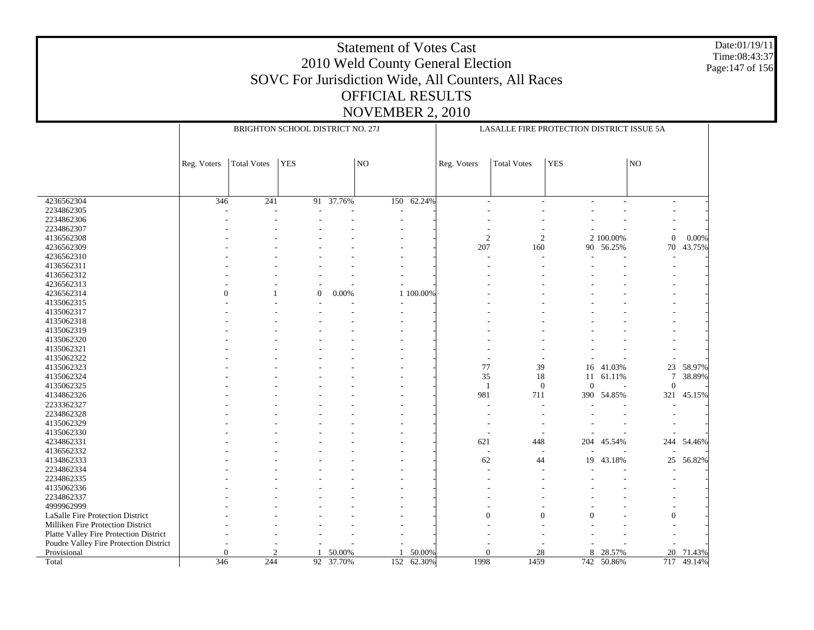Date:01/19/11 Time:08:43:37 Page:147 of 156

|                                                       |             | BRIGHTON SCHOOL DISTRICT NO. 27J |                  |               |     |           |                | LASALLE FIRE PROTECTION DISTRICT ISSUE 5A |            |           |                 |        |  |
|-------------------------------------------------------|-------------|----------------------------------|------------------|---------------|-----|-----------|----------------|-------------------------------------------|------------|-----------|-----------------|--------|--|
|                                                       |             |                                  |                  |               |     |           |                |                                           |            |           |                 |        |  |
|                                                       | Reg. Voters | <b>Total Votes</b>               | <b>YES</b>       |               | NO  |           | Reg. Voters    | <b>Total Votes</b>                        | <b>YES</b> |           | $\overline{NQ}$ |        |  |
|                                                       |             |                                  |                  |               |     |           |                |                                           |            |           |                 |        |  |
| 4236562304                                            | 346         | 241                              |                  | $91 - 37.76%$ | 150 | 62.24%    |                |                                           |            |           |                 |        |  |
| 2234862305                                            |             |                                  |                  |               |     |           |                |                                           |            |           |                 |        |  |
| 2234862306                                            |             |                                  |                  |               |     |           |                |                                           |            |           |                 |        |  |
| 2234862307                                            |             |                                  |                  |               |     |           |                |                                           |            |           |                 |        |  |
| 4136562308                                            |             |                                  |                  |               |     |           | $\overline{c}$ | 2                                         |            | 2 100.00% | $\theta$        | 0.00%  |  |
| 4236562309                                            |             |                                  |                  |               |     |           | 207            | 160                                       |            | 90 56.25% | 70              | 43.75% |  |
| 4236562310                                            |             |                                  |                  |               |     |           |                |                                           |            |           |                 |        |  |
| 4136562311                                            |             |                                  |                  |               |     |           |                |                                           |            |           |                 |        |  |
| 4136562312                                            |             |                                  |                  |               |     |           |                |                                           |            |           |                 |        |  |
| 4236562313                                            |             |                                  |                  |               |     |           |                |                                           |            |           |                 |        |  |
| 4236562314                                            | $\Omega$    |                                  | $\boldsymbol{0}$ | 0.00%         |     | 1 100.00% |                |                                           |            |           |                 |        |  |
| 4135062315                                            |             |                                  |                  |               |     |           |                |                                           |            |           |                 |        |  |
| 4135062317                                            |             |                                  |                  |               |     |           |                |                                           |            |           |                 |        |  |
| 4135062318                                            |             |                                  |                  |               |     |           |                |                                           |            |           |                 |        |  |
| 4135062319                                            |             |                                  |                  |               |     |           |                |                                           |            |           |                 |        |  |
| 4135062320                                            |             |                                  |                  |               |     |           |                |                                           |            |           |                 |        |  |
| 4135062321                                            |             |                                  |                  |               |     |           |                |                                           |            |           |                 |        |  |
| 4135062322                                            |             |                                  |                  |               |     |           |                |                                           |            |           |                 |        |  |
| 4135062323                                            |             |                                  |                  |               |     |           | 77             | 39                                        | 16         | 41.03%    | 23              | 58.97% |  |
| 4135062324                                            |             |                                  |                  |               |     |           | 35             | 18                                        | 11         | 61.11%    | $\tau$          | 38.89% |  |
| 4135062325                                            |             |                                  |                  |               |     |           | $\mathbf{1}$   | $\mathbf{0}$                              | $\theta$   |           | $\Omega$        |        |  |
| 4134862326                                            |             |                                  |                  |               |     |           | 981            | 711                                       | 390        | 54.85%    | 321             | 45.15% |  |
| 2233362327                                            |             |                                  |                  |               |     |           |                |                                           |            |           |                 |        |  |
| 2234862328                                            |             |                                  |                  |               |     |           |                |                                           |            |           |                 |        |  |
| 4135062329                                            |             |                                  |                  |               |     |           |                |                                           |            |           |                 |        |  |
| 4135062330                                            |             |                                  |                  |               |     |           |                |                                           |            |           |                 |        |  |
| 4234862331                                            |             |                                  |                  |               |     |           | 621            | 448                                       | 204        | 45.54%    | 244             | 54.46% |  |
| 4136562332                                            |             |                                  |                  |               |     |           |                |                                           |            |           |                 |        |  |
| 4134862333                                            |             |                                  |                  |               |     |           | 62             | 44                                        | 19         | 43.18%    | 25              | 56.82% |  |
| 2234862334                                            |             |                                  |                  |               |     |           |                |                                           |            |           |                 |        |  |
| 2234862335                                            |             |                                  |                  |               |     |           |                |                                           |            |           |                 |        |  |
| 4135062336                                            |             |                                  |                  |               |     |           |                |                                           |            |           |                 |        |  |
| 2234862337                                            |             |                                  |                  |               |     |           |                |                                           |            |           |                 |        |  |
| 4999962999                                            |             |                                  |                  |               |     |           |                |                                           |            |           |                 |        |  |
| LaSalle Fire Protection District                      |             |                                  |                  |               |     |           | $\Omega$       | $\Omega$                                  | 0          |           | 0               |        |  |
| Milliken Fire Protection District                     |             |                                  |                  |               |     |           |                |                                           |            |           |                 |        |  |
| Platte Valley Fire Protection District                |             |                                  |                  |               |     |           |                |                                           |            |           |                 |        |  |
|                                                       |             |                                  |                  |               |     |           |                |                                           |            |           |                 |        |  |
|                                                       |             |                                  |                  |               |     |           |                |                                           |            |           |                 |        |  |
| Poudre Valley Fire Protection District<br>Provisional | 0           | $\mathfrak{D}$                   |                  | 50.00%        |     | 50.00%    | $\Omega$       | 28                                        | 8          | 28.57%    | 20              | 71.43% |  |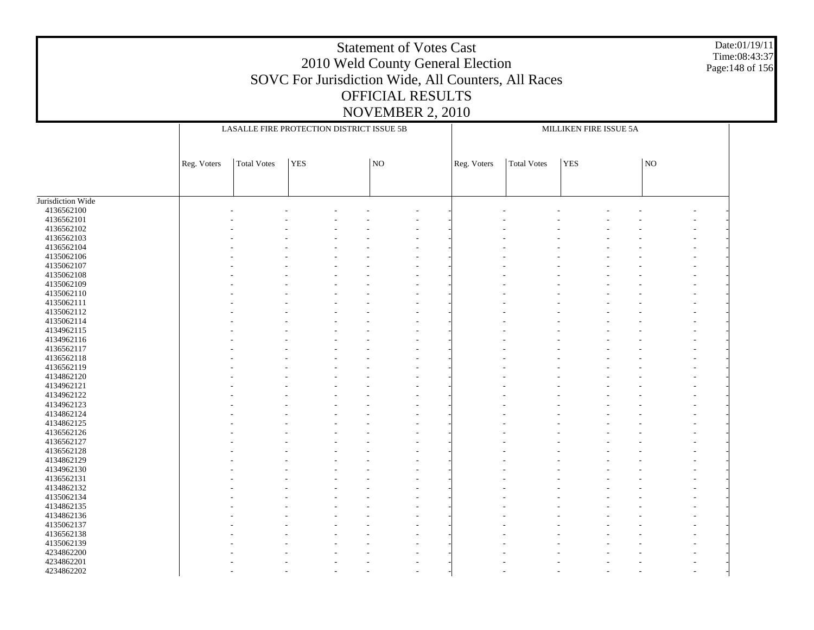Date:01/19/11 Time:08:43:37 Page:148 of 156

|                   | LASALLE FIRE PROTECTION DISTRICT ISSUE 5B |                    |            |  |    | MILLIKEN FIRE ISSUE 5A |             |             |            |  |    |  |  |
|-------------------|-------------------------------------------|--------------------|------------|--|----|------------------------|-------------|-------------|------------|--|----|--|--|
|                   |                                           |                    |            |  |    |                        |             |             |            |  |    |  |  |
|                   | Reg. Voters                               | <b>Total Votes</b> | <b>YES</b> |  | NO |                        | Reg. Voters | Total Votes | <b>YES</b> |  | NO |  |  |
|                   |                                           |                    |            |  |    |                        |             |             |            |  |    |  |  |
|                   |                                           |                    |            |  |    |                        |             |             |            |  |    |  |  |
| Jurisdiction Wide |                                           |                    |            |  |    |                        |             |             |            |  |    |  |  |
| 4136562100        |                                           |                    |            |  |    |                        |             |             |            |  |    |  |  |
| 4136562101        |                                           |                    |            |  |    |                        |             |             |            |  |    |  |  |
| 4136562102        |                                           |                    |            |  |    |                        |             |             |            |  |    |  |  |
| 4136562103        |                                           |                    |            |  |    |                        |             |             |            |  |    |  |  |
| 4136562104        |                                           |                    |            |  |    |                        |             |             |            |  |    |  |  |
| 4135062106        |                                           |                    |            |  |    |                        |             |             |            |  |    |  |  |
| 4135062107        |                                           |                    |            |  |    |                        |             |             |            |  |    |  |  |
| 4135062108        |                                           |                    |            |  |    |                        |             |             |            |  |    |  |  |
| 4135062109        |                                           |                    |            |  |    |                        |             |             |            |  |    |  |  |
| 4135062110        |                                           |                    |            |  |    |                        |             |             |            |  |    |  |  |
| 4135062111        |                                           |                    |            |  |    |                        |             |             |            |  |    |  |  |
| 4135062112        |                                           |                    |            |  |    |                        |             |             |            |  |    |  |  |
| 4135062114        |                                           |                    |            |  |    |                        |             |             |            |  |    |  |  |
| 4134962115        |                                           |                    |            |  |    |                        |             |             |            |  |    |  |  |
| 4134962116        |                                           |                    |            |  |    |                        |             |             |            |  |    |  |  |
| 4136562117        |                                           |                    |            |  |    |                        |             |             |            |  |    |  |  |
| 4136562118        |                                           |                    |            |  |    |                        |             |             |            |  |    |  |  |
| 4136562119        |                                           |                    |            |  |    |                        |             |             |            |  |    |  |  |
| 4134862120        |                                           |                    |            |  |    |                        |             |             |            |  |    |  |  |
| 4134962121        |                                           |                    |            |  |    |                        |             |             |            |  |    |  |  |
| 4134962122        |                                           |                    |            |  |    |                        |             |             |            |  |    |  |  |
| 4134962123        |                                           |                    |            |  |    |                        |             |             |            |  |    |  |  |
| 4134862124        |                                           |                    |            |  |    |                        |             |             |            |  |    |  |  |
| 4134862125        |                                           |                    |            |  |    |                        |             |             |            |  |    |  |  |
| 4136562126        |                                           |                    |            |  | ۰  |                        |             |             |            |  |    |  |  |
| 4136562127        |                                           |                    |            |  |    |                        |             |             |            |  |    |  |  |
| 4136562128        |                                           |                    |            |  |    |                        |             |             |            |  |    |  |  |
| 4134862129        |                                           |                    |            |  |    |                        |             |             |            |  |    |  |  |
| 4134962130        |                                           |                    |            |  |    |                        |             |             |            |  |    |  |  |
| 4136562131        |                                           |                    |            |  |    |                        |             |             |            |  |    |  |  |
| 4134862132        |                                           |                    |            |  |    |                        |             |             |            |  |    |  |  |
| 4135062134        |                                           |                    |            |  |    |                        |             |             |            |  |    |  |  |
| 4134862135        |                                           |                    |            |  |    |                        |             |             |            |  |    |  |  |
| 4134862136        |                                           |                    |            |  |    |                        |             |             |            |  |    |  |  |
| 4135062137        |                                           |                    |            |  |    |                        |             |             |            |  |    |  |  |
| 4136562138        |                                           |                    |            |  |    |                        |             |             |            |  |    |  |  |
| 4135062139        |                                           |                    |            |  |    |                        |             |             |            |  |    |  |  |
| 4234862200        |                                           |                    |            |  |    |                        |             |             |            |  |    |  |  |
| 4234862201        |                                           |                    |            |  |    |                        |             |             |            |  |    |  |  |
|                   |                                           |                    |            |  |    |                        |             |             |            |  |    |  |  |
| 4234862202        |                                           |                    |            |  |    |                        |             |             |            |  |    |  |  |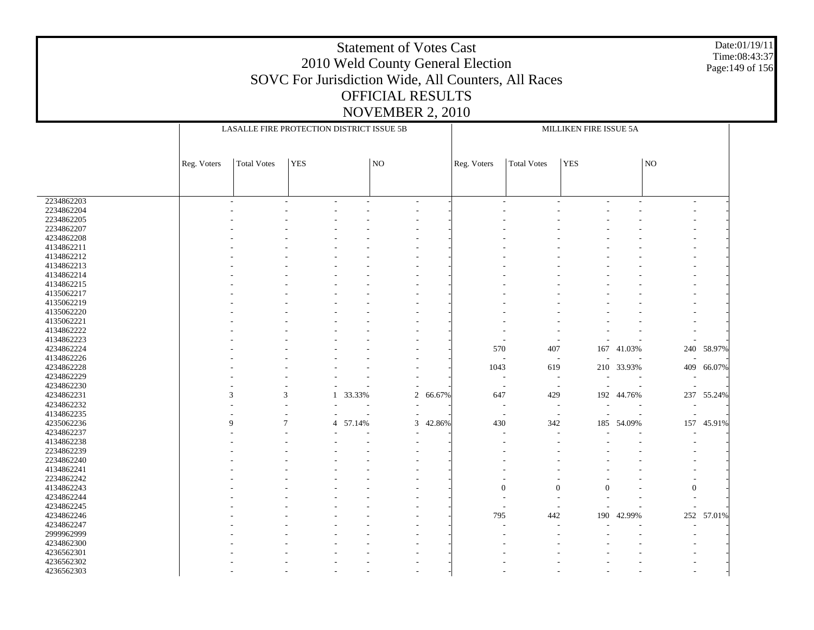Date:01/19/11 Time:08:43:37 Page:149 of 156

|            |             | LASALLE FIRE PROTECTION DISTRICT ISSUE 5B |            |        |         | MILLIKEN FIRE ISSUE 5A |                       |                          |                |        |                  |            |
|------------|-------------|-------------------------------------------|------------|--------|---------|------------------------|-----------------------|--------------------------|----------------|--------|------------------|------------|
|            |             |                                           |            |        |         |                        |                       |                          |                |        |                  |            |
|            |             |                                           |            |        |         |                        |                       |                          |                |        |                  |            |
|            | Reg. Voters | <b>Total Votes</b>                        | <b>YES</b> |        | NO      |                        | Reg. Voters           | <b>Total Votes</b>       | <b>YES</b>     |        | NO               |            |
|            |             |                                           |            |        |         |                        |                       |                          |                |        |                  |            |
|            |             |                                           |            |        |         |                        |                       |                          |                |        |                  |            |
|            |             |                                           |            |        |         |                        |                       |                          |                |        |                  |            |
| 2234862203 |             |                                           |            |        | ÷,      |                        | $\overline{a}$        | L.                       |                | ÷      | $\overline{a}$   |            |
| 2234862204 |             |                                           |            |        |         |                        |                       |                          |                |        |                  |            |
| 2234862205 |             |                                           |            |        |         |                        |                       |                          |                |        |                  |            |
| 2234862207 |             |                                           |            |        |         |                        |                       |                          |                |        |                  |            |
| 4234862208 |             |                                           |            |        |         |                        |                       |                          |                |        |                  |            |
| 4134862211 |             |                                           |            |        |         |                        |                       |                          |                |        |                  |            |
| 4134862212 |             |                                           |            |        |         |                        |                       |                          |                |        |                  |            |
| 4134862213 |             |                                           |            |        |         |                        |                       |                          |                |        | ٠                |            |
| 4134862214 |             |                                           |            |        |         |                        |                       |                          |                |        | Ĭ.               |            |
| 4134862215 |             |                                           |            |        |         |                        |                       |                          |                |        |                  |            |
| 4135062217 |             |                                           |            |        |         |                        |                       |                          |                |        | Ĭ.               |            |
| 4135062219 |             |                                           |            |        |         |                        |                       |                          |                |        | ٠                |            |
| 4135062220 |             |                                           |            |        |         |                        |                       |                          |                |        | Ĭ.               |            |
| 4135062221 |             |                                           |            |        |         |                        |                       |                          |                |        |                  |            |
| 4134862222 |             |                                           |            |        |         |                        |                       |                          |                |        |                  |            |
| 4134862223 |             |                                           |            |        |         |                        |                       |                          |                |        |                  |            |
| 4234862224 |             |                                           |            |        |         |                        | 570                   | 407                      | 167            | 41.03% | 240              | 58.97%     |
| 4134862226 |             |                                           |            |        |         |                        | L,                    | $\overline{a}$           |                |        |                  |            |
| 4234862228 |             |                                           |            |        |         |                        | 1043                  | 619                      | 210            | 33.93% | 409              | 66.07%     |
| 4234862229 |             |                                           |            |        |         |                        | $\overline{a}$        | $\overline{\phantom{a}}$ |                |        |                  |            |
| 4234862230 |             |                                           |            |        |         |                        | ÷,                    | $\overline{\phantom{a}}$ |                |        |                  |            |
| 4234862231 |             | 3<br>3                                    | 1          | 33.33% | 2       | 66.67%                 | 647                   | 429                      | 192            | 44.76% | 237              | 55.24%     |
| 4234862232 |             |                                           |            |        |         |                        | ٠                     | $\overline{\phantom{a}}$ | $\overline{a}$ |        |                  |            |
| 4134862235 |             |                                           |            |        |         |                        |                       |                          |                |        |                  |            |
| 4235062236 |             | 9<br>7                                    | 4          |        | ÷,<br>3 |                        | $\overline{a}$<br>430 | $\overline{\phantom{a}}$ | $\overline{a}$ |        | ÷,<br>157        |            |
|            |             |                                           |            | 57.14% |         | 42.86%                 |                       | 342                      | 185            | 54.09% |                  | 45.91%     |
| 4234862237 |             |                                           |            |        | ÷,      |                        | ÷,                    | $\overline{a}$           |                |        |                  |            |
| 4134862238 |             |                                           |            |        |         |                        |                       |                          |                |        |                  |            |
| 2234862239 |             |                                           |            |        |         |                        |                       |                          |                |        |                  |            |
| 2234862240 |             |                                           |            |        |         |                        |                       |                          |                |        |                  |            |
| 4134862241 |             |                                           |            |        |         |                        |                       |                          |                |        |                  |            |
| 2234862242 |             |                                           |            |        |         |                        |                       |                          |                |        |                  |            |
| 4134862243 |             |                                           |            |        |         |                        | $\Omega$              | $\overline{0}$           | $\theta$       |        | $\boldsymbol{0}$ |            |
| 4234862244 |             |                                           |            |        |         |                        |                       |                          |                |        |                  |            |
| 4234862245 |             |                                           |            |        |         |                        |                       |                          |                |        |                  |            |
| 4234862246 |             |                                           |            |        |         |                        | 795                   | 442                      | 190            | 42.99% |                  | 252 57.01% |
| 4234862247 |             |                                           |            |        |         |                        |                       |                          |                |        |                  |            |
| 2999962999 |             |                                           |            |        |         |                        |                       |                          |                |        |                  |            |
| 4234862300 |             |                                           |            |        |         |                        |                       |                          |                |        |                  |            |
| 4236562301 |             |                                           |            |        |         |                        |                       |                          |                |        |                  |            |
| 4236562302 |             |                                           |            |        |         |                        |                       |                          |                |        |                  |            |
| 4236562303 |             |                                           |            |        |         |                        |                       |                          |                |        |                  |            |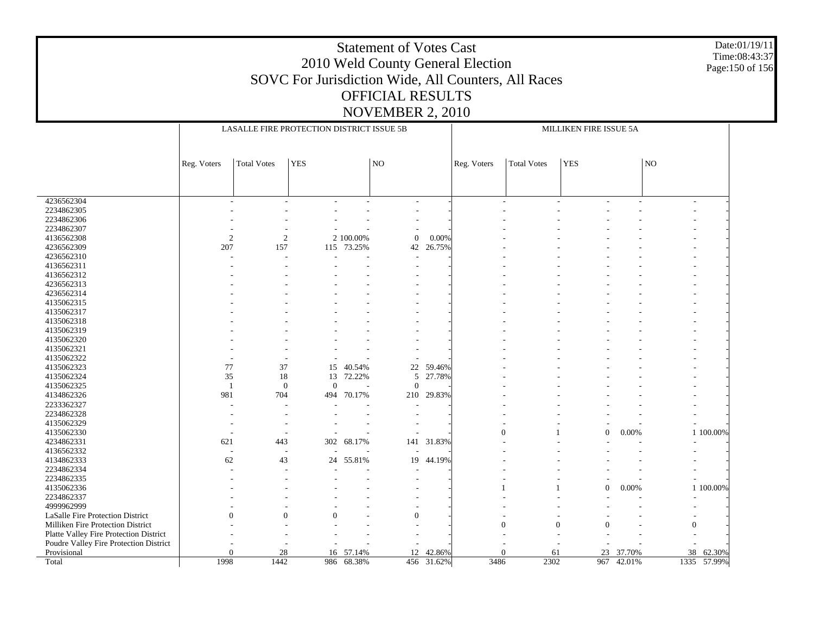Date:01/19/11 Time:08:43:37 Page:150 of 156

|                                        |                | LASALLE FIRE PROTECTION DISTRICT ISSUE 5B |              |                  |                       |            | MILLIKEN FIRE ISSUE 5A |                    |                      |            |                |             |
|----------------------------------------|----------------|-------------------------------------------|--------------|------------------|-----------------------|------------|------------------------|--------------------|----------------------|------------|----------------|-------------|
|                                        |                |                                           |              |                  |                       |            |                        |                    |                      |            |                |             |
|                                        |                |                                           |              |                  |                       |            |                        |                    |                      |            |                |             |
|                                        | Reg. Voters    | <b>Total Votes</b>                        | <b>YES</b>   |                  | NO                    |            | Reg. Voters            | <b>Total Votes</b> | <b>YES</b>           |            | $\overline{N}$ |             |
|                                        |                |                                           |              |                  |                       |            |                        |                    |                      |            |                |             |
|                                        |                |                                           |              |                  |                       |            |                        |                    |                      |            |                |             |
|                                        |                |                                           |              |                  |                       |            |                        |                    |                      |            |                |             |
| 4236562304                             |                |                                           |              |                  | $\tilde{\phantom{a}}$ |            |                        |                    |                      |            |                |             |
| 2234862305                             |                |                                           |              |                  |                       |            |                        |                    |                      |            |                |             |
| 2234862306                             |                |                                           |              |                  |                       |            |                        |                    |                      |            |                |             |
| 2234862307                             |                |                                           |              |                  |                       |            |                        |                    |                      |            |                |             |
| 4136562308                             | $\mathfrak{2}$ | $\boldsymbol{2}$                          |              | 2 100.00%        | $\mathbf{0}$          | 0.00%      |                        |                    |                      |            |                |             |
| 4236562309                             | 207            | 157                                       |              | 115 73.25%       | 42                    | 26.75%     |                        |                    |                      |            |                |             |
| 4236562310                             |                |                                           |              |                  |                       |            |                        |                    |                      |            |                |             |
| 4136562311                             |                |                                           |              |                  |                       |            |                        |                    |                      |            |                |             |
| 4136562312                             |                |                                           |              |                  |                       |            |                        |                    |                      |            |                |             |
| 4236562313<br>4236562314               |                |                                           |              |                  |                       |            |                        |                    |                      |            |                |             |
|                                        |                |                                           |              |                  |                       |            |                        |                    |                      |            |                |             |
| 4135062315                             |                |                                           |              |                  |                       |            |                        |                    |                      |            |                |             |
| 4135062317                             |                |                                           |              |                  |                       |            |                        |                    |                      |            |                |             |
| 4135062318<br>4135062319               |                |                                           |              |                  |                       |            |                        |                    |                      |            |                |             |
| 4135062320                             |                |                                           |              |                  |                       |            |                        |                    |                      |            |                |             |
|                                        |                |                                           |              |                  |                       |            |                        |                    |                      |            |                |             |
| 4135062321<br>4135062322               |                |                                           |              |                  |                       |            |                        |                    |                      |            |                |             |
|                                        | 77             | 37                                        |              |                  | 22                    | 59.46%     |                        |                    |                      |            |                |             |
| 4135062323<br>4135062324               | 35             | 18                                        | 15<br>13     | 40.54%<br>72.22% |                       | 27.78%     |                        |                    |                      |            |                |             |
| 4135062325                             | $\overline{1}$ | $\theta$                                  | $\mathbf{0}$ |                  | 5<br>$\Omega$         |            |                        |                    |                      |            |                |             |
| 4134862326                             | 981            | 704                                       | 494          | 70.17%           | 210                   | 29.83%     |                        |                    |                      |            |                |             |
| 2233362327                             |                |                                           |              |                  |                       |            |                        |                    |                      |            |                |             |
| 2234862328                             |                |                                           |              |                  |                       |            |                        |                    |                      |            |                |             |
| 4135062329                             |                |                                           |              |                  |                       |            |                        |                    |                      |            |                |             |
| 4135062330                             |                |                                           |              |                  |                       |            | $\Omega$               |                    | $\Omega$             | 0.00%      |                | 1 100.00%   |
| 4234862331                             | 621            | 443                                       | 302          | 68.17%           |                       | 141 31.83% |                        |                    |                      |            |                |             |
| 4136562332                             |                |                                           |              |                  |                       |            |                        |                    |                      |            |                |             |
| 4134862333                             | 62             | 43                                        | 24           | 55.81%           | 19                    | 44.19%     |                        |                    |                      |            |                |             |
| 2234862334                             |                |                                           |              |                  |                       |            |                        |                    |                      |            |                |             |
| 2234862335                             |                |                                           |              |                  |                       |            |                        |                    |                      |            |                |             |
| 4135062336                             |                |                                           |              |                  |                       |            |                        |                    | $\overline{0}$       | 0.00%      |                | 1 100.00%   |
| 2234862337                             |                |                                           |              |                  |                       |            |                        |                    |                      |            |                |             |
| 4999962999                             |                |                                           |              |                  |                       |            |                        |                    |                      |            |                |             |
| LaSalle Fire Protection District       |                | $\Omega$                                  | $\Omega$     |                  | $\overline{0}$        |            |                        |                    |                      |            |                |             |
| Milliken Fire Protection District      |                |                                           |              |                  |                       |            | $\Omega$               |                    | $\theta$<br>$\Omega$ |            | $\theta$       |             |
| Platte Valley Fire Protection District |                |                                           |              |                  |                       |            |                        |                    |                      |            | ÷              |             |
| Poudre Valley Fire Protection District |                |                                           |              |                  |                       |            |                        |                    |                      |            |                |             |
| Provisional                            | $\Omega$       | 28                                        |              | 16 57.14%        | 12                    | 42.86%     | $\Omega$               | 61                 | 23                   | 37.70%     | 38             | 62.30%      |
| Total                                  | 1998           | 1442                                      |              | 986 68.38%       |                       | 456 31.62% | 3486                   | 2302               |                      | 967 42.01% |                | 1335 57.99% |
|                                        |                |                                           |              |                  |                       |            |                        |                    |                      |            |                |             |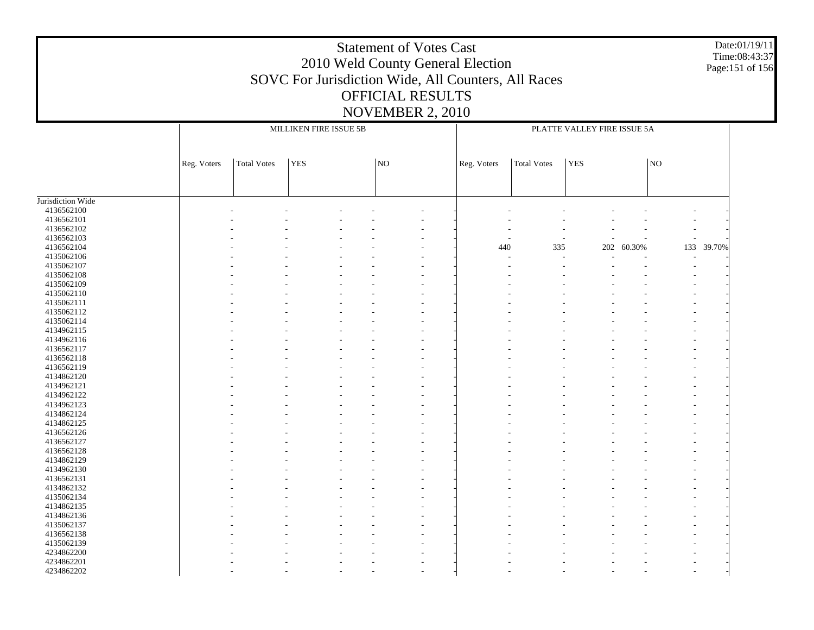#### Date:01/19/11 Time:08:43:37 Page:151 of 156

| N <sub>O</sub><br><b>Total Votes</b><br><b>YES</b><br> NO<br><b>Total Votes</b><br><b>YES</b><br>Reg. Voters<br>Reg. Voters<br>4136562100<br>4136562101<br>4136562102<br>4136562103<br>٠<br>4136562104<br>60.30%<br>133 39.70%<br>440<br>335<br>202<br>4135062106<br>4135062107<br>4135062108<br>4135062109<br>4135062110<br>٠<br>4135062111<br>4135062112<br>÷,<br>4135062114<br>4134962115<br>÷,<br>4134962116<br>4136562117<br>٠<br>4136562118<br>4136562119<br>4134862120<br>4134962121<br>4134962122<br>4134962123<br>4134862124<br>4134862125<br>4136562126<br>٠<br>4136562127<br>4136562128<br>÷,<br>4134862129<br>4134962130<br>÷,<br>4136562131<br>4134862132<br>٠<br>4135062134<br>4134862135<br>4134862136<br>4135062137<br>4136562138<br>4135062139<br>4234862200<br>4234862201<br>4234862202<br>$\overline{\phantom{a}}$ |                   |  | MILLIKEN FIRE ISSUE 5B | PLATTE VALLEY FIRE ISSUE 5A |  |  |  |  |  |  |
|---------------------------------------------------------------------------------------------------------------------------------------------------------------------------------------------------------------------------------------------------------------------------------------------------------------------------------------------------------------------------------------------------------------------------------------------------------------------------------------------------------------------------------------------------------------------------------------------------------------------------------------------------------------------------------------------------------------------------------------------------------------------------------------------------------------------------------------|-------------------|--|------------------------|-----------------------------|--|--|--|--|--|--|
|                                                                                                                                                                                                                                                                                                                                                                                                                                                                                                                                                                                                                                                                                                                                                                                                                                       |                   |  |                        |                             |  |  |  |  |  |  |
|                                                                                                                                                                                                                                                                                                                                                                                                                                                                                                                                                                                                                                                                                                                                                                                                                                       |                   |  |                        |                             |  |  |  |  |  |  |
|                                                                                                                                                                                                                                                                                                                                                                                                                                                                                                                                                                                                                                                                                                                                                                                                                                       |                   |  |                        |                             |  |  |  |  |  |  |
|                                                                                                                                                                                                                                                                                                                                                                                                                                                                                                                                                                                                                                                                                                                                                                                                                                       |                   |  |                        |                             |  |  |  |  |  |  |
|                                                                                                                                                                                                                                                                                                                                                                                                                                                                                                                                                                                                                                                                                                                                                                                                                                       |                   |  |                        |                             |  |  |  |  |  |  |
|                                                                                                                                                                                                                                                                                                                                                                                                                                                                                                                                                                                                                                                                                                                                                                                                                                       | Jurisdiction Wide |  |                        |                             |  |  |  |  |  |  |
|                                                                                                                                                                                                                                                                                                                                                                                                                                                                                                                                                                                                                                                                                                                                                                                                                                       |                   |  |                        |                             |  |  |  |  |  |  |
|                                                                                                                                                                                                                                                                                                                                                                                                                                                                                                                                                                                                                                                                                                                                                                                                                                       |                   |  |                        |                             |  |  |  |  |  |  |
|                                                                                                                                                                                                                                                                                                                                                                                                                                                                                                                                                                                                                                                                                                                                                                                                                                       |                   |  |                        |                             |  |  |  |  |  |  |
|                                                                                                                                                                                                                                                                                                                                                                                                                                                                                                                                                                                                                                                                                                                                                                                                                                       |                   |  |                        |                             |  |  |  |  |  |  |
|                                                                                                                                                                                                                                                                                                                                                                                                                                                                                                                                                                                                                                                                                                                                                                                                                                       |                   |  |                        |                             |  |  |  |  |  |  |
|                                                                                                                                                                                                                                                                                                                                                                                                                                                                                                                                                                                                                                                                                                                                                                                                                                       |                   |  |                        |                             |  |  |  |  |  |  |
|                                                                                                                                                                                                                                                                                                                                                                                                                                                                                                                                                                                                                                                                                                                                                                                                                                       |                   |  |                        |                             |  |  |  |  |  |  |
|                                                                                                                                                                                                                                                                                                                                                                                                                                                                                                                                                                                                                                                                                                                                                                                                                                       |                   |  |                        |                             |  |  |  |  |  |  |
|                                                                                                                                                                                                                                                                                                                                                                                                                                                                                                                                                                                                                                                                                                                                                                                                                                       |                   |  |                        |                             |  |  |  |  |  |  |
|                                                                                                                                                                                                                                                                                                                                                                                                                                                                                                                                                                                                                                                                                                                                                                                                                                       |                   |  |                        |                             |  |  |  |  |  |  |
|                                                                                                                                                                                                                                                                                                                                                                                                                                                                                                                                                                                                                                                                                                                                                                                                                                       |                   |  |                        |                             |  |  |  |  |  |  |
|                                                                                                                                                                                                                                                                                                                                                                                                                                                                                                                                                                                                                                                                                                                                                                                                                                       |                   |  |                        |                             |  |  |  |  |  |  |
|                                                                                                                                                                                                                                                                                                                                                                                                                                                                                                                                                                                                                                                                                                                                                                                                                                       |                   |  |                        |                             |  |  |  |  |  |  |
|                                                                                                                                                                                                                                                                                                                                                                                                                                                                                                                                                                                                                                                                                                                                                                                                                                       |                   |  |                        |                             |  |  |  |  |  |  |
|                                                                                                                                                                                                                                                                                                                                                                                                                                                                                                                                                                                                                                                                                                                                                                                                                                       |                   |  |                        |                             |  |  |  |  |  |  |
|                                                                                                                                                                                                                                                                                                                                                                                                                                                                                                                                                                                                                                                                                                                                                                                                                                       |                   |  |                        |                             |  |  |  |  |  |  |
|                                                                                                                                                                                                                                                                                                                                                                                                                                                                                                                                                                                                                                                                                                                                                                                                                                       |                   |  |                        |                             |  |  |  |  |  |  |
|                                                                                                                                                                                                                                                                                                                                                                                                                                                                                                                                                                                                                                                                                                                                                                                                                                       |                   |  |                        |                             |  |  |  |  |  |  |
|                                                                                                                                                                                                                                                                                                                                                                                                                                                                                                                                                                                                                                                                                                                                                                                                                                       |                   |  |                        |                             |  |  |  |  |  |  |
|                                                                                                                                                                                                                                                                                                                                                                                                                                                                                                                                                                                                                                                                                                                                                                                                                                       |                   |  |                        |                             |  |  |  |  |  |  |
|                                                                                                                                                                                                                                                                                                                                                                                                                                                                                                                                                                                                                                                                                                                                                                                                                                       |                   |  |                        |                             |  |  |  |  |  |  |
|                                                                                                                                                                                                                                                                                                                                                                                                                                                                                                                                                                                                                                                                                                                                                                                                                                       |                   |  |                        |                             |  |  |  |  |  |  |
|                                                                                                                                                                                                                                                                                                                                                                                                                                                                                                                                                                                                                                                                                                                                                                                                                                       |                   |  |                        |                             |  |  |  |  |  |  |
|                                                                                                                                                                                                                                                                                                                                                                                                                                                                                                                                                                                                                                                                                                                                                                                                                                       |                   |  |                        |                             |  |  |  |  |  |  |
|                                                                                                                                                                                                                                                                                                                                                                                                                                                                                                                                                                                                                                                                                                                                                                                                                                       |                   |  |                        |                             |  |  |  |  |  |  |
|                                                                                                                                                                                                                                                                                                                                                                                                                                                                                                                                                                                                                                                                                                                                                                                                                                       |                   |  |                        |                             |  |  |  |  |  |  |
|                                                                                                                                                                                                                                                                                                                                                                                                                                                                                                                                                                                                                                                                                                                                                                                                                                       |                   |  |                        |                             |  |  |  |  |  |  |
|                                                                                                                                                                                                                                                                                                                                                                                                                                                                                                                                                                                                                                                                                                                                                                                                                                       |                   |  |                        |                             |  |  |  |  |  |  |
|                                                                                                                                                                                                                                                                                                                                                                                                                                                                                                                                                                                                                                                                                                                                                                                                                                       |                   |  |                        |                             |  |  |  |  |  |  |
|                                                                                                                                                                                                                                                                                                                                                                                                                                                                                                                                                                                                                                                                                                                                                                                                                                       |                   |  |                        |                             |  |  |  |  |  |  |
|                                                                                                                                                                                                                                                                                                                                                                                                                                                                                                                                                                                                                                                                                                                                                                                                                                       |                   |  |                        |                             |  |  |  |  |  |  |
|                                                                                                                                                                                                                                                                                                                                                                                                                                                                                                                                                                                                                                                                                                                                                                                                                                       |                   |  |                        |                             |  |  |  |  |  |  |
|                                                                                                                                                                                                                                                                                                                                                                                                                                                                                                                                                                                                                                                                                                                                                                                                                                       |                   |  |                        |                             |  |  |  |  |  |  |
|                                                                                                                                                                                                                                                                                                                                                                                                                                                                                                                                                                                                                                                                                                                                                                                                                                       |                   |  |                        |                             |  |  |  |  |  |  |
|                                                                                                                                                                                                                                                                                                                                                                                                                                                                                                                                                                                                                                                                                                                                                                                                                                       |                   |  |                        |                             |  |  |  |  |  |  |
|                                                                                                                                                                                                                                                                                                                                                                                                                                                                                                                                                                                                                                                                                                                                                                                                                                       |                   |  |                        |                             |  |  |  |  |  |  |
|                                                                                                                                                                                                                                                                                                                                                                                                                                                                                                                                                                                                                                                                                                                                                                                                                                       |                   |  |                        |                             |  |  |  |  |  |  |
|                                                                                                                                                                                                                                                                                                                                                                                                                                                                                                                                                                                                                                                                                                                                                                                                                                       |                   |  |                        |                             |  |  |  |  |  |  |
|                                                                                                                                                                                                                                                                                                                                                                                                                                                                                                                                                                                                                                                                                                                                                                                                                                       |                   |  |                        |                             |  |  |  |  |  |  |
|                                                                                                                                                                                                                                                                                                                                                                                                                                                                                                                                                                                                                                                                                                                                                                                                                                       |                   |  |                        |                             |  |  |  |  |  |  |
|                                                                                                                                                                                                                                                                                                                                                                                                                                                                                                                                                                                                                                                                                                                                                                                                                                       |                   |  |                        |                             |  |  |  |  |  |  |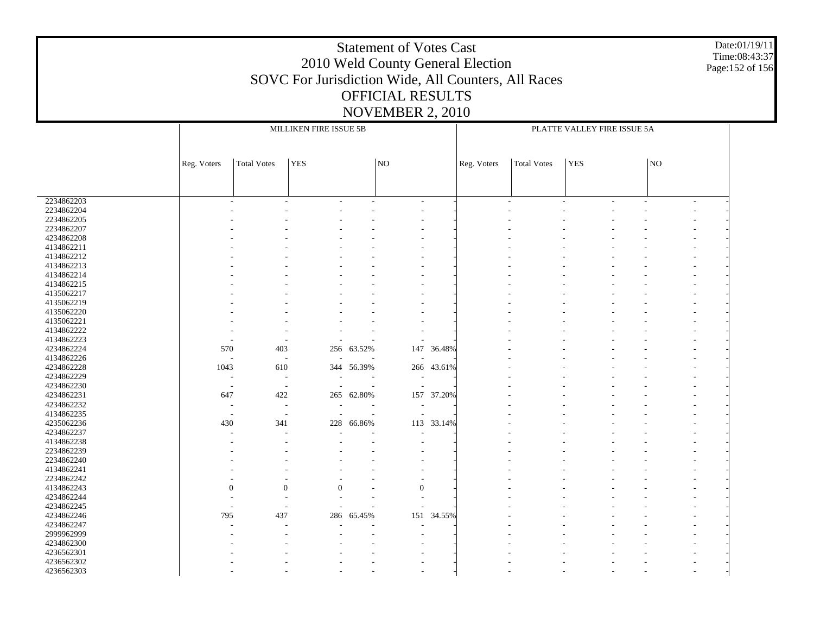#### Date:01/19/11 Time:08:43:37 Page:152 of 156

|                          |                          | MILLIKEN FIRE ISSUE 5B   |                          |            |                          |            | PLATTE VALLEY FIRE ISSUE 5A |                          |                |  |    |                          |  |
|--------------------------|--------------------------|--------------------------|--------------------------|------------|--------------------------|------------|-----------------------------|--------------------------|----------------|--|----|--------------------------|--|
|                          |                          |                          |                          |            |                          |            |                             |                          |                |  |    |                          |  |
|                          | Reg. Voters              | <b>Total Votes</b>       | <b>YES</b>               |            | $\overline{N}$           |            | Reg. Voters                 | <b>Total Votes</b>       | <b>YES</b>     |  | NO |                          |  |
|                          |                          |                          |                          |            |                          |            |                             |                          |                |  |    |                          |  |
|                          |                          |                          |                          |            |                          |            |                             |                          |                |  |    |                          |  |
| 2234862203<br>2234862204 |                          |                          | $\overline{a}$           |            | $\overline{\phantom{a}}$ |            |                             | $\overline{\phantom{a}}$ | $\overline{a}$ |  |    | $\overline{\phantom{a}}$ |  |
| 2234862205               |                          |                          |                          |            |                          |            |                             |                          |                |  |    |                          |  |
| 2234862207               |                          |                          |                          |            |                          |            |                             |                          |                |  |    |                          |  |
| 4234862208               |                          |                          |                          |            |                          |            |                             |                          |                |  |    |                          |  |
| 4134862211               |                          |                          |                          |            |                          |            |                             |                          |                |  |    |                          |  |
| 4134862212               |                          |                          |                          |            |                          |            |                             |                          |                |  |    |                          |  |
| 4134862213               |                          |                          |                          |            |                          |            |                             |                          |                |  |    |                          |  |
| 4134862214               |                          |                          |                          |            |                          |            |                             |                          |                |  |    |                          |  |
| 4134862215               |                          |                          |                          |            |                          |            |                             |                          |                |  |    |                          |  |
| 4135062217               |                          |                          |                          |            |                          |            |                             |                          |                |  |    |                          |  |
| 4135062219               |                          |                          |                          |            |                          |            |                             |                          |                |  |    |                          |  |
| 4135062220               |                          |                          |                          |            |                          |            |                             |                          |                |  |    |                          |  |
| 4135062221               |                          |                          |                          |            |                          |            |                             |                          |                |  |    |                          |  |
| 4134862222               |                          |                          |                          |            |                          |            |                             |                          |                |  |    |                          |  |
| 4134862223               |                          |                          |                          |            |                          |            |                             |                          |                |  |    |                          |  |
| 4234862224               | 570                      | 403                      |                          | 256 63.52% | 147                      | 36.48%     |                             |                          |                |  |    |                          |  |
| 4134862226               | $\overline{\phantom{a}}$ | $\sim$                   |                          |            |                          |            |                             |                          |                |  |    |                          |  |
| 4234862228               | 1043                     | 610                      |                          | 344 56.39% |                          | 266 43.61% |                             |                          |                |  |    |                          |  |
| 4234862229               | $\overline{\phantom{a}}$ | $\overline{a}$           | $\overline{\phantom{a}}$ |            | $\overline{\phantom{a}}$ |            |                             |                          |                |  |    |                          |  |
| 4234862230               | $\overline{\phantom{a}}$ | $\overline{\phantom{a}}$ | $\overline{\phantom{a}}$ | $\sim$     |                          |            |                             |                          |                |  |    |                          |  |
| 4234862231               | 647                      | 422                      |                          | 265 62.80% | 157                      | 37.20%     |                             |                          |                |  |    |                          |  |
| 4234862232               | $\overline{\phantom{a}}$ | $\overline{a}$           |                          |            |                          |            |                             |                          |                |  |    |                          |  |
| 4134862235               | $\overline{a}$           | $\overline{a}$           |                          |            |                          |            |                             |                          |                |  |    |                          |  |
| 4235062236               | 430                      | 341                      | 228                      | 66.86%     |                          | 113 33.14% |                             |                          |                |  |    |                          |  |
| 4234862237               |                          |                          |                          |            |                          |            |                             |                          |                |  |    |                          |  |
| 4134862238               |                          |                          |                          |            |                          |            |                             |                          |                |  |    |                          |  |
| 2234862239               |                          |                          |                          |            |                          |            |                             |                          |                |  |    |                          |  |
| 2234862240               |                          |                          |                          |            |                          |            |                             |                          |                |  |    |                          |  |
| 4134862241               |                          |                          |                          |            |                          |            |                             |                          |                |  |    |                          |  |
| 2234862242               |                          |                          |                          |            |                          |            |                             |                          |                |  |    |                          |  |
| 4134862243               | 0                        | $\theta$                 | $\overline{0}$           |            | $\theta$                 |            |                             |                          |                |  |    |                          |  |
| 4234862244               |                          |                          |                          |            |                          |            |                             |                          |                |  |    |                          |  |
| 4234862245               | $\overline{\phantom{a}}$ | $\overline{\phantom{a}}$ |                          |            |                          |            |                             |                          |                |  |    |                          |  |
| 4234862246               | 795                      | 437                      | 286                      | 65.45%     | 151                      | 34.55%     |                             |                          |                |  |    |                          |  |
| 4234862247               |                          |                          |                          |            |                          |            |                             |                          |                |  |    |                          |  |
| 2999962999               |                          |                          |                          |            |                          |            |                             |                          |                |  |    |                          |  |
| 4234862300               |                          |                          |                          |            |                          |            |                             |                          |                |  |    |                          |  |
| 4236562301               |                          |                          |                          |            |                          |            |                             |                          |                |  |    |                          |  |
| 4236562302               |                          |                          |                          |            |                          |            |                             |                          |                |  |    |                          |  |
| 4236562303               |                          |                          |                          |            |                          |            |                             |                          |                |  |    |                          |  |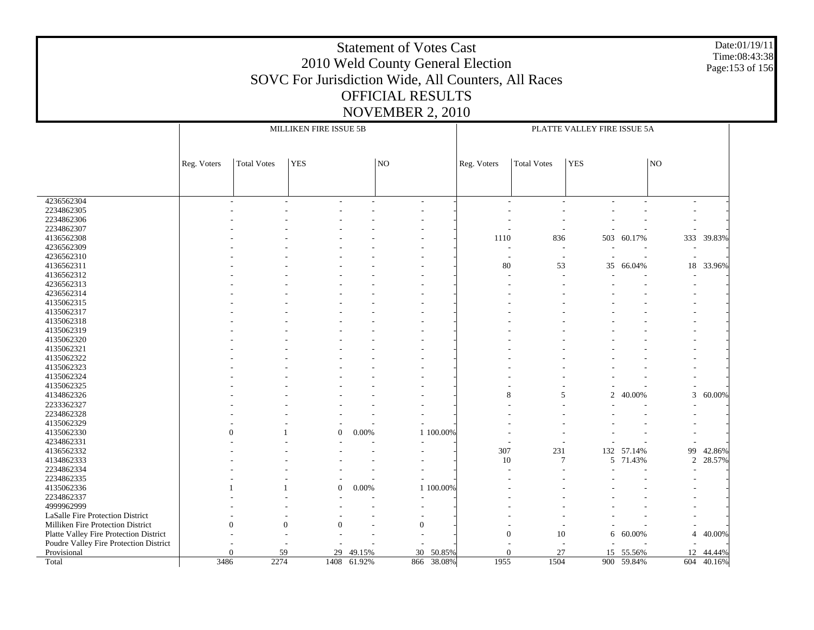#### Date:01/19/11 Time:08:43:38 Page:153 of 156

|                                                       | MILLIKEN FIRE ISSUE 5B |                    |                  |             |                |           | PLATTE VALLEY FIRE ISSUE 5A |                          |            |                |                |                      |
|-------------------------------------------------------|------------------------|--------------------|------------------|-------------|----------------|-----------|-----------------------------|--------------------------|------------|----------------|----------------|----------------------|
|                                                       |                        |                    |                  |             |                |           |                             |                          |            |                |                |                      |
|                                                       | Reg. Voters            | <b>Total Votes</b> | <b>YES</b>       |             | NO             |           | Reg. Voters                 | <b>Total Votes</b>       | <b>YES</b> |                | NO             |                      |
|                                                       |                        |                    |                  |             |                |           |                             |                          |            |                |                |                      |
|                                                       |                        |                    |                  |             |                |           |                             |                          |            |                |                |                      |
| 4236562304                                            |                        |                    |                  |             |                |           | $\overline{a}$              |                          |            |                | $\overline{a}$ |                      |
| 2234862305                                            |                        |                    |                  |             |                |           |                             |                          |            |                |                |                      |
| 2234862306                                            |                        |                    |                  |             |                |           |                             |                          |            |                |                |                      |
| 2234862307                                            |                        |                    |                  |             |                |           |                             |                          |            |                |                |                      |
| 4136562308                                            |                        |                    |                  |             |                |           | 1110                        | 836                      | 503        | 60.17%         |                | 333 39.83%           |
| 4236562309                                            |                        |                    |                  |             |                |           | $\overline{a}$              | $\overline{a}$           |            |                |                |                      |
| 4236562310                                            |                        |                    |                  |             |                |           | $\overline{\phantom{a}}$    | $\overline{\phantom{a}}$ | ÷,         | $\overline{a}$ | ÷,             |                      |
| 4136562311                                            |                        |                    |                  |             |                |           | 80                          | 53                       | 35         | 66.04%         |                | 18 33.96%            |
| 4136562312                                            |                        |                    |                  |             |                |           |                             |                          |            |                |                |                      |
| 4236562313                                            |                        |                    |                  |             |                |           |                             |                          |            |                |                |                      |
| 4236562314                                            |                        |                    |                  |             |                |           |                             |                          |            |                |                |                      |
| 4135062315                                            |                        |                    |                  |             |                |           |                             |                          |            |                |                |                      |
| 4135062317                                            |                        |                    |                  |             |                |           |                             |                          |            |                |                |                      |
| 4135062318                                            |                        |                    |                  |             |                |           |                             |                          |            |                |                |                      |
| 4135062319                                            |                        |                    |                  |             |                |           |                             |                          |            |                |                |                      |
| 4135062320                                            |                        |                    |                  |             |                |           |                             |                          |            |                |                |                      |
| 4135062321                                            |                        |                    |                  |             |                |           |                             |                          |            |                |                |                      |
| 4135062322                                            |                        |                    |                  |             |                |           |                             |                          |            |                |                |                      |
| 4135062323                                            |                        |                    |                  |             |                |           |                             |                          |            |                |                |                      |
| 4135062324                                            |                        |                    |                  |             |                |           |                             |                          |            |                |                |                      |
| 4135062325                                            |                        |                    |                  |             |                |           |                             |                          |            |                |                |                      |
| 4134862326                                            |                        |                    |                  |             |                |           | 8                           | 5                        | 2          | 40.00%         | 3              | 60.00%               |
| 2233362327                                            |                        |                    |                  |             |                |           |                             |                          |            |                |                |                      |
| 2234862328                                            |                        |                    |                  |             |                |           |                             |                          |            |                |                |                      |
| 4135062329                                            |                        |                    |                  |             |                |           |                             |                          |            |                |                |                      |
| 4135062330                                            | $\Omega$               |                    | $\boldsymbol{0}$ | 0.00%       |                | 1 100.00% |                             |                          |            |                |                |                      |
| 4234862331                                            |                        |                    |                  |             |                |           |                             |                          |            |                |                |                      |
| 4136562332                                            |                        |                    |                  |             |                |           | 307                         | 231<br>$\overline{7}$    |            | 132 57.14%     | 99             | 42.86%               |
| 4134862333                                            |                        |                    |                  |             |                |           | 10                          |                          | 5          | 71.43%         | 2              | 28.57%               |
| 2234862334                                            |                        |                    |                  |             |                |           |                             |                          |            |                |                |                      |
| 2234862335                                            |                        |                    | $\Omega$         |             |                |           |                             |                          |            |                |                |                      |
| 4135062336                                            |                        |                    |                  | $0.00\%$    |                | 1 100.00% |                             |                          |            |                |                |                      |
| 2234862337<br>4999962999                              |                        |                    |                  |             |                |           |                             |                          |            |                |                |                      |
|                                                       |                        |                    |                  |             |                |           |                             |                          |            |                |                |                      |
| LaSalle Fire Protection District                      |                        |                    | $\Omega$         |             |                |           |                             |                          |            |                |                |                      |
| Milliken Fire Protection District                     |                        | $\theta$           |                  |             | $\overline{0}$ |           | $\mathbf{0}$                | 10                       |            |                | $\overline{4}$ | 40.00%               |
| Platte Valley Fire Protection District                |                        |                    |                  |             |                |           |                             |                          | 6          | 60.00%         |                |                      |
| Poudre Valley Fire Protection District<br>Provisional |                        | 59<br>$\Omega$     | 29               | 49.15%      | 30             | 50.85%    | $\Omega$                    | 27                       |            | 15 55.56%      | 12             |                      |
| Total                                                 | 3486                   | 2274               |                  | 1408 61.92% | 866            | 38.08%    | 1955                        | 1504                     |            | 900 59.84%     |                | 44.44%<br>604 40.16% |
|                                                       |                        |                    |                  |             |                |           |                             |                          |            |                |                |                      |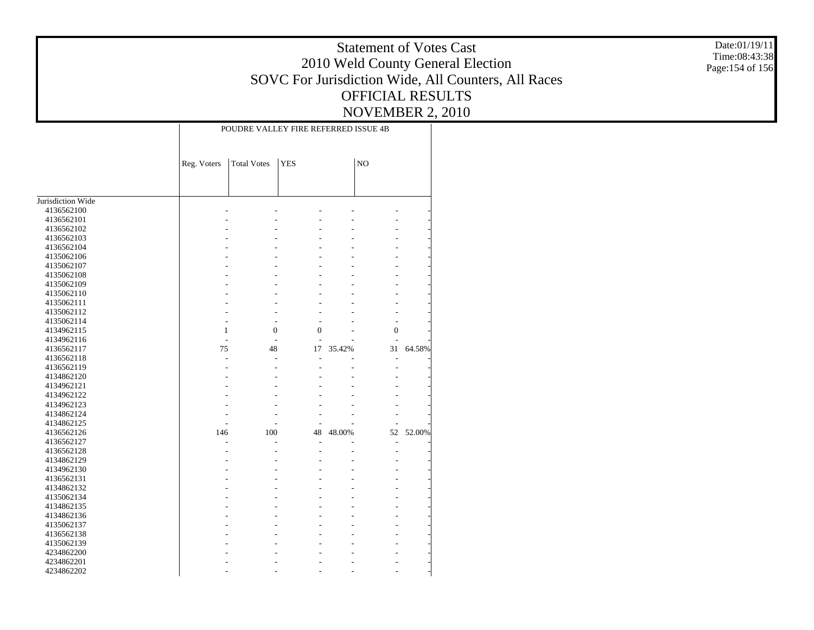Date:01/19/11 Time:08:43:38 Page:154 of 156

|                   | POUDRE VALLEY FIRE REFERRED ISSUE 4B |                    |                |        |                |        |  |  |  |
|-------------------|--------------------------------------|--------------------|----------------|--------|----------------|--------|--|--|--|
|                   | Reg. Voters                          | <b>Total Votes</b> | <b>YES</b>     |        | N <sub>O</sub> |        |  |  |  |
|                   |                                      |                    |                |        |                |        |  |  |  |
| Jurisdiction Wide |                                      |                    |                |        |                |        |  |  |  |
| 4136562100        |                                      |                    |                |        |                |        |  |  |  |
| 4136562101        |                                      |                    |                |        |                |        |  |  |  |
| 4136562102        |                                      |                    |                |        |                |        |  |  |  |
| 4136562103        |                                      |                    |                |        |                |        |  |  |  |
| 4136562104        |                                      |                    |                |        |                |        |  |  |  |
| 4135062106        |                                      |                    |                |        |                |        |  |  |  |
| 4135062107        |                                      |                    |                |        |                |        |  |  |  |
| 4135062108        |                                      |                    |                |        |                |        |  |  |  |
| 4135062109        |                                      |                    |                |        |                |        |  |  |  |
| 4135062110        |                                      |                    |                |        |                |        |  |  |  |
| 4135062111        |                                      |                    |                |        |                |        |  |  |  |
| 4135062112        |                                      |                    |                |        |                |        |  |  |  |
| 4135062114        |                                      |                    | L.             |        | L,             |        |  |  |  |
| 4134962115        | $\mathbf{1}$                         | $\overline{0}$     | $\overline{0}$ |        | $\overline{0}$ |        |  |  |  |
| 4134962116        | $\overline{a}$                       |                    |                |        |                |        |  |  |  |
| 4136562117        | 75                                   | 48                 | 17             | 35.42% | 31             | 64.58% |  |  |  |
| 4136562118        | L,                                   |                    |                |        |                |        |  |  |  |
| 4136562119        |                                      |                    |                |        | L,             |        |  |  |  |
| 4134862120        |                                      |                    |                |        |                |        |  |  |  |
| 4134962121        |                                      |                    |                |        |                |        |  |  |  |
| 4134962122        |                                      |                    |                |        |                |        |  |  |  |
| 4134962123        |                                      |                    |                |        |                |        |  |  |  |
| 4134862124        |                                      |                    |                |        |                |        |  |  |  |
| 4134862125        |                                      |                    |                |        |                |        |  |  |  |
| 4136562126        | 146                                  | 100                | 48             | 48.00% | 52             | 52.00% |  |  |  |
| 4136562127        |                                      |                    |                |        | $\overline{a}$ |        |  |  |  |
| 4136562128        |                                      |                    |                |        | $\overline{a}$ |        |  |  |  |
| 4134862129        |                                      |                    |                |        |                |        |  |  |  |
| 4134962130        |                                      |                    |                |        |                |        |  |  |  |
| 4136562131        |                                      |                    |                |        |                |        |  |  |  |
| 4134862132        |                                      |                    |                |        |                |        |  |  |  |
| 4135062134        |                                      |                    |                |        |                |        |  |  |  |
| 4134862135        |                                      |                    |                |        |                |        |  |  |  |
| 4134862136        |                                      |                    |                |        |                |        |  |  |  |
| 4135062137        |                                      |                    |                |        |                |        |  |  |  |
| 4136562138        |                                      |                    |                |        |                |        |  |  |  |
| 4135062139        |                                      |                    |                |        |                |        |  |  |  |
| 4234862200        |                                      |                    |                |        |                |        |  |  |  |
| 4234862201        |                                      |                    |                |        |                |        |  |  |  |
| 4234862202        |                                      |                    |                |        |                |        |  |  |  |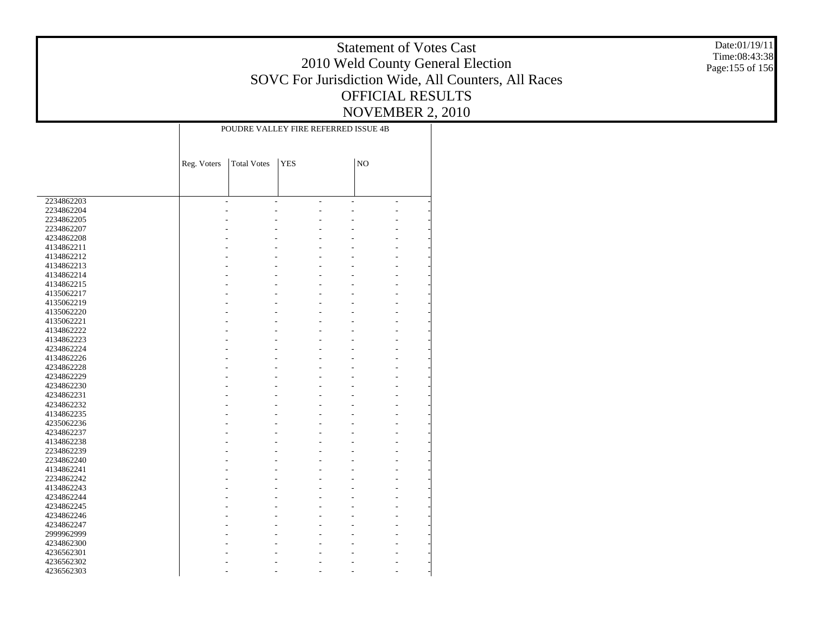Date:01/19/11 Time:08:43:38 Page:155 of 156

|            | POUDRE VALLEY FIRE REFERRED ISSUE 4B |                    |                |    |    |                |  |  |  |  |
|------------|--------------------------------------|--------------------|----------------|----|----|----------------|--|--|--|--|
|            | Reg. Voters                          | <b>Total Votes</b> | <b>YES</b>     |    | NO |                |  |  |  |  |
|            |                                      |                    |                |    |    |                |  |  |  |  |
|            |                                      |                    |                |    |    |                |  |  |  |  |
|            |                                      |                    |                |    |    |                |  |  |  |  |
| 2234862203 |                                      | ÷,                 | $\overline{a}$ | L, |    | $\overline{a}$ |  |  |  |  |
| 2234862204 |                                      |                    |                |    |    |                |  |  |  |  |
| 2234862205 |                                      |                    |                |    |    |                |  |  |  |  |
| 2234862207 |                                      |                    |                |    |    |                |  |  |  |  |
| 4234862208 |                                      |                    |                |    |    |                |  |  |  |  |
| 4134862211 |                                      |                    |                |    |    |                |  |  |  |  |
| 4134862212 |                                      |                    |                |    |    |                |  |  |  |  |
| 4134862213 |                                      |                    |                |    |    |                |  |  |  |  |
| 4134862214 |                                      |                    |                |    |    |                |  |  |  |  |
| 4134862215 |                                      |                    |                |    |    |                |  |  |  |  |
| 4135062217 |                                      |                    |                |    |    | L,             |  |  |  |  |
| 4135062219 |                                      |                    |                |    |    |                |  |  |  |  |
| 4135062220 |                                      |                    |                |    |    |                |  |  |  |  |
| 4135062221 |                                      |                    |                |    |    |                |  |  |  |  |
| 4134862222 |                                      |                    |                |    |    |                |  |  |  |  |
| 4134862223 |                                      |                    |                |    |    |                |  |  |  |  |
| 4234862224 |                                      |                    |                |    |    |                |  |  |  |  |
| 4134862226 |                                      |                    |                |    |    |                |  |  |  |  |
| 4234862228 |                                      |                    |                |    |    |                |  |  |  |  |
| 4234862229 |                                      |                    |                |    |    |                |  |  |  |  |
| 4234862230 |                                      |                    |                |    |    |                |  |  |  |  |
| 4234862231 |                                      |                    |                |    |    |                |  |  |  |  |
| 4234862232 |                                      |                    |                |    |    |                |  |  |  |  |
| 4134862235 |                                      |                    |                |    |    |                |  |  |  |  |
| 4235062236 |                                      |                    |                |    |    |                |  |  |  |  |
| 4234862237 |                                      |                    |                |    |    |                |  |  |  |  |
| 4134862238 |                                      |                    |                |    |    |                |  |  |  |  |
| 2234862239 |                                      |                    |                |    |    |                |  |  |  |  |
| 2234862240 |                                      |                    |                |    |    |                |  |  |  |  |
| 4134862241 |                                      |                    |                |    |    |                |  |  |  |  |
| 2234862242 |                                      |                    |                |    |    |                |  |  |  |  |
| 4134862243 |                                      |                    |                |    |    |                |  |  |  |  |
| 4234862244 |                                      |                    |                |    |    |                |  |  |  |  |
| 4234862245 |                                      |                    |                |    |    |                |  |  |  |  |
| 4234862246 |                                      |                    |                |    |    |                |  |  |  |  |
| 4234862247 |                                      |                    |                |    |    |                |  |  |  |  |
| 2999962999 |                                      |                    |                |    |    |                |  |  |  |  |
| 4234862300 |                                      |                    |                |    |    |                |  |  |  |  |
| 4236562301 |                                      |                    |                |    |    |                |  |  |  |  |
| 4236562302 |                                      |                    |                |    |    |                |  |  |  |  |
| 4236562303 |                                      |                    |                |    |    |                |  |  |  |  |